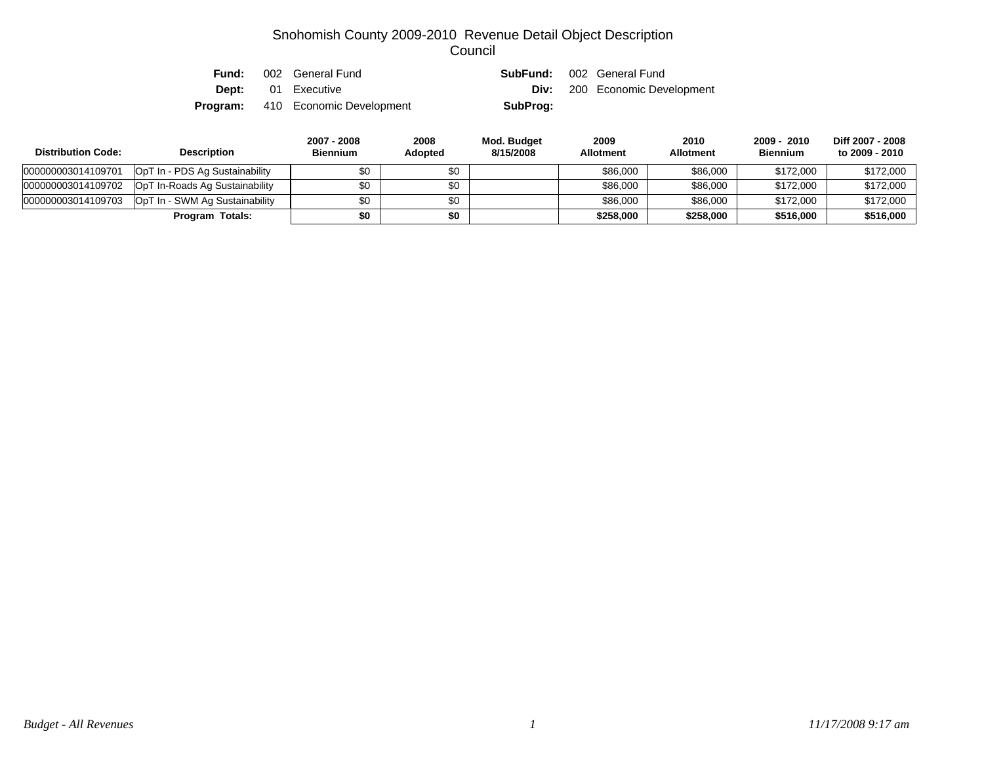| Fund: | 002 General Fund                         |          | <b>SubFund:</b> 002 General Fund     |
|-------|------------------------------------------|----------|--------------------------------------|
|       | <b>Dept:</b> 01 Executive                |          | <b>Div:</b> 200 Economic Development |
|       | <b>Program:</b> 410 Economic Development | SubProg: |                                      |

| <b>Distribution Code:</b> | <b>Description</b>             | 2007 - 2008<br><b>Biennium</b> | 2008<br><b>Adopted</b> | Mod. Budget<br>8/15/2008 | 2009<br><b>Allotment</b> | 2010<br><b>Allotment</b> | 2009 - 2010<br><b>Biennium</b> | Diff 2007 - 2008<br>to 2009 - 2010 |
|---------------------------|--------------------------------|--------------------------------|------------------------|--------------------------|--------------------------|--------------------------|--------------------------------|------------------------------------|
| 000000003014109701        | OpT In - PDS Ag Sustainability | \$0                            | \$0                    |                          | \$86,000                 | \$86,000                 | \$172,000                      | \$172,000                          |
| 000000003014109702        | OpT In-Roads Ag Sustainability | \$0                            | \$0                    |                          | \$86,000                 | \$86,000                 | \$172,000                      | \$172,000                          |
| 000000003014109703        | OpT In - SWM Ag Sustainability | \$0                            | \$0                    |                          | \$86,000                 | \$86,000                 | \$172,000                      | \$172,000                          |
|                           | Program Totals:                | \$0                            | \$0                    |                          | \$258,000                | \$258.000                | \$516,000                      | \$516,000                          |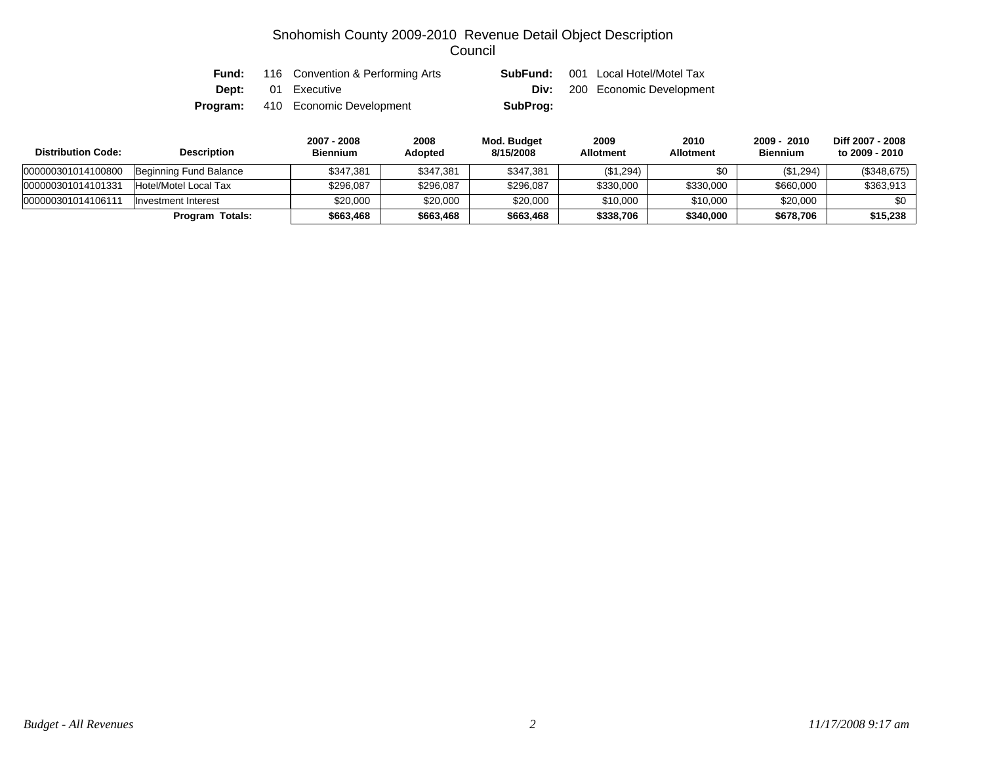| Fund: | 116 Convention & Performing Arts         | SubFund: | 001 Local Hotel/Motel Tax            |
|-------|------------------------------------------|----------|--------------------------------------|
|       | <b>Dept:</b> 01 Executive                |          | <b>Div:</b> 200 Economic Development |
|       | <b>Program:</b> 410 Economic Development | SubProg: |                                      |

| <b>Distribution Code:</b> | <b>Description</b>     | 2007 - 2008<br><b>Biennium</b> | 2008<br>Adopted | Mod. Budget<br>8/15/2008 | 2009<br><b>Allotment</b> | 2010<br><b>Allotment</b> | 2009 - 2010<br><b>Biennium</b> | Diff 2007 - 2008<br>to 2009 - 2010 |
|---------------------------|------------------------|--------------------------------|-----------------|--------------------------|--------------------------|--------------------------|--------------------------------|------------------------------------|
| 000000301014100800        | Beginning Fund Balance | \$347.381                      | \$347,381       | \$347,381                | (\$1,294)                | \$0                      | (\$1,294)                      | (\$348,675)                        |
| 000000301014101331        | Hotel/Motel Local Tax  | \$296.087                      | \$296.087       | \$296,087                | \$330,000                | \$330,000                | \$660,000                      | \$363.913                          |
| 000000301014106111        | Investment Interest    | \$20.000                       | \$20,000        | \$20,000                 | \$10,000                 | \$10,000                 | \$20,000                       | \$0                                |
|                           | <b>Program Totals:</b> | \$663,468                      | \$663,468       | \$663,468                | \$338,706                | \$340,000                | \$678,706                      | \$15,238                           |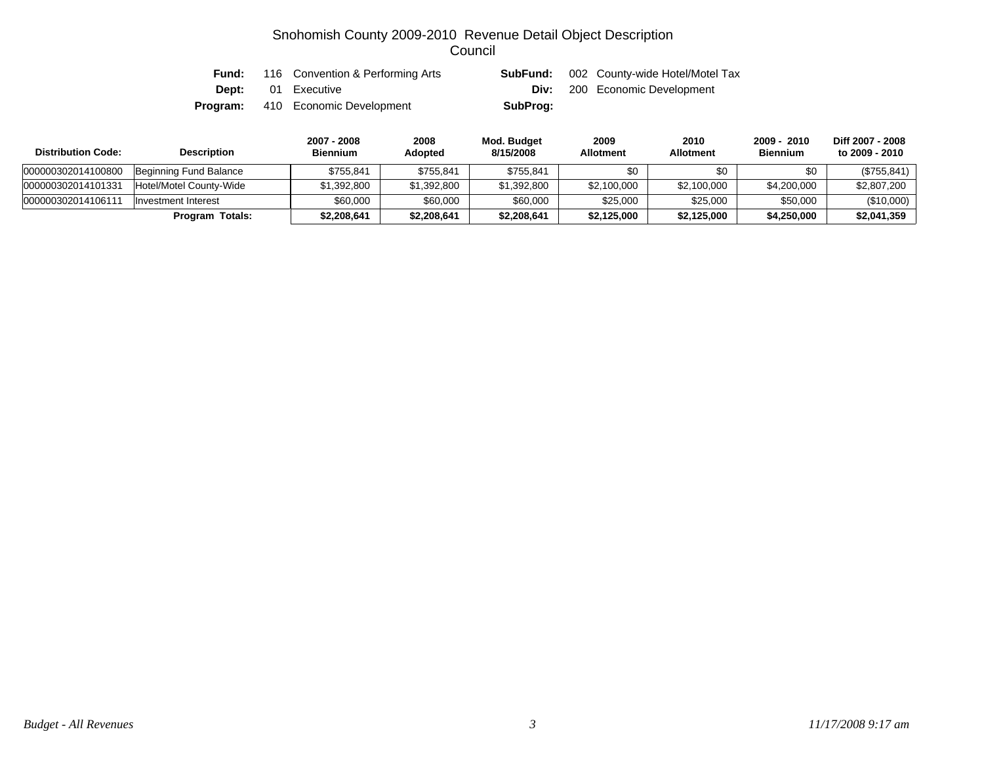| Fund: | 116 Convention & Performing Arts         |          | <b>SubFund:</b> 002 County-wide Hotel/Motel Tax |
|-------|------------------------------------------|----------|-------------------------------------------------|
|       | <b>Dept:</b> 01 Executive                |          | <b>Div:</b> 200 Economic Development            |
|       | <b>Program:</b> 410 Economic Development | SubProg: |                                                 |

| <b>Distribution Code:</b> | <b>Description</b>      | 2007 - 2008<br><b>Biennium</b> | 2008<br>Adopted | Mod. Budget<br>8/15/2008 | 2009<br><b>Allotment</b> | 2010<br><b>Allotment</b> | 2009 - 2010<br><b>Biennium</b> | Diff 2007 - 2008<br>to 2009 - 2010 |
|---------------------------|-------------------------|--------------------------------|-----------------|--------------------------|--------------------------|--------------------------|--------------------------------|------------------------------------|
| 000000302014100800        | Beginning Fund Balance  | \$755.841                      | \$755,841       | \$755,841                | \$በ                      | \$0                      | \$0                            | (\$755, 841)                       |
| 000000302014101331        | Hotel/Motel County-Wide | \$1,392,800                    | \$1,392,800     | \$1,392,800              | \$2,100,000              | \$2,100,000              | \$4,200,000                    | \$2,807,200                        |
| 00000030201410611         | Investment Interest     | \$60,000                       | \$60,000        | \$60,000                 | \$25,000                 | \$25,000                 | \$50,000                       | (\$10,000)                         |
|                           | <b>Program Totals:</b>  | \$2,208,641                    | \$2,208,641     | \$2,208,641              | \$2,125,000              | \$2,125,000              | \$4,250,000                    | \$2,041,359                        |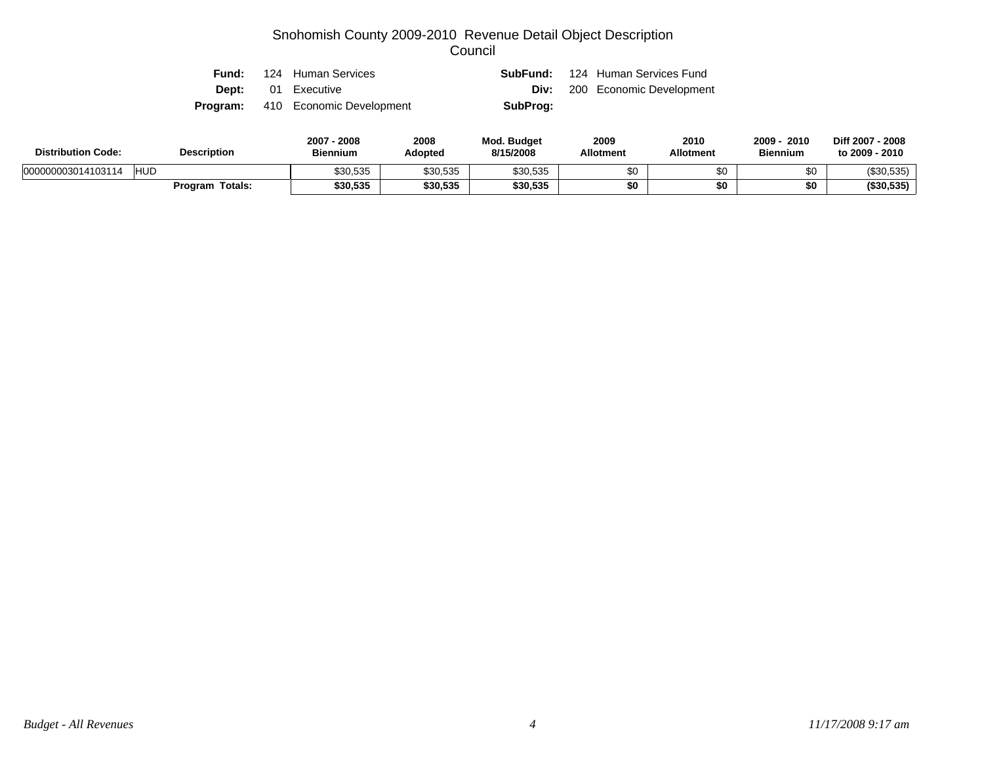| Fund: | 124 Human Services                       |          | <b>SubFund:</b> 124 Human Services Fund |
|-------|------------------------------------------|----------|-----------------------------------------|
|       | <b>Dept:</b> 01 Executive                |          | <b>Div:</b> 200 Economic Development    |
|       | <b>Program:</b> 410 Economic Development | SubProg: |                                         |

| <b>Distribution Code:</b>        | <b>Description</b>     | 2007<br>2008<br><b>Biennium</b> | 2008<br>Adopted | <b>Mod. Budget</b><br>8/15/2008 | 2009<br><b>Allotment</b> | 2010<br><b>Allotment</b> | 2010<br>2009<br><b>Biennium</b> | Diff 2007 - 2008<br>to 2009 - 2010 |
|----------------------------------|------------------------|---------------------------------|-----------------|---------------------------------|--------------------------|--------------------------|---------------------------------|------------------------------------|
| <b>HUD</b><br>000000003014103114 |                        | \$30,535                        | \$30,535        | \$30,535                        |                          | \$0                      | ሶሳ                              | (\$30,535)                         |
|                                  | <b>Program Totals:</b> | \$30,535                        | \$30,535        | \$30,535                        | ¢Λ                       | \$0                      | \$0                             | ( \$30.535)                        |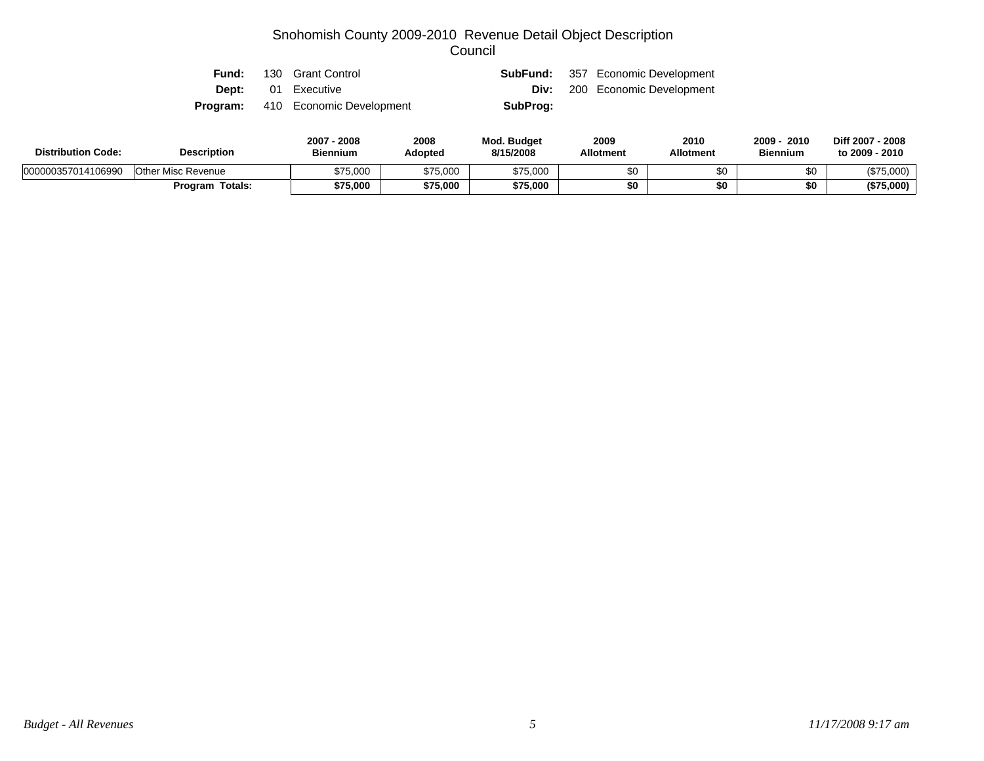|  | <b>Fund:</b> 130 Grant Control           |          | <b>SubFund:</b> 357 Economic Development |
|--|------------------------------------------|----------|------------------------------------------|
|  | <b>Dept:</b> 01 Executive                |          | <b>Div:</b> 200 Economic Development     |
|  | <b>Program:</b> 410 Economic Development | SubProg: |                                          |

| <b>Distribution Code:</b> | <b>Description</b>     | 2007 - 2008<br><b>Biennium</b> | 2008<br>Adopted | <b>Mod. Budget</b><br>8/15/2008 | 2009<br><b>Allotment</b> | 2010<br><b>Allotment</b> | 2010<br>2009<br><b>Biennium</b> | Diff 2007 - 2008<br>to 2009 - 2010 |
|---------------------------|------------------------|--------------------------------|-----------------|---------------------------------|--------------------------|--------------------------|---------------------------------|------------------------------------|
| 000000357014106990        | Other Misc Revenue     | \$75,000                       | \$75.000        | \$75,000                        | \$0                      | υŒ                       | ΦΛ                              | (\$75,000)                         |
|                           | <b>Program Totals:</b> | \$75,000                       | \$75,000        | \$75,000                        | \$0                      |                          | \$0                             | (\$75,000)                         |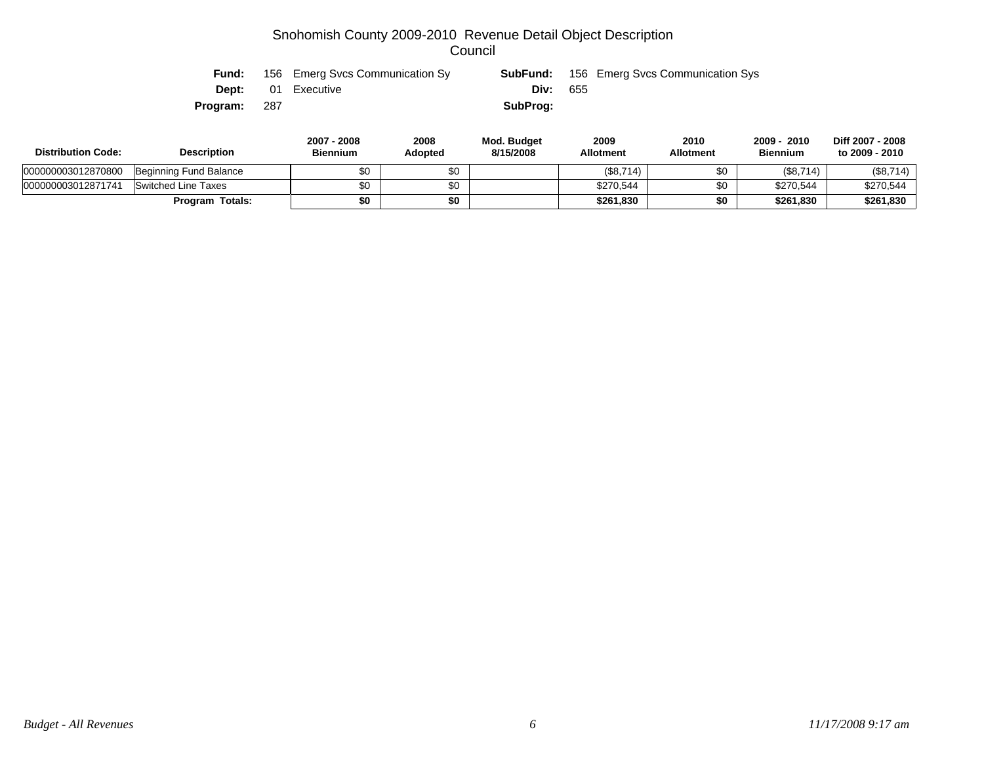| Fund:    |     | 156 Emerg Svcs Communication Sy |            | <b>SubFund:</b> 156 Emerg Svcs Communication Sys |
|----------|-----|---------------------------------|------------|--------------------------------------------------|
|          |     | <b>Dept:</b> 01 Executive       | Div: $655$ |                                                  |
| Program: | 287 |                                 | SubProg:   |                                                  |

| <b>Distribution Code:</b> | <b>Description</b>     | 2007 - 2008<br><b>Biennium</b> | 2008<br>Adopted | Mod. Budget<br>8/15/2008 | 2009<br><b>Allotment</b> | 2010<br><b>Allotment</b> | $2009 -$<br>2010<br><b>Biennium</b> | Diff 2007 - 2008<br>to 2009 - 2010 |
|---------------------------|------------------------|--------------------------------|-----------------|--------------------------|--------------------------|--------------------------|-------------------------------------|------------------------------------|
| 000000003012870800        | Beginning Fund Balance | \$0                            | \$0             |                          | (\$8,714)                | \$0                      | (\$8,714)                           | (\$8,714)                          |
| 000000003012871741        | Switched Line Taxes    | \$0                            | \$0             |                          | \$270,544                | ሶስ                       | \$270,544                           | \$270,544                          |
|                           | Program Totals:        | \$0                            | \$0             |                          | \$261,830                |                          | \$261.830                           | \$261,830                          |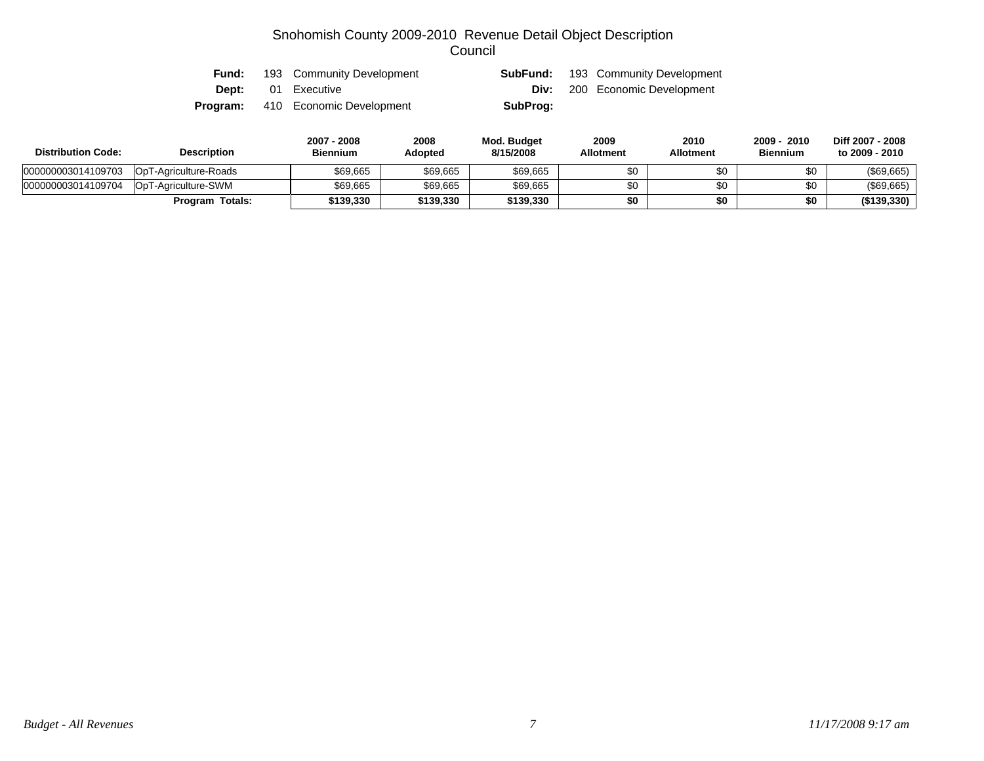| <b>Fund:</b> | 193 Community Development |          | <b>SubFund:</b> 193 Community Development |
|--------------|---------------------------|----------|-------------------------------------------|
|              | <b>Dept:</b> 01 Executive |          | <b>Div:</b> 200 Economic Development      |
| Program:     | 410 Economic Development  | SubProg: |                                           |

| <b>Distribution Code:</b> | <b>Description</b>     | 2007 - 2008<br><b>Biennium</b> | 2008<br><b>Adopted</b> | Mod. Budget<br>8/15/2008 | 2009<br><b>Allotment</b> | 2010<br>Allotment | 2009 - 2010<br><b>Biennium</b> | Diff 2007 - 2008<br>to 2009 - 2010 |
|---------------------------|------------------------|--------------------------------|------------------------|--------------------------|--------------------------|-------------------|--------------------------------|------------------------------------|
| 000000003014109703        | OpT-Agriculture-Roads  | \$69,665                       | \$69,665               | \$69,665                 | \$0                      |                   | \$0                            | (\$69,665)                         |
| 000000003014109704        | OpT-Agriculture-SWM    | \$69,665                       | \$69,665               | \$69,665                 | \$0                      |                   | \$0                            | (\$69,665)                         |
|                           | <b>Program Totals:</b> | \$139,330                      | \$139,330              | \$139,330                | \$0                      | \$0               | \$0                            | (\$139,330)                        |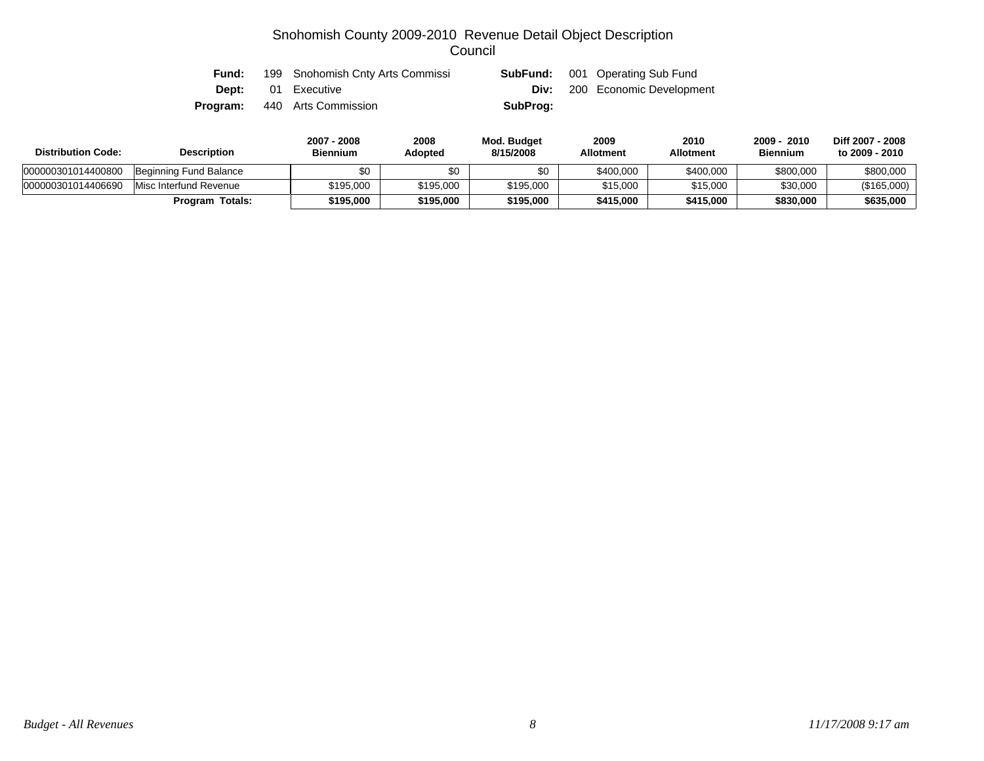| <b>Fund:</b> | 199 Snohomish Cnty Arts Commissi |          | <b>SubFund:</b> 001 Operating Sub Fund |
|--------------|----------------------------------|----------|----------------------------------------|
|              | <b>Dept:</b> 01 Executive        |          | <b>Div:</b> 200 Economic Development   |
| Program:     | 440 Arts Commission              | SubProg: |                                        |

| <b>Distribution Code:</b> | <b>Description</b>     | 2007 - 2008<br>Biennium | 2008<br>Adopted | Mod. Budget<br>8/15/2008 | 2009<br><b>Allotment</b> | 2010<br><b>Allotment</b> | 2009 - 2010<br><b>Biennium</b> | Diff 2007 - 2008<br>to 2009 - 2010 |
|---------------------------|------------------------|-------------------------|-----------------|--------------------------|--------------------------|--------------------------|--------------------------------|------------------------------------|
| 000000301014400800        | Beginning Fund Balance |                         | \$0             |                          | \$400,000                | \$400,000                | \$800,000                      | \$800,000                          |
| 000000301014406690        | Misc Interfund Revenue | \$195,000               | \$195,000       | \$195,000                | \$15,000                 | \$15,000                 | \$30,000                       | (\$165,000)                        |
|                           | <b>Program Totals:</b> | \$195,000               | \$195.000       | \$195.000                | \$415.000                | \$415,000                | \$830,000                      | \$635,000                          |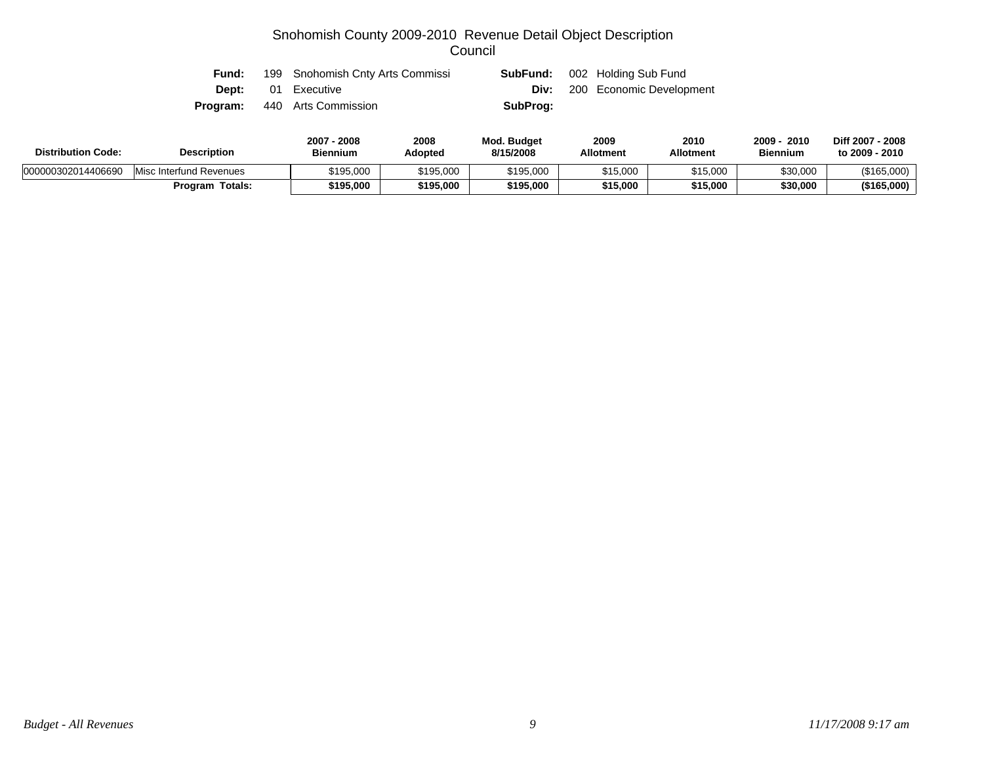| Fund: | 199 Snohomish Cnty Arts Commissi    | SubFund: | 002 Holding Sub Fund                 |
|-------|-------------------------------------|----------|--------------------------------------|
|       | <b>Dept:</b> 01 Executive           |          | <b>Div:</b> 200 Economic Development |
|       | <b>Program:</b> 440 Arts Commission | SubProg: |                                      |

| <b>Distribution Code:</b> | <b>Description</b>      | 2008<br>2007<br><b>Biennium</b> | 2008<br>Adopted | Mod. Budget<br>8/15/2008 | 2009<br><b>Allotment</b> | 2010<br><b>Allotment</b> | 2009 ·<br>2010<br><b>Biennium</b> | Diff 2007 - 2008<br>to 2009 - 2010 |
|---------------------------|-------------------------|---------------------------------|-----------------|--------------------------|--------------------------|--------------------------|-----------------------------------|------------------------------------|
| 000000302014406690        | Misc Interfund Revenues | \$195,000                       | \$195,000       | \$195,000                | \$15,000                 | \$15,000                 | \$30,000                          | (\$165,000)                        |
|                           | Totals:<br>Program      | \$195,000                       | \$195.000       | \$195,000                | \$15,000                 | \$15,000                 | \$30,000                          | (\$165,000)                        |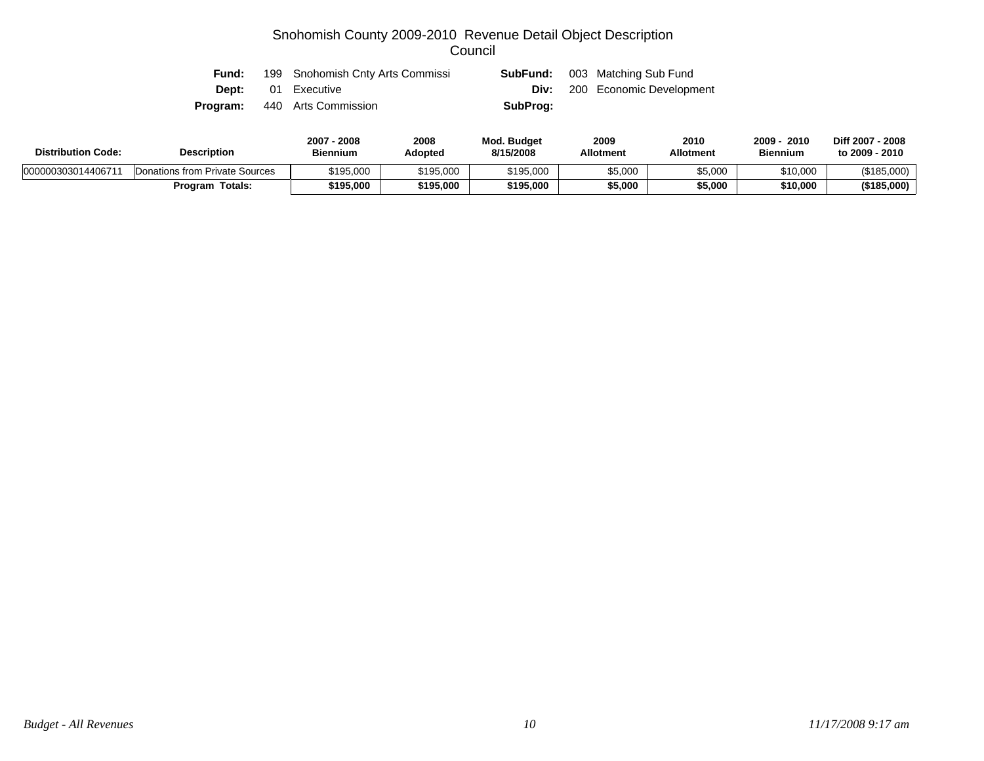| <b>Fund:</b> | 199 Snohomish Cnty Arts Commissi    | SubFund: | 003 Matching Sub Fund                |
|--------------|-------------------------------------|----------|--------------------------------------|
|              | <b>Dept:</b> 01 Executive           |          | <b>Div:</b> 200 Economic Development |
|              | <b>Program:</b> 440 Arts Commission | SubProg: |                                      |

| <b>Distribution Code:</b> | <b>Description</b>             | 2007<br>2008<br>Biennium | 2008<br>Adopted | Mod. Budget<br>8/15/2008 | 2009<br><b>Allotment</b> | 2010<br>Allotment | 2009<br>2010<br><b>Biennium</b> | Diff 2007 - 2008<br>to 2009 - 2010 |
|---------------------------|--------------------------------|--------------------------|-----------------|--------------------------|--------------------------|-------------------|---------------------------------|------------------------------------|
| 000000303014406711        | Donations from Private Sources | \$195.000                | \$195,000       | \$195,000                | \$5,000                  | \$5,000           | \$10,000                        | (\$185,000)                        |
|                           | Program Totals:                | \$195,000                | \$195,000       | \$195,000                | \$5,000                  | \$5,000           | \$10,000                        | (\$185,000)                        |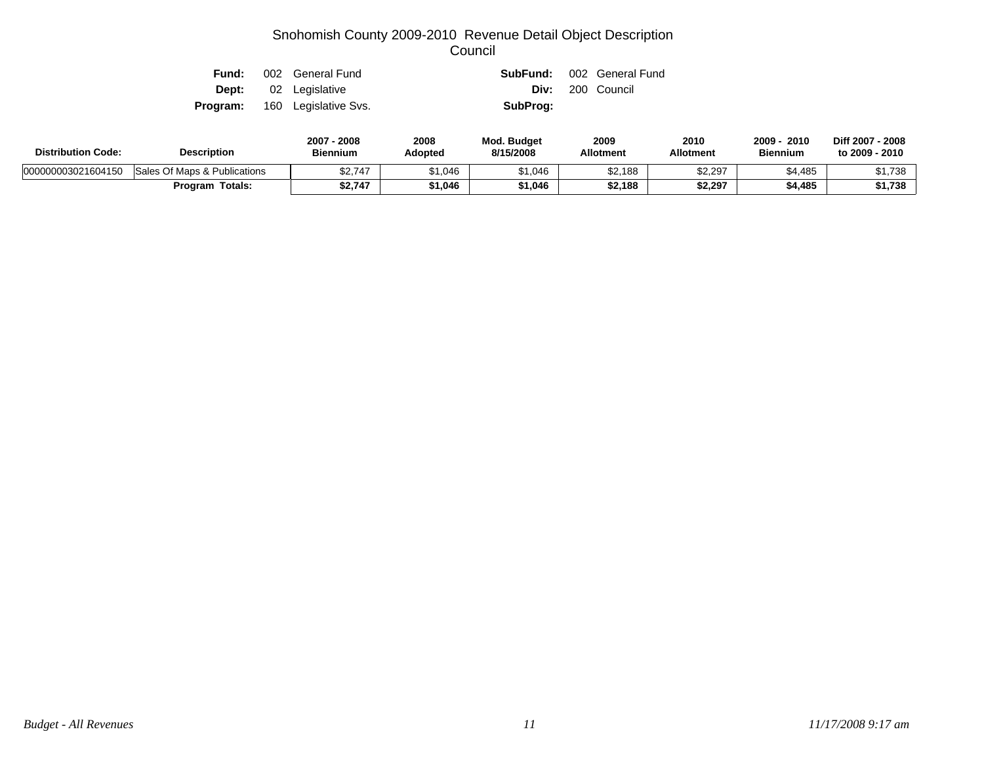| Fund: | 002 General Fund                     |          | <b>SubFund:</b> 002 General Fund |
|-------|--------------------------------------|----------|----------------------------------|
|       | <b>Dept:</b> 02 Legislative          |          | Div: 200 Council                 |
|       | <b>Program:</b> 160 Legislative Svs. | SubProg: |                                  |

| <b>Description</b><br><b>Distribution Code:</b> |                              | 2007 - 2008<br><b>Biennium</b> | 2008<br>Adopted | <b>Mod. Budget</b><br>8/15/2008 | 2009<br><b>Allotment</b> | 2010<br><b>Allotment</b> | 2009<br>2010<br><b>Biennium</b> | Diff 2007 - 2008<br>to 2009 - 2010 |
|-------------------------------------------------|------------------------------|--------------------------------|-----------------|---------------------------------|--------------------------|--------------------------|---------------------------------|------------------------------------|
| 000000003021604150                              | Sales Of Maps & Publications | \$2.747                        | \$1,046         | 1.046،                          | \$2,188                  | \$2,297                  | \$4.485                         | 1,738،                             |
|                                                 | <b>Program Totals:</b>       | \$2,747                        | 1,046           | \$1,046                         | \$2,188                  | \$2,297                  | \$4,485                         | \$1,738                            |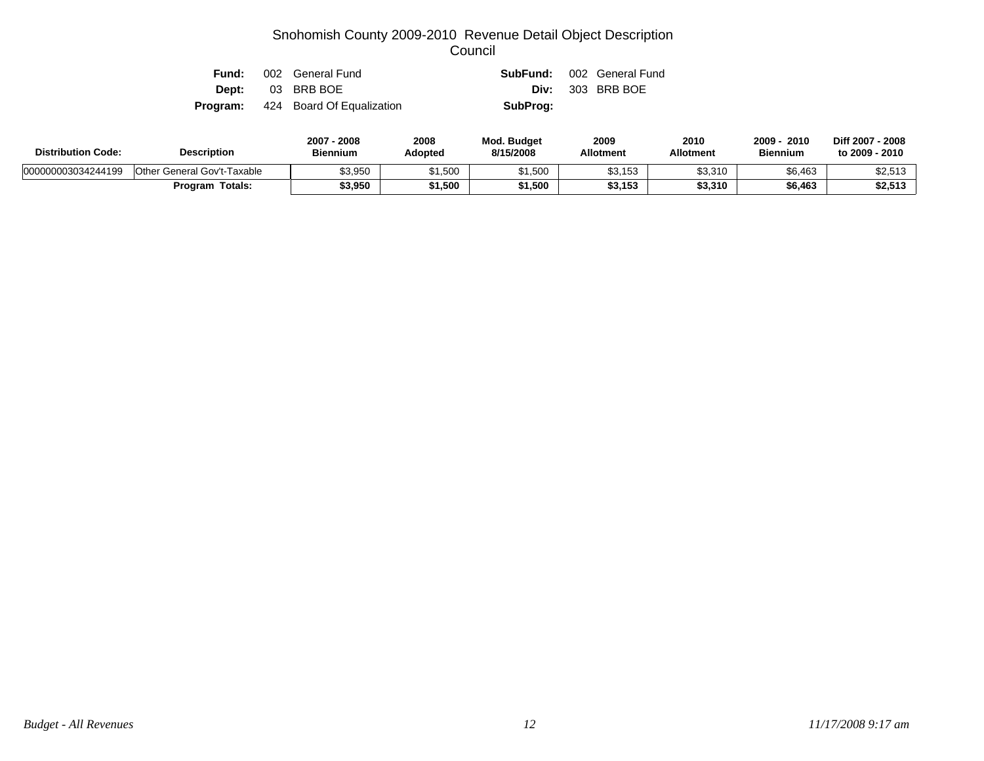| Fund: | 002 General Fund                          |          | <b>SubFund:</b> 002 General Fund |
|-------|-------------------------------------------|----------|----------------------------------|
|       | <b>Dept:</b> 03 BRB BOE                   |          | <b>Div:</b> 303 BRB BOE          |
|       | <b>Program:</b> 424 Board Of Equalization | SubProg: |                                  |

| <b>Description</b><br><b>Distribution Code:</b> |                             | 2007 - 2008<br><b>Biennium</b> | 2008<br><b>Adopted</b> | <b>Mod. Budget</b><br>8/15/2008 | 2009<br><b>Allotment</b> | 2010<br><b>Allotment</b> | 2010<br>2009<br><b>Biennium</b> | Diff 2007 - 2008<br>to 2009 - 2010 |
|-------------------------------------------------|-----------------------------|--------------------------------|------------------------|---------------------------------|--------------------------|--------------------------|---------------------------------|------------------------------------|
| 000000003034244199                              | Other General Gov't-Taxable | \$3,950                        | 1,500                  | \$1,500                         | \$3,153                  | \$3,310                  | \$6,463                         | \$2,513                            |
|                                                 | <b>Program Totals:</b>      | \$3,950                        | 1,500                  | 1,500                           | \$3,153                  | \$3,310                  | \$6,463                         | \$2,513                            |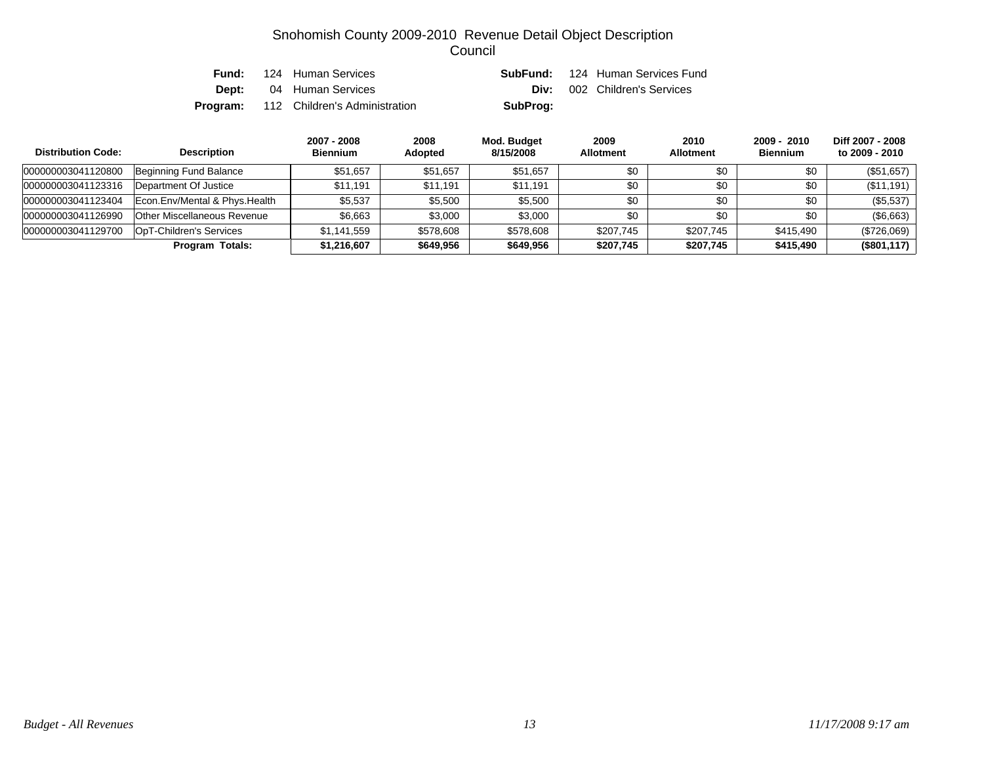| Fund: | 124 Human Services                            |          | <b>SubFund:</b> 124 Human Services Fund |
|-------|-----------------------------------------------|----------|-----------------------------------------|
|       | <b>Dept:</b> 04 Human Services                |          | <b>Div:</b> 002 Children's Services     |
|       | <b>Program:</b> 112 Children's Administration | SubProg: |                                         |

| <b>Distribution Code:</b> | <b>Description</b>                 | 2007 - 2008<br><b>Biennium</b> | 2008<br><b>Adopted</b> | Mod. Budget<br>8/15/2008 | 2009<br><b>Allotment</b> | 2010<br><b>Allotment</b> | $2009 - 2010$<br><b>Biennium</b> | Diff 2007 - 2008<br>to 2009 - 2010 |
|---------------------------|------------------------------------|--------------------------------|------------------------|--------------------------|--------------------------|--------------------------|----------------------------------|------------------------------------|
| 000000003041120800        | Beginning Fund Balance             | \$51.657                       | \$51,657               | \$51.657                 | \$0                      | \$0                      | \$0                              | (\$51,657)                         |
| 000000003041123316        | Department Of Justice              | \$11.191                       | \$11.191               | \$11.191                 | \$0                      | \$0                      | \$0                              | (\$11,191)                         |
| 000000003041123404        | Econ. Env/Mental & Phys. Health    | \$5,537                        | \$5,500                | \$5,500                  | \$0                      | \$0                      | \$0                              | (\$5,537)                          |
| 000000003041126990        | <b>Other Miscellaneous Revenue</b> | \$6,663                        | \$3,000                | \$3,000                  | \$0                      | \$0                      | \$0                              | (\$6,663)                          |
| 000000003041129700        | OpT-Children's Services            | \$1,141,559                    | \$578,608              | \$578,608                | \$207,745                | \$207,745                | \$415,490                        | (\$726,069)                        |
|                           | <b>Program Totals:</b>             | \$1,216,607                    | \$649,956              | \$649,956                | \$207,745                | \$207.745                | \$415,490                        | (\$801, 117)                       |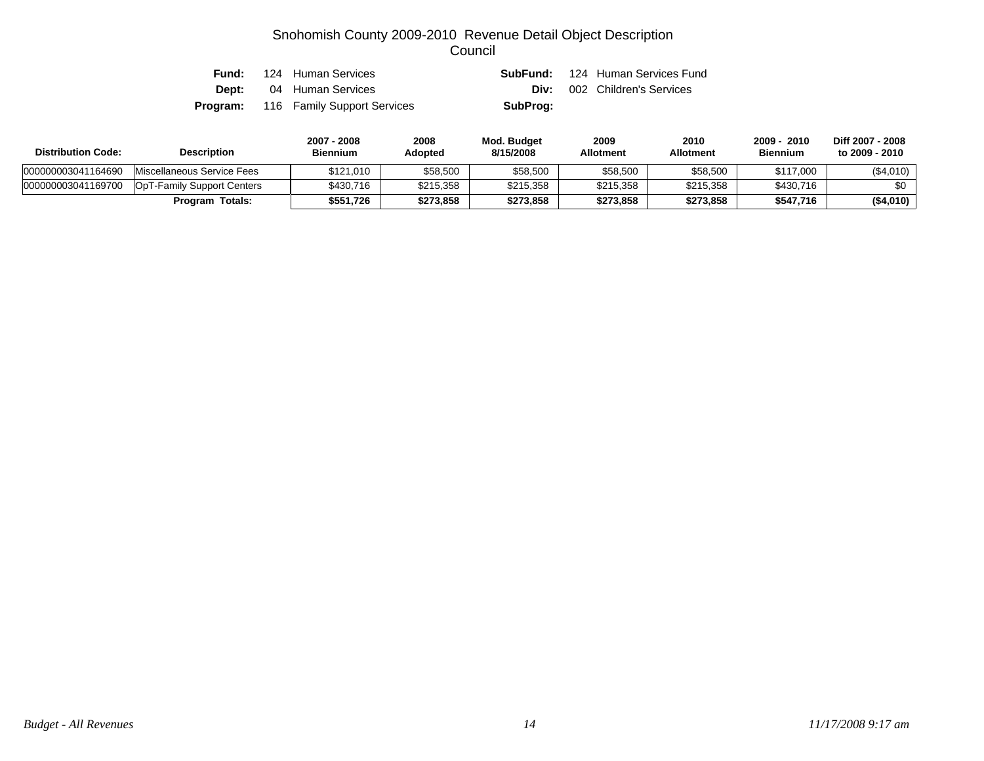| Fund: | 124 Human Services                          | SubFund: | 124 Human Services Fund |
|-------|---------------------------------------------|----------|-------------------------|
|       | <b>Dept:</b> 04 Human Services              | Div:     | 002 Children's Services |
|       | <b>Program:</b> 116 Family Support Services | SubProg: |                         |

| <b>Distribution Code:</b> | <b>Description</b>         | 2007 - 2008<br><b>Biennium</b> | 2008<br>Adopted | Mod. Budget<br>8/15/2008 | 2009<br><b>Allotment</b> | 2010<br>Allotment | 2010<br>$2009 -$<br><b>Biennium</b> | Diff 2007 - 2008<br>to 2009 - 2010 |
|---------------------------|----------------------------|--------------------------------|-----------------|--------------------------|--------------------------|-------------------|-------------------------------------|------------------------------------|
| 000000003041164690        | Miscellaneous Service Fees | \$121.010                      | \$58,500        | \$58,500                 | \$58,500                 | \$58,500          | \$117,000                           | (\$4,010)                          |
| 000000003041169700        | OpT-Family Support Centers | \$430.716                      | \$215,358       | \$215.358                | \$215,358                | \$215.358         | \$430,716                           | \$0                                |
|                           | <b>Program Totals:</b>     | \$551.726                      | \$273,858       | \$273.858                | \$273.858                | \$273,858         | \$547,716                           | (\$4,010)                          |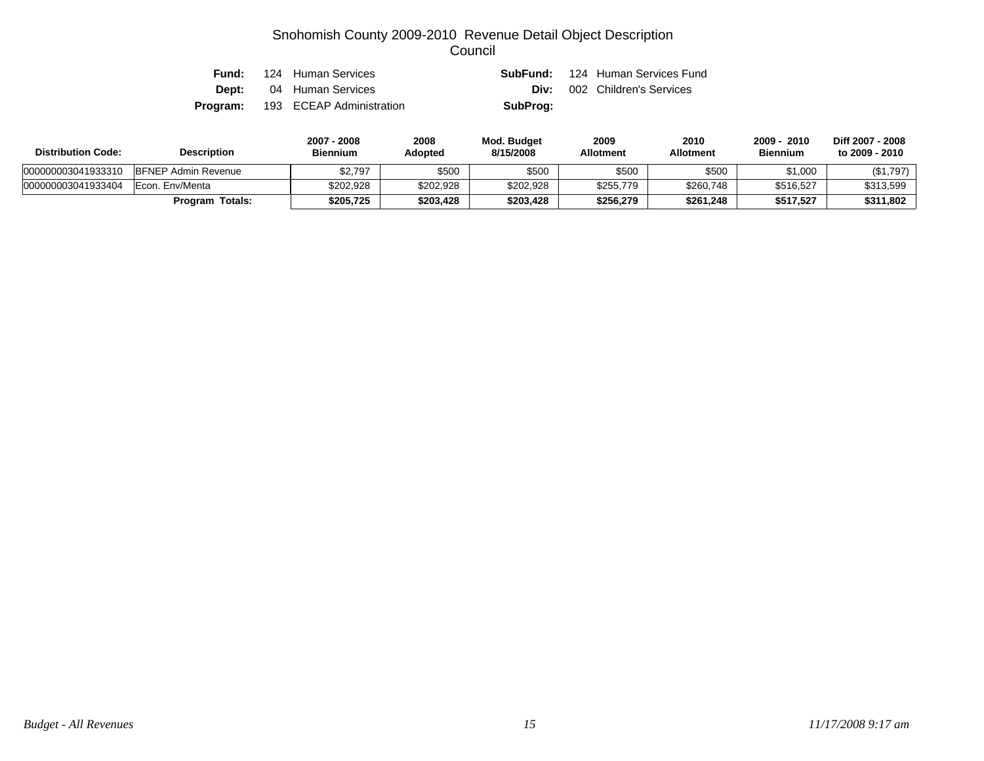|          | <b>Fund:</b> 124 Human Services |          | <b>SubFund:</b> 124 Human Services Fund |
|----------|---------------------------------|----------|-----------------------------------------|
|          | <b>Dept:</b> 04 Human Services  |          | <b>Div:</b> 002 Children's Services     |
| Program: | 193 ECEAP Administration        | SubProg: |                                         |

| <b>Distribution Code:</b> | <b>Description</b>         | 2007 - 2008<br><b>Biennium</b> | 2008<br>Adopted | Mod. Budget<br>8/15/2008 | 2009<br><b>Allotment</b> | 2010<br><b>Allotment</b> | 2010<br>2009<br><b>Biennium</b> | Diff 2007 - 2008<br>to 2009 - 2010 |
|---------------------------|----------------------------|--------------------------------|-----------------|--------------------------|--------------------------|--------------------------|---------------------------------|------------------------------------|
| 000000003041933310        | <b>BFNEP Admin Revenue</b> | \$2,797                        | \$500           | \$500                    | \$500                    | \$500                    | \$1,000                         | (\$1,797)                          |
| 000000003041933404        | Econ. Env/Menta            | \$202,928                      | \$202,928       | \$202,928                | \$255,779                | \$260,748                | \$516,527                       | \$313,599                          |
|                           | <b>Program Totals:</b>     | \$205.725                      | \$203,428       | \$203,428                | \$256.279                | \$261,248                | \$517,527                       | \$311,802                          |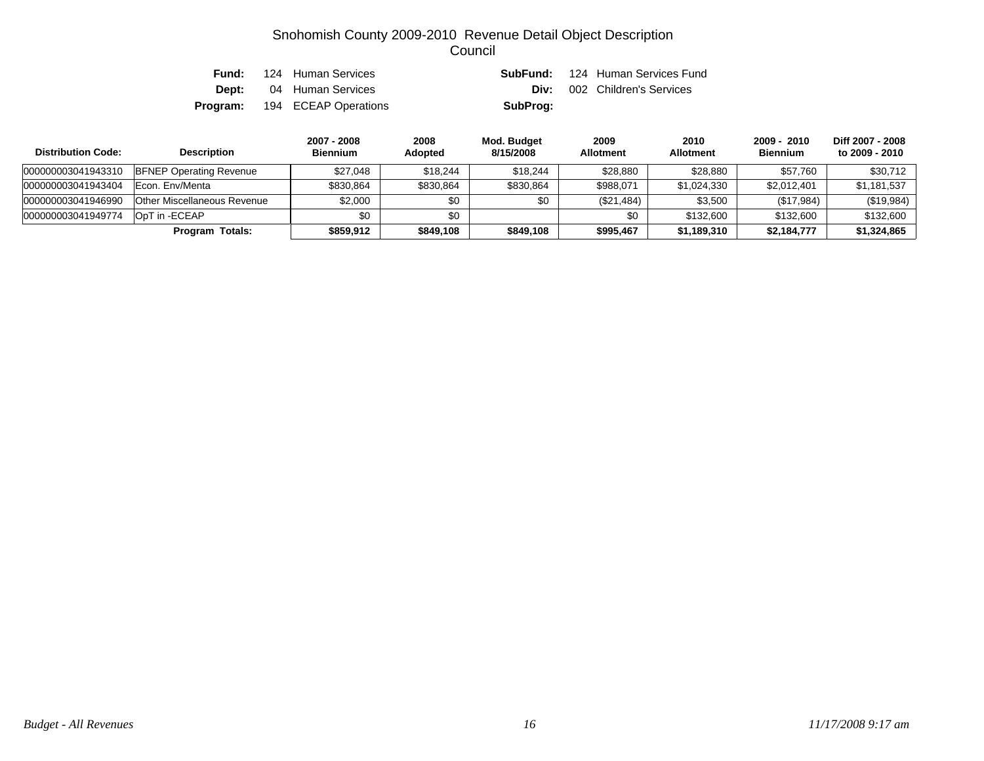| Fund: | 124 Human Services                   |          | <b>SubFund:</b> 124 Human Services Fund |
|-------|--------------------------------------|----------|-----------------------------------------|
|       | <b>Dept:</b> 04 Human Services       |          | <b>Div:</b> 002 Children's Services     |
|       | <b>Program:</b> 194 ECEAP Operations | SubProg: |                                         |

| <b>Distribution Code:</b> | <b>Description</b>             | 2007 - 2008<br><b>Biennium</b> | 2008<br><b>Adopted</b> | Mod. Budget<br>8/15/2008 | 2009<br><b>Allotment</b> | 2010<br><b>Allotment</b> | 2009 - 2010<br><b>Biennium</b> | Diff 2007 - 2008<br>to 2009 - 2010 |
|---------------------------|--------------------------------|--------------------------------|------------------------|--------------------------|--------------------------|--------------------------|--------------------------------|------------------------------------|
| 000000003041943310        | <b>BFNEP Operating Revenue</b> | \$27,048                       | \$18,244               | \$18,244                 | \$28,880                 | \$28,880                 | \$57,760                       | \$30,712                           |
| 000000003041943404        | Econ. Env/Menta                | \$830,864                      | \$830,864              | \$830,864                | \$988,071                | \$1,024,330              | \$2,012,401                    | \$1.181.537                        |
| 000000003041946990        | Other Miscellaneous Revenue    | \$2,000                        | \$0                    | \$0                      | (\$21,484)               | \$3,500                  | (\$17,984)                     | (\$19,984)                         |
| 000000003041949774        | OpT in -ECEAP                  | \$0                            | \$0                    |                          | \$0                      | \$132,600                | \$132,600                      | \$132,600                          |
|                           | Totals:<br>Program             | \$859,912                      | \$849,108              | \$849,108                | \$995.467                | \$1,189,310              | \$2,184,777                    | \$1,324,865                        |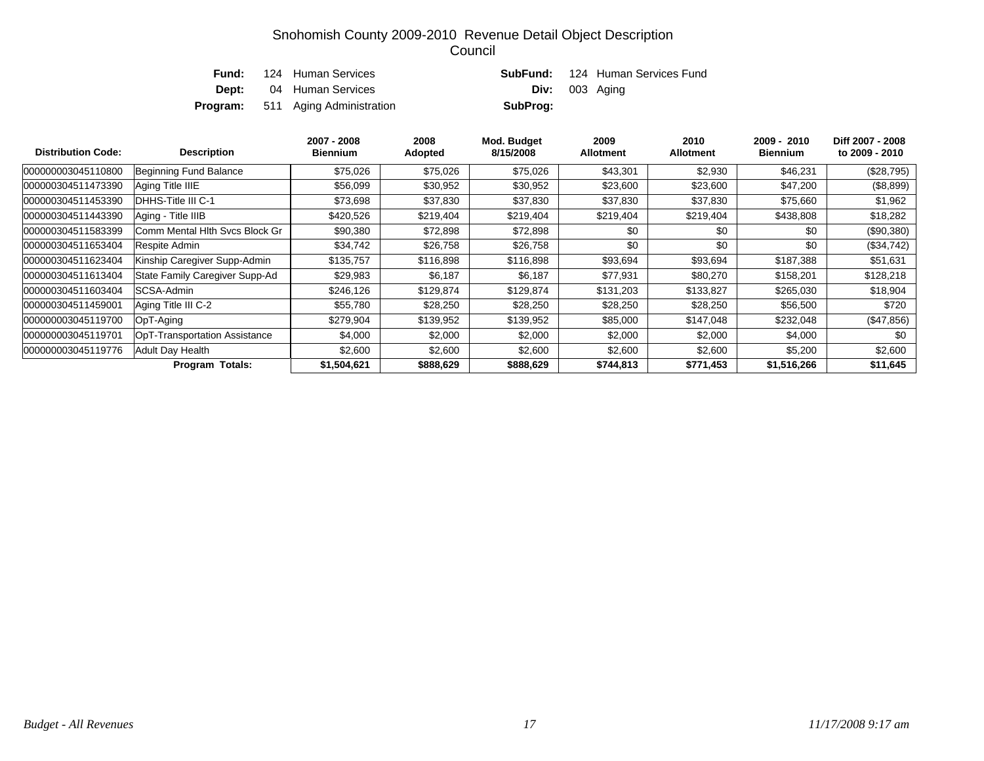|  | <b>Fund:</b> 124 Human Services          |                       | <b>SubFund:</b> 124 Human Services Fund |
|--|------------------------------------------|-----------------------|-----------------------------------------|
|  | <b>Dept:</b> 04 Human Services           | <b>Div:</b> 003 Aging |                                         |
|  | <b>Program:</b> 511 Aging Administration | SubProg:              |                                         |

| <b>Distribution Code:</b> | <b>Description</b>             | 2007 - 2008<br><b>Biennium</b> | 2008<br>Adopted | Mod. Budget<br>8/15/2008 | 2009<br><b>Allotment</b> | 2010<br><b>Allotment</b> | 2009 - 2010<br><b>Biennium</b> | Diff 2007 - 2008<br>to 2009 - 2010 |
|---------------------------|--------------------------------|--------------------------------|-----------------|--------------------------|--------------------------|--------------------------|--------------------------------|------------------------------------|
| 000000003045110800        | Beginning Fund Balance         | \$75,026                       | \$75,026        | \$75,026                 | \$43,301                 | \$2,930                  | \$46,231                       | (\$28,795)                         |
| 000000304511473390        | Aging Title IIIE               | \$56,099                       | \$30,952        | \$30,952                 | \$23,600                 | \$23,600                 | \$47,200                       | (\$8,899)                          |
| 000000304511453390        | DHHS-Title III C-1             | \$73,698                       | \$37,830        | \$37,830                 | \$37,830                 | \$37,830                 | \$75,660                       | \$1,962                            |
| 000000304511443390        | Aging - Title IIIB             | \$420,526                      | \$219,404       | \$219,404                | \$219,404                | \$219,404                | \$438,808                      | \$18,282                           |
| 000000304511583399        | Comm Mental Hlth Svcs Block Gr | \$90,380                       | \$72,898        | \$72,898                 | \$0                      | \$0                      | \$0                            | $(\$90,380)$                       |
| 000000304511653404        | Respite Admin                  | \$34,742                       | \$26,758        | \$26,758                 | \$0                      | \$0                      | \$0                            | $(\$34,742)$                       |
| 000000304511623404        | Kinship Caregiver Supp-Admin   | \$135,757                      | \$116,898       | \$116,898                | \$93,694                 | \$93,694                 | \$187,388                      | \$51,631                           |
| 000000304511613404        | State Family Caregiver Supp-Ad | \$29,983                       | \$6,187         | \$6,187                  | \$77,931                 | \$80,270                 | \$158,201                      | \$128,218                          |
| 000000304511603404        | SCSA-Admin                     | \$246,126                      | \$129,874       | \$129,874                | \$131,203                | \$133,827                | \$265,030                      | \$18,904                           |
| 000000304511459001        | Aging Title III C-2            | \$55,780                       | \$28,250        | \$28,250                 | \$28,250                 | \$28,250                 | \$56,500                       | \$720                              |
| 000000003045119700        | OpT-Aging                      | \$279,904                      | \$139,952       | \$139,952                | \$85,000                 | \$147,048                | \$232,048                      | (\$47,856)                         |
| 000000003045119701        | OpT-Transportation Assistance  | \$4,000                        | \$2,000         | \$2,000                  | \$2,000                  | \$2,000                  | \$4,000                        | \$0                                |
| 000000003045119776        | Adult Day Health               | \$2,600                        | \$2,600         | \$2,600                  | \$2,600                  | \$2,600                  | \$5,200                        | \$2,600                            |
|                           | <b>Program Totals:</b>         | \$1,504,621                    | \$888,629       | \$888,629                | \$744,813                | \$771,453                | \$1,516,266                    | \$11,645                           |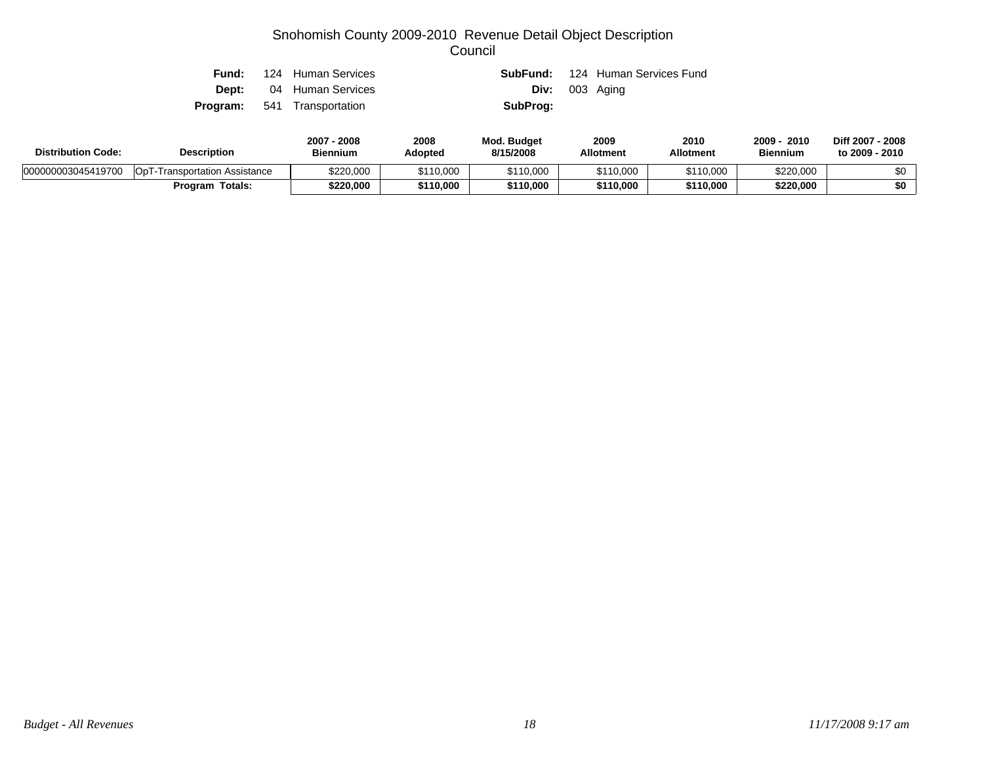| Fund: | 124 Human Services                 |          | <b>SubFund:</b> 124 Human Services Fund |
|-------|------------------------------------|----------|-----------------------------------------|
|       | <b>Dept:</b> 04 Human Services     |          | <b>Div:</b> 003 Aging                   |
|       | <b>Program:</b> 541 Transportation | SubProg: |                                         |

| <b>Distribution Code:</b> | <b>Description</b>                   | 2007<br>2008<br><b>Biennium</b> | 2008<br>Adopted | <b>Mod. Budget</b><br>8/15/2008 | 2009<br><b>Allotment</b> | 2010<br>Allotment | 2009<br>2010<br><b>Biennium</b> | Diff 2007 - 2008<br>to 2009 - 2010 |
|---------------------------|--------------------------------------|---------------------------------|-----------------|---------------------------------|--------------------------|-------------------|---------------------------------|------------------------------------|
| 000000003045419700        | <b>OpT-Transportation Assistance</b> | \$220,000                       | \$110,000       | \$110,000                       | \$110,000                | \$110.000         | \$220,000                       | ሶስ                                 |
|                           | Totals:<br>Program                   | \$220,000                       | \$110,000       | \$110,000                       | \$110,000                | \$110.000         | \$220,000                       | \$0                                |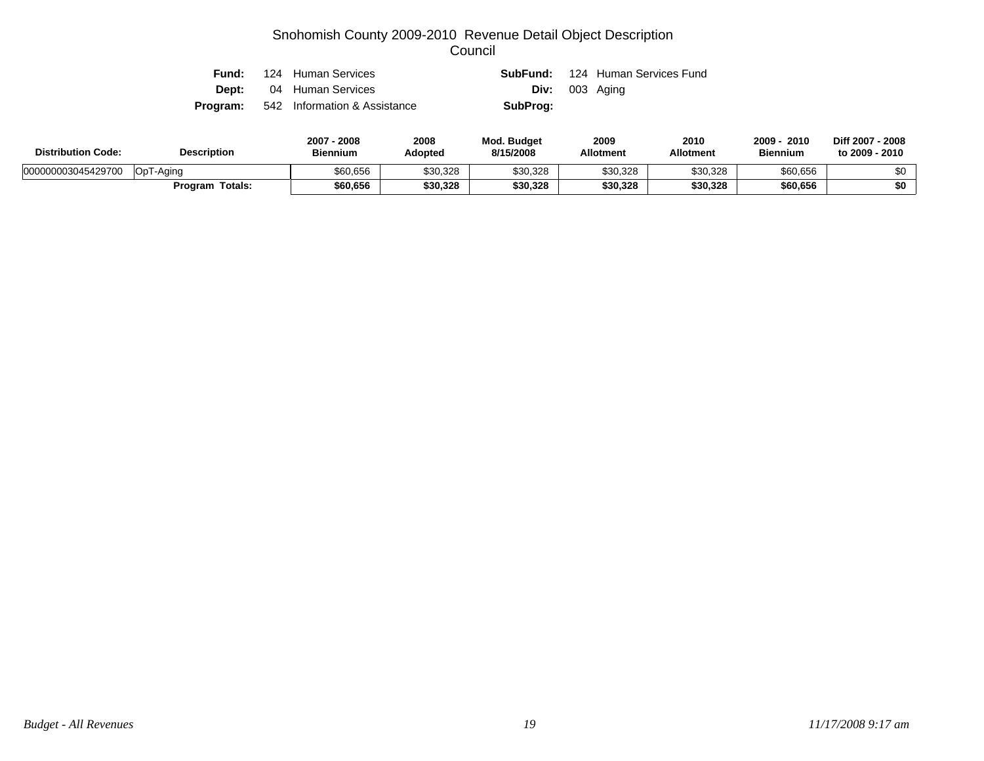|  | <b>Fund:</b> 124 Human Services              |                       | <b>SubFund:</b> 124 Human Services Fund |
|--|----------------------------------------------|-----------------------|-----------------------------------------|
|  | <b>Dept:</b> 04 Human Services               | <b>Div:</b> 003 Aging |                                         |
|  | <b>Program:</b> 542 Information & Assistance | SubProg:              |                                         |

| <b>Distribution Code:</b> | <b>Description</b> | 2008<br>$2007 -$<br><b>Biennium</b> | 2008<br>Adopted | <b>Mod. Budget</b><br>8/15/2008 | 2009<br><b>Allotment</b> | 2010<br><b>Allotment</b> | 2009<br>2010<br><b>Biennium</b> | Diff 2007 - 2008<br>to 2009 - 2010 |
|---------------------------|--------------------|-------------------------------------|-----------------|---------------------------------|--------------------------|--------------------------|---------------------------------|------------------------------------|
| 000000003045429700        | OpT-Aging          | \$60,656                            | \$30,328        | \$30,328                        | \$30,328                 | \$30,328                 | \$60,656                        | ሶስ                                 |
|                           | Program Totals:    | \$60,656                            | \$30,328        | \$30,328                        | \$30,328                 | \$30,328                 | \$60,656                        | \$0                                |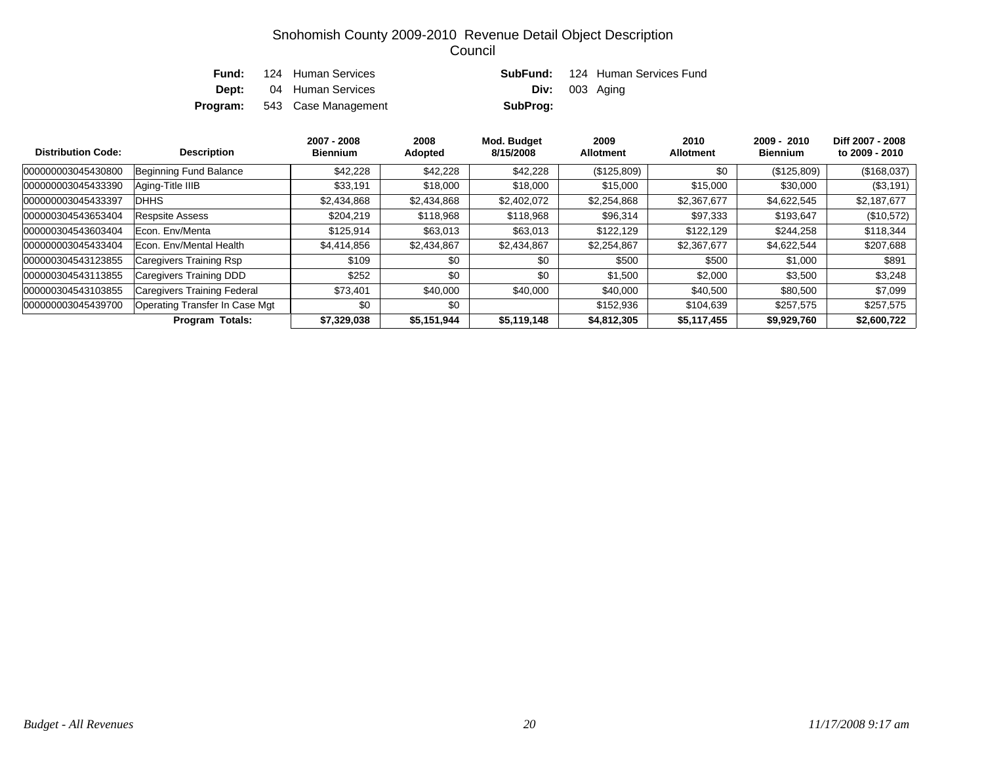| Fund: | 124 Human Services                  |                       | <b>SubFund:</b> 124 Human Services Fund |
|-------|-------------------------------------|-----------------------|-----------------------------------------|
|       | <b>Dept:</b> 04 Human Services      | <b>Div:</b> 003 Aging |                                         |
|       | <b>Program:</b> 543 Case Management | SubProg:              |                                         |

| <b>Distribution Code:</b> | <b>Description</b>             | 2007 - 2008<br><b>Biennium</b> | 2008<br><b>Adopted</b> | Mod. Budget<br>8/15/2008 | 2009<br><b>Allotment</b> | 2010<br><b>Allotment</b> | $2009 - 2010$<br><b>Biennium</b> | Diff 2007 - 2008<br>to 2009 - 2010 |
|---------------------------|--------------------------------|--------------------------------|------------------------|--------------------------|--------------------------|--------------------------|----------------------------------|------------------------------------|
| 000000003045430800        | Beginning Fund Balance         | \$42,228                       | \$42,228               | \$42,228                 | (\$125,809)              | \$0                      | (\$125,809)                      | (\$168,037)                        |
| 000000003045433390        | Aging-Title IIIB               | \$33,191                       | \$18,000               | \$18,000                 | \$15,000                 | \$15,000                 | \$30,000                         | $(\$3,191)$                        |
| 000000003045433397        | <b>DHHS</b>                    | \$2,434,868                    | \$2,434,868            | \$2,402,072              | \$2,254,868              | \$2,367,677              | \$4,622,545                      | \$2,187,677                        |
| 000000304543653404        | <b>Respsite Assess</b>         | \$204,219                      | \$118,968              | \$118,968                | \$96,314                 | \$97,333                 | \$193,647                        | (\$10,572)                         |
| 000000304543603404        | Econ. Env/Menta                | \$125,914                      | \$63,013               | \$63,013                 | \$122.129                | \$122,129                | \$244,258                        | \$118,344                          |
| 000000003045433404        | Econ. Env/Mental Health        | \$4,414,856                    | \$2,434,867            | \$2,434,867              | \$2,254,867              | \$2,367,677              | \$4,622,544                      | \$207,688                          |
| 000000304543123855        | Caregivers Training Rsp        | \$109                          | \$0                    | \$0                      | \$500                    | \$500                    | \$1,000                          | \$891                              |
| 000000304543113855        | Caregivers Training DDD        | \$252                          | \$0                    | \$0                      | \$1,500                  | \$2,000                  | \$3,500                          | \$3,248                            |
| 000000304543103855        | Caregivers Training Federal    | \$73,401                       | \$40,000               | \$40,000                 | \$40,000                 | \$40,500                 | \$80,500                         | \$7,099                            |
| 000000003045439700        | Operating Transfer In Case Mgt | \$0                            | \$0                    |                          | \$152,936                | \$104,639                | \$257,575                        | \$257,575                          |
|                           | <b>Program Totals:</b>         | \$7,329,038                    | \$5,151,944            | \$5,119,148              | \$4,812,305              | \$5,117,455              | \$9,929,760                      | \$2,600,722                        |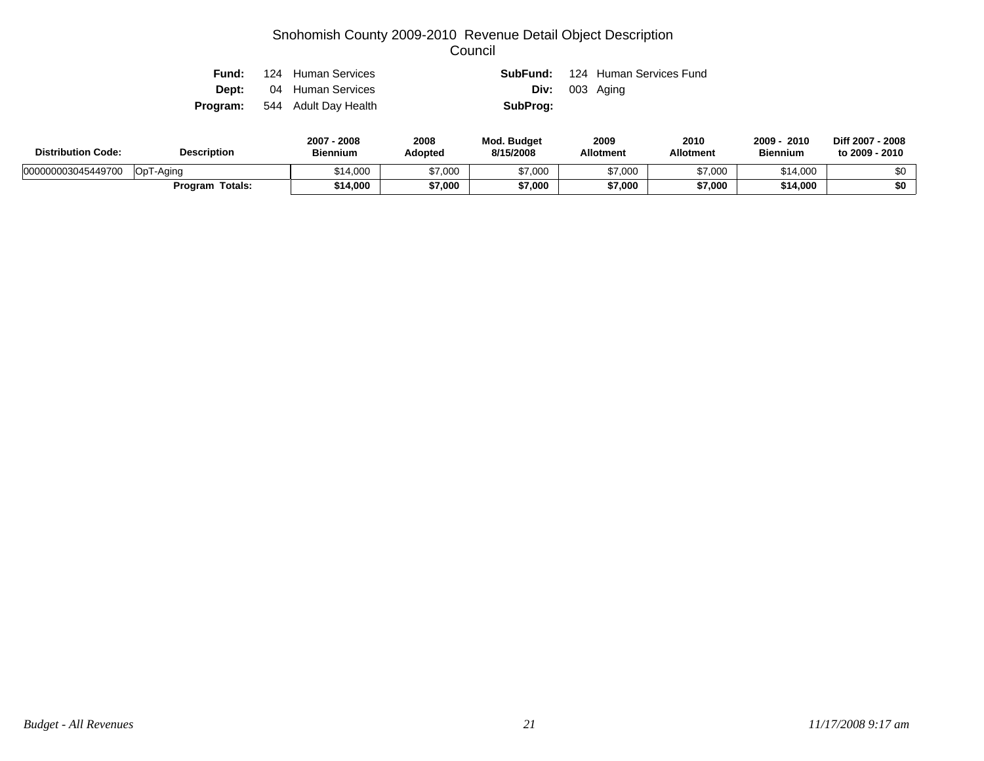|  | <b>Fund:</b> 124 Human Services      |          | <b>SubFund:</b> 124 Human Services Fund |
|--|--------------------------------------|----------|-----------------------------------------|
|  | <b>Dept:</b> 04 Human Services       |          | <b>Div:</b> 003 Aging                   |
|  | <b>Program:</b> 544 Adult Day Health | SubProg: |                                         |

| <b>Distribution Code:</b> | <b>Description</b>        | 2007<br>2008<br><b>Biennium</b> | 2008<br><b>Adopted</b> | <b>Mod. Budget</b><br>8/15/2008 | 2009<br><b>Allotment</b> | 2010<br><b>Allotment</b> | 2009<br>2010<br><b>Biennium</b> | Diff 2007 - 2008<br>to 2009 - 2010 |
|---------------------------|---------------------------|---------------------------------|------------------------|---------------------------------|--------------------------|--------------------------|---------------------------------|------------------------------------|
| 000000003045449700        | OpT-Aging                 | \$14,000                        | \$7,000                | <b>17,000</b>                   | \$7,000                  | \$7,000                  | \$14,000                        | ሶስ                                 |
|                           | <b>Totals:</b><br>Program | \$14,000                        | \$7,000                | \$7,000                         | \$7,000                  | \$7,000                  | \$14.000                        | \$0                                |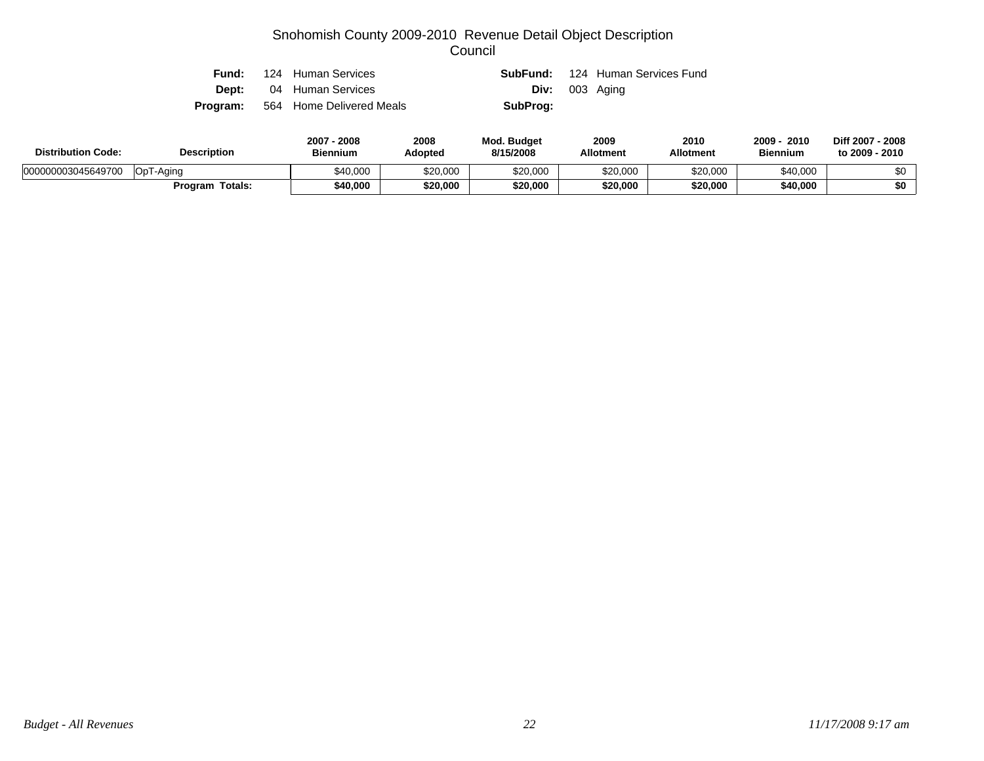| Fund: | 124 Human Services                       |                       | <b>SubFund:</b> 124 Human Services Fund |
|-------|------------------------------------------|-----------------------|-----------------------------------------|
|       | <b>Dept:</b> 04 Human Services           | <b>Div:</b> 003 Aging |                                         |
|       | <b>Program:</b> 564 Home Delivered Meals | SubProg:              |                                         |

| <b>Distribution Code:</b> | <b>Description</b> | 2008<br>2007<br><b>Biennium</b> | 2008<br>Adopted | <b>Mod. Budget</b><br>8/15/2008 | 2009<br><b>Allotment</b> | 2010<br><b>Allotment</b> | 2009<br>2010<br><b>Biennium</b> | Diff 2007 - 2008<br>to 2009 - 2010 |
|---------------------------|--------------------|---------------------------------|-----------------|---------------------------------|--------------------------|--------------------------|---------------------------------|------------------------------------|
| 000000003045649700        | OpT<br>í -Aaina    | \$40,000                        | \$20,000        | \$20,000                        | \$20,000                 | \$20,000                 | \$40,000                        | ሶስ                                 |
|                           | Totals:<br>Program | \$40,000                        | \$20,000        | \$20,000                        | \$20,000                 | \$20,000                 | \$40,000                        | \$0                                |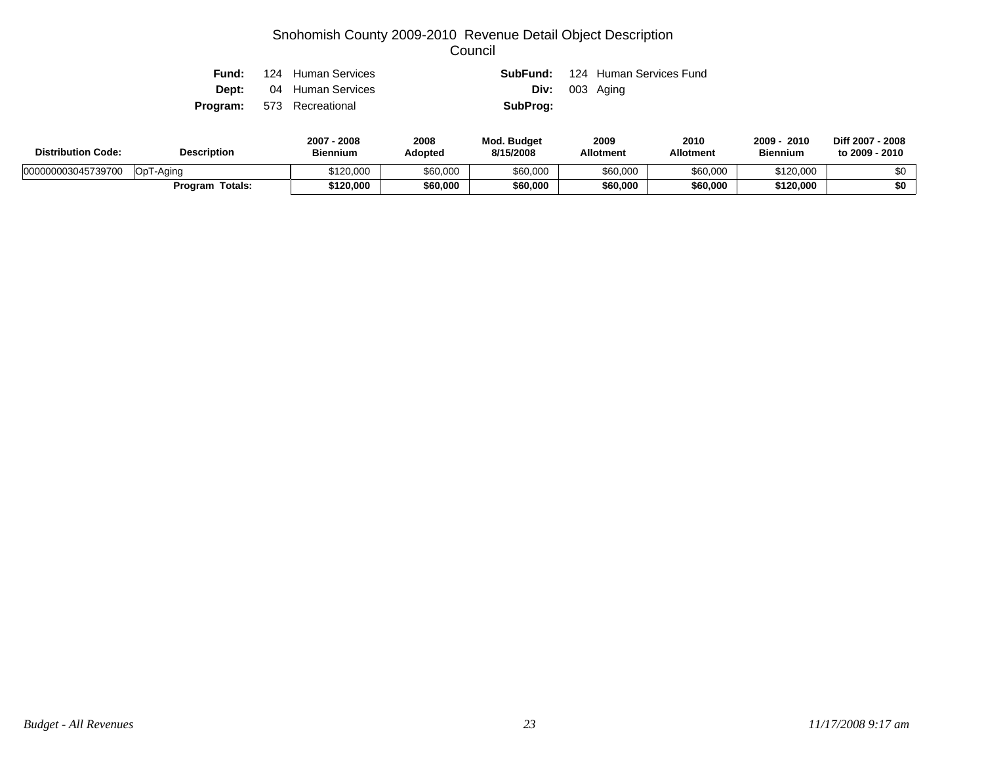|  | <b>Fund:</b> 124 Human Services  |          | <b>SubFund:</b> 124 Human Services Fund |
|--|----------------------------------|----------|-----------------------------------------|
|  | <b>Dept:</b> 04 Human Services   |          | <b>Div:</b> 003 Aging                   |
|  | <b>Program:</b> 573 Recreational | SubProg: |                                         |

| <b>Distribution Code:</b> | <b>Description</b> | 2007<br>2008<br><b>Biennium</b> | 2008<br>Adopted | <b>Mod. Budget</b><br>8/15/2008 | 2009<br><b>Allotment</b> | 2010<br>Allotment | 2009<br>2010<br><b>Biennium</b> | Diff 2007 - 2008<br>to 2009 - 2010 |
|---------------------------|--------------------|---------------------------------|-----------------|---------------------------------|--------------------------|-------------------|---------------------------------|------------------------------------|
| 000000003045739700        | OpT-Aging          | \$120,000                       | \$60,000        | \$60,000                        | \$60,000                 | \$60,000          | \$120,000                       | ሶስ                                 |
|                           | Totals:<br>Program | \$120,000                       | \$60,000        | \$60,000                        | \$60,000                 | \$60,000          | \$120,000                       | \$0                                |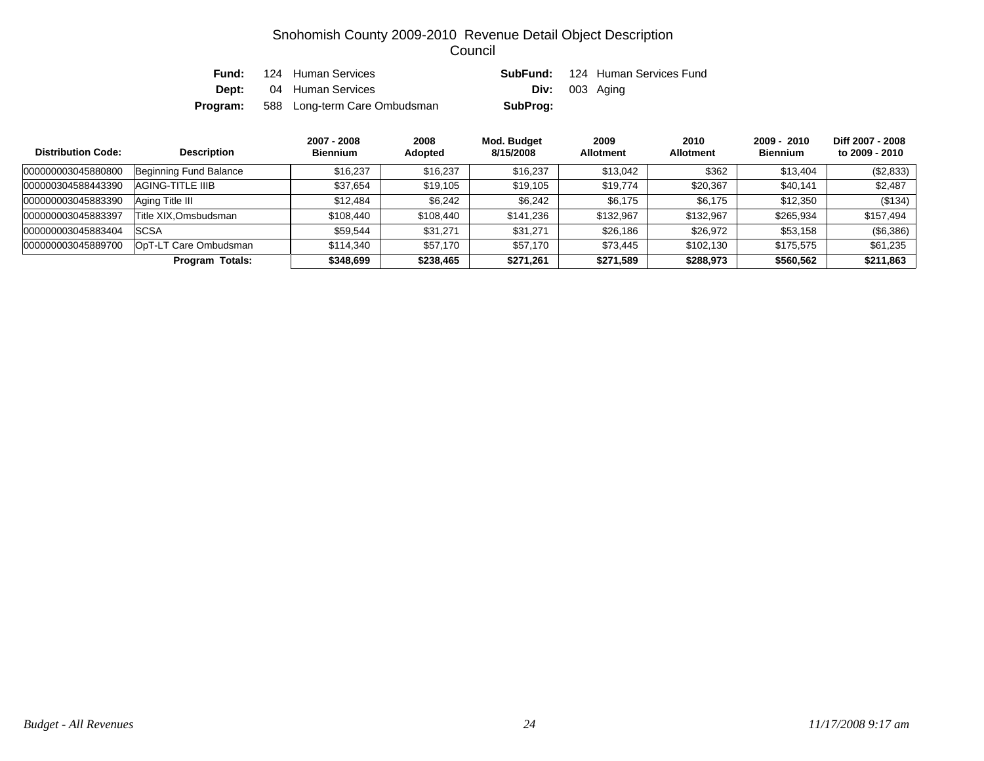| Fund:    | 124 Human Services             |                  | <b>SubFund:</b> 124 Human Services Fund |
|----------|--------------------------------|------------------|-----------------------------------------|
|          | <b>Dept:</b> 04 Human Services | $Div: 003$ Aging |                                         |
| Program: | 588 Long-term Care Ombudsman   | SubProg:         |                                         |

| <b>Distribution Code:</b> | <b>Description</b>     | 2007 - 2008<br><b>Biennium</b> | 2008<br><b>Adopted</b> | Mod. Budget<br>8/15/2008 | 2009<br><b>Allotment</b> | 2010<br><b>Allotment</b> | $2009 - 2010$<br><b>Biennium</b> | Diff 2007 - 2008<br>to 2009 - 2010 |
|---------------------------|------------------------|--------------------------------|------------------------|--------------------------|--------------------------|--------------------------|----------------------------------|------------------------------------|
| 000000003045880800        | Beginning Fund Balance | \$16,237                       | \$16,237               | \$16,237                 | \$13,042                 | \$362                    | \$13,404                         | (\$2,833)                          |
| 000000304588443390        | AGING-TITLE IIIB       | \$37,654                       | \$19,105               | \$19,105                 | \$19,774                 | \$20,367                 | \$40,141                         | \$2,487                            |
| 000000003045883390        | Aging Title III        | \$12,484                       | \$6,242                | \$6.242                  | \$6.175                  | \$6.175                  | \$12,350                         | (\$134)                            |
| 000000003045883397        | Title XIX.Omsbudsman   | \$108,440                      | \$108,440              | \$141.236                | \$132,967                | \$132,967                | \$265,934                        | \$157,494                          |
| 000000003045883404        | <b>SCSA</b>            | \$59.544                       | \$31,271               | \$31,271                 | \$26,186                 | \$26.972                 | \$53,158                         | (\$6,386)                          |
| 000000003045889700        | OpT-LT Care Ombudsman  | \$114,340                      | \$57,170               | \$57.170                 | \$73,445                 | \$102,130                | \$175,575                        | \$61,235                           |
|                           | <b>Program Totals:</b> | \$348,699                      | \$238,465              | \$271,261                | \$271,589                | \$288,973                | \$560,562                        | \$211,863                          |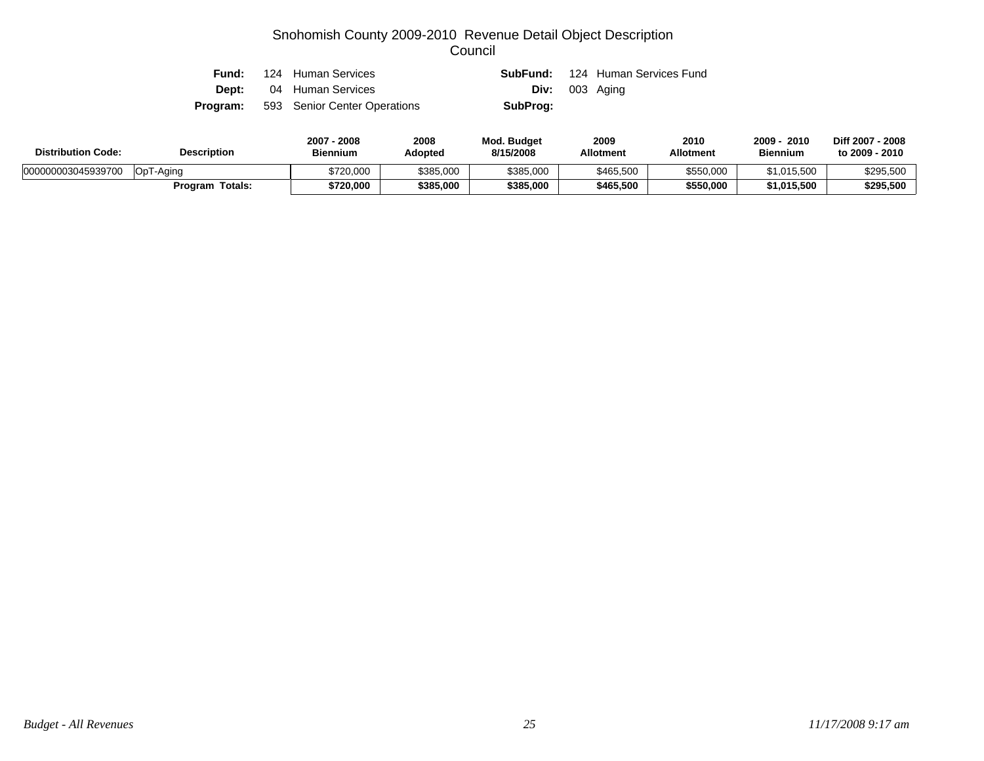|  | <b>Fund:</b> 124 Human Services              |                       | <b>SubFund:</b> 124 Human Services Fund |
|--|----------------------------------------------|-----------------------|-----------------------------------------|
|  | <b>Dept:</b> 04 Human Services               | <b>Div:</b> 003 Aging |                                         |
|  | <b>Program:</b> 593 Senior Center Operations | SubProg:              |                                         |

| <b>Distribution Code:</b> | <b>Description</b>   | 2007<br>2008<br><b>Biennium</b> | 2008<br>Adopted | <b>Mod. Budget</b><br>8/15/2008 | 2009<br><b>Allotment</b> | 2010<br>Allotment | 2009<br>2010<br><b>Biennium</b> | Diff 2007 - 2008<br>to 2009 - 2010 |
|---------------------------|----------------------|---------------------------------|-----------------|---------------------------------|--------------------------|-------------------|---------------------------------|------------------------------------|
| 000000003045939700        | <b>Co</b><br>Г-Aaina | \$720,000                       | \$385,000       | \$385,000                       | \$465,500                | \$550,000         | \$1,015,500                     | \$295,500                          |
|                           | Totals:<br>Program   | \$720,000                       | \$385,000       | \$385,000                       | \$465,500                | \$550,000         | \$1,015,500                     | \$295,500                          |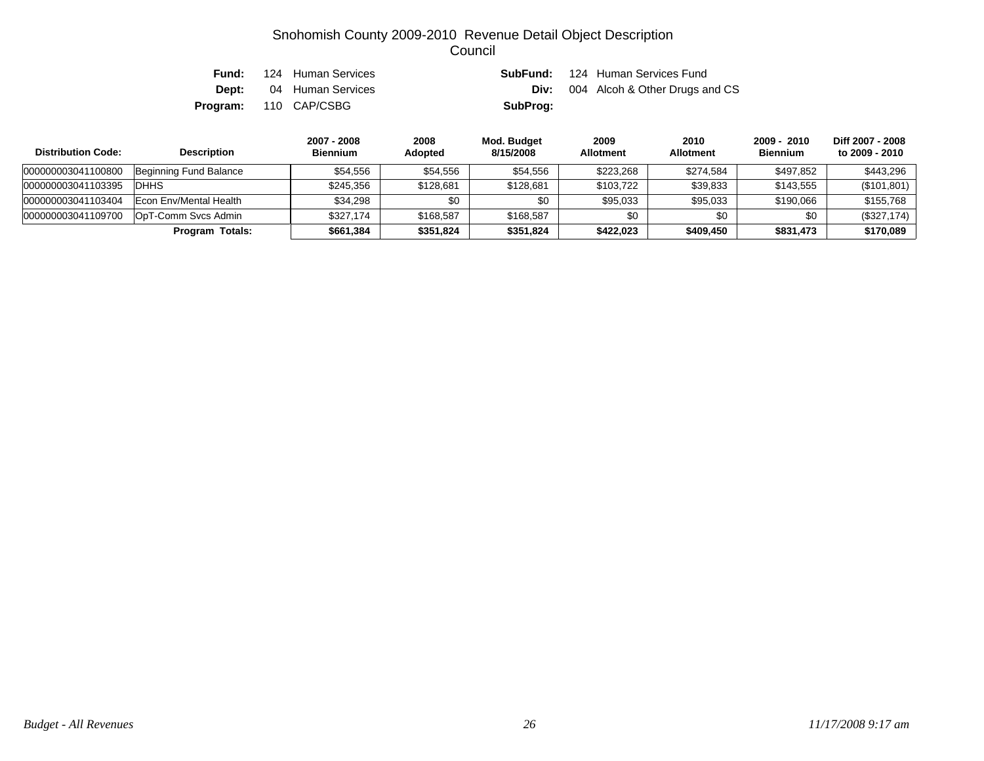| Fund: | 124 Human Services             |          | <b>SubFund:</b> 124 Human Services Fund |
|-------|--------------------------------|----------|-----------------------------------------|
|       | <b>Dept:</b> 04 Human Services | Div:     | 004 Alcoh & Other Drugs and CS          |
|       | <b>Program:</b> 110 CAP/CSBG   | SubProg: |                                         |

| <b>Distribution Code:</b><br><b>Description</b> |                        | 2007 - 2008<br><b>Biennium</b> | 2008<br><b>Adopted</b> | Mod. Budget<br>8/15/2008 | 2009<br><b>Allotment</b> | 2010<br><b>Allotment</b> | 2009 - 2010<br><b>Biennium</b> | Diff 2007 - 2008<br>to 2009 - 2010 |
|-------------------------------------------------|------------------------|--------------------------------|------------------------|--------------------------|--------------------------|--------------------------|--------------------------------|------------------------------------|
| 000000003041100800                              | Beginning Fund Balance | \$54.556                       | \$54,556               | \$54,556                 | \$223.268                | \$274.584                | \$497,852                      | \$443.296                          |
| 000000003041103395                              | <b>IDHHS</b>           | \$245.356                      | \$128,681              | \$128,681                | \$103.722                | \$39.833                 | \$143,555                      | (\$101,801)                        |
| 000000003041103404                              | Econ Env/Mental Health | \$34.298                       | \$0                    |                          | \$95,033                 | \$95,033                 | \$190,066                      | \$155,768                          |
| 000000003041109700                              | OpT-Comm Svcs Admin    | \$327.174                      | \$168,587              | \$168,587                | \$0                      | \$0                      | \$0                            | (\$327,174)                        |
|                                                 | Program Totals:        | \$661,384                      | \$351,824              | \$351,824                | \$422,023                | \$409,450                | \$831,473                      | \$170,089                          |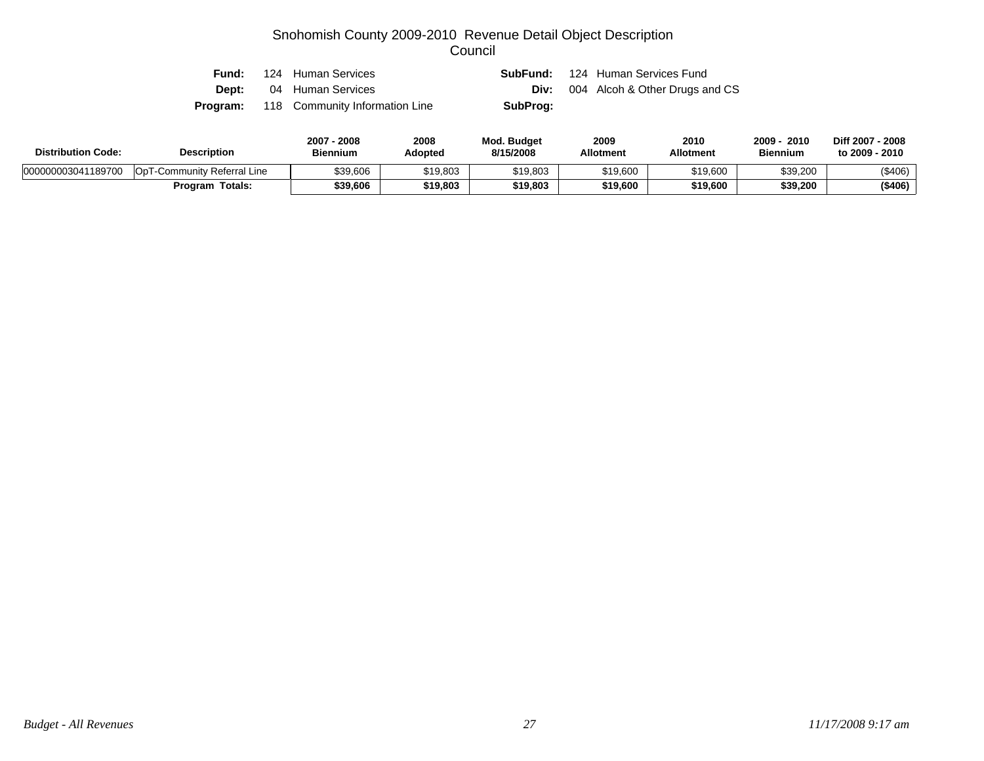| Fund: | 124 Human Services                             |          | <b>SubFund:</b> 124 Human Services Fund |
|-------|------------------------------------------------|----------|-----------------------------------------|
|       | <b>Dept:</b> 04 Human Services                 | Div:     | 004 Alcoh & Other Drugs and CS          |
|       | <b>Program:</b> 118 Community Information Line | SubProg: |                                         |

| <b>Distribution Code:</b> | <b>Description</b>                          | 2007<br>2008<br><b>Biennium</b> | 2008<br>Adopted | Mod. Budget<br>8/15/2008 | 2009<br><b>Allotment</b> | 2010<br><b>Allotment</b> | 2009<br>2010<br><b>Biennium</b> | Diff 2007 - 2008<br>to 2009 - 2010 |
|---------------------------|---------------------------------------------|---------------------------------|-----------------|--------------------------|--------------------------|--------------------------|---------------------------------|------------------------------------|
| 000000003041189700        | Op <sub>1</sub><br>-Community Referral Line | \$39,606                        | \$19,803        | \$19,803                 | \$19,600                 | \$19,600                 | \$39,200                        | (\$406)                            |
|                           | Totals:<br>Program                          | \$39,606                        | \$19,803        | \$19,803                 | \$19,600                 | \$19,600                 | \$39,200                        | ( \$406)                           |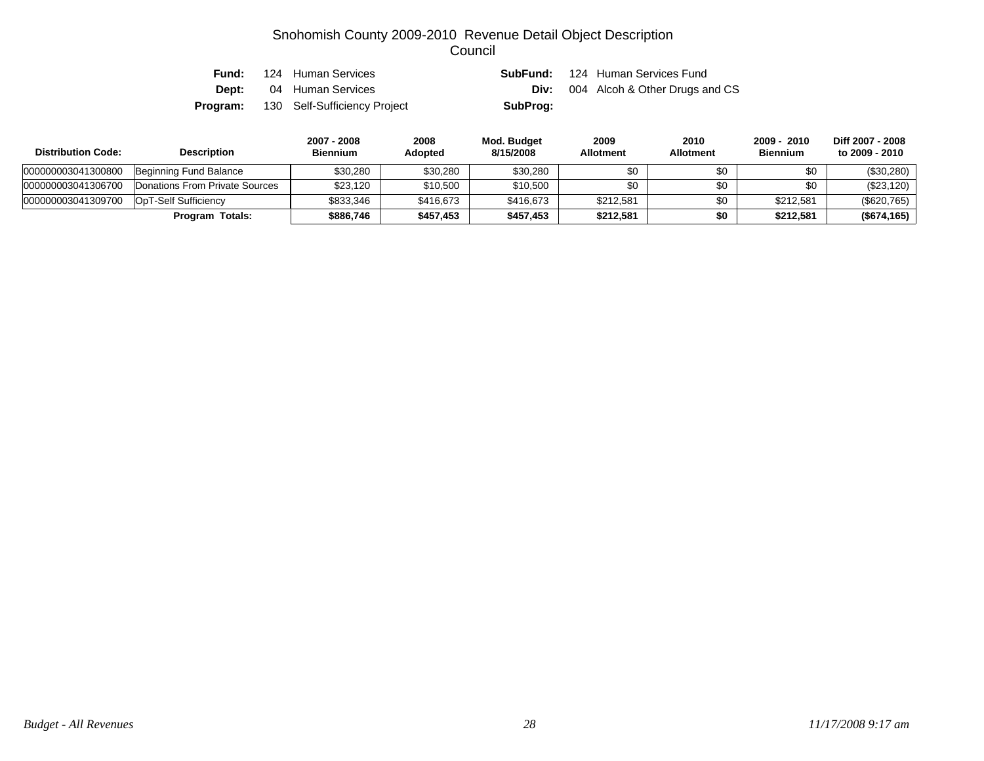| Fund: | 124 Human Services                           |          | <b>SubFund:</b> 124 Human Services Fund    |
|-------|----------------------------------------------|----------|--------------------------------------------|
|       | <b>Dept:</b> 04 Human Services               |          | <b>Div:</b> 004 Alcoh & Other Drugs and CS |
|       | <b>Program:</b> 130 Self-Sufficiency Project | SubProg: |                                            |

| <b>Distribution Code:</b> | <b>Description</b>             | 2007 - 2008<br><b>Biennium</b> | 2008<br>Adopted | Mod. Budget<br>8/15/2008 | 2009<br><b>Allotment</b> | 2010<br><b>Allotment</b> | $2009 - 2010$<br><b>Biennium</b> | Diff 2007 - 2008<br>to 2009 - 2010 |
|---------------------------|--------------------------------|--------------------------------|-----------------|--------------------------|--------------------------|--------------------------|----------------------------------|------------------------------------|
| 000000003041300800        | Beginning Fund Balance         | \$30,280                       | \$30,280        | \$30,280                 | \$0                      | \$0                      | \$0                              | $(\$30,280)$                       |
| 000000003041306700        | Donations From Private Sources | \$23,120                       | \$10,500        | \$10,500                 | \$0                      | \$0                      | \$0                              | $(\$23,120)$                       |
| 000000003041309700        | OpT-Self Sufficiency           | \$833.346                      | \$416,673       | \$416,673                | \$212,581                | \$0                      | \$212,581                        | $(\$620,765)$                      |
|                           | <b>Program Totals:</b>         | \$886.746                      | \$457,453       | \$457,453                | \$212.581                | \$0                      | \$212,581                        | (\$674,165)                        |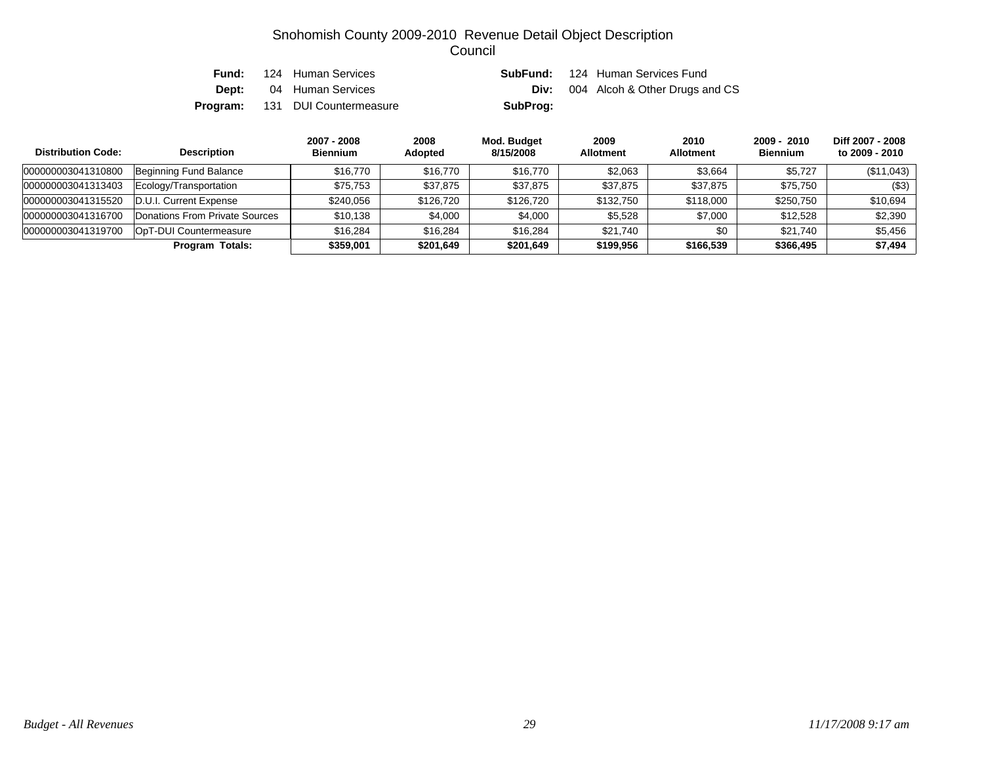| Fund: | 124 Human Services                     | SubFund: | 124 Human Services Fund                    |
|-------|----------------------------------------|----------|--------------------------------------------|
|       | <b>Dept:</b> 04 Human Services         |          | <b>Div:</b> 004 Alcoh & Other Drugs and CS |
|       | <b>Program:</b> 131 DUI Countermeasure | SubProg: |                                            |

| <b>Distribution Code:</b> | <b>Description</b>             | 2007 - 2008<br><b>Biennium</b> | 2008<br><b>Adopted</b> | Mod. Budget<br>8/15/2008 | 2009<br><b>Allotment</b> | 2010<br><b>Allotment</b> | $2009 - 2010$<br><b>Biennium</b> | Diff 2007 - 2008<br>to 2009 - 2010 |
|---------------------------|--------------------------------|--------------------------------|------------------------|--------------------------|--------------------------|--------------------------|----------------------------------|------------------------------------|
| 000000003041310800        | Beginning Fund Balance         | \$16,770                       | \$16,770               | \$16,770                 | \$2,063                  | \$3.664                  | \$5.727                          | (\$11,043)                         |
| 000000003041313403        | Ecology/Transportation         | \$75,753                       | \$37,875               | \$37,875                 | \$37,875                 | \$37.875                 | \$75,750                         | ( \$3)                             |
| 000000003041315520        | D.U.I. Current Expense         | \$240,056                      | \$126,720              | \$126,720                | \$132,750                | \$118,000                | \$250.750                        | \$10,694                           |
| 000000003041316700        | Donations From Private Sources | \$10.138                       | \$4,000                | \$4,000                  | \$5,528                  | \$7,000                  | \$12,528                         | \$2,390                            |
| 000000003041319700        | OpT-DUI Countermeasure         | \$16,284                       | \$16,284               | \$16,284                 | \$21.740                 | \$0                      | \$21.740                         | \$5,456                            |
|                           | Program Totals:                | \$359,001                      | \$201,649              | \$201,649                | \$199,956                | \$166,539                | \$366,495                        | \$7,494                            |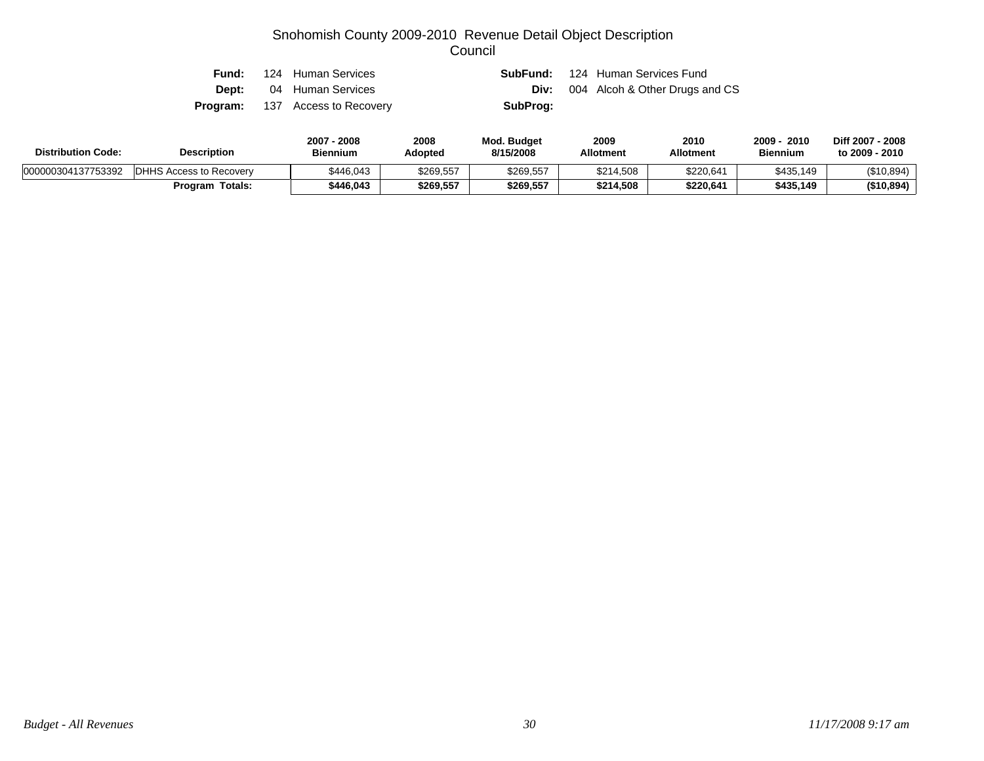| Fund:    | 124 Human Services             |          | <b>SubFund:</b> 124 Human Services Fund |
|----------|--------------------------------|----------|-----------------------------------------|
|          | <b>Dept:</b> 04 Human Services | Div:     | 004 Alcoh & Other Drugs and CS          |
| Program: | 137 Access to Recovery         | SubProg: |                                         |

| <b>Distribution Code:</b> | <b>Description</b>             | 2007<br>2008<br><b>Biennium</b> | 2008<br>Adopted | <b>Mod. Budget</b><br>8/15/2008 | 2009<br><b>Allotment</b> | 2010<br><b>Allotment</b> | 2009 ·<br>2010<br><b>Biennium</b> | Diff 2007 - 2008<br>to 2009 - 2010 |
|---------------------------|--------------------------------|---------------------------------|-----------------|---------------------------------|--------------------------|--------------------------|-----------------------------------|------------------------------------|
| 000000304137753392        | <b>DHHS Access to Recovery</b> | \$446.043                       | \$269,557       | \$269,557                       | \$214,508                | \$220,641                | \$435,149                         | (\$10,894)                         |
|                           | Totals:<br>Program             | \$446.043                       | \$269,557       | \$269,557                       | \$214.508                | \$220.641                | \$435.149                         | (\$10,894)                         |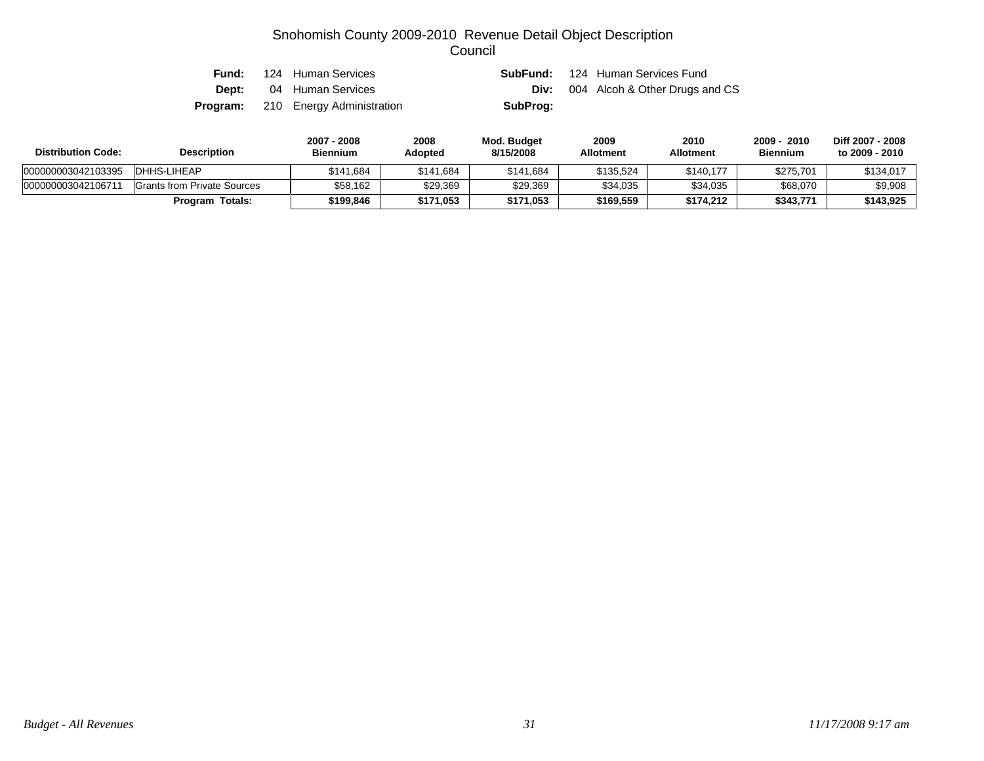| Fund: | 124 Human Services                        | SubFund: | 124 Human Services Fund                    |
|-------|-------------------------------------------|----------|--------------------------------------------|
| Dept: | 04 Human Services                         |          | <b>Div:</b> 004 Alcoh & Other Drugs and CS |
|       | <b>Program:</b> 210 Energy Administration | SubProg: |                                            |

| <b>Distribution Code:</b> | <b>Description</b>          | 2007 - 2008<br><b>Biennium</b> | 2008<br>Adopted | Mod. Budget<br>8/15/2008 | 2009<br><b>Allotment</b> | 2010<br><b>Allotment</b> | 2009 - 2010<br><b>Biennium</b> | Diff 2007 - 2008<br>to 2009 - 2010 |
|---------------------------|-----------------------------|--------------------------------|-----------------|--------------------------|--------------------------|--------------------------|--------------------------------|------------------------------------|
| 000000003042103395        | DHHS-LIHEAP                 | \$141.684                      | \$141.684       | \$141.684                | \$135.524                | \$140.177                | \$275.701                      | \$134,017                          |
| 00000000304210671         | Grants from Private Sources | \$58.162                       | \$29.369        | \$29,369                 | \$34,035                 | \$34.035                 | \$68,070                       | \$9,908                            |
|                           | <b>Program Totals:</b>      | \$199.846                      | \$171,053       | \$171.053                | \$169,559                | \$174.212                | \$343.771                      | \$143,925                          |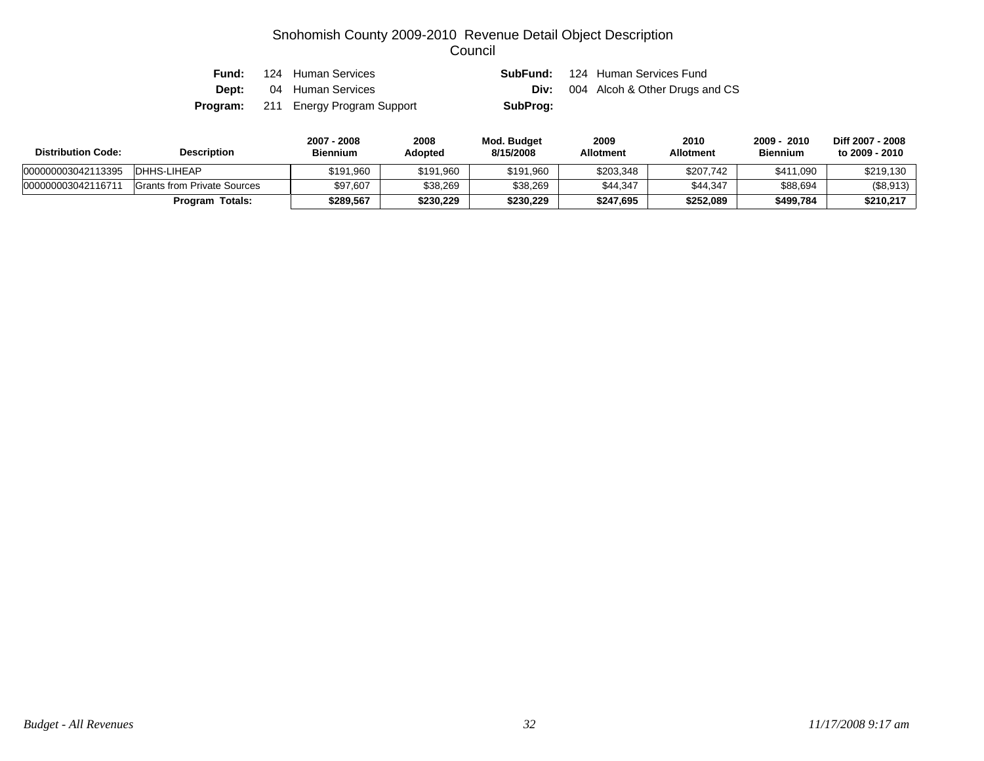| Fund:        | 124 Human Services                         |          | <b>SubFund:</b> 124 Human Services Fund |
|--------------|--------------------------------------------|----------|-----------------------------------------|
| <b>Dept:</b> | 04 Human Services                          | Div:     | 004 Alcoh & Other Drugs and CS          |
|              | <b>Program:</b> 211 Energy Program Support | SubProg: |                                         |

| <b>Distribution Code:</b> | <b>Description</b>                 | 2007 - 2008<br><b>Biennium</b> | 2008<br>Adopted | Mod. Budget<br>8/15/2008 | 2009<br><b>Allotment</b> | 2010<br><b>Allotment</b> | 2010<br>2009 -<br><b>Biennium</b> | Diff 2007 - 2008<br>to 2009 - 2010 |
|---------------------------|------------------------------------|--------------------------------|-----------------|--------------------------|--------------------------|--------------------------|-----------------------------------|------------------------------------|
| 000000003042113395        | DHHS-LIHEAP                        | \$191.960                      | \$191,960       | \$191,960                | \$203,348                | \$207,742                | \$411,090                         | \$219,130                          |
| 000000003042116711        | <b>Grants from Private Sources</b> | \$97.607                       | \$38,269        | \$38,269                 | \$44.347                 | \$44.347                 | \$88,694                          | (\$8,913)                          |
|                           | <b>Program Totals:</b>             | \$289.567                      | \$230,229       | \$230.229                | \$247.695                | \$252,089                | \$499,784                         | \$210,217                          |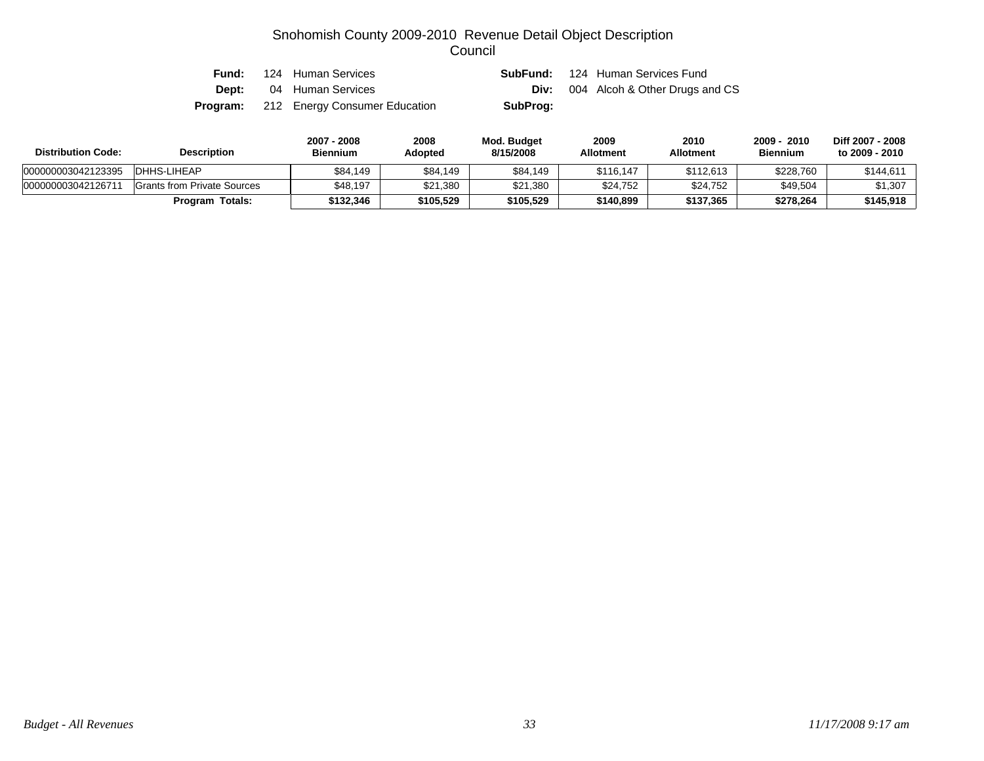| Fund: | 124 Human Services                            |          | <b>SubFund:</b> 124 Human Services Fund    |
|-------|-----------------------------------------------|----------|--------------------------------------------|
|       | <b>Dept:</b> 04 Human Services                |          | <b>Div:</b> 004 Alcoh & Other Drugs and CS |
|       | <b>Program:</b> 212 Energy Consumer Education | SubProg: |                                            |

| <b>Distribution Code:</b> | <b>Description</b>          | 2007 - 2008<br>Biennium | 2008<br>Adopted | Mod. Budget<br>8/15/2008 | 2009<br><b>Allotment</b> | 2010<br><b>Allotment</b> | 2010<br>2009<br><b>Biennium</b> | Diff 2007 - 2008<br>to 2009 - 2010 |
|---------------------------|-----------------------------|-------------------------|-----------------|--------------------------|--------------------------|--------------------------|---------------------------------|------------------------------------|
| 000000003042123395        | DHHS-LIHEAP                 | \$84.149                | \$84,149        | \$84,149                 | \$116.147                | \$112.613                | \$228,760                       | \$144,611                          |
| 00000000304212671         | Grants from Private Sources | \$48.197                | \$21,380        | \$21,380                 | \$24,752                 | \$24,752                 | \$49,504                        | \$1,307                            |
|                           | Totals:<br>Program          | \$132.346               | \$105,529       | \$105,529                | \$140,899                | \$137,365                | \$278,264                       | \$145,918                          |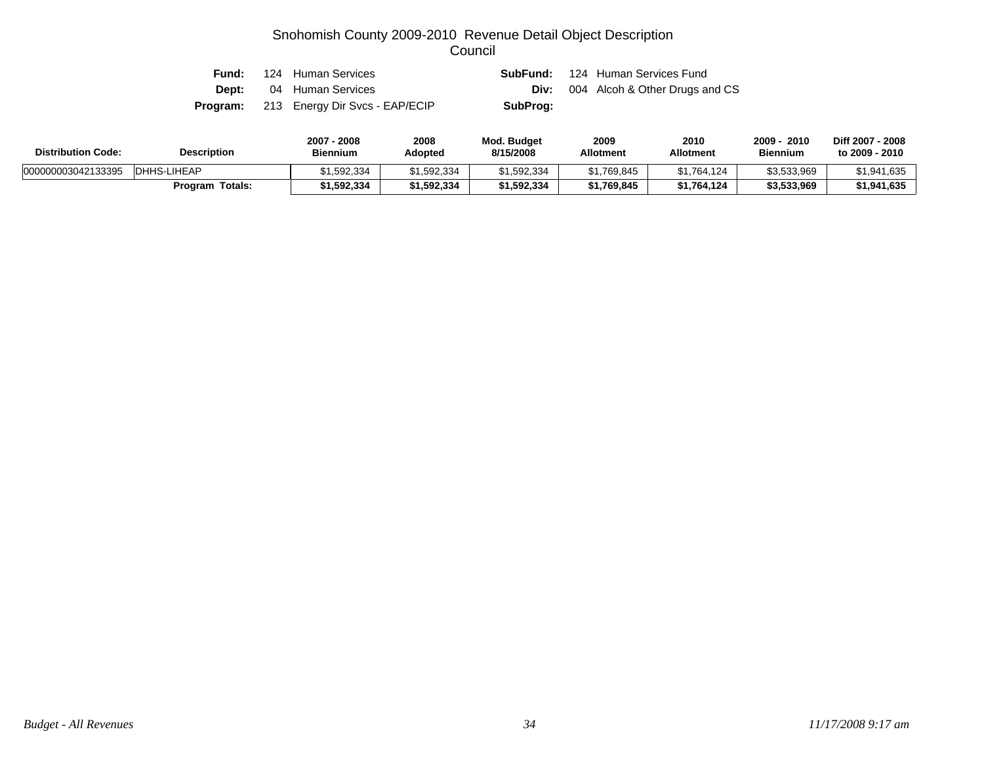| Fund: | 124 Human Services                             |          | <b>SubFund:</b> 124 Human Services Fund    |
|-------|------------------------------------------------|----------|--------------------------------------------|
| Dept: | 04 Human Services                              |          | <b>Div:</b> 004 Alcoh & Other Drugs and CS |
|       | <b>Program:</b> 213 Energy Dir Svcs - EAP/ECIP | SubProg: |                                            |

| <b>Distribution Code:</b> | <b>Description</b>     | 2007 - 2008<br><b>Biennium</b> | 2008<br>Adopted | <b>Mod. Budget</b><br>8/15/2008 | 2009<br><b>Allotment</b> | 2010<br><b>Allotment</b> | 2010<br>2009<br><b>Biennium</b> | Diff 2007 - 2008<br>to 2009 - 2010 |
|---------------------------|------------------------|--------------------------------|-----------------|---------------------------------|--------------------------|--------------------------|---------------------------------|------------------------------------|
| 000000003042133395        | DHHS-LIHEAP            | \$1.592.334                    | \$1.592.334     | \$1,592,334                     | \$1.769.845              | \$1.764.124              | \$3.533.969                     | \$1.941.635                        |
|                           | <b>Program Totals:</b> | 1,592,334؍                     | \$1,592,334     | \$1,592,334                     | \$1,769,845              | \$1,764,124              | \$3,533,969                     | \$1.941.635                        |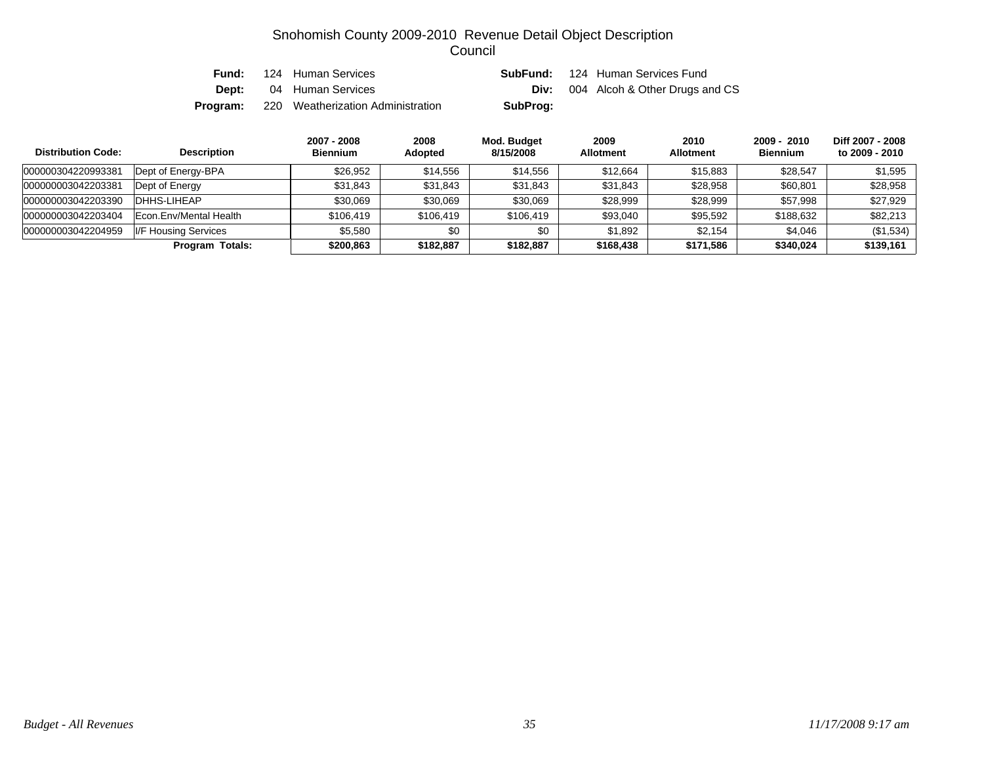| Fund:    | 124 Human Services                |          | <b>SubFund:</b> 124 Human Services Fund    |
|----------|-----------------------------------|----------|--------------------------------------------|
|          | <b>Dept:</b> 04 Human Services    |          | <b>Div:</b> 004 Alcoh & Other Drugs and CS |
| Program: | 220 Weatherization Administration | SubProg: |                                            |

| <b>Distribution Code:</b> | <b>Description</b>     | 2007 - 2008<br><b>Biennium</b> | 2008<br>Adopted | Mod. Budget<br>8/15/2008 | 2009<br><b>Allotment</b> | 2010<br><b>Allotment</b> | $2009 - 2010$<br><b>Biennium</b> | Diff 2007 - 2008<br>to 2009 - 2010 |
|---------------------------|------------------------|--------------------------------|-----------------|--------------------------|--------------------------|--------------------------|----------------------------------|------------------------------------|
| 000000304220993381        | Dept of Energy-BPA     | \$26,952                       | \$14,556        | \$14.556                 | \$12.664                 | \$15,883                 | \$28.547                         | \$1,595                            |
| 000000003042203381        | Dept of Energy         | \$31.843                       | \$31,843        | \$31,843                 | \$31,843                 | \$28.958                 | \$60.801                         | \$28.958                           |
| 000000003042203390        | DHHS-LIHEAP            | \$30.069                       | \$30,069        | \$30,069                 | \$28,999                 | \$28,999                 | \$57,998                         | \$27.929                           |
| 000000003042203404        | Econ.Env/Mental Health | \$106.419                      | \$106,419       | \$106,419                | \$93,040                 | \$95.592                 | \$188,632                        | \$82.213                           |
| 000000003042204959        | I/F Housing Services   | \$5.580                        | \$0             | \$0                      | \$1,892                  | \$2.154                  | \$4,046                          | (\$1,534)                          |
|                           | <b>Program Totals:</b> | \$200,863                      | \$182.887       | \$182,887                | \$168,438                | \$171,586                | \$340,024                        | \$139.161                          |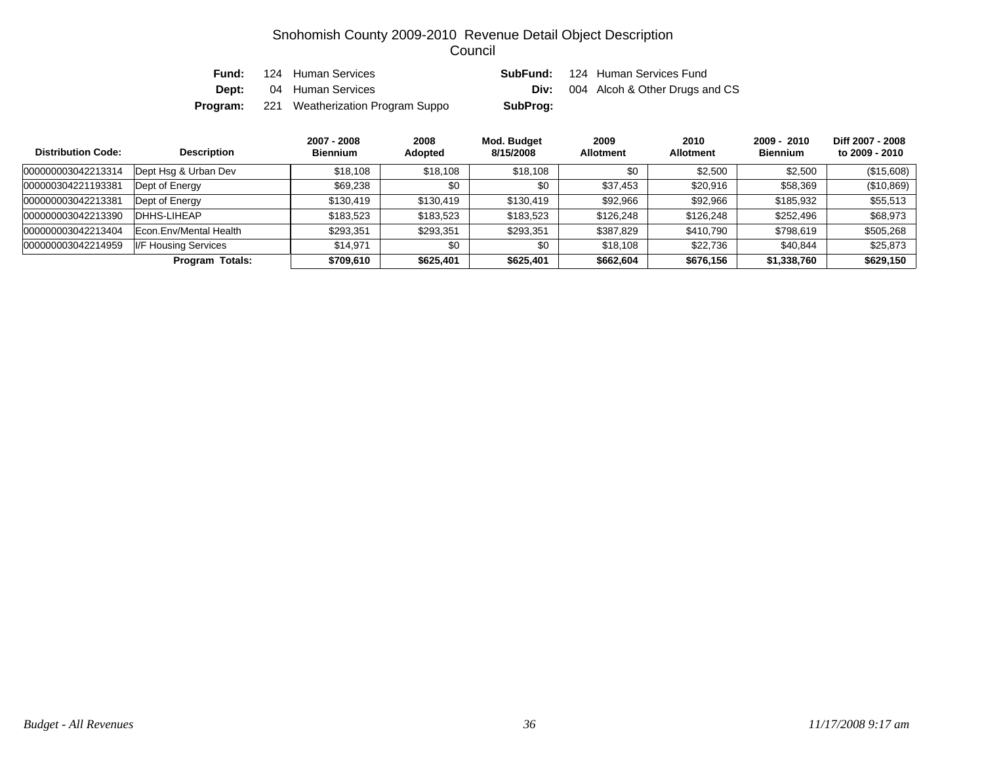| Fund: | 124 Human Services                               | SubFund: | 124 Human Services Fund        |
|-------|--------------------------------------------------|----------|--------------------------------|
|       | <b>Dept:</b> 04 Human Services                   | Div:     | 004 Alcoh & Other Drugs and CS |
|       | <b>Program:</b> 221 Weatherization Program Suppo | SubProg: |                                |

| <b>Distribution Code:</b> | <b>Description</b>     | 2007 - 2008<br><b>Biennium</b> | 2008<br><b>Adopted</b> | Mod. Budget<br>8/15/2008 | 2009<br><b>Allotment</b> | 2010<br><b>Allotment</b> | $2009 - 2010$<br><b>Biennium</b> | Diff 2007 - 2008<br>to 2009 - 2010 |
|---------------------------|------------------------|--------------------------------|------------------------|--------------------------|--------------------------|--------------------------|----------------------------------|------------------------------------|
| 000000003042213314        | Dept Hsq & Urban Dev   | \$18,108                       | \$18,108               | \$18,108                 | \$0                      | \$2,500                  | \$2,500                          | (\$15,608)                         |
| 000000304221193381        | Dept of Energy         | \$69,238                       | \$0                    | \$0                      | \$37,453                 | \$20,916                 | \$58,369                         | (\$10,869)                         |
| 000000003042213381        | Dept of Energy         | \$130.419                      | \$130,419              | \$130,419                | \$92,966                 | \$92.966                 | \$185,932                        | \$55,513                           |
| 000000003042213390        | DHHS-LIHEAP            | \$183,523                      | \$183,523              | \$183,523                | \$126,248                | \$126,248                | \$252,496                        | \$68,973                           |
| 000000003042213404        | Econ.Env/Mental Health | \$293,351                      | \$293,351              | \$293,351                | \$387,829                | \$410,790                | \$798,619                        | \$505,268                          |
| 000000003042214959        | I/F Housing Services   | \$14.971                       | \$0                    | \$0                      | \$18,108                 | \$22,736                 | \$40.844                         | \$25,873                           |
|                           | <b>Program Totals:</b> | \$709,610                      | \$625,401              | \$625,401                | \$662,604                | \$676,156                | \$1,338,760                      | \$629,150                          |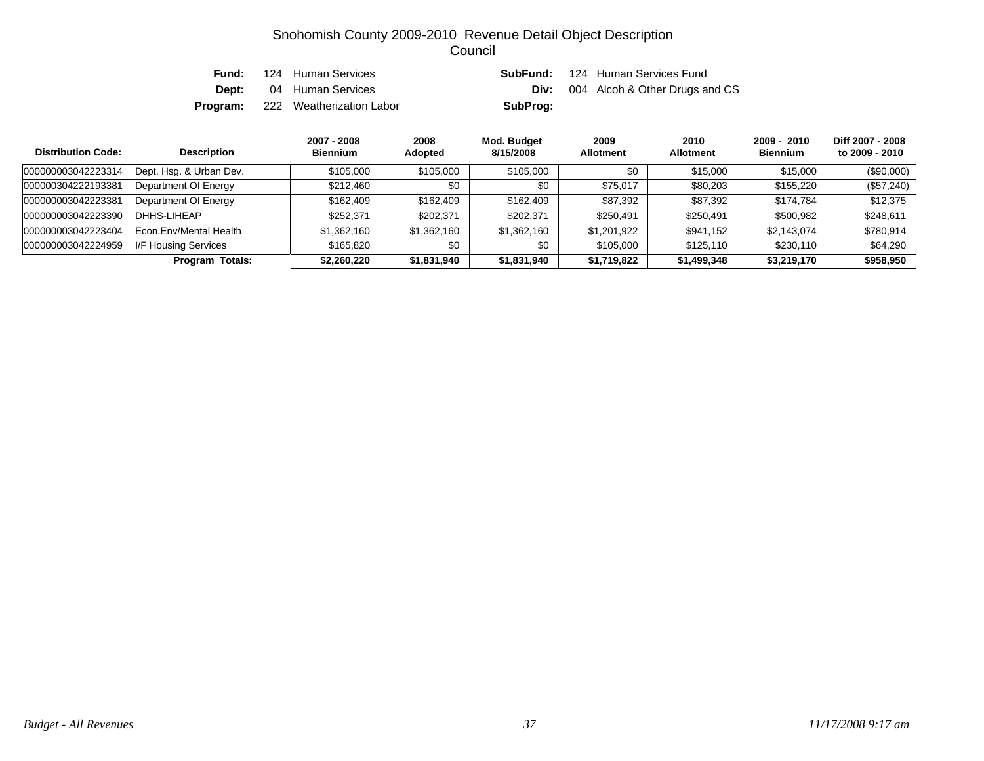| Fund: | 124 Human Services                       | SubFund: | 124 Human Services Fund                    |
|-------|------------------------------------------|----------|--------------------------------------------|
|       | <b>Dept:</b> 04 Human Services           |          | <b>Div:</b> 004 Alcoh & Other Drugs and CS |
|       | <b>Program:</b> 222 Weatherization Labor | SubProg: |                                            |

| <b>Distribution Code:</b> | <b>Description</b>      | 2007 - 2008<br><b>Biennium</b> | 2008<br><b>Adopted</b> | Mod. Budget<br>8/15/2008 | 2009<br><b>Allotment</b> | 2010<br><b>Allotment</b> | $2009 - 2010$<br><b>Biennium</b> | Diff 2007 - 2008<br>to 2009 - 2010 |
|---------------------------|-------------------------|--------------------------------|------------------------|--------------------------|--------------------------|--------------------------|----------------------------------|------------------------------------|
| 000000003042223314        | Dept. Hsg. & Urban Dev. | \$105,000                      | \$105,000              | \$105,000                | \$0                      | \$15,000                 | \$15,000                         | (\$90,000)                         |
| 000000304222193381        | Department Of Energy    | \$212,460                      | \$0                    | \$0                      | \$75.017                 | \$80.203                 | \$155,220                        | (\$57,240)                         |
| 000000003042223381        | Department Of Energy    | \$162,409                      | \$162,409              | \$162,409                | \$87,392                 | \$87.392                 | \$174.784                        | \$12,375                           |
| 000000003042223390        | DHHS-LIHEAP             | \$252,371                      | \$202,371              | \$202,371                | \$250,491                | \$250,491                | \$500,982                        | \$248,611                          |
| 000000003042223404        | Econ. Env/Mental Health | \$1,362,160                    | \$1,362,160            | \$1,362,160              | \$1,201,922              | \$941,152                | \$2,143,074                      | \$780,914                          |
| 000000003042224959        | I/F Housing Services    | \$165,820                      | \$0                    | \$0                      | \$105,000                | \$125.110                | \$230,110                        | \$64,290                           |
|                           | Program Totals:         | \$2,260,220                    | \$1,831,940            | \$1,831,940              | \$1,719,822              | \$1,499,348              | \$3,219,170                      | \$958,950                          |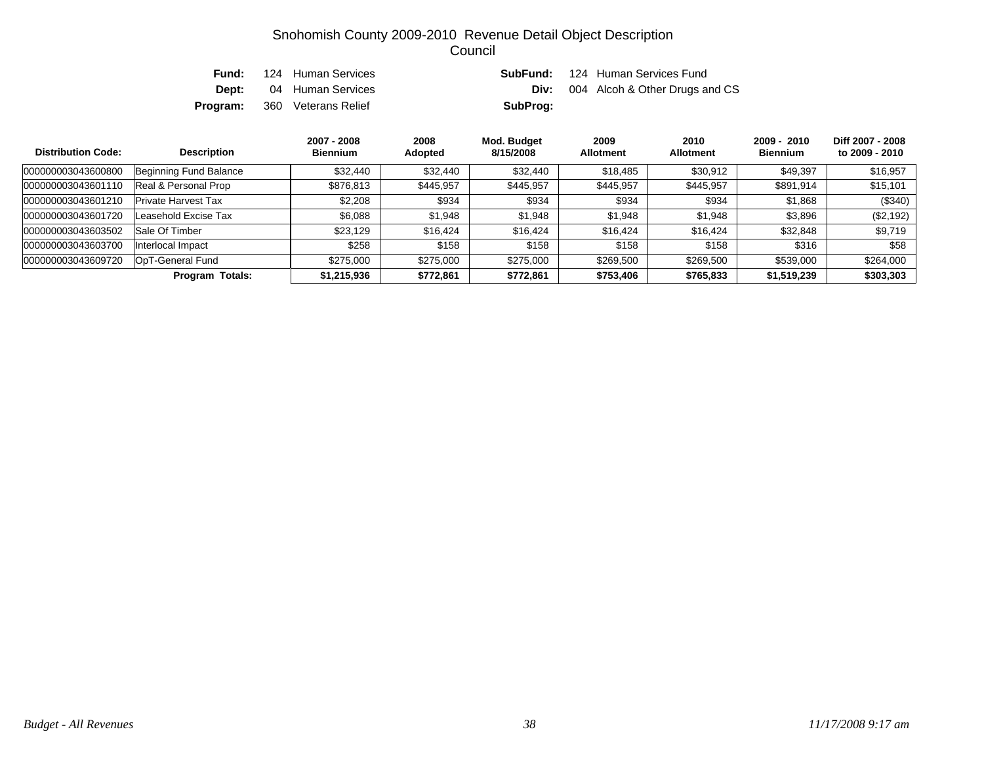| Fund: | 124 Human Services                  |          | <b>SubFund:</b> 124 Human Services Fund    |
|-------|-------------------------------------|----------|--------------------------------------------|
|       | <b>Dept:</b> 04 Human Services      |          | <b>Div:</b> 004 Alcoh & Other Drugs and CS |
|       | <b>Program:</b> 360 Veterans Relief | SubProg: |                                            |

| <b>Distribution Code:</b> | <b>Description</b>         | 2007 - 2008<br><b>Biennium</b> | 2008<br>Adopted | Mod. Budget<br>8/15/2008 | 2009<br><b>Allotment</b> | 2010<br><b>Allotment</b> | $2009 - 2010$<br><b>Biennium</b> | Diff 2007 - 2008<br>to 2009 - 2010 |
|---------------------------|----------------------------|--------------------------------|-----------------|--------------------------|--------------------------|--------------------------|----------------------------------|------------------------------------|
| 000000003043600800        | Beginning Fund Balance     | \$32,440                       | \$32,440        | \$32,440                 | \$18,485                 | \$30,912                 | \$49.397                         | \$16,957                           |
| 000000003043601110        | Real & Personal Prop       | \$876,813                      | \$445,957       | \$445,957                | \$445,957                | \$445,957                | \$891,914                        | \$15,101                           |
| 000000003043601210        | <b>Private Harvest Tax</b> | \$2,208                        | \$934           | \$934                    | \$934                    | \$934                    | \$1,868                          | $(\$340)$                          |
| 000000003043601720        | Leasehold Excise Tax       | \$6,088                        | \$1,948         | \$1,948                  | \$1,948                  | \$1,948                  | \$3,896                          | (\$2,192)                          |
| 000000003043603502        | Sale Of Timber             | \$23.129                       | \$16,424        | \$16,424                 | \$16,424                 | \$16,424                 | \$32,848                         | \$9,719                            |
| 000000003043603700        | Interlocal Impact          | \$258                          | \$158           | \$158                    | \$158                    | \$158                    | \$316                            | \$58                               |
| 000000003043609720        | OpT-General Fund           | \$275,000                      | \$275,000       | \$275,000                | \$269,500                | \$269,500                | \$539,000                        | \$264,000                          |
|                           | <b>Program Totals:</b>     | \$1,215,936                    | \$772,861       | \$772,861                | \$753,406                | \$765,833                | \$1,519,239                      | \$303,303                          |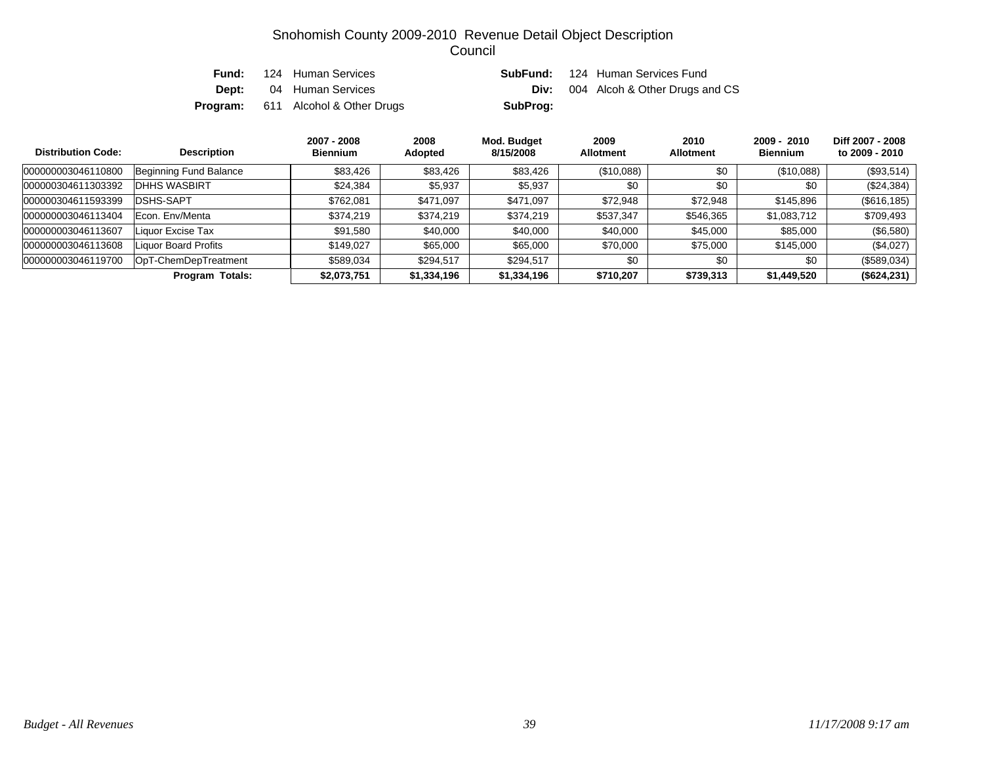| Fund: | 124 Human Services                        | SubFund: | 124 Human Services Fund        |
|-------|-------------------------------------------|----------|--------------------------------|
|       | <b>Dept:</b> 04 Human Services            | Div:     | 004 Alcoh & Other Drugs and CS |
|       | <b>Program:</b> 611 Alcohol & Other Drugs | SubProg: |                                |

| <b>Distribution Code:</b> | <b>Description</b>     | 2007 - 2008<br><b>Biennium</b> | 2008<br>Adopted | Mod. Budget<br>8/15/2008 | 2009<br><b>Allotment</b> | 2010<br><b>Allotment</b> | $2009 - 2010$<br><b>Biennium</b> | Diff 2007 - 2008<br>to 2009 - 2010 |
|---------------------------|------------------------|--------------------------------|-----------------|--------------------------|--------------------------|--------------------------|----------------------------------|------------------------------------|
| 000000003046110800        | Beginning Fund Balance | \$83,426                       | \$83,426        | \$83,426                 | (\$10,088)               | \$0                      | (\$10,088)                       | (\$93,514)                         |
| 000000304611303392        | <b>IDHHS WASBIRT</b>   | \$24,384                       | \$5,937         | \$5,937                  | \$0                      | \$0                      | \$0                              | (\$24,384)                         |
| 000000304611593399        | <b>DSHS-SAPT</b>       | \$762,081                      | \$471,097       | \$471,097                | \$72,948                 | \$72,948                 | \$145,896                        | (\$616, 185)                       |
| 000000003046113404        | Econ. Env/Menta        | \$374,219                      | \$374,219       | \$374,219                | \$537,347                | \$546,365                | \$1,083,712                      | \$709,493                          |
| 000000003046113607        | Liquor Excise Tax      | \$91,580                       | \$40,000        | \$40,000                 | \$40,000                 | \$45,000                 | \$85,000                         | $(\$6,580)$                        |
| 000000003046113608        | Liquor Board Profits   | \$149,027                      | \$65,000        | \$65,000                 | \$70,000                 | \$75,000                 | \$145,000                        | (\$4,027)                          |
| 000000003046119700        | OpT-ChemDepTreatment   | \$589,034                      | \$294,517       | \$294,517                | \$0                      | \$0                      | \$0                              | (\$589,034)                        |
|                           | <b>Program Totals:</b> | \$2,073,751                    | \$1,334,196     | \$1,334,196              | \$710,207                | \$739,313                | \$1,449,520                      | (\$624, 231)                       |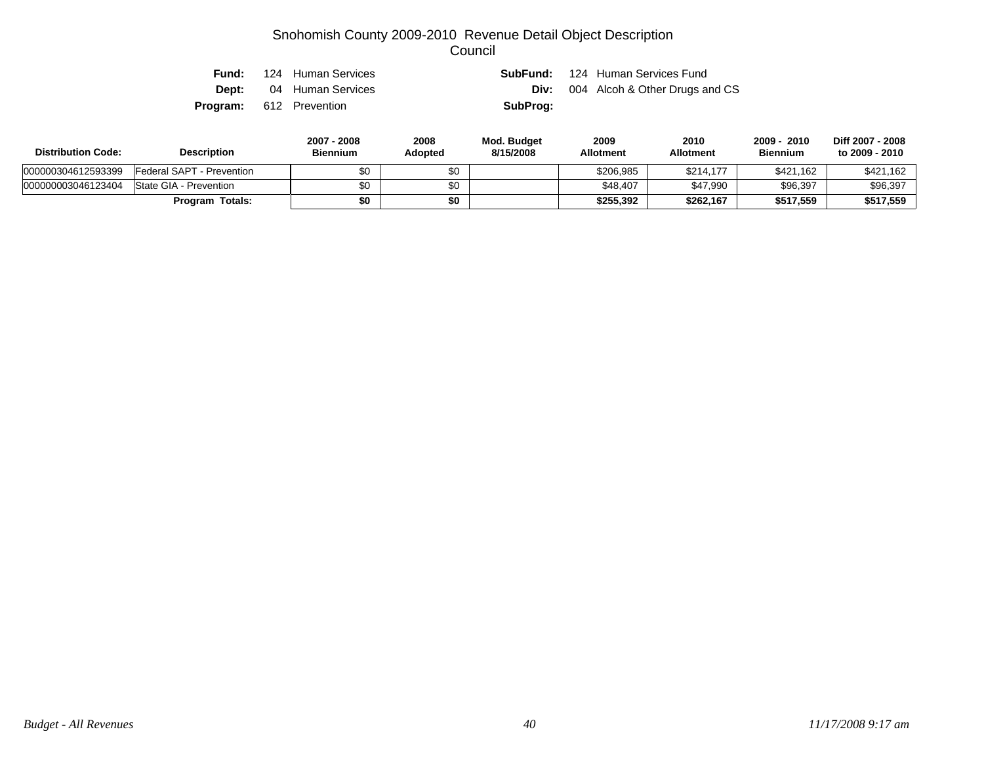|                                | <b>Fund:</b> 124 Human Services |          | <b>SubFund:</b> 124 Human Services Fund    |
|--------------------------------|---------------------------------|----------|--------------------------------------------|
|                                | <b>Dept:</b> 04 Human Services  |          | <b>Div:</b> 004 Alcoh & Other Drugs and CS |
| <b>Program:</b> 612 Prevention |                                 | SubProg: |                                            |

| <b>Distribution Code:</b> | <b>Description</b>         | 2007 - 2008<br>Biennium | 2008<br>Adopted | Mod. Budget<br>8/15/2008 | 2009<br><b>Allotment</b> | 2010<br><b>Allotment</b> | 2010<br>2009<br><b>Biennium</b> | Diff 2007 - 2008<br>to 2009 - 2010 |
|---------------------------|----------------------------|-------------------------|-----------------|--------------------------|--------------------------|--------------------------|---------------------------------|------------------------------------|
| 000000304612593399        | IFederal SAPT - Prevention |                         | \$0             |                          | \$206,985                | \$214.177                | \$421.162                       | \$421.162                          |
| 000000003046123404        | State GIA - Prevention     | \$0                     | \$0             |                          | \$48.407                 | \$47.990                 | \$96,397                        | \$96,397                           |
|                           | <b>Program Totals:</b>     | \$0                     | \$0             |                          | \$255.392                | \$262,167                | \$517.559                       | \$517,559                          |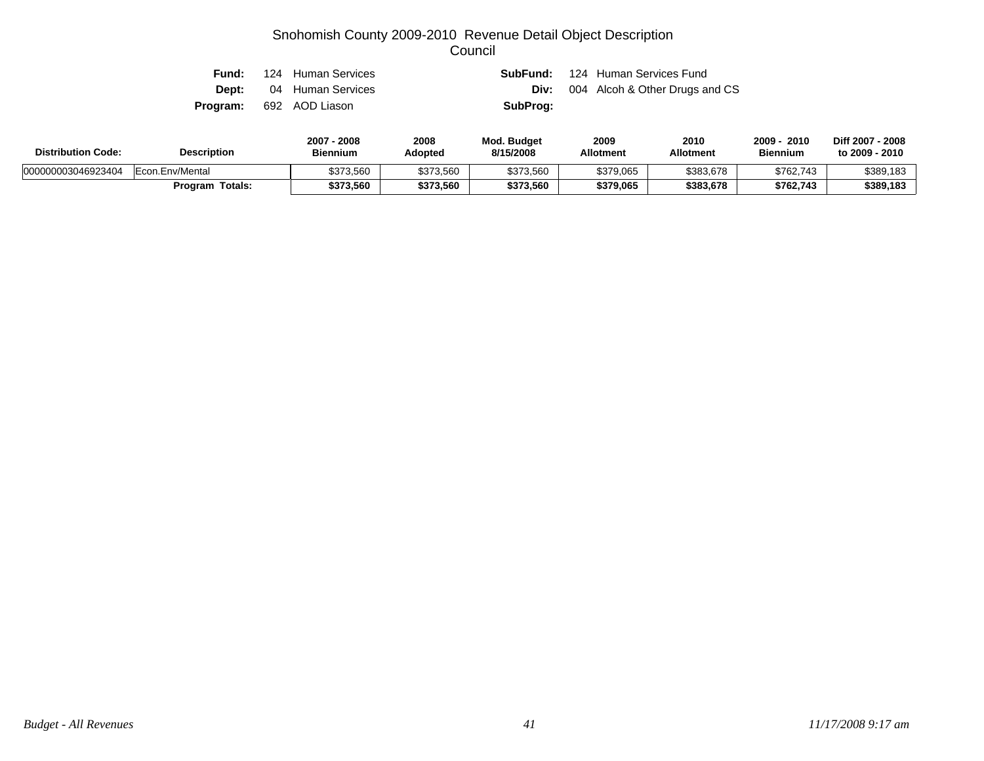| Fund: | 124 Human Services             |          | <b>SubFund:</b> 124 Human Services Fund    |
|-------|--------------------------------|----------|--------------------------------------------|
|       | <b>Dept:</b> 04 Human Services |          | <b>Div:</b> 004 Alcoh & Other Drugs and CS |
|       | <b>Program:</b> 692 AOD Liason | SubProg: |                                            |

| <b>Distribution Code:</b> | <b>Description</b>     | 2008<br>2007<br>Biennium | 2008<br>Adopted | <b>Mod. Budget</b><br>8/15/2008 | 2009<br><b>Allotment</b> | 2010<br>Allotment | <b>2009</b><br>2010<br><b>Biennium</b> | Diff 2007 - 2008<br>to 2009 - 2010 |
|---------------------------|------------------------|--------------------------|-----------------|---------------------------------|--------------------------|-------------------|----------------------------------------|------------------------------------|
| 000000003046923404        | Econ.Env/Mental        | \$373,560                | \$373,560       | \$373,560                       | \$379,065                | \$383,678         | \$762,743                              | \$389,183                          |
|                           | <b>Program Totals:</b> | \$373,560                | \$373,560       | \$373,560                       | \$379,065                | \$383,678         | \$762,743                              | \$389,183                          |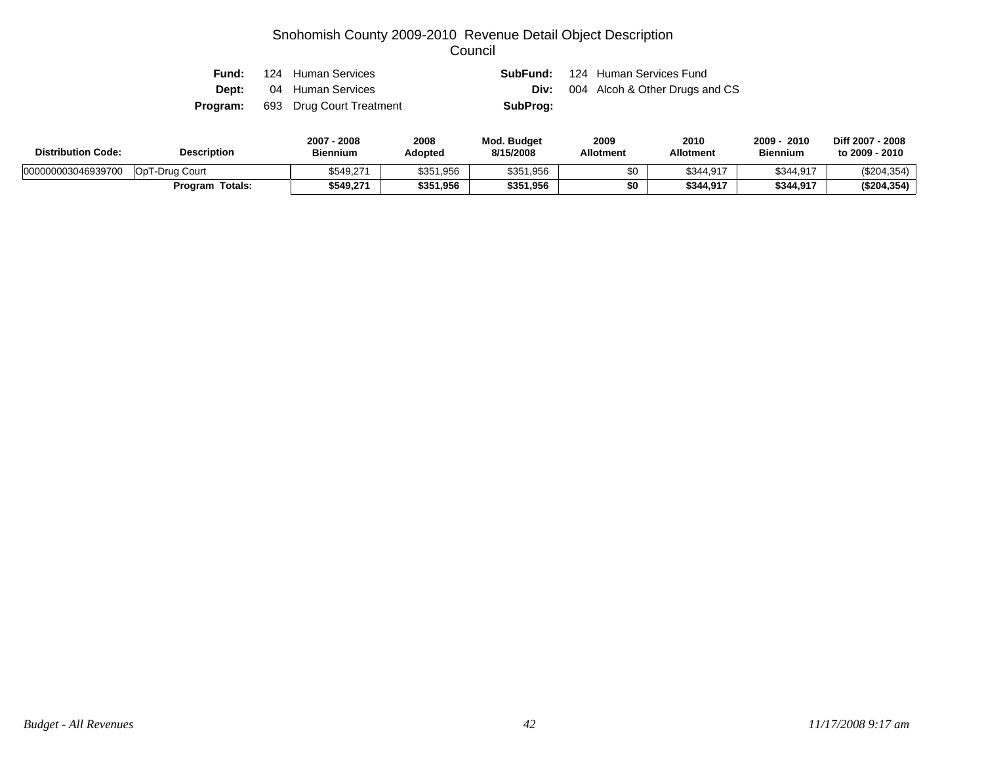| Fund:        | 124 Human Services                       |          | <b>SubFund:</b> 124 Human Services Fund    |
|--------------|------------------------------------------|----------|--------------------------------------------|
| <b>Dept:</b> | 04 Human Services                        |          | <b>Div:</b> 004 Alcoh & Other Drugs and CS |
|              | <b>Program:</b> 693 Drug Court Treatment | SubProg: |                                            |

| <b>Distribution Code:</b> | <b>Description</b>        | .2008<br>$2007 -$<br><b>Biennium</b> | 2008<br>Adopted | Mod. Budget<br>8/15/2008 | 2009<br><b>Allotment</b> | 2010<br><b>Allotment</b> | 2009<br>2010<br><b>Biennium</b> | Diff 2007 - 2008<br>to 2009 - 2010 |
|---------------------------|---------------------------|--------------------------------------|-----------------|--------------------------|--------------------------|--------------------------|---------------------------------|------------------------------------|
| 000000003046939700        | OpT-Drug Court            | \$549.271                            | \$351,956       | \$351,956                | \$0                      | \$344,917                | \$344,917                       | (\$204,354)                        |
|                           | <b>Totals:</b><br>Program | \$549.271                            | \$351,956       | \$351,956                | ¢Λ                       | \$344.917                | \$344,917                       | (\$204,354)                        |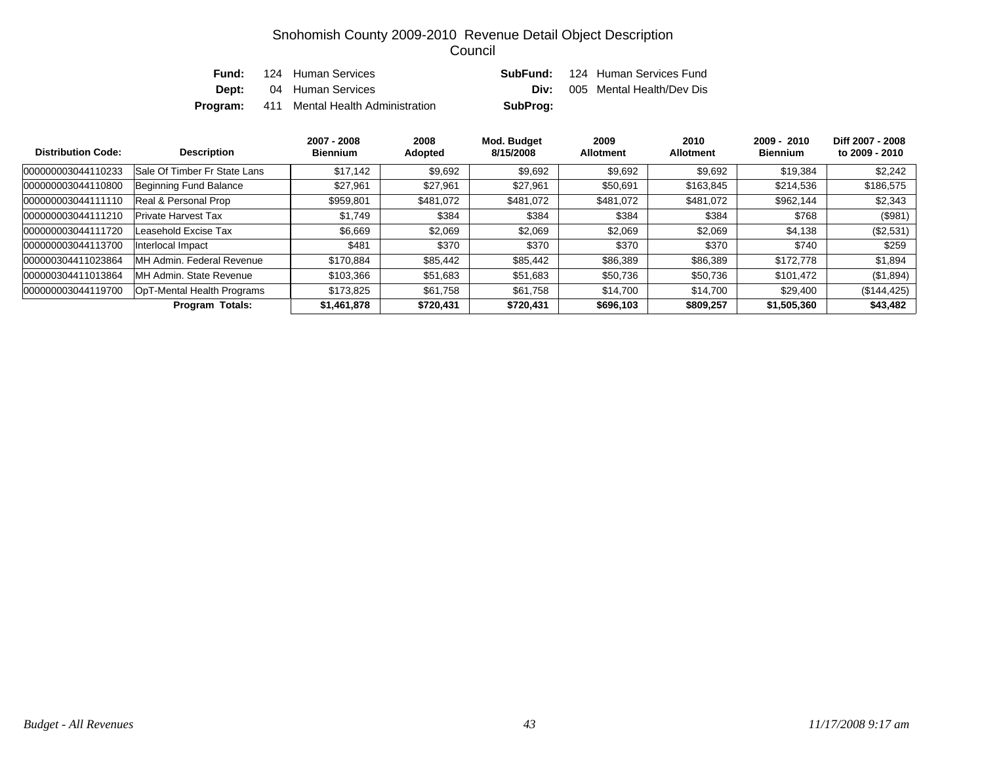| Fund: | 124 Human Services                               |          | <b>SubFund:</b> 124 Human Services Fund |
|-------|--------------------------------------------------|----------|-----------------------------------------|
| Dept: | 04 Human Services                                | Div:     | 005 Mental Health/Dev Dis               |
|       | <b>Program:</b> 411 Mental Health Administration | SubProg: |                                         |

| <b>Distribution Code:</b> | <b>Description</b>           | 2007 - 2008<br><b>Biennium</b> | 2008<br>Adopted | Mod. Budget<br>8/15/2008 | 2009<br><b>Allotment</b> | 2010<br><b>Allotment</b> | $2009 - 2010$<br><b>Biennium</b> | Diff 2007 - 2008<br>to 2009 - 2010 |
|---------------------------|------------------------------|--------------------------------|-----------------|--------------------------|--------------------------|--------------------------|----------------------------------|------------------------------------|
| 000000003044110233        | Sale Of Timber Fr State Lans | \$17,142                       | \$9,692         | \$9,692                  | \$9,692                  | \$9,692                  | \$19,384                         | \$2,242                            |
| 000000003044110800        | Beginning Fund Balance       | \$27,961                       | \$27,961        | \$27,961                 | \$50,691                 | \$163.845                | \$214,536                        | \$186,575                          |
| 000000003044111110        | Real & Personal Prop         | \$959,801                      | \$481.072       | \$481,072                | \$481.072                | \$481,072                | \$962,144                        | \$2,343                            |
| 000000003044111210        | <b>Private Harvest Tax</b>   | \$1,749                        | \$384           | \$384                    | \$384                    | \$384                    | \$768                            | (\$981)                            |
| 000000003044111720        | Leasehold Excise Tax         | \$6,669                        | \$2,069         | \$2,069                  | \$2,069                  | \$2,069                  | \$4,138                          | $(\$2,531)$                        |
| 000000003044113700        | Interlocal Impact            | \$481                          | \$370           | \$370                    | \$370                    | \$370                    | \$740                            | \$259                              |
| 000000304411023864        | MH Admin. Federal Revenue    | \$170.884                      | \$85,442        | \$85,442                 | \$86,389                 | \$86,389                 | \$172,778                        | \$1,894                            |
| 000000304411013864        | MH Admin, State Revenue      | \$103.366                      | \$51,683        | \$51,683                 | \$50,736                 | \$50,736                 | \$101,472                        | (\$1,894)                          |
| 000000003044119700        | OpT-Mental Health Programs   | \$173.825                      | \$61,758        | \$61,758                 | \$14,700                 | \$14,700                 | \$29,400                         | (\$144, 425)                       |
|                           | <b>Program Totals:</b>       | \$1,461,878                    | \$720,431       | \$720,431                | \$696,103                | \$809,257                | \$1,505,360                      | \$43,482                           |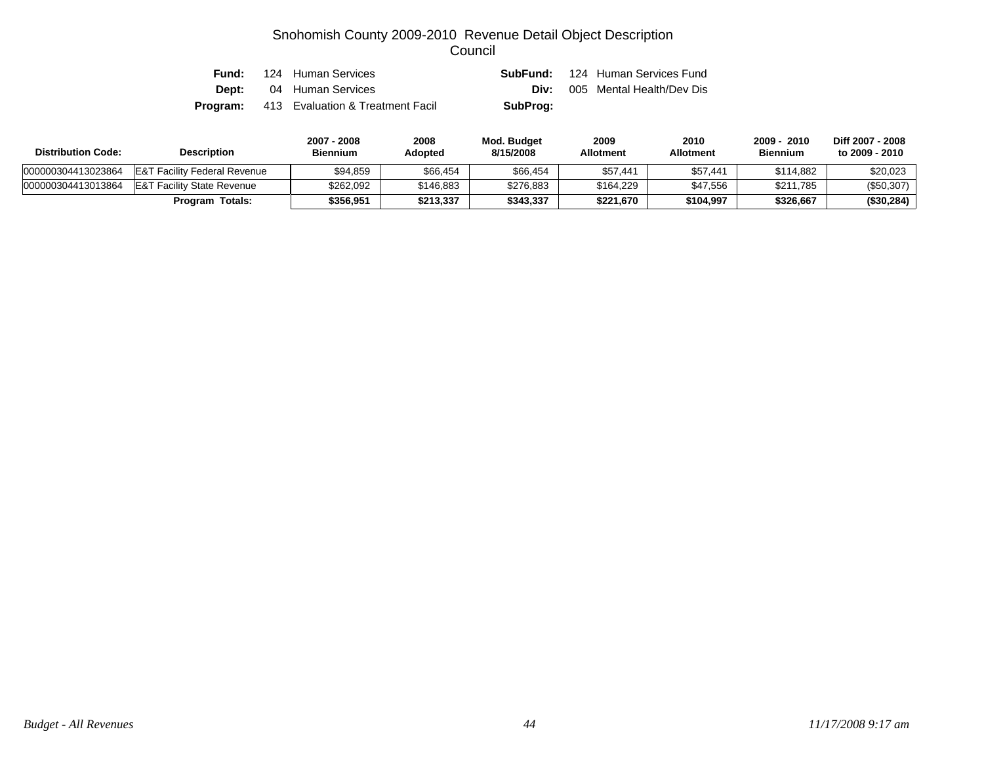| Fund: | 124 Human Services                               |          | <b>SubFund:</b> 124 Human Services Fund |
|-------|--------------------------------------------------|----------|-----------------------------------------|
|       | <b>Dept:</b> 04 Human Services                   | Div:     | 005 Mental Health/Dev Dis               |
|       | <b>Program:</b> 413 Evaluation & Treatment Facil | SubProg: |                                         |

| <b>Distribution Code:</b> | <b>Description</b>                      |           | 2008<br><b>Adopted</b> | Mod. Budget<br>8/15/2008 | 2009<br><b>Allotment</b> | 2010<br>Allotment | 2009 - 2010<br><b>Biennium</b> | Diff 2007 - 2008<br>to 2009 - 2010 |
|---------------------------|-----------------------------------------|-----------|------------------------|--------------------------|--------------------------|-------------------|--------------------------------|------------------------------------|
| 000000304413023864        | <b>E&amp;T Facility Federal Revenue</b> | \$94,859  | \$66,454               | \$66,454                 | \$57,441                 | \$57,441          | \$114.882                      | \$20,023                           |
| 000000304413013864        | <b>E&amp;T Facility State Revenue</b>   | \$262.092 | \$146,883              | \$276,883                | \$164.229                | \$47.556          | \$211,785                      | (\$50,307)                         |
|                           | <b>Program Totals:</b>                  | \$356.951 | \$213,337              | \$343.337                | \$221.670                | \$104.997         | \$326,667                      | (\$30,284)                         |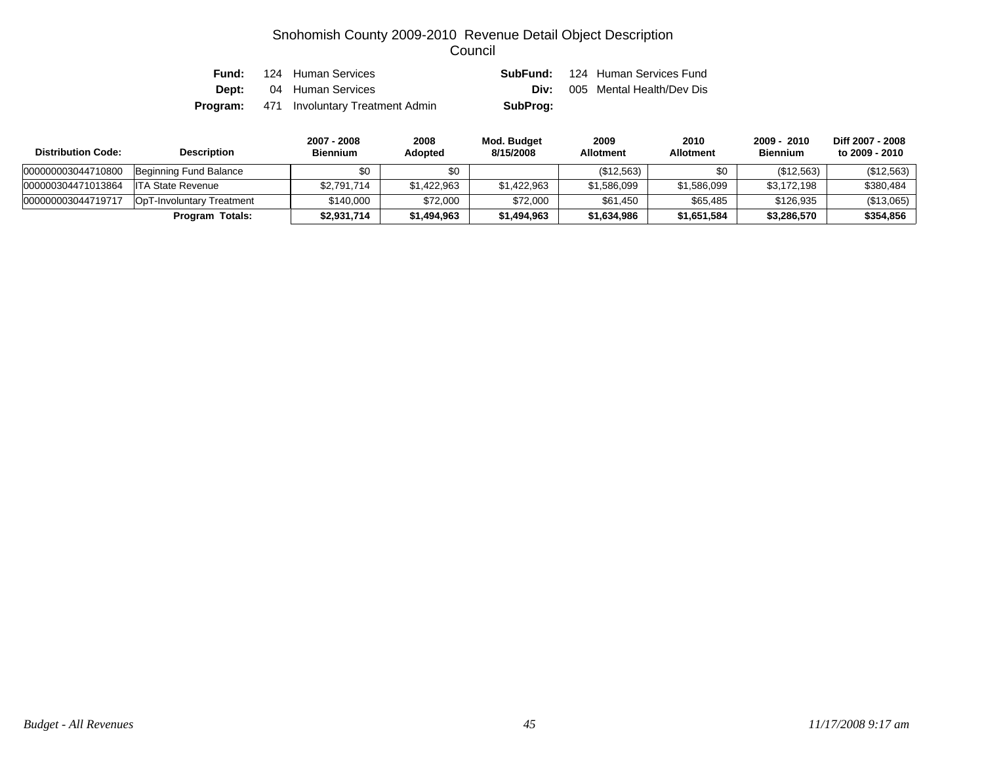| Fund: | 124 Human Services                              |          | <b>SubFund:</b> 124 Human Services Fund |
|-------|-------------------------------------------------|----------|-----------------------------------------|
|       | <b>Dept:</b> 04 Human Services                  | Div:     | 005 Mental Health/Dev Dis               |
|       | <b>Program:</b> 471 Involuntary Treatment Admin | SubProg: |                                         |

| <b>Distribution Code:</b> | <b>Description</b>        | 2007 - 2008<br><b>Biennium</b> | 2008<br><b>Adopted</b> | Mod. Budget<br>8/15/2008 | 2009<br><b>Allotment</b> | 2010<br><b>Allotment</b> | 2009 - 2010<br><b>Biennium</b> | Diff 2007 - 2008<br>to 2009 - 2010 |
|---------------------------|---------------------------|--------------------------------|------------------------|--------------------------|--------------------------|--------------------------|--------------------------------|------------------------------------|
| 000000003044710800        | Beginning Fund Balance    | \$0                            | \$0                    |                          | (\$12,563)               | \$0                      | (\$12,563)                     | (\$12,563)                         |
| 000000304471013864        | ITA State Revenue         | \$2,791,714                    | \$1,422,963            | \$1,422,963              | \$1,586,099              | \$1,586,099              | \$3,172,198                    | \$380,484                          |
| 000000003044719717        | OpT-Involuntary Treatment | \$140.000                      | \$72,000               | \$72,000                 | \$61,450                 | \$65,485                 | \$126,935                      | (\$13,065)                         |
|                           | Program Totals:           | \$2,931,714                    | \$1,494,963            | \$1,494,963              | \$1,634,986              | \$1,651,584              | \$3,286,570                    | \$354,856                          |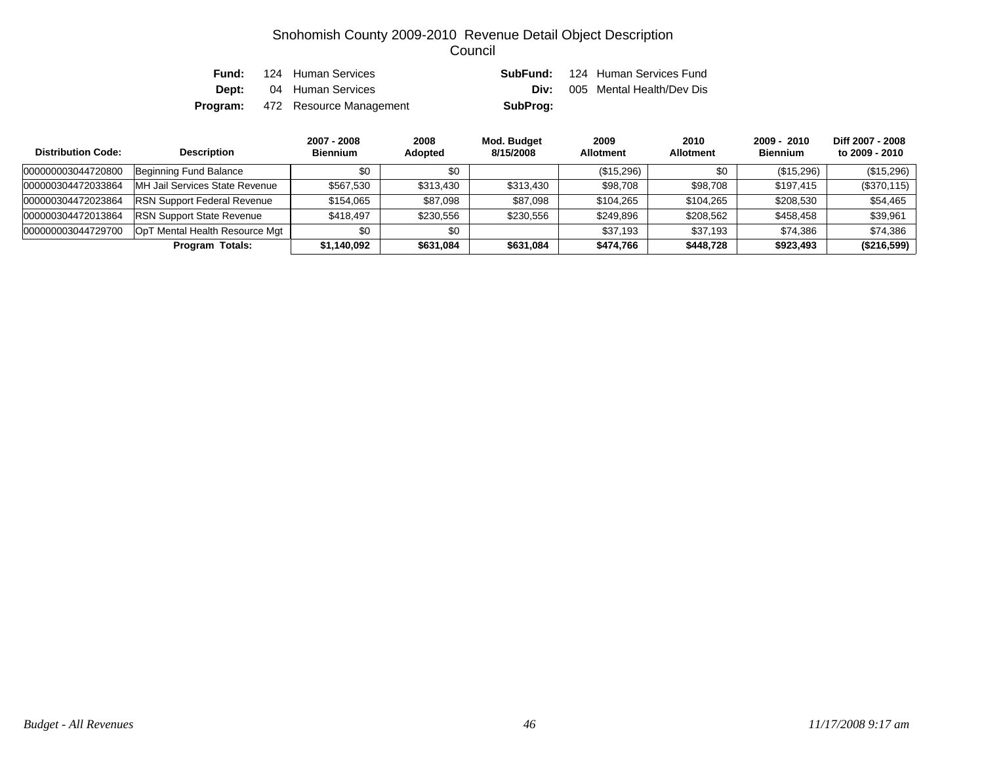| Fund: | 124 Human Services                      |          | <b>SubFund:</b> 124 Human Services Fund |
|-------|-----------------------------------------|----------|-----------------------------------------|
|       | <b>Dept:</b> 04 Human Services          |          | <b>Div:</b> 005 Mental Health/Dev Dis   |
|       | <b>Program:</b> 472 Resource Management | SubProg: |                                         |

| <b>Distribution Code:</b> | <b>Description</b>                 | 2007 - 2008<br><b>Biennium</b> | 2008<br><b>Adopted</b> | Mod. Budget<br>8/15/2008 | 2009<br><b>Allotment</b> | 2010<br><b>Allotment</b> | $2009 - 2010$<br><b>Biennium</b> | Diff 2007 - 2008<br>to 2009 - 2010 |
|---------------------------|------------------------------------|--------------------------------|------------------------|--------------------------|--------------------------|--------------------------|----------------------------------|------------------------------------|
| 000000003044720800        | Beginning Fund Balance             | \$0                            | \$0                    |                          | (\$15,296)               | \$0                      | (\$15,296)                       | (\$15,296)                         |
| 000000304472033864        | MH Jail Services State Revenue     | \$567,530                      | \$313,430              | \$313,430                | \$98,708                 | \$98,708                 | \$197,415                        | (\$370,115)                        |
| 000000304472023864        | <b>RSN Support Federal Revenue</b> | \$154.065                      | \$87,098               | \$87,098                 | \$104,265                | \$104.265                | \$208,530                        | \$54,465                           |
| 000000304472013864        | <b>RSN Support State Revenue</b>   | \$418.497                      | \$230,556              | \$230,556                | \$249,896                | \$208.562                | \$458.458                        | \$39,961                           |
| 000000003044729700        | OpT Mental Health Resource Mgt     | \$0                            | \$0                    |                          | \$37.193                 | \$37.193                 | \$74,386                         | \$74.386                           |
|                           | Program Totals:                    | \$1,140,092                    | \$631,084              | \$631,084                | \$474,766                | \$448.728                | \$923,493                        | (\$216,599)                        |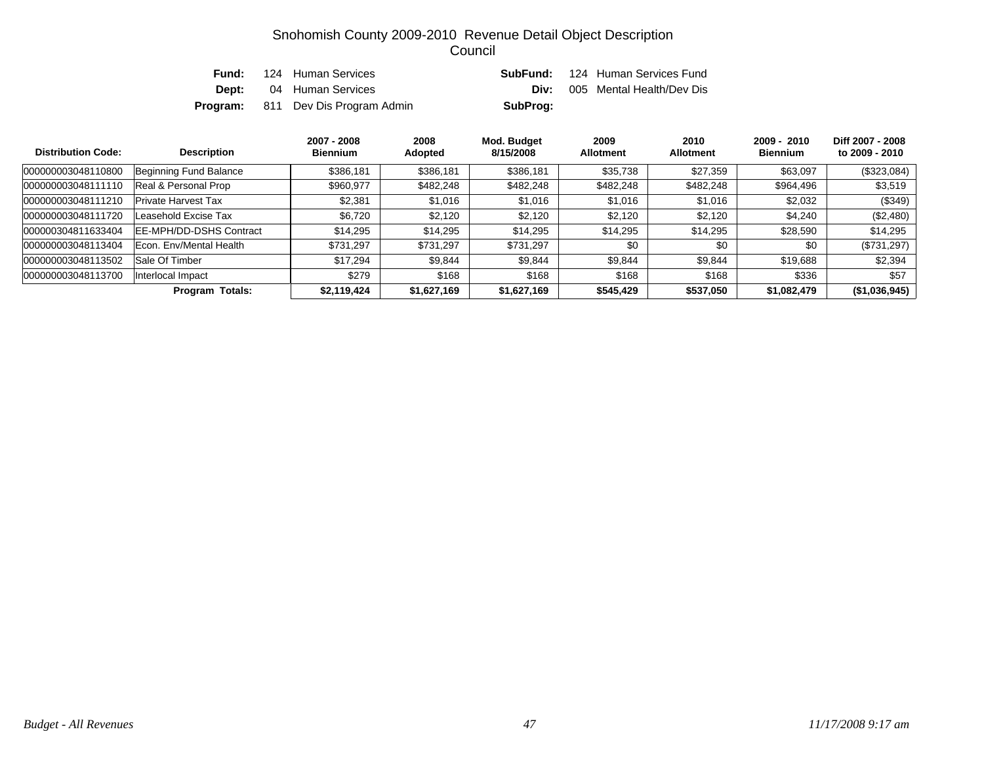| Fund: | 124 Human Services                        |          | <b>SubFund:</b> 124 Human Services Fund |
|-------|-------------------------------------------|----------|-----------------------------------------|
|       | <b>Dept:</b> 04 Human Services            |          | <b>Div:</b> 005 Mental Health/Dev Dis   |
|       | <b>Program:</b> 811 Dev Dis Program Admin | SubProg: |                                         |

| <b>Distribution Code:</b> | <b>Description</b>              | 2007 - 2008<br><b>Biennium</b> | 2008<br>Adopted | Mod. Budget<br>8/15/2008 | 2009<br><b>Allotment</b> | 2010<br><b>Allotment</b> | $2009 - 2010$<br><b>Biennium</b> | Diff 2007 - 2008<br>to 2009 - 2010 |
|---------------------------|---------------------------------|--------------------------------|-----------------|--------------------------|--------------------------|--------------------------|----------------------------------|------------------------------------|
| 000000003048110800        | Beginning Fund Balance          | \$386,181                      | \$386,181       | \$386,181                | \$35,738                 | \$27.359                 | \$63,097                         | $(\$323,084)$                      |
| 000000003048111110        | Real & Personal Prop            | \$960,977                      | \$482,248       | \$482,248                | \$482,248                | \$482,248                | \$964,496                        | \$3,519                            |
| 000000003048111210        | <b>Private Harvest Tax</b>      | \$2.381                        | \$1,016         | \$1,016                  | \$1.016                  | \$1.016                  | \$2,032                          | (\$349)                            |
| 000000003048111720        | Leasehold Excise Tax            | \$6.720                        | \$2.120         | \$2,120                  | \$2,120                  | \$2,120                  | \$4,240                          | (\$2,480)                          |
| 000000304811633404        | <b>IEE-MPH/DD-DSHS Contract</b> | \$14.295                       | \$14,295        | \$14,295                 | \$14,295                 | \$14,295                 | \$28,590                         | \$14,295                           |
| 000000003048113404        | Econ, Env/Mental Health         | \$731,297                      | \$731.297       | \$731,297                | \$0                      | \$0                      | \$0                              | $(\$731,297)$                      |
| 000000003048113502        | Sale Of Timber                  | \$17.294                       | \$9,844         | \$9,844                  | \$9.844                  | \$9,844                  | \$19,688                         | \$2,394                            |
| 000000003048113700        | Interlocal Impact               | \$279                          | \$168           | \$168                    | \$168                    | \$168                    | \$336                            | \$57                               |
|                           | <b>Program Totals:</b>          | \$2,119,424                    | \$1,627,169     | \$1,627,169              | \$545,429                | \$537,050                | \$1,082,479                      | (\$1,036,945)                      |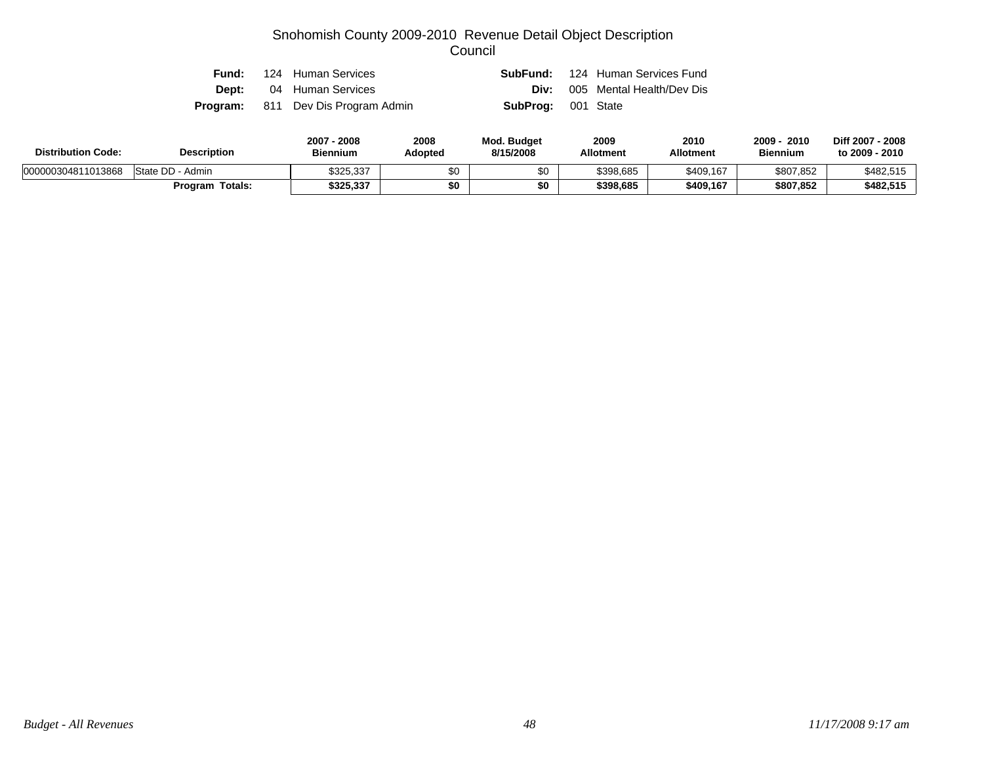|  | <b>Fund:</b> 124 Human Services           |                           | <b>SubFund:</b> 124 Human Services Fund |
|--|-------------------------------------------|---------------------------|-----------------------------------------|
|  | <b>Dept:</b> 04 Human Services            |                           | <b>Div:</b> 005 Mental Health/Dev Dis   |
|  | <b>Program:</b> 811 Dev Dis Program Admin | <b>SubProg:</b> 001 State |                                         |

| <b>Distribution Code:</b> | <b>Description</b>     | 2007 - 2008<br><b>Biennium</b> | 2008<br>Adopted | <b>Mod. Budget</b><br>8/15/2008 | 2009<br><b>Allotment</b> | 2010<br><b>Allotment</b> | 2009<br>2010<br><b>Biennium</b> | Diff 2007 - 2008<br>to 2009 - 2010 |
|---------------------------|------------------------|--------------------------------|-----------------|---------------------------------|--------------------------|--------------------------|---------------------------------|------------------------------------|
| 000000304811013868        | State DD - Admin       | \$325,337                      |                 |                                 | \$398,685                | \$409,167                | \$807,852                       | \$482,515                          |
|                           | <b>Program Totals:</b> | \$325,337                      | \$0             |                                 | \$398.685                | \$409.167                | \$807.852                       | \$482,515                          |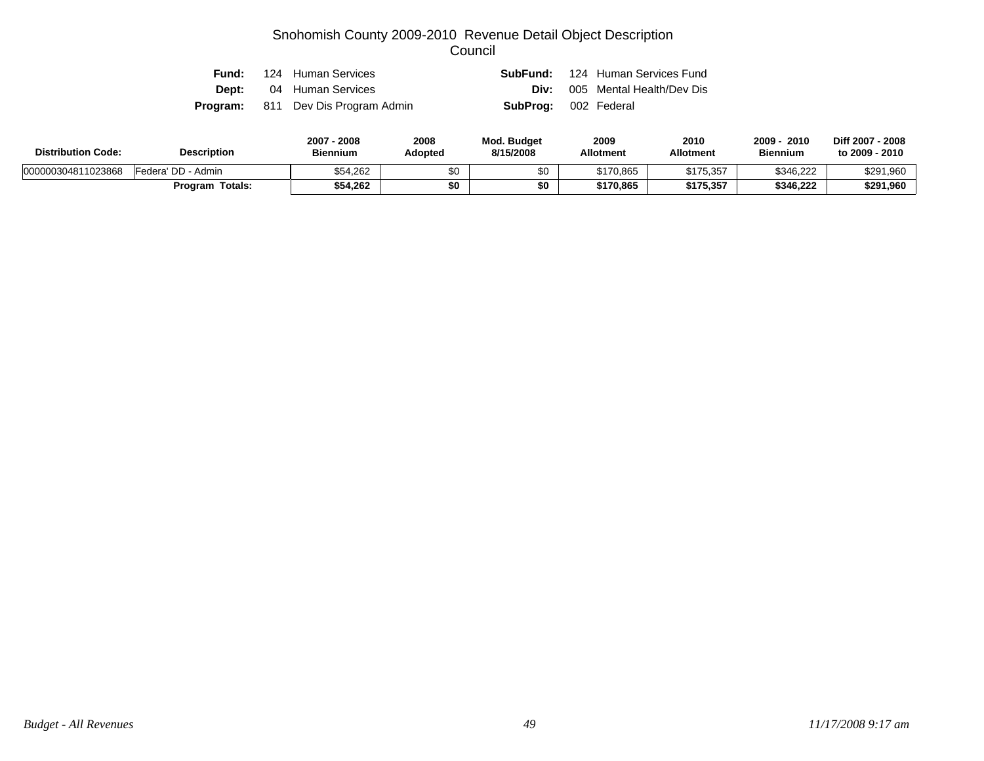|  | <b>Fund:</b> 124 Human Services           |                             | <b>SubFund:</b> 124 Human Services Fund |
|--|-------------------------------------------|-----------------------------|-----------------------------------------|
|  | <b>Dept:</b> 04 Human Services            |                             | <b>Div:</b> 005 Mental Health/Dev Dis   |
|  | <b>Program:</b> 811 Dev Dis Program Admin | <b>SubProg:</b> 002 Federal |                                         |

| <b>Distribution Code:</b> | <b>Description</b>     | 2007 - 2008<br><b>Biennium</b> | 2008<br>Adopted | <b>Mod. Budget</b><br>8/15/2008 | 2009<br><b>Allotment</b> | 2010<br><b>Allotment</b> | 2009<br>2010<br><b>Biennium</b> | Diff 2007 - 2008<br>to 2009 - 2010 |
|---------------------------|------------------------|--------------------------------|-----------------|---------------------------------|--------------------------|--------------------------|---------------------------------|------------------------------------|
| 000000304811023868        | Federa' DD - Admin     | \$54.262                       |                 | \$0                             | \$170,865                | \$175,357                | \$346,222                       | \$291,960                          |
|                           | <b>Program Totals:</b> | \$54.262                       | \$0             |                                 | \$170.865                | \$175.357                | \$346.222                       | \$291,960                          |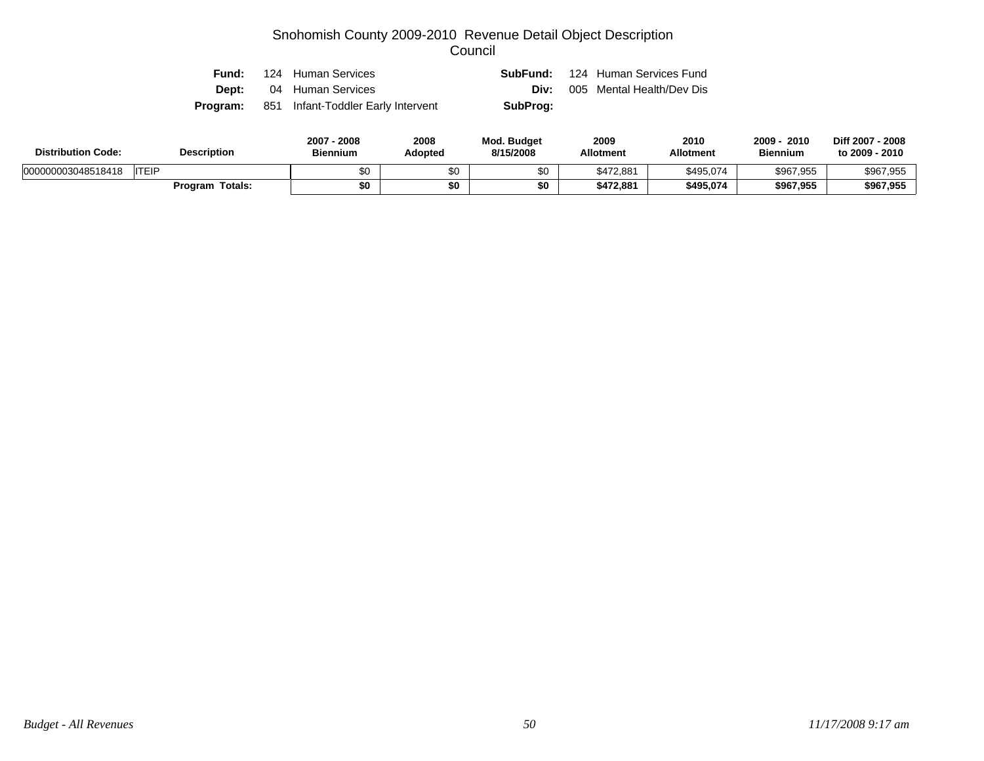| Fund: | 124 Human Services                                 |          | <b>SubFund:</b> 124 Human Services Fund |
|-------|----------------------------------------------------|----------|-----------------------------------------|
| Dept: | 04 Human Services                                  |          | <b>Div:</b> 005 Mental Health/Dev Dis   |
|       | <b>Program:</b> 851 Infant-Toddler Early Intervent | SubProg: |                                         |

| <b>Distribution Code:</b>          | <b>Description</b> | 2007<br>2008<br>Biennium | 2008<br>Adopted | <b>Mod. Budget</b><br>8/15/2008 | 2009<br><b>Allotment</b> | 2010<br><b>Allotment</b> | 2009<br>2010<br><b>Biennium</b> | Diff 2007 - 2008<br>to 2009 - 2010 |
|------------------------------------|--------------------|--------------------------|-----------------|---------------------------------|--------------------------|--------------------------|---------------------------------|------------------------------------|
| <b>ITEIP</b><br>000000003048518418 |                    | \$0                      | ሖ<br>ა∪         |                                 | \$472.881                | \$495,074                | \$967,955                       | \$967,955                          |
|                                    | Program<br>Totals: | \$0                      | \$0             | \$0                             | \$472.881                | \$495.074                | \$967,955                       | \$967,955                          |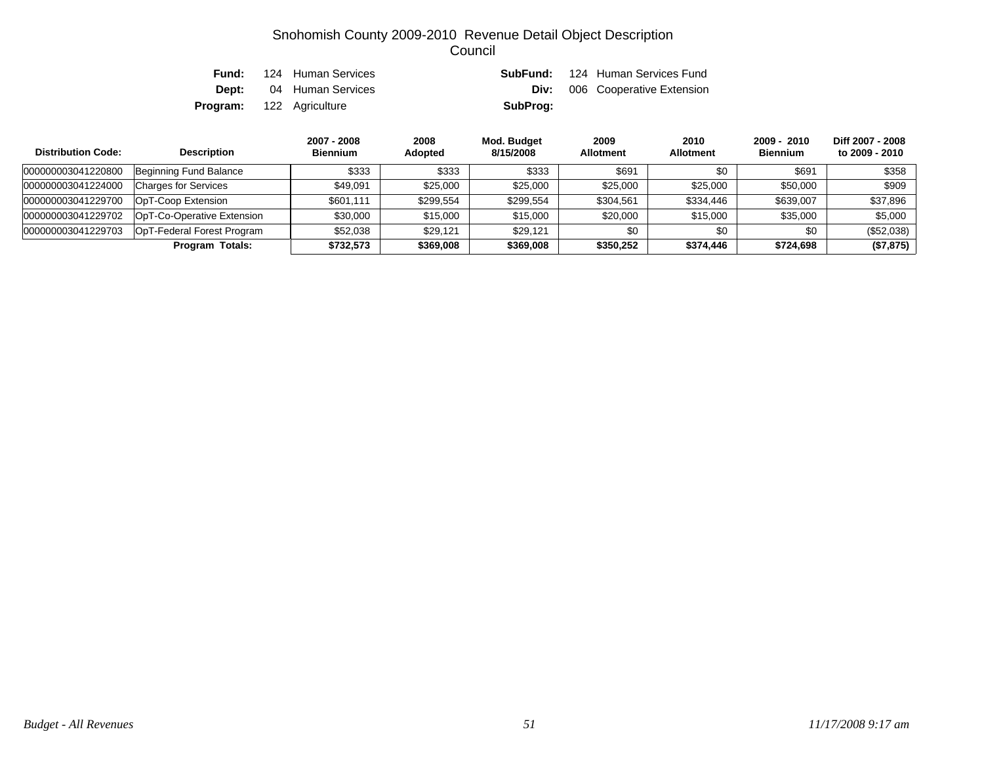| Fund: | 124 Human Services              |          | <b>SubFund:</b> 124 Human Services Fund |
|-------|---------------------------------|----------|-----------------------------------------|
|       | <b>Dept:</b> 04 Human Services  |          | <b>Div:</b> 006 Cooperative Extension   |
|       | <b>Program:</b> 122 Agriculture | SubProg: |                                         |

| <b>Distribution Code:</b> | <b>Description</b>          | 2007 - 2008<br><b>Biennium</b> | 2008<br>Adopted | Mod. Budget<br>8/15/2008 | 2009<br><b>Allotment</b> | 2010<br><b>Allotment</b> | 2009 - 2010<br><b>Biennium</b> | Diff 2007 - 2008<br>to 2009 - 2010 |
|---------------------------|-----------------------------|--------------------------------|-----------------|--------------------------|--------------------------|--------------------------|--------------------------------|------------------------------------|
| 000000003041220800        | Beginning Fund Balance      | \$333                          | \$333           | \$333                    | \$691                    | \$0                      | \$691                          | \$358                              |
| 000000003041224000        | <b>Charges for Services</b> | \$49.091                       | \$25,000        | \$25,000                 | \$25,000                 | \$25,000                 | \$50,000                       | \$909                              |
| 000000003041229700        | OpT-Coop Extension          | \$601.111                      | \$299,554       | \$299,554                | \$304,561                | \$334,446                | \$639,007                      | \$37,896                           |
| 000000003041229702        | OpT-Co-Operative Extension  | \$30,000                       | \$15,000        | \$15,000                 | \$20,000                 | \$15,000                 | \$35,000                       | \$5,000                            |
| 000000003041229703        | OpT-Federal Forest Program  | \$52.038                       | \$29.121        | \$29.121                 | \$0                      | \$0                      | \$0                            | (\$52,038)                         |
|                           | <b>Program Totals:</b>      | \$732.573                      | \$369,008       | \$369,008                | \$350,252                | \$374,446                | \$724,698                      | (\$7,875)                          |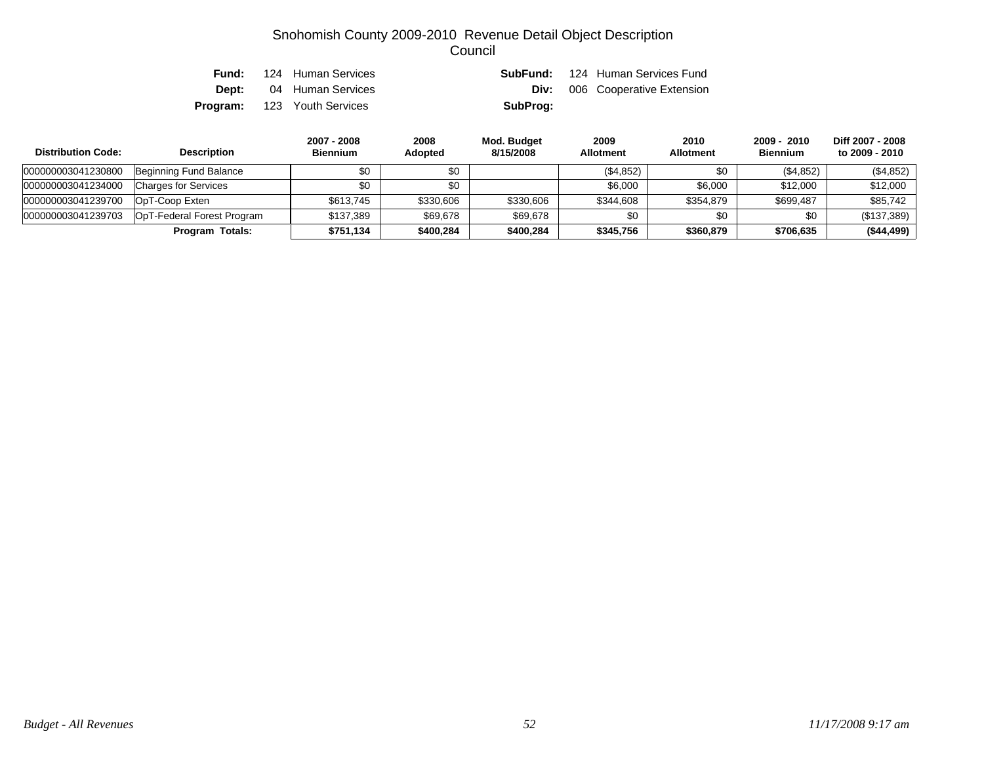|  | <b>Fund:</b> 124 Human Services    |          | <b>SubFund:</b> 124 Human Services Fund |
|--|------------------------------------|----------|-----------------------------------------|
|  | <b>Dept:</b> 04 Human Services     |          | <b>Div:</b> 006 Cooperative Extension   |
|  | <b>Program:</b> 123 Youth Services | SubProg: |                                         |

| <b>Distribution Code:</b> | <b>Description</b>          | 2007 - 2008<br><b>Biennium</b> | 2008<br><b>Adopted</b> | Mod. Budget<br>8/15/2008 | 2009<br><b>Allotment</b> | 2010<br><b>Allotment</b> | $2009 - 2010$<br><b>Biennium</b> | Diff 2007 - 2008<br>to 2009 - 2010 |
|---------------------------|-----------------------------|--------------------------------|------------------------|--------------------------|--------------------------|--------------------------|----------------------------------|------------------------------------|
| 000000003041230800        | Beginning Fund Balance      | \$0                            | \$0                    |                          | (\$4,852)                | \$0                      | (\$4,852)                        | (\$4,852)                          |
| 000000003041234000        | <b>Charges for Services</b> | \$0                            | \$0                    |                          | \$6,000                  | \$6,000                  | \$12,000                         | \$12,000                           |
| 000000003041239700        | OpT-Coop Exten              | \$613.745                      | \$330,606              | \$330,606                | \$344.608                | \$354,879                | \$699.487                        | \$85,742                           |
| 000000003041239703        | OpT-Federal Forest Program  | \$137.389                      | \$69,678               | \$69,678                 | \$0                      | \$0                      | \$0                              | (\$137,389)                        |
|                           | <b>Program Totals:</b>      | \$751,134                      | \$400,284              | \$400.284                | \$345.756                | \$360,879                | \$706,635                        | (\$44,499)                         |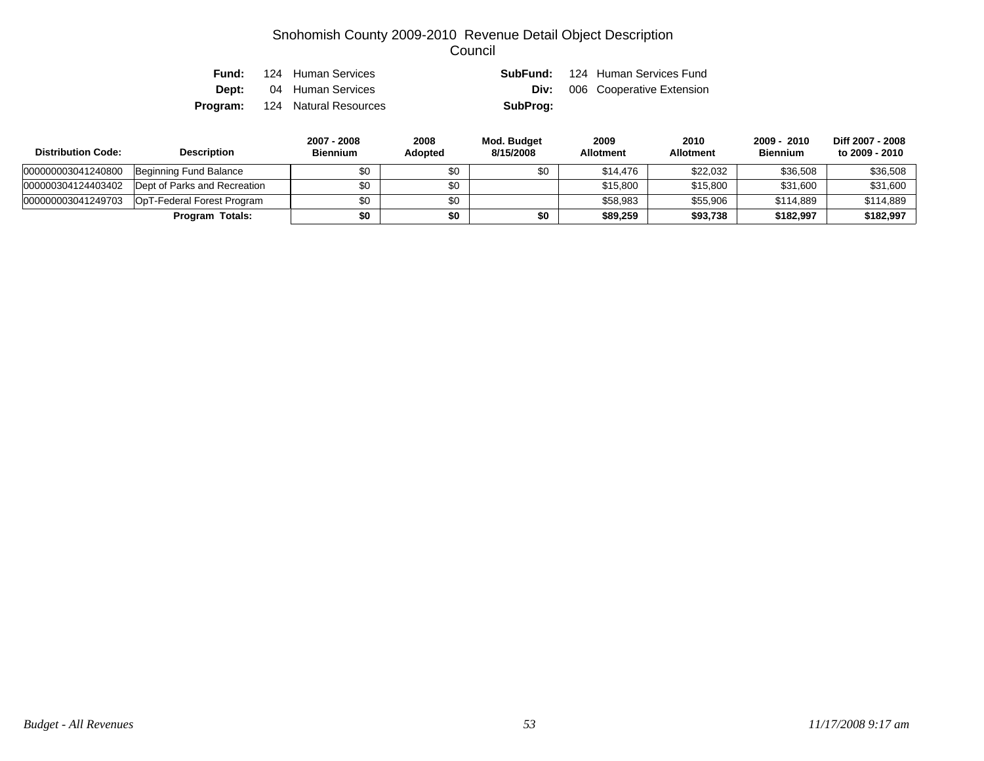| Fund: I | 124 Human Services                    |          | <b>SubFund:</b> 124 Human Services Fund |
|---------|---------------------------------------|----------|-----------------------------------------|
|         | <b>Dept:</b> 04 Human Services        | Div:     | 006 Cooperative Extension               |
|         | <b>Program:</b> 124 Natural Resources | SubProg: |                                         |

| <b>Distribution Code:</b> | <b>Description</b>           | 2007 - 2008<br><b>Biennium</b> | 2008<br>Adopted | Mod. Budget<br>8/15/2008 | 2009<br><b>Allotment</b> | 2010<br><b>Allotment</b> | 2009 - 2010<br><b>Biennium</b> | Diff 2007 - 2008<br>to 2009 - 2010 |
|---------------------------|------------------------------|--------------------------------|-----------------|--------------------------|--------------------------|--------------------------|--------------------------------|------------------------------------|
| 000000003041240800        | Beginning Fund Balance       | \$0                            | \$0             | \$0                      | \$14,476                 | \$22.032                 | \$36,508                       | \$36,508                           |
| 000000304124403402        | Dept of Parks and Recreation | \$0                            | \$0             |                          | \$15,800                 | \$15,800                 | \$31,600                       | \$31,600                           |
| 000000003041249703        | OpT-Federal Forest Program   | \$0                            | \$0             |                          | \$58,983                 | \$55.906                 | \$114.889                      | \$114,889                          |
|                           | <b>Program Totals:</b>       | \$0                            | \$0             | \$0                      | \$89,259                 | \$93,738                 | \$182,997                      | \$182,997                          |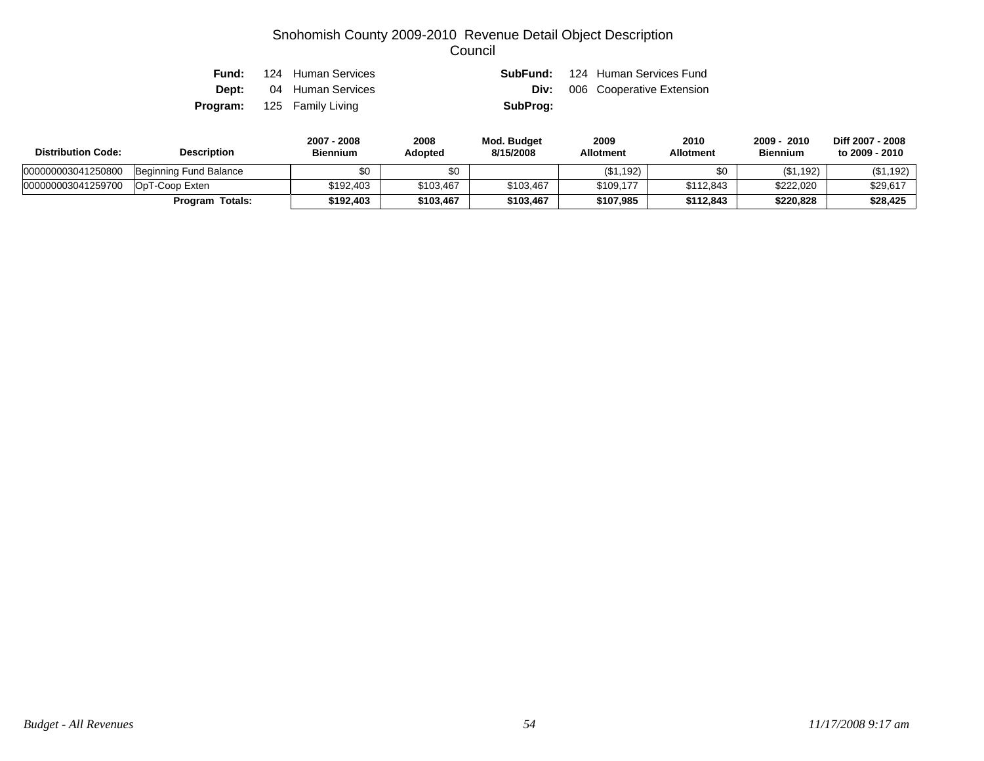|  | <b>Fund:</b> 124 Human Services   |          | <b>SubFund:</b> 124 Human Services Fund |
|--|-----------------------------------|----------|-----------------------------------------|
|  | <b>Dept:</b> 04 Human Services    |          | <b>Div:</b> 006 Cooperative Extension   |
|  | <b>Program:</b> 125 Family Living | SubProg: |                                         |

| <b>Distribution Code:</b> | <b>Description</b>     | 2007 - 2008<br><b>Biennium</b> | 2008<br>Adopted | Mod. Budget<br>8/15/2008 | 2009<br><b>Allotment</b> | 2010<br><b>Allotment</b> | 2009<br>2010<br><b>Biennium</b> | Diff 2007 - 2008<br>to 2009 - 2010 |
|---------------------------|------------------------|--------------------------------|-----------------|--------------------------|--------------------------|--------------------------|---------------------------------|------------------------------------|
| 000000003041250800        | Beginning Fund Balance |                                | \$0             |                          | (\$1,192)                |                          | (\$1,192)                       | (\$1,192)                          |
| 000000003041259700        | OpT-Coop Exten         | \$192.403                      | \$103,467       | \$103,467                | \$109.177                | \$112.843                | \$222,020                       | \$29,617                           |
|                           | <b>Program Totals:</b> | \$192.403                      | \$103,467       | \$103.467                | \$107.985                | \$112.843                | \$220.828                       | \$28,425                           |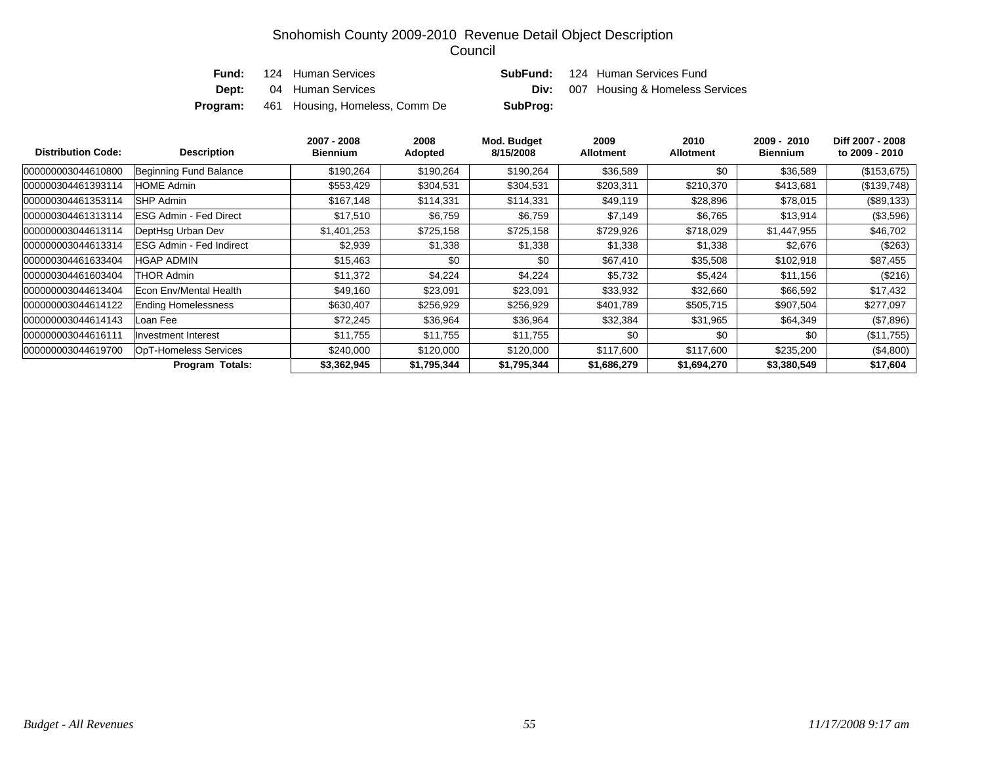| Fund:    | 124 Human Services             |          | <b>SubFund:</b> 124 Human Services Fund     |
|----------|--------------------------------|----------|---------------------------------------------|
| Dept:    | 04 Human Services              |          | <b>Div:</b> 007 Housing & Homeless Services |
| Program: | 461 Housing, Homeless, Comm De | SubProg: |                                             |

| <b>Distribution Code:</b> | <b>Description</b>              | 2007 - 2008<br><b>Biennium</b> | 2008<br>Adopted | Mod. Budget<br>8/15/2008 | 2009<br><b>Allotment</b> | 2010<br><b>Allotment</b> | 2009 - 2010<br><b>Biennium</b> | Diff 2007 - 2008<br>to 2009 - 2010 |
|---------------------------|---------------------------------|--------------------------------|-----------------|--------------------------|--------------------------|--------------------------|--------------------------------|------------------------------------|
| 000000003044610800        | Beginning Fund Balance          | \$190,264                      | \$190,264       | \$190,264                | \$36,589                 | \$0                      | \$36,589                       | (\$153,675)                        |
| 000000304461393114        | <b>HOME Admin</b>               | \$553,429                      | \$304,531       | \$304,531                | \$203,311                | \$210,370                | \$413,681                      | $(\$139,748)$                      |
| 000000304461353114        | <b>ISHP Admin</b>               | \$167,148                      | \$114,331       | \$114,331                | \$49,119                 | \$28,896                 | \$78,015                       | $(\$89,133)$                       |
| 000000304461313114        | IESG Admin - Fed Direct         | \$17,510                       | \$6,759         | \$6,759                  | \$7,149                  | \$6,765                  | \$13,914                       | $(\$3,596)$                        |
| 000000003044613114        | DeptHsq Urban Dev               | \$1,401,253                    | \$725,158       | \$725,158                | \$729,926                | \$718,029                | \$1,447,955                    | \$46,702                           |
| 000000003044613314        | <b>ESG Admin - Fed Indirect</b> | \$2,939                        | \$1,338         | \$1,338                  | \$1,338                  | \$1,338                  | \$2,676                        | $(\$263)$                          |
| 000000304461633404        | HGAP ADMIN                      | \$15,463                       | \$0             | \$0                      | \$67,410                 | \$35,508                 | \$102,918                      | \$87,455                           |
| 000000304461603404        | THOR Admin                      | \$11,372                       | \$4,224         | \$4,224                  | \$5,732                  | \$5,424                  | \$11,156                       | (\$216)                            |
| 000000003044613404        | Econ Env/Mental Health          | \$49,160                       | \$23,091        | \$23,091                 | \$33,932                 | \$32,660                 | \$66,592                       | \$17,432                           |
| 000000003044614122        | <b>Ending Homelessness</b>      | \$630,407                      | \$256,929       | \$256,929                | \$401,789                | \$505,715                | \$907,504                      | \$277,097                          |
| 000000003044614143        | Loan Fee                        | \$72,245                       | \$36,964        | \$36,964                 | \$32,384                 | \$31,965                 | \$64,349                       | (\$7,896)                          |
| 000000003044616111        | Investment Interest             | \$11,755                       | \$11,755        | \$11,755                 | \$0                      | \$0                      | \$0                            | (\$11,755)                         |
| 000000003044619700        | <b>OpT-Homeless Services</b>    | \$240,000                      | \$120,000       | \$120,000                | \$117,600                | \$117,600                | \$235,200                      | (\$4,800)                          |
|                           | <b>Program Totals:</b>          | \$3,362,945                    | \$1,795,344     | \$1,795,344              | \$1,686,279              | \$1,694,270              | \$3,380,549                    | \$17,604                           |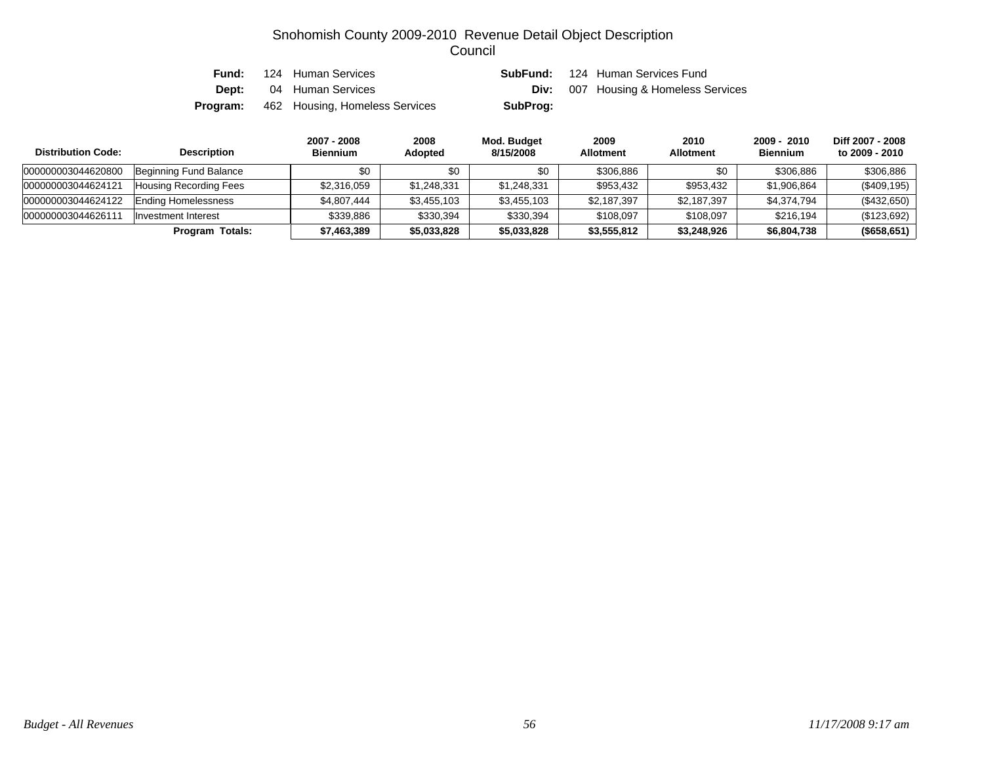| Fund:        | 124 Human Services             |          | <b>SubFund:</b> 124 Human Services Fund     |
|--------------|--------------------------------|----------|---------------------------------------------|
| <b>Dept:</b> | 04 Human Services              |          | <b>Div:</b> 007 Housing & Homeless Services |
| Program:     | 462 Housing, Homeless Services | SubProg: |                                             |

| <b>Distribution Code:</b> | <b>Description</b>            | 2007 - 2008<br><b>Biennium</b> | 2008<br><b>Adopted</b> | Mod. Budget<br>8/15/2008 | 2009<br><b>Allotment</b> | 2010<br><b>Allotment</b> | 2009 - 2010<br><b>Biennium</b> | Diff 2007 - 2008<br>to 2009 - 2010 |
|---------------------------|-------------------------------|--------------------------------|------------------------|--------------------------|--------------------------|--------------------------|--------------------------------|------------------------------------|
| 000000003044620800        | Beginning Fund Balance        | \$0                            | \$0                    | \$0                      | \$306.886                | \$0                      | \$306,886                      | \$306,886                          |
| 000000003044624121        | <b>Housing Recording Fees</b> | \$2,316,059                    | \$1,248,331            | \$1,248,331              | \$953,432                | \$953,432                | \$1,906.864                    | (\$409, 195)                       |
| 000000003044624122        | <b>Ending Homelessness</b>    | \$4.807.444                    | \$3,455,103            | \$3,455,103              | \$2,187,397              | \$2,187,397              | \$4,374,794                    | (\$432,650)                        |
| 00000000304462611         | Investment Interest           | \$339,886                      | \$330,394              | \$330,394                | \$108,097                | \$108,097                | \$216.194                      | (\$123,692)                        |
|                           | Program Totals:               | \$7,463,389                    | \$5,033,828            | \$5,033,828              | \$3,555,812              | \$3,248,926              | \$6,804,738                    | (\$658, 651)                       |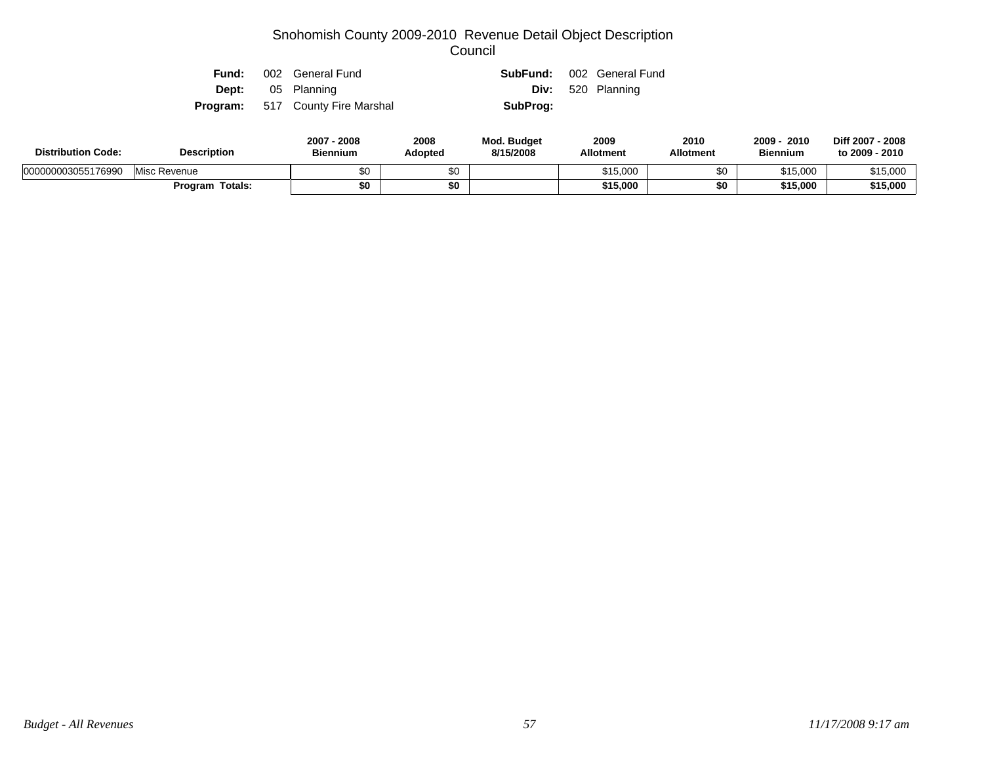|  | <b>Fund:</b> 002 General Fund           |          | <b>SubFund:</b> 002 General Fund |
|--|-----------------------------------------|----------|----------------------------------|
|  | <b>Dept:</b> 05 Planning                |          | <b>Div:</b> 520 Planning         |
|  | <b>Program:</b> 517 County Fire Marshal | SubProg: |                                  |

| <b>Distribution Code:</b> | <b>Description</b> | 2007 - 2008<br><b>Biennium</b> | 2008<br>Adopted | <b>Mod. Budget</b><br>8/15/2008 | 2009<br><b>Allotment</b> | 2010<br><b>Allotment</b> | 2009<br>2010<br><b>Biennium</b> | Diff 2007 - 2008<br>to 2009 - 2010 |
|---------------------------|--------------------|--------------------------------|-----------------|---------------------------------|--------------------------|--------------------------|---------------------------------|------------------------------------|
| 000000003055176990        | Misc Revenue       | \$0                            | \$0             |                                 | \$15,000                 | \$0                      | \$15,000                        | \$15.000                           |
|                           | Program Totals:    | \$0                            | \$0             |                                 | \$15,000                 | \$0                      | \$15,000                        | \$15,000                           |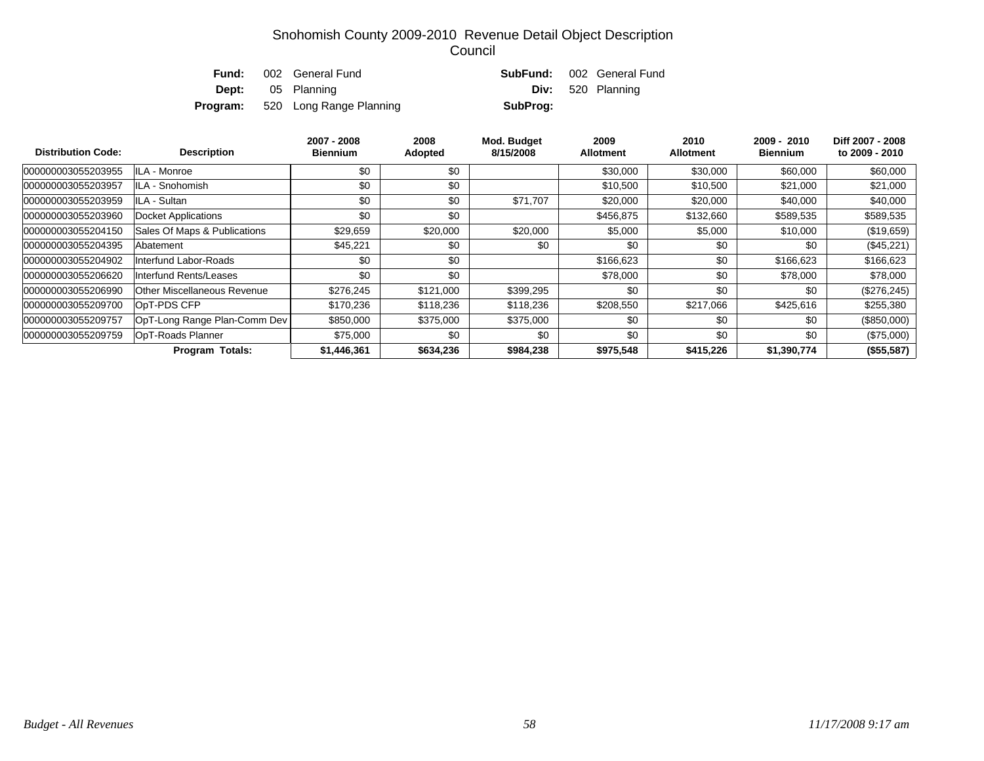| Fund: | 002 General Fund                        |          | <b>SubFund:</b> 002 General Fund |
|-------|-----------------------------------------|----------|----------------------------------|
|       | <b>Dept:</b> 05 Planning                |          | <b>Div:</b> 520 Planning         |
|       | <b>Program:</b> 520 Long Range Planning | SubProg: |                                  |

| <b>Distribution Code:</b> | <b>Description</b>                 | 2007 - 2008<br><b>Biennium</b> | 2008<br>Adopted | Mod. Budget<br>8/15/2008 | 2009<br><b>Allotment</b> | 2010<br><b>Allotment</b> | 2009 - 2010<br>Biennium | Diff 2007 - 2008<br>to 2009 - 2010 |
|---------------------------|------------------------------------|--------------------------------|-----------------|--------------------------|--------------------------|--------------------------|-------------------------|------------------------------------|
| 000000003055203955        | ILA - Monroe                       | \$0                            | \$0             |                          | \$30,000                 | \$30,000                 | \$60,000                | \$60,000                           |
| 000000003055203957        | ILA - Snohomish                    | \$0                            | \$0             |                          | \$10,500                 | \$10,500                 | \$21,000                | \$21,000                           |
| 000000003055203959        | ILA - Sultan                       | \$0                            | \$0             | \$71,707                 | \$20,000                 | \$20,000                 | \$40,000                | \$40,000                           |
| 000000003055203960        | Docket Applications                | \$0                            | \$0             |                          | \$456,875                | \$132,660                | \$589,535               | \$589,535                          |
| 000000003055204150        | Sales Of Maps & Publications       | \$29,659                       | \$20,000        | \$20,000                 | \$5,000                  | \$5,000                  | \$10,000                | (\$19,659)                         |
| 000000003055204395        | Abatement                          | \$45,221                       | \$0             | \$0                      | \$0                      | \$0                      | \$0                     | $(\$45,221)$                       |
| 000000003055204902        | Interfund Labor-Roads              | \$0                            | \$0             |                          | \$166,623                | \$0                      | \$166,623               | \$166,623                          |
| 000000003055206620        | Interfund Rents/Leases             | \$0                            | \$0             |                          | \$78,000                 | \$0                      | \$78,000                | \$78,000                           |
| 000000003055206990        | <b>Other Miscellaneous Revenue</b> | \$276.245                      | \$121,000       | \$399,295                | \$0                      | \$0                      | \$0                     | (\$276, 245)                       |
| 000000003055209700        | OpT-PDS CFP                        | \$170,236                      | \$118,236       | \$118,236                | \$208,550                | \$217,066                | \$425,616               | \$255,380                          |
| 000000003055209757        | OpT-Long Range Plan-Comm Dev       | \$850,000                      | \$375,000       | \$375,000                | \$0                      | \$0                      | \$0                     | $(\$850,000)$                      |
| 000000003055209759        | OpT-Roads Planner                  | \$75,000                       | \$0             | \$0                      | \$0                      | \$0                      | \$0                     | $(\$75,000)$                       |
|                           | <b>Program Totals:</b>             | \$1,446,361                    | \$634,236       | \$984,238                | \$975,548                | \$415,226                | \$1,390,774             | (\$55,587)                         |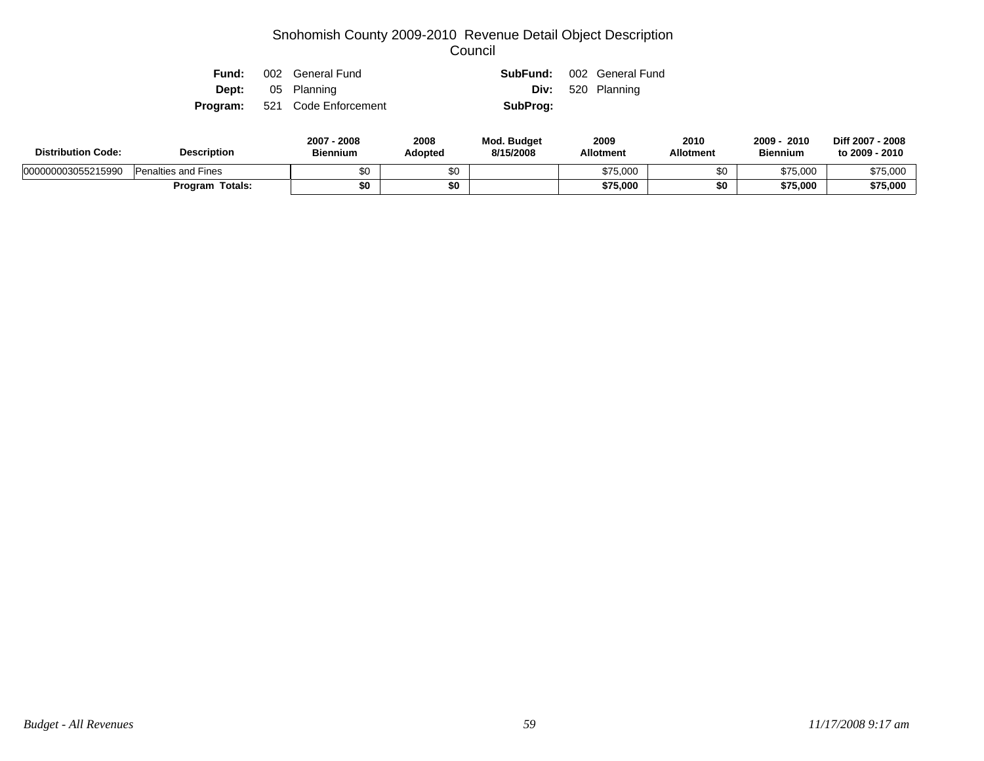|  | <b>Fund:</b> 002 General Fund        |          | <b>SubFund:</b> 002 General Fund |
|--|--------------------------------------|----------|----------------------------------|
|  | <b>Dept:</b> 05 Planning             |          | <b>Div:</b> 520 Planning         |
|  | <b>Program:</b> 521 Code Enforcement | SubProg: |                                  |

| <b>Description</b><br><b>Distribution Code:</b> |                            | 2007 - 2008<br><b>Biennium</b> | 2008<br>Adopted | Mod. Budget<br>8/15/2008 | 2009<br><b>Allotment</b> | 2010<br><b>Allotment</b> | 2009<br>2010<br><b>Biennium</b> | Diff 2007 - 2008<br>to 2009 - 2010 |
|-------------------------------------------------|----------------------------|--------------------------------|-----------------|--------------------------|--------------------------|--------------------------|---------------------------------|------------------------------------|
| 000000003055215990                              | <b>Penalties and Fines</b> | \$0                            |                 |                          | \$75,000                 | ΦU                       | \$75,000                        | \$75,000                           |
|                                                 | <b>Program Totals:</b>     | \$0                            | \$0             |                          | \$75,000                 |                          | \$75,000                        | \$75,000                           |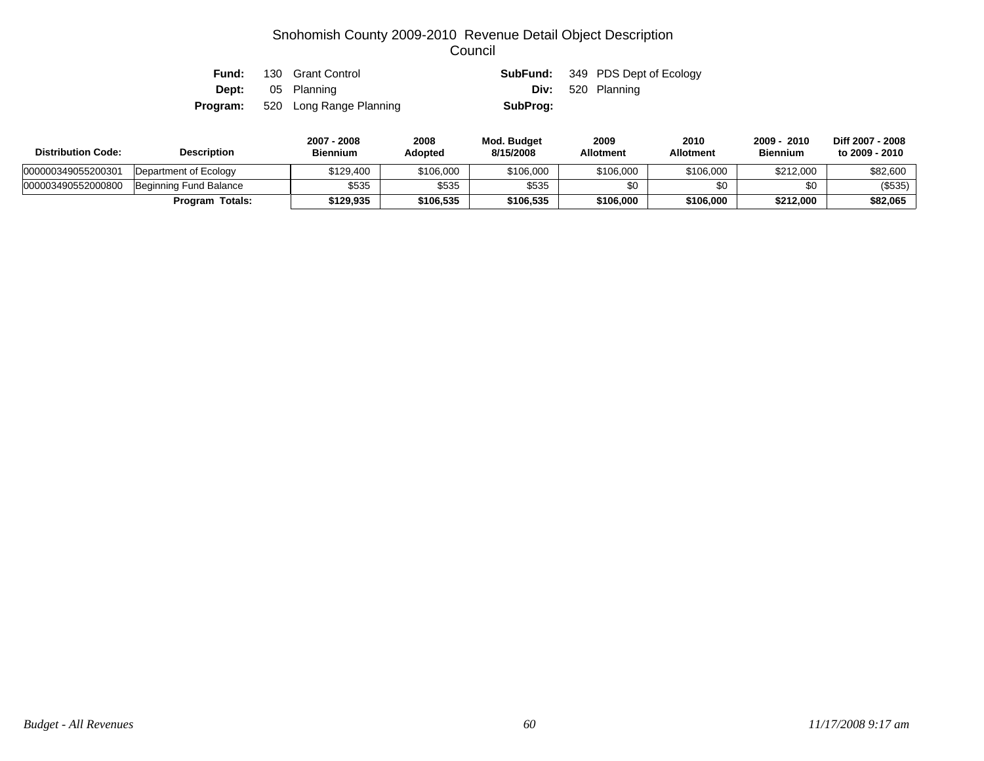| Fund:    | 130 Grant Control       |          | <b>SubFund:</b> 349 PDS Dept of Ecology |
|----------|-------------------------|----------|-----------------------------------------|
| Dept:    | 05 Planning             |          | <b>Div:</b> 520 Planning                |
| Program: | 520 Long Range Planning | SubProg: |                                         |

| <b>Distribution Code:</b> | <b>Description</b>     | 2007 - 2008<br>Biennium | 2008<br>Adopted | Mod. Budget<br>8/15/2008 | 2009<br><b>Allotment</b> | 2010<br><b>Allotment</b> | 2009 - 2010<br><b>Biennium</b> | Diff 2007 - 2008<br>to 2009 - 2010 |
|---------------------------|------------------------|-------------------------|-----------------|--------------------------|--------------------------|--------------------------|--------------------------------|------------------------------------|
| 000000349055200301        | Department of Ecology  | \$129.400               | \$106,000       | \$106,000                | \$106,000                | \$106,000                | \$212,000                      | \$82,600                           |
| 000003490552000800        | Beginning Fund Balance | \$535                   | \$535           | \$535                    | \$0                      | \$0                      |                                | (\$535)                            |
|                           | <b>Program Totals:</b> | \$129.935               | \$106,535       | \$106,535                | \$106,000                | \$106.000                | \$212,000                      | \$82,065                           |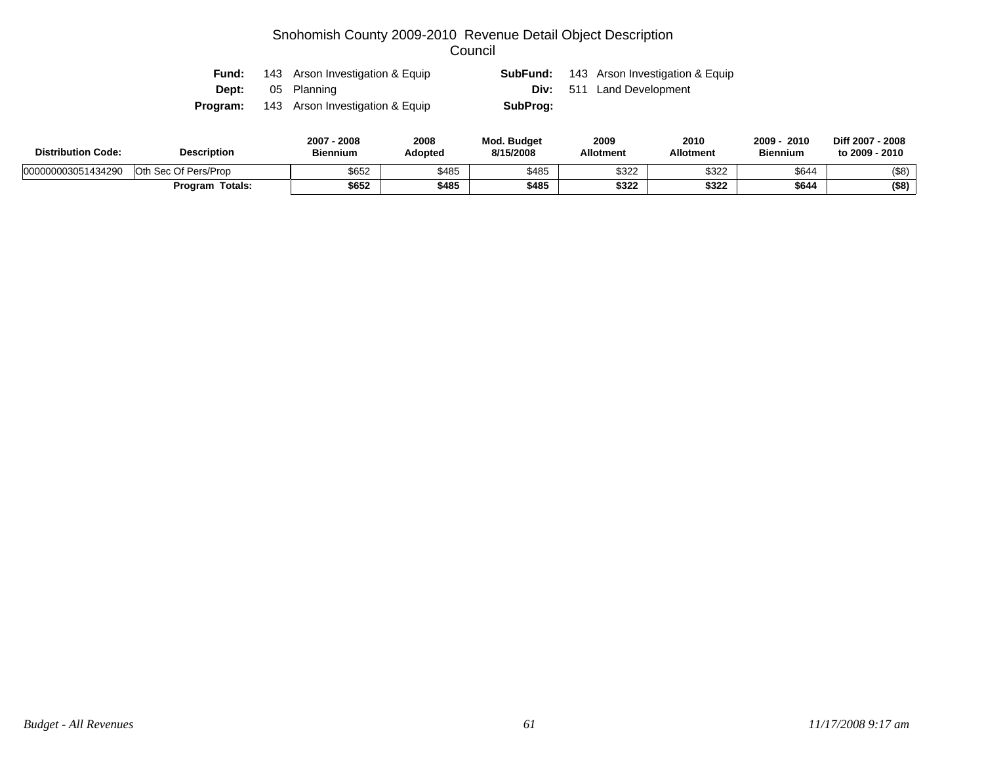| Fund:    | 143 Arson Investigation & Equip |          | <b>SubFund:</b> 143 Arson Investigation & Equip |
|----------|---------------------------------|----------|-------------------------------------------------|
| Dept:    | 05 Planning                     |          | <b>Div:</b> 511 Land Development                |
| Program: | 143 Arson Investigation & Equip | SubProg: |                                                 |

| <b>Distribution Code:</b> | <b>Description</b>   | 2007<br>2008<br><b>Biennium</b> | 2008<br>Adopted | <b>Mod. Budget</b><br>8/15/2008 | 2009<br><b>Allotment</b> | 2010<br><b>Allotment</b> | 2009<br>2010<br><b>Biennium</b> | Diff 2007 - 2008<br>to 2009 - 2010 |
|---------------------------|----------------------|---------------------------------|-----------------|---------------------------------|--------------------------|--------------------------|---------------------------------|------------------------------------|
| 000000003051434290        | Oth Sec Of Pers/Prop | \$652                           | \$485           | \$485                           | \$322                    | \$322                    | \$644                           | $($ \$8)                           |
|                           | Totals:<br>Program   | \$652                           | \$485           | \$485                           | \$322                    | \$322                    | \$644                           | (\$8)                              |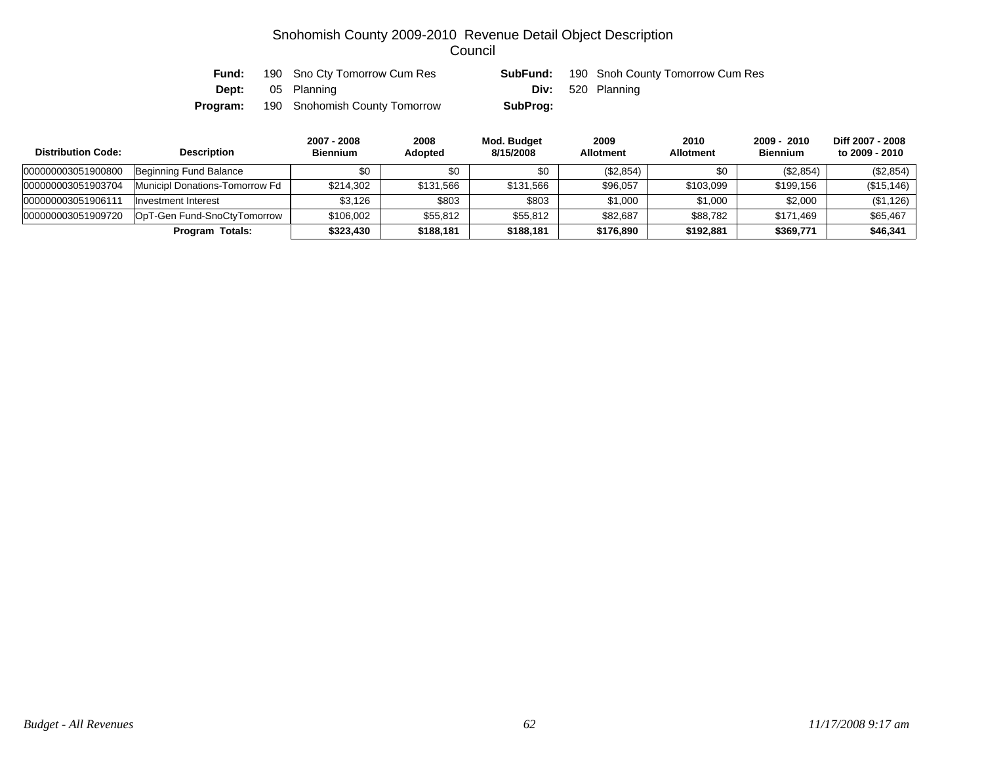| Fund:    | 190 Sno Cty Tomorrow Cum Res  | SubFund: | 190 Snoh County Tomorrow Cum Res |
|----------|-------------------------------|----------|----------------------------------|
|          | <b>Dept:</b> 05 Planning      |          | <b>Div:</b> 520 Planning         |
| Program: | 190 Snohomish County Tomorrow | SubProg: |                                  |

| <b>Distribution Code:</b> | <b>Description</b>             | 2007 - 2008<br><b>Biennium</b> | 2008<br><b>Adopted</b> | Mod. Budget<br>8/15/2008 | 2009<br><b>Allotment</b> | 2010<br><b>Allotment</b> | 2009 - 2010<br><b>Biennium</b> | Diff 2007 - 2008<br>to 2009 - 2010 |
|---------------------------|--------------------------------|--------------------------------|------------------------|--------------------------|--------------------------|--------------------------|--------------------------------|------------------------------------|
| 000000003051900800        | Beginning Fund Balance         | \$0                            | \$0                    | \$0                      | (\$2,854)                | \$0                      | (\$2,854)                      | (\$2,854)                          |
| 000000003051903704        | Municipl Donations-Tomorrow Fd | \$214,302                      | \$131,566              | \$131,566                | \$96,057                 | \$103,099                | \$199,156                      | (\$15, 146)                        |
| 000000003051906111        | Investment Interest            | \$3,126                        | \$803                  | \$803                    | \$1,000                  | \$1,000                  | \$2,000                        | (\$1,126)                          |
| 000000003051909720        | OpT-Gen Fund-SnoCtyTomorrow    | \$106,002                      | \$55,812               | \$55,812                 | \$82,687                 | \$88.782                 | \$171.469                      | \$65,467                           |
|                           | Totals:<br>Program             | \$323,430                      | \$188,181              | \$188,181                | \$176,890                | \$192,881                | \$369,771                      | \$46,341                           |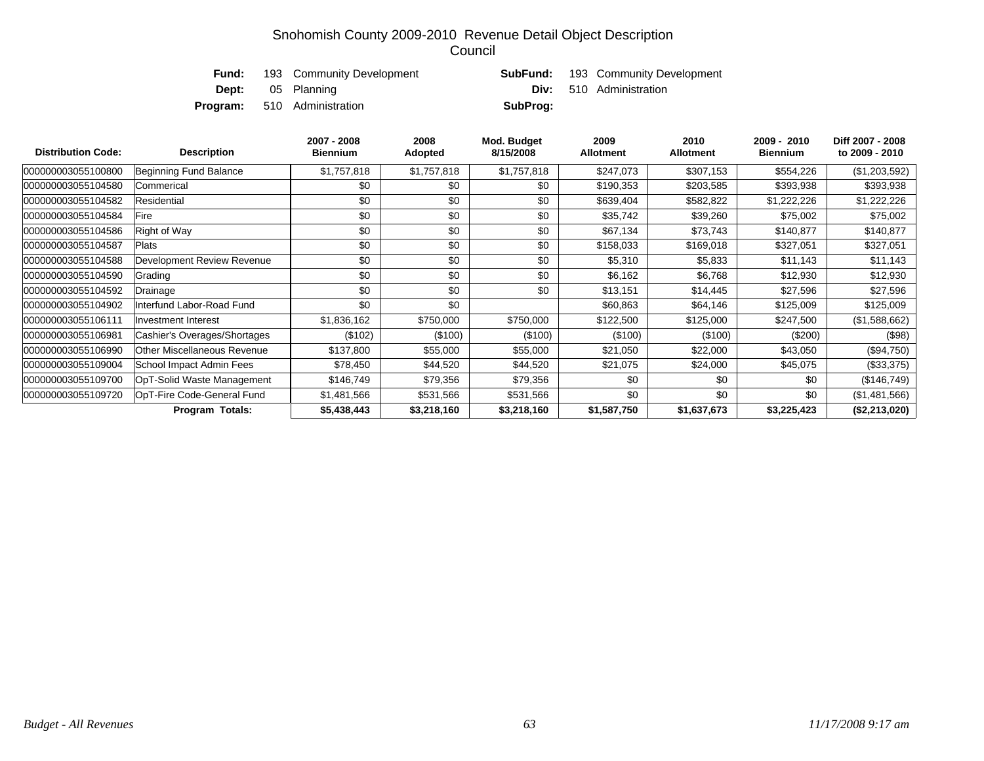| Fund: | 193 Community Development          |          | <b>SubFund:</b> 193 Community Development |
|-------|------------------------------------|----------|-------------------------------------------|
|       | <b>Dept:</b> 05 Planning           |          | <b>Div:</b> 510 Administration            |
|       | <b>Program:</b> 510 Administration | SubProg: |                                           |

| <b>Distribution Code:</b> | <b>Description</b>           | 2007 - 2008<br><b>Biennium</b> | 2008<br>Adopted | Mod. Budget<br>8/15/2008 | 2009<br><b>Allotment</b> | 2010<br><b>Allotment</b> | 2009 - 2010<br><b>Biennium</b> | Diff 2007 - 2008<br>to 2009 - 2010 |
|---------------------------|------------------------------|--------------------------------|-----------------|--------------------------|--------------------------|--------------------------|--------------------------------|------------------------------------|
| 000000003055100800        | Beginning Fund Balance       | \$1,757,818                    | \$1,757,818     | \$1,757,818              | \$247,073                | \$307,153                | \$554,226                      | (\$1,203,592)                      |
| 000000003055104580        | Commerical                   | \$0                            | \$0             | \$0                      | \$190,353                | \$203,585                | \$393,938                      | \$393,938                          |
| 000000003055104582        | Residential                  | \$0                            | \$0             | \$0                      | \$639,404                | \$582,822                | \$1,222,226                    | \$1,222,226                        |
| 000000003055104584        | Fire                         | \$0                            | \$0             | \$0                      | \$35,742                 | \$39,260                 | \$75,002                       | \$75,002                           |
| 000000003055104586        | Right of Way                 | \$0                            | \$0             | \$0                      | \$67,134                 | \$73,743                 | \$140,877                      | \$140,877                          |
| 000000003055104587        | Plats                        | \$0                            | \$0             | \$0                      | \$158,033                | \$169,018                | \$327,051                      | \$327,051                          |
| 000000003055104588        | Development Review Revenue   | \$0                            | \$0             | \$0                      | \$5,310                  | \$5,833                  | \$11,143                       | \$11,143                           |
| 000000003055104590        | Grading                      | \$0                            | \$0             | \$0                      | \$6,162                  | \$6,768                  | \$12,930                       | \$12,930                           |
| 000000003055104592        | Drainage                     | \$0                            | \$0             | \$0                      | \$13,151                 | \$14,445                 | \$27,596                       | \$27,596                           |
| 000000003055104902        | Interfund Labor-Road Fund    | \$0                            | \$0             |                          | \$60,863                 | \$64,146                 | \$125,009                      | \$125,009                          |
| 000000003055106111        | <b>Investment Interest</b>   | \$1,836,162                    | \$750,000       | \$750,000                | \$122,500                | \$125,000                | \$247,500                      | (\$1,588,662)                      |
| 000000003055106981        | Cashier's Overages/Shortages | (\$102)                        | (\$100)         | (\$100)                  | (\$100)                  | (\$100)                  | (\$200)                        | (\$98)                             |
| 000000003055106990        | Other Miscellaneous Revenue  | \$137,800                      | \$55,000        | \$55,000                 | \$21,050                 | \$22,000                 | \$43,050                       | $(\$94,750)$                       |
| 000000003055109004        | School Impact Admin Fees     | \$78,450                       | \$44,520        | \$44,520                 | \$21,075                 | \$24,000                 | \$45,075                       | (\$33,375)                         |
| 000000003055109700        | OpT-Solid Waste Management   | \$146,749                      | \$79,356        | \$79,356                 | \$0                      | \$0                      | \$0                            | (\$146,749)                        |
| 000000003055109720        | OpT-Fire Code-General Fund   | \$1,481,566                    | \$531,566       | \$531,566                | \$0                      | \$0                      | \$0                            | (\$1,481,566)                      |
|                           | <b>Program Totals:</b>       | \$5,438,443                    | \$3,218,160     | \$3,218,160              | \$1,587,750              | \$1,637,673              | \$3,225,423                    | (\$2,213,020)                      |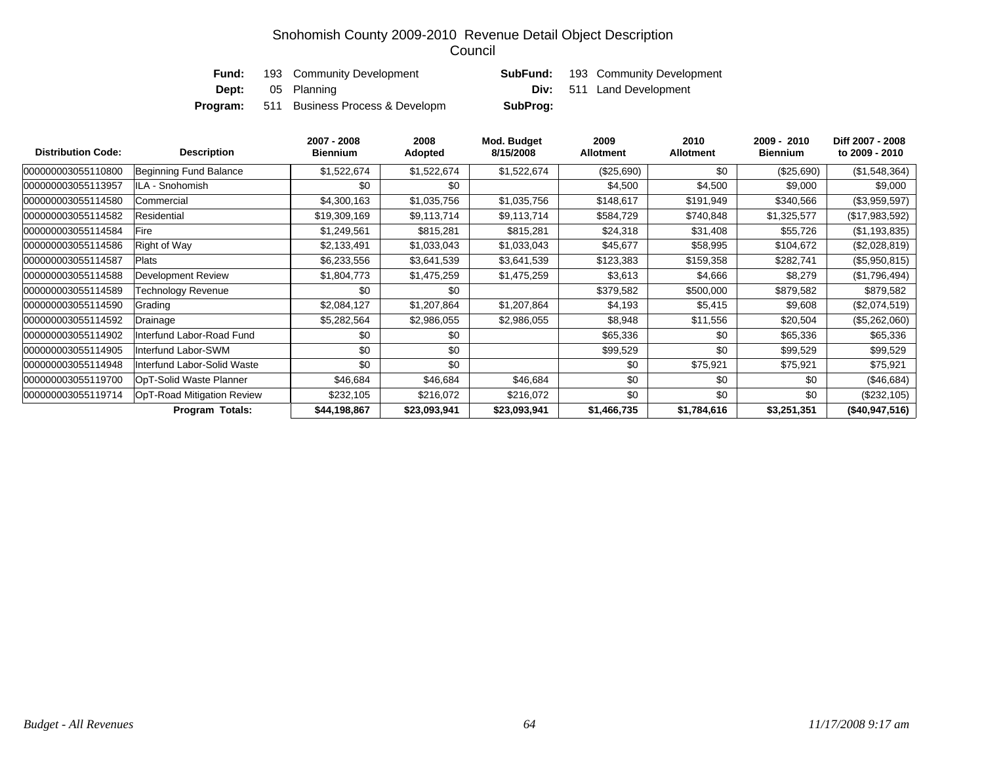| Fund: | 193 Community Development                       |          | <b>SubFund:</b> 193 Community Development |
|-------|-------------------------------------------------|----------|-------------------------------------------|
|       | <b>Dept:</b> 05 Planning                        |          | <b>Div:</b> 511 Land Development          |
|       | <b>Program:</b> 511 Business Process & Developm | SubProg: |                                           |

| <b>Distribution Code:</b> | <b>Description</b>          | 2007 - 2008<br><b>Biennium</b> | 2008<br>Adopted | Mod. Budget<br>8/15/2008 | 2009<br><b>Allotment</b> | 2010<br><b>Allotment</b> | 2009 - 2010<br><b>Biennium</b> | Diff 2007 - 2008<br>to 2009 - 2010 |
|---------------------------|-----------------------------|--------------------------------|-----------------|--------------------------|--------------------------|--------------------------|--------------------------------|------------------------------------|
| 000000003055110800        | Beginning Fund Balance      | \$1,522,674                    | \$1,522,674     | \$1,522,674              | (\$25,690)               | \$0                      | (\$25,690)                     | (\$1,548,364)                      |
| 000000003055113957        | ILA - Snohomish             | \$0                            | \$0             |                          | \$4,500                  | \$4,500                  | \$9,000                        | \$9,000                            |
| 000000003055114580        | Commercial                  | \$4,300,163                    | \$1,035,756     | \$1,035,756              | \$148,617                | \$191,949                | \$340,566                      | (\$3,959,597)                      |
| 000000003055114582        | Residential                 | \$19,309,169                   | \$9,113,714     | \$9,113,714              | \$584,729                | \$740,848                | \$1,325,577                    | (\$17,983,592)                     |
| 000000003055114584        | Fire                        | \$1,249,561                    | \$815,281       | \$815,281                | \$24,318                 | \$31,408                 | \$55,726                       | (\$1,193,835)                      |
| 000000003055114586        | Right of Way                | \$2,133,491                    | \$1,033,043     | \$1,033,043              | \$45,677                 | \$58,995                 | \$104,672                      | (\$2,028,819)                      |
| 000000003055114587        | Plats                       | \$6,233,556                    | \$3,641,539     | \$3,641,539              | \$123,383                | \$159,358                | \$282,741                      | (\$5,950,815)                      |
| 000000003055114588        | Development Review          | \$1,804,773                    | \$1,475,259     | \$1,475,259              | \$3,613                  | \$4,666                  | \$8,279                        | (\$1,796,494)                      |
| 000000003055114589        | Technology Revenue          | \$0                            | \$0             |                          | \$379,582                | \$500,000                | \$879,582                      | \$879,582                          |
| 000000003055114590        | Grading                     | \$2,084,127                    | \$1,207,864     | \$1,207,864              | \$4,193                  | \$5,415                  | \$9,608                        | (\$2,074,519)                      |
| 000000003055114592        | Drainage                    | \$5,282,564                    | \$2,986,055     | \$2,986,055              | \$8,948                  | \$11,556                 | \$20,504                       | (\$5,262,060)                      |
| 000000003055114902        | Interfund Labor-Road Fund   | \$0                            | \$0             |                          | \$65,336                 | \$0                      | \$65,336                       | \$65,336                           |
| 000000003055114905        | Interfund Labor-SWM         | \$0                            | \$0             |                          | \$99,529                 | \$0                      | \$99,529                       | \$99,529                           |
| 000000003055114948        | Interfund Labor-Solid Waste | \$0                            | \$0             |                          | \$0                      | \$75,921                 | \$75,921                       | \$75,921                           |
| 000000003055119700        | OpT-Solid Waste Planner     | \$46,684                       | \$46,684        | \$46,684                 | \$0                      | \$0                      | \$0                            | (\$46,684)                         |
| 000000003055119714        | OpT-Road Mitigation Review  | \$232,105                      | \$216,072       | \$216,072                | \$0                      | \$0                      | \$0                            | (\$232,105)                        |
|                           | Program Totals:             | \$44,198,867                   | \$23,093,941    | \$23,093,941             | \$1,466,735              | \$1,784,616              | \$3,251,351                    | (\$40,947,516)                     |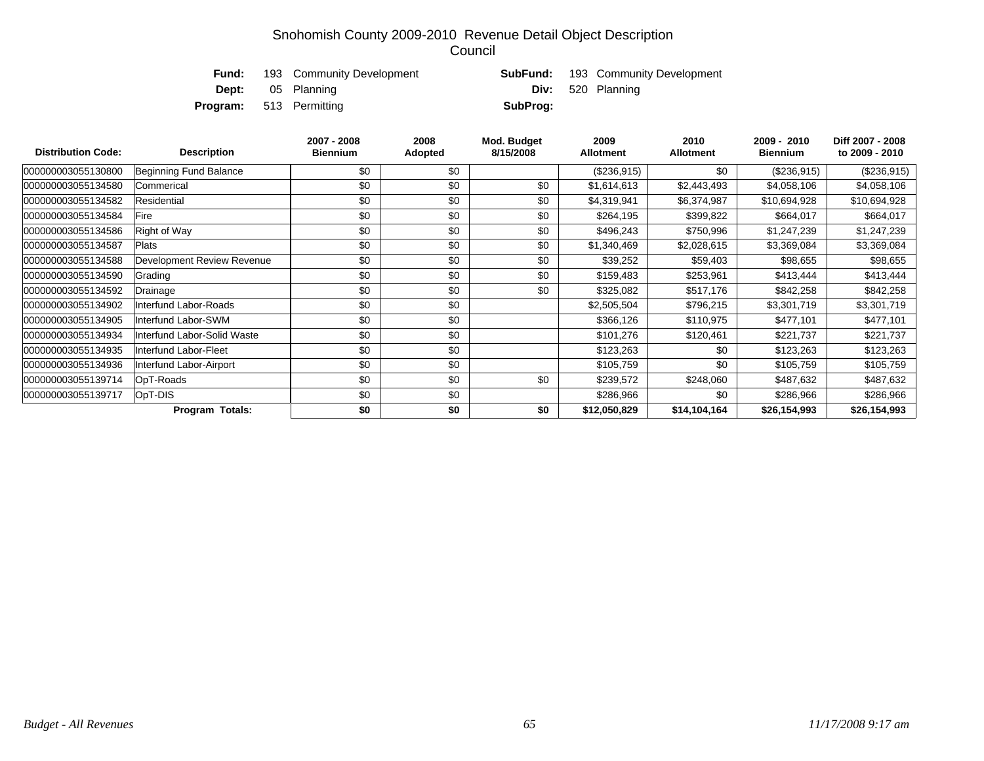|                                | <b>Fund:</b> 193 Community Development |          | <b>SubFund:</b> 193 Community Development |
|--------------------------------|----------------------------------------|----------|-------------------------------------------|
|                                | <b>Dept:</b> 05 Planning               |          | <b>Div:</b> 520 Planning                  |
| <b>Program:</b> 513 Permitting |                                        | SubProg: |                                           |

| <b>Distribution Code:</b> | <b>Description</b>          | 2007 - 2008<br><b>Biennium</b> | 2008<br>Adopted | Mod. Budget<br>8/15/2008 | 2009<br><b>Allotment</b> | 2010<br><b>Allotment</b> | 2009 - 2010<br><b>Biennium</b> | Diff 2007 - 2008<br>to 2009 - 2010 |
|---------------------------|-----------------------------|--------------------------------|-----------------|--------------------------|--------------------------|--------------------------|--------------------------------|------------------------------------|
| 000000003055130800        | Beginning Fund Balance      | \$0                            | \$0             |                          | (\$236,915)              | \$0                      | (\$236,915)                    | (\$236,915)                        |
| 000000003055134580        | Commerical                  | \$0                            | \$0             | \$0                      | \$1,614,613              | \$2,443,493              | \$4,058,106                    | \$4,058,106                        |
| 000000003055134582        | Residential                 | \$0                            | \$0             | \$0                      | \$4,319,941              | \$6,374,987              | \$10,694,928                   | \$10,694,928                       |
| 000000003055134584        | Fire                        | \$0                            | \$0             | \$0                      | \$264,195                | \$399,822                | \$664,017                      | \$664,017                          |
| 000000003055134586        | Right of Way                | \$0                            | \$0             | \$0                      | \$496,243                | \$750,996                | \$1,247,239                    | \$1,247,239                        |
| 000000003055134587        | Plats                       | \$0                            | \$0             | \$0                      | \$1,340,469              | \$2,028,615              | \$3,369,084                    | \$3,369,084                        |
| 000000003055134588        | Development Review Revenue  | \$0                            | \$0             | \$0                      | \$39,252                 | \$59,403                 | \$98,655                       | \$98,655                           |
| 000000003055134590        | Grading                     | \$0                            | \$0             | \$0                      | \$159,483                | \$253,961                | \$413,444                      | \$413,444                          |
| 000000003055134592        | Drainage                    | \$0                            | \$0             | \$0                      | \$325,082                | \$517,176                | \$842,258                      | \$842,258                          |
| 000000003055134902        | nterfund Labor-Roads        | \$0                            | \$0             |                          | \$2,505,504              | \$796,215                | \$3,301,719                    | \$3,301,719                        |
| 000000003055134905        | Interfund Labor-SWM         | \$0                            | \$0             |                          | \$366,126                | \$110,975                | \$477,101                      | \$477,101                          |
| 000000003055134934        | Interfund Labor-Solid Waste | \$0                            | \$0             |                          | \$101,276                | \$120,461                | \$221,737                      | \$221,737                          |
| 000000003055134935        | Interfund Labor-Fleet       | \$0                            | \$0             |                          | \$123,263                | \$0                      | \$123,263                      | \$123,263                          |
| 000000003055134936        | Interfund Labor-Airport     | \$0                            | \$0             |                          | \$105,759                | \$0                      | \$105,759                      | \$105,759                          |
| 000000003055139714        | OpT-Roads                   | \$0                            | \$0             | \$0                      | \$239,572                | \$248,060                | \$487,632                      | \$487,632                          |
| 000000003055139717        | OpT-DIS                     | \$0                            | \$0             |                          | \$286,966                | \$0                      | \$286,966                      | \$286,966                          |
|                           | <b>Program Totals:</b>      | \$0                            | \$0             | \$0                      | \$12,050,829             | \$14,104,164             | \$26,154,993                   | \$26,154,993                       |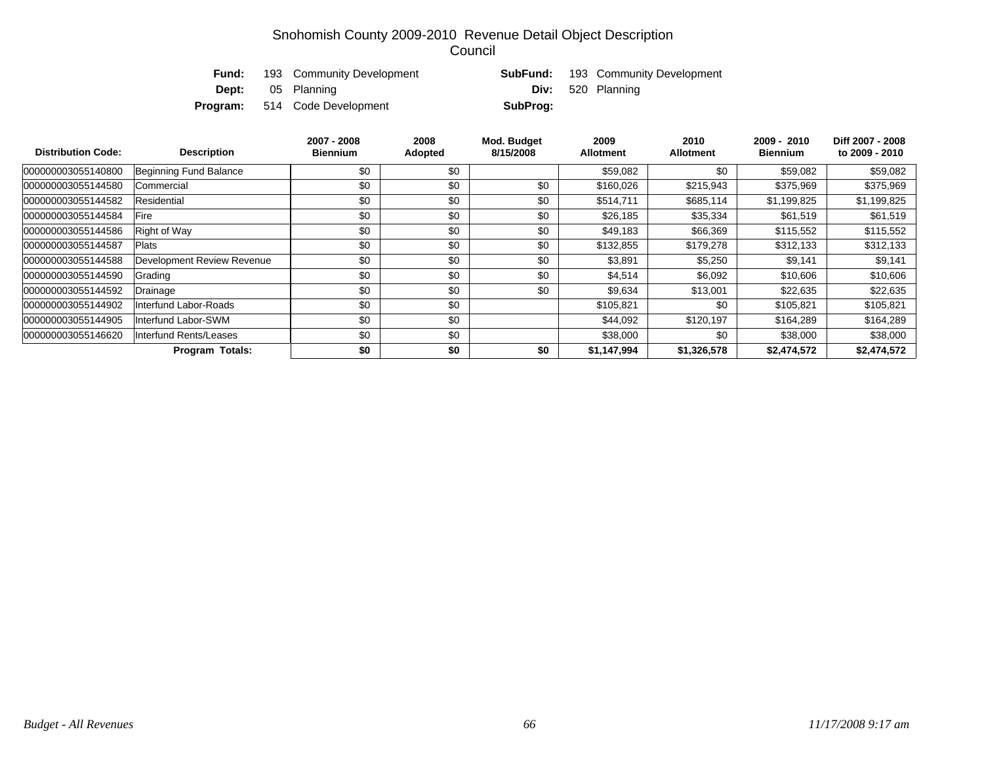| Fund: | 193 Community Development            |          | <b>SubFund:</b> 193 Community Development |
|-------|--------------------------------------|----------|-------------------------------------------|
|       | <b>Dept:</b> 05 Planning             |          | <b>Div:</b> 520 Planning                  |
|       | <b>Program:</b> 514 Code Development | SubProg: |                                           |

| <b>Distribution Code:</b> | <b>Description</b>         | 2007 - 2008<br><b>Biennium</b> | 2008<br>Adopted | Mod. Budget<br>8/15/2008 | 2009<br><b>Allotment</b> | 2010<br><b>Allotment</b> | 2009 - 2010<br><b>Biennium</b> | Diff 2007 - 2008<br>to 2009 - 2010 |
|---------------------------|----------------------------|--------------------------------|-----------------|--------------------------|--------------------------|--------------------------|--------------------------------|------------------------------------|
| 000000003055140800        | Beginning Fund Balance     | \$0                            | \$0             |                          | \$59,082                 | \$0                      | \$59,082                       | \$59,082                           |
| 000000003055144580        | Commercial                 | \$0                            | \$0             | \$0                      | \$160,026                | \$215,943                | \$375,969                      | \$375,969                          |
| 000000003055144582        | Residential                | \$0                            | \$0             | \$0                      | \$514,711                | \$685,114                | \$1,199,825                    | \$1,199,825                        |
| 000000003055144584        | Fire                       | \$0                            | \$0             | \$0                      | \$26,185                 | \$35,334                 | \$61,519                       | \$61,519                           |
| 000000003055144586        | <b>Right of Way</b>        | \$0                            | \$0             | \$0                      | \$49,183                 | \$66,369                 | \$115,552                      | \$115,552                          |
| 000000003055144587        | <b>Plats</b>               | \$0                            | \$0             | \$0                      | \$132,855                | \$179,278                | \$312,133                      | \$312,133                          |
| 000000003055144588        | Development Review Revenue | \$0                            | \$0             | \$0                      | \$3,891                  | \$5,250                  | \$9,141                        | \$9,141                            |
| 000000003055144590        | Grading                    | \$0                            | \$0             | \$0                      | \$4,514                  | \$6,092                  | \$10,606                       | \$10,606                           |
| 000000003055144592        | Drainage                   | \$0                            | \$0             | \$0                      | \$9,634                  | \$13,001                 | \$22,635                       | \$22,635                           |
| 000000003055144902        | Interfund Labor-Roads      | \$0                            | \$0             |                          | \$105,821                | \$0                      | \$105,821                      | \$105,821                          |
| 000000003055144905        | Interfund Labor-SWM        | \$0                            | \$0             |                          | \$44,092                 | \$120,197                | \$164,289                      | \$164,289                          |
| 000000003055146620        | Interfund Rents/Leases     | \$0                            | \$0             |                          | \$38,000                 | \$0                      | \$38,000                       | \$38,000                           |
|                           | <b>Program Totals:</b>     | \$0                            | \$0             | \$0                      | \$1,147,994              | \$1,326,578              | \$2,474,572                    | \$2,474,572                        |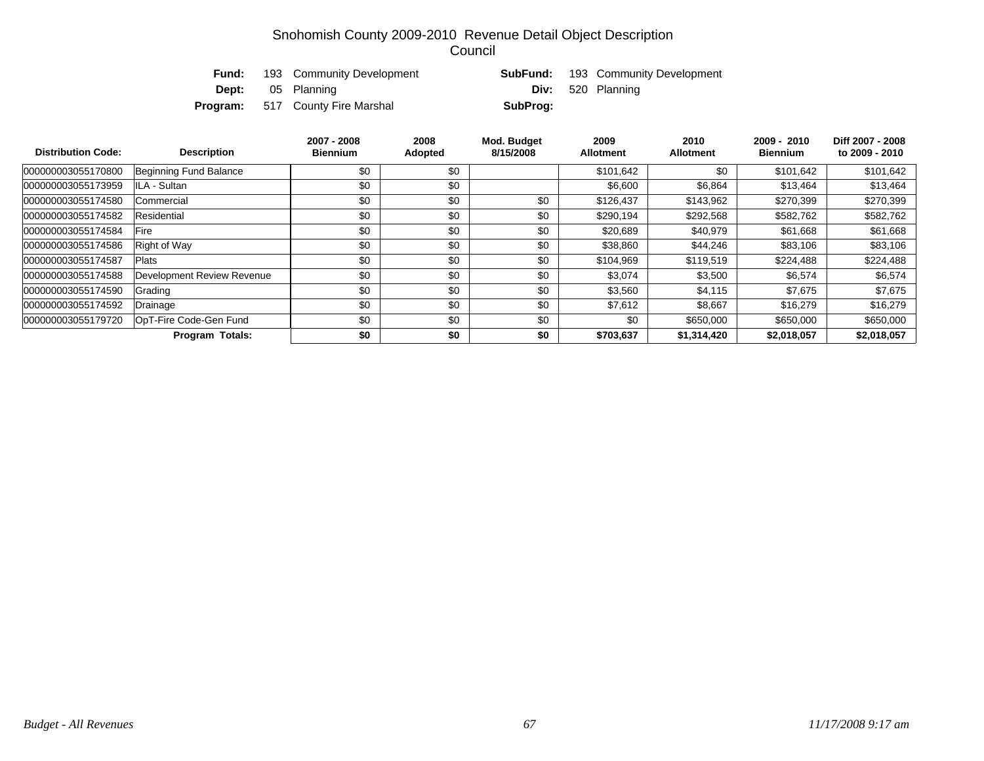| Fund: | 193 Community Development               |          | <b>SubFund:</b> 193 Community Development |
|-------|-----------------------------------------|----------|-------------------------------------------|
|       | <b>Dept:</b> 05 Planning                |          | <b>Div:</b> 520 Planning                  |
|       | <b>Program:</b> 517 County Fire Marshal | SubProg: |                                           |

| <b>Distribution Code:</b> | <b>Description</b>         |     | 2008<br>Adopted | Mod. Budget<br>8/15/2008 | 2009<br><b>Allotment</b> | 2010<br><b>Allotment</b> | 2009 - 2010<br><b>Biennium</b> | Diff 2007 - 2008<br>to 2009 - 2010 |
|---------------------------|----------------------------|-----|-----------------|--------------------------|--------------------------|--------------------------|--------------------------------|------------------------------------|
| 000000003055170800        | Beginning Fund Balance     | \$0 | \$0             |                          | \$101,642                | \$0                      | \$101.642                      | \$101,642                          |
| 000000003055173959        | ILA - Sultan               | \$0 | \$0             |                          | \$6,600                  | \$6,864                  | \$13,464                       | \$13,464                           |
| 000000003055174580        | Commercial                 | \$0 | \$0             | \$0                      | \$126.437                |                          | \$270,399                      | \$270,399                          |
| 000000003055174582        | Residential                | \$0 | \$0             | \$0                      | \$290,194                | \$292,568                | \$582,762                      | \$582,762                          |
| 000000003055174584        | Fire                       | \$0 | \$0             | \$0                      | \$20,689                 | \$40,979                 | \$61,668                       | \$61,668                           |
| 000000003055174586        | <b>Right of Way</b>        | \$0 | \$0             | \$0                      | \$38,860                 | \$44,246                 | \$83,106                       | \$83,106                           |
| 000000003055174587        | Plats                      | \$0 | \$0             | \$0                      | \$104,969                | \$119,519                | \$224.488                      | \$224,488                          |
| 000000003055174588        | Development Review Revenue | \$0 | \$0             | \$0                      | \$3,074                  | \$3,500                  | \$6,574                        | \$6,574                            |
| 000000003055174590        | Grading                    | \$0 | \$0             | \$0                      | \$3,560                  | \$4,115                  | \$7,675                        | \$7,675                            |
| 000000003055174592        | Drainage                   | \$0 | \$0             | \$0                      | \$7,612                  | \$8,667                  | \$16,279                       | \$16,279                           |
| 000000003055179720        | OpT-Fire Code-Gen Fund     | \$0 | \$0             | \$0                      | \$0                      | \$650,000                | \$650,000                      | \$650,000                          |
|                           | <b>Program Totals:</b>     | \$0 | \$0             | \$0                      | \$703,637                | \$1,314,420              | \$2,018,057                    | \$2,018,057                        |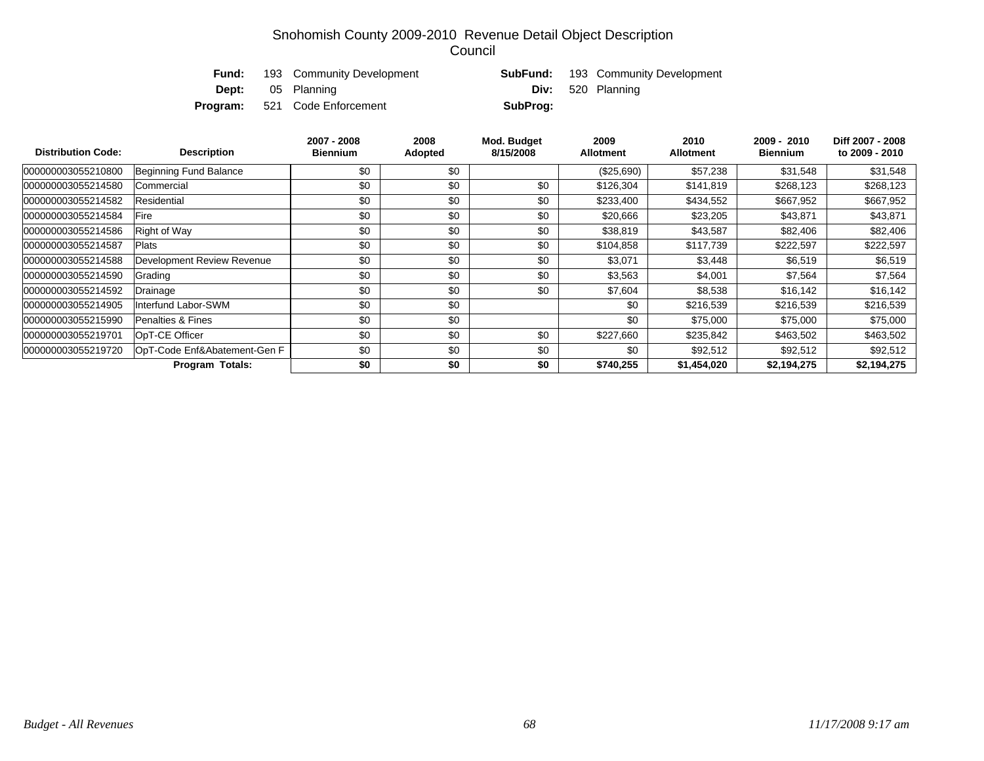|  | <b>Fund:</b> 193 Community Development |          | <b>SubFund:</b> 193 Community Development |
|--|----------------------------------------|----------|-------------------------------------------|
|  | <b>Dept:</b> 05 Planning               |          | <b>Div:</b> 520 Planning                  |
|  | <b>Program:</b> 521 Code Enforcement   | SubProg: |                                           |

| <b>Distribution Code:</b> | <b>Description</b>           | 2007 - 2008<br><b>Biennium</b> | 2008<br>Adopted | Mod. Budget<br>8/15/2008 | 2009<br><b>Allotment</b> | 2010<br><b>Allotment</b> | 2009 - 2010<br><b>Biennium</b> | Diff 2007 - 2008<br>to 2009 - 2010 |
|---------------------------|------------------------------|--------------------------------|-----------------|--------------------------|--------------------------|--------------------------|--------------------------------|------------------------------------|
| 000000003055210800        | Beginning Fund Balance       | \$0                            | \$0             |                          | (\$25,690)               | \$57,238                 | \$31,548                       | \$31,548                           |
| 000000003055214580        | Commercial                   | \$0                            | \$0             | \$0                      | \$126,304                | \$141,819                | \$268,123                      | \$268,123                          |
| 000000003055214582        | Residential                  | \$0                            | \$0             | \$0                      | \$233,400                | \$434,552                | \$667,952                      | \$667,952                          |
| 000000003055214584        | Fire                         | \$0                            | \$0             | \$0                      | \$20,666                 | \$23,205                 | \$43,871                       | \$43,871                           |
| 000000003055214586        | Right of Way                 | \$0                            | \$0             | \$0                      | \$38,819                 | \$43,587                 | \$82,406                       | \$82,406                           |
| 000000003055214587        | <b>Plats</b>                 | \$0                            | \$0             | \$0                      | \$104,858                | \$117.739                | \$222,597                      | \$222,597                          |
| 000000003055214588        | Development Review Revenue   | \$0                            | \$0             | \$0                      | \$3,071                  | \$3,448                  | \$6,519                        | \$6,519                            |
| 000000003055214590        | Grading                      | \$0                            | \$0             | \$0                      | \$3,563                  | \$4,001                  | \$7,564                        | \$7,564                            |
| 000000003055214592        | Drainage                     | \$0                            | \$0             | \$0                      | \$7,604                  | \$8,538                  | \$16,142                       | \$16,142                           |
| 000000003055214905        | Interfund Labor-SWM          | \$0                            | \$0             |                          | \$0                      | \$216,539                | \$216,539                      | \$216,539                          |
| 000000003055215990        | <b>Penalties &amp; Fines</b> | \$0                            | \$0             |                          | \$0                      | \$75,000                 | \$75,000                       | \$75,000                           |
| 000000003055219701        | OpT-CE Officer               | \$0                            | \$0             | \$0                      | \$227,660                | \$235,842                | \$463,502                      | \$463,502                          |
| 000000003055219720        | OpT-Code Enf&Abatement-Gen F | \$0                            | \$0             | \$0                      | \$0                      | \$92,512                 | \$92,512                       | \$92,512                           |
|                           | Program Totals:              | \$0                            | \$0             | \$0                      | \$740,255                | \$1,454,020              | \$2,194,275                    | \$2,194,275                        |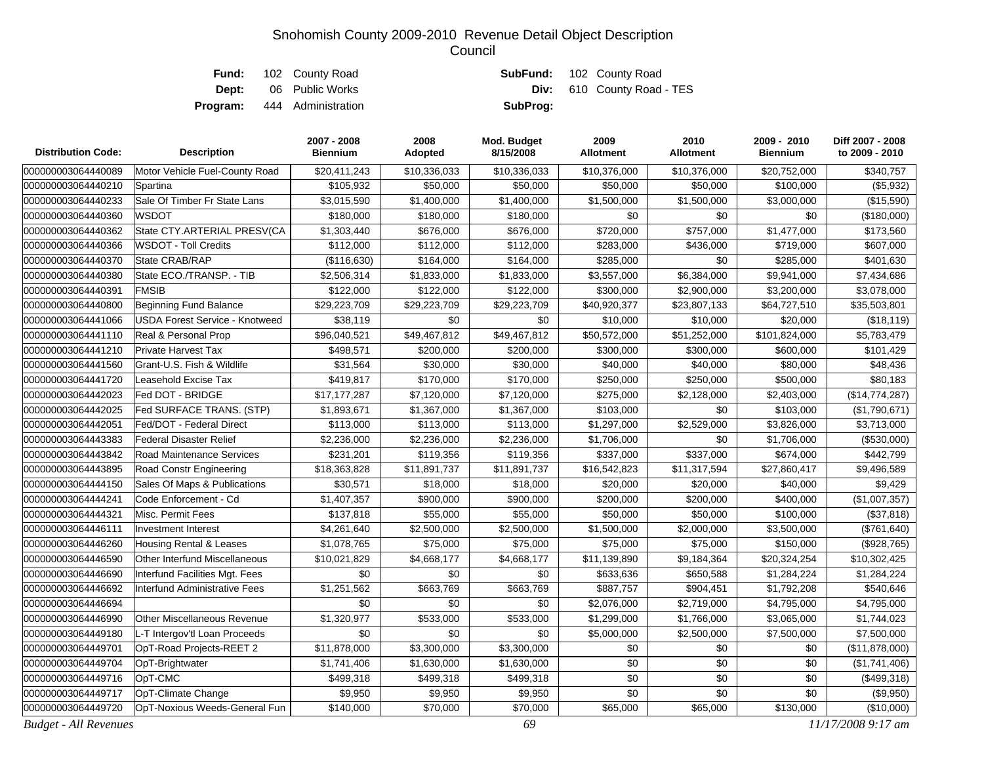|       | <b>Fund:</b> 102 County Road       |          | <b>SubFund:</b> 102 County Road   |
|-------|------------------------------------|----------|-----------------------------------|
| Dept: | 06 Public Works                    |          | <b>Div:</b> 610 County Road - TES |
|       | <b>Program:</b> 444 Administration | SubProg: |                                   |

| <b>Distribution Code:</b>    | <b>Description</b>                    | 2007 - 2008<br><b>Biennium</b> | 2008<br>Adopted | Mod. Budget<br>8/15/2008 | 2009<br><b>Allotment</b> | 2010<br><b>Allotment</b> | 2009 - 2010<br><b>Biennium</b> | Diff 2007 - 2008<br>to 2009 - 2010 |
|------------------------------|---------------------------------------|--------------------------------|-----------------|--------------------------|--------------------------|--------------------------|--------------------------------|------------------------------------|
| 000000003064440089           | Motor Vehicle Fuel-County Road        | \$20,411,243                   | \$10,336,033    | \$10,336,033             | \$10,376,000             | \$10,376,000             | \$20,752,000                   | \$340,757                          |
| 000000003064440210           | Spartina                              | \$105,932                      | \$50,000        | \$50,000                 | \$50,000                 | \$50,000                 | \$100,000                      | (\$5,932)                          |
| 000000003064440233           | Sale Of Timber Fr State Lans          | \$3,015,590                    | \$1,400,000     | \$1,400,000              | \$1,500,000              | \$1,500,000              | \$3,000,000                    | (\$15,590)                         |
| 000000003064440360           | WSDOT                                 | \$180,000                      | \$180,000       | \$180,000                | \$0                      | \$0                      | \$0                            | (\$180,000)                        |
| 000000003064440362           | State CTY.ARTERIAL PRESV(CA           | \$1,303,440                    | \$676,000       | \$676,000                | \$720,000                | \$757,000                | \$1,477,000                    | \$173,560                          |
| 000000003064440366           | <b>WSDOT - Toll Credits</b>           | \$112,000                      | \$112,000       | \$112,000                | \$283,000                | \$436,000                | \$719,000                      | \$607,000                          |
| 000000003064440370           | State CRAB/RAP                        | (\$116,630)                    | \$164,000       | \$164,000                | \$285,000                | \$0                      | \$285,000                      | \$401,630                          |
| 000000003064440380           | State ECO./TRANSP. - TIB              | \$2,506,314                    | \$1,833,000     | \$1,833,000              | \$3,557,000              | \$6,384,000              | \$9,941,000                    | \$7,434,686                        |
| 000000003064440391           | <b>FMSIB</b>                          | \$122,000                      | \$122,000       | \$122,000                | \$300,000                | \$2,900,000              | \$3,200,000                    | \$3,078,000                        |
| 000000003064440800           | <b>Beginning Fund Balance</b>         | \$29,223,709                   | \$29,223,709    | \$29,223,709             | \$40,920,377             | \$23,807,133             | \$64,727,510                   | \$35,503,801                       |
| 000000003064441066           | <b>USDA Forest Service - Knotweed</b> | \$38,119                       | \$0             | \$0                      | \$10,000                 | \$10,000                 | \$20,000                       | (\$18, 119)                        |
| 000000003064441110           | Real & Personal Prop                  | \$96,040,521                   | \$49,467,812    | \$49,467,812             | \$50,572,000             | \$51,252,000             | \$101,824,000                  | \$5,783,479                        |
| 000000003064441210           | <b>Private Harvest Tax</b>            | \$498,571                      | \$200,000       | \$200,000                | \$300,000                | \$300,000                | \$600,000                      | \$101,429                          |
| 000000003064441560           | Grant-U.S. Fish & Wildlife            | \$31,564                       | \$30,000        | \$30,000                 | \$40,000                 | \$40,000                 | \$80,000                       | \$48,436                           |
| 000000003064441720           | Leasehold Excise Tax                  | \$419,817                      | \$170,000       | \$170,000                | \$250,000                | \$250,000                | \$500,000                      | \$80,183                           |
| 000000003064442023           | Fed DOT - BRIDGE                      | \$17,177,287                   | \$7,120,000     | \$7,120,000              | \$275,000                | \$2,128,000              | \$2,403,000                    | (\$14,774,287)                     |
| 000000003064442025           | Fed SURFACE TRANS. (STP)              | \$1,893,671                    | \$1,367,000     | \$1,367,000              | \$103,000                | \$0                      | \$103,000                      | (\$1,790,671)                      |
| 000000003064442051           | Fed/DOT - Federal Direct              | \$113,000                      | \$113,000       | \$113,000                | \$1,297,000              | \$2,529,000              | \$3,826,000                    | \$3,713,000                        |
| 000000003064443383           | <b>Federal Disaster Relief</b>        | \$2,236,000                    | \$2,236,000     | \$2,236,000              | \$1,706,000              | \$0                      | \$1,706,000                    | (\$530,000)                        |
| 000000003064443842           | Road Maintenance Services             | \$231,201                      | \$119,356       | \$119,356                | \$337,000                | \$337,000                | \$674,000                      | \$442,799                          |
| 000000003064443895           | Road Constr Engineering               | \$18,363,828                   | \$11,891,737    | \$11,891,737             | \$16,542,823             | \$11,317,594             | \$27,860,417                   | \$9,496,589                        |
| 000000003064444150           | Sales Of Maps & Publications          | \$30,571                       | \$18,000        | \$18,000                 | \$20,000                 | \$20,000                 | \$40,000                       | \$9,429                            |
| 000000003064444241           | Code Enforcement - Cd                 | \$1,407,357                    | \$900,000       | \$900,000                | \$200,000                | \$200,000                | \$400,000                      | (\$1,007,357)                      |
| 000000003064444321           | Misc. Permit Fees                     | \$137,818                      | \$55,000        | \$55,000                 | \$50,000                 | \$50,000                 | \$100,000                      | (\$37,818)                         |
| 000000003064446111           | <b>Investment Interest</b>            | \$4,261,640                    | \$2,500,000     | \$2,500,000              | \$1,500,000              | \$2,000,000              | \$3,500,000                    | (\$761, 640)                       |
| 000000003064446260           | <b>Housing Rental &amp; Leases</b>    | \$1,078,765                    | \$75,000        | \$75,000                 | \$75,000                 | \$75,000                 | \$150,000                      | (\$928,765)                        |
| 000000003064446590           | Other Interfund Miscellaneous         | \$10,021,829                   | \$4,668,177     | \$4,668,177              | \$11,139,890             | \$9,184,364              | \$20,324,254                   | \$10,302,425                       |
| 000000003064446690           | Interfund Facilities Mgt. Fees        | \$0                            | \$0             | \$0                      | \$633,636                | \$650,588                | \$1,284,224                    | \$1,284,224                        |
| 000000003064446692           | Interfund Administrative Fees         | \$1,251,562                    | \$663,769       | \$663,769                | \$887,757                | \$904,451                | \$1,792,208                    | \$540,646                          |
| 000000003064446694           |                                       | \$0                            | \$0             | \$0                      | \$2,076,000              | \$2,719,000              | \$4,795,000                    | \$4,795,000                        |
| 000000003064446990           | <b>Other Miscellaneous Revenue</b>    | \$1,320,977                    | \$533,000       | \$533,000                | \$1,299,000              | \$1,766,000              | \$3,065,000                    | \$1,744,023                        |
| 000000003064449180           | L-T Intergov'tl Loan Proceeds         | \$0                            | \$0             | \$0                      | \$5,000,000              | \$2,500,000              | \$7,500,000                    | \$7,500,000                        |
| 000000003064449701           | OpT-Road Projects-REET 2              | \$11,878,000                   | \$3,300,000     | \$3,300,000              | \$0                      | \$0                      | \$0                            | (\$11,878,000)                     |
| 000000003064449704           | OpT-Brightwater                       | \$1,741,406                    | \$1,630,000     | \$1,630,000              | \$0                      | \$0                      | \$0                            | (\$1,741,406)                      |
| 000000003064449716           | OpT-CMC                               | \$499,318                      | \$499,318       | \$499,318                | \$0                      | \$0                      | \$0                            | (\$499,318)                        |
| 000000003064449717           | OpT-Climate Change                    | \$9,950                        | \$9,950         | \$9,950                  | \$0                      | \$0                      | \$0                            | (\$9,950)                          |
| 000000003064449720           | OpT-Noxious Weeds-General Fun         | \$140,000                      | \$70,000        | \$70,000                 | \$65,000                 | \$65,000                 | \$130,000                      | (\$10,000)                         |
| <b>Budget - All Revenues</b> |                                       |                                |                 | 69                       |                          |                          |                                | 11/17/2008 9:17 am                 |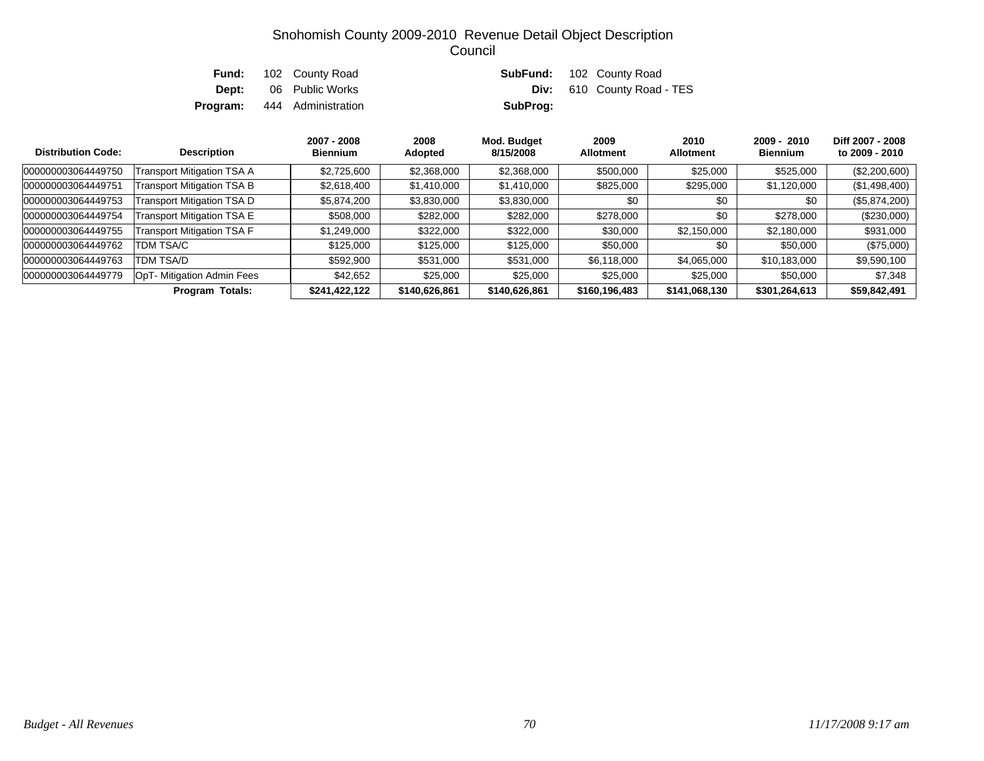| Fund: | 102 County Road                    |          | <b>SubFund:</b> 102 County Road   |
|-------|------------------------------------|----------|-----------------------------------|
| Dept: | 06 Public Works                    |          | <b>Div:</b> 610 County Road - TES |
|       | <b>Program:</b> 444 Administration | SubProg: |                                   |

| <b>Distribution Code:</b> | <b>Description</b>                | 2007 - 2008<br><b>Biennium</b> | 2008<br>Adopted | Mod. Budget<br>8/15/2008 | 2009<br><b>Allotment</b> | 2010<br><b>Allotment</b> | $2009 - 2010$<br><b>Biennium</b> | Diff 2007 - 2008<br>to 2009 - 2010 |
|---------------------------|-----------------------------------|--------------------------------|-----------------|--------------------------|--------------------------|--------------------------|----------------------------------|------------------------------------|
| 000000003064449750        | Transport Mitigation TSA A        | \$2,725,600                    | \$2,368,000     | \$2,368,000              | \$500,000                | \$25,000                 | \$525,000                        | $(\$2,200,600)$                    |
| 000000003064449751        | <b>Transport Mitigation TSA B</b> | \$2,618,400                    | \$1,410,000     | \$1,410,000              | \$825,000                | \$295,000                | \$1,120,000                      | (\$1,498,400)                      |
| 000000003064449753        | Transport Mitigation TSA D        | \$5,874,200                    | \$3,830,000     | \$3,830,000              | \$0                      | \$0                      | \$0                              | (\$5,874,200)                      |
| 000000003064449754        | Transport Mitigation TSA E        | \$508,000                      | \$282,000       | \$282,000                | \$278,000                | \$0                      | \$278,000                        | $(\$230,000)$                      |
| 000000003064449755        | <b>Transport Mitigation TSA F</b> | \$1,249,000                    | \$322,000       | \$322,000                | \$30,000                 | \$2,150,000              | \$2,180,000                      | \$931,000                          |
| 000000003064449762        | TDM TSA/C                         | \$125,000                      | \$125,000       | \$125,000                | \$50,000                 | \$0                      | \$50,000                         | $(\$75,000)$                       |
| 000000003064449763        | TDM TSA/D                         | \$592,900                      | \$531,000       | \$531,000                | \$6,118,000              | \$4,065,000              | \$10,183,000                     | \$9,590,100                        |
| 000000003064449779        | OpT- Mitigation Admin Fees        | \$42,652                       | \$25,000        | \$25,000                 | \$25,000                 | \$25,000                 | \$50,000                         | \$7,348                            |
|                           | Program Totals:                   | \$241,422,122                  | \$140,626,861   | \$140,626,861            | \$160,196,483            | \$141,068,130            | \$301,264,613                    | \$59,842,491                       |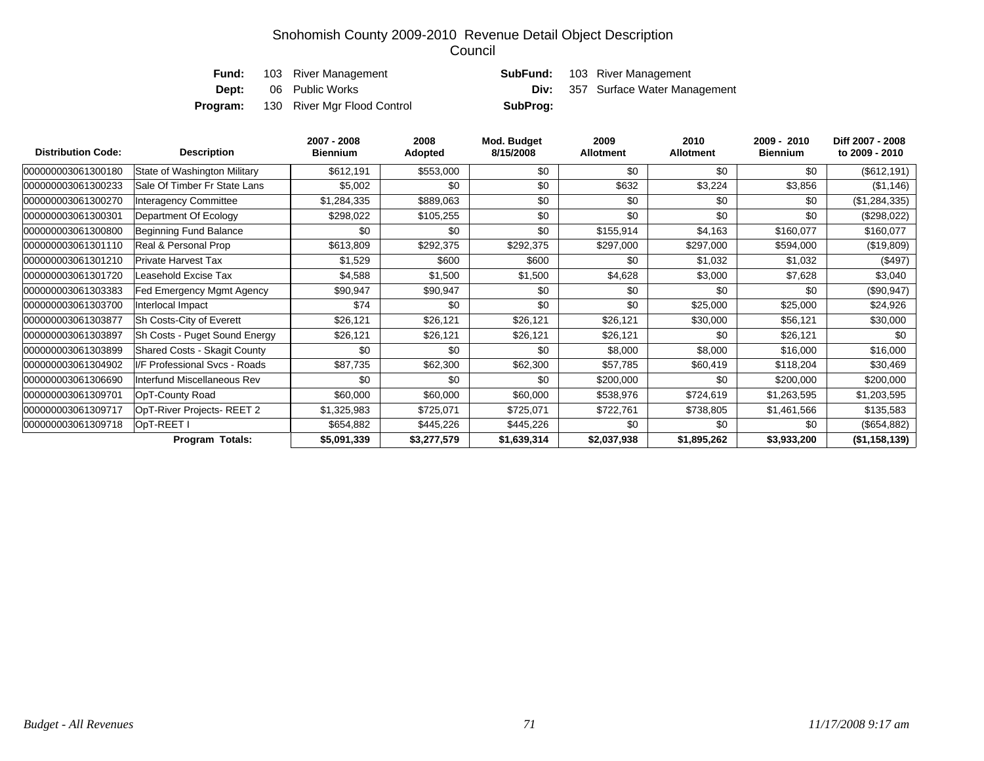| Fund:        | 103 River Management        |          | <b>SubFund:</b> 103 River Management     |
|--------------|-----------------------------|----------|------------------------------------------|
| <b>Dept:</b> | 06 Public Works             |          | <b>Div:</b> 357 Surface Water Management |
| Program:     | 130 River Mgr Flood Control | SubProg: |                                          |

| <b>Distribution Code:</b> | <b>Description</b>                  | 2007 - 2008<br><b>Biennium</b> | 2008<br>Adopted | Mod. Budget<br>8/15/2008 | 2009<br><b>Allotment</b> | 2010<br><b>Allotment</b> | 2009 - 2010<br><b>Biennium</b> | Diff 2007 - 2008<br>to 2009 - 2010 |
|---------------------------|-------------------------------------|--------------------------------|-----------------|--------------------------|--------------------------|--------------------------|--------------------------------|------------------------------------|
| 000000003061300180        | State of Washington Military        | \$612,191                      | \$553,000       | \$0                      | \$0                      | \$0                      | \$0                            | $(\$612, 191)$                     |
| 000000003061300233        | Sale Of Timber Fr State Lans        | \$5,002                        | \$0             | \$0                      | \$632                    | \$3,224                  | \$3,856                        | (\$1,146)                          |
| 000000003061300270        | <b>Interagency Committee</b>        | \$1,284,335                    | \$889,063       | \$0                      | \$0                      | \$0                      | \$0                            | (\$1,284,335)                      |
| 000000003061300301        | Department Of Ecology               | \$298,022                      | \$105,255       | \$0                      | \$0                      | \$0                      | \$0                            | (\$298,022)                        |
| 000000003061300800        | Beginning Fund Balance              | \$0                            | \$0             | \$0                      | \$155,914                | \$4,163                  | \$160,077                      | \$160,077                          |
| 000000003061301110        | Real & Personal Prop                | \$613,809                      | \$292,375       | \$292,375                | \$297,000                | \$297,000                | \$594,000                      | (\$19,809)                         |
| 000000003061301210        | Private Harvest Tax                 | \$1,529                        | \$600           | \$600                    | \$0                      | \$1,032                  | \$1,032                        | (\$497)                            |
| 000000003061301720        | Leasehold Excise Tax                | \$4,588                        | \$1,500         | \$1,500                  | \$4,628                  | \$3,000                  | \$7,628                        | \$3,040                            |
| 000000003061303383        | Fed Emergency Mgmt Agency           | \$90,947                       | \$90,947        | \$0                      | \$0                      | \$0                      | \$0                            | (\$90, 947)                        |
| 000000003061303700        | Interlocal Impact                   | \$74                           | \$0             | \$0                      | \$0                      | \$25,000                 | \$25,000                       | \$24,926                           |
| 000000003061303877        | Sh Costs-City of Everett            | \$26,121                       | \$26,121        | \$26,121                 | \$26,121                 | \$30,000                 | \$56,121                       | \$30,000                           |
| 000000003061303897        | Sh Costs - Puget Sound Energy       | \$26,121                       | \$26,121        | \$26,121                 | \$26,121                 | \$0                      | \$26,121                       | \$0                                |
| 000000003061303899        | <b>Shared Costs - Skagit County</b> | \$0                            | \$0             | \$0                      | \$8,000                  | \$8,000                  | \$16,000                       | \$16,000                           |
| 000000003061304902        | I/F Professional Svcs - Roads       | \$87,735                       | \$62,300        | \$62,300                 | \$57,785                 | \$60,419                 | \$118,204                      | \$30,469                           |
| 000000003061306690        | Interfund Miscellaneous Rev         | \$0                            | \$0             | \$0                      | \$200,000                | \$0                      | \$200,000                      | \$200,000                          |
| 000000003061309701        | OpT-County Road                     | \$60,000                       | \$60,000        | \$60,000                 | \$538,976                | \$724,619                | \$1,263,595                    | \$1,203,595                        |
| 000000003061309717        | OpT-River Projects-REET 2           | \$1,325,983                    | \$725,071       | \$725,071                | \$722,761                | \$738,805                | \$1,461,566                    | \$135,583                          |
| 000000003061309718        | OpT-REET I                          | \$654,882                      | \$445,226       | \$445,226                | \$0                      | \$0                      | \$0                            | (\$654,882)                        |
|                           | Program Totals:                     | \$5,091,339                    | \$3,277,579     | \$1,639,314              | \$2,037,938              | \$1,895,262              | \$3,933,200                    | (\$1,158,139)                      |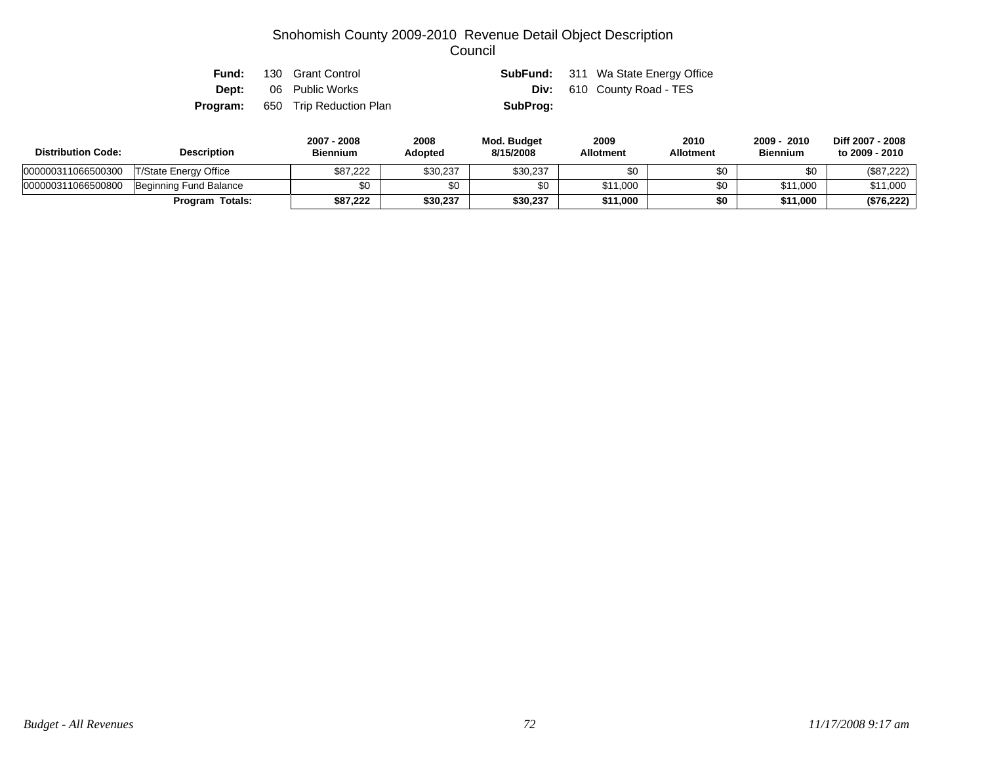| Fund:    | 130 Grant Control            |          | <b>SubFund:</b> 311 Wa State Energy Office |
|----------|------------------------------|----------|--------------------------------------------|
|          | <b>Dept:</b> 06 Public Works |          | <b>Div:</b> 610 County Road - TES          |
| Program: | 650 Trip Reduction Plan      | SubProg: |                                            |

| <b>Distribution Code:</b> | <b>Description</b>     | 2007 - 2008<br><b>Biennium</b> | 2008<br><b>Adopted</b> | Mod. Budget<br>8/15/2008 | 2009<br><b>Allotment</b> | 2010<br>Allotment | 2010<br>$2009 -$<br><b>Biennium</b> | Diff 2007 - 2008<br>to 2009 - 2010 |
|---------------------------|------------------------|--------------------------------|------------------------|--------------------------|--------------------------|-------------------|-------------------------------------|------------------------------------|
| 000000311066500300        | T/State Energy Office  | \$87.222                       | \$30,237               | \$30,237                 | \$0                      |                   | \$0                                 | (\$87,222)                         |
| 000000311066500800        | Beginning Fund Balance | \$0                            | \$0                    | \$0                      | \$11,000                 | \$0               | \$11,000                            | \$11,000                           |
|                           | <b>Program Totals:</b> | \$87.222                       | \$30,237               | \$30,237                 | \$11,000                 | \$0               | \$11,000                            | (\$76,222)                         |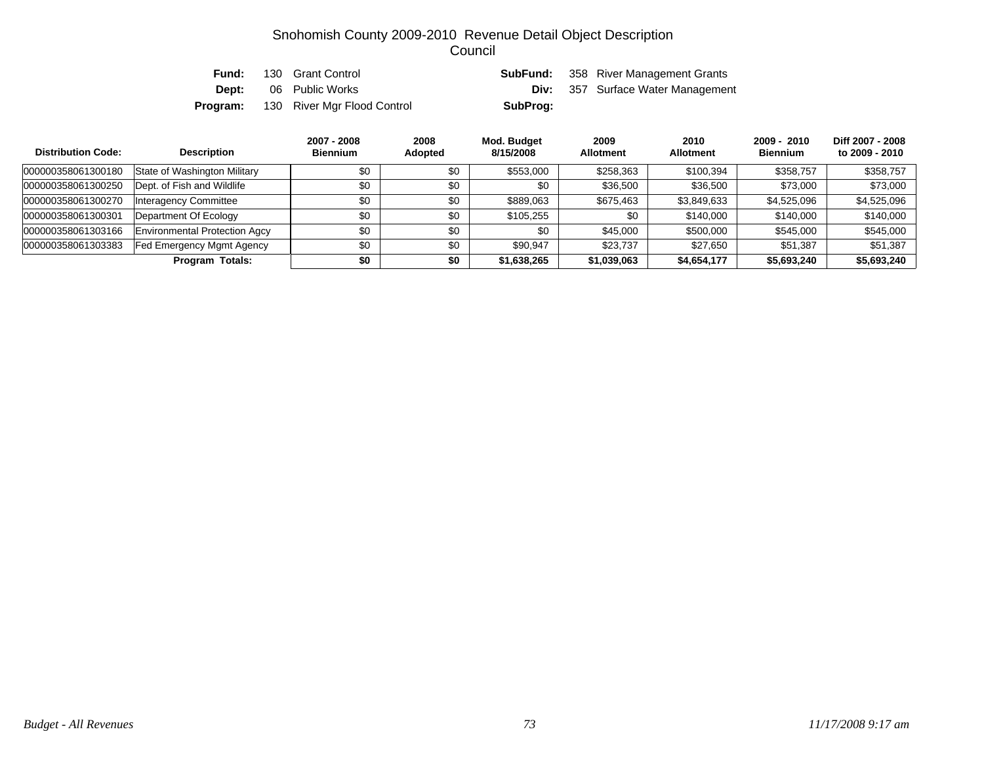| Fund:        | 130 Grant Control           |          | <b>SubFund:</b> 358 River Management Grants |
|--------------|-----------------------------|----------|---------------------------------------------|
| <b>Dept:</b> | 06 Public Works             |          | <b>Div:</b> 357 Surface Water Management    |
| Program:     | 130 River Mgr Flood Control | SubProg: |                                             |

| <b>Distribution Code:</b> | <b>Description</b>            | 2007 - 2008<br><b>Biennium</b> | 2008<br>Adopted | Mod. Budget<br>8/15/2008 | 2009<br><b>Allotment</b> | 2010<br><b>Allotment</b> | $2009 - 2010$<br><b>Biennium</b> | Diff 2007 - 2008<br>to 2009 - 2010 |
|---------------------------|-------------------------------|--------------------------------|-----------------|--------------------------|--------------------------|--------------------------|----------------------------------|------------------------------------|
| 000000358061300180        | State of Washington Military  | \$0                            | \$0             | \$553,000                | \$258,363                | \$100,394                | \$358.757                        | \$358,757                          |
| 000000358061300250        | Dept. of Fish and Wildlife    | \$0                            | \$0             | \$0                      | \$36,500                 | \$36,500                 | \$73,000                         | \$73,000                           |
| 000000358061300270        | <b>Interagency Committee</b>  | \$0                            | \$0             | \$889,063                | \$675,463                | \$3,849,633              | \$4,525,096                      | \$4,525,096                        |
| 000000358061300301        | Department Of Ecology         | \$0                            | \$0             | \$105,255                | \$0                      | \$140,000                | \$140,000                        | \$140,000                          |
| 000000358061303166        | Environmental Protection Agcy | \$0                            | \$0             | \$0                      | \$45,000                 | \$500,000                | \$545,000                        | \$545,000                          |
| 000000358061303383        | Fed Emergency Mgmt Agency     | \$0                            | \$0             | \$90.947                 | \$23,737                 | \$27,650                 | \$51.387                         | \$51,387                           |
|                           | <b>Program Totals:</b>        | \$0                            | \$0             | \$1,638,265              | \$1,039,063              | \$4,654,177              | \$5,693,240                      | \$5,693,240                        |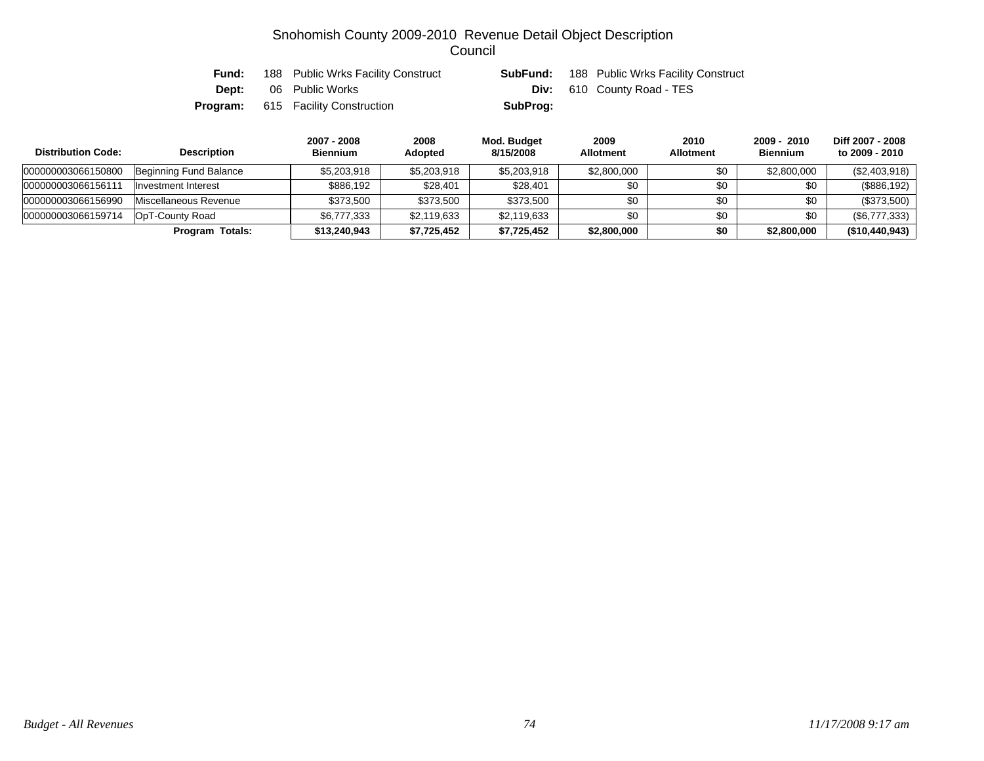| Fund:        | 188 Public Wrks Facility Construct        |          | <b>SubFund:</b> 188 Public Wrks Facility Construct |
|--------------|-------------------------------------------|----------|----------------------------------------------------|
| <b>Dept:</b> | 06 Public Works                           |          | <b>Div:</b> 610 County Road - TES                  |
|              | <b>Program:</b> 615 Facility Construction | SubProg: |                                                    |

| <b>Distribution Code:</b> | <b>Description</b>     |              | 2008<br><b>Adopted</b> | Mod. Budget<br>8/15/2008 | 2009<br><b>Allotment</b> | 2010<br><b>Allotment</b> | $2009 - 2010$<br><b>Biennium</b> | Diff 2007 - 2008<br>to 2009 - 2010 |
|---------------------------|------------------------|--------------|------------------------|--------------------------|--------------------------|--------------------------|----------------------------------|------------------------------------|
| 000000003066150800        | Beginning Fund Balance | \$5,203,918  | \$5,203,918            | \$5,203,918              | \$2,800,000              | \$0                      | \$2,800,000                      | (\$2,403,918)                      |
| 000000003066156111        | Investment Interest    | \$886.192    | \$28,401               | \$28,401                 | \$0                      | \$0                      | \$0                              | (\$886,192)                        |
| 000000003066156990        | Miscellaneous Revenue  | \$373.500    | \$373,500              | \$373.500                | \$0                      | \$0                      | \$0                              | (\$373,500)                        |
| 000000003066159714        | OpT-County Road        | \$6,777,333  | \$2,119,633            | \$2,119,633              | \$0                      | \$0                      | \$0                              | (\$6,777,333)                      |
|                           | Program Totals:        | \$13,240,943 | \$7,725,452            | \$7,725,452              | \$2,800,000              | \$0                      | \$2,800,000                      | (\$10,440,943)                     |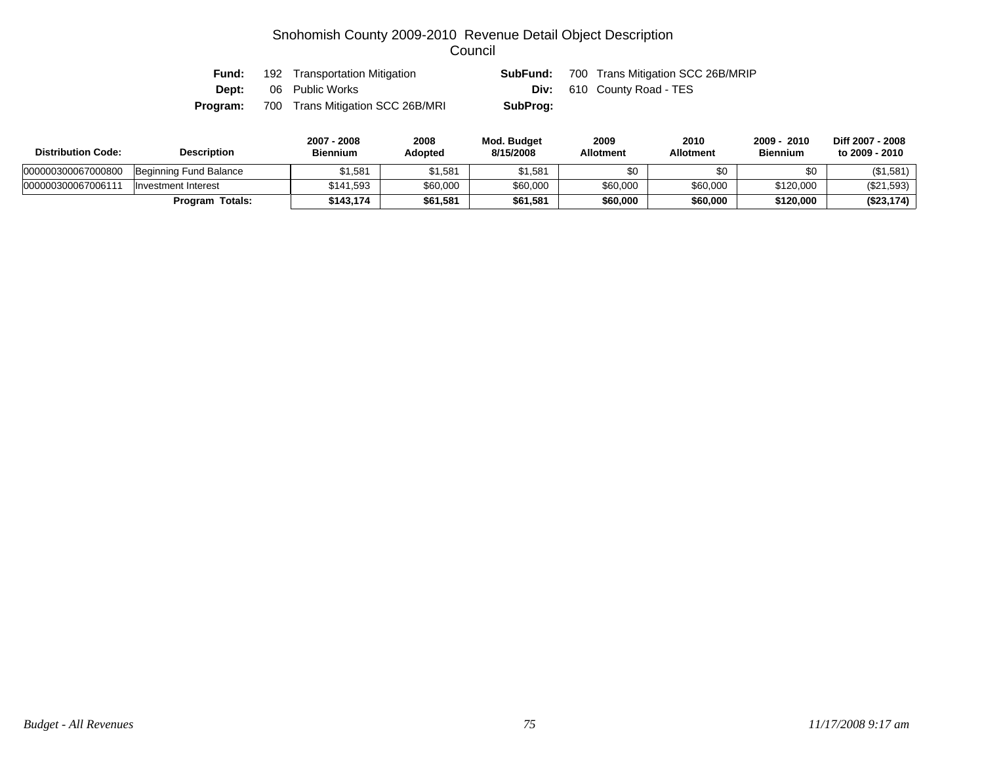| Fund:        | 192 Transportation Mitigation    | SubFund: | 700 Trans Mitigation SCC 26B/MRIP |
|--------------|----------------------------------|----------|-----------------------------------|
| <b>Dept:</b> | 06 Public Works                  |          | <b>Div:</b> 610 County Road - TES |
| Program:     | 700 Trans Mitigation SCC 26B/MRI | SubProg: |                                   |

| <b>Distribution Code:</b> | <b>Description</b>     | 2007 - 2008<br><b>Biennium</b> | 2008<br>Adopted | Mod. Budget<br>8/15/2008 | 2009<br><b>Allotment</b> | 2010<br><b>Allotment</b> | 2010<br>2009<br><b>Biennium</b> | Diff 2007 - 2008<br>to 2009 - 2010 |
|---------------------------|------------------------|--------------------------------|-----------------|--------------------------|--------------------------|--------------------------|---------------------------------|------------------------------------|
| 000000300067000800        | Beginning Fund Balance | 1.581                          | 51.581          | \$1,581                  | \$0                      | \$0                      | \$0                             | (\$1,581)                          |
| 00000030006700611         | Investment Interest    | \$141.593                      | \$60,000        | \$60,000                 | \$60,000                 | \$60,000                 | \$120,000                       | (\$21,593)                         |
|                           | Totals:<br>Program     | \$143.174                      | \$61,581        | \$61,581                 | \$60,000                 | \$60,000                 | \$120,000                       | (\$23,174)                         |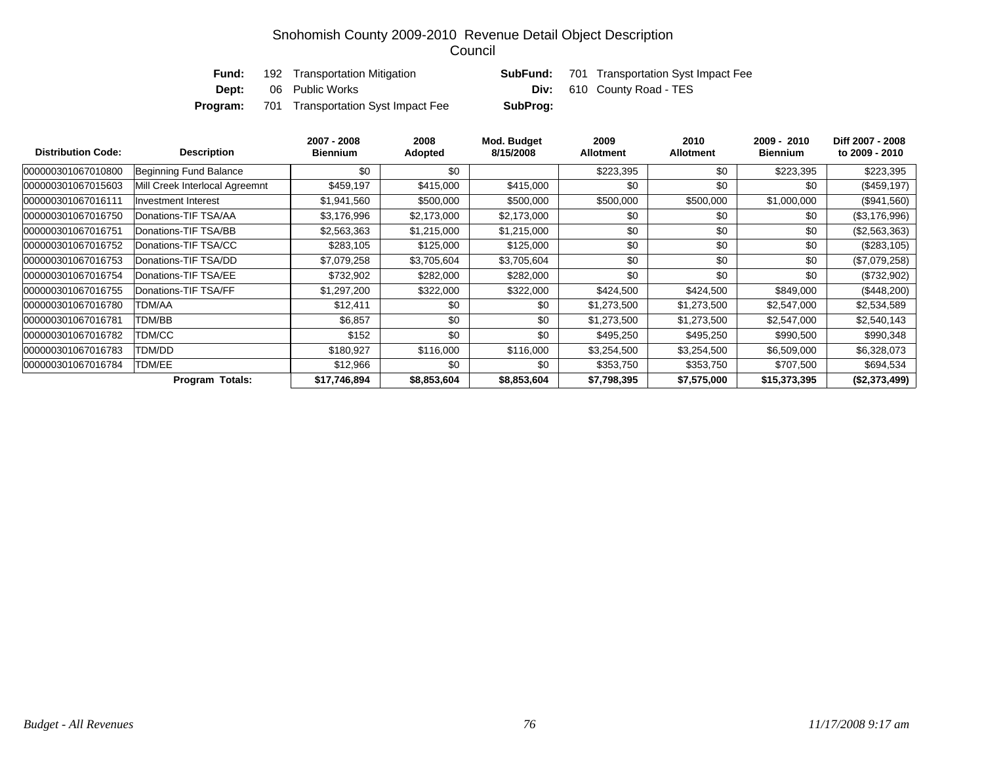| Fund:        | 192 Transportation Mitigation      |          | <b>SubFund:</b> 701 Transportation Syst Impact Fee |
|--------------|------------------------------------|----------|----------------------------------------------------|
| <b>Dept:</b> | 06 Public Works                    |          | <b>Div:</b> 610 County Road - TES                  |
| Program:     | 701 Transportation Syst Impact Fee | SubProg: |                                                    |

| <b>Distribution Code:</b><br><b>Description</b> |                                | 2007 - 2008<br>Biennium | 2008<br>Adopted | Mod. Budget<br>8/15/2008 | 2009<br><b>Allotment</b> | 2010<br><b>Allotment</b> | 2009 - 2010<br><b>Biennium</b> | Diff 2007 - 2008<br>to 2009 - 2010 |
|-------------------------------------------------|--------------------------------|-------------------------|-----------------|--------------------------|--------------------------|--------------------------|--------------------------------|------------------------------------|
| 000000301067010800                              | Beginning Fund Balance         | \$0                     | \$0             |                          | \$223,395                | \$0                      | \$223,395                      | \$223,395                          |
| 000000301067015603                              | Mill Creek Interlocal Agreemnt | \$459,197               | \$415,000       | \$415,000                | \$0                      | \$0                      | \$0                            | $(\$459,197)$                      |
| 000000301067016111                              | <b>Investment Interest</b>     | \$1,941,560             | \$500,000       | \$500,000                | \$500,000                | \$500,000                | \$1,000,000                    | $(\$941,560)$                      |
| 000000301067016750                              | Donations-TIF TSA/AA           | \$3,176,996             | \$2,173,000     | \$2,173,000              | \$0                      | \$0                      | \$0                            | $(\$3,176,996)$                    |
| 000000301067016751                              | Donations-TIF TSA/BB           | \$2,563,363             | \$1,215,000     | \$1,215,000              | \$0                      | \$0                      | \$0                            | $(\$2,563,363)$                    |
| 000000301067016752                              | Donations-TIF TSA/CC           | \$283,105               | \$125,000       | \$125,000                | \$0                      | \$0                      | \$0                            | $(\$283, 105)$                     |
| 000000301067016753                              | Donations-TIF TSA/DD           | \$7,079,258             | \$3,705,604     | \$3,705,604              | \$0                      | \$0                      | \$0                            | $(\$7,079,258)$                    |
| 000000301067016754                              | Donations-TIF TSA/EE           | \$732,902               | \$282,000       | \$282,000                | \$0                      | \$0                      | \$0                            | $(\$732,902)$                      |
| 000000301067016755                              | Donations-TIF TSA/FF           | \$1,297,200             | \$322,000       | \$322,000                | \$424,500                | \$424,500                | \$849,000                      | $(\$448,200)$                      |
| 000000301067016780                              | TDM/AA                         | \$12,411                | \$0             | \$0                      | \$1,273,500              | \$1,273,500              | \$2,547,000                    | \$2,534,589                        |
| 000000301067016781                              | TDM/BB                         | \$6,857                 | \$0             | \$0                      | \$1,273,500              | \$1,273,500              | \$2,547,000                    | \$2,540,143                        |
| 000000301067016782                              | TDM/CC                         | \$152                   | \$0             | \$0                      | \$495,250                | \$495,250                | \$990,500                      | \$990,348                          |
| 000000301067016783                              | TDM/DD                         | \$180,927               | \$116,000       | \$116,000                | \$3,254,500              | \$3,254,500              | \$6,509,000                    | \$6,328,073                        |
| 000000301067016784                              | TDM/EE                         | \$12,966                | \$0             | \$0                      | \$353,750                | \$353,750                | \$707,500                      | \$694,534                          |
| <b>Program Totals:</b>                          |                                | \$17,746,894            | \$8,853,604     | \$8,853,604              | \$7,798,395              | \$7,575,000              | \$15,373,395                   | (\$2,373,499)                      |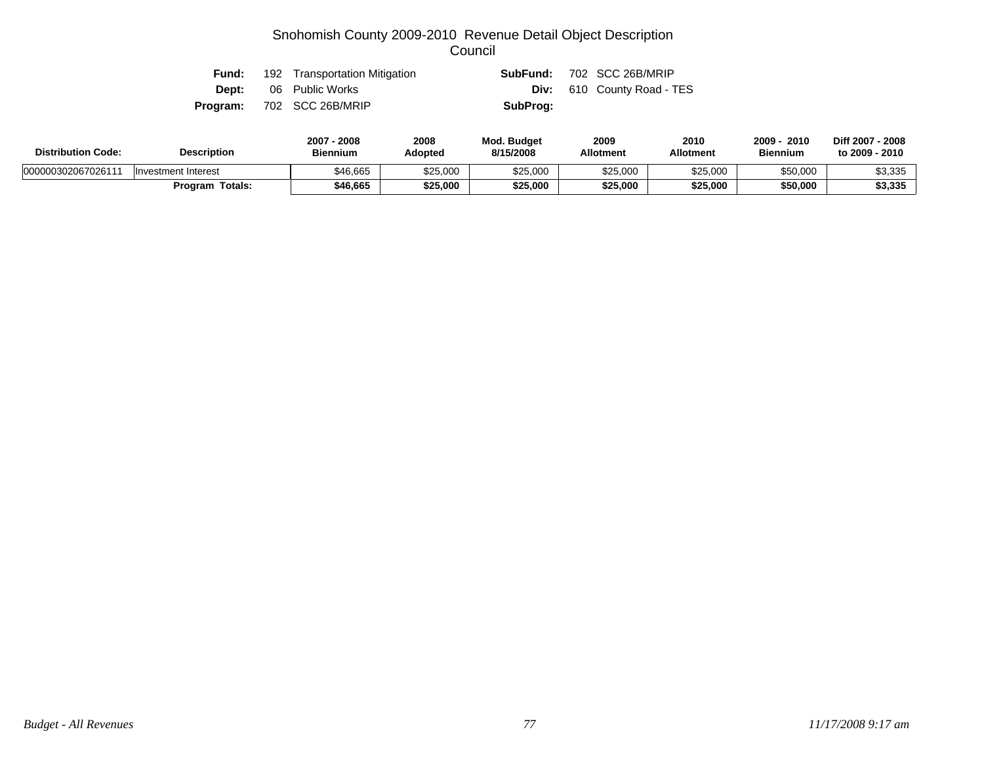| Fund: | 192 Transportation Mitigation    |          | <b>SubFund: 702 SCC 26B/MRIP</b>  |
|-------|----------------------------------|----------|-----------------------------------|
|       | <b>Dept:</b> 06 Public Works     |          | <b>Div:</b> 610 County Road - TES |
|       | <b>Program:</b> 702 SCC 26B/MRIP | SubProg: |                                   |

| <b>Distribution Code:</b> | <b>Description</b>  | 2007<br>2008<br><b>Biennium</b> | 2008<br>Adopted | <b>Mod. Budget</b><br>8/15/2008 | 2009<br><b>Allotment</b> | 2010<br><b>Allotment</b> | 2009<br>2010<br><b>Biennium</b> | Diff 2007 - 2008<br>to 2009 - 2010 |
|---------------------------|---------------------|---------------------------------|-----------------|---------------------------------|--------------------------|--------------------------|---------------------------------|------------------------------------|
| 000000302067026111        | Investment Interest | \$46.665                        | \$25,000        | \$25,000                        | \$25.000                 | \$25.000                 | \$50,000                        | \$3,335                            |
|                           | Totals:<br>Program  | \$46,665                        | \$25,000        | \$25,000                        | \$25,000                 | \$25,000                 | \$50,000                        | \$3,335                            |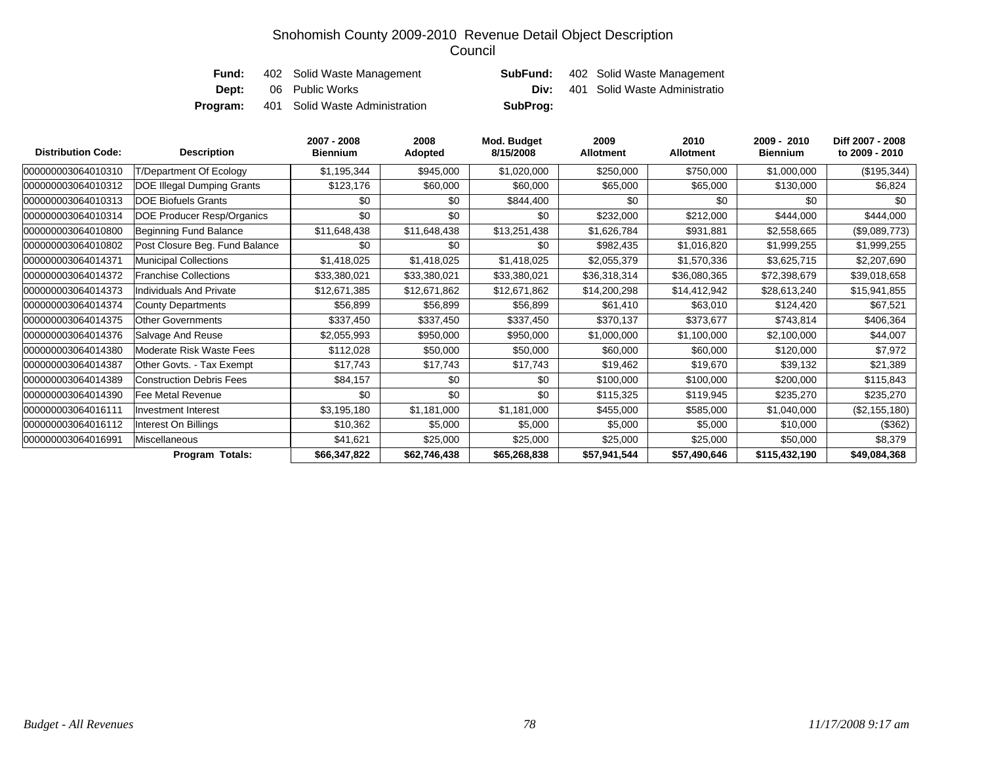| Fund:        | 402 Solid Waste Management     |          | <b>SubFund:</b> 402 Solid Waste Management |
|--------------|--------------------------------|----------|--------------------------------------------|
| <b>Dept:</b> | 06 Public Works                |          | <b>Div:</b> 401 Solid Waste Administratio  |
| Program:     | 401 Solid Waste Administration | SubProg: |                                            |

| <b>Distribution Code:</b> | <b>Description</b>                | 2007 - 2008<br><b>Biennium</b> | 2008<br>Adopted | Mod. Budget<br>8/15/2008 | 2009<br><b>Allotment</b> | 2010<br><b>Allotment</b> | 2009 - 2010<br><b>Biennium</b> | Diff 2007 - 2008<br>to 2009 - 2010 |
|---------------------------|-----------------------------------|--------------------------------|-----------------|--------------------------|--------------------------|--------------------------|--------------------------------|------------------------------------|
| 000000003064010310        | T/Department Of Ecology           | \$1,195,344                    | \$945,000       | \$1,020,000              | \$250,000                | \$750,000                | \$1,000,000                    | (\$195,344)                        |
| 000000003064010312        | <b>DOE Illegal Dumping Grants</b> | \$123,176                      | \$60,000        | \$60,000                 | \$65,000                 | \$65,000                 | \$130,000                      | \$6,824                            |
| 000000003064010313        | <b>DOE Biofuels Grants</b>        | \$0                            | \$0             | \$844,400                | \$0                      | \$0                      | \$0                            | \$0                                |
| 000000003064010314        | DOE Producer Resp/Organics        | \$0                            | \$0             | \$0                      | \$232,000                | \$212,000                | \$444,000                      | \$444,000                          |
| 000000003064010800        | Beginning Fund Balance            | \$11,648,438                   | \$11,648,438    | \$13,251,438             | \$1,626,784              | \$931,881                | \$2,558,665                    | (\$9,089,773)                      |
| 000000003064010802        | Post Closure Beg. Fund Balance    | \$0                            | \$0             | \$0                      | \$982,435                | \$1,016,820              | \$1,999,255                    | \$1,999,255                        |
| 000000003064014371        | <b>Municipal Collections</b>      | \$1,418,025                    | \$1,418,025     | \$1,418,025              | \$2,055,379              | \$1,570,336              | \$3,625,715                    | \$2,207,690                        |
| 000000003064014372        | <b>Franchise Collections</b>      | \$33,380,021                   | \$33,380,021    | \$33,380,021             | \$36,318,314             | \$36,080,365             | \$72,398,679                   | \$39,018,658                       |
| 000000003064014373        | Individuals And Private           | \$12,671,385                   | \$12,671,862    | \$12,671,862             | \$14,200,298             | \$14,412,942             | \$28,613,240                   | \$15,941,855                       |
| 000000003064014374        | <b>County Departments</b>         | \$56,899                       | \$56,899        | \$56,899                 | \$61,410                 | \$63,010                 | \$124,420                      | \$67,521                           |
| 000000003064014375        | Other Governments                 | \$337,450                      | \$337,450       | \$337,450                | \$370,137                | \$373,677                | \$743,814                      | \$406,364                          |
| 000000003064014376        | Salvage And Reuse                 | \$2,055,993                    | \$950,000       | \$950,000                | \$1,000,000              | \$1,100,000              | \$2,100,000                    | \$44,007                           |
| 000000003064014380        | Moderate Risk Waste Fees          | \$112,028                      | \$50,000        | \$50,000                 | \$60,000                 | \$60,000                 | \$120,000                      | \$7,972                            |
| 000000003064014387        | Other Govts. - Tax Exempt         | \$17,743                       | \$17,743        | \$17,743                 | \$19,462                 | \$19,670                 | \$39,132                       | \$21,389                           |
| 000000003064014389        | <b>Construction Debris Fees</b>   | \$84,157                       | \$0             | \$0                      | \$100,000                | \$100,000                | \$200,000                      | \$115,843                          |
| 000000003064014390        | Fee Metal Revenue                 | \$0                            | \$0             | \$0                      | \$115,325                | \$119,945                | \$235,270                      | \$235,270                          |
| 000000003064016111        | Investment Interest               | \$3,195,180                    | \$1,181,000     | \$1,181,000              | \$455,000                | \$585,000                | \$1,040,000                    | (\$2,155,180)                      |
| 000000003064016112        | Interest On Billings              | \$10,362                       | \$5,000         | \$5,000                  | \$5,000                  | \$5,000                  | \$10,000                       | (\$362)                            |
| 000000003064016991        | Miscellaneous                     | \$41,621                       | \$25,000        | \$25,000                 | \$25,000                 | \$25,000                 | \$50,000                       | \$8,379                            |
|                           | Program Totals:                   | \$66,347,822                   | \$62,746,438    | \$65,268,838             | \$57,941,544             | \$57,490,646             | \$115,432,190                  | \$49,084,368                       |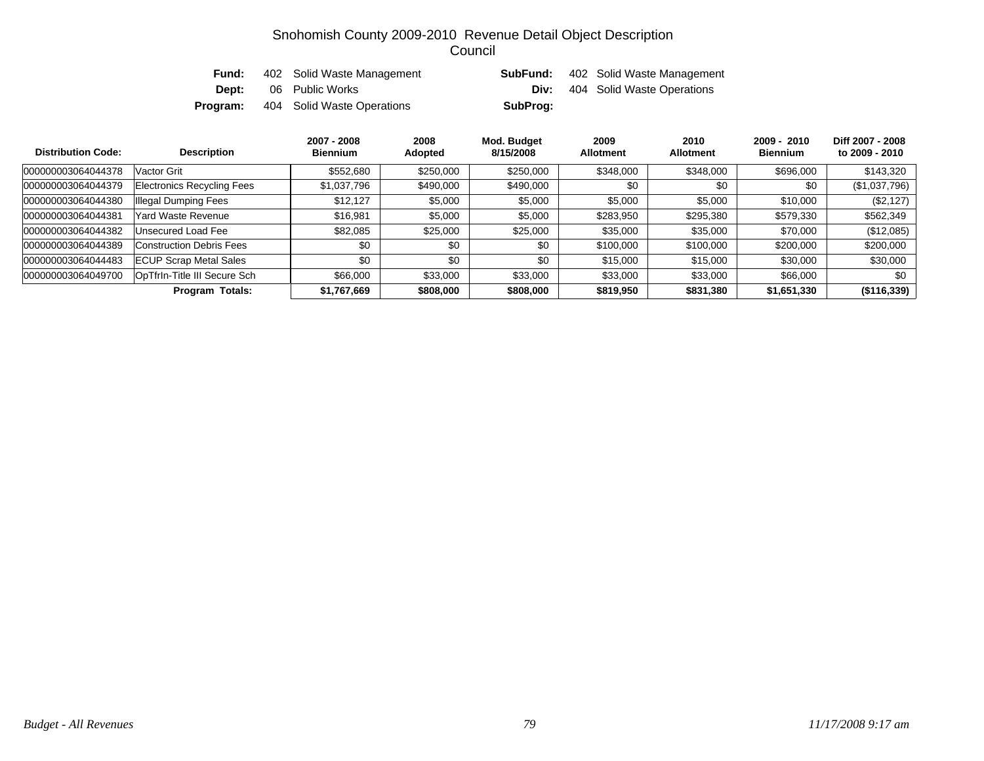| Fund:    | 402 Solid Waste Management | SubFund: | 402 Solid Waste Management |
|----------|----------------------------|----------|----------------------------|
| Dept:    | 06 Public Works            | Div:     | 404 Solid Waste Operations |
| Program: | 404 Solid Waste Operations | SubProg: |                            |

| <b>Distribution Code:</b> | <b>Description</b>            | 2007 - 2008<br><b>Biennium</b> | 2008<br>Adopted | Mod. Budget<br>8/15/2008 | 2009<br><b>Allotment</b> | 2010<br><b>Allotment</b> | $2009 - 2010$<br><b>Biennium</b> | Diff 2007 - 2008<br>to 2009 - 2010 |
|---------------------------|-------------------------------|--------------------------------|-----------------|--------------------------|--------------------------|--------------------------|----------------------------------|------------------------------------|
| 000000003064044378        | Vactor Grit                   | \$552,680                      | \$250,000       | \$250,000                | \$348,000                | \$348,000                | \$696,000                        | \$143,320                          |
| 000000003064044379        | Electronics Recycling Fees    | \$1,037,796                    | \$490,000       | \$490,000                | \$0                      | \$0                      | \$0                              | (\$1,037,796)                      |
| 000000003064044380        | Illegal Dumping Fees          | \$12.127                       | \$5,000         | \$5,000                  | \$5,000                  | \$5,000                  | \$10,000                         | (\$2,127)                          |
| 000000003064044381        | Yard Waste Revenue            | \$16,981                       | \$5,000         | \$5,000                  | \$283,950                | \$295,380                | \$579,330                        | \$562,349                          |
| 000000003064044382        | Unsecured Load Fee            | \$82.085                       | \$25,000        | \$25,000                 | \$35,000                 | \$35,000                 | \$70,000                         | (\$12,085)                         |
| 000000003064044389        | Construction Debris Fees      | \$0                            | \$0             | \$0                      | \$100,000                | \$100,000                | \$200,000                        | \$200,000                          |
| 000000003064044483        | <b>ECUP Scrap Metal Sales</b> | \$0                            | \$0             | \$0                      | \$15,000                 | \$15,000                 | \$30,000                         | \$30,000                           |
| 000000003064049700        | OpTfrin-Title III Secure Sch  | \$66,000                       | \$33,000        | \$33,000                 | \$33,000                 | \$33,000                 | \$66,000                         | \$0                                |
|                           | <b>Program Totals:</b>        | \$1,767,669                    | \$808,000       | \$808,000                | \$819,950                | \$831,380                | \$1,651,330                      | $($ \$116,339)                     |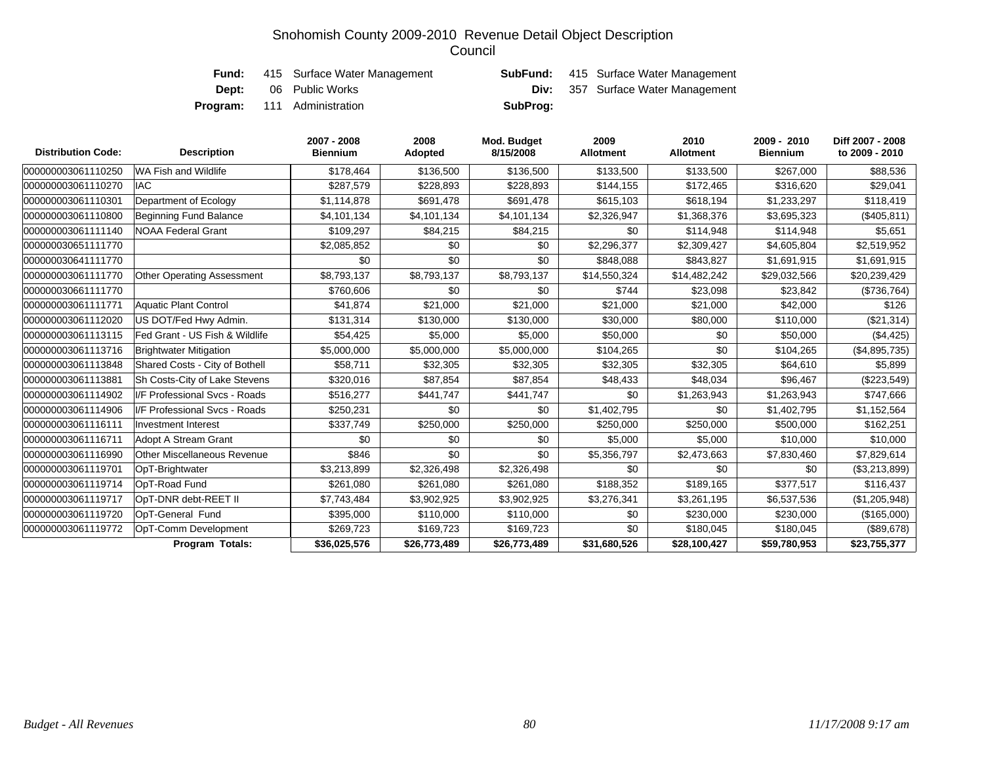| Fund:        | 415 Surface Water Management       |          | <b>SubFund:</b> 415 Surface Water Management |
|--------------|------------------------------------|----------|----------------------------------------------|
| <b>Dept:</b> | 06 Public Works                    |          | <b>Div:</b> 357 Surface Water Management     |
|              | <b>Program:</b> 111 Administration | SubProg: |                                              |

| <b>Distribution Code:</b> | <b>Description</b>                 | 2007 - 2008<br><b>Biennium</b> | 2008<br>Adopted | Mod. Budget<br>8/15/2008 | 2009<br><b>Allotment</b> | 2010<br><b>Allotment</b> | 2009 - 2010<br><b>Biennium</b> | Diff 2007 - 2008<br>to 2009 - 2010 |
|---------------------------|------------------------------------|--------------------------------|-----------------|--------------------------|--------------------------|--------------------------|--------------------------------|------------------------------------|
| 000000003061110250        | WA Fish and Wildlife               | \$178,464                      | \$136,500       | \$136,500                | \$133,500                | \$133,500                | \$267.000                      | \$88,536                           |
| 000000003061110270        | <b>IAC</b>                         | \$287,579                      | \$228,893       | \$228,893                | \$144,155                | \$172,465                | \$316,620                      | \$29,041                           |
| 000000003061110301        | Department of Ecology              | \$1,114,878                    | \$691,478       | \$691,478                | \$615,103                | \$618,194                | \$1,233,297                    | \$118,419                          |
| 000000003061110800        | <b>Beginning Fund Balance</b>      | \$4,101,134                    | \$4,101,134     | \$4,101,134              | \$2,326,947              | \$1,368,376              | \$3,695,323                    | (\$405, 811)                       |
| 000000003061111140        | <b>NOAA Federal Grant</b>          | \$109,297                      | \$84,215        | \$84,215                 | \$0                      | \$114,948                | \$114,948                      | \$5,651                            |
| 000000030651111770        |                                    | \$2,085,852                    | \$0             | \$0                      | \$2,296,377              | \$2,309,427              | \$4,605,804                    | \$2,519,952                        |
| 000000030641111770        |                                    | \$0                            | \$0             | \$0                      | \$848,088                | \$843,827                | \$1,691,915                    | \$1,691,915                        |
| 000000003061111770        | <b>Other Operating Assessment</b>  | \$8,793,137                    | \$8,793,137     | \$8,793,137              | \$14,550,324             | \$14,482,242             | \$29,032,566                   | \$20,239,429                       |
| 000000030661111770        |                                    | \$760,606                      | \$0             | \$0                      | \$744                    | \$23,098                 | \$23,842                       | (\$736,764)                        |
| 000000003061111771        | <b>Aquatic Plant Control</b>       | \$41,874                       | \$21,000        | \$21,000                 | \$21,000                 | \$21,000                 | \$42,000                       | \$126                              |
| 000000003061112020        | US DOT/Fed Hwy Admin.              | \$131,314                      | \$130,000       | \$130,000                | \$30,000                 | \$80,000                 | \$110,000                      | (\$21,314)                         |
| 000000003061113115        | Fed Grant - US Fish & Wildlife     | \$54,425                       | \$5,000         | \$5,000                  | \$50,000                 | \$0                      | \$50,000                       | (\$4,425)                          |
| 000000003061113716        | <b>Brightwater Mitigation</b>      | \$5,000,000                    | \$5,000,000     | \$5,000,000              | \$104,265                | \$0                      | \$104,265                      | (\$4,895,735)                      |
| 000000003061113848        | Shared Costs - City of Bothell     | \$58,711                       | \$32,305        | \$32,305                 | \$32,305                 | \$32,305                 | \$64,610                       | \$5,899                            |
| 000000003061113881        | Sh Costs-City of Lake Stevens      | \$320,016                      | \$87,854        | \$87,854                 | \$48,433                 | \$48,034                 | \$96,467                       | (\$223,549)                        |
| 000000003061114902        | I/F Professional Svcs - Roads      | \$516,277                      | \$441,747       | \$441,747                | \$0                      | \$1,263,943              | \$1,263,943                    | \$747,666                          |
| 000000003061114906        | I/F Professional Svcs - Roads      | \$250,231                      | \$0             | \$0                      | \$1,402,795              | \$0                      | \$1,402,795                    | \$1,152,564                        |
| 000000003061116111        | <b>Investment Interest</b>         | \$337,749                      | \$250,000       | \$250,000                | \$250,000                | \$250,000                | \$500,000                      | \$162,251                          |
| 000000003061116711        | Adopt A Stream Grant               | \$0                            | \$0             | \$0                      | \$5,000                  | \$5,000                  | \$10,000                       | \$10,000                           |
| 000000003061116990        | <b>Other Miscellaneous Revenue</b> | \$846                          | \$0             | \$0                      | \$5,356,797              | \$2,473,663              | \$7,830,460                    | \$7,829,614                        |
| 000000003061119701        | OpT-Brightwater                    | \$3,213,899                    | \$2,326,498     | \$2,326,498              | \$0                      | \$0                      | \$0                            | (\$3,213,899)                      |
| 000000003061119714        | OpT-Road Fund                      | \$261,080                      | \$261,080       | \$261,080                | \$188,352                | \$189,165                | \$377,517                      | \$116,437                          |
| 000000003061119717        | OpT-DNR debt-REET II               | \$7,743,484                    | \$3,902,925     | \$3,902,925              | \$3,276,341              | \$3,261,195              | \$6,537,536                    | (\$1,205,948)                      |
| 000000003061119720        | OpT-General Fund                   | \$395,000                      | \$110,000       | \$110,000                | \$0                      | \$230,000                | \$230,000                      | (\$165,000)                        |
| 000000003061119772        | OpT-Comm Development               | \$269,723                      | \$169,723       | \$169,723                | \$0                      | \$180,045                | \$180,045                      | (\$89,678)                         |
|                           | <b>Program Totals:</b>             | \$36,025,576                   | \$26,773,489    | \$26,773,489             | \$31,680,526             | \$28,100,427             | \$59,780,953                   | \$23,755,377                       |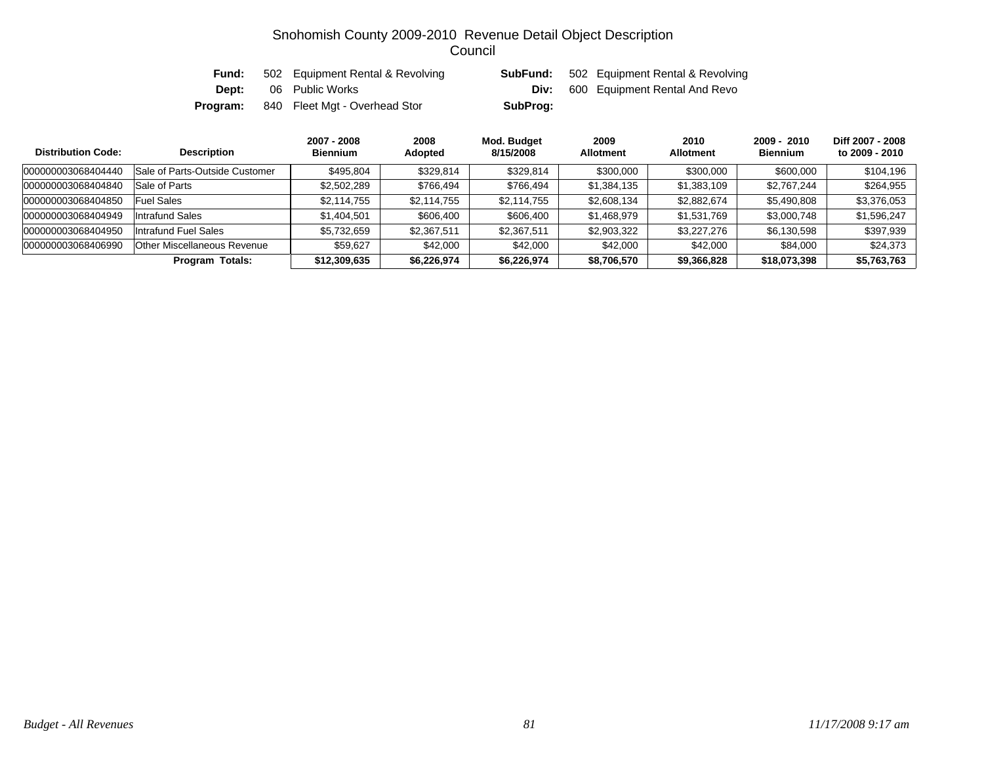| Fund:    | 502 Equipment Rental & Revolving |          | <b>SubFund:</b> 502 Equipment Rental & Revolving |
|----------|----------------------------------|----------|--------------------------------------------------|
| Dept:    | 06 Public Works                  |          | <b>Div:</b> 600 Equipment Rental And Revo        |
| Program: | 840 Fleet Mgt - Overhead Stor    | SubProg: |                                                  |

| <b>Distribution Code:</b> | Description                    | 2007 - 2008<br><b>Biennium</b> | 2008<br>Adopted | Mod. Budget<br>8/15/2008 | 2009<br><b>Allotment</b> | 2010<br><b>Allotment</b> | $2009 - 2010$<br><b>Biennium</b> | Diff 2007 - 2008<br>to 2009 - 2010 |
|---------------------------|--------------------------------|--------------------------------|-----------------|--------------------------|--------------------------|--------------------------|----------------------------------|------------------------------------|
| 000000003068404440        | Sale of Parts-Outside Customer | \$495.804                      | \$329,814       | \$329,814                | \$300,000                | \$300,000                | \$600,000                        | \$104,196                          |
| 000000003068404840        | Sale of Parts                  | \$2,502,289                    | \$766,494       | \$766,494                | \$1,384,135              | \$1,383,109              | \$2,767,244                      | \$264,955                          |
| 000000003068404850        | <b>Fuel Sales</b>              | \$2,114,755                    | \$2,114,755     | \$2,114,755              | \$2,608,134              | \$2,882,674              | \$5,490,808                      | \$3,376,053                        |
| 000000003068404949        | Intrafund Sales                | \$1,404,501                    | \$606,400       | \$606,400                | \$1,468,979              | \$1,531,769              | \$3,000,748                      | \$1,596,247                        |
| 000000003068404950        | Intrafund Fuel Sales           | \$5,732,659                    | \$2,367,511     | \$2,367,511              | \$2,903,322              | \$3,227,276              | \$6,130,598                      | \$397,939                          |
| 000000003068406990        | Other Miscellaneous Revenue    | \$59.627                       | \$42,000        | \$42,000                 | \$42,000                 | \$42,000                 | \$84,000                         | \$24,373                           |
|                           | <b>Program Totals:</b>         | \$12,309,635                   | \$6,226,974     | \$6,226,974              | \$8,706,570              | \$9,366,828              | \$18,073,398                     | \$5,763,763                        |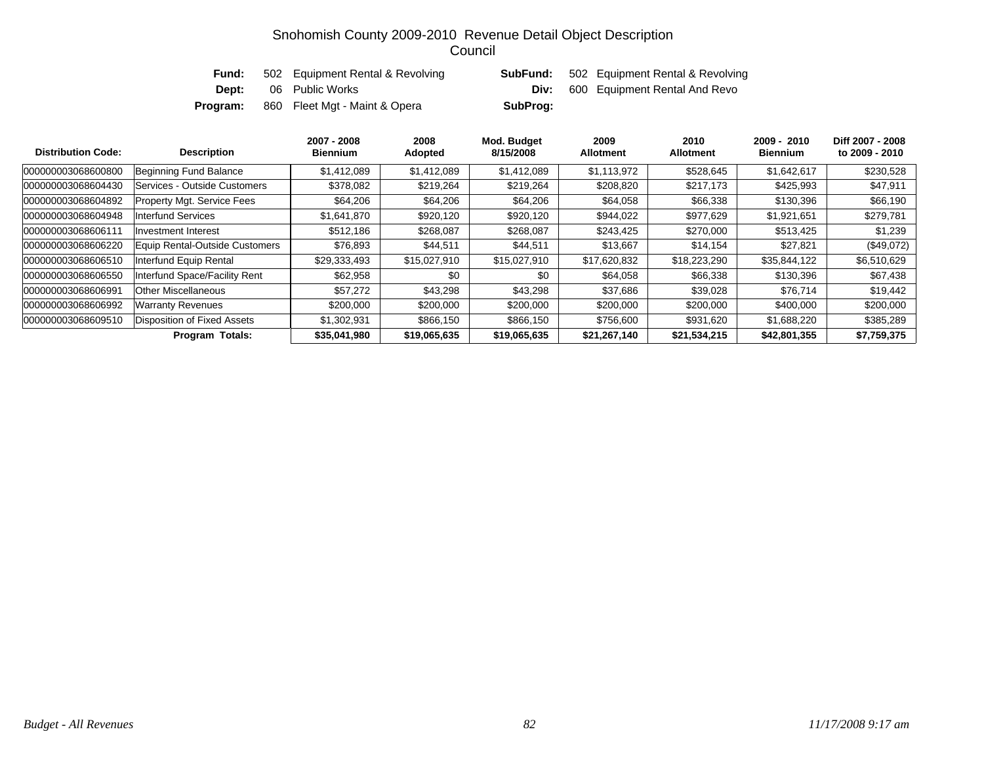| Fund:    | 502 Equipment Rental & Revolving |          | <b>SubFund:</b> 502 Equipment Rental & Revolving |
|----------|----------------------------------|----------|--------------------------------------------------|
| Dept:    | 06 Public Works                  | Div:     | 600 Equipment Rental And Revo                    |
| Program: | 860 Fleet Mgt - Maint & Opera    | SubProg: |                                                  |

| <b>Distribution Code:</b> | <b>Description</b>                | 2007 - 2008<br><b>Biennium</b> | 2008<br>Adopted | Mod. Budget<br>8/15/2008 | 2009<br><b>Allotment</b> | 2010<br><b>Allotment</b> | 2009 - 2010<br><b>Biennium</b> | Diff 2007 - 2008<br>to 2009 - 2010 |
|---------------------------|-----------------------------------|--------------------------------|-----------------|--------------------------|--------------------------|--------------------------|--------------------------------|------------------------------------|
| 000000003068600800        | Beginning Fund Balance            | \$1,412,089                    | \$1,412,089     | \$1,412,089              | \$1,113,972              | \$528,645                | \$1,642,617                    | \$230,528                          |
| 000000003068604430        | Services - Outside Customers      | \$378,082                      | \$219.264       | \$219.264                | \$208,820                | \$217,173                | \$425.993                      | \$47,911                           |
| 000000003068604892        | <b>Property Mgt. Service Fees</b> | \$64,206                       | \$64,206        | \$64,206                 | \$64,058                 | \$66,338                 | \$130,396                      | \$66,190                           |
| 000000003068604948        | <b>Interfund Services</b>         | \$1,641,870                    | \$920,120       | \$920,120                | \$944,022                | \$977,629                | \$1,921,651                    | \$279,781                          |
| 000000003068606111        | Investment Interest               | \$512.186                      | \$268,087       | \$268,087                | \$243,425                | \$270,000                | \$513,425                      | \$1,239                            |
| 000000003068606220        | Equip Rental-Outside Customers    | \$76,893                       | \$44,511        | \$44,511                 | \$13,667                 | \$14,154                 | \$27,821                       | $(\$49,072)$                       |
| 000000003068606510        | Interfund Equip Rental            | \$29,333,493                   | \$15,027,910    | \$15,027,910             | \$17,620,832             | \$18,223,290             | \$35,844,122                   | \$6,510,629                        |
| 000000003068606550        | Interfund Space/Facility Rent     | \$62,958                       | \$0             | \$0                      | \$64,058                 | \$66,338                 | \$130,396                      | \$67,438                           |
| 000000003068606991        | <b>Other Miscellaneous</b>        | \$57,272                       | \$43,298        | \$43,298                 | \$37,686                 | \$39,028                 | \$76,714                       | \$19,442                           |
| 000000003068606992        | Warranty Revenues                 | \$200,000                      | \$200,000       | \$200,000                | \$200,000                | \$200,000                | \$400,000                      | \$200,000                          |
| 000000003068609510        | Disposition of Fixed Assets       | \$1,302,931                    | \$866,150       | \$866,150                | \$756,600                | \$931,620                | \$1,688,220                    | \$385,289                          |
|                           | <b>Program Totals:</b>            | \$35,041,980                   | \$19,065,635    | \$19,065,635             | \$21,267,140             | \$21,534,215             | \$42,801,355                   | \$7,759,375                        |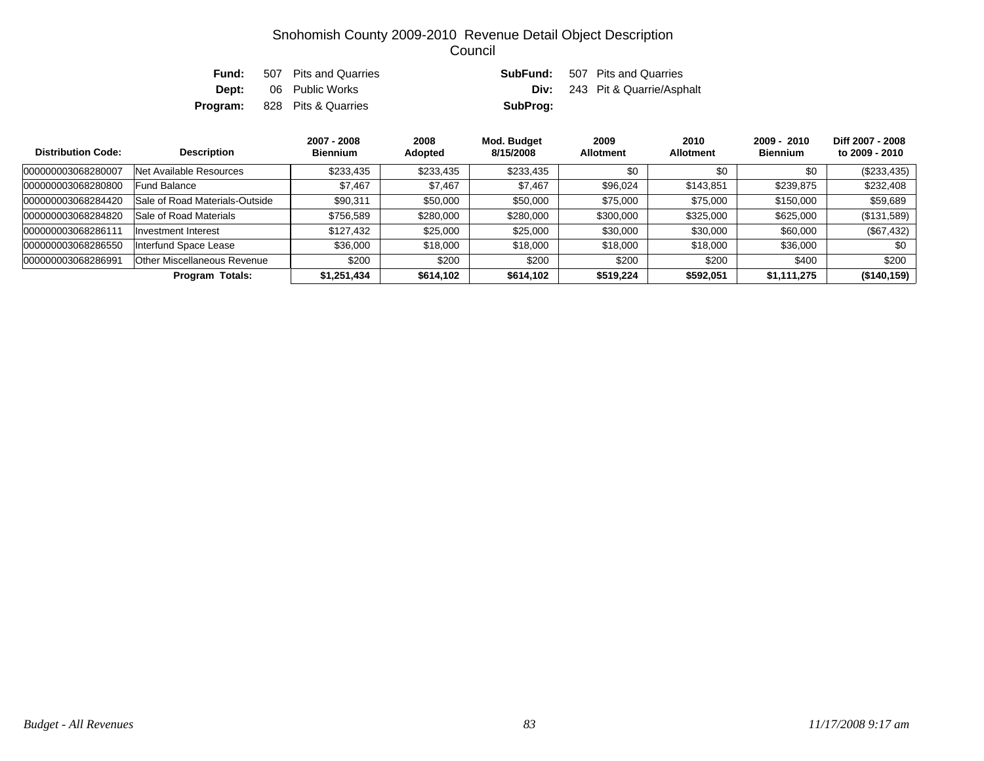|  | <b>Fund:</b> 507 Pits and Quarries  |          | <b>SubFund:</b> 507 Pits and Quarries |
|--|-------------------------------------|----------|---------------------------------------|
|  | <b>Dept:</b> 06 Public Works        |          | <b>Div:</b> 243 Pit & Quarrie/Asphalt |
|  | <b>Program:</b> 828 Pits & Quarries | SubProg: |                                       |

| <b>Distribution Code:</b> | <b>Description</b>                 | 2007 - 2008<br><b>Biennium</b> | 2008<br>Adopted | Mod. Budget<br>8/15/2008 | 2009<br><b>Allotment</b> | 2010<br><b>Allotment</b> | $2009 - 2010$<br><b>Biennium</b> | Diff 2007 - 2008<br>to 2009 - 2010 |
|---------------------------|------------------------------------|--------------------------------|-----------------|--------------------------|--------------------------|--------------------------|----------------------------------|------------------------------------|
| 000000003068280007        | Net Available Resources            | \$233,435                      | \$233,435       | \$233,435                | \$0                      | \$0                      | \$0                              | $(\$233,435)$                      |
| 000000003068280800        | <b>Fund Balance</b>                | \$7,467                        | \$7,467         | \$7,467                  | \$96,024                 | \$143,851                | \$239,875                        | \$232,408                          |
| 000000003068284420        | Sale of Road Materials-Outside     | \$90,311                       | \$50,000        | \$50,000                 | \$75,000                 | \$75,000                 | \$150,000                        | \$59,689                           |
| 000000003068284820        | Sale of Road Materials             | \$756,589                      | \$280,000       | \$280,000                | \$300,000                | \$325,000                | \$625,000                        | (\$131,589)                        |
| 000000003068286111        | Investment Interest                | \$127,432                      | \$25,000        | \$25,000                 | \$30,000                 | \$30,000                 | \$60,000                         | $(\$67,432)$                       |
| 000000003068286550        | Interfund Space Lease              | \$36,000                       | \$18,000        | \$18,000                 | \$18,000                 | \$18,000                 | \$36,000                         | \$0                                |
| 000000003068286991        | <b>Other Miscellaneous Revenue</b> | \$200                          | \$200           | \$200                    | \$200                    | \$200                    | \$400                            | \$200                              |
|                           | Program Totals:                    | \$1,251,434                    | \$614,102       | \$614,102                | \$519,224                | \$592,051                | \$1,111,275                      | (\$140, 159)                       |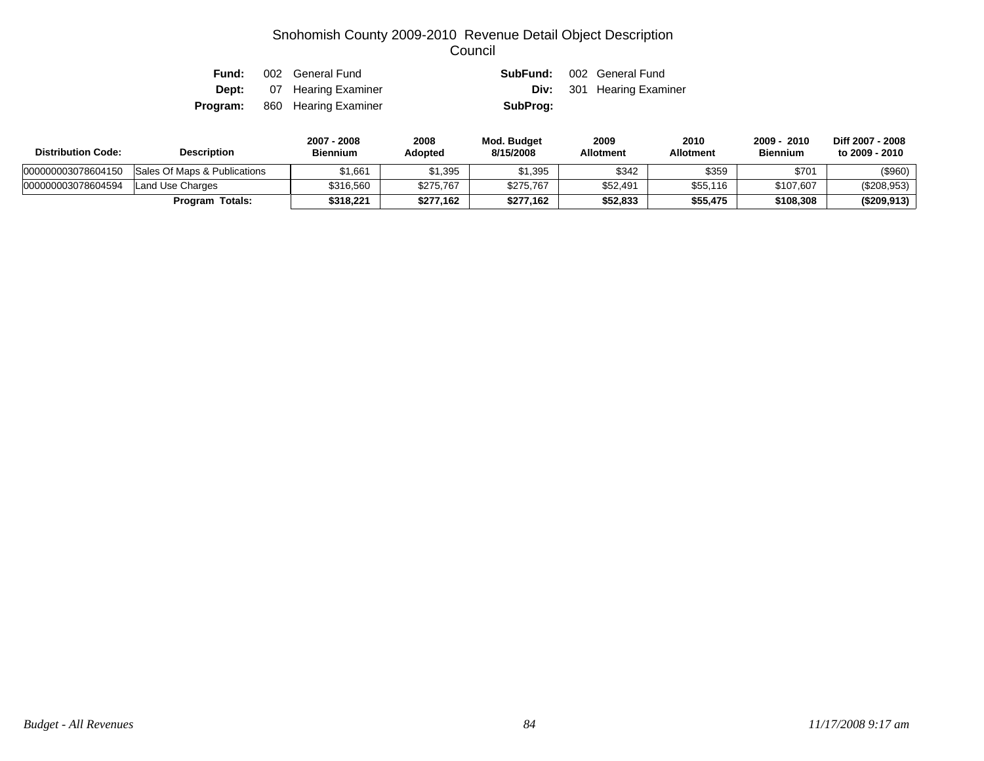| Fund:    | 002 General Fund                 |          | <b>SubFund:</b> 002 General Fund |
|----------|----------------------------------|----------|----------------------------------|
|          | <b>Dept:</b> 07 Hearing Examiner |          | <b>Div:</b> 301 Hearing Examiner |
| Program: | 860 Hearing Examiner             | SubProg: |                                  |

| <b>Distribution Code:</b> | <b>Description</b>           |           | 2008<br><b>Adopted</b> | Mod. Budget<br>8/15/2008 | 2009<br><b>Allotment</b> | 2010<br>Allotment | $2009 -$<br>2010<br><b>Biennium</b> | Diff 2007 - 2008<br>to 2009 - 2010 |
|---------------------------|------------------------------|-----------|------------------------|--------------------------|--------------------------|-------------------|-------------------------------------|------------------------------------|
| 000000003078604150        | Sales Of Maps & Publications | 51.661    | \$1,395                | \$1,395                  | \$342                    | \$359             | \$701                               | (\$960)                            |
| 000000003078604594        | Land Use Charges             | \$316,560 | \$275.767              | \$275,767                | \$52.491                 | \$55,116          | \$107.607                           | (\$208,953)                        |
|                           | <b>Program Totals:</b>       | \$318.221 | \$277.162              | \$277.162                | \$52.833                 | \$55.475          | \$108,308                           | (\$209,913)                        |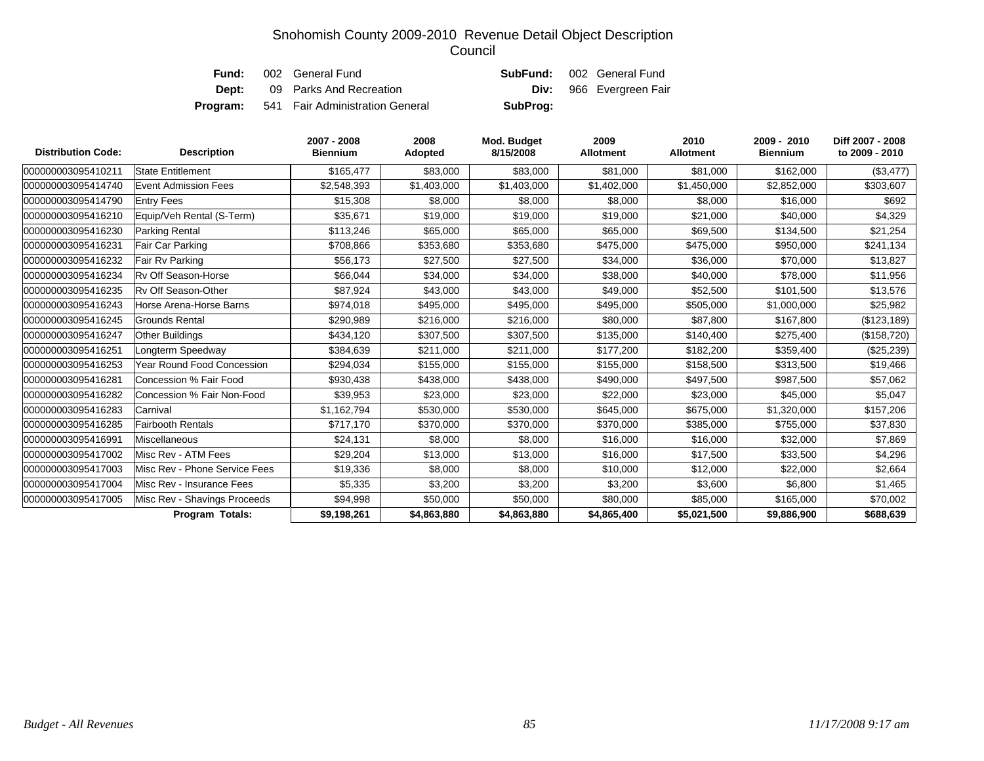| Fund: | 002 General Fund                                |          | <b>SubFund:</b> 002 General Fund |
|-------|-------------------------------------------------|----------|----------------------------------|
| Dept: | 09 Parks And Recreation                         |          | <b>Div:</b> 966 Evergreen Fair   |
|       | <b>Program:</b> 541 Fair Administration General | SubProg: |                                  |

| <b>Distribution Code:</b> | <b>Description</b>            | 2007 - 2008<br><b>Biennium</b> | 2008<br>Adopted | Mod. Budget<br>8/15/2008 | 2009<br><b>Allotment</b> | 2010<br><b>Allotment</b> | 2009 - 2010<br><b>Biennium</b> | Diff 2007 - 2008<br>to 2009 - 2010 |
|---------------------------|-------------------------------|--------------------------------|-----------------|--------------------------|--------------------------|--------------------------|--------------------------------|------------------------------------|
| 000000003095410211        | State Entitlement             | \$165,477                      | \$83,000        | \$83,000                 | \$81,000                 | \$81,000                 | \$162,000                      | (\$3,477)                          |
| 000000003095414740        | <b>Event Admission Fees</b>   | \$2,548,393                    | \$1,403,000     | \$1,403,000              | \$1,402,000              | \$1,450,000              | \$2,852,000                    | \$303,607                          |
| 000000003095414790        | <b>Entry Fees</b>             | \$15,308                       | \$8,000         | \$8,000                  | \$8,000                  | \$8,000                  | \$16,000                       | \$692                              |
| 000000003095416210        | Equip/Veh Rental (S-Term)     | \$35,671                       | \$19,000        | \$19,000                 | \$19,000                 | \$21,000                 | \$40,000                       | \$4,329                            |
| 000000003095416230        | Parking Rental                | \$113,246                      | \$65,000        | \$65,000                 | \$65,000                 | \$69,500                 | \$134,500                      | \$21,254                           |
| 000000003095416231        | Fair Car Parking              | \$708,866                      | \$353,680       | \$353,680                | \$475,000                | \$475,000                | \$950,000                      | \$241,134                          |
| 000000003095416232        | Fair Rv Parking               | \$56,173                       | \$27,500        | \$27,500                 | \$34,000                 | \$36,000                 | \$70,000                       | \$13,827                           |
| 000000003095416234        | <b>Rv Off Season-Horse</b>    | \$66,044                       | \$34,000        | \$34,000                 | \$38,000                 | \$40,000                 | \$78,000                       | \$11,956                           |
| 000000003095416235        | Ry Off Season-Other           | \$87,924                       | \$43,000        | \$43,000                 | \$49,000                 | \$52,500                 | \$101,500                      | \$13,576                           |
| 000000003095416243        | Horse Arena-Horse Barns       | \$974,018                      | \$495,000       | \$495,000                | \$495,000                | \$505,000                | \$1,000,000                    | \$25,982                           |
| 000000003095416245        | <b>Grounds Rental</b>         | \$290,989                      | \$216,000       | \$216,000                | \$80,000                 | \$87,800                 | \$167,800                      | (\$123, 189)                       |
| 000000003095416247        | <b>Other Buildings</b>        | \$434,120                      | \$307,500       | \$307,500                | \$135,000                | \$140,400                | \$275,400                      | (\$158,720)                        |
| 000000003095416251        | Longterm Speedway             | \$384,639                      | \$211,000       | \$211,000                | \$177,200                | \$182,200                | \$359,400                      | $(\$25,239)$                       |
| 000000003095416253        | Year Round Food Concession    | \$294,034                      | \$155,000       | \$155,000                | \$155,000                | \$158,500                | \$313,500                      | \$19,466                           |
| 000000003095416281        | Concession % Fair Food        | \$930,438                      | \$438,000       | \$438,000                | \$490,000                | \$497,500                | \$987,500                      | \$57,062                           |
| 000000003095416282        | Concession % Fair Non-Food    | \$39,953                       | \$23,000        | \$23,000                 | \$22,000                 | \$23,000                 | \$45,000                       | \$5,047                            |
| 000000003095416283        | Carnival                      | \$1,162,794                    | \$530,000       | \$530,000                | \$645,000                | \$675,000                | \$1,320,000                    | \$157,206                          |
| 000000003095416285        | <b>Fairbooth Rentals</b>      | \$717.170                      | \$370,000       | \$370,000                | \$370,000                | \$385,000                | \$755,000                      | \$37,830                           |
| 000000003095416991        | Miscellaneous                 | \$24,131                       | \$8,000         | \$8,000                  | \$16,000                 | \$16,000                 | \$32,000                       | \$7,869                            |
| 000000003095417002        | Misc Rev - ATM Fees           | \$29,204                       | \$13,000        | \$13,000                 | \$16,000                 | \$17,500                 | \$33,500                       | \$4,296                            |
| 000000003095417003        | Misc Rev - Phone Service Fees | \$19,336                       | \$8,000         | \$8,000                  | \$10,000                 | \$12,000                 | \$22,000                       | \$2,664                            |
| 000000003095417004        | Misc Rev - Insurance Fees     | \$5,335                        | \$3,200         | \$3,200                  | \$3,200                  | \$3,600                  | \$6,800                        | \$1,465                            |
| 000000003095417005        | Misc Rev - Shavings Proceeds  | \$94,998                       | \$50,000        | \$50,000                 | \$80,000                 | \$85,000                 | \$165,000                      | \$70,002                           |
|                           | Program Totals:               | \$9,198,261                    | \$4,863,880     | \$4,863,880              | \$4,865,400              | \$5,021,500              | \$9,886,900                    | \$688,639                          |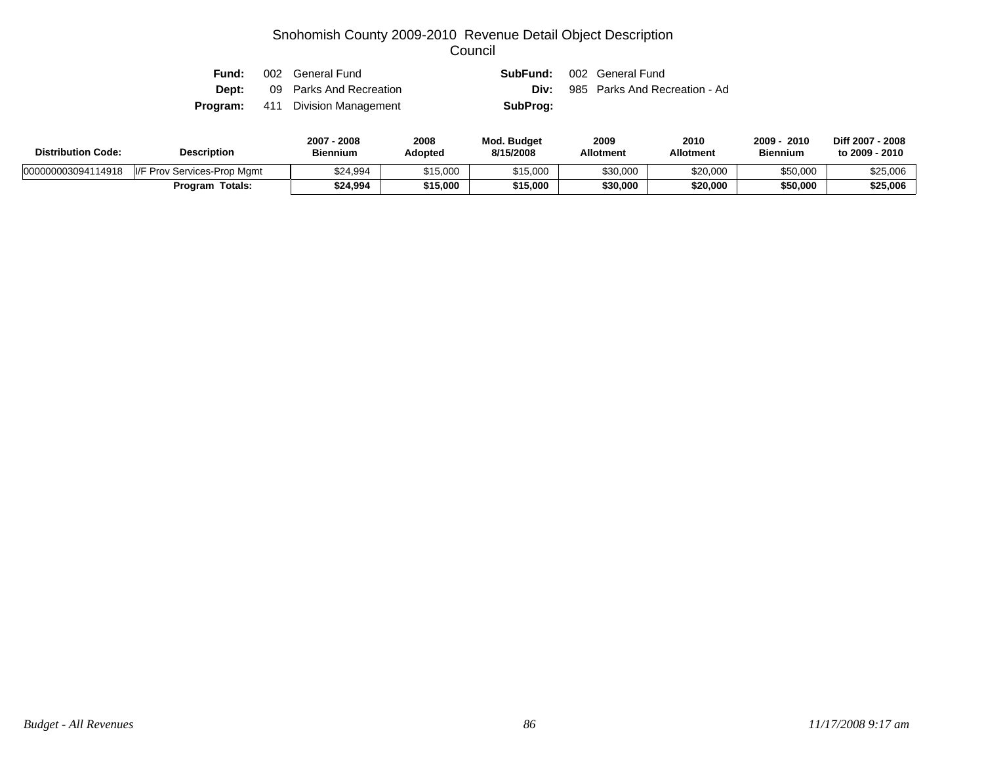| Fund: | 002 General Fund                        | <b>SubFund:</b> 002 General Fund |                               |
|-------|-----------------------------------------|----------------------------------|-------------------------------|
| Dept: | 09 Parks And Recreation                 | Div:                             | 985 Parks And Recreation - Ad |
|       | <b>Program:</b> 411 Division Management | SubProg:                         |                               |

| <b>Description</b><br><b>Distribution Code:</b> |                             | 2007 - 2008<br><b>Biennium</b> | 2008<br>Adopted | <b>Mod. Budget</b><br>8/15/2008 | 2009<br><b>Allotment</b> | 2010<br>Allotment | $2009 -$<br>2010<br><b>Biennium</b> | Diff 2007 - 2008<br>to 2009 - 2010 |
|-------------------------------------------------|-----------------------------|--------------------------------|-----------------|---------------------------------|--------------------------|-------------------|-------------------------------------|------------------------------------|
| 000000003094114918                              | I/F Prov Services-Prop Mgmt | \$24,994                       | \$15,000        | \$15,000                        | \$30,000                 | \$20,000          | \$50,000                            | \$25,006                           |
|                                                 | <b>Program Totals:</b>      | \$24,994                       | \$15,000        | \$15,000                        | \$30,000                 | \$20,000          | \$50,000                            | \$25,006                           |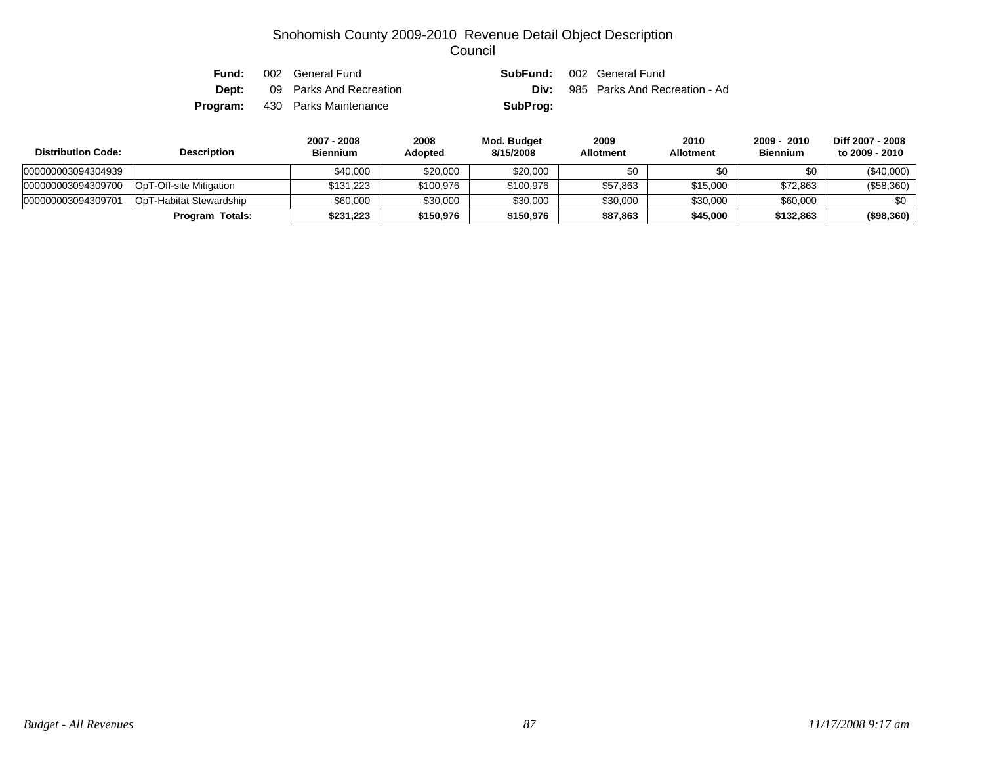| Fund: | 002 General Fund                      |          | <b>SubFund:</b> 002 General Fund          |
|-------|---------------------------------------|----------|-------------------------------------------|
| Dept: | 09 Parks And Recreation               |          | <b>Div:</b> 985 Parks And Recreation - Ad |
|       | <b>Program:</b> 430 Parks Maintenance | SubProg: |                                           |

| <b>Distribution Code:</b> | <b>Description</b>      | 2007 - 2008<br><b>Biennium</b> | 2008<br><b>Adopted</b> | Mod. Budget<br>8/15/2008 | 2009<br><b>Allotment</b> | 2010<br><b>Allotment</b> | $2009 - 2010$<br><b>Biennium</b> | Diff 2007 - 2008<br>to 2009 - 2010 |
|---------------------------|-------------------------|--------------------------------|------------------------|--------------------------|--------------------------|--------------------------|----------------------------------|------------------------------------|
| 000000003094304939        |                         | \$40,000                       | \$20,000               | \$20,000                 | \$0                      | \$0                      | \$0                              | $(\$40,000)$                       |
| 000000003094309700        | OpT-Off-site Mitigation | \$131,223                      | \$100,976              | \$100,976                | \$57,863                 | \$15,000                 | \$72,863                         | $(\$58,360)$                       |
| 000000003094309701        | OpT-Habitat Stewardship | \$60,000                       | \$30,000               | \$30,000                 | \$30,000                 | \$30,000                 | \$60,000                         | \$0                                |
|                           | <b>Program Totals:</b>  | \$231.223                      | \$150,976              | \$150,976                | \$87,863                 | \$45,000                 | \$132,863                        | (\$98,360)                         |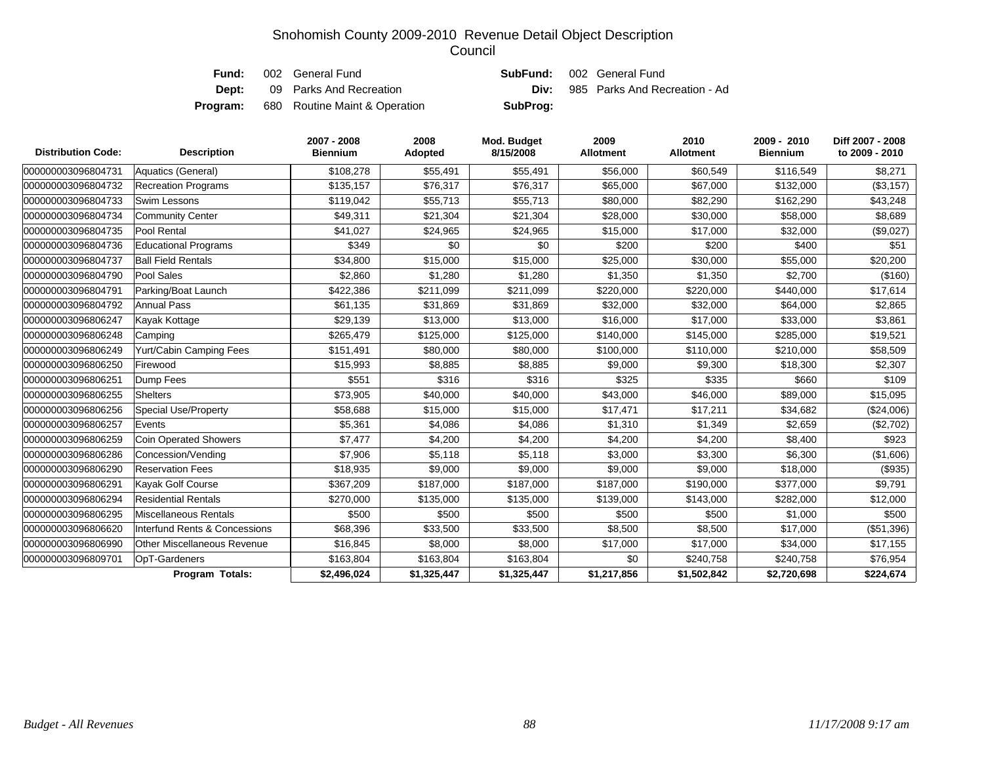| Fund:    | 002 General Fund              | <b>SubFund:</b> 002 General Fund |                                           |
|----------|-------------------------------|----------------------------------|-------------------------------------------|
| Dept:    | 09 Parks And Recreation       |                                  | <b>Div:</b> 985 Parks And Recreation - Ad |
| Program: | 680 Routine Maint & Operation | SubProg:                         |                                           |

| <b>Distribution Code:</b> | <b>Description</b>                 | 2007 - 2008<br><b>Biennium</b> | 2008<br>Adopted | Mod. Budget<br>8/15/2008 | 2009<br><b>Allotment</b> | 2010<br><b>Allotment</b> | 2009 - 2010<br><b>Biennium</b> | Diff 2007 - 2008<br>to 2009 - 2010 |
|---------------------------|------------------------------------|--------------------------------|-----------------|--------------------------|--------------------------|--------------------------|--------------------------------|------------------------------------|
| 000000003096804731        | Aquatics (General)                 | \$108,278                      | \$55,491        | \$55,491                 | \$56,000                 | \$60,549                 | \$116,549                      | \$8,271                            |
| 000000003096804732        | <b>Recreation Programs</b>         | \$135,157                      | \$76,317        | \$76,317                 | \$65,000                 | \$67,000                 | \$132,000                      | (\$3,157)                          |
| 000000003096804733        | Swim Lessons                       | \$119,042                      | \$55,713        | \$55,713                 | \$80,000                 | \$82,290                 | \$162,290                      | \$43,248                           |
| 000000003096804734        | <b>Community Center</b>            | \$49,311                       | \$21,304        | \$21,304                 | \$28,000                 | \$30,000                 | \$58,000                       | \$8,689                            |
| 000000003096804735        | Pool Rental                        | \$41,027                       | \$24,965        | \$24,965                 | \$15,000                 | \$17,000                 | \$32,000                       | (\$9,027)                          |
| 000000003096804736        | <b>Educational Programs</b>        | \$349                          | \$0             | \$0                      | \$200                    | \$200                    | \$400                          | \$51                               |
| 000000003096804737        | <b>Ball Field Rentals</b>          | \$34,800                       | \$15,000        | \$15,000                 | \$25,000                 | \$30,000                 | \$55,000                       | \$20,200                           |
| 000000003096804790        | Pool Sales                         | \$2,860                        | \$1,280         | \$1,280                  | \$1,350                  | \$1,350                  | \$2,700                        | (\$160)                            |
| 000000003096804791        | Parking/Boat Launch                | \$422,386                      | \$211,099       | \$211,099                | \$220,000                | \$220,000                | \$440,000                      | \$17,614                           |
| 000000003096804792        | <b>Annual Pass</b>                 | \$61,135                       | \$31,869        | \$31,869                 | \$32,000                 | \$32,000                 | \$64,000                       | \$2,865                            |
| 000000003096806247        | Kayak Kottage                      | \$29,139                       | \$13,000        | \$13,000                 | \$16,000                 | \$17,000                 | \$33,000                       | \$3,861                            |
| 000000003096806248        | Camping                            | \$265,479                      | \$125,000       | \$125,000                | \$140,000                | \$145,000                | \$285,000                      | \$19,521                           |
| 000000003096806249        | Yurt/Cabin Camping Fees            | \$151,491                      | \$80,000        | \$80,000                 | \$100,000                | \$110,000                | \$210,000                      | \$58,509                           |
| 000000003096806250        | Firewood                           | \$15,993                       | \$8,885         | \$8,885                  | \$9,000                  | \$9,300                  | \$18,300                       | \$2,307                            |
| 000000003096806251        | Dump Fees                          | \$551                          | \$316           | \$316                    | \$325                    | \$335                    | \$660                          | \$109                              |
| 000000003096806255        | <b>Shelters</b>                    | \$73,905                       | \$40,000        | \$40,000                 | \$43,000                 | \$46,000                 | \$89,000                       | \$15,095                           |
| 000000003096806256        | <b>Special Use/Property</b>        | \$58,688                       | \$15,000        | \$15,000                 | \$17,471                 | \$17,211                 | \$34,682                       | (\$24,006)                         |
| 000000003096806257        | Events                             | \$5,361                        | \$4,086         | \$4,086                  | \$1,310                  | \$1,349                  | \$2,659                        | (\$2,702)                          |
| 000000003096806259        | <b>Coin Operated Showers</b>       | \$7,477                        | \$4,200         | \$4,200                  | \$4,200                  | \$4,200                  | \$8,400                        | \$923                              |
| 000000003096806286        | Concession/Vending                 | \$7,906                        | \$5,118         | \$5,118                  | \$3,000                  | \$3,300                  | \$6,300                        | (\$1,606)                          |
| 000000003096806290        | <b>Reservation Fees</b>            | \$18,935                       | \$9,000         | \$9,000                  | \$9,000                  | \$9,000                  | \$18,000                       | (\$935)                            |
| 000000003096806291        | Kayak Golf Course                  | \$367,209                      | \$187,000       | \$187,000                | \$187,000                | \$190,000                | \$377,000                      | \$9,791                            |
| 000000003096806294        | <b>Residential Rentals</b>         | \$270,000                      | \$135,000       | \$135,000                | \$139,000                | \$143,000                | \$282,000                      | \$12,000                           |
| 000000003096806295        | Miscellaneous Rentals              | \$500                          | \$500           | \$500                    | \$500                    | \$500                    | \$1,000                        | \$500                              |
| 000000003096806620        | Interfund Rents & Concessions      | \$68,396                       | \$33,500        | \$33,500                 | \$8,500                  | \$8,500                  | \$17,000                       | (\$51,396)                         |
| 000000003096806990        | <b>Other Miscellaneous Revenue</b> | \$16,845                       | \$8,000         | \$8,000                  | \$17,000                 | \$17,000                 | \$34,000                       | \$17,155                           |
| 000000003096809701        | <b>OpT-Gardeners</b>               | \$163,804                      | \$163,804       | \$163,804                | \$0                      | \$240,758                | \$240,758                      | \$76,954                           |
|                           | <b>Program Totals:</b>             | \$2,496,024                    | \$1,325,447     | \$1,325,447              | \$1,217,856              | \$1,502,842              | \$2,720,698                    | \$224,674                          |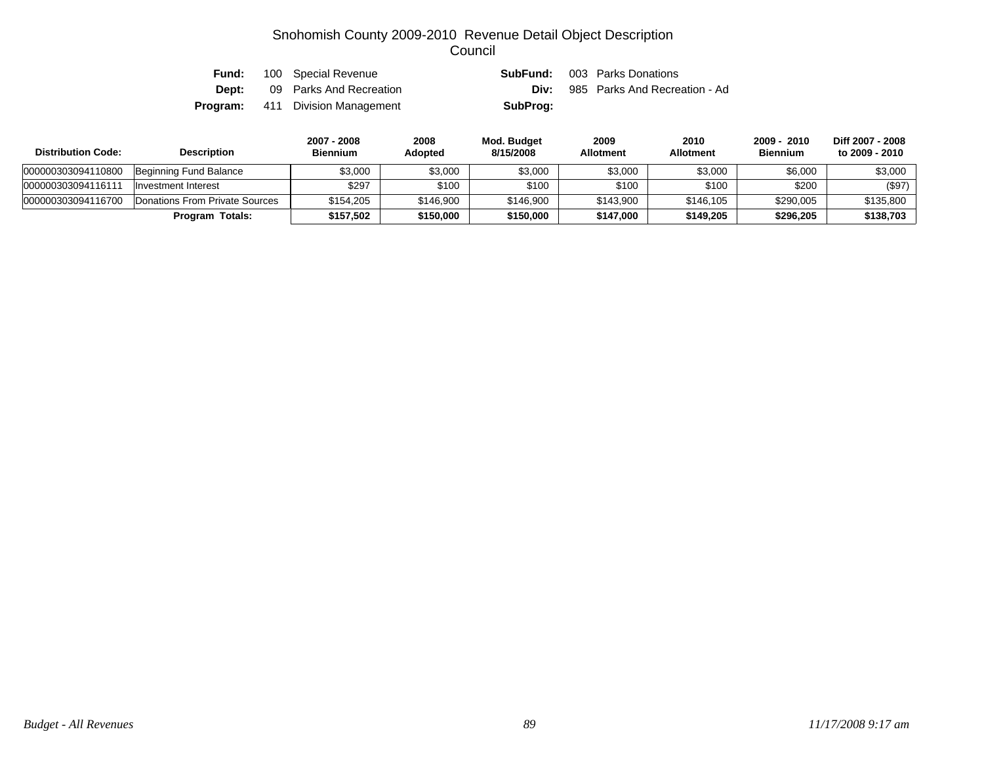| Fund: | 100 Special Revenue                     | SubFund: | 003 Parks Donations           |
|-------|-----------------------------------------|----------|-------------------------------|
| Dept: | 09 Parks And Recreation                 | Div:     | 985 Parks And Recreation - Ad |
|       | <b>Program:</b> 411 Division Management | SubProg: |                               |

| <b>Distribution Code:</b> | <b>Description</b>             | 2007 - 2008<br><b>Biennium</b> | 2008<br><b>Adopted</b> | Mod. Budget<br>8/15/2008 | 2009<br><b>Allotment</b> | 2010<br><b>Allotment</b> | 2009 - 2010<br><b>Biennium</b> | Diff 2007 - 2008<br>to 2009 - 2010 |
|---------------------------|--------------------------------|--------------------------------|------------------------|--------------------------|--------------------------|--------------------------|--------------------------------|------------------------------------|
| 000000303094110800        | Beginning Fund Balance         | \$3,000                        | \$3,000                | \$3,000                  | \$3,000                  | \$3,000                  | \$6,000                        | \$3,000                            |
| 000000303094116111        | Investment Interest            | \$297                          | \$100                  | \$100                    | \$100                    | \$100                    | \$200                          | (\$97)                             |
| 000000303094116700        | Donations From Private Sources | \$154.205                      | \$146,900              | \$146,900                | \$143,900                | \$146.105                | \$290,005                      | \$135,800                          |
|                           | Program Totals:                | \$157.502                      | \$150,000              | \$150,000                | \$147,000                | \$149,205                | \$296,205                      | \$138,703                          |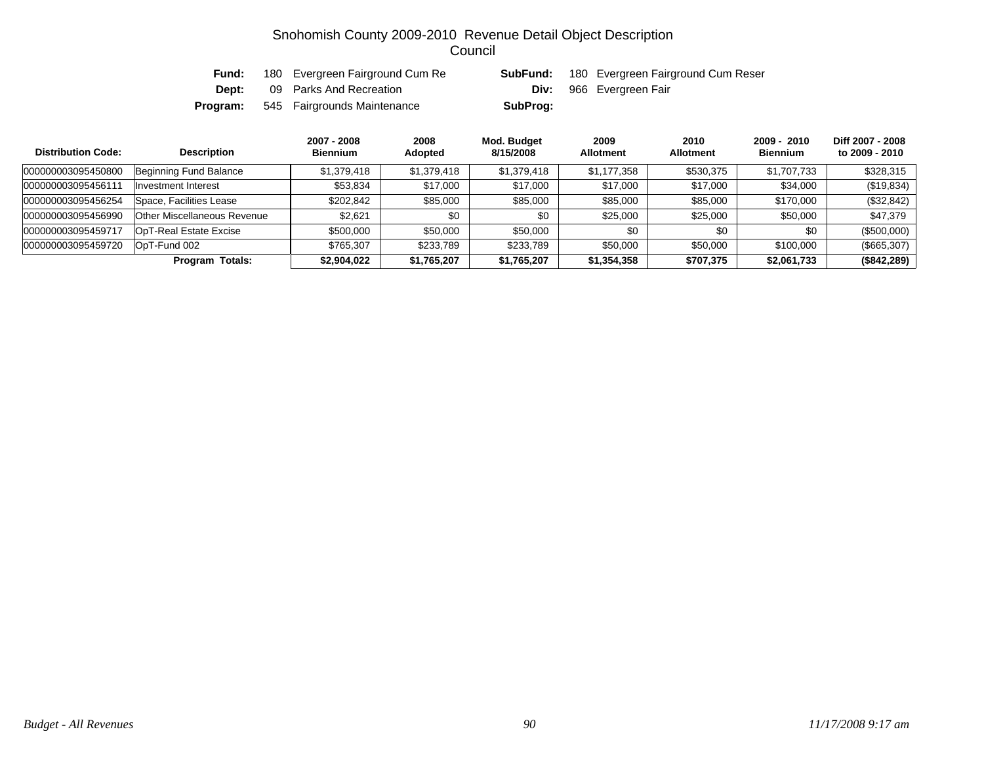| Fund:        | 180 Evergreen Fairground Cum Re | SubFund: | 180 Evergreen Fairground Cum Reser |
|--------------|---------------------------------|----------|------------------------------------|
| <b>Dept:</b> | 09 Parks And Recreation         |          | <b>Div:</b> 966 Evergreen Fair     |
| Program:     | 545 Fairgrounds Maintenance     | SubProg: |                                    |

| <b>Distribution Code:</b> | <b>Description</b>          | 2007 - 2008<br><b>Biennium</b> | 2008<br><b>Adopted</b> | Mod. Budget<br>8/15/2008 | 2009<br><b>Allotment</b> | 2010<br><b>Allotment</b> | 2009 - 2010<br><b>Biennium</b> | Diff 2007 - 2008<br>to 2009 - 2010 |
|---------------------------|-----------------------------|--------------------------------|------------------------|--------------------------|--------------------------|--------------------------|--------------------------------|------------------------------------|
| 000000003095450800        | Beginning Fund Balance      | \$1,379,418                    | \$1,379,418            | \$1,379,418              | \$1,177,358              | \$530,375                | \$1,707,733                    | \$328,315                          |
| 000000003095456111        | Investment Interest         | \$53,834                       | \$17,000               | \$17,000                 | \$17,000                 | \$17,000                 | \$34,000                       | (\$19,834)                         |
| 000000003095456254        | Space, Facilities Lease     | \$202.842                      | \$85,000               | \$85,000                 | \$85,000                 | \$85,000                 | \$170,000                      | (\$32,842)                         |
| 000000003095456990        | Other Miscellaneous Revenue | \$2,621                        | \$0                    | \$0                      | \$25,000                 | \$25,000                 | \$50,000                       | \$47.379                           |
| 000000003095459717        | OpT-Real Estate Excise      | \$500,000                      | \$50,000               | \$50,000                 | \$0                      | \$0                      | \$0                            | (\$500,000)                        |
| 000000003095459720        | OpT-Fund 002                | \$765,307                      | \$233,789              | \$233,789                | \$50,000                 | \$50,000                 | \$100,000                      | (\$665,307)                        |
|                           | Program Totals:             | \$2,904,022                    | \$1,765,207            | \$1,765,207              | \$1,354,358              | \$707,375                | \$2,061,733                    | (\$842,289)                        |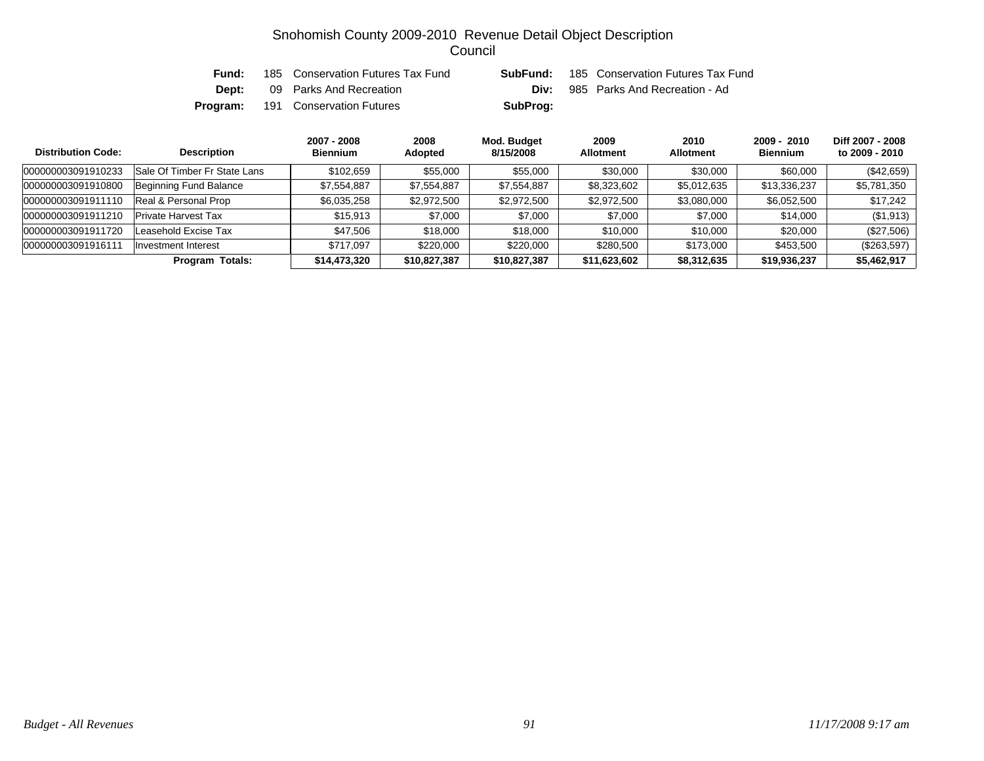| Fund:    | 185 Conservation Futures Tax Fund | SubFund: | 185 Conservation Futures Tax Fund |
|----------|-----------------------------------|----------|-----------------------------------|
| Dept:    | 09 Parks And Recreation           | Div:     | 985 Parks And Recreation - Ad     |
| Program: | 191 Conservation Futures          | SubProg: |                                   |

| <b>Distribution Code:</b> | <b>Description</b>           | 2007 - 2008<br><b>Biennium</b> | 2008<br><b>Adopted</b> | Mod. Budget<br>8/15/2008 | 2009<br><b>Allotment</b> | 2010<br><b>Allotment</b> | $2009 - 2010$<br><b>Biennium</b> | Diff 2007 - 2008<br>to 2009 - 2010 |
|---------------------------|------------------------------|--------------------------------|------------------------|--------------------------|--------------------------|--------------------------|----------------------------------|------------------------------------|
| 000000003091910233        | Sale Of Timber Fr State Lans | \$102.659                      | \$55,000               | \$55,000                 | \$30,000                 | \$30,000                 | \$60,000                         | (\$42,659)                         |
| 000000003091910800        | Beginning Fund Balance       | \$7,554,887                    | \$7,554,887            | \$7,554,887              | \$8,323,602              | \$5,012,635              | \$13,336,237                     | \$5,781,350                        |
| 000000003091911110        | Real & Personal Prop         | \$6,035,258                    | \$2,972,500            | \$2,972,500              | \$2,972,500              | \$3,080,000              | \$6,052,500                      | \$17,242                           |
| 000000003091911210        | <b>Private Harvest Tax</b>   | \$15,913                       | \$7,000                | \$7,000                  | \$7,000                  | \$7,000                  | \$14,000                         | (\$1,913)                          |
| 000000003091911720        | Leasehold Excise Tax         | \$47,506                       | \$18,000               | \$18,000                 | \$10,000                 | \$10,000                 | \$20,000                         | (\$27,506)                         |
| 00000000309191611         | Investment Interest          | \$717.097                      | \$220,000              | \$220,000                | \$280,500                | \$173,000                | \$453,500                        | (\$263,597)                        |
|                           | <b>Program Totals:</b>       | \$14,473,320                   | \$10,827,387           | \$10,827,387             | \$11,623,602             | \$8,312,635              | \$19,936,237                     | \$5,462,917                        |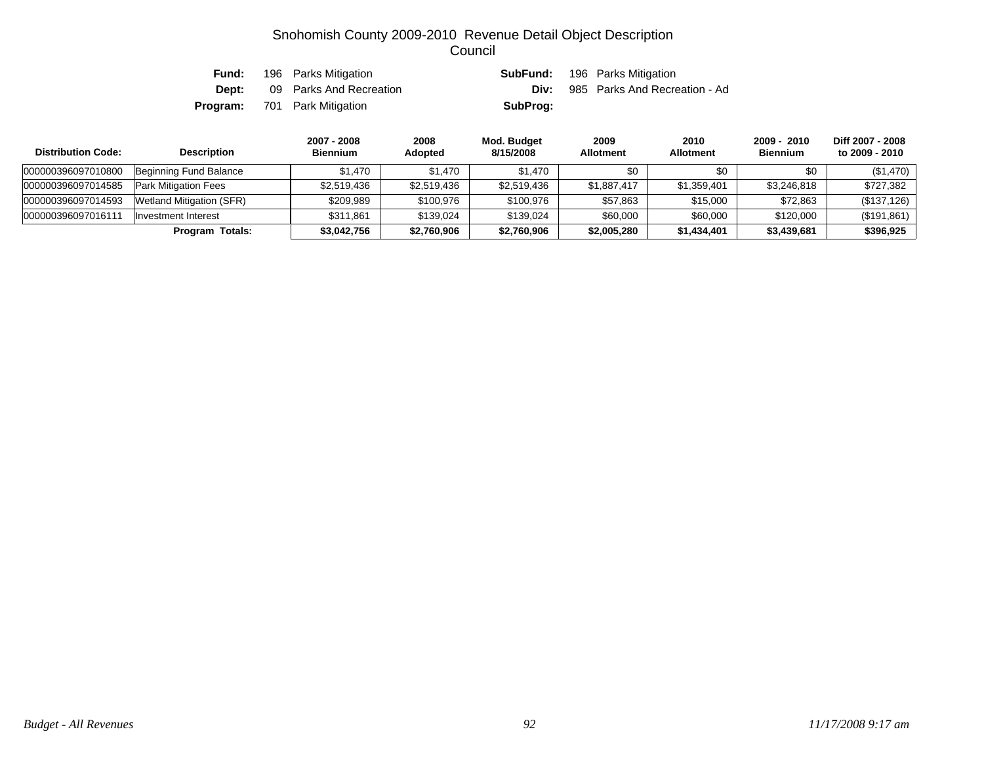|       | <b>Fund:</b> 196 Parks Mitigation   |          | <b>SubFund:</b> 196 Parks Mitigation      |
|-------|-------------------------------------|----------|-------------------------------------------|
| Dept: | 09 Parks And Recreation             |          | <b>Div:</b> 985 Parks And Recreation - Ad |
|       | <b>Program:</b> 701 Park Mitigation | SubProg: |                                           |

| <b>Distribution Code:</b> | <b>Description</b>          | 2007 - 2008<br><b>Biennium</b> | 2008<br><b>Adopted</b> | Mod. Budget<br>8/15/2008 | 2009<br><b>Allotment</b> | 2010<br><b>Allotment</b> | 2009 - 2010<br><b>Biennium</b> | Diff 2007 - 2008<br>to 2009 - 2010 |
|---------------------------|-----------------------------|--------------------------------|------------------------|--------------------------|--------------------------|--------------------------|--------------------------------|------------------------------------|
| 000000396097010800        | Beginning Fund Balance      | \$1.470                        | \$1.470                | \$1,470                  | \$0                      | \$0                      | \$0                            | (\$1,470)                          |
| 000000396097014585        | <b>Park Mitigation Fees</b> | \$2,519,436                    | \$2,519,436            | \$2,519,436              | \$1.887.417              | \$1,359,401              | \$3,246,818                    | \$727.382                          |
| 000000396097014593        | Wetland Mitigation (SFR)    | \$209.989                      | \$100,976              | \$100,976                | \$57,863                 | \$15,000                 | \$72,863                       | (\$137,126)                        |
| 000000396097016111        | Investment Interest         | \$311,861                      | \$139.024              | \$139.024                | \$60,000                 | \$60,000                 | \$120,000                      | (\$191,861)                        |
|                           | Program Totals:             | \$3,042,756                    | \$2,760,906            | \$2,760,906              | \$2,005,280              | \$1,434,401              | \$3,439,681                    | \$396,925                          |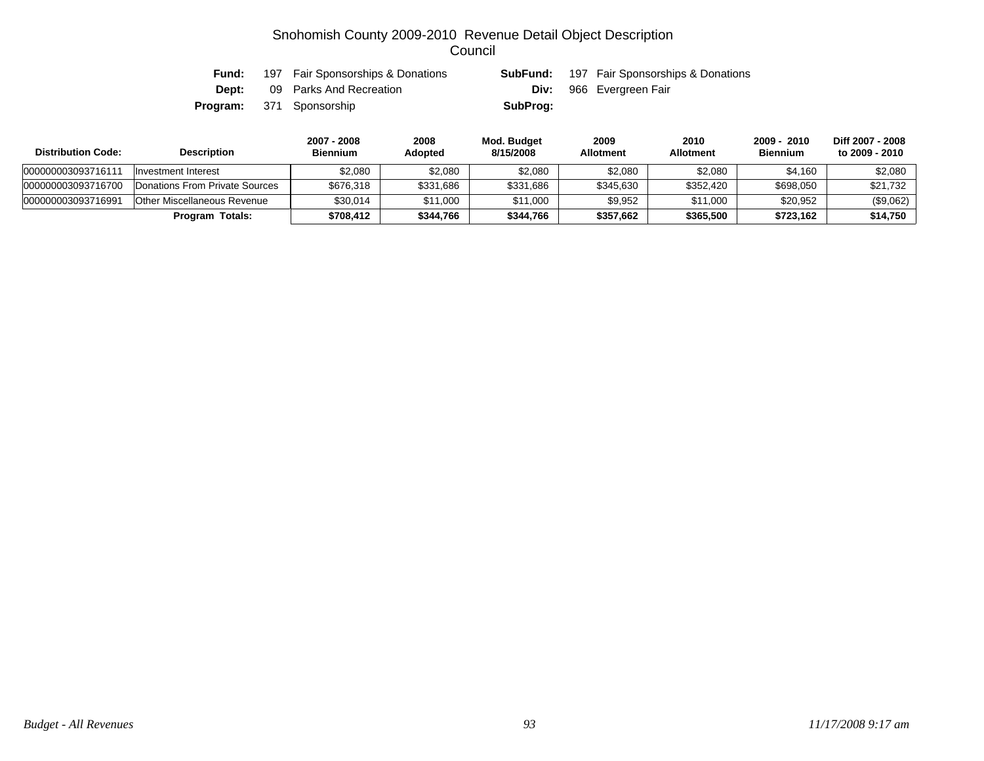| Fund: | 197 Fair Sponsorships & Donations | SubFund: | 197 Fair Sponsorships & Donations |
|-------|-----------------------------------|----------|-----------------------------------|
| Dept: | 09 Parks And Recreation           |          | <b>Div:</b> 966 Evergreen Fair    |
|       | <b>Program:</b> 371 Sponsorship   | SubProg: |                                   |

| <b>Distribution Code:</b> | <b>Description</b>                     | 2007 - 2008<br><b>Biennium</b> | 2008<br><b>Adopted</b> | Mod. Budget<br>8/15/2008 | 2009<br><b>Allotment</b> | 2010<br><b>Allotment</b> | 2009 - 2010<br><b>Biennium</b> | Diff 2007 - 2008<br>to 2009 - 2010 |
|---------------------------|----------------------------------------|--------------------------------|------------------------|--------------------------|--------------------------|--------------------------|--------------------------------|------------------------------------|
| 00000000309371611         | Investment Interest                    | \$2.080                        | \$2,080                | \$2,080                  | \$2,080                  | \$2,080                  | \$4.160                        | \$2,080                            |
| 000000003093716700        | <b>IDonations From Private Sources</b> | \$676.318                      | \$331,686              | \$331,686                | \$345,630                | \$352,420                | \$698,050                      | \$21,732                           |
| 000000003093716991        | <b>Other Miscellaneous Revenue</b>     | \$30.014                       | \$11.000               | \$11,000                 | \$9,952                  | \$11,000                 | \$20,952                       | (\$9,062)                          |
|                           | Program Totals:                        | \$708.412                      | \$344.766              | \$344.766                | \$357,662                | \$365.500                | \$723.162                      | \$14,750                           |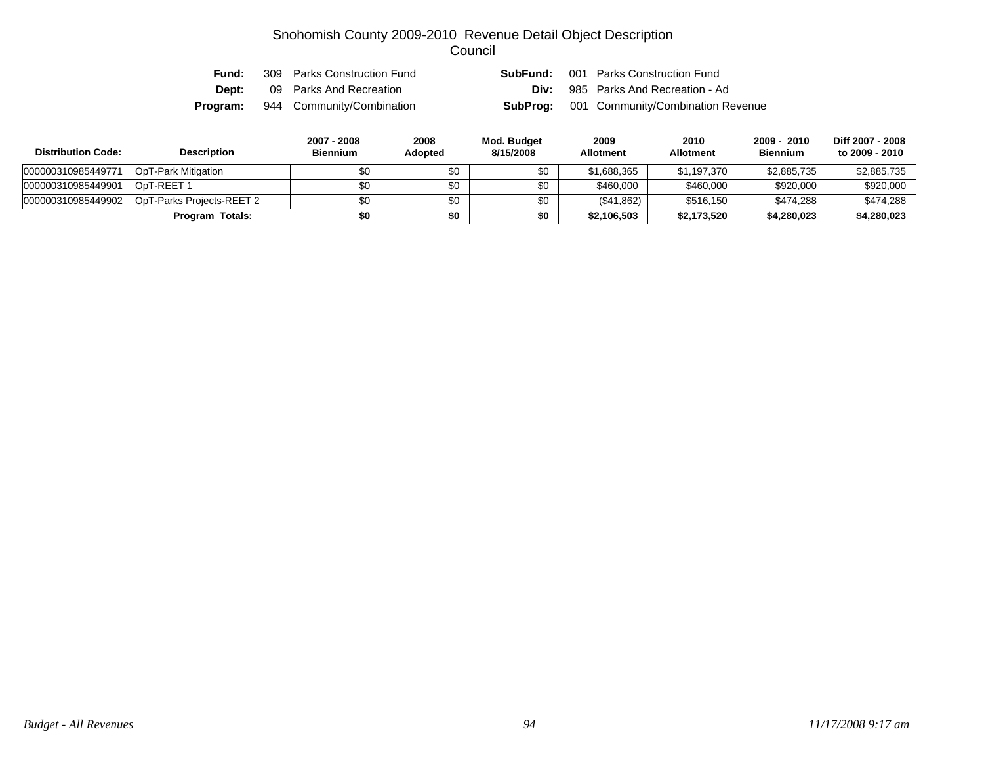| Fund: | 309 Parks Construction Fund               | SubFund: | 001 Parks Construction Fund                       |
|-------|-------------------------------------------|----------|---------------------------------------------------|
| Dept: | 09 Parks And Recreation                   | Div:     | 985 Parks And Recreation - Ad                     |
|       | <b>Program:</b> 944 Community/Combination |          | <b>SubProg:</b> 001 Community/Combination Revenue |

| <b>Distribution Code:</b> | <b>Description</b>        | 2007 - 2008<br><b>Biennium</b> | 2008<br>Adopted | Mod. Budget<br>8/15/2008 | 2009<br><b>Allotment</b> | 2010<br><b>Allotment</b> | 2009 - 2010<br><b>Biennium</b> | Diff 2007 - 2008<br>to 2009 - 2010 |
|---------------------------|---------------------------|--------------------------------|-----------------|--------------------------|--------------------------|--------------------------|--------------------------------|------------------------------------|
| 000000310985449771        | OpT-Park Mitigation       | \$0                            | \$0             | \$0                      | \$1,688,365              | \$1,197,370              | \$2,885,735                    | \$2,885,735                        |
| 000000310985449901        | OpT-REET 1                | \$0                            | \$0             | \$0                      | \$460,000                | \$460,000                | \$920,000                      | \$920,000                          |
| 000000310985449902        | OpT-Parks Projects-REET 2 | \$0                            | \$0             | \$0                      | (\$41,862)               | \$516,150                | \$474,288                      | \$474,288                          |
|                           | Program Totals:           | \$0                            | \$0             | \$0                      | \$2,106,503              | \$2,173,520              | \$4,280,023                    | \$4,280,023                        |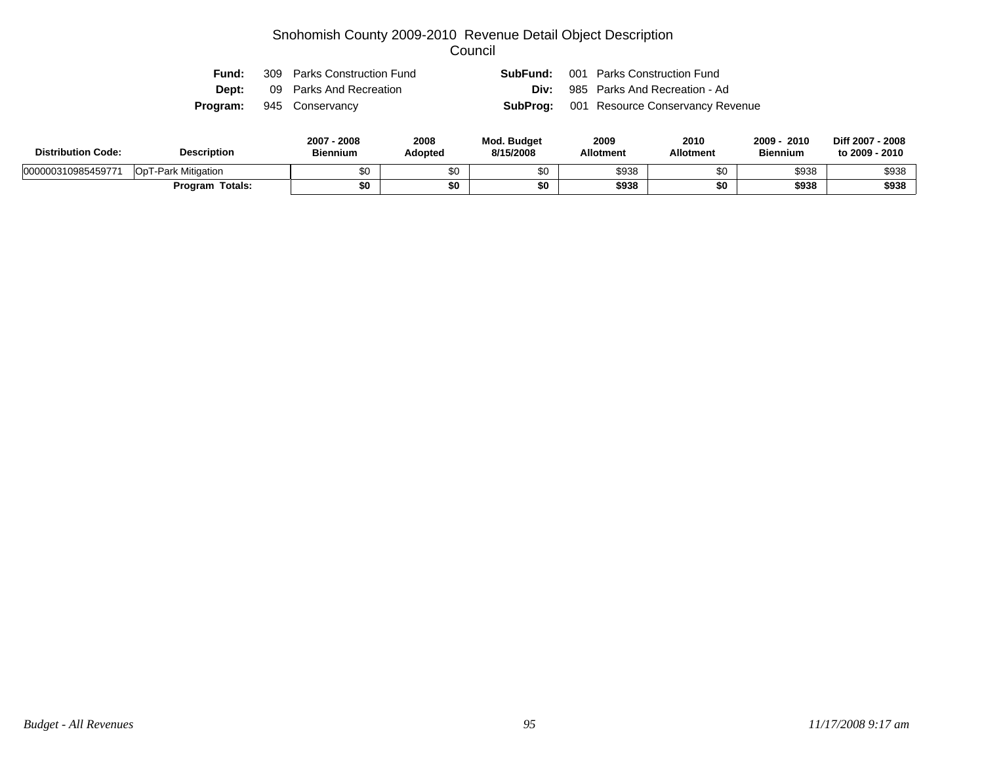| Fund: | 309 Parks Construction Fund     | <b>SubFund:</b> 001 Parks Construction Fund      |
|-------|---------------------------------|--------------------------------------------------|
| Dept: | 09 Parks And Recreation         | <b>Div:</b> 985 Parks And Recreation - Ad        |
|       | <b>Program:</b> 945 Conservancy | <b>SubProg:</b> 001 Resource Conservancy Revenue |

| <b>Distribution Code:</b> | <b>Description</b>  | $2007 -$<br>$-2008$<br><b>Biennium</b> | 2008<br>Adopted | <b>Mod. Budget</b><br>8/15/2008 | 2009<br><b>Allotment</b> | 2010<br><b>Allotment</b> | 2010<br>2009<br><b>Biennium</b> | Diff 2007 - 2008<br>to 2009 - 2010 |
|---------------------------|---------------------|----------------------------------------|-----------------|---------------------------------|--------------------------|--------------------------|---------------------------------|------------------------------------|
| 000000310985459771        | OpT-Park Mitigation | \$0                                    | $\sim$          | ጦጣ                              | \$938                    | \$0                      | \$938                           | \$938                              |
|                           | Totals:<br>Program  | \$0                                    | \$0             | \$0                             | \$938                    | \$0                      | \$938                           | \$938                              |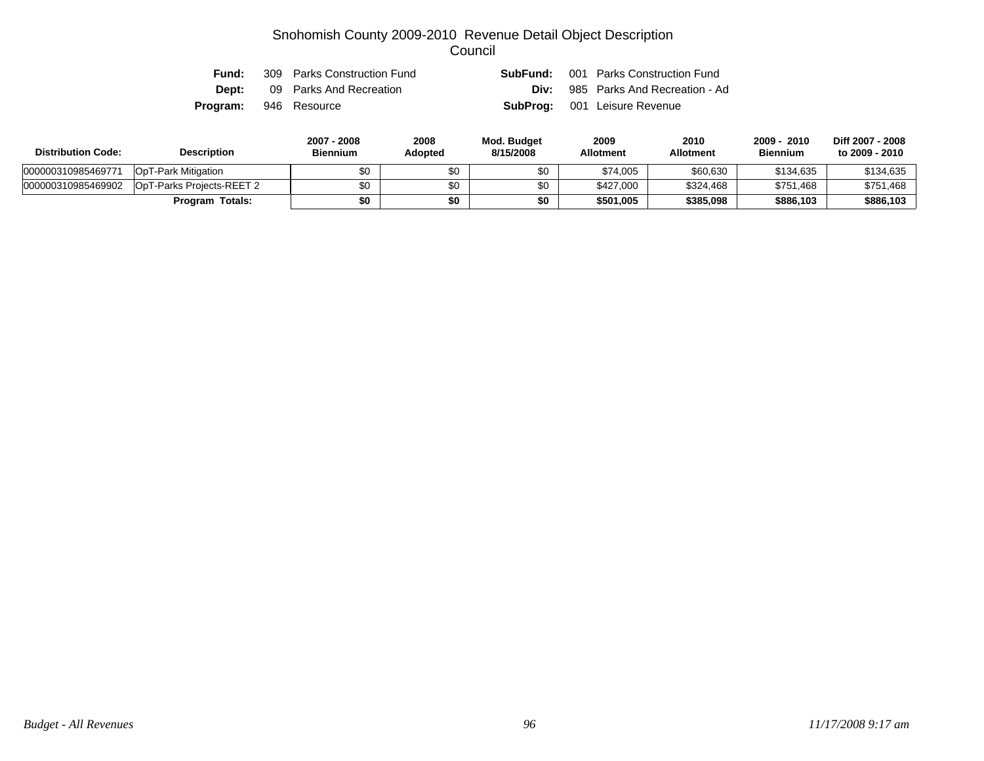| Fund:                        | 309 Parks Construction Fund | <b>SubFund:</b> 001 Parks Construction Fund |
|------------------------------|-----------------------------|---------------------------------------------|
| Dept:                        | 09 Parks And Recreation     | <b>Div:</b> 985 Parks And Recreation - Ad   |
| <b>Program:</b> 946 Resource |                             | <b>SubProg:</b> 001 Leisure Revenue         |

| <b>Distribution Code:</b> | <b>Description</b>        | 2007 - 2008<br><b>Biennium</b> | 2008<br><b>Adopted</b> | Mod. Budget<br>8/15/2008 | 2009<br><b>Allotment</b> | 2010<br>Allotment | 2009 - 2010<br><b>Biennium</b> | Diff 2007 - 2008<br>to 2009 - 2010 |
|---------------------------|---------------------------|--------------------------------|------------------------|--------------------------|--------------------------|-------------------|--------------------------------|------------------------------------|
| 000000310985469771        | OpT-Park Mitigation       | \$0                            | \$0                    | \$0                      | \$74,005                 | \$60,630          | \$134,635                      | \$134,635                          |
| 000000310985469902        | OpT-Parks Projects-REET 2 | \$0                            | \$0                    | \$0                      | \$427,000                | \$324,468         | \$751,468                      | \$751,468                          |
|                           | <b>Program Totals:</b>    | \$0                            | \$0                    | \$0                      | \$501,005                | \$385,098         | \$886,103                      | \$886,103                          |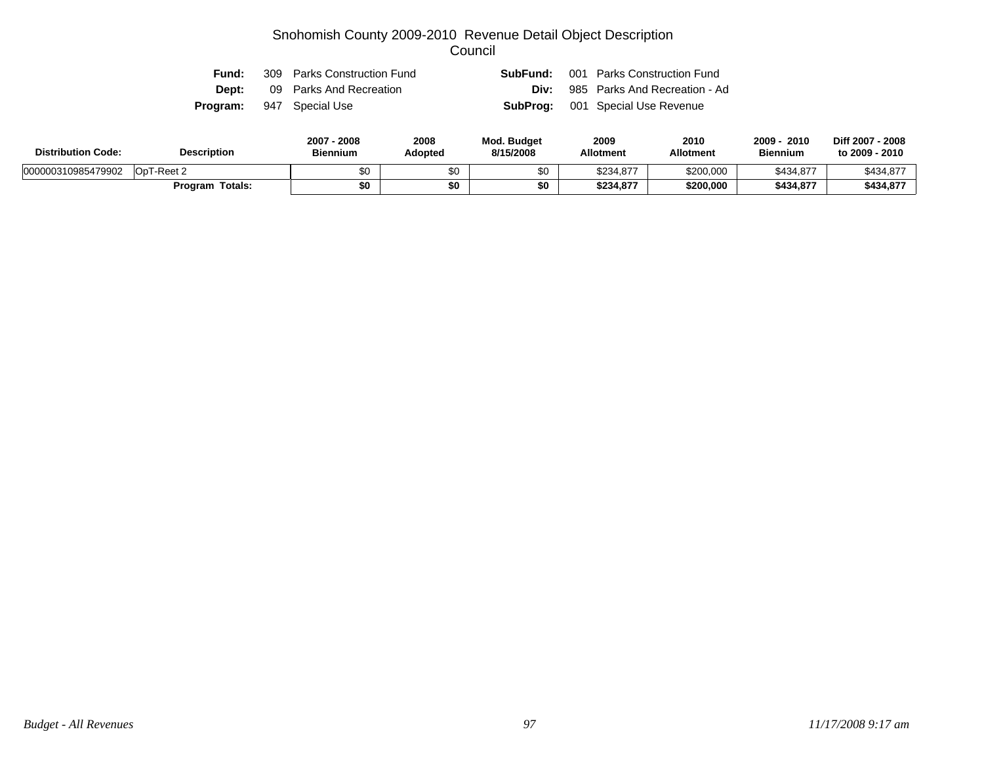| Fund:        | 309 Parks Construction Fund     | SubFund: | 001 Parks Construction Fund               |
|--------------|---------------------------------|----------|-------------------------------------------|
| <b>Dept:</b> | 09 Parks And Recreation         |          | <b>Div:</b> 985 Parks And Recreation - Ad |
|              | <b>Program:</b> 947 Special Use |          | <b>SubProg:</b> 001 Special Use Revenue   |

| <b>Distribution Code:</b> | <b>Description</b>     | 2007 - 2008<br><b>Biennium</b> | 2008<br>Adopted | <b>Mod. Budget</b><br>8/15/2008 | 2009<br><b>Allotment</b> | 2010<br><b>Allotment</b> | 2009<br>2010<br><b>Biennium</b> | Diff 2007 - 2008<br>to 2009 - 2010 |
|---------------------------|------------------------|--------------------------------|-----------------|---------------------------------|--------------------------|--------------------------|---------------------------------|------------------------------------|
| 000000310985479902        | OpT-Reet 2             | \$0                            | \$0             |                                 | \$234.877                | \$200,000                | \$434,877                       | \$434,877                          |
|                           | <b>Program Totals:</b> | \$0                            |                 | \$0                             | \$234,877                | \$200,000                | \$434,877                       | \$434,877                          |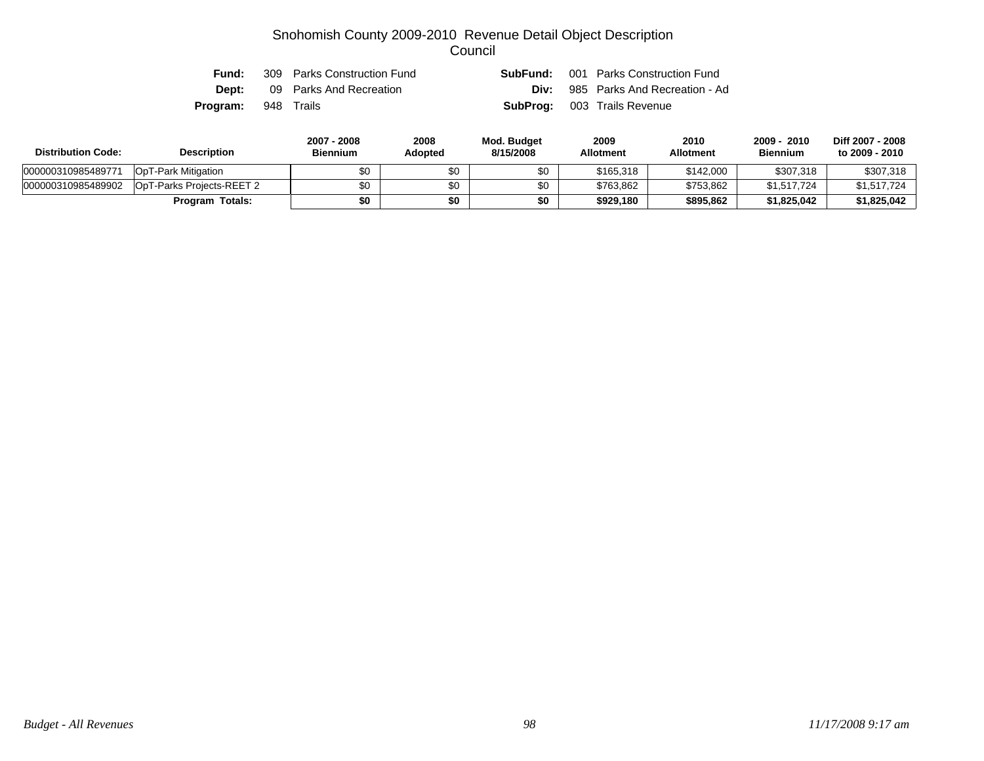| Fund:                      | 309 Parks Construction Fund          |  | <b>SubFund:</b> 001 Parks Construction Fund |
|----------------------------|--------------------------------------|--|---------------------------------------------|
|                            | <b>Dept:</b> 09 Parks And Recreation |  | <b>Div:</b> 985 Parks And Recreation - Ad   |
| <b>Program:</b> 948 Trails |                                      |  | <b>SubProg:</b> 003 Trails Revenue          |

| <b>Distribution Code:</b> | <b>Description</b>        | 2007 - 2008<br><b>Biennium</b> | 2008<br><b>Adopted</b> | Mod. Budget<br>8/15/2008 | 2009<br><b>Allotment</b> | 2010<br>Allotment | 2009 - 2010<br><b>Biennium</b> | Diff 2007 - 2008<br>to 2009 - 2010 |
|---------------------------|---------------------------|--------------------------------|------------------------|--------------------------|--------------------------|-------------------|--------------------------------|------------------------------------|
| 000000310985489771        | OpT-Park Mitigation       | \$0                            | \$0                    | \$0                      | \$165,318                | \$142,000         | \$307,318                      | \$307,318                          |
| 000000310985489902        | OpT-Parks Projects-REET 2 | \$0                            | \$0                    | \$0                      | \$763.862                | \$753.862         | \$1,517,724                    | \$1,517,724                        |
|                           | <b>Program Totals:</b>    | \$0                            | \$0                    | \$0                      | \$929.180                | \$895.862         | \$1.825.042                    | \$1,825,042                        |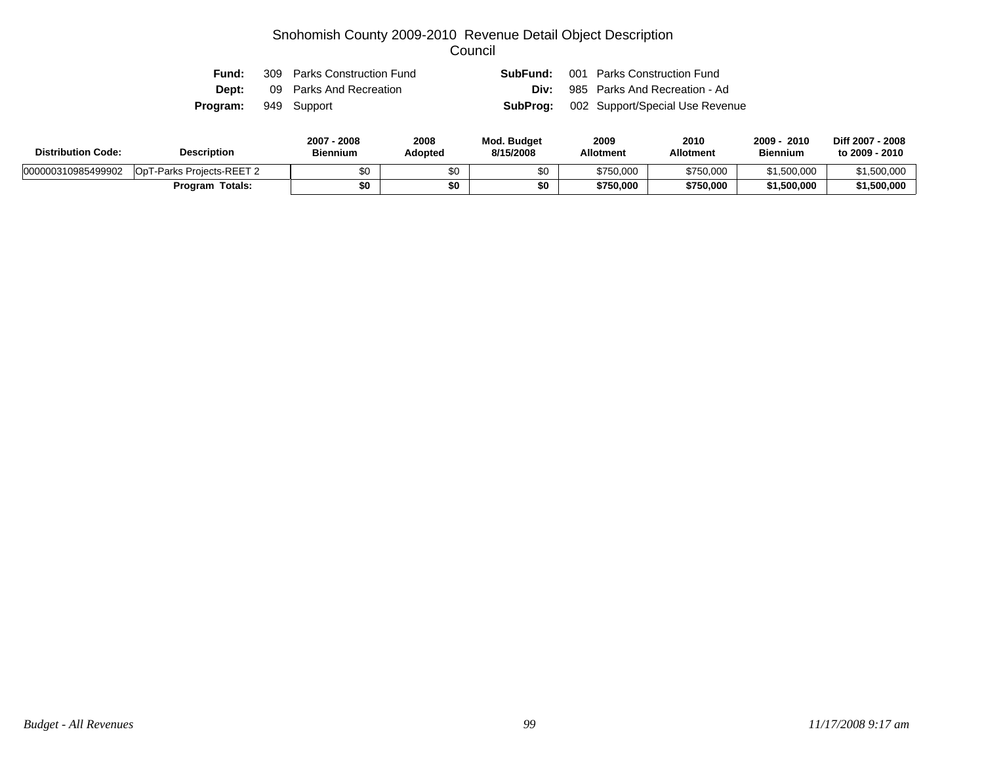| Fund:                       | 309 Parks Construction Fund | SubFund: | 001 Parks Construction Fund                     |
|-----------------------------|-----------------------------|----------|-------------------------------------------------|
| Dept:                       | 09 Parks And Recreation     |          | <b>Div:</b> 985 Parks And Recreation - Ad       |
| <b>Program:</b> 949 Support |                             |          | <b>SubProg:</b> 002 Support/Special Use Revenue |

| <b>Distribution Code:</b> | <b>Description</b>        | 2007 - 2008<br><b>Biennium</b> | 2008<br>Adopted | <b>Mod. Budget</b><br>8/15/2008 | 2009<br><b>Allotment</b> | 2010<br><b>Allotment</b> | 2010<br>2009<br><b>Biennium</b> | Diff 2007 - 2008<br>to 2009 - 2010 |
|---------------------------|---------------------------|--------------------------------|-----------------|---------------------------------|--------------------------|--------------------------|---------------------------------|------------------------------------|
| 000000310985499902        | OpT-Parks Projects-REET 2 | \$0                            |                 |                                 | \$750,000                | \$750,000                | \$1,500,000                     | \$1.500.000                        |
|                           | <b>Program Totals:</b>    | \$0                            | \$0             |                                 | \$750,000                | \$750,000                | \$1,500,000                     | \$1,500,000                        |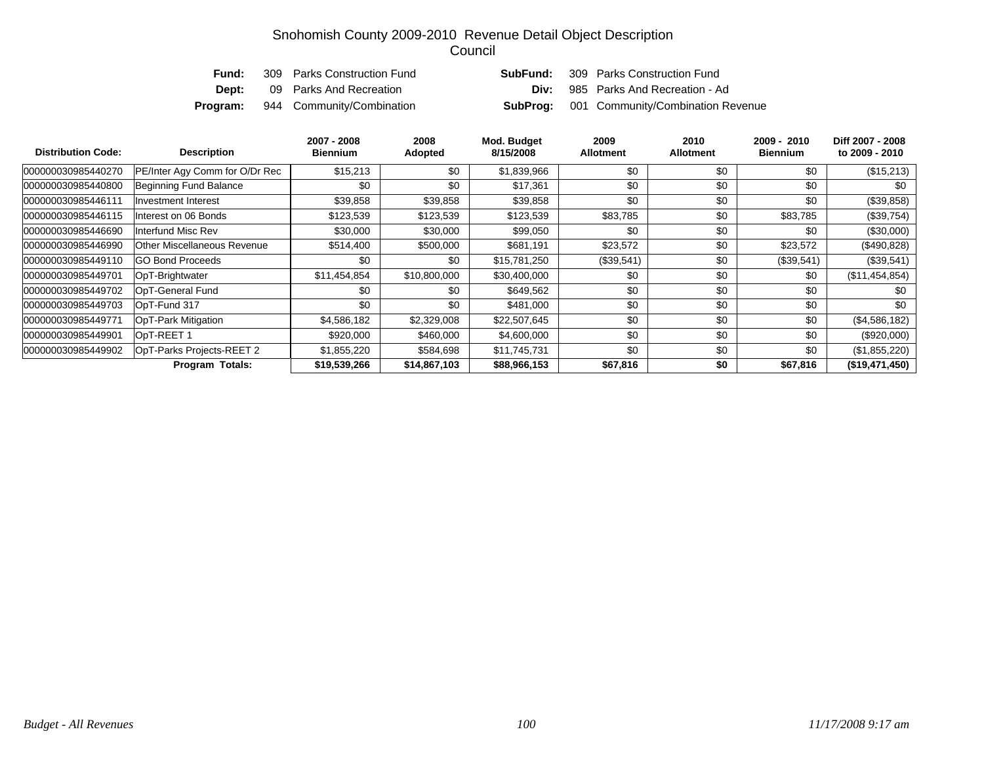| Fund: | 309 Parks Construction Fund               |  | <b>SubFund:</b> 309 Parks Construction Fund       |
|-------|-------------------------------------------|--|---------------------------------------------------|
| Dept: | 09 Parks And Recreation                   |  | <b>Div:</b> 985 Parks And Recreation - Ad         |
|       | <b>Program:</b> 944 Community/Combination |  | <b>SubProg:</b> 001 Community/Combination Revenue |

| <b>Distribution Code:</b> | <b>Description</b>                 | 2007 - 2008<br><b>Biennium</b> | 2008<br><b>Adopted</b> | Mod. Budget<br>8/15/2008 | 2009<br><b>Allotment</b> | 2010<br><b>Allotment</b> | 2009 - 2010<br><b>Biennium</b> | Diff 2007 - 2008<br>to 2009 - 2010 |
|---------------------------|------------------------------------|--------------------------------|------------------------|--------------------------|--------------------------|--------------------------|--------------------------------|------------------------------------|
| 000000030985440270        | PE/Inter Agy Comm for O/Dr Rec     | \$15,213                       | \$0                    | \$1,839,966              | \$0                      | \$0                      | \$0                            | (\$15,213)                         |
| 000000030985440800        | Beginning Fund Balance             | \$0                            | \$0                    | \$17,361                 | \$0                      | \$0                      | \$0                            | \$0                                |
| 000000030985446111        | <b>Investment Interest</b>         | \$39,858                       | \$39,858               | \$39,858                 | \$0                      | \$0                      | \$0                            | (\$39,858)                         |
| 000000030985446115        | Interest on 06 Bonds               | \$123,539                      | \$123,539              | \$123,539                | \$83,785                 | \$0                      | \$83,785                       | (\$39,754)                         |
| 000000030985446690        | Interfund Misc Rev                 | \$30,000                       | \$30,000               | \$99,050                 | \$0                      | \$0                      | \$0                            | $(\$30,000)$                       |
| 000000030985446990        | <b>Other Miscellaneous Revenue</b> | \$514,400                      | \$500,000              | \$681,191                | \$23,572                 | \$0                      | \$23,572                       | (\$490,828)                        |
| 000000030985449110        | <b>GO Bond Proceeds</b>            | \$0                            | \$0                    | \$15,781,250             | (\$39,541)               | \$0                      | (\$39,541)                     | $(\$39,541)$                       |
| 000000030985449701        | OpT-Brightwater                    | \$11,454,854                   | \$10,800,000           | \$30,400,000             | \$0                      | \$0                      | \$0                            | (\$11,454,854)                     |
| 000000030985449702        | OpT-General Fund                   | \$0                            | \$0                    | \$649,562                | \$0                      | \$0                      | \$0                            | \$0                                |
| 000000030985449703        | OpT-Fund 317                       | \$0                            | \$0                    | \$481,000                | \$0                      | \$0                      | \$0                            | \$0                                |
| 000000030985449771        | OpT-Park Mitigation                | \$4,586,182                    | \$2,329,008            | \$22,507,645             | \$0                      | \$0                      | \$0                            | (\$4,586,182)                      |
| 000000030985449901        | OpT-REET 1                         | \$920,000                      | \$460,000              | \$4,600,000              | \$0                      | \$0                      | \$0                            | $(\$920,000)$                      |
| 000000030985449902        | OpT-Parks Projects-REET 2          | \$1,855,220                    | \$584,698              | \$11,745,731             | \$0                      | \$0                      | \$0                            | (\$1,855,220)                      |
|                           | <b>Program Totals:</b>             | \$19,539,266                   | \$14,867,103           | \$88,966,153             | \$67,816                 | \$0                      | \$67,816                       | (\$19,471,450)                     |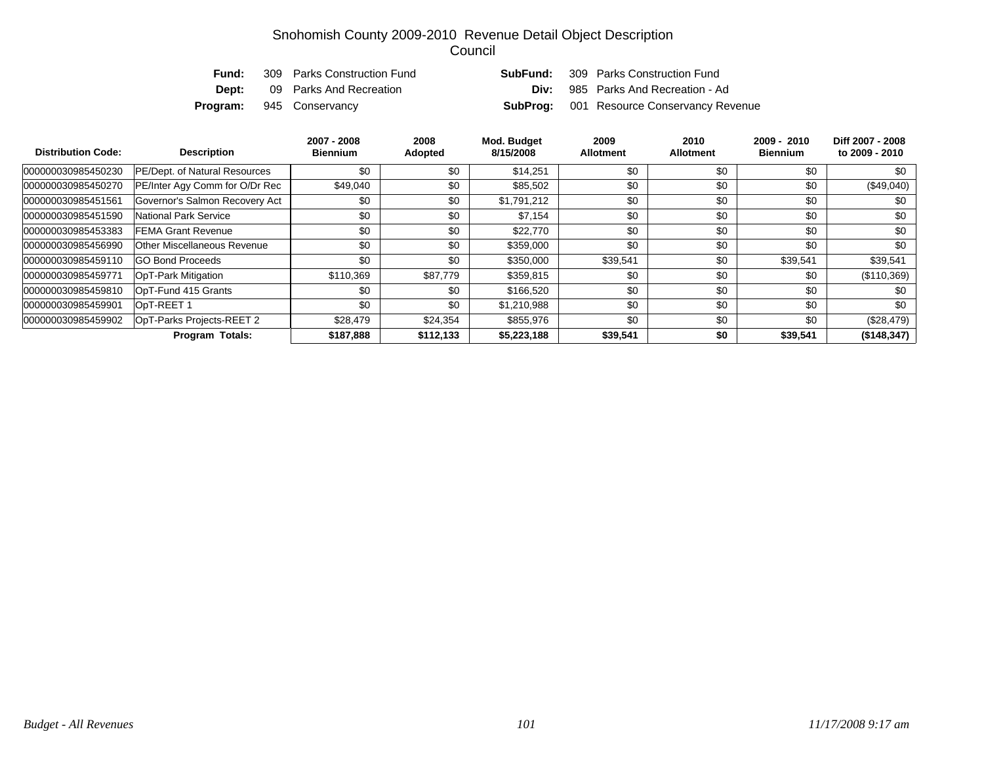| <b>Fund:</b> | 309 Parks Construction Fund     | SubFund: | 309 Parks Construction Fund                      |
|--------------|---------------------------------|----------|--------------------------------------------------|
| Dept:        | 09 Parks And Recreation         | Div:     | 985 Parks And Recreation - Ad                    |
|              | <b>Program:</b> 945 Conservancy |          | <b>SubProg:</b> 001 Resource Conservancy Revenue |

| <b>Distribution Code:</b> | <b>Description</b>             | 2007 - 2008<br><b>Biennium</b> | 2008<br><b>Adopted</b> | Mod. Budget<br>8/15/2008 | 2009<br><b>Allotment</b> | 2010<br><b>Allotment</b> | $2009 - 2010$<br><b>Biennium</b> | Diff 2007 - 2008<br>to 2009 - 2010 |
|---------------------------|--------------------------------|--------------------------------|------------------------|--------------------------|--------------------------|--------------------------|----------------------------------|------------------------------------|
| 000000030985450230        | PE/Dept. of Natural Resources  | \$0                            | \$0                    | \$14,251                 | \$0                      | \$0                      | \$0                              | \$0                                |
| 000000030985450270        | PE/Inter Agy Comm for O/Dr Rec | \$49,040                       | \$0                    | \$85,502                 | \$0                      | \$0                      | \$0                              | $(\$49,040)$                       |
| 000000030985451561        | Governor's Salmon Recovery Act | \$0                            | \$0                    | \$1,791,212              | \$0                      | \$0                      | \$0                              | \$0                                |
| 000000030985451590        | National Park Service          | \$0                            | \$0                    | \$7,154                  | \$0                      | \$0                      | \$0                              | \$0                                |
| 000000030985453383        | <b>FEMA Grant Revenue</b>      | \$0                            | \$0                    | \$22,770                 | \$0                      | \$0                      | \$0                              | \$0                                |
| 000000030985456990        | Other Miscellaneous Revenue    | \$0                            | \$0                    | \$359,000                | \$0                      | \$0                      | \$0                              | \$0                                |
| 000000030985459110        | <b>GO Bond Proceeds</b>        | \$0                            | \$0                    | \$350,000                | \$39,541                 | \$0                      | \$39,541                         | \$39,541                           |
| 000000030985459771        | <b>OpT-Park Mitigation</b>     | \$110,369                      | \$87,779               | \$359,815                | \$0                      | \$0                      | \$0                              | $(\$110,369)$                      |
| 000000030985459810        | OpT-Fund 415 Grants            | \$0                            | \$0                    | \$166,520                | \$0                      | \$0                      | \$0                              | \$0                                |
| 000000030985459901        | OpT-REET 1                     | \$0                            | \$0                    | \$1,210,988              | \$0                      | \$0                      | \$0                              | \$0                                |
| 000000030985459902        | OpT-Parks Projects-REET 2      | \$28,479                       | \$24,354               | \$855,976                | \$0                      | \$0                      | \$0                              | $(\$28,479)$                       |
|                           | <b>Program Totals:</b>         | \$187,888                      | \$112,133              | \$5,223,188              | \$39,541                 | \$0                      | \$39,541                         | (\$148,347)                        |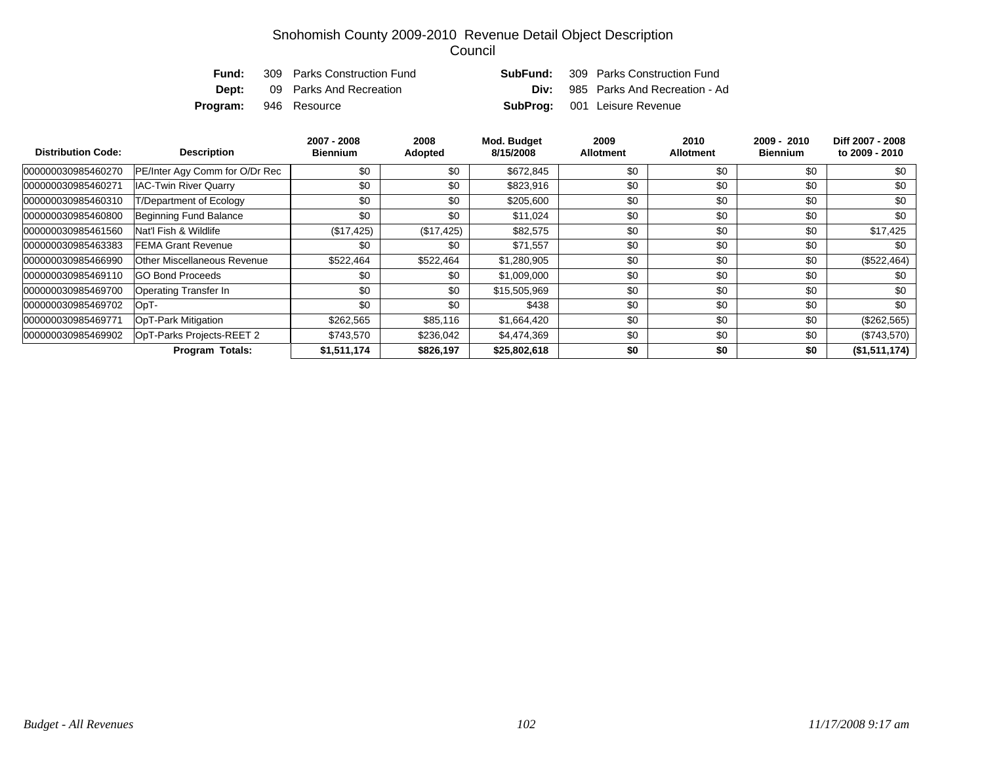| Fund:                        | 309 Parks Construction Fund          | SubFund: | 309 Parks Construction Fund               |
|------------------------------|--------------------------------------|----------|-------------------------------------------|
|                              | <b>Dept:</b> 09 Parks And Recreation |          | <b>Div:</b> 985 Parks And Recreation - Ad |
| <b>Program:</b> 946 Resource |                                      |          | <b>SubProg:</b> 001 Leisure Revenue       |

| <b>Distribution Code:</b> | <b>Description</b>             | 2007 - 2008<br><b>Biennium</b> | 2008<br><b>Adopted</b> | Mod. Budget<br>8/15/2008 | 2009<br><b>Allotment</b> | 2010<br><b>Allotment</b> | 2009 - 2010<br><b>Biennium</b> | Diff 2007 - 2008<br>to 2009 - 2010 |
|---------------------------|--------------------------------|--------------------------------|------------------------|--------------------------|--------------------------|--------------------------|--------------------------------|------------------------------------|
| 000000030985460270        | PE/Inter Agy Comm for O/Dr Rec | \$0                            | \$0                    | \$672,845                | \$0                      | \$0                      | \$0                            | \$0                                |
| 000000030985460271        | <b>IAC-Twin River Quarry</b>   | \$0                            | \$0                    | \$823,916                | \$0                      | \$0                      | \$0                            | \$0                                |
| 000000030985460310        | <b>T/Department of Ecology</b> | \$0                            | \$0                    | \$205,600                | \$0                      | \$0                      | \$0                            | \$0                                |
| 000000030985460800        | Beginning Fund Balance         | \$0                            | \$0                    | \$11,024                 | \$0                      | \$0                      | \$0                            | \$0                                |
| 000000030985461560        | Nat'l Fish & Wildlife          | (\$17,425)                     | (\$17,425)             | \$82,575                 | \$0                      | \$0                      | \$0                            | \$17,425                           |
| 000000030985463383        | <b>FEMA Grant Revenue</b>      | \$0                            | \$0                    | \$71,557                 | \$0                      | \$0                      | \$0                            | \$0                                |
| 000000030985466990        | Other Miscellaneous Revenue    | \$522,464                      | \$522,464              | \$1,280,905              | \$0                      | \$0                      | \$0                            | (\$522,464)                        |
| 000000030985469110        | <b>GO Bond Proceeds</b>        | \$0                            | \$0                    | \$1,009,000              | \$0                      | \$0                      | \$0                            | \$0                                |
| 000000030985469700        | <b>Operating Transfer In</b>   | \$0                            | \$0                    | \$15,505,969             | \$0                      | \$0                      | \$0                            | \$0                                |
| 000000030985469702        | OpT-                           | \$0                            | \$0                    | \$438                    | \$0                      | \$0                      | \$0                            | \$0                                |
| 000000030985469771        | OpT-Park Mitigation            | \$262,565                      | \$85,116               | \$1,664,420              | \$0                      | \$0                      | \$0                            | $(\$262,565)$                      |
| 000000030985469902        | OpT-Parks Projects-REET 2      | \$743,570                      | \$236,042              | \$4,474,369              | \$0                      | \$0                      | \$0                            | $(\$743,570)$                      |
|                           | <b>Program Totals:</b>         | \$1,511,174                    | \$826,197              | \$25,802,618             | \$0                      | \$0                      | \$0                            | (\$1,511,174)                      |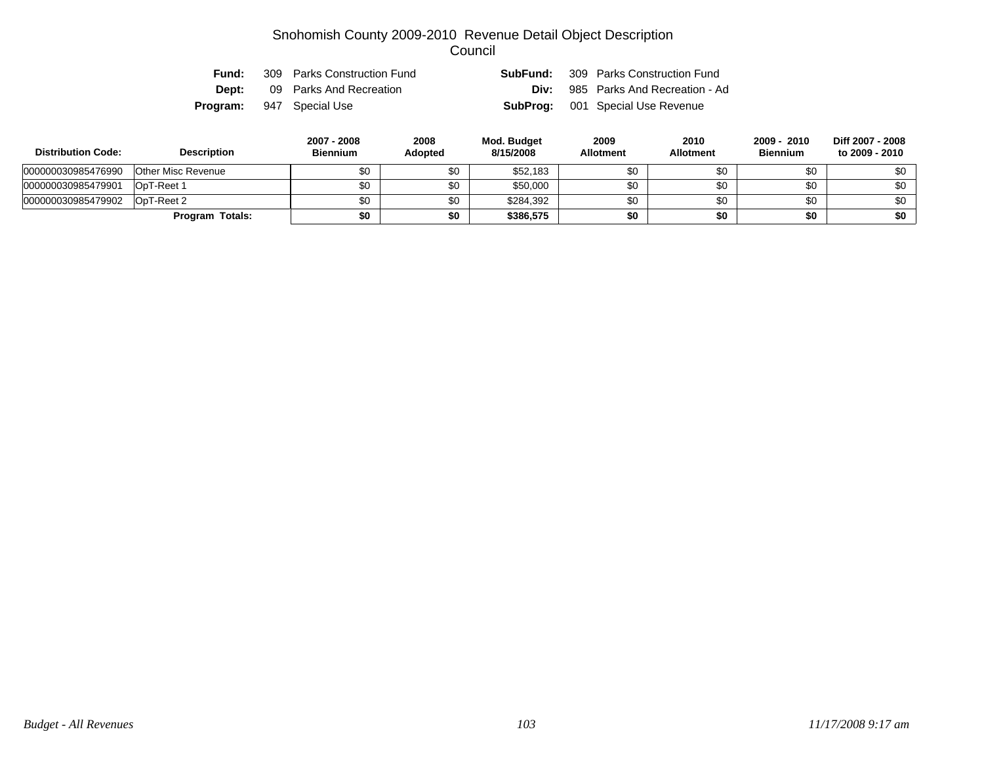| Fund: | 309 Parks Construction Fund     | <b>SubFund:</b> 309 Parks Construction Fund |
|-------|---------------------------------|---------------------------------------------|
| Dept: | 09 Parks And Recreation         | <b>Div:</b> 985 Parks And Recreation - Ad   |
|       | <b>Program:</b> 947 Special Use | <b>SubProg:</b> 001 Special Use Revenue     |

| <b>Distribution Code:</b> | <b>Description</b>        | 2007 - 2008<br><b>Biennium</b> | 2008<br><b>Adopted</b> | Mod. Budget<br>8/15/2008 | 2009<br><b>Allotment</b> | 2010<br><b>Allotment</b> | 2009 - 2010<br><b>Biennium</b> | Diff 2007 - 2008<br>to 2009 - 2010 |
|---------------------------|---------------------------|--------------------------------|------------------------|--------------------------|--------------------------|--------------------------|--------------------------------|------------------------------------|
| 000000030985476990        | <b>Other Misc Revenue</b> | \$0                            | \$0                    | \$52,183                 | \$0                      | \$0                      | \$0                            | \$0                                |
| 000000030985479901        | OpT-Reet 1                | \$0                            | \$0                    | \$50,000                 | \$0                      | \$0                      | \$0                            | \$0                                |
| 000000030985479902        | OpT-Reet 2                | \$0                            | \$0                    | \$284,392                | \$0                      | \$0                      | \$0                            | \$0                                |
|                           | Program Totals:           | \$0                            | \$0                    | \$386,575                | \$0                      | \$0                      | \$0                            | \$0 <sub>1</sub>                   |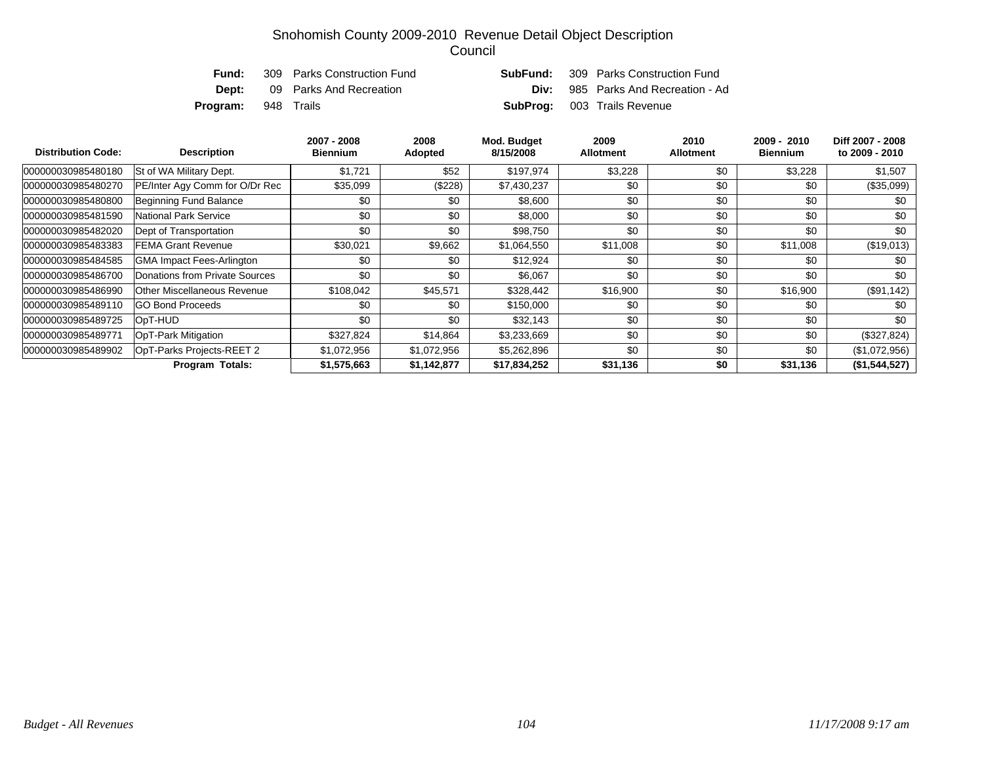| Fund:                      | 309 Parks Construction Fund | SubFund: | 309 Parks Construction Fund               |
|----------------------------|-----------------------------|----------|-------------------------------------------|
| Dept:                      | 09 Parks And Recreation     |          | <b>Div:</b> 985 Parks And Recreation - Ad |
| <b>Program:</b> 948 Trails |                             |          | <b>SubProg:</b> 003 Trails Revenue        |

| <b>Distribution Code:</b> | <b>Description</b>               | 2007 - 2008<br><b>Biennium</b> | 2008<br><b>Adopted</b> | Mod. Budget<br>8/15/2008 | 2009<br><b>Allotment</b> | 2010<br><b>Allotment</b> | 2009 - 2010<br><b>Biennium</b> | Diff 2007 - 2008<br>to 2009 - 2010 |
|---------------------------|----------------------------------|--------------------------------|------------------------|--------------------------|--------------------------|--------------------------|--------------------------------|------------------------------------|
| 000000030985480180        | St of WA Military Dept.          | \$1,721                        | \$52                   | \$197,974                | \$3,228                  | \$0                      | \$3,228                        | \$1,507                            |
| 000000030985480270        | PE/Inter Agy Comm for O/Dr Rec   | \$35,099                       | (\$228)                | \$7,430,237              | \$0                      | \$0                      | \$0                            | $(\$35,099)$                       |
| 000000030985480800        | Beginning Fund Balance           | \$0                            | \$0                    | \$8,600                  | \$0                      | \$0                      | \$0                            | \$0                                |
| 000000030985481590        | National Park Service            | \$0                            | \$0                    | \$8,000                  | \$0                      | \$0                      | \$0                            | \$0                                |
| 000000030985482020        | Dept of Transportation           | \$0                            | \$0                    | \$98,750                 | \$0                      | \$0                      | \$0                            | \$0                                |
| 000000030985483383        | FEMA Grant Revenue               | \$30,021                       | \$9,662                | \$1,064,550              | \$11,008                 | \$0                      | \$11,008                       | (\$19,013)                         |
| 000000030985484585        | <b>GMA Impact Fees-Arlington</b> | \$0                            | \$0                    | \$12,924                 | \$0                      | \$0                      | \$0                            | \$0                                |
| 000000030985486700        | Donations from Private Sources   | \$0                            | \$0                    | \$6,067                  | \$0                      | \$0                      | \$0                            | \$0                                |
| 000000030985486990        | Other Miscellaneous Revenue      | \$108,042                      | \$45,571               | \$328,442                | \$16,900                 | \$0                      | \$16,900                       | $(\$91,142)$                       |
| 000000030985489110        | <b>GO Bond Proceeds</b>          | \$0                            | \$0                    | \$150,000                | \$0                      | \$0                      | \$0                            | \$0                                |
| 000000030985489725        | OpT-HUD                          | \$0                            | \$0                    | \$32,143                 | \$0                      | \$0                      | \$0                            | \$0                                |
| 000000030985489771        | OpT-Park Mitigation              | \$327,824                      | \$14,864               | \$3,233,669              | \$0                      | \$0                      | \$0                            | $(\$327,824)$                      |
| 000000030985489902        | OpT-Parks Projects-REET 2        | \$1,072,956                    | \$1,072,956            | \$5,262,896              | \$0                      | \$0                      | \$0                            | (\$1,072,956)                      |
|                           | <b>Program Totals:</b>           | \$1,575,663                    | \$1,142,877            | \$17,834,252             | \$31,136                 | \$0                      | \$31,136                       | (\$1,544,527)                      |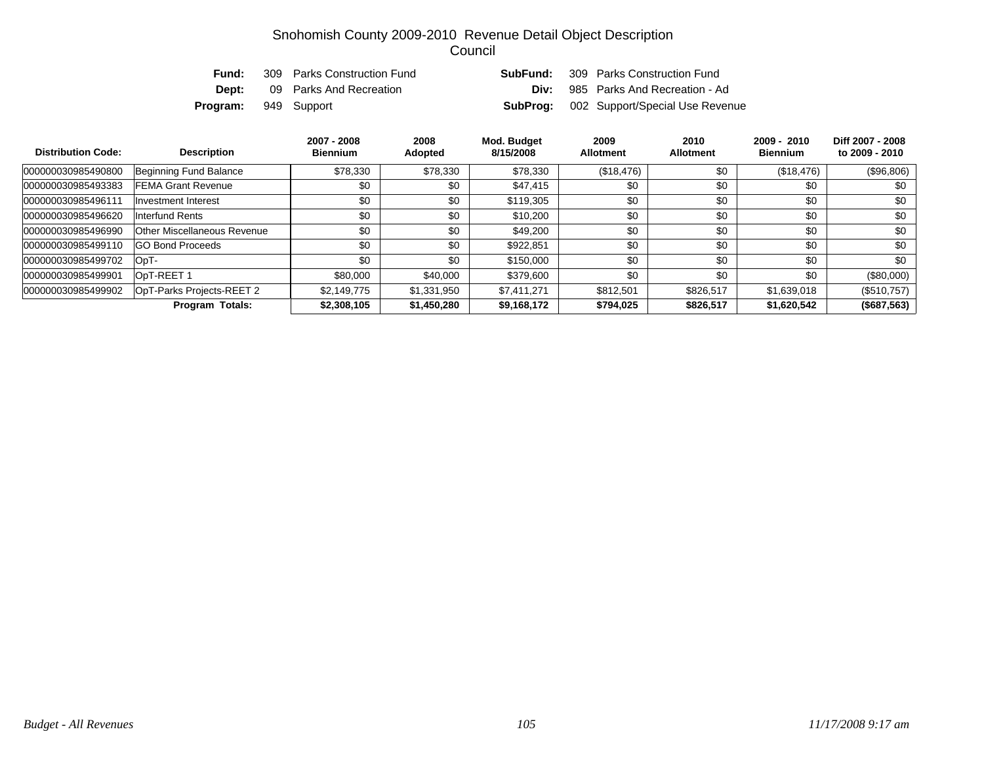| Fund:                       | 309 Parks Construction Fund | <b>SubFund:</b> 309 Parks Construction Fund     |
|-----------------------------|-----------------------------|-------------------------------------------------|
| Dept:                       | 09 Parks And Recreation     | <b>Div:</b> 985 Parks And Recreation - Ad       |
| <b>Program:</b> 949 Support |                             | <b>SubProg:</b> 002 Support/Special Use Revenue |

| <b>Distribution Code:</b> | <b>Description</b>          | 2007 - 2008<br><b>Biennium</b> | 2008<br>Adopted | Mod. Budget<br>8/15/2008 | 2009<br><b>Allotment</b> | 2010<br><b>Allotment</b> | $2009 - 2010$<br><b>Biennium</b> | Diff 2007 - 2008<br>to 2009 - 2010 |
|---------------------------|-----------------------------|--------------------------------|-----------------|--------------------------|--------------------------|--------------------------|----------------------------------|------------------------------------|
| 000000030985490800        | Beginning Fund Balance      | \$78,330                       | \$78,330        | \$78,330                 | (\$18,476)               | \$0                      | (\$18,476)                       | (\$96,806)                         |
| 000000030985493383        | <b>FEMA Grant Revenue</b>   | \$0                            | \$0             | \$47,415                 | \$0                      | \$0                      | \$0                              | \$0                                |
| 000000030985496111        | Investment Interest         | \$0                            | \$0             | \$119,305                | \$0                      | \$0                      | \$0                              | \$0                                |
| 000000030985496620        | Interfund Rents             | \$0                            | \$0             | \$10,200                 | \$0                      | \$0                      | \$0                              | \$0                                |
| 000000030985496990        | Other Miscellaneous Revenue | \$0                            | \$0             | \$49,200                 | \$0                      | \$0                      | \$0                              | \$0                                |
| 000000030985499110        | <b>GO Bond Proceeds</b>     | \$0                            | \$0             | \$922.851                | \$0                      | \$0                      | \$0                              | \$0                                |
| 000000030985499702        | OpT-                        | \$0                            | \$0             | \$150,000                | \$0                      | \$0                      | \$0                              | \$0                                |
| 000000030985499901        | OpT-REET 1                  | \$80,000                       | \$40,000        | \$379,600                | \$0                      | \$0                      | \$0                              | $(\$80,000)$                       |
| 000000030985499902        | OpT-Parks Projects-REET 2   | \$2,149,775                    | \$1,331,950     | \$7,411,271              | \$812,501                | \$826,517                | \$1,639,018                      | $(\$510,757)$                      |
|                           | <b>Program Totals:</b>      | \$2,308,105                    | \$1,450,280     | \$9,168,172              | \$794,025                | \$826,517                | \$1,620,542                      | (\$687,563)                        |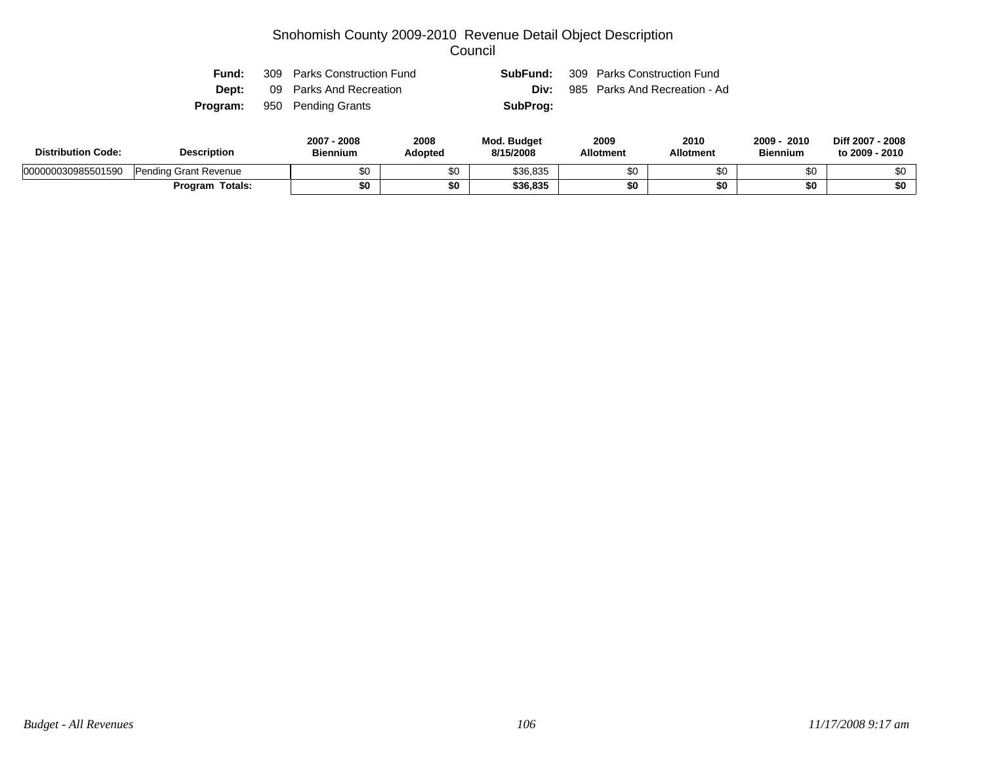| Fund: | 309 Parks Construction Fund        |          | <b>SubFund:</b> 309 Parks Construction Fund |
|-------|------------------------------------|----------|---------------------------------------------|
| Dept: | 09 Parks And Recreation            | Div:     | 985 Parks And Recreation - Ad               |
|       | <b>Program:</b> 950 Pending Grants | SubProg: |                                             |

| <b>Distribution Code:</b> | <b>Description</b>    |     | 2008<br>Adopted | <b>Mod. Budget</b><br>8/15/2008 | 2009<br><b>Allotment</b> | 2010<br><b>Allotment</b> | 2010<br>2009<br><b>Biennium</b> | Diff 2007 - 2008<br>to 2009 - 2010 |
|---------------------------|-----------------------|-----|-----------------|---------------------------------|--------------------------|--------------------------|---------------------------------|------------------------------------|
| 000000030985501590        | Pending Grant Revenue | \$0 | e o<br>ა∪       | \$36,835                        |                          | \$0                      |                                 | \$0                                |
|                           | Totals:<br>Program    | \$0 | \$0             | \$36,835                        | ተሰ                       | \$0                      |                                 | \$0                                |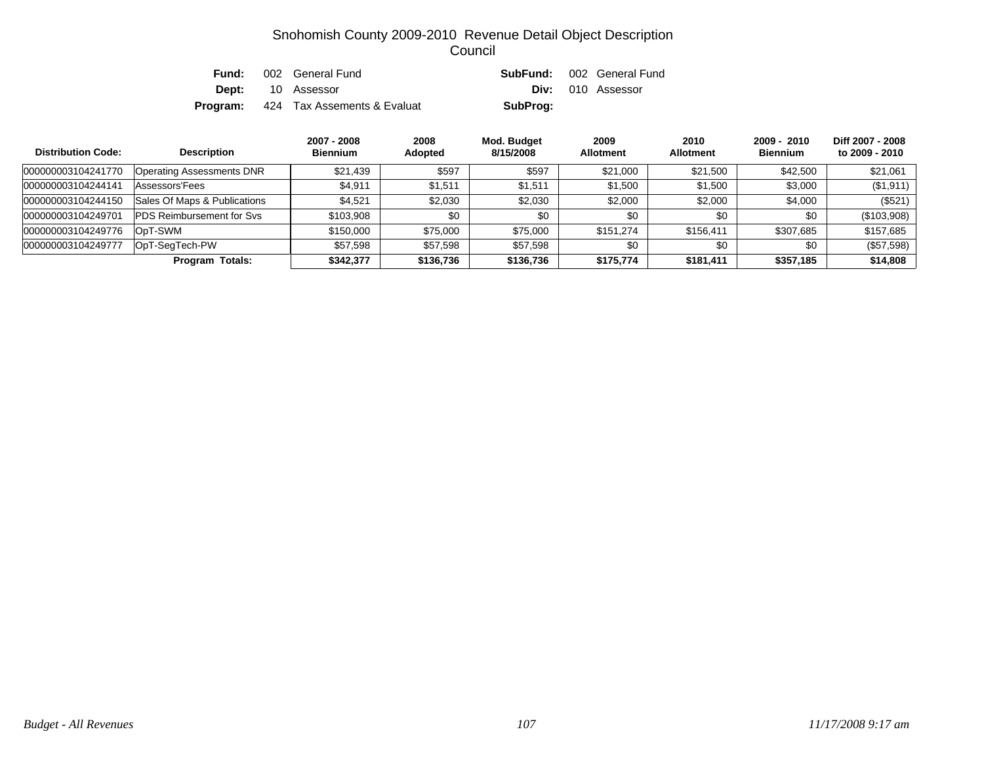| Fund:    | 002 General Fund            |          | <b>SubFund:</b> 002 General Fund |
|----------|-----------------------------|----------|----------------------------------|
|          | <b>Dept:</b> 10 Assessor    |          | Div: 010 Assessor                |
| Program: | 424 Tax Assements & Evaluat | SubProg: |                                  |

| <b>Distribution Code:</b> | <b>Description</b>                | 2007 - 2008<br><b>Biennium</b> | 2008<br><b>Adopted</b> | Mod. Budget<br>8/15/2008 | 2009<br><b>Allotment</b> | 2010<br><b>Allotment</b> | $2009 - 2010$<br><b>Biennium</b> | Diff 2007 - 2008<br>to 2009 - 2010 |
|---------------------------|-----------------------------------|--------------------------------|------------------------|--------------------------|--------------------------|--------------------------|----------------------------------|------------------------------------|
| 000000003104241770        | <b>Operating Assessments DNR</b>  | \$21,439                       | \$597                  | \$597                    | \$21,000                 | \$21,500                 | \$42,500                         | \$21,061                           |
| 000000003104244141        | Assessors'Fees                    | \$4,911                        | \$1,511                | \$1,511                  | \$1,500                  | \$1,500                  | \$3,000                          | (\$1,911)                          |
| 000000003104244150        | Sales Of Maps & Publications      | \$4,521                        | \$2,030                | \$2,030                  | \$2,000                  | \$2,000                  | \$4,000                          | $(\$521)$                          |
| 000000003104249701        | <b>PDS Reimbursement for Sys.</b> | \$103,908                      | \$0                    | \$0                      | \$0                      | \$0                      | \$0                              | (\$103,908)                        |
| 000000003104249776        | OpT-SWM                           | \$150,000                      | \$75,000               | \$75,000                 | \$151.274                | \$156,411                | \$307,685                        | \$157,685                          |
| 000000003104249777        | OpT-SegTech-PW                    | \$57,598                       | \$57,598               | \$57,598                 | \$0                      | \$0                      | \$0                              | (\$57,598)                         |
|                           | <b>Program Totals:</b>            | \$342,377                      | \$136,736              | \$136,736                | \$175.774                | \$181,411                | \$357,185                        | \$14,808                           |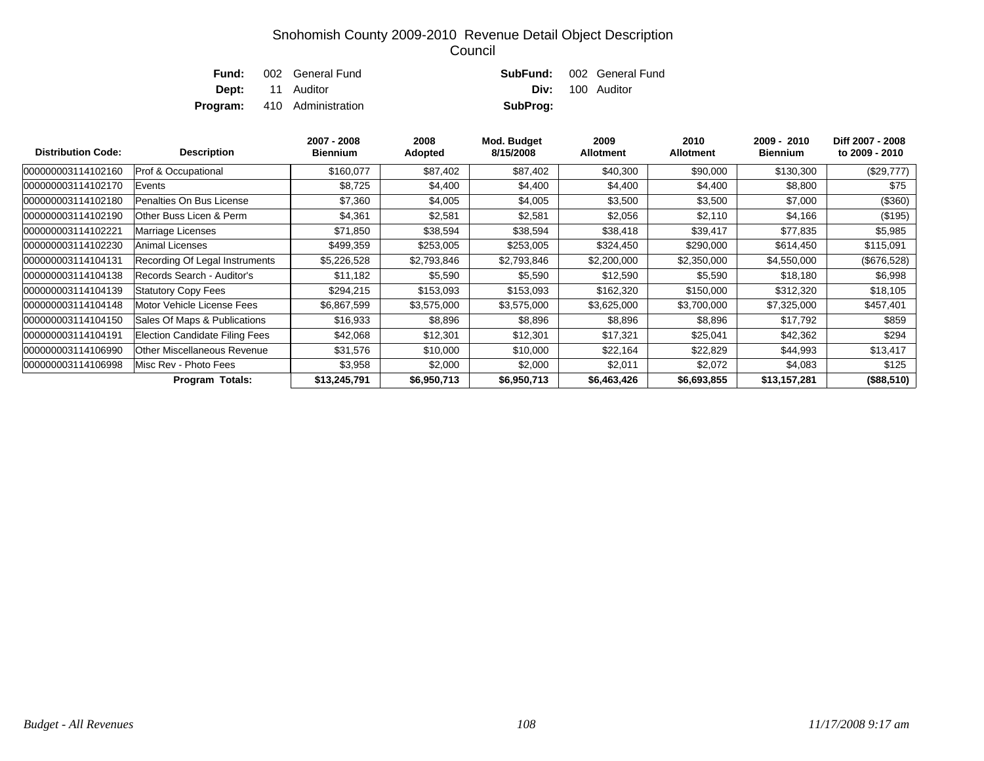| Fund: | 002 General Fund                   |          | <b>SubFund:</b> 002 General Fund |
|-------|------------------------------------|----------|----------------------------------|
|       | <b>Dept:</b> 11 Auditor            |          | <b>Div:</b> 100 Auditor          |
|       | <b>Program:</b> 410 Administration | SubProg: |                                  |

| <b>Distribution Code:</b> | <b>Description</b>                    | 2007 - 2008<br><b>Biennium</b> | 2008<br>Adopted | Mod. Budget<br>8/15/2008 | 2009<br><b>Allotment</b> | 2010<br><b>Allotment</b> | 2009 - 2010<br><b>Biennium</b> | Diff 2007 - 2008<br>to 2009 - 2010 |
|---------------------------|---------------------------------------|--------------------------------|-----------------|--------------------------|--------------------------|--------------------------|--------------------------------|------------------------------------|
| 000000003114102160        | Prof & Occupational                   | \$160,077                      | \$87,402        | \$87,402                 | \$40,300                 | \$90,000                 | \$130,300                      | $(\$29,777)$                       |
| 000000003114102170        | Events                                | \$8,725                        | \$4,400         | \$4,400                  | \$4,400                  | \$4,400                  | \$8,800                        | \$75                               |
| 000000003114102180        | Penalties On Bus License              | \$7,360                        | \$4,005         | \$4,005                  | \$3,500                  | \$3,500                  | \$7,000                        | (\$360)                            |
| 000000003114102190        | Other Buss Licen & Perm               | \$4,361                        | \$2,581         | \$2,581                  | \$2,056                  | \$2,110                  | \$4,166                        | (\$195)                            |
| 000000003114102221        | Marriage Licenses                     | \$71,850                       | \$38,594        | \$38,594                 | \$38,418                 | \$39,417                 | \$77,835                       | \$5,985                            |
| 000000003114102230        | Animal Licenses                       | \$499,359                      | \$253,005       | \$253,005                | \$324,450                | \$290,000                | \$614,450                      | \$115,091                          |
| 000000003114104131        | Recording Of Legal Instruments        | \$5,226,528                    | \$2,793,846     | \$2,793,846              | \$2,200,000              | \$2,350,000              | \$4,550,000                    | (\$676,528)                        |
| 000000003114104138        | Records Search - Auditor's            | \$11,182                       | \$5,590         | \$5,590                  | \$12,590                 | \$5,590                  | \$18,180                       | \$6,998                            |
| 000000003114104139        | <b>Statutory Copy Fees</b>            | \$294,215                      | \$153,093       | \$153,093                | \$162,320                | \$150,000                | \$312,320                      | \$18,105                           |
| 000000003114104148        | Motor Vehicle License Fees            | \$6,867,599                    | \$3,575,000     | \$3,575,000              | \$3,625,000              | \$3,700,000              | \$7,325,000                    | \$457,401                          |
| 000000003114104150        | Sales Of Maps & Publications          | \$16,933                       | \$8,896         | \$8,896                  | \$8,896                  | \$8,896                  | \$17,792                       | \$859                              |
| 000000003114104191        | <b>Election Candidate Filing Fees</b> | \$42,068                       | \$12,301        | \$12,301                 | \$17,321                 | \$25,041                 | \$42,362                       | \$294                              |
| 000000003114106990        | Other Miscellaneous Revenue           | \$31,576                       | \$10,000        | \$10,000                 | \$22,164                 | \$22,829                 | \$44,993                       | \$13,417                           |
| 000000003114106998        | Misc Rev - Photo Fees                 | \$3,958                        | \$2,000         | \$2,000                  | \$2,011                  | \$2,072                  | \$4,083                        | \$125                              |
|                           | Program Totals:                       | \$13,245,791                   | \$6,950,713     | \$6,950,713              | \$6,463,426              | \$6,693,855              | \$13,157,281                   | (\$88,510)                         |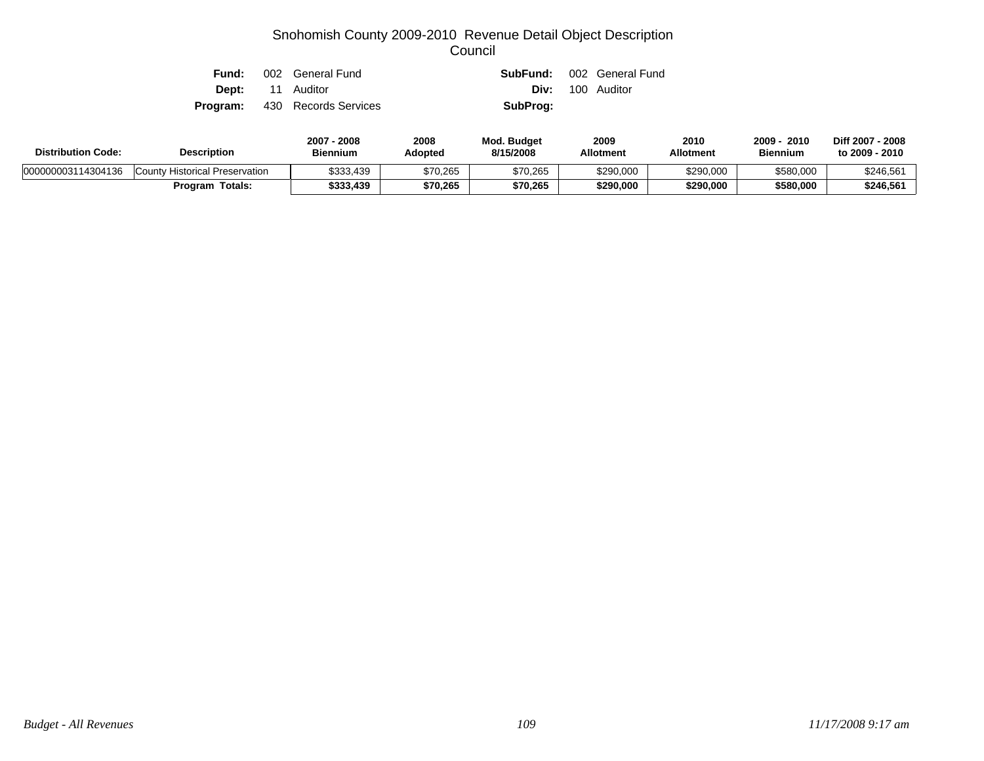| Fund: | 002 General Fund                     |          | <b>SubFund:</b> 002 General Fund |
|-------|--------------------------------------|----------|----------------------------------|
|       | <b>Dept:</b> 11 Auditor              |          | <b>Div:</b> 100 Auditor          |
|       | <b>Program:</b> 430 Records Services | SubProg: |                                  |

| <b>Distribution Code:</b> | <b>Description</b>             | 2008<br>$2007 -$<br><b>Biennium</b> | 2008<br>Adopted | <b>Mod. Budget</b><br>8/15/2008 | 2009<br><b>Allotment</b> | 2010<br><b>Allotment</b> | 2010<br>2009<br><b>Biennium</b> | Diff 2007 - 2008<br>to 2009 - 2010 |
|---------------------------|--------------------------------|-------------------------------------|-----------------|---------------------------------|--------------------------|--------------------------|---------------------------------|------------------------------------|
| 000000003114304136        | County Historical Preservation | \$333,439                           | \$70,265        | \$70,265                        | \$290,000                | \$290,000                | \$580,000                       | \$246,561                          |
|                           | Totals:<br>Program             | \$333,439                           | \$70.265        | \$70,265                        | \$290,000                | \$290.000                | \$580,000                       | \$246,561                          |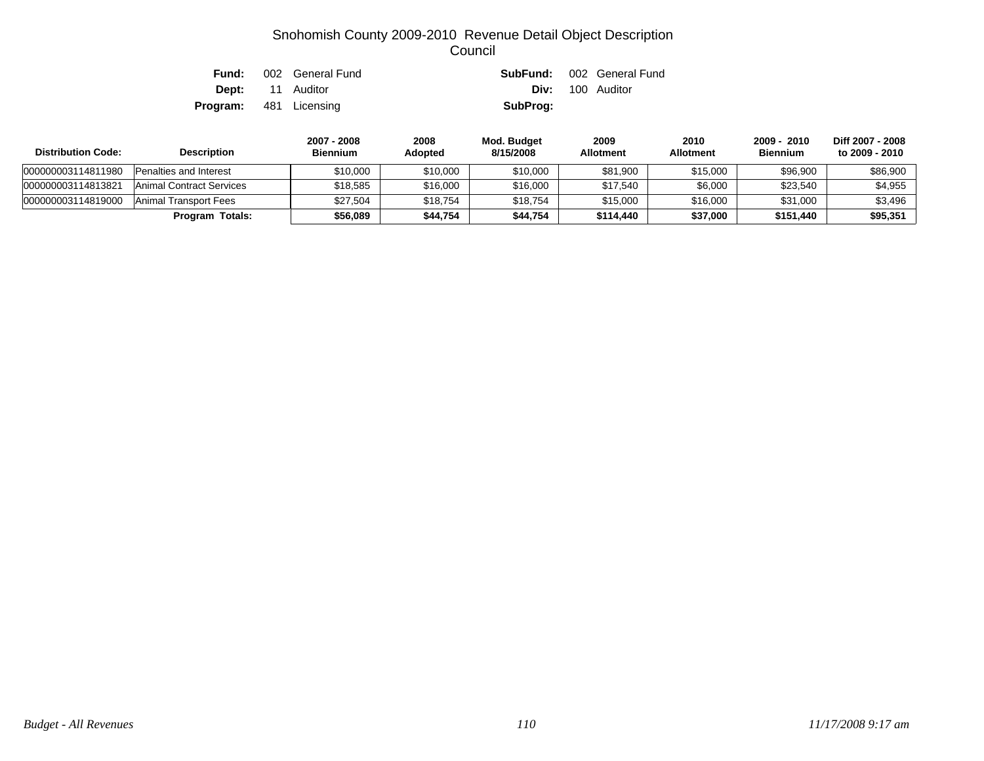| Fund:                         | 002 General Fund        |          | <b>SubFund:</b> 002 General Fund |
|-------------------------------|-------------------------|----------|----------------------------------|
|                               | <b>Dept:</b> 11 Auditor |          | <b>Div:</b> 100 Auditor          |
| <b>Program:</b> 481 Licensing |                         | SubProg: |                                  |

| <b>Distribution Code:</b> | <b>Description</b>            | 2007 - 2008<br><b>Biennium</b> | 2008<br>Adopted | Mod. Budget<br>8/15/2008 | 2009<br><b>Allotment</b> | 2010<br><b>Allotment</b> | 2009 - 2010<br><b>Biennium</b> | Diff 2007 - 2008<br>to 2009 - 2010 |
|---------------------------|-------------------------------|--------------------------------|-----------------|--------------------------|--------------------------|--------------------------|--------------------------------|------------------------------------|
| 000000003114811980        | <b>Penalties and Interest</b> | \$10,000                       | \$10,000        | \$10,000                 | \$81.900                 | \$15,000                 | \$96,900                       | \$86,900                           |
| 000000003114813821        | Animal Contract Services      | \$18,585                       | \$16,000        | \$16,000                 | \$17,540                 | \$6,000                  | \$23,540                       | \$4,955                            |
| 000000003114819000        | Animal Transport Fees         | \$27.504                       | \$18.754        | \$18,754                 | \$15,000                 | \$16,000                 | \$31,000                       | \$3,496                            |
|                           | Program Totals:               | \$56.089                       | \$44.754        | \$44,754                 | \$114.440                | \$37.000                 | \$151.440                      | \$95,351                           |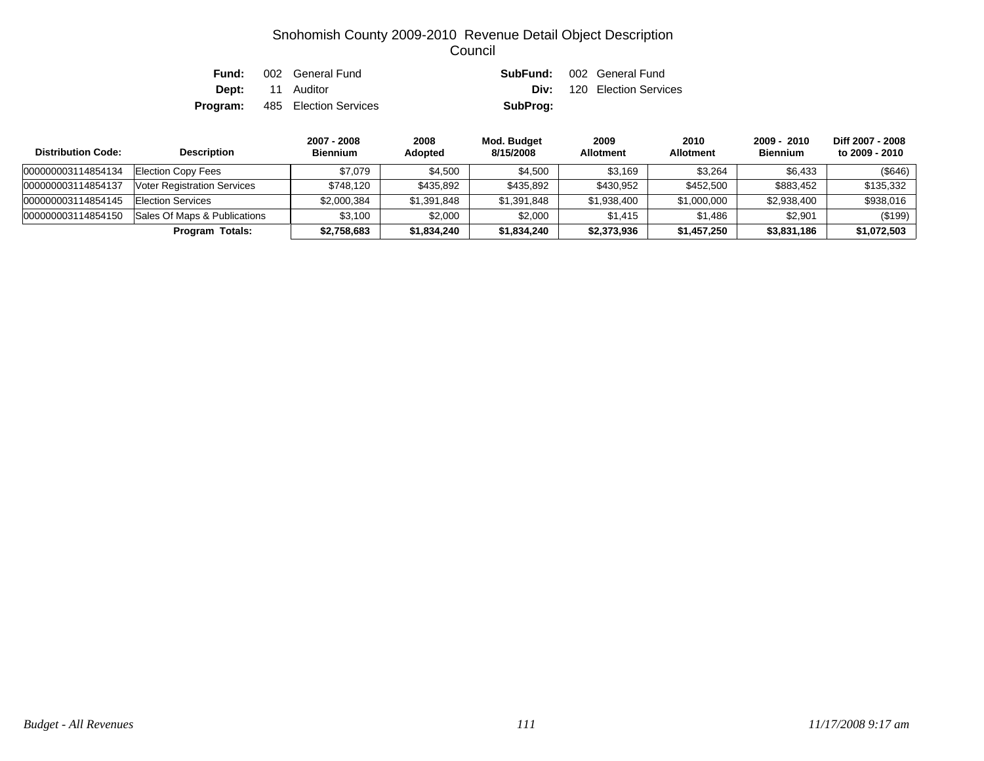| Fund: | 002 General Fund                      |          | <b>SubFund:</b> 002 General Fund  |
|-------|---------------------------------------|----------|-----------------------------------|
|       | <b>Dept:</b> 11 Auditor               |          | <b>Div:</b> 120 Election Services |
|       | <b>Program:</b> 485 Election Services | SubProg: |                                   |

| <b>Distribution Code:</b> | <b>Description</b>                 | 2007 - 2008<br><b>Biennium</b> | 2008<br><b>Adopted</b> | Mod. Budget<br>8/15/2008 | 2009<br><b>Allotment</b> | 2010<br><b>Allotment</b> | 2009 - 2010<br><b>Biennium</b> | Diff 2007 - 2008<br>to 2009 - 2010 |
|---------------------------|------------------------------------|--------------------------------|------------------------|--------------------------|--------------------------|--------------------------|--------------------------------|------------------------------------|
| 000000003114854134        | <b>Election Copy Fees</b>          | \$7.079                        | \$4.500                | \$4,500                  | \$3.169                  | \$3.264                  | \$6,433                        | (\$646)                            |
| 000000003114854137        | <b>Voter Registration Services</b> | \$748.120                      | \$435,892              | \$435.892                | \$430.952                | \$452,500                | \$883.452                      | \$135,332                          |
| 000000003114854145        | Election Services                  | \$2,000,384                    | \$1,391,848            | \$1,391,848              | \$1,938,400              | \$1,000,000              | \$2,938,400                    | \$938,016                          |
| 000000003114854150        | Sales Of Maps & Publications       | \$3.100                        | \$2,000                | \$2,000                  | \$1.415                  | \$1.486                  | \$2.901                        | (\$199)                            |
|                           | Program Totals:                    | \$2,758,683                    | \$1,834,240            | \$1,834,240              | \$2,373,936              | \$1,457,250              | \$3,831,186                    | \$1,072,503                        |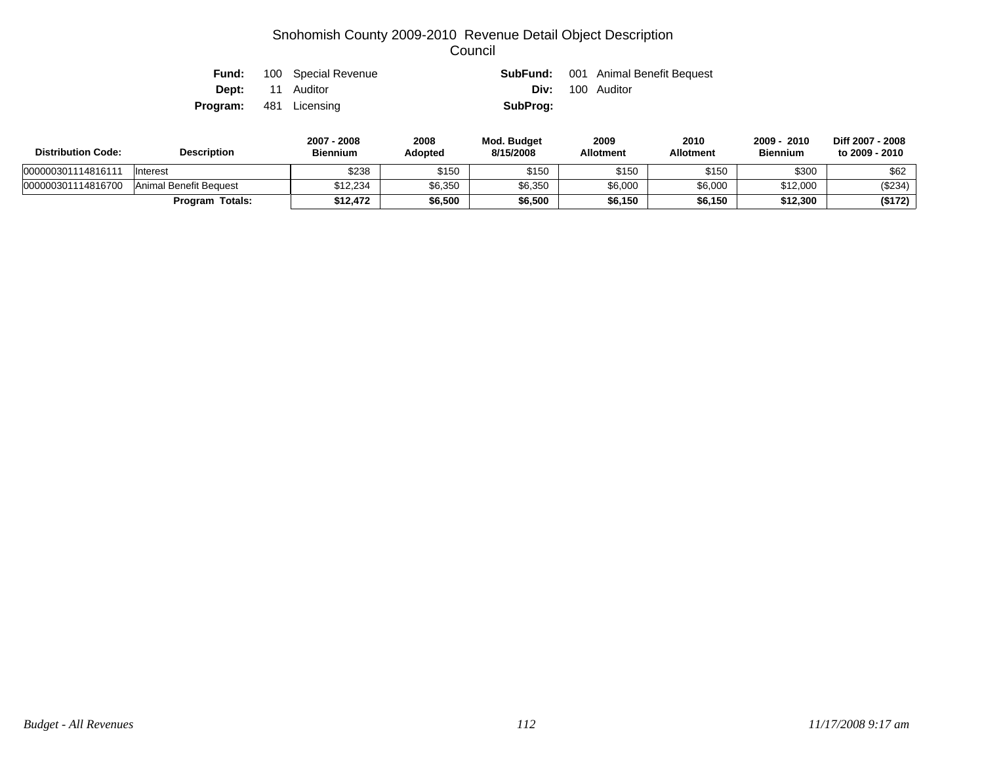|                               | <b>Fund:</b> 100 Special Revenue |          | <b>SubFund:</b> 001 Animal Benefit Bequest |
|-------------------------------|----------------------------------|----------|--------------------------------------------|
|                               | <b>Dept:</b> 11 Auditor          |          | <b>Div:</b> 100 Auditor                    |
| <b>Program:</b> 481 Licensing |                                  | SubProg: |                                            |

| <b>Distribution Code:</b> | <b>Description</b>     | 2007 - 2008<br><b>Biennium</b> | 2008<br>Adopted | Mod. Budget<br>8/15/2008 | 2009<br><b>Allotment</b> | 2010<br><b>Allotment</b> | 2010<br>2009<br><b>Biennium</b> | Diff 2007 - 2008<br>to 2009 - 2010 |
|---------------------------|------------------------|--------------------------------|-----------------|--------------------------|--------------------------|--------------------------|---------------------------------|------------------------------------|
| 000000301114816111        | Interest               | \$238                          | \$150           | \$150                    | \$150                    | \$150                    | \$300                           | \$62                               |
| 000000301114816700        | Animal Benefit Bequest | \$12.234                       | \$6,350         | \$6,350                  | \$6,000                  | \$6,000                  | \$12,000                        | (\$234)                            |
|                           | <b>Program Totals:</b> | \$12.472                       | \$6,500         | \$6,500                  | \$6,150                  | \$6,150                  | \$12,300                        | (\$172)                            |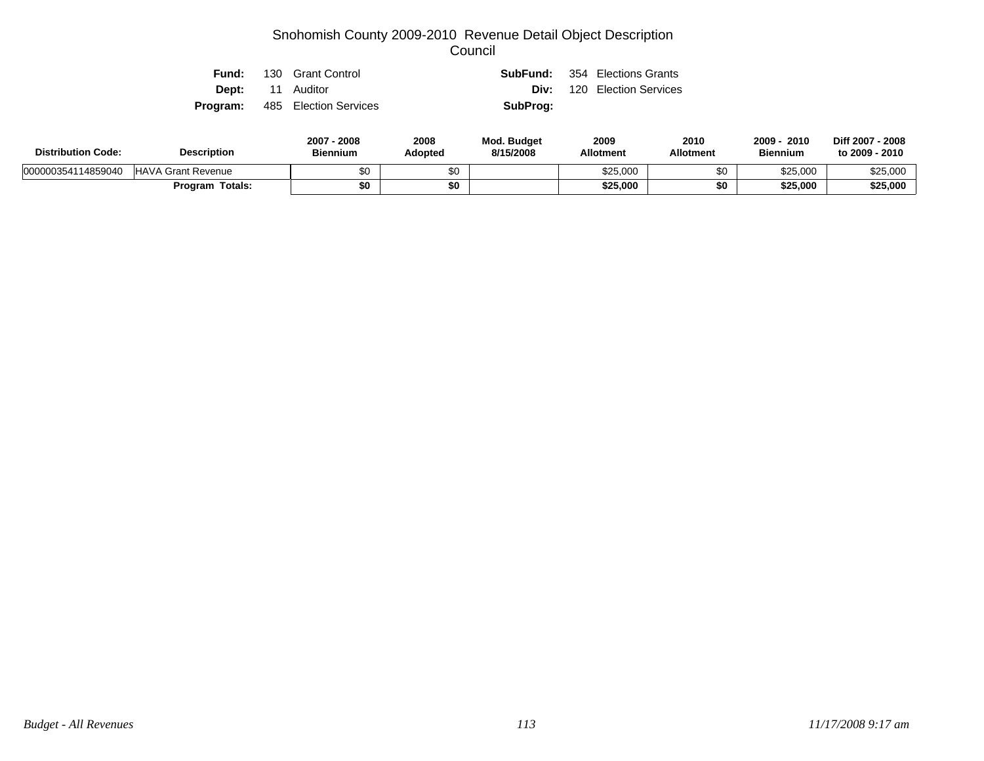|  | <b>Fund:</b> 130 Grant Control        |          | <b>SubFund:</b> 354 Elections Grants |
|--|---------------------------------------|----------|--------------------------------------|
|  | <b>Dept:</b> 11 Auditor               |          | <b>Div:</b> 120 Election Services    |
|  | <b>Program:</b> 485 Election Services | SubProg: |                                      |

| <b>Distribution Code:</b> | <b>Description</b>        | 2007 - 2008<br><b>Biennium</b> | 2008<br>Adopted | Mod. Budget<br>8/15/2008 | 2009<br><b>Allotment</b> | 2010<br><b>Allotment</b> | 2009<br>2010<br><b>Biennium</b> | Diff 2007 - 2008<br>to 2009 - 2010 |
|---------------------------|---------------------------|--------------------------------|-----------------|--------------------------|--------------------------|--------------------------|---------------------------------|------------------------------------|
| 000000354114859040        | <b>HAVA Grant Revenue</b> | \$0                            |                 |                          | \$25,000                 | ა∪                       | \$25,000                        | \$25,000                           |
|                           | Program Totals:           | \$0                            |                 |                          | \$25,000                 | \$0                      | \$25,000                        | \$25,000                           |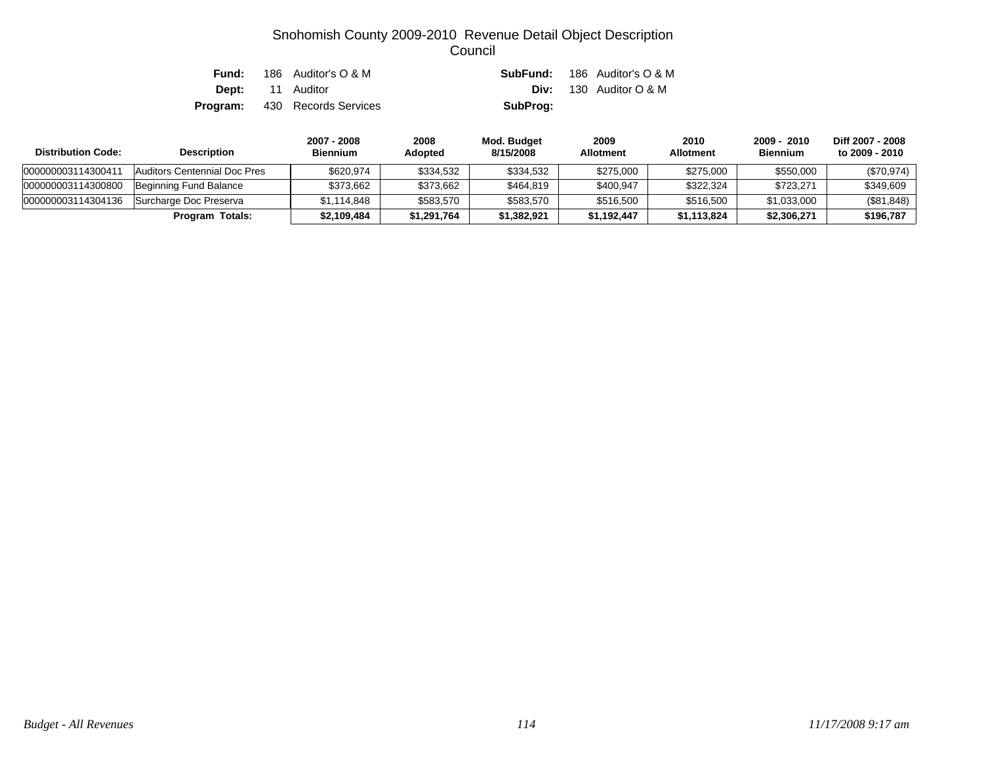| Fund: | 186 Auditor's O & M                  |          | <b>SubFund:</b> 186 Auditor's O & M |
|-------|--------------------------------------|----------|-------------------------------------|
|       | <b>Dept:</b> 11 Auditor              |          | <b>Div:</b> 130 Auditor $O & M$     |
|       | <b>Program:</b> 430 Records Services | SubProg: |                                     |

| <b>Distribution Code:</b> | <b>Description</b>           | 2007 - 2008<br><b>Biennium</b> | 2008<br><b>Adopted</b> | Mod. Budget<br>8/15/2008 | 2009<br><b>Allotment</b> | 2010<br><b>Allotment</b> | 2009 - 2010<br><b>Biennium</b> | Diff 2007 - 2008<br>to 2009 - 2010 |
|---------------------------|------------------------------|--------------------------------|------------------------|--------------------------|--------------------------|--------------------------|--------------------------------|------------------------------------|
| 000000003114300411        | Auditors Centennial Doc Pres | \$620.974                      | \$334.532              | \$334,532                | \$275,000                | \$275,000                | \$550,000                      | $(\$70,974)$                       |
| 000000003114300800        | Beginning Fund Balance       | \$373.662                      | \$373,662              | \$464,819                | \$400.947                | \$322,324                | \$723.271                      | \$349,609                          |
| 000000003114304136        | Surcharge Doc Preserva       | \$1.114.848                    | \$583,570              | \$583,570                | \$516,500                | \$516,500                | \$1,033,000                    | (\$81,848)                         |
|                           | Program Totals:              | \$2,109,484                    | \$1,291,764            | \$1,382,921              | \$1.192.447              | \$1.113.824              | \$2,306,271                    | \$196,787                          |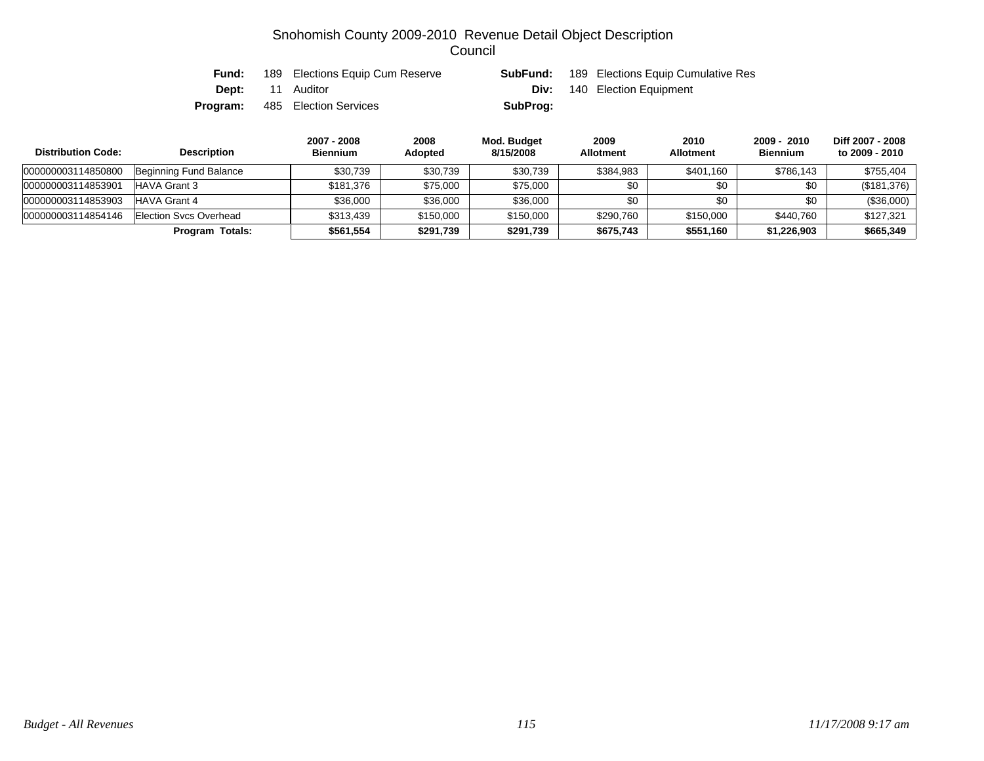| Fund: | 189 Elections Equip Cum Reserve       | SubFund: | 189 Elections Equip Cumulative Res |
|-------|---------------------------------------|----------|------------------------------------|
|       | <b>Dept:</b> 11 Auditor               | Div:     | 140 Election Equipment             |
|       | <b>Program:</b> 485 Election Services | SubProg: |                                    |

| <b>Distribution Code:</b> | <b>Description</b>     | 2007 - 2008<br><b>Biennium</b> | 2008<br>Adopted | Mod. Budget<br>8/15/2008 | 2009<br><b>Allotment</b> | 2010<br><b>Allotment</b> | 2009 - 2010<br><b>Biennium</b> | Diff 2007 - 2008<br>to 2009 - 2010 |
|---------------------------|------------------------|--------------------------------|-----------------|--------------------------|--------------------------|--------------------------|--------------------------------|------------------------------------|
| 000000003114850800        | Beginning Fund Balance | \$30.739                       | \$30,739        | \$30,739                 | \$384,983                | \$401,160                | \$786,143                      | \$755.404                          |
| 000000003114853901        | HAVA Grant 3           | \$181.376                      | \$75,000        | \$75,000                 | \$0                      | \$0                      | \$0                            | (\$181,376)                        |
| 000000003114853903        | HAVA Grant 4           | \$36,000                       | \$36,000        | \$36,000                 | \$0                      | \$0                      | \$0                            | (\$36,000)                         |
| 000000003114854146        | Election Sycs Overhead | \$313.439                      | \$150,000       | \$150,000                | \$290,760                | \$150,000                | \$440.760                      | \$127.321                          |
|                           | Program Totals:        | \$561.554                      | \$291,739       | \$291,739                | \$675,743                | \$551,160                | \$1,226,903                    | \$665,349                          |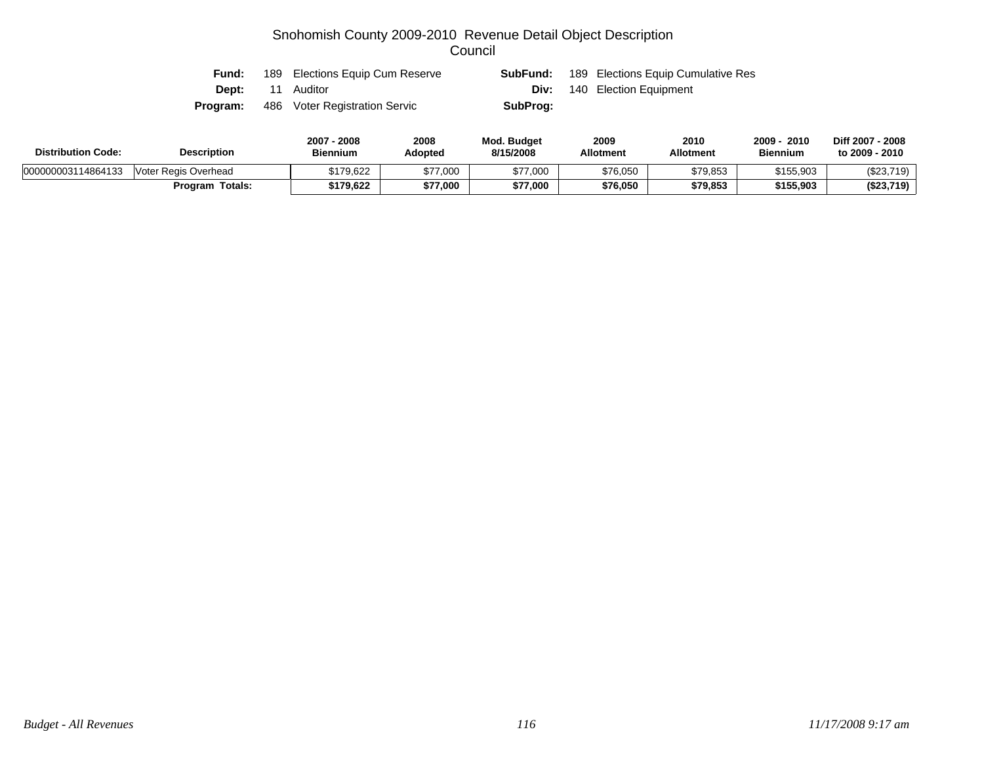| <b>Fund:</b> | 189 Elections Equip Cum Reserve | SubFund: | 189 Elections Equip Cumulative Res |
|--------------|---------------------------------|----------|------------------------------------|
|              | <b>Dept:</b> 11 Auditor         |          | <b>Div:</b> 140 Election Equipment |
| Program:     | 486 Voter Registration Servic   | SubProg: |                                    |

| <b>Distribution Code:</b><br><b>Description</b> |                      | 2007 - 2008<br><b>Biennium</b> | 2008<br>Adopted | <b>Mod. Budget</b><br>8/15/2008 | 2009<br><b>Allotment</b> | 2010<br><b>Allotment</b> | 2010<br>2009<br><b>Biennium</b> | Diff 2007 - 2008<br>to 2009 - 2010 |
|-------------------------------------------------|----------------------|--------------------------------|-----------------|---------------------------------|--------------------------|--------------------------|---------------------------------|------------------------------------|
| 000000003114864133                              | Voter Regis Overhead | \$179,622                      | \$77,000        | \$77,000                        | \$76,050                 | \$79,853                 | \$155,903                       | (\$23,719)                         |
|                                                 | Program Totals:      | \$179,622                      | \$77,000        | \$77,000                        | \$76,050                 | \$79,853                 | \$155,903                       | (\$23,719)                         |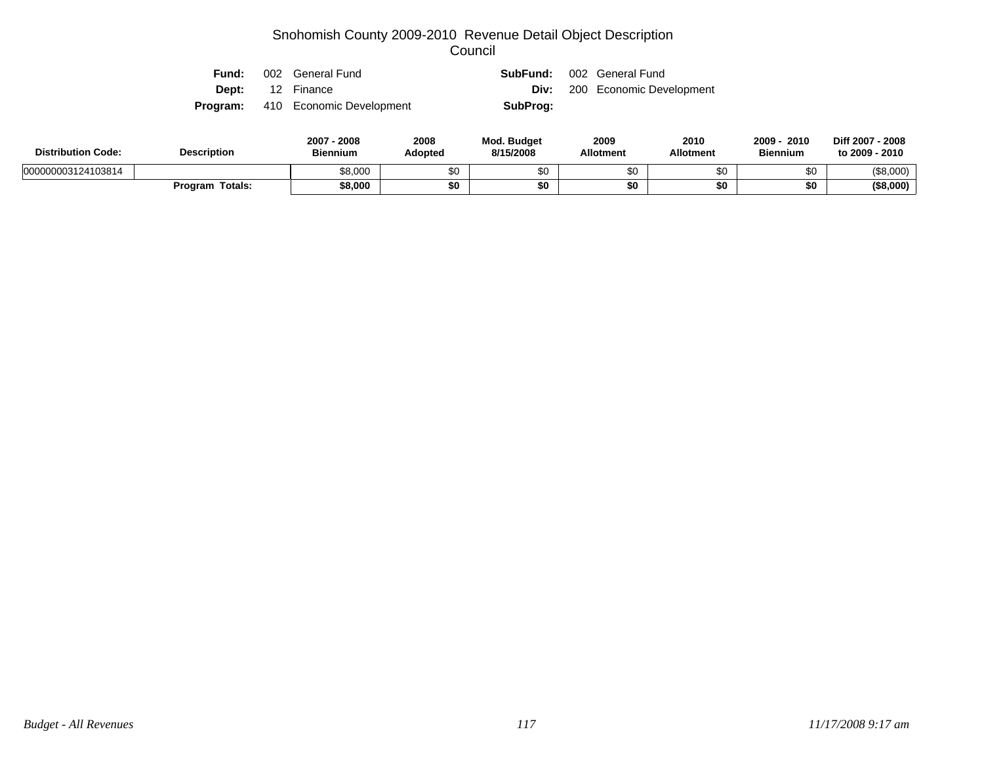| Fund:                   | 002 General Fund                         |          | <b>SubFund:</b> 002 General Fund     |
|-------------------------|------------------------------------------|----------|--------------------------------------|
| <b>Dept:</b> 12 Finance |                                          |          | <b>Div:</b> 200 Economic Development |
|                         | <b>Program:</b> 410 Economic Development | SubProg: |                                      |

| <b>Distribution Code:</b> | <b>Description</b>     | 2007<br>2008<br><b>Biennium</b> | 2008<br><b>Adopted</b> | <b>Mod. Budget</b><br>8/15/2008 | 2009<br><b>Allotment</b> | 2010<br><b>Allotment</b> | 2010<br>2009<br><b>Biennium</b> | Diff 2007 - 2008<br>to 2009 - 2010 |
|---------------------------|------------------------|---------------------------------|------------------------|---------------------------------|--------------------------|--------------------------|---------------------------------|------------------------------------|
| 000000003124103814        |                        | \$8,000                         | \$0                    |                                 | \$0                      |                          | \$0                             | (\$8,000)                          |
|                           | <b>Program Totals:</b> | \$8,000                         | \$0                    |                                 | \$0                      |                          | \$0                             | $($ \$8,000)                       |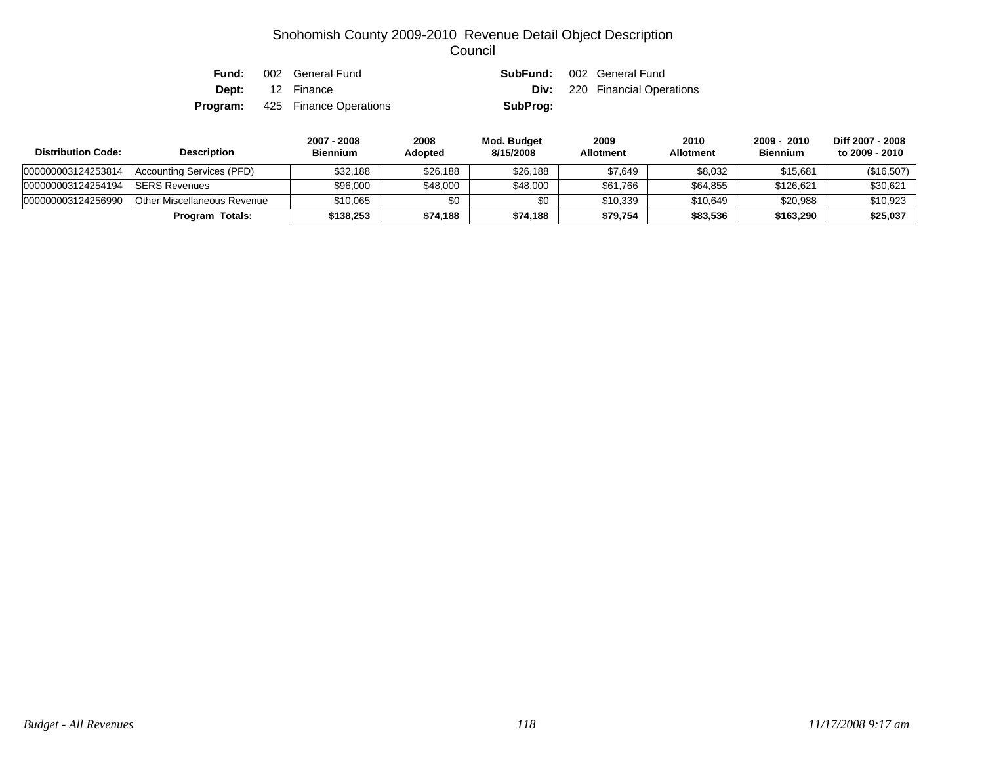| Fund:    | 002 General Fund        |          | <b>SubFund:</b> 002 General Fund     |
|----------|-------------------------|----------|--------------------------------------|
|          | <b>Dept:</b> 12 Finance |          | <b>Div:</b> 220 Financial Operations |
| Program: | 425 Finance Operations  | SubProg: |                                      |

| <b>Distribution Code:</b> | <b>Description</b>          | 2007 - 2008<br><b>Biennium</b> | 2008<br><b>Adopted</b> | Mod. Budget<br>8/15/2008 | 2009<br><b>Allotment</b> | 2010<br><b>Allotment</b> | 2009 - 2010<br><b>Biennium</b> | Diff 2007 - 2008<br>to 2009 - 2010 |
|---------------------------|-----------------------------|--------------------------------|------------------------|--------------------------|--------------------------|--------------------------|--------------------------------|------------------------------------|
| 000000003124253814        | Accounting Services (PFD)   | \$32.188                       | \$26,188               | \$26,188                 | \$7,649                  | \$8,032                  | \$15,681                       | (\$16,507)                         |
| 000000003124254194        | <b>ISERS Revenues</b>       | \$96,000                       | \$48,000               | \$48,000                 | \$61,766                 | \$64.855                 | \$126.621                      | \$30,621                           |
| 000000003124256990        | Other Miscellaneous Revenue | \$10.065                       | \$0                    | \$0                      | \$10.339                 | \$10.649                 | \$20,988                       | \$10,923                           |
|                           | Program Totals:             | \$138.253                      | \$74,188               | \$74,188                 | \$79,754                 | \$83,536                 | \$163,290                      | \$25,037                           |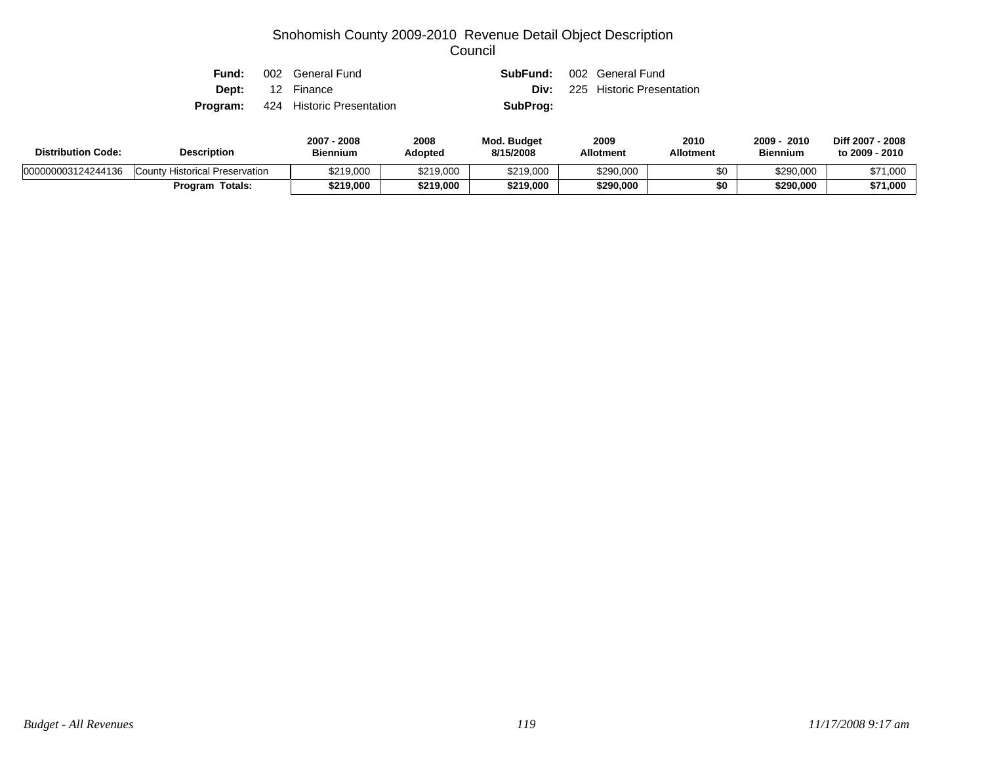| Fund: | 002 General Fund                          |          | <b>SubFund:</b> 002 General Fund      |
|-------|-------------------------------------------|----------|---------------------------------------|
|       | <b>Dept:</b> 12 Finance                   |          | <b>Div:</b> 225 Historic Presentation |
|       | <b>Program:</b> 424 Historic Presentation | SubProg: |                                       |

| <b>Distribution Code:</b><br><b>Description</b> |                                | $2007 -$<br>$-2008$<br><b>Biennium</b> | 2008<br>Adopted | Mod. Budget<br>8/15/2008 | 2009<br><b>Allotment</b> | 2010<br><b>Allotment</b> | 2009<br>2010<br><b>Biennium</b> | Diff 2007 - 2008<br>to 2009 - 2010 |
|-------------------------------------------------|--------------------------------|----------------------------------------|-----------------|--------------------------|--------------------------|--------------------------|---------------------------------|------------------------------------|
| 000000003124244136                              | County Historical Preservation | \$219,000                              | \$219,000       | \$219,000                | \$290,000                | \$0                      | \$290,000                       | \$71,000                           |
|                                                 | Program Totals:                | \$219,000                              | \$219,000       | \$219,000                | \$290,000                | \$0                      | \$290,000                       | \$71,000                           |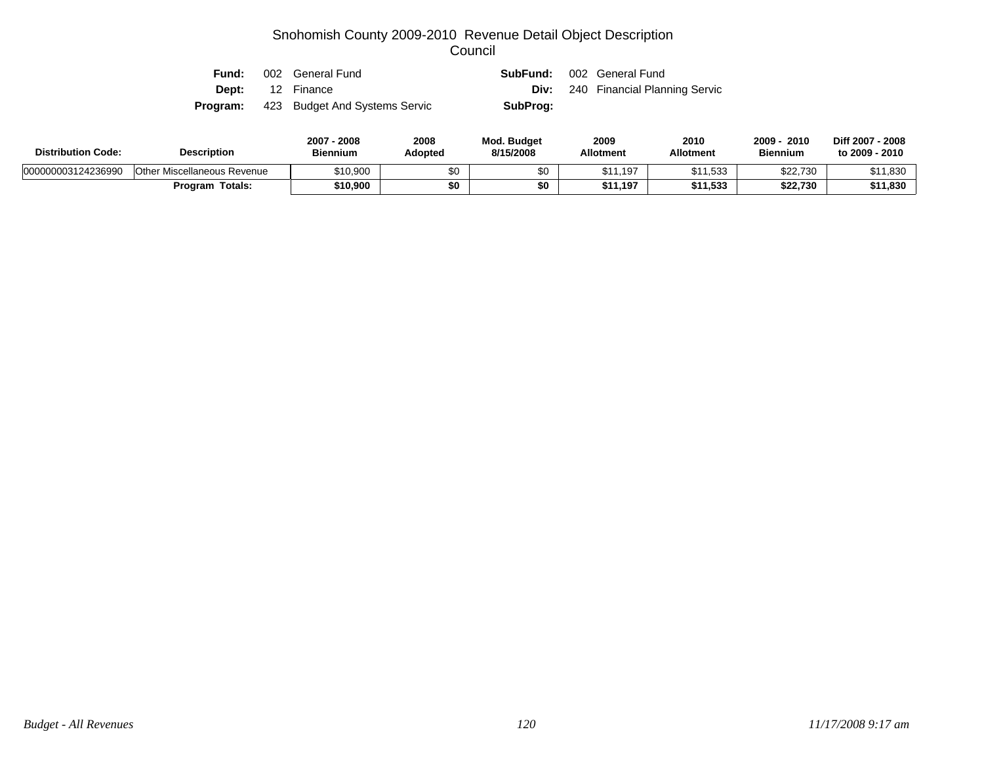| Fund: | 002 General Fund                              | <b>SubFund:</b> 002 General Fund |                                           |
|-------|-----------------------------------------------|----------------------------------|-------------------------------------------|
|       | <b>Dept:</b> 12 Finance                       |                                  | <b>Div:</b> 240 Financial Planning Servic |
|       | <b>Program:</b> 423 Budget And Systems Servic | SubProg:                         |                                           |

| <b>Distribution Code:</b> | <b>Description</b>                 | 2007<br>2008<br><b>Biennium</b> | 2008<br>Adopted | <b>Mod. Budget</b><br>8/15/2008 | 2009<br><b>Allotment</b> | 2010<br><b>Allotment</b> | 2009<br>2010<br><b>Biennium</b> | Diff 2007 - 2008<br>to 2009 - 2010 |
|---------------------------|------------------------------------|---------------------------------|-----------------|---------------------------------|--------------------------|--------------------------|---------------------------------|------------------------------------|
| 000000003124236990        | <b>Other Miscellaneous Revenue</b> | \$10,900                        | \$0             |                                 | \$11.197                 | \$11,533                 | \$22,730                        | \$11,830                           |
|                           | Program Totals:                    | \$10,900                        | \$0             | \$0                             | \$11.197                 | \$11,533                 | \$22,730                        | \$11,830                           |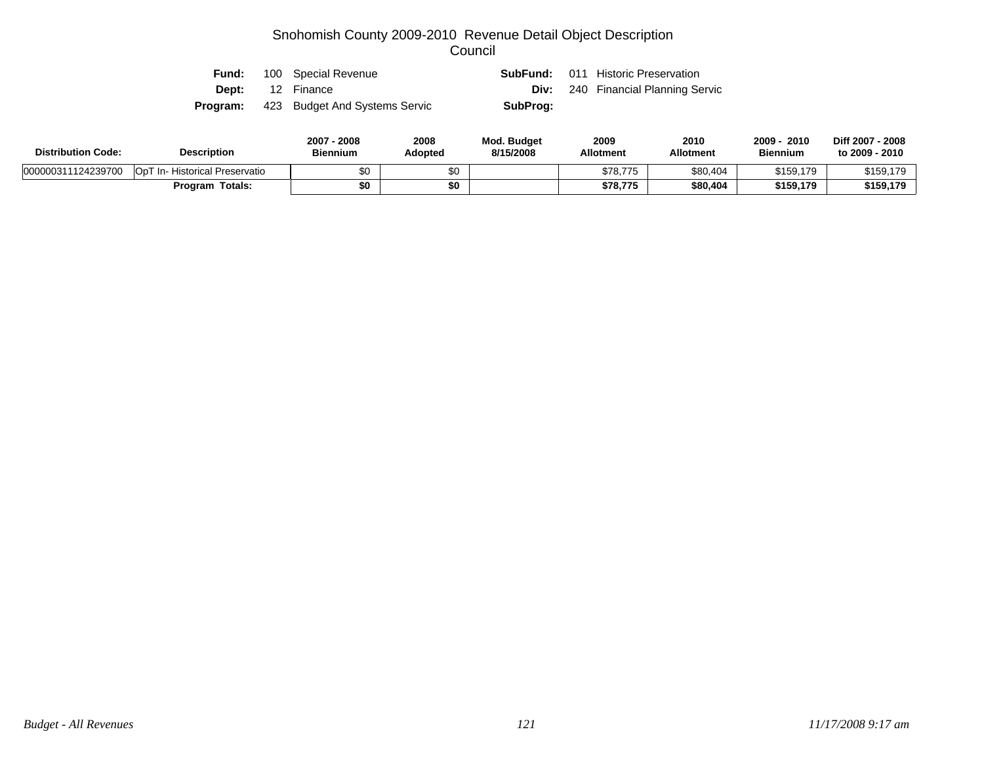|  | <b>Fund:</b> 100 Special Revenue              |          | <b>SubFund:</b> 011 Historic Preservation |
|--|-----------------------------------------------|----------|-------------------------------------------|
|  | <b>Dept:</b> 12 Finance                       |          | <b>Div:</b> 240 Financial Planning Servic |
|  | <b>Program:</b> 423 Budget And Systems Servic | SubProg: |                                           |

| <b>Distribution Code:</b> | <b>Description</b>             | 2007 - 2008<br><b>Biennium</b> | 2008<br>Adopted | <b>Mod. Budget</b><br>8/15/2008 | 2009<br><b>Allotment</b> | 2010<br><b>Allotment</b> | 2009<br>2010<br><b>Biennium</b> | Diff 2007 - 2008<br>to 2009 - 2010 |
|---------------------------|--------------------------------|--------------------------------|-----------------|---------------------------------|--------------------------|--------------------------|---------------------------------|------------------------------------|
| 000000311124239700        | OpT In- Historical Preservatio | \$0                            |                 |                                 | \$78,775                 | \$80,404                 | \$159,179                       | \$159,179                          |
|                           | <b>Program Totals:</b>         | \$0                            |                 |                                 | \$78,775                 | \$80,404                 | \$159,179                       | \$159,179                          |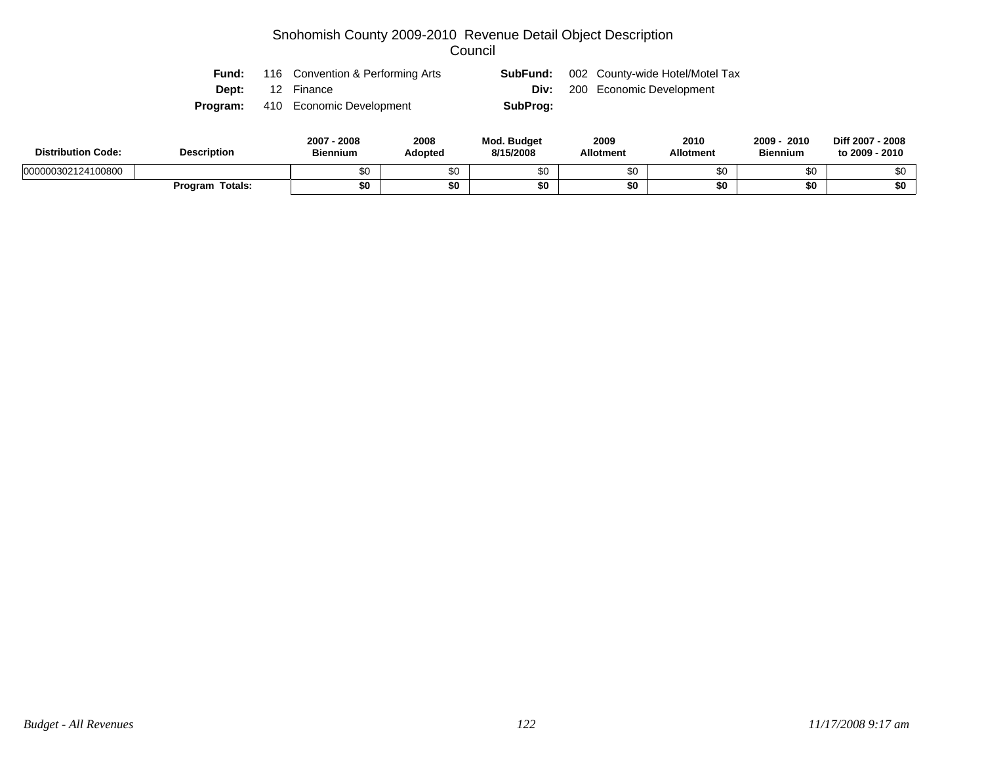|  | <b>Fund:</b> 116 Convention & Performing Arts |          | <b>SubFund:</b> 002 County-wide Hotel/Motel Tax |
|--|-----------------------------------------------|----------|-------------------------------------------------|
|  | <b>Dept:</b> 12 Finance                       |          | <b>Div:</b> 200 Economic Development            |
|  | <b>Program:</b> 410 Economic Development      | SubProg: |                                                 |

| <b>Distribution Code:</b> | <b>Description</b> | 2008<br>2007<br><b>Biennium</b> | 2008<br>Adopted | <b>Mod. Budget</b><br>8/15/2008 | 2009<br><b>Allotment</b> | 2010<br>Allotment | 2009<br>2010<br><b>Biennium</b> | Diff 2007 - 2008<br>to 2009 - 2010 |
|---------------------------|--------------------|---------------------------------|-----------------|---------------------------------|--------------------------|-------------------|---------------------------------|------------------------------------|
| 000000302124100800        |                    | ሶሳ                              | \$0             |                                 | ¢∩                       | υU                | m o<br>υŒ                       |                                    |
|                           | Totals:<br>Program | \$0                             | \$0             |                                 | \$0                      |                   | \$0                             | \$0                                |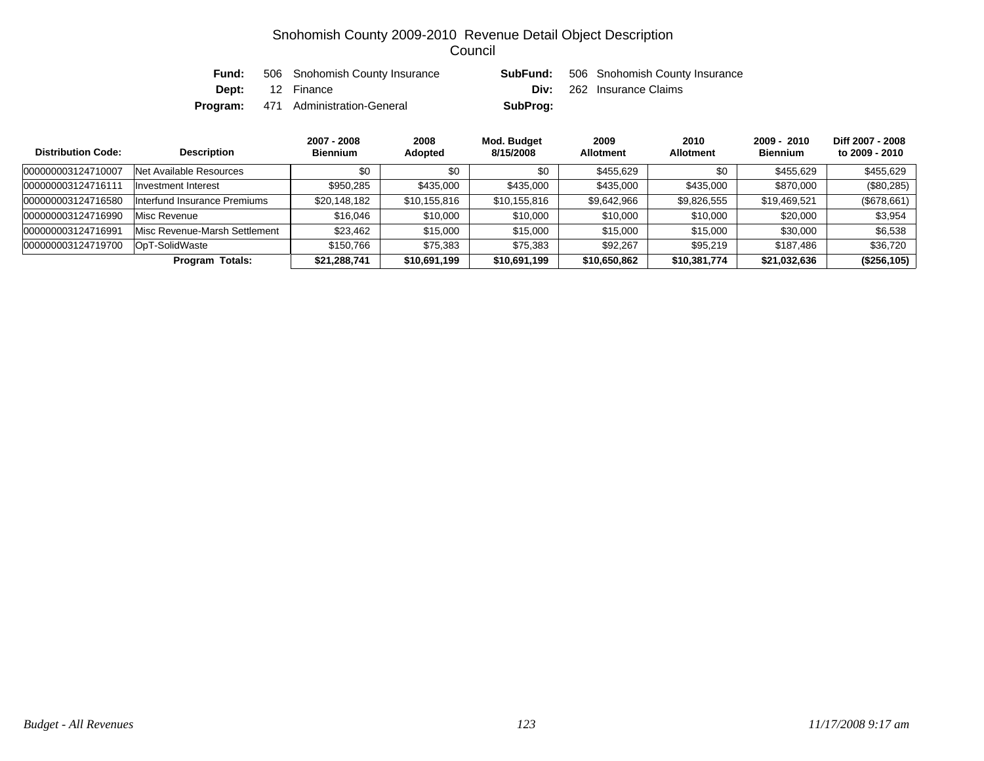| Fund: | 506 Snohomish County Insurance             |          | <b>SubFund:</b> 506 Snohomish County Insurance |
|-------|--------------------------------------------|----------|------------------------------------------------|
|       | <b>Dept:</b> 12 Finance                    |          | <b>Div:</b> 262 Insurance Claims               |
|       | <b>Program:</b> 471 Administration-General | SubProg: |                                                |

| <b>Distribution Code:</b> | <b>Description</b>            | 2007 - 2008<br><b>Biennium</b> | 2008<br><b>Adopted</b> | Mod. Budget<br>8/15/2008 | 2009<br><b>Allotment</b> | 2010<br><b>Allotment</b> | $2009 - 2010$<br><b>Biennium</b> | Diff 2007 - 2008<br>to 2009 - 2010 |
|---------------------------|-------------------------------|--------------------------------|------------------------|--------------------------|--------------------------|--------------------------|----------------------------------|------------------------------------|
| 000000003124710007        | Net Available Resources       | \$0                            | \$0                    | \$0                      | \$455,629                | \$0                      | \$455,629                        | \$455,629                          |
| 00000000312471611         | Investment Interest           | \$950.285                      | \$435,000              | \$435,000                | \$435,000                | \$435,000                | \$870,000                        | $(\$80,285)$                       |
| 000000003124716580        | Interfund Insurance Premiums  | \$20,148,182                   | \$10,155,816           | \$10,155,816             | \$9,642,966              | \$9,826,555              | \$19,469,521                     | (\$678,661)                        |
| 000000003124716990        | Misc Revenue                  | \$16,046                       | \$10,000               | \$10,000                 | \$10,000                 | \$10,000                 | \$20,000                         | \$3,954                            |
| 000000003124716991        | Misc Revenue-Marsh Settlement | \$23,462                       | \$15,000               | \$15,000                 | \$15,000                 | \$15,000                 | \$30,000                         | \$6,538                            |
| 000000003124719700        | OpT-SolidWaste                | \$150.766                      | \$75,383               | \$75.383                 | \$92.267                 | \$95.219                 | \$187.486                        | \$36,720                           |
|                           | <b>Program Totals:</b>        | \$21,288,741                   | \$10,691,199           | \$10,691,199             | \$10,650,862             | \$10,381,774             | \$21,032,636                     | (\$256,105)                        |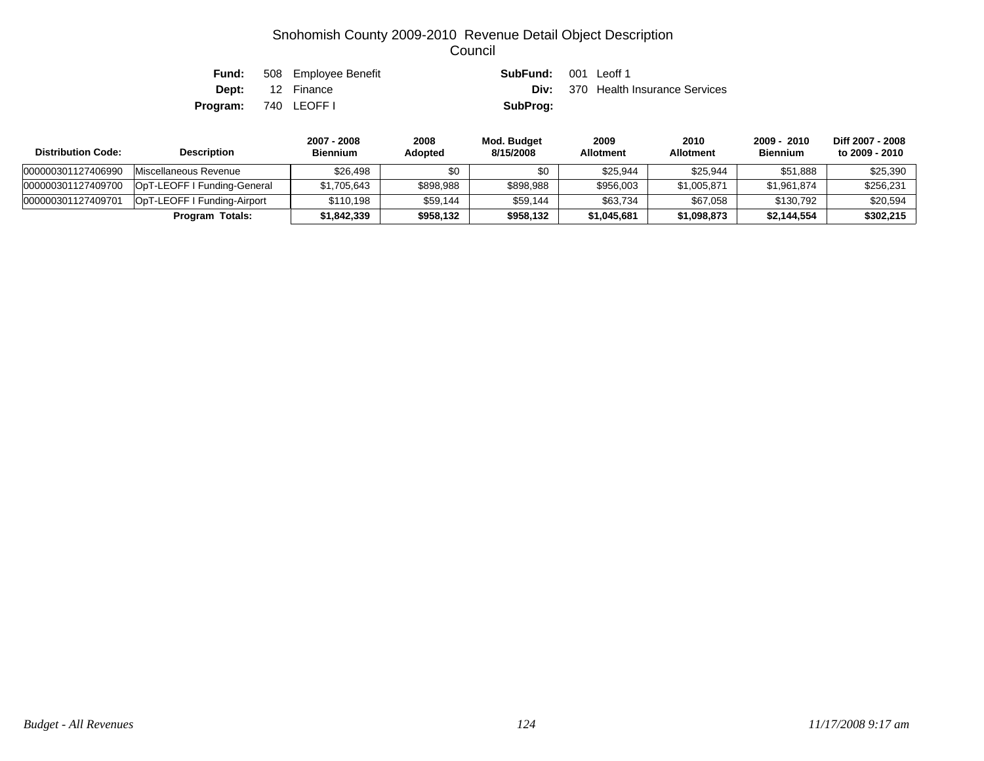|                            | <b>Fund:</b> 508 Employee Benefit | <b>SubFund:</b> 001 Leoff 1               |
|----------------------------|-----------------------------------|-------------------------------------------|
|                            | <b>Dept:</b> 12 Finance           | <b>Div:</b> 370 Health Insurance Services |
| <b>Program:</b> 740 LEOFFI |                                   | SubProg:                                  |

| <b>Distribution Code:</b> | <b>Description</b>          | 2007 - 2008<br><b>Biennium</b> | 2008<br><b>Adopted</b> | Mod. Budget<br>8/15/2008 | 2009<br><b>Allotment</b> | 2010<br><b>Allotment</b> | 2009 - 2010<br><b>Biennium</b> | Diff 2007 - 2008<br>to 2009 - 2010 |
|---------------------------|-----------------------------|--------------------------------|------------------------|--------------------------|--------------------------|--------------------------|--------------------------------|------------------------------------|
| 000000301127406990        | Miscellaneous Revenue       | \$26.498                       | \$0                    | \$0                      | \$25.944                 | \$25.944                 | \$51,888                       | \$25,390                           |
| 000000301127409700        | OpT-LEOFF I Funding-General | \$1,705,643                    | \$898,988              | \$898,988                | \$956,003                | \$1,005.871              | \$1.961.874                    | \$256,231                          |
| 000000301127409701        | OpT-LEOFF I Funding-Airport | \$110.198                      | \$59.144               | \$59.144                 | \$63.734                 | \$67.058                 | \$130.792                      | \$20,594                           |
|                           | Program Totals:             | \$1,842,339                    | \$958,132              | \$958,132                | \$1,045,681              | \$1,098,873              | \$2,144,554                    | \$302,215                          |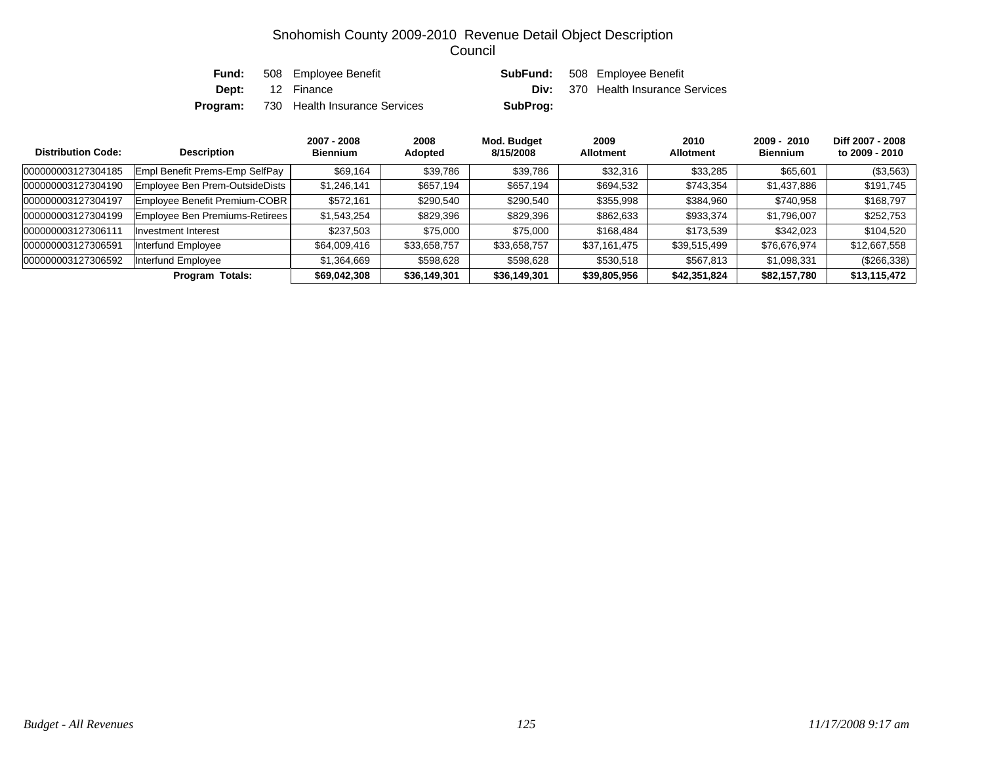| Fund: | 508 Employee Benefit                          |          | <b>SubFund:</b> 508 Employee Benefit      |
|-------|-----------------------------------------------|----------|-------------------------------------------|
|       | <b>Dept:</b> 12 Finance                       |          | <b>Div:</b> 370 Health Insurance Services |
|       | <b>Program:</b> 730 Health Insurance Services | SubProg: |                                           |

| <b>Distribution Code:</b> | <b>Description</b>             | 2007 - 2008<br><b>Biennium</b> | 2008<br>Adopted | Mod. Budget<br>8/15/2008 | 2009<br><b>Allotment</b> | 2010<br><b>Allotment</b> | 2009 - 2010<br><b>Biennium</b> | Diff 2007 - 2008<br>to 2009 - 2010 |
|---------------------------|--------------------------------|--------------------------------|-----------------|--------------------------|--------------------------|--------------------------|--------------------------------|------------------------------------|
| 000000003127304185        | Empl Benefit Prems-Emp SelfPay | \$69,164                       | \$39,786        | \$39,786                 | \$32,316                 | \$33,285                 | \$65,601                       | (\$3,563)                          |
| 000000003127304190        | Employee Ben Prem-OutsideDists | \$1,246,141                    | \$657,194       | \$657,194                | \$694,532                | \$743,354                | \$1,437,886                    | \$191,745                          |
| 000000003127304197        | Employee Benefit Premium-COBR  | \$572,161                      | \$290,540       | \$290,540                | \$355,998                | \$384,960                | \$740,958                      | \$168,797                          |
| 000000003127304199        | Employee Ben Premiums-Retirees | \$1,543,254                    | \$829,396       | \$829,396                | \$862,633                | \$933,374                | \$1,796,007                    | \$252,753                          |
| 000000003127306111        | Investment Interest            | \$237,503                      | \$75,000        | \$75,000                 | \$168,484                | \$173,539                | \$342,023                      | \$104,520                          |
| 000000003127306591        | Interfund Employee             | \$64,009,416                   | \$33,658,757    | \$33,658,757             | \$37,161,475             | \$39,515,499             | \$76,676,974                   | \$12,667,558                       |
| 000000003127306592        | Interfund Employee             | \$1,364,669                    | \$598,628       | \$598,628                | \$530,518                | \$567,813                | \$1,098,331                    | $(\$266,338)$                      |
|                           | <b>Program Totals:</b>         | \$69,042,308                   | \$36,149,301    | \$36,149,301             | \$39,805,956             | \$42,351,824             | \$82,157,780                   | \$13,115,472                       |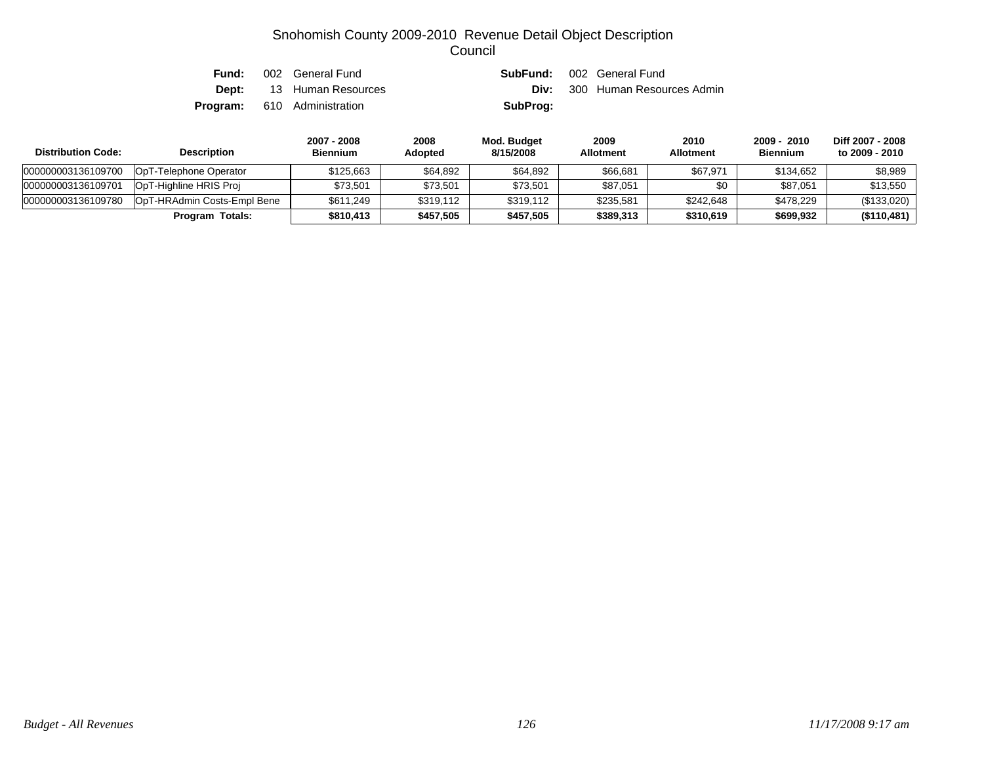| Fund: | 002 General Fund                   |          | <b>SubFund:</b> 002 General Fund      |
|-------|------------------------------------|----------|---------------------------------------|
|       | <b>Dept:</b> 13 Human Resources    |          | <b>Div:</b> 300 Human Resources Admin |
|       | <b>Program:</b> 610 Administration | SubProg: |                                       |

| <b>Distribution Code:</b> | <b>Description</b>          | 2007 - 2008<br><b>Biennium</b> | 2008<br>Adopted | Mod. Budget<br>8/15/2008 | 2009<br><b>Allotment</b> | 2010<br><b>Allotment</b> | $2009 - 2010$<br><b>Biennium</b> | Diff 2007 - 2008<br>to 2009 - 2010 |
|---------------------------|-----------------------------|--------------------------------|-----------------|--------------------------|--------------------------|--------------------------|----------------------------------|------------------------------------|
| 000000003136109700        | OpT-Telephone Operator      | \$125.663                      | \$64.892        | \$64,892                 | \$66,681                 | \$67,971                 | \$134.652                        | \$8,989                            |
| 000000003136109701        | OpT-Highline HRIS Proj      | \$73.501                       | \$73,501        | \$73,501                 | \$87,051                 | \$0                      | \$87,051                         | \$13.550                           |
| 000000003136109780        | OpT-HRAdmin Costs-Empl Bene | \$611.249                      | \$319,112       | \$319.112                | \$235.581                | \$242,648                | \$478,229                        | (\$133,020)                        |
|                           | <b>Program Totals:</b>      | \$810,413                      | \$457,505       | \$457,505                | \$389,313                | \$310,619                | \$699,932                        | (\$110,481)                        |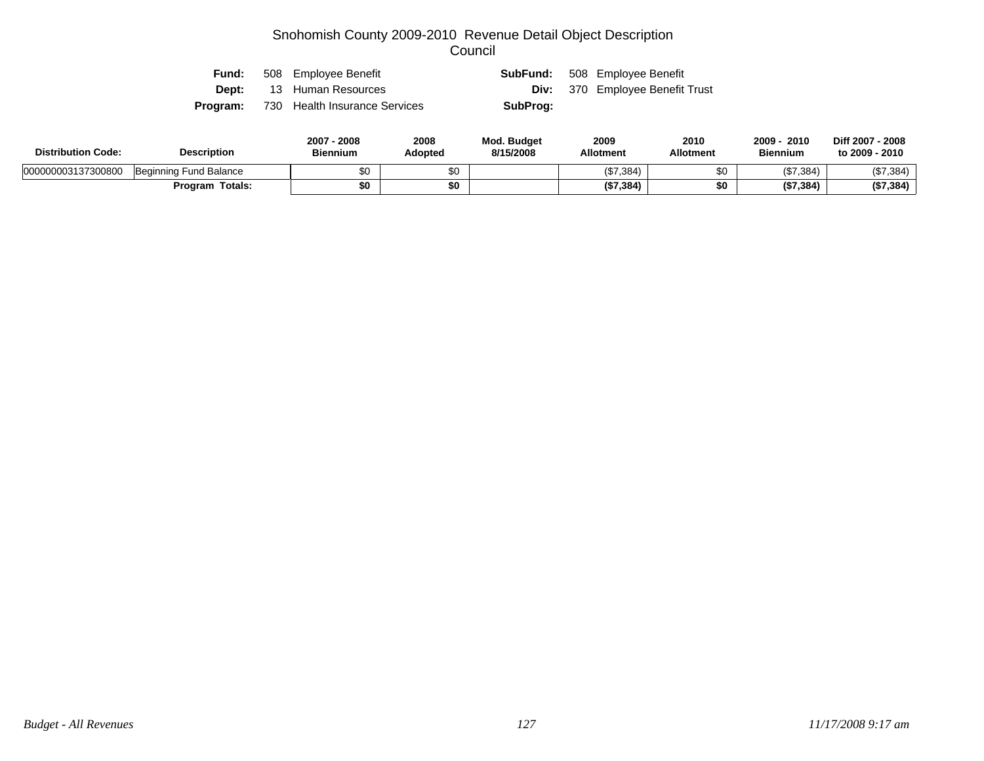| Fund:    | 508 Employee Benefit          |          | <b>SubFund:</b> 508 Employee Benefit   |
|----------|-------------------------------|----------|----------------------------------------|
| Dept:    | 13 Human Resources            |          | <b>Div:</b> 370 Employee Benefit Trust |
| Program: | 730 Health Insurance Services | SubProg: |                                        |

| <b>Distribution Code:</b> | <b>Description</b>     | 2007<br>2008<br><b>Biennium</b> | 2008<br>Adopted | <b>Mod. Budget</b><br>8/15/2008 | 2009<br><b>Allotment</b> | 2010<br><b>Allotment</b> | 2009<br>2010<br><b>Biennium</b> | Diff 2007 - 2008<br>to 2009 - 2010 |
|---------------------------|------------------------|---------------------------------|-----------------|---------------------------------|--------------------------|--------------------------|---------------------------------|------------------------------------|
| 000000003137300800        | Beginning Fund Balance | \$0                             | $\sim$<br>ΦU    |                                 | (\$7,384)                | \$0                      | (\$7,384)                       | (\$7,384)                          |
|                           | Totals:<br>Program     | \$0                             | \$0             |                                 | (\$7,384)                | \$0                      | (\$7,384)                       | (\$7,384)                          |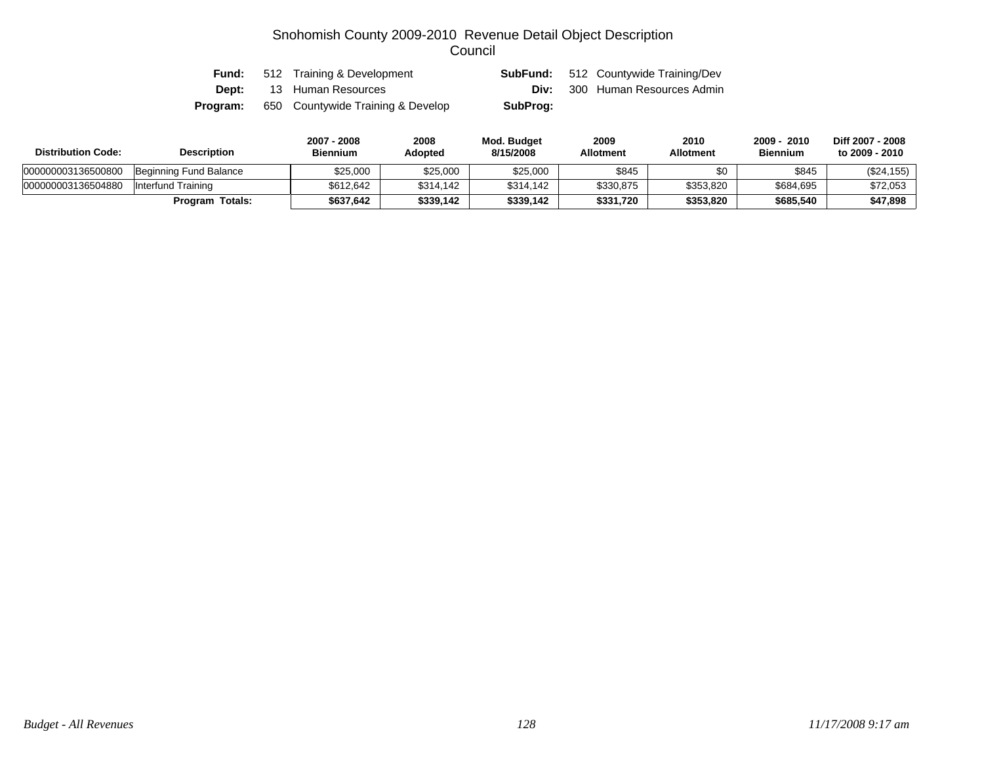| Fund:        | 512 Training & Development        |          | <b>SubFund:</b> 512 Countywide Training/Dev |
|--------------|-----------------------------------|----------|---------------------------------------------|
| <b>Dept:</b> | 13 Human Resources                |          | <b>Div:</b> 300 Human Resources Admin       |
| Program:     | 650 Countywide Training & Develop | SubProg: |                                             |

| <b>Distribution Code:</b> | <b>Description</b>     | 2007 - 2008<br><b>Biennium</b> | 2008<br><b>Adopted</b> | Mod. Budget<br>8/15/2008 | 2009<br><b>Allotment</b> | 2010<br>Allotment | 2009 - 2010<br><b>Biennium</b> | Diff 2007 - 2008<br>to 2009 - 2010 |
|---------------------------|------------------------|--------------------------------|------------------------|--------------------------|--------------------------|-------------------|--------------------------------|------------------------------------|
| 000000003136500800        | Beginning Fund Balance | \$25,000                       | \$25,000               | \$25,000                 | \$845                    | \$0               | \$845                          | (\$24,155)                         |
| 000000003136504880        | Interfund Training     | \$612,642                      | \$314,142              | \$314.142                | \$330,875                | \$353,820         | \$684,695                      | \$72,053                           |
|                           | <b>Program Totals:</b> | \$637.642                      | \$339,142              | \$339.142                | \$331,720                | \$353,820         | \$685,540                      | \$47,898                           |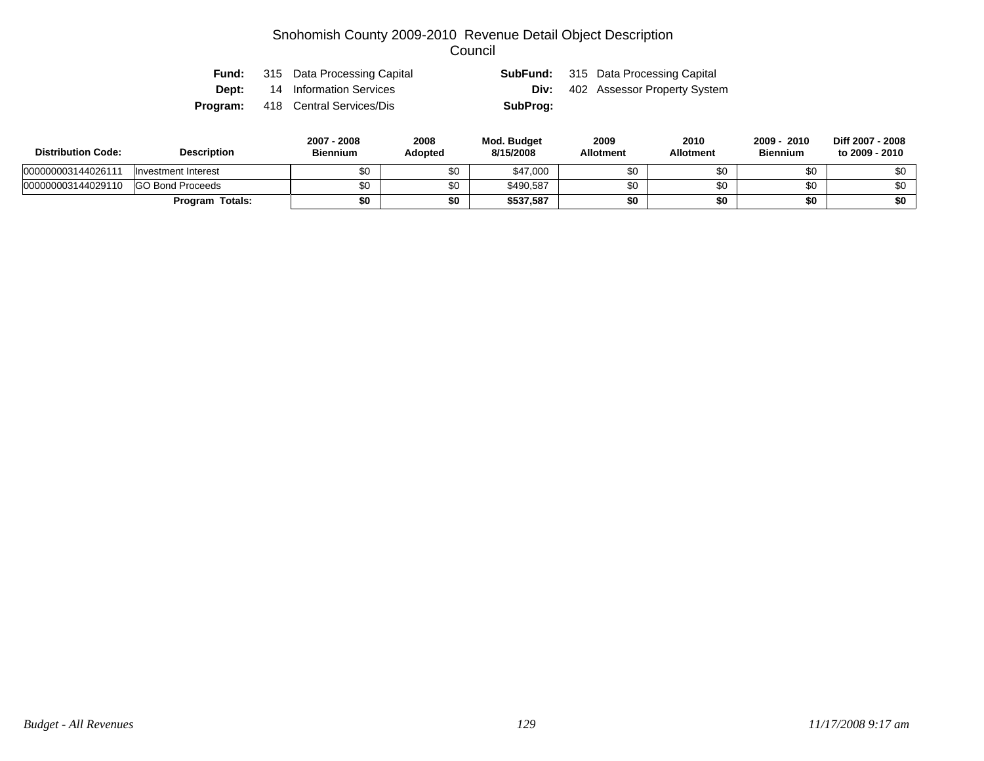|  | <b>Fund:</b> 315 Data Processing Capital |          | <b>SubFund:</b> 315 Data Processing Capital |
|--|------------------------------------------|----------|---------------------------------------------|
|  | <b>Dept:</b> 14 Information Services     | Div:     | 402 Assessor Property System                |
|  | <b>Program:</b> 418 Central Services/Dis | SubProg: |                                             |

| <b>Distribution Code:</b> | <b>Description</b>      | 2007 - 2008<br><b>Biennium</b> | 2008<br><b>Adopted</b> | Mod. Budget<br>8/15/2008 | 2009<br><b>Allotment</b> | 2010<br>Allotment | 2009 - 2010<br><b>Biennium</b> | Diff 2007 - 2008<br>to 2009 - 2010 |
|---------------------------|-------------------------|--------------------------------|------------------------|--------------------------|--------------------------|-------------------|--------------------------------|------------------------------------|
| 000000003144026111        | Investment Interest     | \$0                            | \$0                    | \$47,000                 |                          |                   | \$0                            | ¢∩                                 |
| 000000003144029110        | <b>GO Bond Proceeds</b> | \$0                            | \$0                    | \$490,587                |                          |                   | \$0                            | ድ∩                                 |
|                           | <b>Program Totals:</b>  | \$0                            | \$0                    | \$537,587                |                          |                   | \$0                            | \$0                                |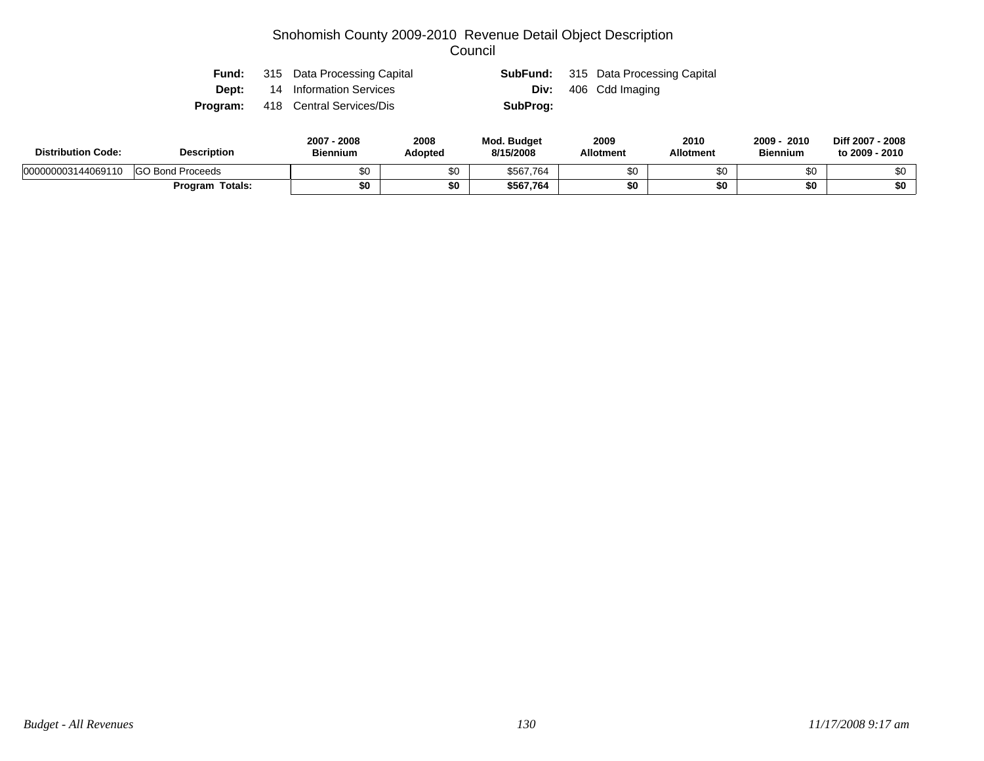| Fund: | 315 Data Processing Capital              |          | <b>SubFund:</b> 315 Data Processing Capital |
|-------|------------------------------------------|----------|---------------------------------------------|
| Dept: | 14 Information Services                  |          | <b>Div:</b> 406 Cdd Imaging                 |
|       | <b>Program:</b> 418 Central Services/Dis | SubProg: |                                             |

| <b>Distribution Code:</b> | <b>Description</b>      | $2007 -$<br>2008<br><b>Biennium</b> | 2008<br>Adopted | <b>Mod. Budget</b><br>8/15/2008 | 2009<br><b>Allotment</b> | 2010<br><b>Allotment</b> | 2009 ·<br>2010<br><b>Biennium</b> | Diff 2007 - 2008<br>to 2009 - 2010 |
|---------------------------|-------------------------|-------------------------------------|-----------------|---------------------------------|--------------------------|--------------------------|-----------------------------------|------------------------------------|
| 000000003144069110        | <b>GO Bond Proceeds</b> | \$0                                 | ሖ<br>ΦU         | \$567,764                       | ድፖ                       | \$0                      | ФU                                |                                    |
|                           | Totals:<br>Program      | \$0                                 | \$0             | \$567.764                       |                          | \$0                      | \$0                               | \$0                                |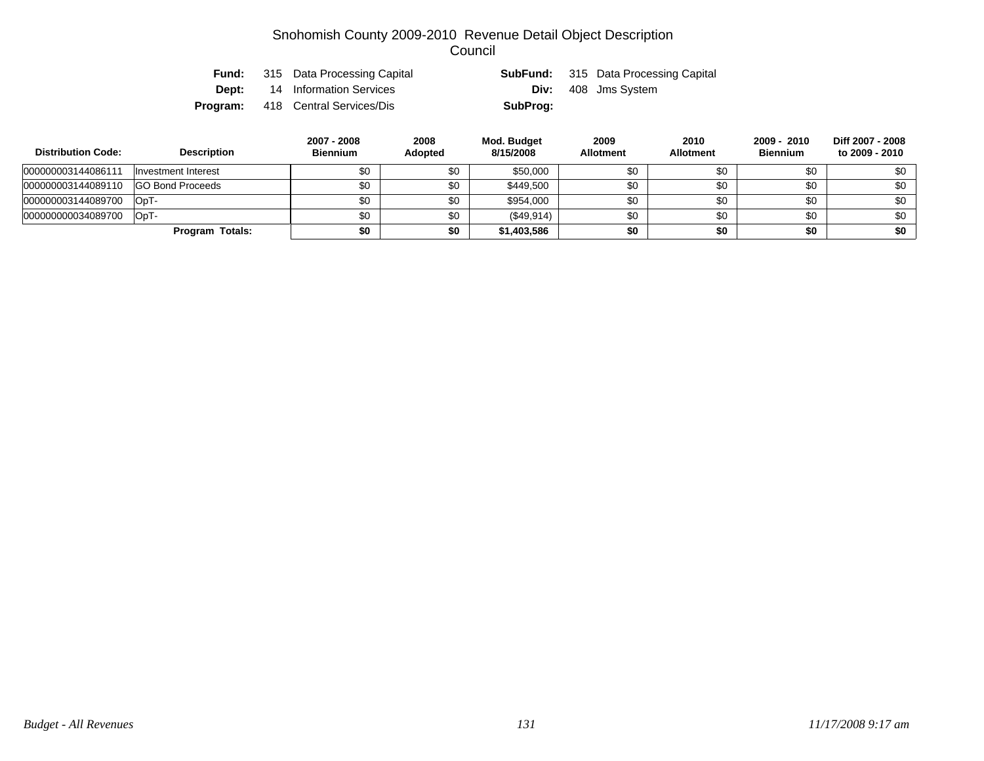|  | <b>Fund:</b> 315 Data Processing Capital |          | <b>SubFund:</b> 315 Data Processing Capital |
|--|------------------------------------------|----------|---------------------------------------------|
|  | <b>Dept:</b> 14 Information Services     |          | <b>Div:</b> 408 Jms System                  |
|  | <b>Program:</b> 418 Central Services/Dis | SubProg: |                                             |

| <b>Distribution Code:</b> | <b>Description</b>      | 2007 - 2008<br><b>Biennium</b> | 2008<br><b>Adopted</b> | Mod. Budget<br>8/15/2008 | 2009<br><b>Allotment</b> | 2010<br><b>Allotment</b> | 2009 - 2010<br><b>Biennium</b> | Diff 2007 - 2008<br>to 2009 - 2010 |
|---------------------------|-------------------------|--------------------------------|------------------------|--------------------------|--------------------------|--------------------------|--------------------------------|------------------------------------|
| 000000003144086111        | Investment Interest     | \$0                            | \$0                    | \$50,000                 | \$0                      | \$0                      | \$0                            | \$0                                |
| 000000003144089110        | <b>GO Bond Proceeds</b> | \$0                            | \$0                    | \$449.500                | \$0                      | \$0                      | \$0                            | \$0                                |
| 000000003144089700        | - OpT                   | \$0                            | \$0                    | \$954,000                | \$0                      | \$0                      | \$0                            | \$0                                |
| 000000000034089700        | -TaO                    | \$0                            | \$0                    | (\$49,914)               | \$0                      | \$0                      | \$0                            | \$0                                |
|                           | Program Totals:         | \$0                            | \$0                    | \$1,403,586              | \$0                      | \$0                      | \$0                            | \$0                                |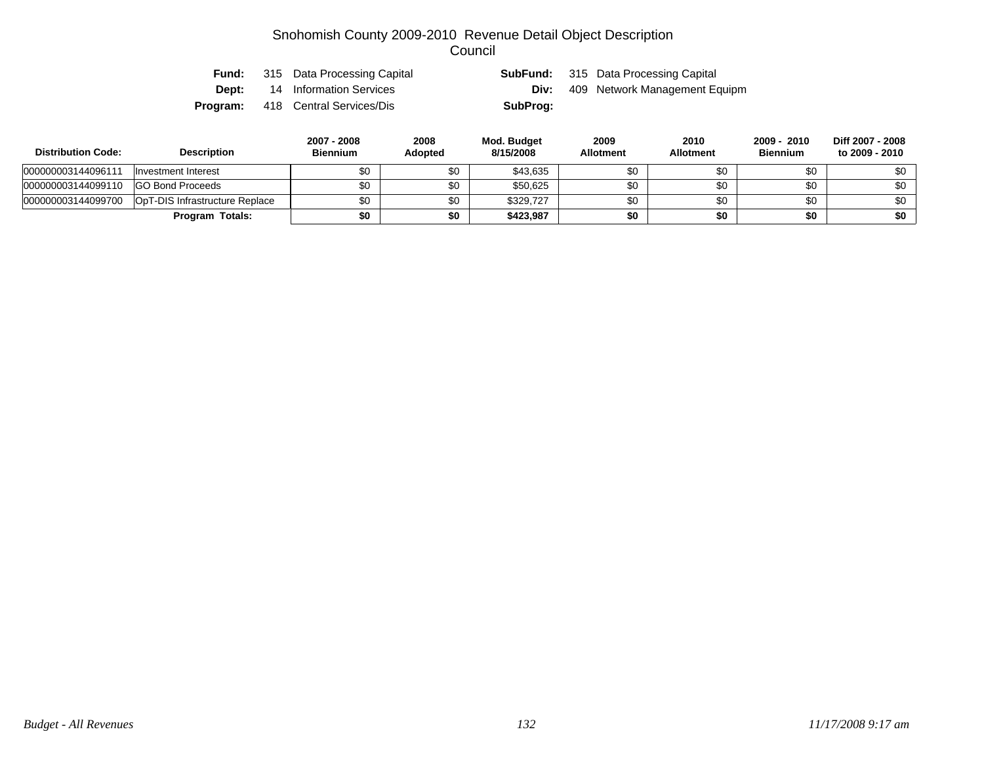| Fund:    | 315 Data Processing Capital |          | <b>SubFund:</b> 315 Data Processing Capital |
|----------|-----------------------------|----------|---------------------------------------------|
| Dept:    | 14 Information Services     | Div:     | 409 Network Management Equipm               |
| Program: | 418 Central Services/Dis    | SubProg: |                                             |

| <b>Distribution Code:</b> | <b>Description</b>             | 2007 - 2008<br><b>Biennium</b> | 2008<br><b>Adopted</b> | Mod. Budget<br>8/15/2008 | 2009<br><b>Allotment</b> | 2010<br><b>Allotment</b> | 2009 - 2010<br><b>Biennium</b> | Diff 2007 - 2008<br>to 2009 - 2010 |
|---------------------------|--------------------------------|--------------------------------|------------------------|--------------------------|--------------------------|--------------------------|--------------------------------|------------------------------------|
| 000000003144096111        | Investment Interest            |                                | \$0                    | \$43,635                 | \$0                      | \$0                      | \$0                            | \$0                                |
| 000000003144099110        | <b>GO Bond Proceeds</b>        | \$0                            | \$0                    | \$50,625                 | \$0                      | \$0                      | \$0                            | \$0                                |
| 000000003144099700        | OpT-DIS Infrastructure Replace | \$0                            | \$0                    | \$329.727                | \$0                      | \$0                      | \$0                            | \$0                                |
|                           | Program Totals:                | \$0                            | \$0                    | \$423,987                | \$0                      | \$0                      | \$0                            | \$0                                |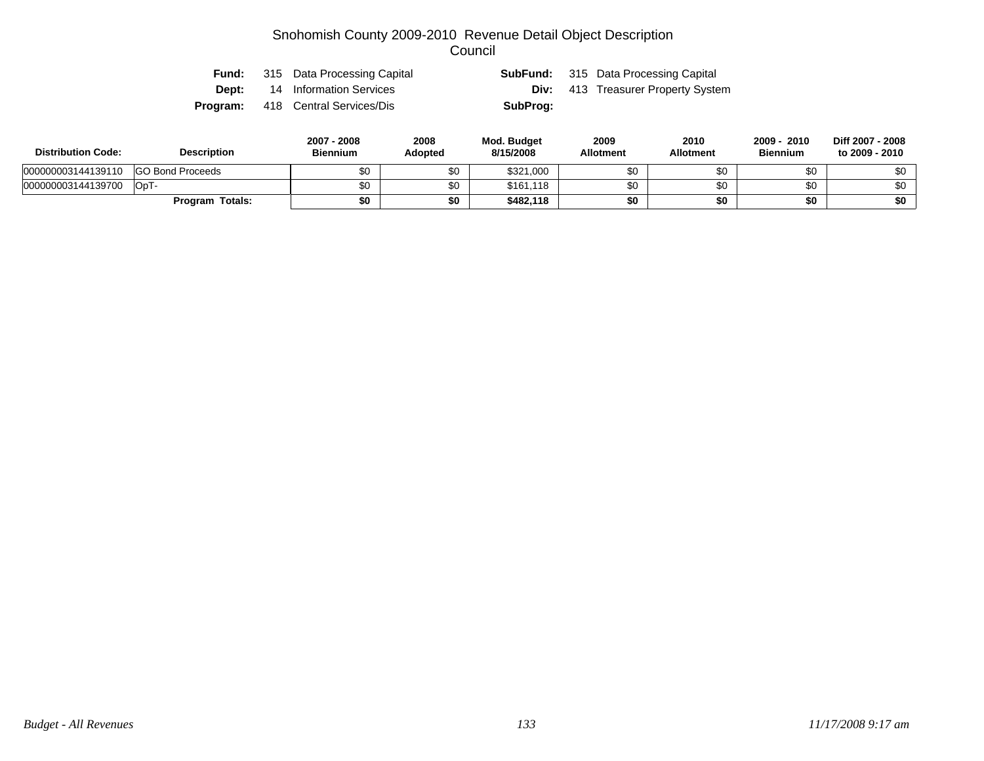| Fund:    | 315 Data Processing Capital |          | <b>SubFund:</b> 315 Data Processing Capital |
|----------|-----------------------------|----------|---------------------------------------------|
| Dept:    | 14 Information Services     |          | <b>Div:</b> 413 Treasurer Property System   |
| Program: | 418 Central Services/Dis    | SubProg: |                                             |

| <b>Distribution Code:</b> | <b>Description</b>      | 2007 - 2008<br><b>Biennium</b> | 2008<br>Adopted | Mod. Budget<br>8/15/2008 | 2009<br><b>Allotment</b> | 2010<br><b>Allotment</b> | 2009 - 2010<br><b>Biennium</b> | Diff 2007 - 2008<br>to 2009 - 2010 |
|---------------------------|-------------------------|--------------------------------|-----------------|--------------------------|--------------------------|--------------------------|--------------------------------|------------------------------------|
| 000000003144139110        | <b>GO Bond Proceeds</b> |                                | \$0             | \$321,000                | \$0                      | \$0                      |                                | \$0                                |
| 000000003144139700        | OpT-                    |                                | \$0             | \$161,118                | \$0                      | \$0                      |                                | \$0                                |
|                           | Totals:<br>Program      |                                | \$0             | \$482,118                | \$0                      | \$0                      |                                | \$0                                |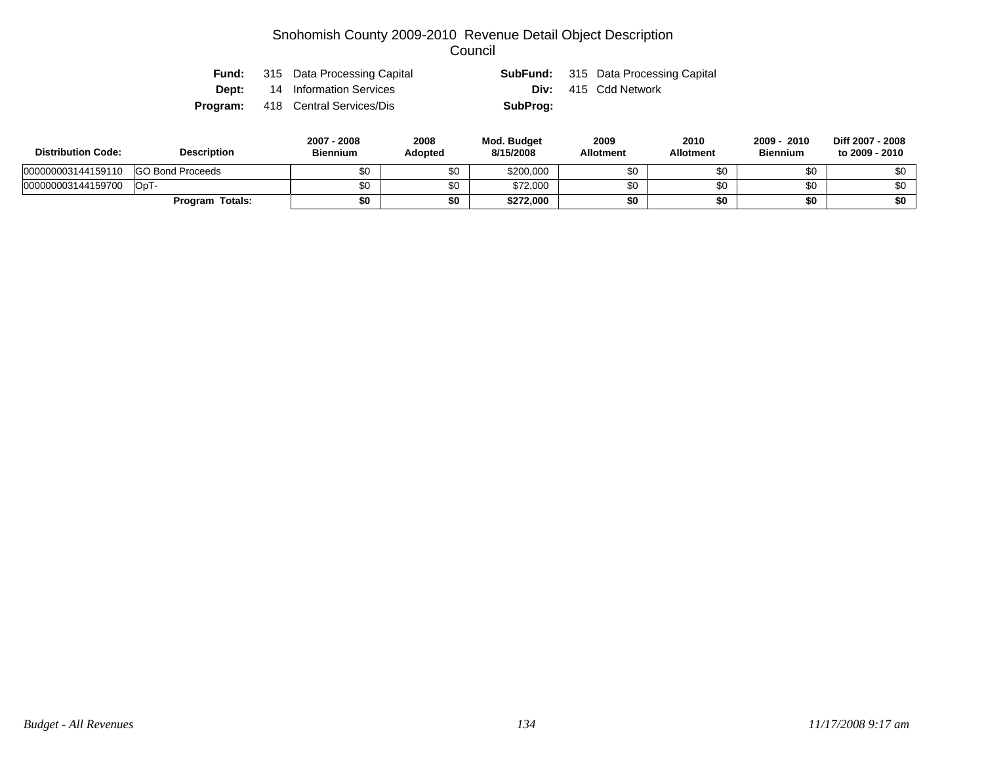| Fund:        | 315 Data Processing Capital              |          | <b>SubFund:</b> 315 Data Processing Capital |
|--------------|------------------------------------------|----------|---------------------------------------------|
| <b>Dept:</b> | 14 Information Services                  |          | <b>Div:</b> 415 Cdd Network                 |
|              | <b>Program:</b> 418 Central Services/Dis | SubProg: |                                             |

| <b>Distribution Code:</b> | <b>Description</b>      |     | 2008<br>Adopted | <b>Mod. Budget</b><br>8/15/2008 | 2009<br><b>Allotment</b> | 2010<br><b>Allotment</b> | 2010<br>2009<br><b>Biennium</b> | Diff 2007 - 2008<br>to 2009 - 2010 |
|---------------------------|-------------------------|-----|-----------------|---------------------------------|--------------------------|--------------------------|---------------------------------|------------------------------------|
| 000000003144159110        | <b>GO Bond Proceeds</b> |     | \$0             | \$200,000                       | \$0                      | ა∪                       | ΦΟ                              | \$0                                |
| 000000003144159700        | OpT-                    | \$0 | \$0             | \$72,000                        | \$0                      | ΦΩ                       | \$0                             | \$0                                |
|                           | <b>Program Totals:</b>  | \$0 | \$0             | \$272,000                       | \$0                      | \$0                      | \$0                             | \$0                                |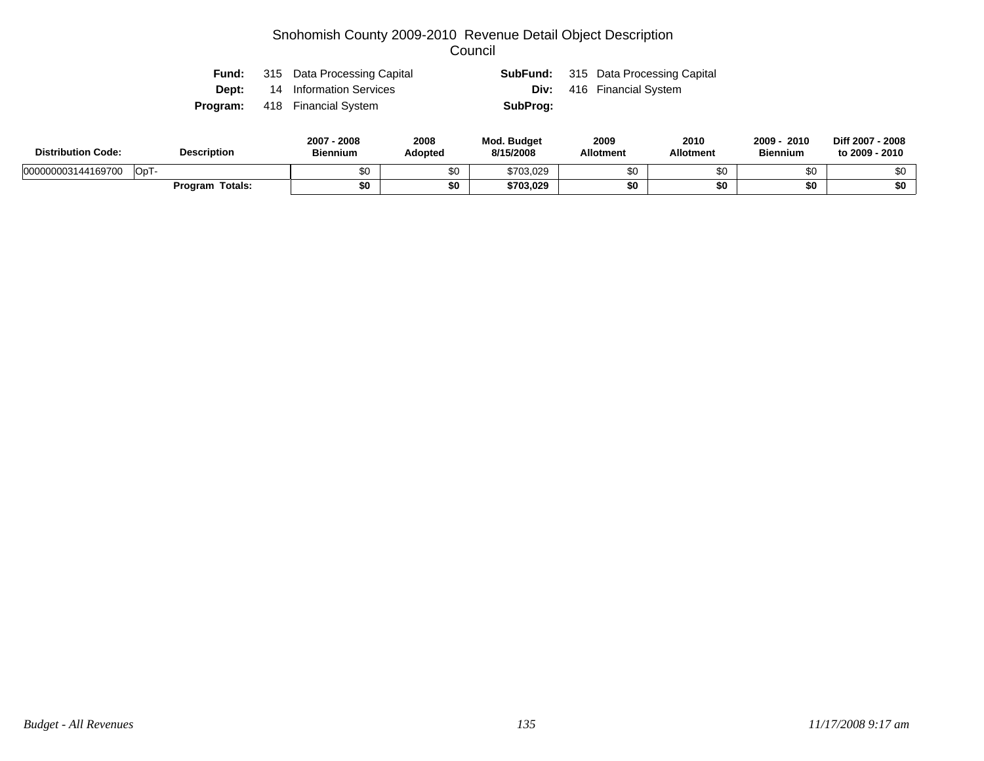|  | <b>Fund:</b> 315 Data Processing Capital |          | <b>SubFund:</b> 315 Data Processing Capital |
|--|------------------------------------------|----------|---------------------------------------------|
|  | <b>Dept:</b> 14 Information Services     |          | <b>Div:</b> 416 Financial System            |
|  | <b>Program:</b> 418 Financial System     | SubProg: |                                             |

| <b>Distribution Code:</b>  | <b>Description</b> | 2007<br>$-2008$<br><b>Biennium</b> | 2008<br>Adopted | <b>Mod. Budget</b><br>8/15/2008 | 2009<br><b>Allotment</b> | 2010<br><b>Allotment</b> | $2009 -$<br>2010<br><b>Biennium</b> | Diff 2007 - 2008<br>to 2009 - 2010 |
|----------------------------|--------------------|------------------------------------|-----------------|---------------------------------|--------------------------|--------------------------|-------------------------------------|------------------------------------|
| 000000003144169700<br>OpT- |                    |                                    | \$0             | \$703,029                       |                          | JС                       | \$0                                 |                                    |
|                            | Program Totals:    | \$0                                | \$0             | \$703,029                       | \$0                      | \$0                      | \$0                                 | \$0                                |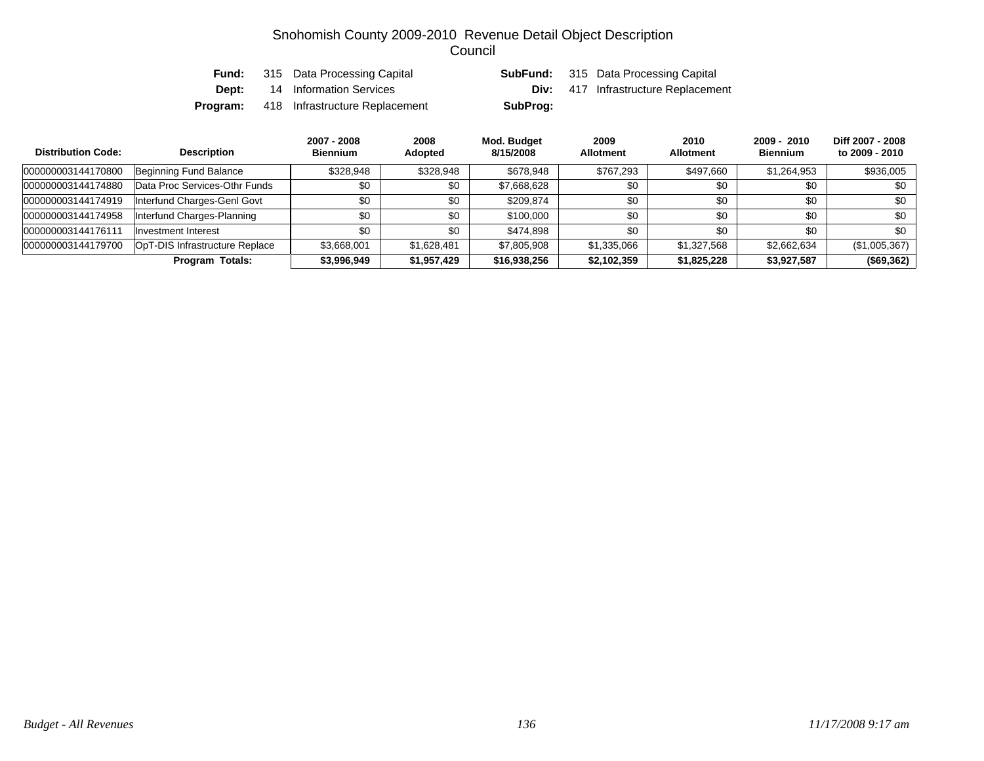| Fund: | 315 Data Processing Capital                    |          | <b>SubFund:</b> 315 Data Processing Capital |
|-------|------------------------------------------------|----------|---------------------------------------------|
| Dept: | 14 Information Services                        |          | <b>Div:</b> 417 Infrastructure Replacement  |
|       | <b>Program:</b> 418 Infrastructure Replacement | SubProg: |                                             |

| <b>Distribution Code:</b> | <b>Description</b>             | 2007 - 2008<br><b>Biennium</b> | 2008<br>Adopted | Mod. Budget<br>8/15/2008 | 2009<br><b>Allotment</b> | 2010<br><b>Allotment</b> | $2009 - 2010$<br><b>Biennium</b> | Diff 2007 - 2008<br>to 2009 - 2010 |
|---------------------------|--------------------------------|--------------------------------|-----------------|--------------------------|--------------------------|--------------------------|----------------------------------|------------------------------------|
| 000000003144170800        | Beginning Fund Balance         | \$328,948                      | \$328,948       | \$678,948                | \$767,293                | \$497,660                | \$1,264,953                      | \$936,005                          |
| 000000003144174880        | Data Proc Services-Othr Funds  | \$0                            | \$0             | \$7,668,628              | \$0                      | \$0                      | \$0                              | \$0                                |
| 000000003144174919        | Interfund Charges-Genl Govt    | \$0                            | \$0             | \$209.874                | \$0                      | \$0                      | \$0                              | \$0                                |
| 000000003144174958        | Interfund Charges-Planning     | \$0                            | \$0             | \$100,000                | \$0                      | \$0                      | \$0                              | \$0                                |
| 000000003144176111        | Investment Interest            | \$0                            | \$0             | \$474.898                | \$0                      | \$0                      | \$0                              | \$0                                |
| 000000003144179700        | OpT-DIS Infrastructure Replace | \$3,668,001                    | \$1,628,481     | \$7,805,908              | \$1,335,066              | \$1,327,568              | \$2,662,634                      | (\$1,005,367)                      |
|                           | <b>Program Totals:</b>         | \$3,996,949                    | \$1,957,429     | \$16,938,256             | \$2,102,359              | \$1,825,228              | \$3,927,587                      | (\$69,362)                         |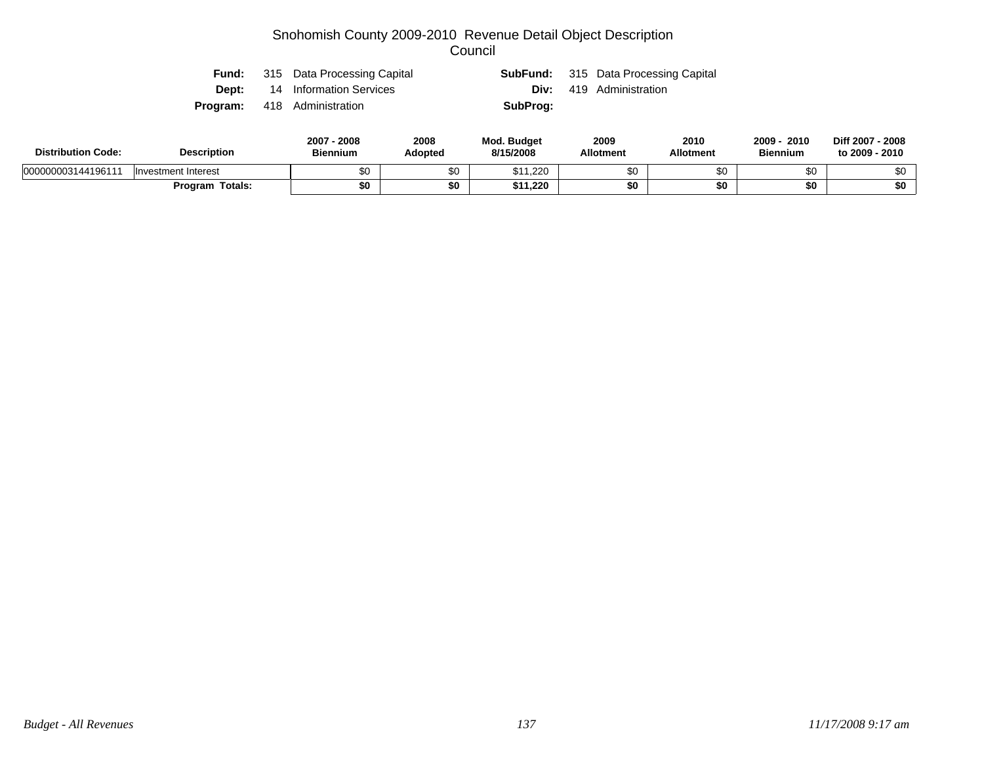|  | <b>Fund:</b> 315 Data Processing Capital |          | <b>SubFund:</b> 315 Data Processing Capital |
|--|------------------------------------------|----------|---------------------------------------------|
|  | <b>Dept:</b> 14 Information Services     |          | <b>Div:</b> 419 Administration              |
|  | <b>Program:</b> 418 Administration       | SubProg: |                                             |

| <b>Distribution Code:</b> | <b>Description</b>     | 2008<br>2007 - 2008<br><b>Biennium</b><br>Adopted |  | <b>Mod. Budget</b><br>8/15/2008 | 2009<br><b>Allotment</b> | 2010<br><b>Allotment</b> | 2010<br>2009<br><b>Biennium</b> | Diff 2007 - 2008<br>to 2009 - 2010 |
|---------------------------|------------------------|---------------------------------------------------|--|---------------------------------|--------------------------|--------------------------|---------------------------------|------------------------------------|
| 000000003144196111        | Investment Interest    | \$0                                               |  | .220                            | \$0                      | υŒ                       | ሶሳ                              |                                    |
|                           | <b>Program Totals:</b> | \$0                                               |  | \$11,220                        | \$0                      | 50                       | \$0                             | \$0                                |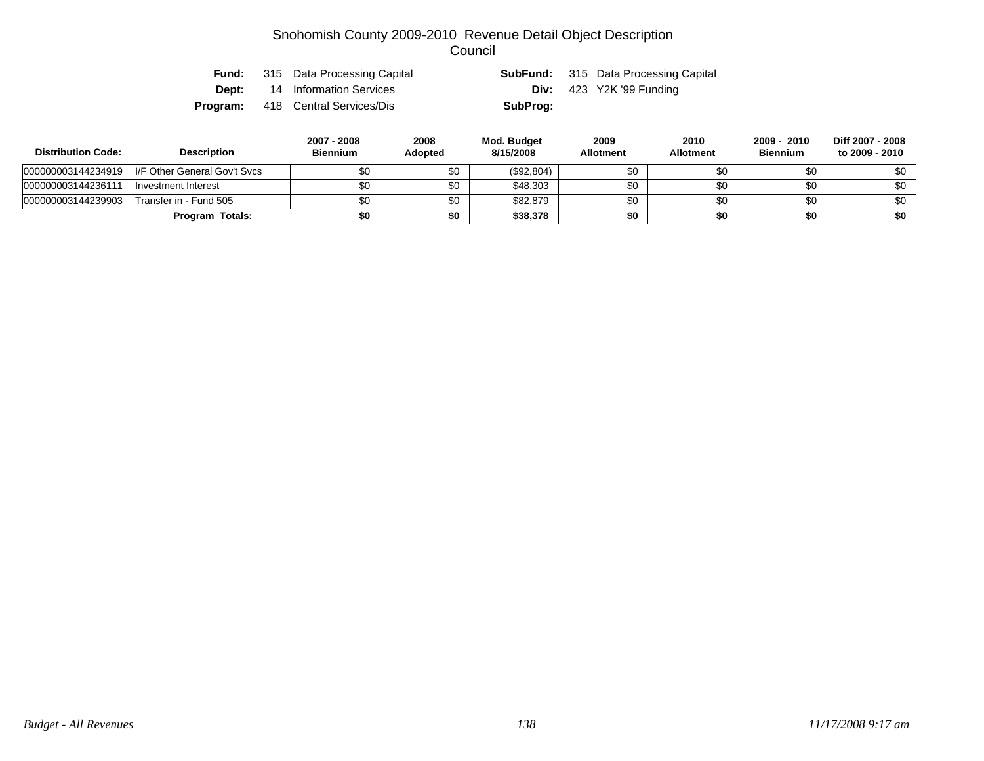|  | <b>Fund:</b> 315 Data Processing Capital |          | <b>SubFund:</b> 315 Data Processing Capital |
|--|------------------------------------------|----------|---------------------------------------------|
|  | <b>Dept:</b> 14 Information Services     |          | Div: $423$ Y2K '99 Funding                  |
|  | <b>Program:</b> 418 Central Services/Dis | SubProg: |                                             |

| <b>Distribution Code:</b> | <b>Description</b>           | 2007 - 2008<br><b>Biennium</b> | 2008<br><b>Adopted</b> | Mod. Budget<br>8/15/2008 | 2009<br><b>Allotment</b> | 2010<br><b>Allotment</b> | 2009 - 2010<br><b>Biennium</b> | Diff 2007 - 2008<br>to 2009 - 2010 |
|---------------------------|------------------------------|--------------------------------|------------------------|--------------------------|--------------------------|--------------------------|--------------------------------|------------------------------------|
| 000000003144234919        | I/F Other General Gov't Svcs | \$0                            | \$0                    | (\$92,804)               | \$0                      | \$0                      | \$0                            | \$0                                |
| 000000003144236111        | Investment Interest          | \$0                            | \$0                    | \$48,303                 | \$0                      | \$0                      | \$0                            | \$0                                |
| 000000003144239903        | Transfer in - Fund 505       | \$0                            | \$0                    | \$82,879                 | \$0                      | \$0                      | \$0                            | \$0                                |
|                           | <b>Program Totals:</b>       | \$0                            | \$0                    | \$38,378                 | \$0                      | \$0                      | \$0                            | \$0                                |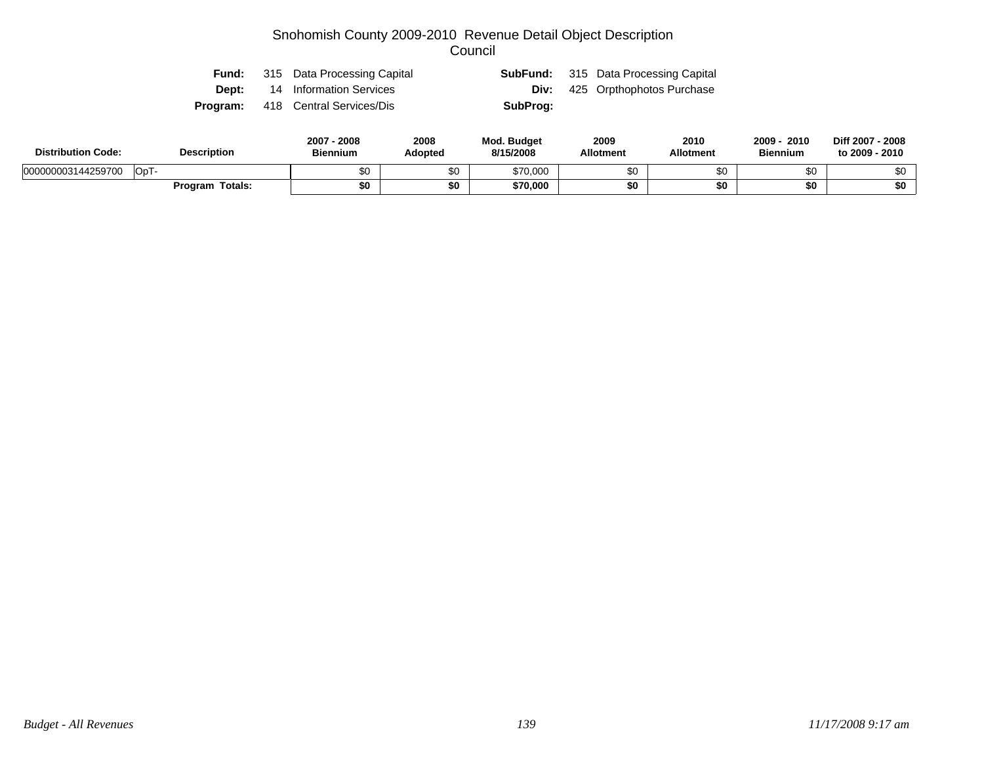| Fund: | 315 Data Processing Capital              |          | <b>SubFund:</b> 315 Data Processing Capital |
|-------|------------------------------------------|----------|---------------------------------------------|
|       | <b>Dept:</b> 14 Information Services     |          | <b>Div:</b> 425 Orpthophotos Purchase       |
|       | <b>Program:</b> 418 Central Services/Dis | SubProg: |                                             |

| <b>Distribution Code:</b> | <b>Description</b> | 2008<br>2007<br><b>Biennium</b> | 2008<br>Adopted | <b>Mod. Budget</b><br>8/15/2008 | 2009<br><b>Allotment</b> | 2010<br><b>Allotment</b> | 2009<br>2010<br><b>Biennium</b> | Diff 2007 - 2008<br>to 2009 - 2010 |
|---------------------------|--------------------|---------------------------------|-----------------|---------------------------------|--------------------------|--------------------------|---------------------------------|------------------------------------|
| 000000003144259700        | $OpT$ -            | \$0                             | ሖ<br>ΦU         | \$70,000                        |                          | \$0                      |                                 | \$0                                |
|                           | Totals:<br>Program | \$0                             | \$0             | \$70,000                        |                          | \$0                      |                                 | \$0                                |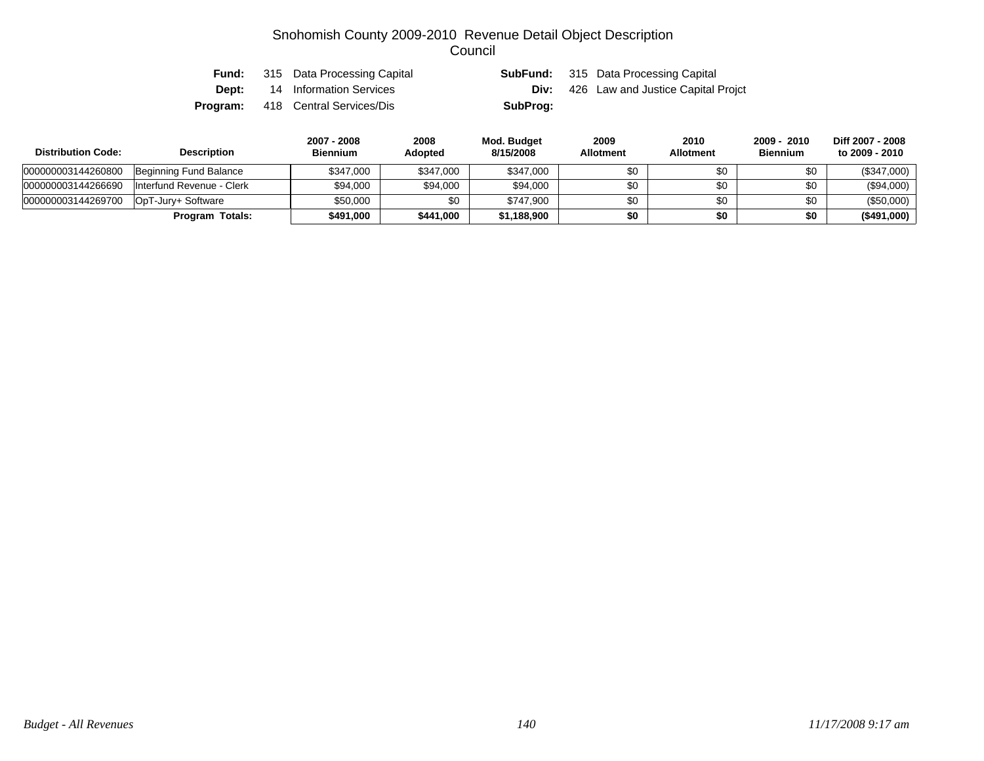| Fund:    | 315 Data Processing Capital |          | <b>SubFund:</b> 315 Data Processing Capital    |
|----------|-----------------------------|----------|------------------------------------------------|
| Dept:    | 14 Information Services     |          | <b>Div:</b> 426 Law and Justice Capital Projct |
| Program: | 418 Central Services/Dis    | SubProg: |                                                |

| <b>Distribution Code:</b> | <b>Description</b>        | 2007 - 2008<br><b>Biennium</b> | 2008<br><b>Adopted</b> | Mod. Budget<br>8/15/2008 | 2009<br><b>Allotment</b> | 2010<br><b>Allotment</b> | 2009 - 2010<br><b>Biennium</b> | Diff 2007 - 2008<br>to 2009 - 2010 |
|---------------------------|---------------------------|--------------------------------|------------------------|--------------------------|--------------------------|--------------------------|--------------------------------|------------------------------------|
| 000000003144260800        | Beginning Fund Balance    | \$347,000                      | \$347,000              | \$347,000                | \$0                      | \$0                      | \$0                            | (\$347,000)                        |
| 000000003144266690        | Interfund Revenue - Clerk | \$94,000                       | \$94,000               | \$94,000                 | \$0                      | \$0                      | \$0                            | $(\$94,000)$                       |
| 000000003144269700        | OpT-Jurv+ Software        | \$50,000                       | \$0                    | \$747.900                | \$0                      | \$0                      | \$0                            | $(\$50,000)$                       |
|                           | <b>Program Totals:</b>    | \$491,000                      | \$441,000              | \$1,188,900              | \$0                      | \$0                      | \$0                            | (\$491,000)                        |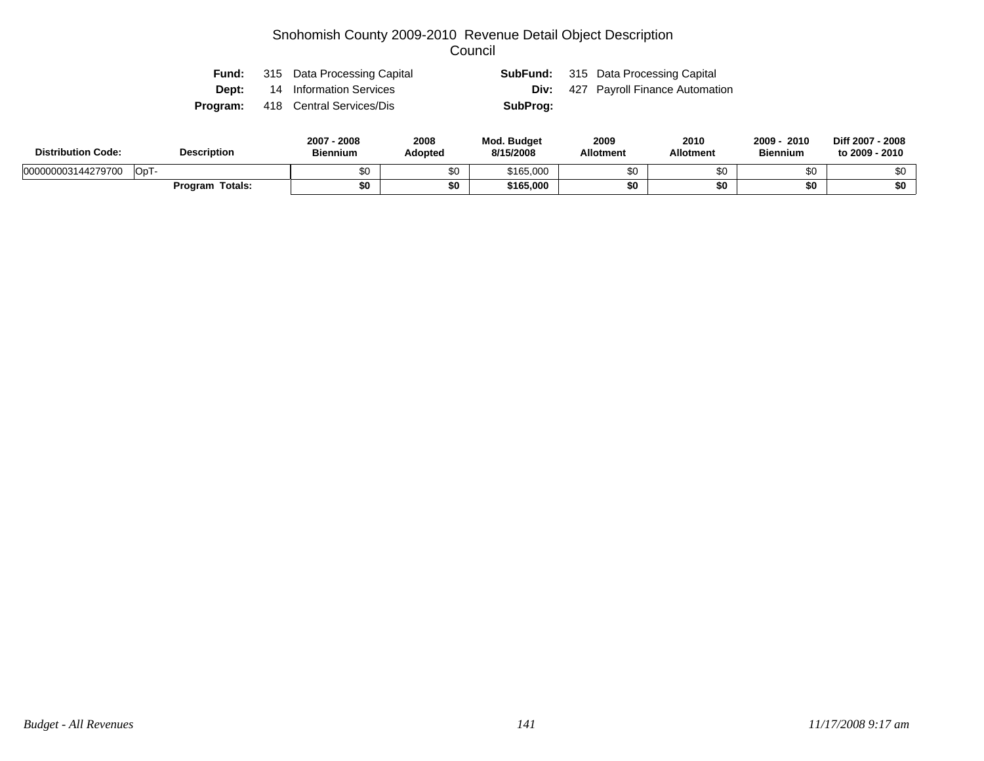| Fund:    | 315 Data Processing Capital          |          | <b>SubFund:</b> 315 Data Processing Capital |
|----------|--------------------------------------|----------|---------------------------------------------|
|          | <b>Dept:</b> 14 Information Services |          | <b>Div:</b> 427 Payroll Finance Automation  |
| Program: | 418 Central Services/Dis             | SubProg: |                                             |

| <b>Distribution Code:</b> | <b>Description</b>     | 2007<br>2008<br><b>Biennium</b> | 2008<br><b>Adopted</b> | <b>Mod. Budget</b><br>8/15/2008 | 2009<br><b>Allotment</b> | 2010<br>Allotment | 2009<br>2010<br><b>Biennium</b> | Diff 2007 - 2008<br>to 2009 - 2010 |
|---------------------------|------------------------|---------------------------------|------------------------|---------------------------------|--------------------------|-------------------|---------------------------------|------------------------------------|
| 000000003144279700        | OpT-                   | Λn<br>ພບ                        | \$0                    | \$165.000                       | \$0                      |                   | ጦጣ<br>ъU                        |                                    |
|                           | <b>Program Totals:</b> | \$0                             | \$0                    | \$165,000                       | \$0                      |                   | \$0                             | \$0                                |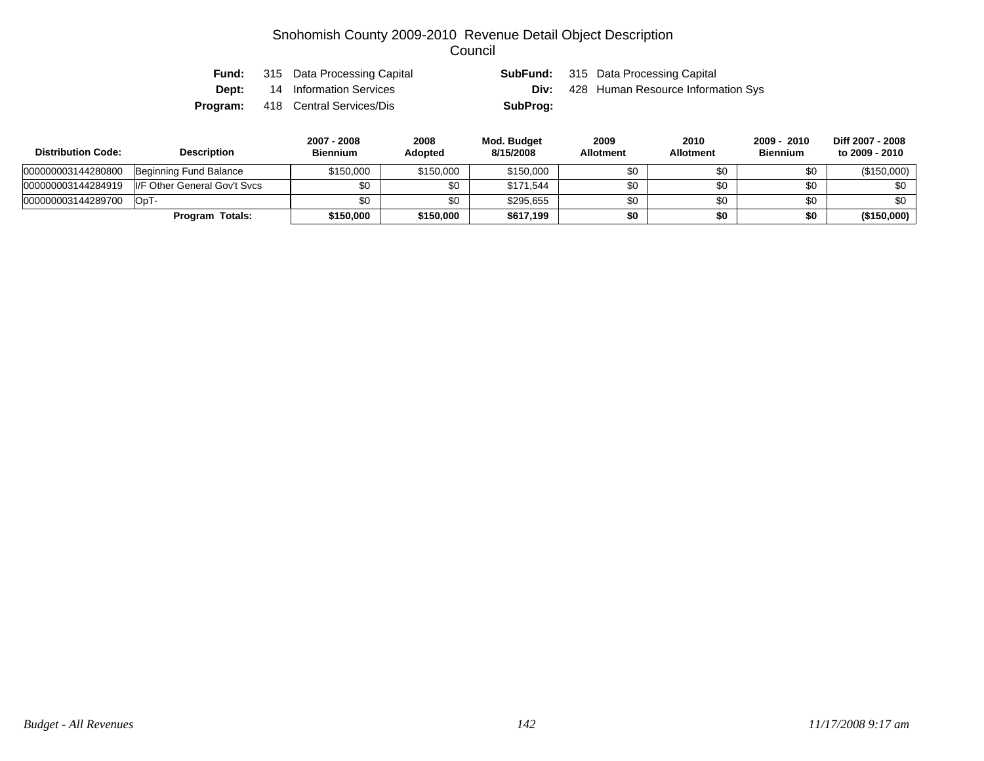| Fund:    | 315 Data Processing Capital |          | <b>SubFund:</b> 315 Data Processing Capital |
|----------|-----------------------------|----------|---------------------------------------------|
| Dept:    | 14 Information Services     | Div:     | 428 Human Resource Information Sys          |
| Program: | 418 Central Services/Dis    | SubProg: |                                             |

| <b>Distribution Code:</b> | <b>Description</b>           | 2007 - 2008<br><b>Biennium</b> | 2008<br><b>Adopted</b> | Mod. Budget<br>8/15/2008 | 2009<br><b>Allotment</b> | 2010<br><b>Allotment</b> | 2009 - 2010<br><b>Biennium</b> | Diff 2007 - 2008<br>to 2009 - 2010 |
|---------------------------|------------------------------|--------------------------------|------------------------|--------------------------|--------------------------|--------------------------|--------------------------------|------------------------------------|
| 000000003144280800        | Beginning Fund Balance       | \$150.000                      | \$150,000              | \$150,000                | \$0                      | \$0                      | \$0                            | (\$150,000)                        |
| 000000003144284919        | I/F Other General Gov't Svcs | \$0                            | \$0                    | \$171.544                | \$0                      | \$0                      | \$0                            | \$0                                |
| 000000003144289700        | OpT-                         | \$0                            | \$0                    | \$295.655                | \$0                      | \$0                      | \$0                            | \$0                                |
|                           | Program Totals:              | \$150,000                      | \$150,000              | \$617,199                | \$0                      | \$0                      | \$0                            | (\$150,000)                        |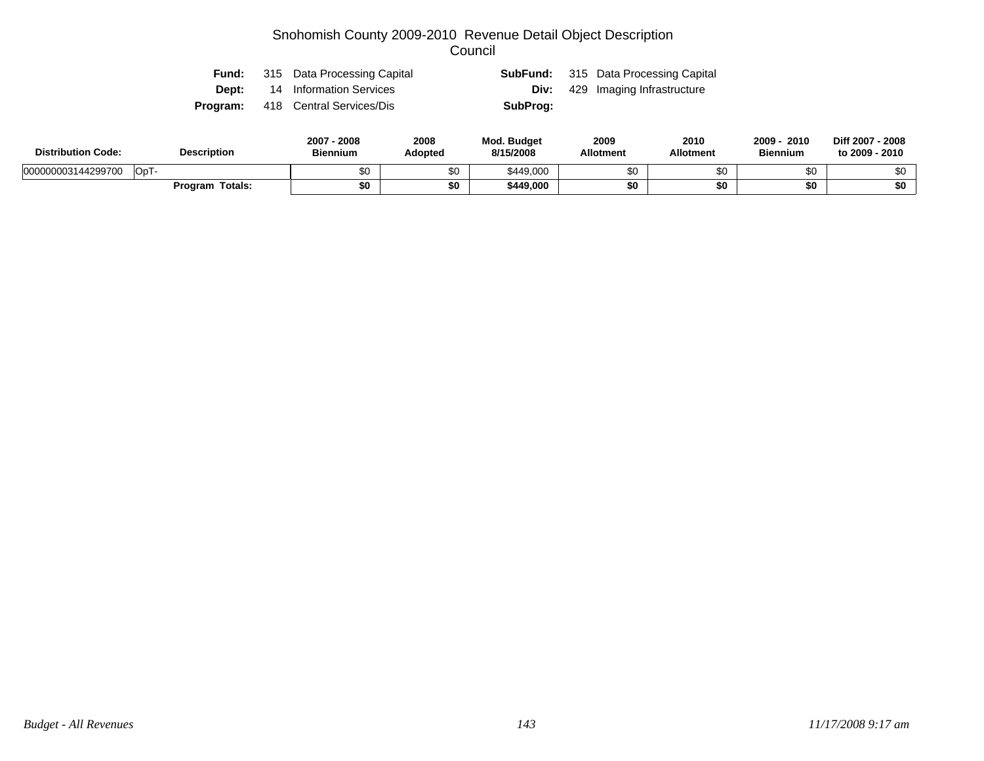| Fund: | 315 Data Processing Capital              |          | <b>SubFund:</b> 315 Data Processing Capital |
|-------|------------------------------------------|----------|---------------------------------------------|
|       | <b>Dept:</b> 14 Information Services     |          | <b>Div:</b> 429 Imaging Infrastructure      |
|       | <b>Program:</b> 418 Central Services/Dis | SubProg: |                                             |

| <b>Distribution Code:</b> | <b>Description</b>     | 2007<br>2008<br><b>Biennium</b> | 2008<br><b>Adopted</b> | <b>Mod. Budget</b><br>8/15/2008 | 2009<br><b>Allotment</b> | 2010<br>Allotment | 2009<br>2010<br><b>Biennium</b> | Diff 2007 - 2008<br>to 2009 - 2010 |
|---------------------------|------------------------|---------------------------------|------------------------|---------------------------------|--------------------------|-------------------|---------------------------------|------------------------------------|
| 000000003144299700        | OpT-                   | Λn<br>ພບ                        | \$0                    | \$449,000                       | \$0                      |                   | ጦጣ<br>ъU                        |                                    |
|                           | <b>Program Totals:</b> | \$0                             | \$0                    | \$449,000                       | \$0                      |                   | \$0                             | \$0                                |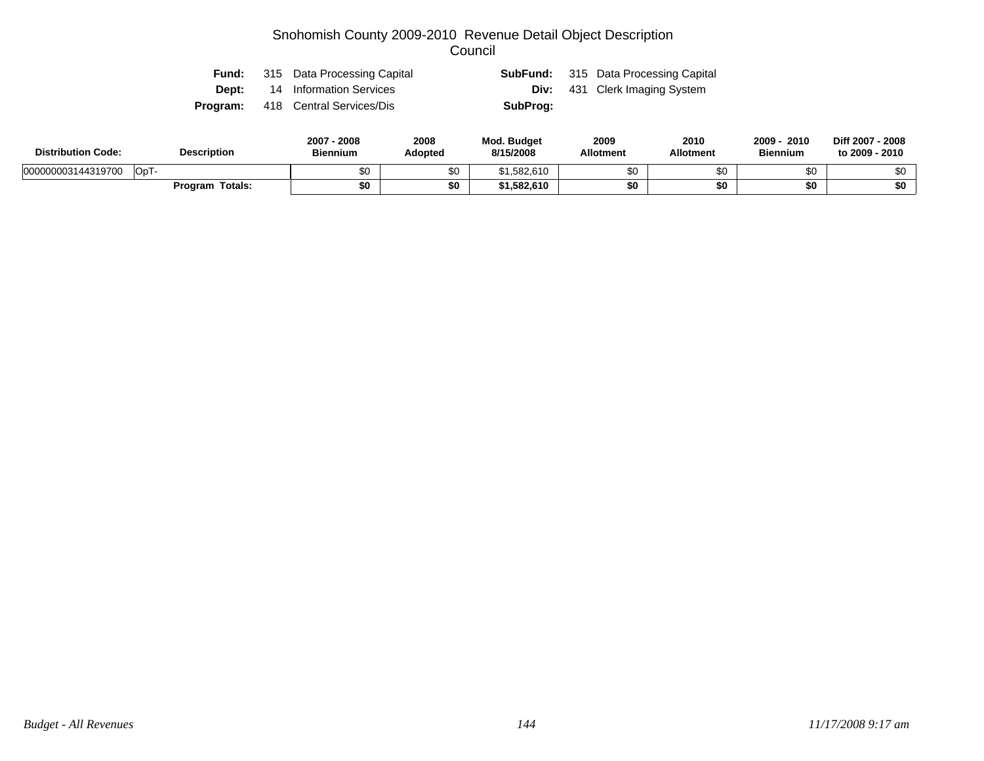|       | <b>Fund:</b> 315 Data Processing Capital |          | <b>SubFund:</b> 315 Data Processing Capital |
|-------|------------------------------------------|----------|---------------------------------------------|
| Dept: | 14 Information Services                  |          | <b>Div:</b> 431 Clerk Imaging System        |
|       | <b>Program:</b> 418 Central Services/Dis | SubProg: |                                             |

| <b>Distribution Code:</b> | <b>Description</b> | 2007<br>2008<br><b>Biennium</b> | 2008<br><b>Adopted</b> | <b>Mod. Budget</b><br>8/15/2008 | 2009<br><b>Allotment</b> | 2010<br>Allotment | $2009 -$<br>2010<br><b>Biennium</b> | Diff 2007 - 2008<br>to 2009 - 2010 |
|---------------------------|--------------------|---------------------------------|------------------------|---------------------------------|--------------------------|-------------------|-------------------------------------|------------------------------------|
| 000000003144319700        | OpT                | \$0                             | \$0                    | 582,610،                        | ሱሶ                       |                   | \$0                                 |                                    |
|                           | Program Totals:    | \$0                             | \$0                    | 1,582,610                       | \$0                      |                   | \$0                                 | \$0                                |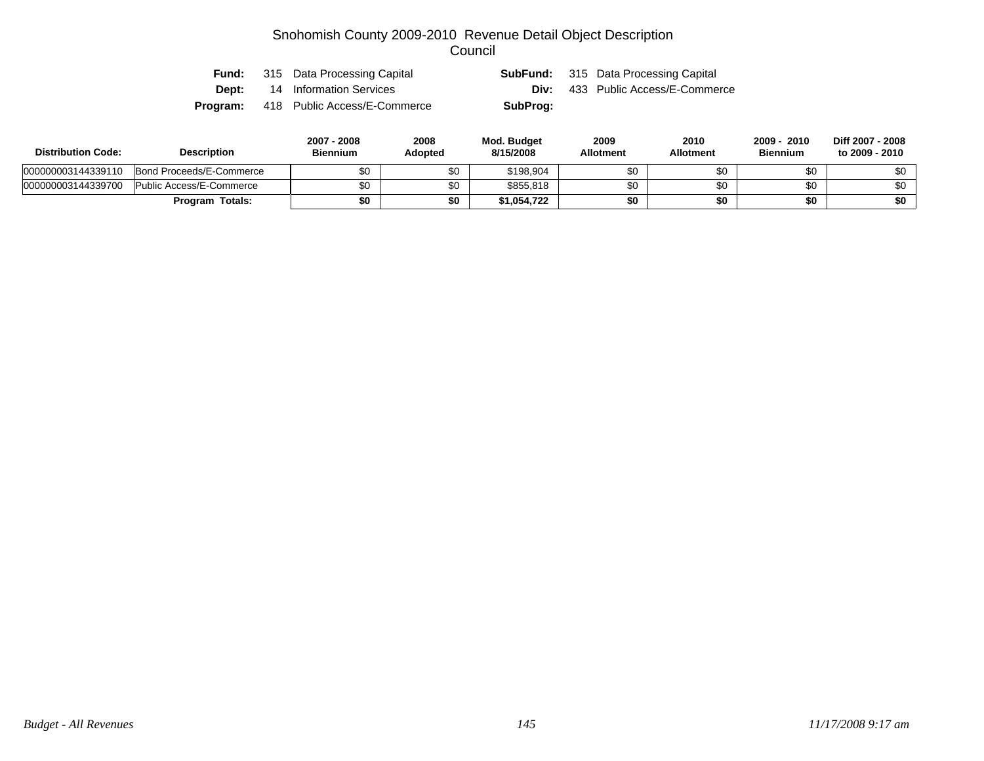| Fund:        | 315 Data Processing Capital  | SubFund: | 315 Data Processing Capital  |
|--------------|------------------------------|----------|------------------------------|
| <b>Dept:</b> | 14 Information Services      |          | 433 Public Access/E-Commerce |
| Program:     | 418 Public Access/E-Commerce | SubProg: |                              |

| <b>Distribution Code:</b> | <b>Description</b>       | 2007 - 2008<br>Biennium | 2008<br>Adopted | Mod. Budget<br>8/15/2008 | 2009<br><b>Allotment</b> | 2010<br><b>Allotment</b> | 2010<br>2009<br><b>Biennium</b> | Diff 2007 - 2008<br>to 2009 - 2010 |
|---------------------------|--------------------------|-------------------------|-----------------|--------------------------|--------------------------|--------------------------|---------------------------------|------------------------------------|
| 000000003144339110        | Bond Proceeds/E-Commerce |                         | \$0             | \$198.904                | \$0                      | ъU                       | \$0                             | \$0                                |
| 000000003144339700        | Public Access/E-Commerce |                         | \$0             | \$855,818                | \$0                      | ъU                       | \$0                             | \$0                                |
|                           | <b>Program Totals:</b>   | \$0                     | \$0             | \$1,054,722              | \$0                      | \$0                      | \$0                             | \$0                                |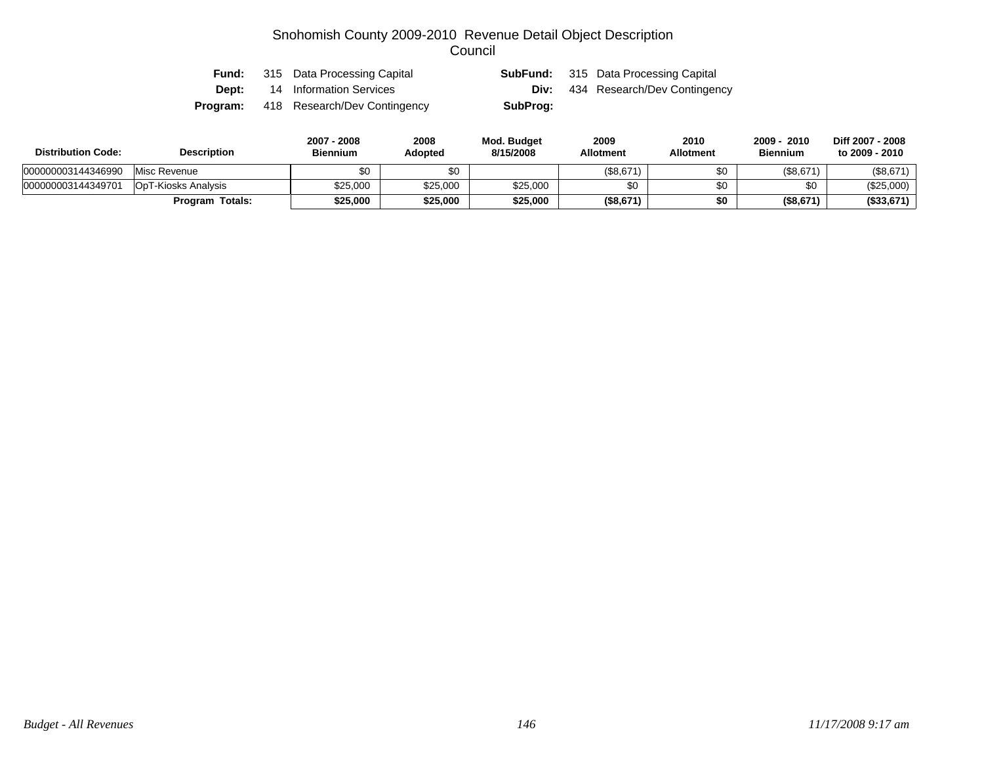| Fund:    | 315 Data Processing Capital  |          | <b>SubFund:</b> 315 Data Processing Capital |
|----------|------------------------------|----------|---------------------------------------------|
| Dept:    | 14 Information Services      |          | <b>Div:</b> 434 Research/Dev Contingency    |
| Program: | 418 Research/Dev Contingency | SubProg: |                                             |

| <b>Distribution Code:</b> | <b>Description</b>         | 2007 - 2008<br><b>Biennium</b> | 2008<br>Adopted | <b>Mod. Budget</b><br>8/15/2008 | 2009<br><b>Allotment</b> | 2010<br><b>Allotment</b> | 2009 - 2010<br><b>Biennium</b> | Diff 2007 - 2008<br>to 2009 - 2010 |
|---------------------------|----------------------------|--------------------------------|-----------------|---------------------------------|--------------------------|--------------------------|--------------------------------|------------------------------------|
| 000000003144346990        | Misc Revenue               | \$0                            | \$0             |                                 | (\$8.671                 | \$0                      | (\$8,671)                      | (\$8,671)                          |
| 000000003144349701        | <b>OpT-Kiosks Analysis</b> | \$25,000                       | \$25,000        | \$25,000                        |                          | \$0                      | \$0                            | (\$25,000)                         |
|                           | Program Totals:            | \$25.000                       | \$25,000        | \$25,000                        | (\$8,671"                | \$0                      | (\$8,671)                      | (\$33,671)                         |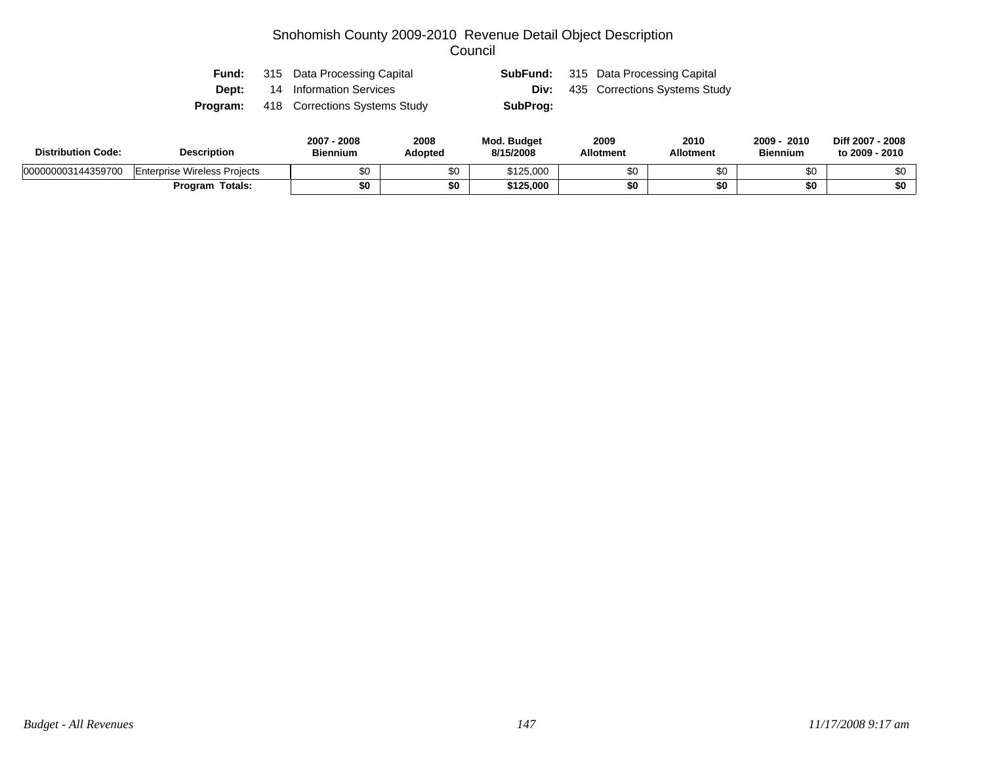| Fund: | 315 Data Processing Capital                   |          | <b>SubFund:</b> 315 Data Processing Capital |
|-------|-----------------------------------------------|----------|---------------------------------------------|
| Dept: | 14 Information Services                       | Div:     | 435 Corrections Systems Study               |
|       | <b>Program:</b> 418 Corrections Systems Study | SubProg: |                                             |

| <b>Distribution Code:</b> | <b>Description</b>                  | $2007 -$<br>.2008<br><b>Biennium</b> | 2008<br>Adopted | Mod. Budget<br>8/15/2008 | 2009<br><b>Allotment</b> | 2010<br><b>Allotment</b> | $2009 -$<br>2010<br><b>Biennium</b> | Diff 2007 - 2008<br>to 2009 - 2010 |
|---------------------------|-------------------------------------|--------------------------------------|-----------------|--------------------------|--------------------------|--------------------------|-------------------------------------|------------------------------------|
| 000000003144359700        | <b>Enterprise Wireless Projects</b> | \$0                                  | ሖ<br>ა∪         | \$125,000                | ¢∩                       | \$0                      | ሖ<br>ΦU                             | ድሰ                                 |
|                           | Totals:<br><b>Program</b>           | \$0                                  | \$0             | \$125,000                |                          | \$0                      | \$0                                 | \$0                                |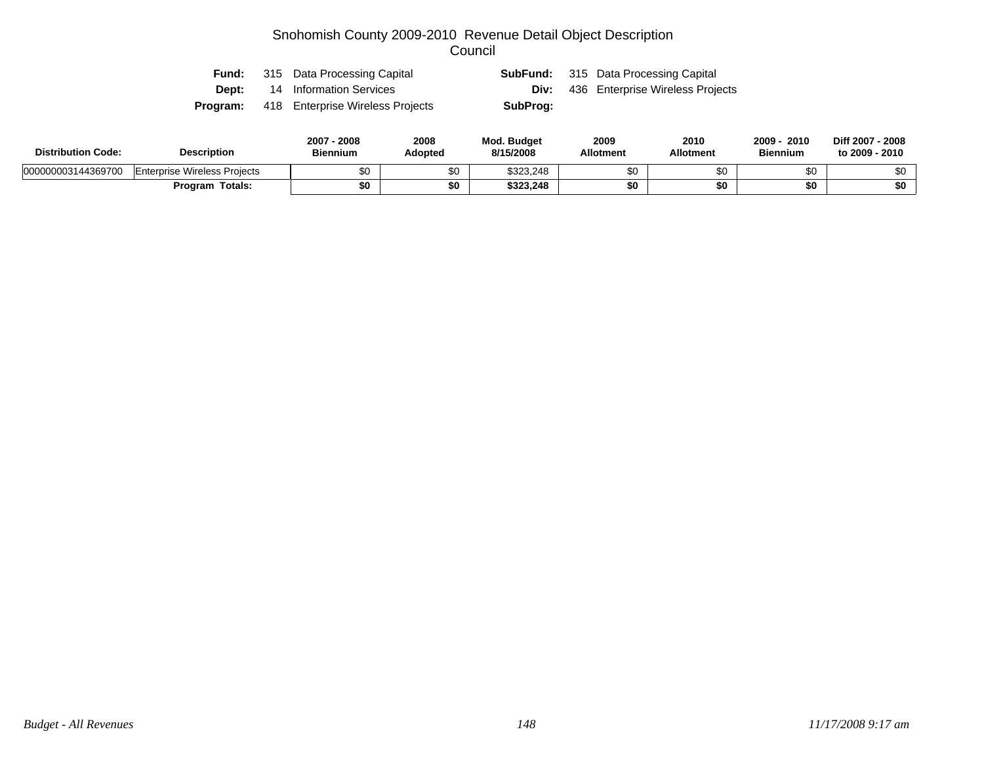| Fund:        | 315 Data Processing Capital      |          | <b>SubFund:</b> 315 Data Processing Capital  |
|--------------|----------------------------------|----------|----------------------------------------------|
| <b>Dept:</b> | 14 Information Services          |          | <b>Div:</b> 436 Enterprise Wireless Projects |
| Program:     | 418 Enterprise Wireless Projects | SubProg: |                                              |

| <b>Distribution Code:</b> | <b>Description</b>                  | 2007 -<br>.2008<br><b>Biennium</b> | 2008<br>Adopted | Mod. Budget<br>8/15/2008 | 2009<br><b>Allotment</b> | 2010<br><b>Allotment</b> | $2009 -$<br>2010<br><b>Biennium</b> | Diff 2007 - 2008<br>to 2009 - 2010 |
|---------------------------|-------------------------------------|------------------------------------|-----------------|--------------------------|--------------------------|--------------------------|-------------------------------------|------------------------------------|
| 000000003144369700        | <b>Enterprise Wireless Projects</b> | \$0                                | ሖ<br>ა∪         | \$323.248                | ¢∩                       | \$0                      | ሖ<br>ΦU                             | ሶስ                                 |
|                           | Totals:<br><b>Program</b>           | \$0                                | \$0             | \$323.248                |                          | \$0                      | \$0                                 | \$0                                |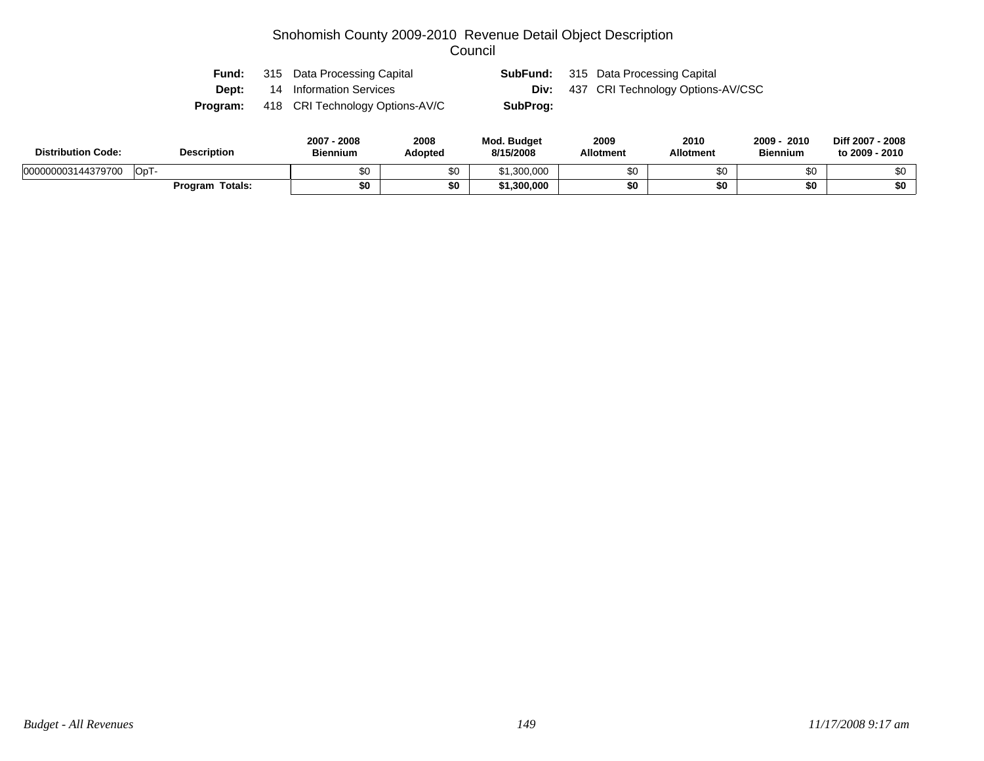| Fund:    | 315 Data Processing Capital     |          | <b>SubFund:</b> 315 Data Processing Capital   |
|----------|---------------------------------|----------|-----------------------------------------------|
| Dept:    | 14 Information Services         |          | <b>Div:</b> 437 CRI Technology Options-AV/CSC |
| Program: | 418 CRI Technology Options-AV/C | SubProg: |                                               |

| <b>Distribution Code:</b>        | <b>Description</b> | 2008<br>2007<br><b>Biennium</b> | 2008<br><b>Adopted</b> | <b>Mod. Budget</b><br>8/15/2008 | 2009<br><b>Allotment</b> | 2010<br>Allotment | 2009<br>2010<br><b>Biennium</b> | Diff 2007 - 2008<br>to 2009 - 2010 |
|----------------------------------|--------------------|---------------------------------|------------------------|---------------------------------|--------------------------|-------------------|---------------------------------|------------------------------------|
| <b>Col</b><br>000000003144379700 |                    | \$0                             | \$0                    | .300,000<br>∩⊿                  | ሖ                        |                   | \$0                             |                                    |
|                                  | Program Totals:    | \$0                             | \$0                    | ،300,000                        | \$0                      |                   | \$0                             | \$0                                |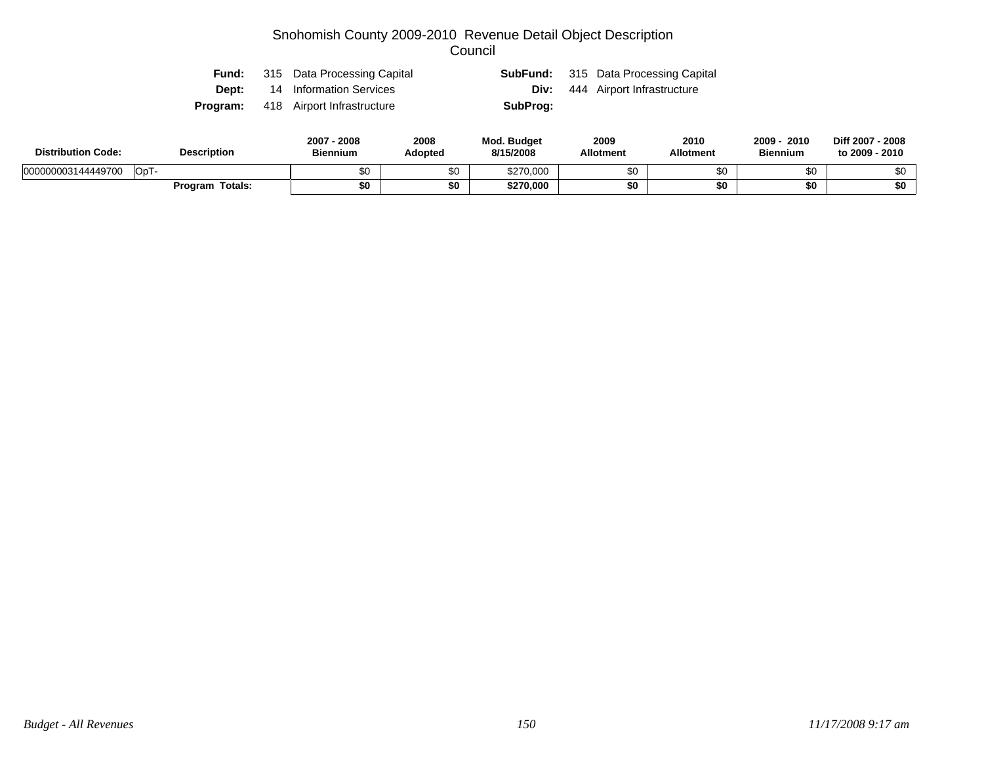|       | <b>Fund:</b> 315 Data Processing Capital   |          | <b>SubFund:</b> 315 Data Processing Capital |
|-------|--------------------------------------------|----------|---------------------------------------------|
| Dept: | 14 Information Services                    |          | <b>Div:</b> 444 Airport Infrastructure      |
|       | <b>Program:</b> 418 Airport Infrastructure | SubProg: |                                             |

| <b>Distribution Code:</b>   | <b>Description</b>     | 2007<br>2008<br><b>Biennium</b> | 2008<br>Adopted | <b>Mod. Budget</b><br>8/15/2008 | 2009<br><b>Allotment</b> | 2010<br><b>Allotment</b> | 2009<br>2010<br><b>Biennium</b> | Diff 2007 - 2008<br>to 2009 - 2010 |
|-----------------------------|------------------------|---------------------------------|-----------------|---------------------------------|--------------------------|--------------------------|---------------------------------|------------------------------------|
| 'OpT-<br>000000003144449700 |                        | ሶስ<br>ນບ                        | \$0             | \$270,000                       | œ۵                       | \$0                      |                                 | \$0                                |
|                             | <b>Program Totals:</b> | \$0                             | \$0             | \$270,000                       |                          | \$0                      |                                 | \$0                                |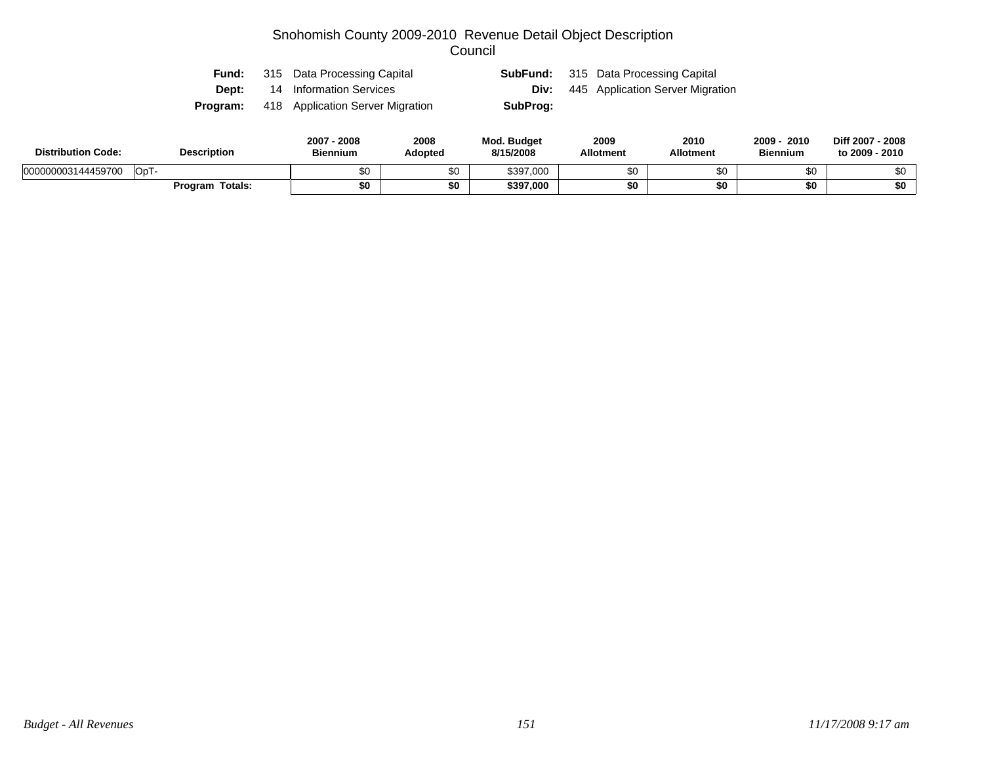| Fund:        | 315 Data Processing Capital      |          | <b>SubFund:</b> 315 Data Processing Capital  |
|--------------|----------------------------------|----------|----------------------------------------------|
| <b>Dept:</b> | 14 Information Services          |          | <b>Div:</b> 445 Application Server Migration |
| Program:     | 418 Application Server Migration | SubProg: |                                              |

| <b>Distribution Code:</b> | <b>Description</b> | 2008<br>2007<br><b>Biennium</b> | 2008<br><b>Adopted</b> | <b>Mod. Budget</b><br>8/15/2008 | 2009<br><b>Allotment</b> | 2010<br>Allotment | 2009<br>2010<br><b>Biennium</b> | Diff 2007 - 2008<br>to 2009 - 2010 |
|---------------------------|--------------------|---------------------------------|------------------------|---------------------------------|--------------------------|-------------------|---------------------------------|------------------------------------|
| 000000003144459700        | OpT                | \$0                             | \$0                    | \$397,000                       | ሱፖ                       |                   | \$0                             |                                    |
|                           | Program Totals:    | \$0                             | \$0                    | \$397,000                       | \$0                      |                   | \$0                             | \$0                                |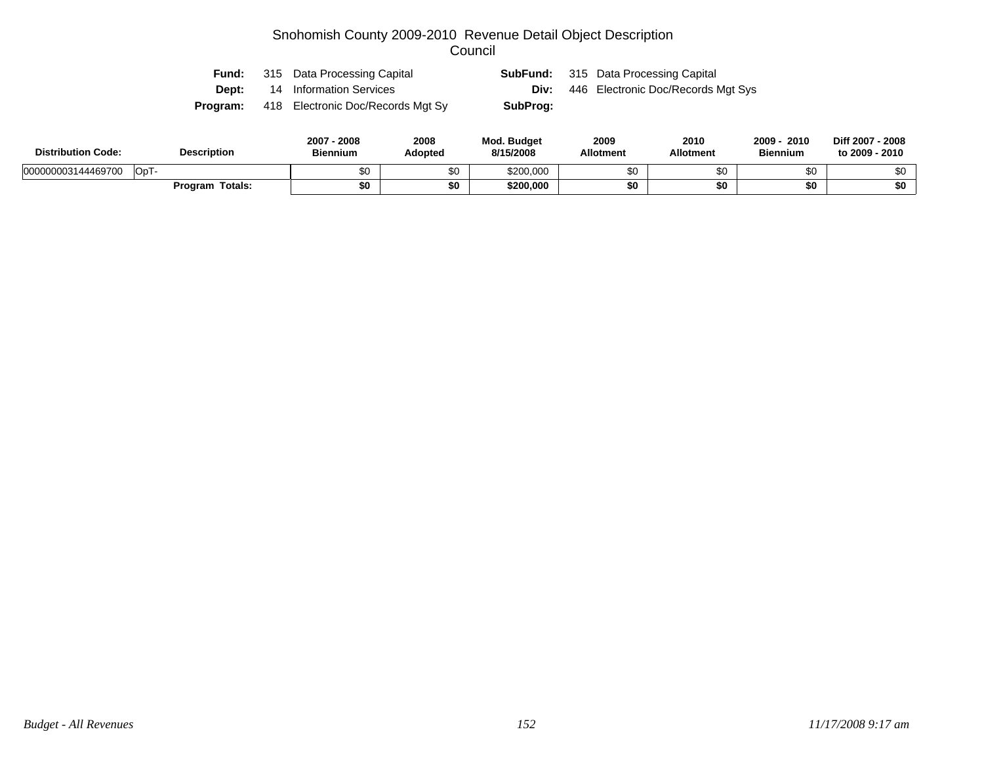| Fund:        | 315 Data Processing Capital       |          | <b>SubFund:</b> 315 Data Processing Capital |
|--------------|-----------------------------------|----------|---------------------------------------------|
| <b>Dept:</b> | 14 Information Services           | Div:     | 446 Electronic Doc/Records Mgt Sys          |
| Program:     | 418 Electronic Doc/Records Mgt Sy | SubProg: |                                             |

| <b>Distribution Code:</b> | <b>Description</b>     | 2007<br>2008<br><b>Biennium</b> | 2008<br>Adopted | <b>Mod. Budget</b><br>8/15/2008 | 2009<br><b>Allotment</b> | 2010<br><b>Allotment</b> | 2009<br>2010<br><b>Biennium</b> | Diff 2007 - 2008<br>to 2009 - 2010 |
|---------------------------|------------------------|---------------------------------|-----------------|---------------------------------|--------------------------|--------------------------|---------------------------------|------------------------------------|
| 000000003144469700        | OpT-                   | ሶስ                              | \$0             | \$200,000                       | ¢٢                       | \$0                      |                                 | \$0                                |
|                           | <b>Program Totals:</b> | \$0                             | \$0             | \$200,000                       |                          | \$0                      |                                 | \$0                                |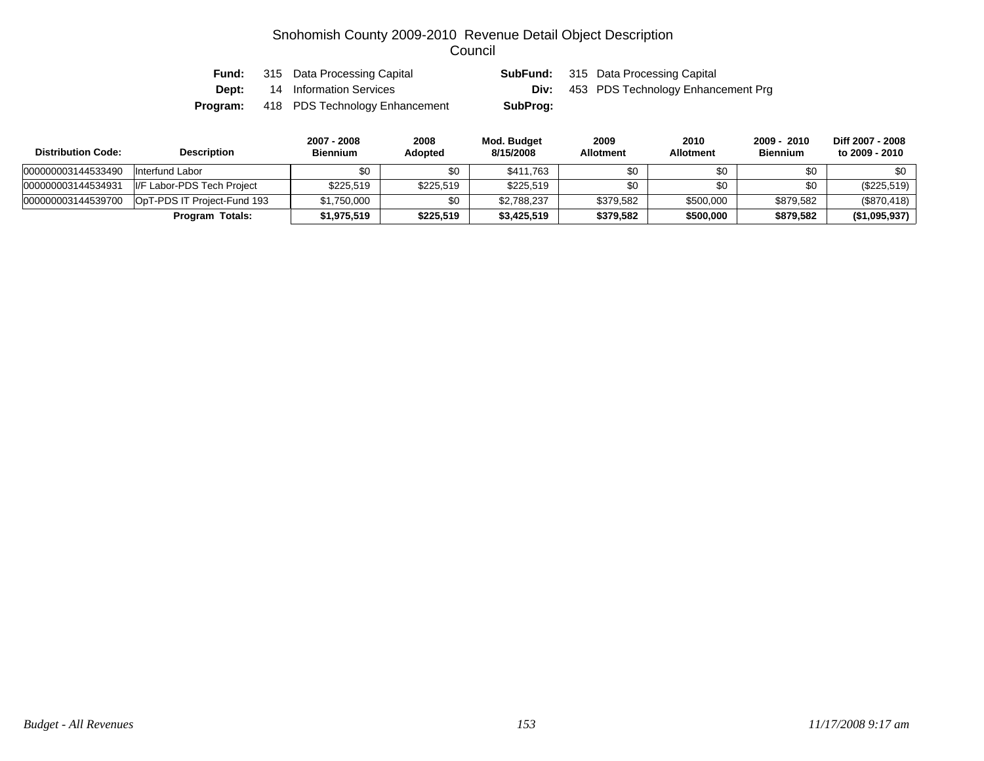| Fund:    | 315 Data Processing Capital    |          | <b>SubFund:</b> 315 Data Processing Capital    |
|----------|--------------------------------|----------|------------------------------------------------|
| Dept:    | 14 Information Services        |          | <b>Div:</b> 453 PDS Technology Enhancement Prg |
| Program: | 418 PDS Technology Enhancement | SubProg: |                                                |

| <b>Distribution Code:</b> | <b>Description</b>          | 2007 - 2008<br><b>Biennium</b> | 2008<br><b>Adopted</b> | Mod. Budget<br>8/15/2008 | 2009<br><b>Allotment</b> | 2010<br><b>Allotment</b> | 2009 - 2010<br><b>Biennium</b> | Diff 2007 - 2008<br>to 2009 - 2010 |
|---------------------------|-----------------------------|--------------------------------|------------------------|--------------------------|--------------------------|--------------------------|--------------------------------|------------------------------------|
| 000000003144533490        | Interfund Labor             | \$0                            | \$0                    | \$411.763                | \$0                      | \$0                      | \$0                            | \$0                                |
| 000000003144534931        | I/F Labor-PDS Tech Project  | \$225.519                      | \$225,519              | \$225,519                | \$0                      | \$0                      | \$0                            | (\$225,519)                        |
| 000000003144539700        | OpT-PDS IT Project-Fund 193 | \$1,750,000                    | \$0                    | \$2,788,237              | \$379.582                | \$500,000                | \$879,582                      | (\$870,418)                        |
|                           | Program Totals:             | \$1,975,519                    | \$225,519              | \$3,425,519              | \$379,582                | \$500,000                | \$879,582                      | (\$1,095,937)                      |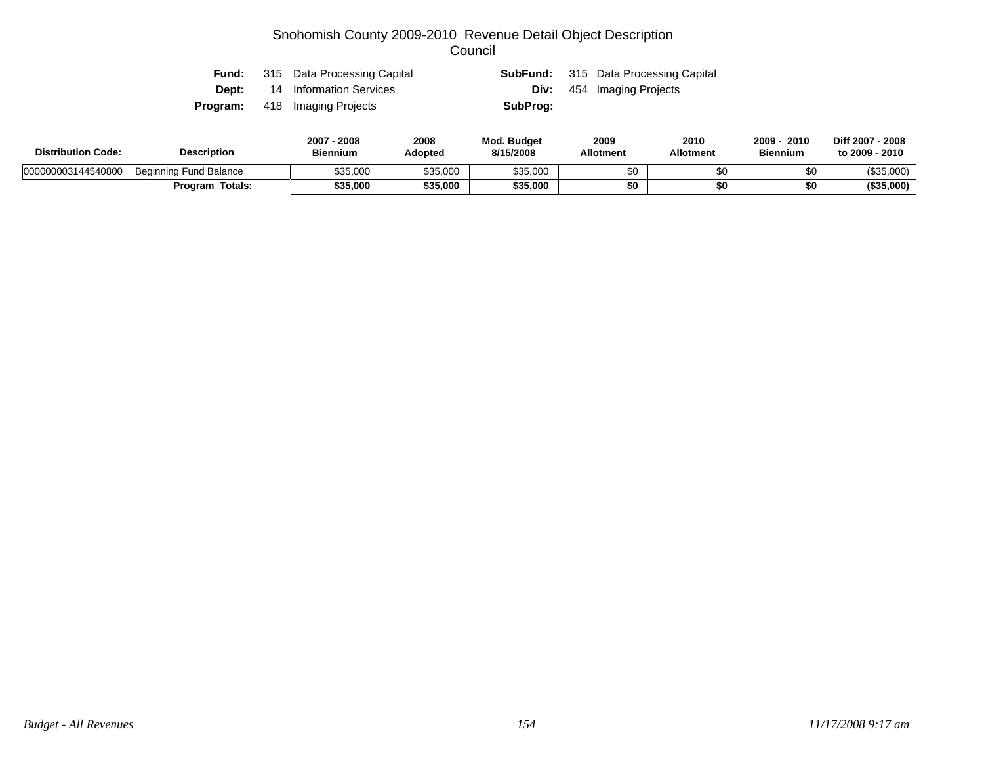| Fund:        | 315 Data Processing Capital          |          | <b>SubFund:</b> 315 Data Processing Capital |
|--------------|--------------------------------------|----------|---------------------------------------------|
| <b>Dept:</b> | 14 Information Services              |          | <b>Div:</b> 454 Imaging Projects            |
|              | <b>Program:</b> 418 Imaging Projects | SubProg: |                                             |

| <b>Distribution Code:</b> | <b>Description</b>     |          | 2008<br>Adopted | <b>Mod. Budget</b><br>8/15/2008 | 2009<br><b>Allotment</b> | 2010<br><b>Allotment</b> | 2010<br>2009<br><b>Biennium</b> | Diff 2007 - 2008<br>to 2009 - 2010 |
|---------------------------|------------------------|----------|-----------------|---------------------------------|--------------------------|--------------------------|---------------------------------|------------------------------------|
| 000000003144540800        | Beginning Fund Balance | \$35,000 | \$35.000        | \$35,000                        | \$በ                      | υŒ                       | ΦΛ                              | (\$35,000)                         |
|                           | <b>Program Totals:</b> | \$35,000 | \$35,000        | \$35,000                        | \$0                      |                          | \$0                             | (\$35,000)                         |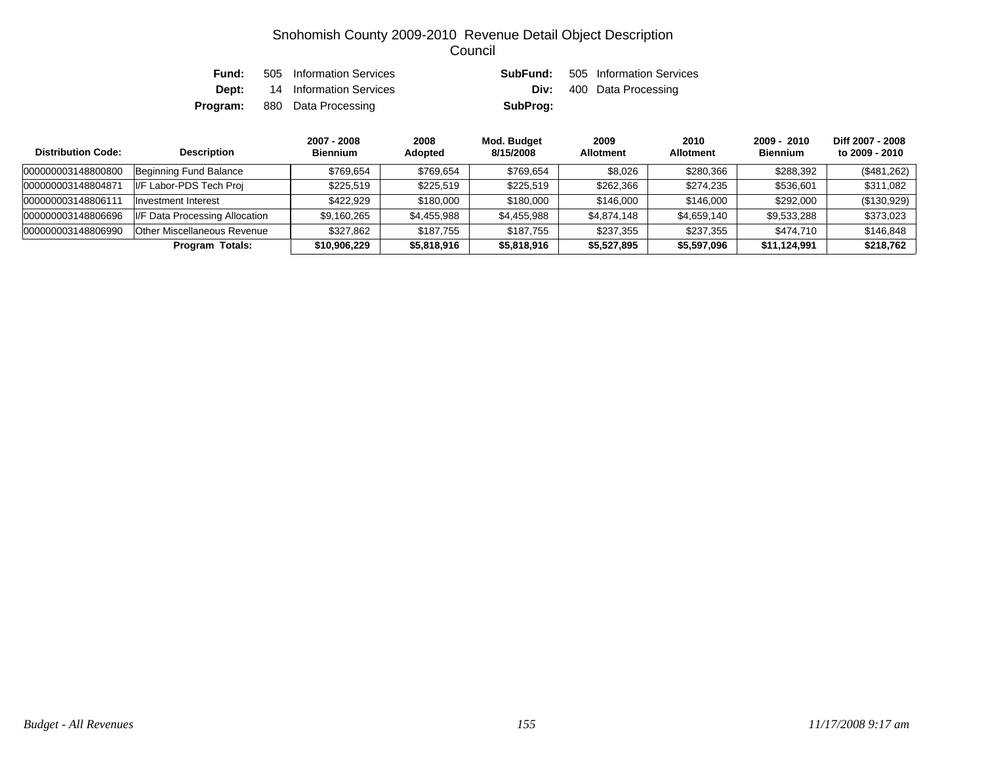| Fund: | 505 Information Services            | SubFund: | 505 Information Services        |
|-------|-------------------------------------|----------|---------------------------------|
| Dept: | 14 Information Services             |          | <b>Div:</b> 400 Data Processing |
|       | <b>Program:</b> 880 Data Processing | SubProg: |                                 |

| <b>Distribution Code:</b> | <b>Description</b>             | 2007 - 2008<br><b>Biennium</b> | 2008<br>Adopted | Mod. Budget<br>8/15/2008 | 2009<br><b>Allotment</b> | 2010<br><b>Allotment</b> | 2009 - 2010<br><b>Biennium</b> | Diff 2007 - 2008<br>to 2009 - 2010 |
|---------------------------|--------------------------------|--------------------------------|-----------------|--------------------------|--------------------------|--------------------------|--------------------------------|------------------------------------|
| 000000003148800800        | Beginning Fund Balance         | \$769.654                      | \$769.654       | \$769.654                | \$8,026                  | \$280,366                | \$288,392                      | (\$481,262)                        |
| 000000003148804871        | II/F Labor-PDS Tech Proi       | \$225.519                      | \$225.519       | \$225,519                | \$262,366                | \$274.235                | \$536,601                      | \$311.082                          |
| 000000003148806111        | Investment Interest            | \$422.929                      | \$180,000       | \$180,000                | \$146,000                | \$146,000                | \$292,000                      | (\$130,929)                        |
| 000000003148806696        | I/F Data Processing Allocation | \$9,160,265                    | \$4,455,988     | \$4,455,988              | \$4,874,148              | \$4,659,140              | \$9,533,288                    | \$373,023                          |
| 000000003148806990        | Other Miscellaneous Revenue    | \$327,862                      | \$187.755       | \$187.755                | \$237,355                | \$237,355                | \$474.710                      | \$146,848                          |
|                           | Program Totals:                | \$10,906,229                   | \$5,818,916     | \$5,818,916              | \$5,527,895              | \$5,597,096              | \$11,124,991                   | \$218.762                          |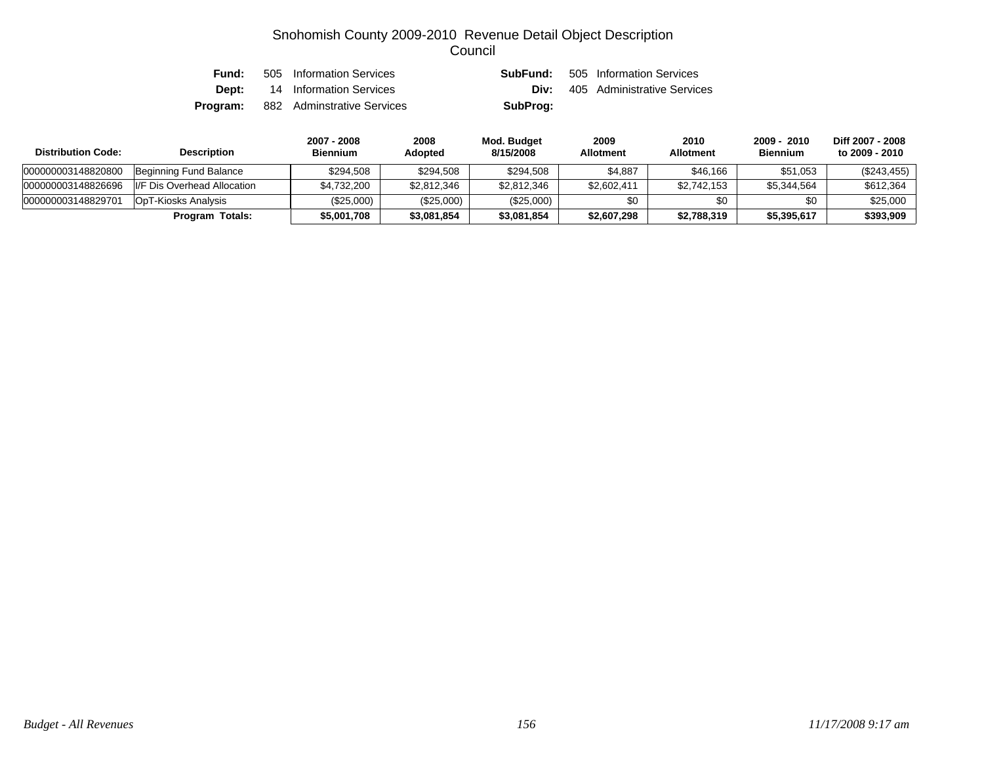| Fund: | 505 Information Services                   |          | <b>SubFund:</b> 505 Information Services |
|-------|--------------------------------------------|----------|------------------------------------------|
|       | <b>Dept:</b> 14 Information Services       |          | <b>Div:</b> 405 Administrative Services  |
|       | <b>Program:</b> 882 Adminstrative Services | SubProg: |                                          |

| <b>Distribution Code:</b> | <b>Description</b>           | 2007 - 2008<br><b>Biennium</b> | 2008<br><b>Adopted</b> | Mod. Budget<br>8/15/2008 | 2009<br><b>Allotment</b> | 2010<br><b>Allotment</b> | 2009 - 2010<br><b>Biennium</b> | Diff 2007 - 2008<br>to 2009 - 2010 |
|---------------------------|------------------------------|--------------------------------|------------------------|--------------------------|--------------------------|--------------------------|--------------------------------|------------------------------------|
| 000000003148820800        | Beginning Fund Balance       | \$294.508                      | \$294,508              | \$294,508                | \$4,887                  | \$46.166                 | \$51,053                       | $(\$243,455)$                      |
| 000000003148826696        | II/F Dis Overhead Allocation | \$4,732,200                    | \$2,812,346            | \$2,812,346              | \$2,602,411              | \$2,742,153              | \$5,344,564                    | \$612,364                          |
| 000000003148829701        | OpT-Kiosks Analysis          | $(\$25,000)$                   | (\$25,000)             | (\$25,000)               | \$0                      | \$0                      | \$0                            | \$25,000                           |
|                           | Program Totals:              | \$5,001,708                    | \$3,081,854            | \$3,081,854              | \$2,607,298              | \$2,788,319              | \$5,395,617                    | \$393,909                          |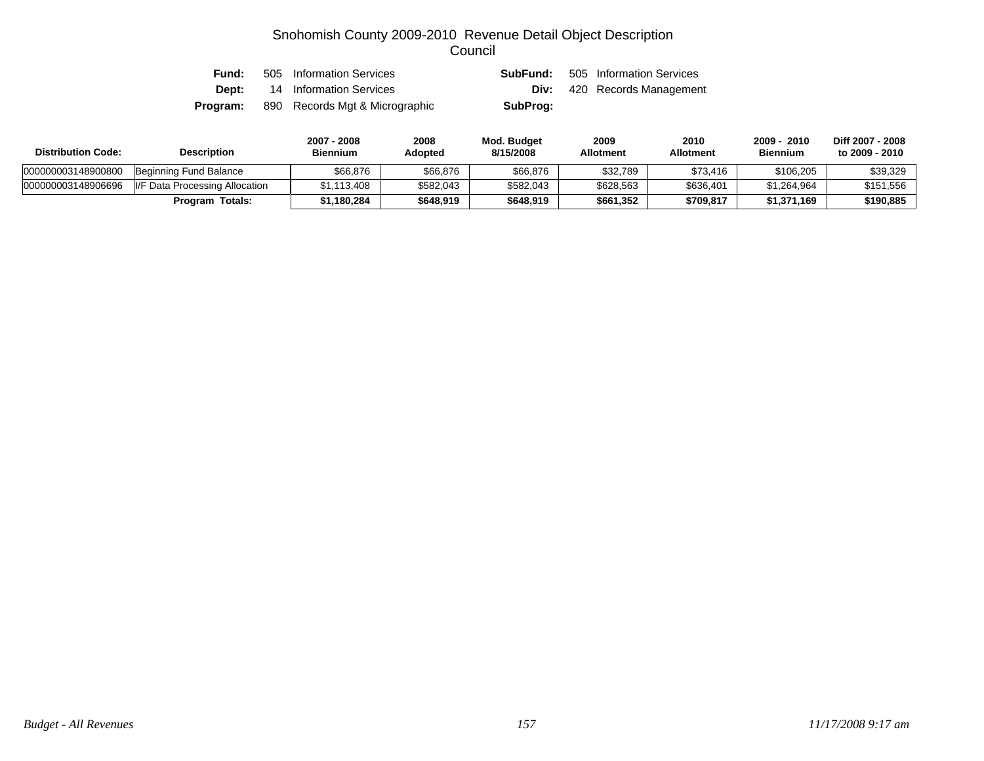| Fund:    | 505 Information Services       | SubFund: | 505 Information Services           |
|----------|--------------------------------|----------|------------------------------------|
| Dept:    | 14 Information Services        |          | <b>Div:</b> 420 Records Management |
| Program: | 890 Records Mgt & Micrographic | SubProg: |                                    |

| <b>Distribution Code:</b> | <b>Description</b>             | 2007 - 2008<br>Biennium | 2008<br>Adopted | Mod. Budget<br>8/15/2008 | 2009<br><b>Allotment</b> | 2010<br><b>Allotment</b> | $2009 -$<br>- 2010<br><b>Biennium</b> | Diff 2007 - 2008<br>to 2009 - 2010 |
|---------------------------|--------------------------------|-------------------------|-----------------|--------------------------|--------------------------|--------------------------|---------------------------------------|------------------------------------|
| 000000003148900800        | Beginning Fund Balance         | \$66.876                | \$66,876        | \$66,876                 | \$32,789                 | \$73.416                 | \$106,205                             | \$39,329                           |
| 000000003148906696        | I/F Data Processing Allocation | \$1.113.408             | \$582,043       | \$582,043                | \$628,563                | \$636,401                | \$1.264.964                           | \$151,556                          |
|                           | <b>Program Totals:</b>         | \$1,180,284             | \$648,919       | \$648.919                | \$661,352                | \$709,817                | \$1,371,169                           | \$190,885                          |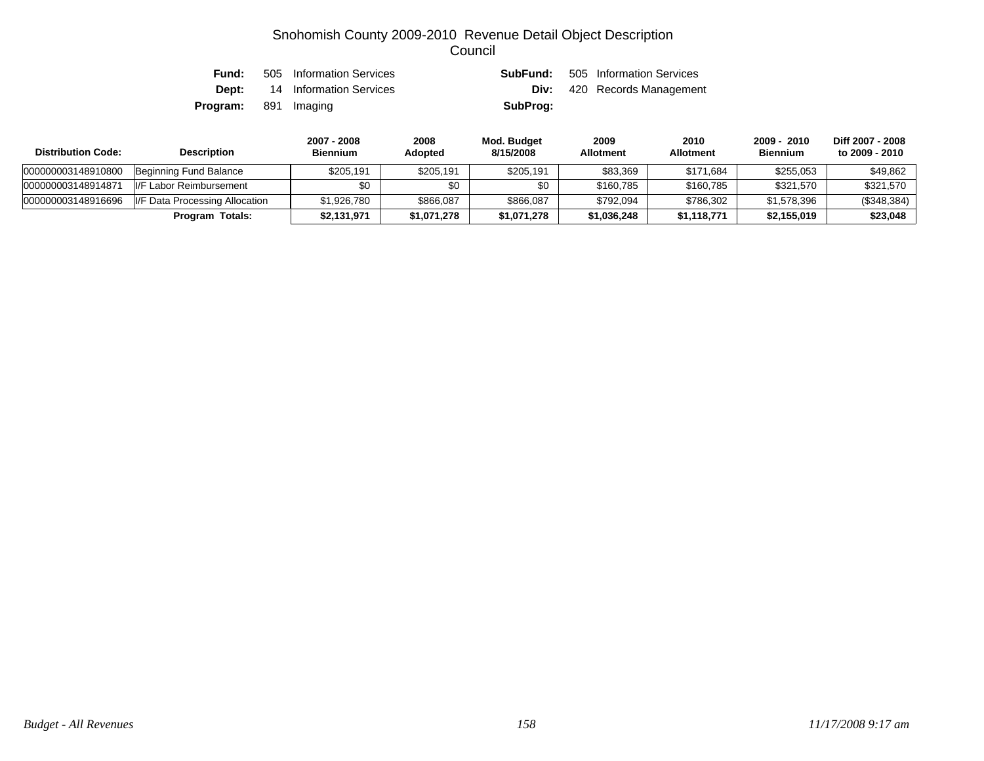| Fund:                       | 505 Information Services             |          | <b>SubFund:</b> 505 Information Services |
|-----------------------------|--------------------------------------|----------|------------------------------------------|
|                             | <b>Dept:</b> 14 Information Services |          | <b>Div:</b> 420 Records Management       |
| <b>Program:</b> 891 Imaging |                                      | SubProg: |                                          |

| <b>Distribution Code:</b> | <b>Description</b>             | 2007 - 2008<br><b>Biennium</b> | 2008<br><b>Adopted</b> | Mod. Budget<br>8/15/2008 | 2009<br><b>Allotment</b> | 2010<br><b>Allotment</b> | 2009 - 2010<br><b>Biennium</b> | Diff 2007 - 2008<br>to 2009 - 2010 |
|---------------------------|--------------------------------|--------------------------------|------------------------|--------------------------|--------------------------|--------------------------|--------------------------------|------------------------------------|
| 000000003148910800        | Beginning Fund Balance         | \$205.191                      | \$205,191              | \$205,191                | \$83.369                 | \$171,684                | \$255,053                      | \$49,862                           |
| 000000003148914871        | II/F<br>Labor Reimbursement    | \$0                            | \$0                    | \$0                      | \$160,785                | \$160,785                | \$321,570                      | \$321,570                          |
| 000000003148916696        | I/F Data Processing Allocation | \$1,926,780                    | \$866,087              | \$866,087                | \$792,094                | \$786,302                | \$1,578,396                    | $(\$348,384)$                      |
|                           | Program Totals:                | \$2,131,971                    | \$1,071,278            | \$1,071,278              | \$1,036,248              | \$1,118,771              | \$2,155,019                    | \$23,048                           |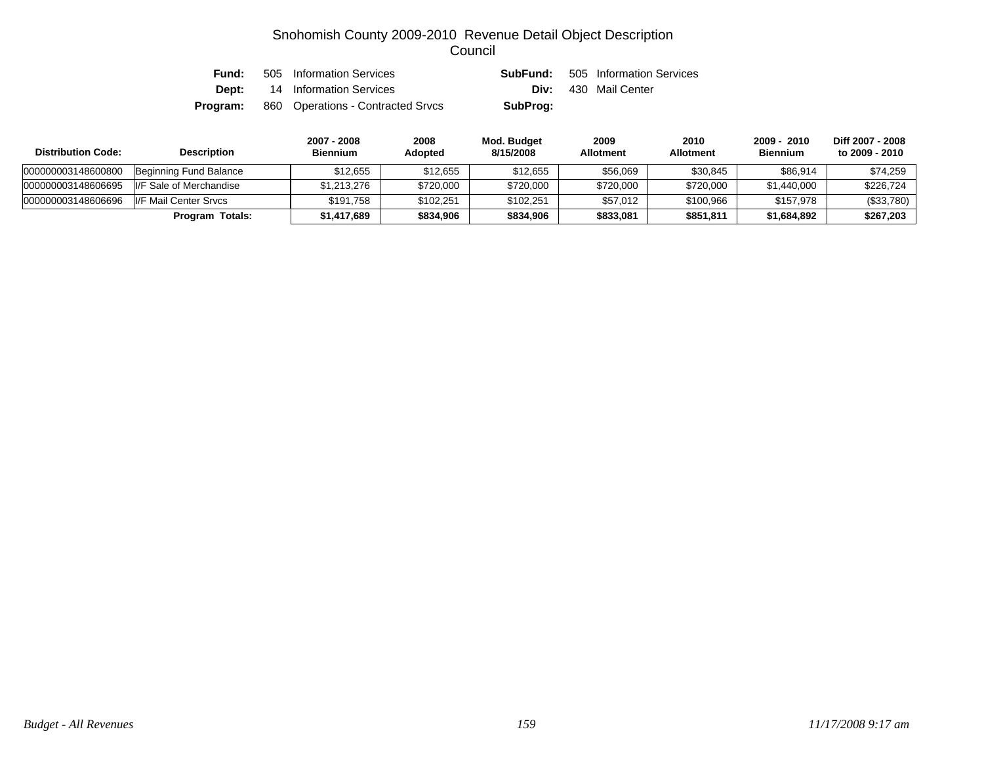| Fund:    | 505 Information Services          | SubFund: | 505 Information Services    |
|----------|-----------------------------------|----------|-----------------------------|
| Dept:    | 14 Information Services           |          | <b>Div:</b> 430 Mail Center |
| Program: | 860 Operations - Contracted Srvcs | SubProg: |                             |

| <b>Distribution Code:</b> | <b>Description</b>       | 2007 - 2008<br><b>Biennium</b> | 2008<br>Adopted | Mod. Budget<br>8/15/2008 | 2009<br><b>Allotment</b> | 2010<br><b>Allotment</b> | 2009 - 2010<br><b>Biennium</b> | Diff 2007 - 2008<br>to 2009 - 2010 |
|---------------------------|--------------------------|--------------------------------|-----------------|--------------------------|--------------------------|--------------------------|--------------------------------|------------------------------------|
| 000000003148600800        | Beginning Fund Balance   | \$12.655                       | \$12.655        | \$12.655                 | \$56,069                 | \$30,845                 | \$86,914                       | \$74.259                           |
| 000000003148606695        | II/F Sale of Merchandise | \$1,213,276                    | \$720,000       | \$720,000                | \$720,000                | \$720,000                | \$1,440,000                    | \$226.724                          |
| 000000003148606696        | I/F Mail Center Srvcs    | \$191.758                      | \$102.251       | \$102.251                | \$57.012                 | \$100.966                | \$157.978                      | (\$33,780)                         |
|                           | <b>Program Totals:</b>   | \$1,417,689                    | \$834,906       | \$834,906                | \$833,081                | \$851,811                | \$1,684,892                    | \$267,203                          |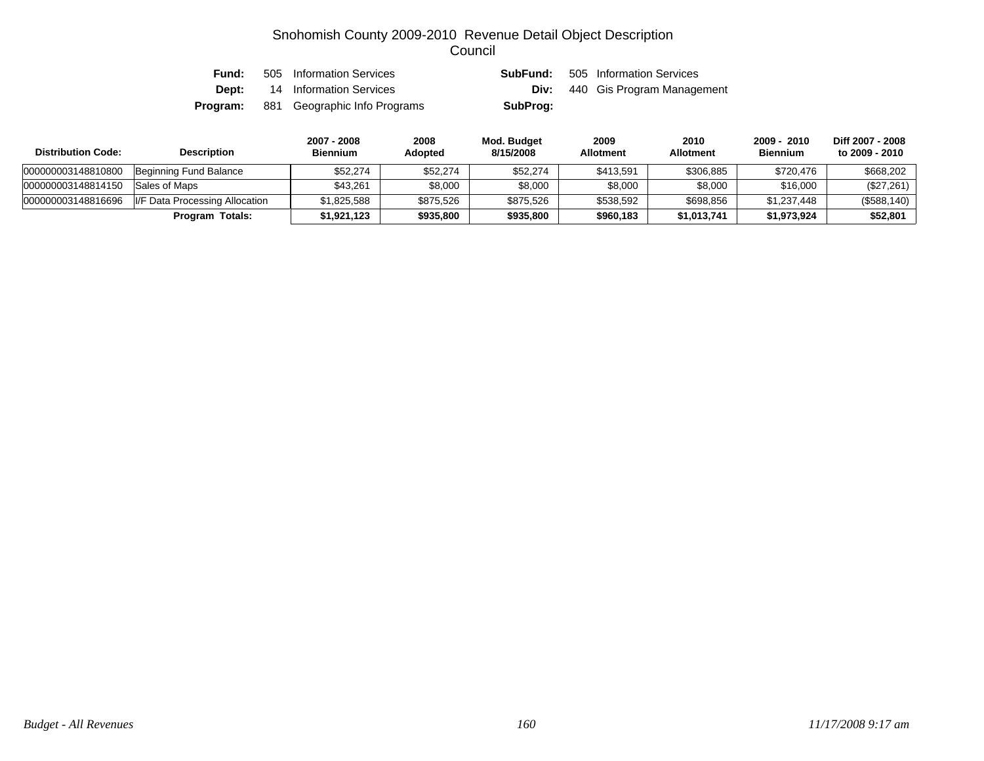| Fund:    | 505 Information Services     | SubFund: | 505 Information Services   |
|----------|------------------------------|----------|----------------------------|
| Dept:    | 14 Information Services      | Div:     | 440 Gis Program Management |
| Program: | 881 Geographic Info Programs | SubProg: |                            |

| <b>Distribution Code:</b> | <b>Description</b>             | 2007 - 2008<br><b>Biennium</b> | 2008<br><b>Adopted</b> | Mod. Budget<br>8/15/2008 | 2009<br><b>Allotment</b> | 2010<br><b>Allotment</b> | 2009 - 2010<br><b>Biennium</b> | Diff 2007 - 2008<br>to 2009 - 2010 |
|---------------------------|--------------------------------|--------------------------------|------------------------|--------------------------|--------------------------|--------------------------|--------------------------------|------------------------------------|
| 000000003148810800        | Beginning Fund Balance         | \$52.274                       | \$52,274               | \$52,274                 | \$413,591                | \$306,885                | \$720,476                      | \$668,202                          |
| 000000003148814150        | Sales of Maps                  | \$43,261                       | \$8,000                | \$8,000                  | \$8,000                  | \$8,000                  | \$16,000                       | (\$27,261)                         |
| 000000003148816696        | I/F Data Processing Allocation | \$1,825,588                    | \$875,526              | \$875,526                | \$538,592                | \$698,856                | \$1,237,448                    | (\$588,140)                        |
|                           | Program Totals:                | \$1,921,123                    | \$935,800              | \$935,800                | \$960,183                | \$1,013,741              | \$1,973,924                    | \$52,801                           |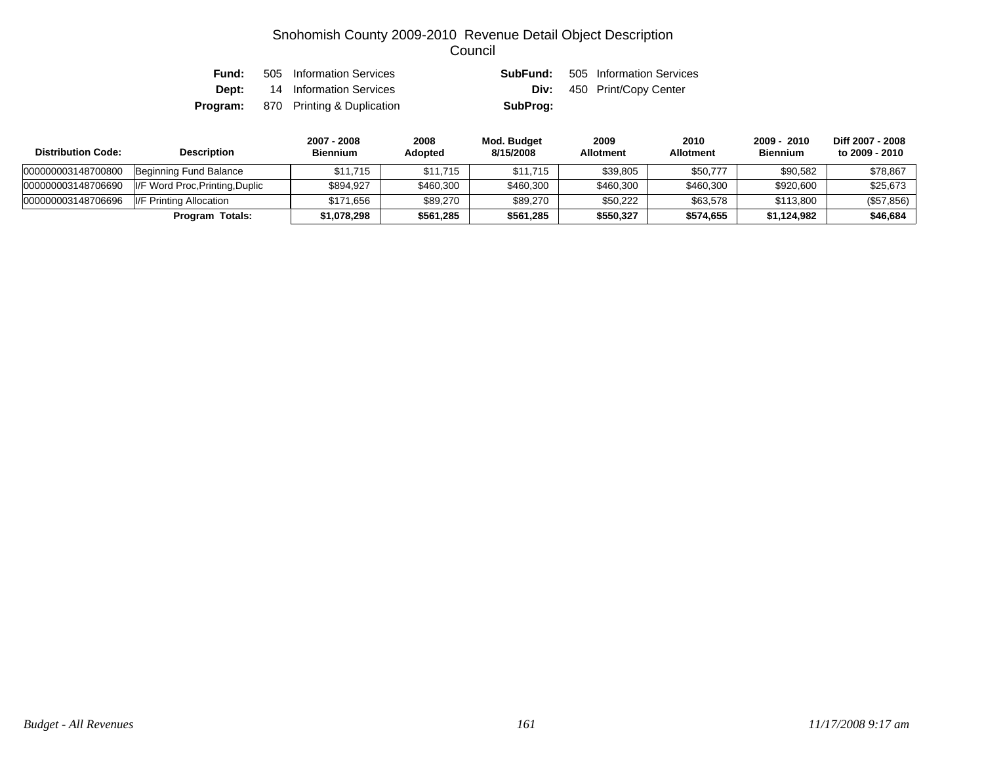| Fund: | 505 Information Services                   | SubFund: | 505 Information Services          |
|-------|--------------------------------------------|----------|-----------------------------------|
|       | <b>Dept:</b> 14 Information Services       |          | <b>Div:</b> 450 Print/Copy Center |
|       | <b>Program:</b> 870 Printing & Duplication | SubProg: |                                   |

| <b>Distribution Code:</b> | <b>Description</b>              | 2007 - 2008<br><b>Biennium</b> | 2008<br><b>Adopted</b> | Mod. Budget<br>8/15/2008 | 2009<br><b>Allotment</b> | 2010<br><b>Allotment</b> | 2009 - 2010<br><b>Biennium</b> | Diff 2007 - 2008<br>to 2009 - 2010 |
|---------------------------|---------------------------------|--------------------------------|------------------------|--------------------------|--------------------------|--------------------------|--------------------------------|------------------------------------|
| 000000003148700800        | Beginning Fund Balance          | \$11.715                       | \$11.715               | \$11,715                 | \$39,805                 | \$50,777                 | \$90,582                       | \$78,867                           |
| 000000003148706690        | I/F Word Proc, Printing, Duplic | \$894.927                      | \$460,300              | \$460,300                | \$460,300                | \$460,300                | \$920,600                      | \$25,673                           |
| 000000003148706696        | I/F Printing Allocation         | \$171.656                      | \$89,270               | \$89,270                 | \$50.222                 | \$63,578                 | \$113,800                      | $(\$57,856)$                       |
|                           | Program Totals:                 | \$1,078,298                    | \$561,285              | \$561.285                | \$550.327                | \$574,655                | \$1.124.982                    | \$46,684                           |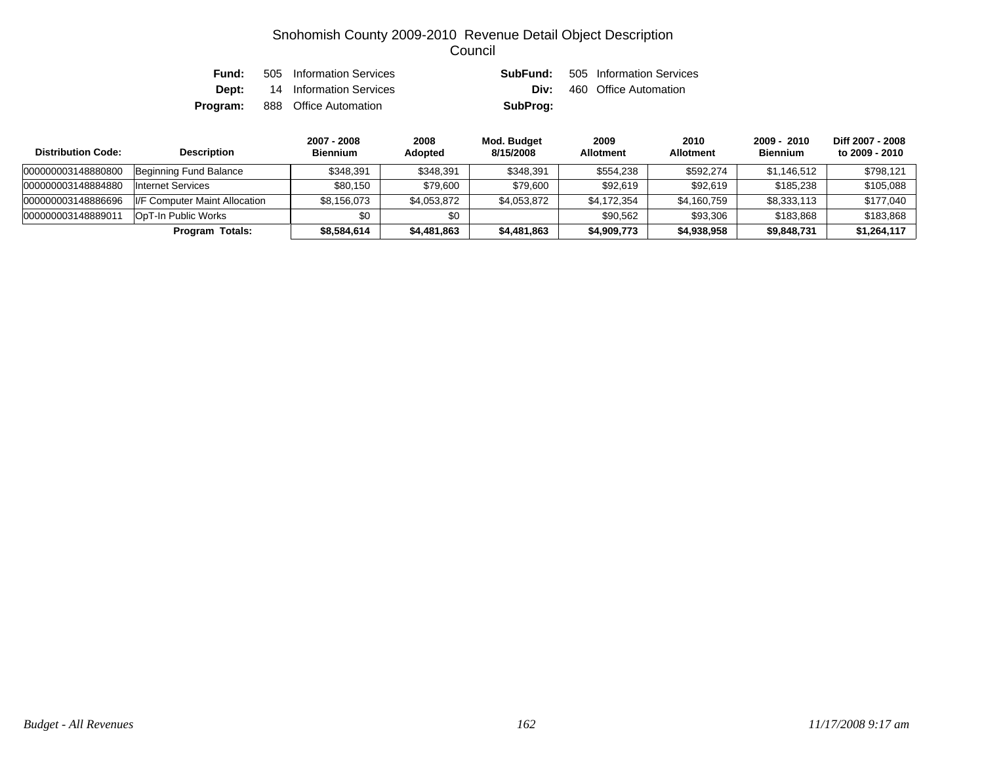| Fund: | 505 Information Services              | SubFund: | 505 Information Services |
|-------|---------------------------------------|----------|--------------------------|
| Dept: | 14 Information Services               | Div:     | 460 Office Automation    |
|       | <b>Program:</b> 888 Office Automation | SubProg: |                          |

| <b>Distribution Code:</b> | <b>Description</b>            | 2007 - 2008<br><b>Biennium</b> | 2008<br><b>Adopted</b> | Mod. Budget<br>8/15/2008 | 2009<br><b>Allotment</b> | 2010<br><b>Allotment</b> | $2009 - 2010$<br><b>Biennium</b> | Diff 2007 - 2008<br>to 2009 - 2010 |
|---------------------------|-------------------------------|--------------------------------|------------------------|--------------------------|--------------------------|--------------------------|----------------------------------|------------------------------------|
| 000000003148880800        | Beginning Fund Balance        | \$348.391                      | \$348,391              | \$348,391                | \$554,238                | \$592,274                | \$1,146,512                      | \$798,121                          |
| 000000003148884880        | Internet Services             | \$80.150                       | \$79,600               | \$79,600                 | \$92,619                 | \$92.619                 | \$185,238                        | \$105,088                          |
| 000000003148886696        | I/F Computer Maint Allocation | \$8,156,073                    | \$4,053,872            | \$4,053,872              | \$4,172,354              | \$4,160,759              | \$8,333,113                      | \$177.040                          |
| 00000000314888901         | OpT-In Public Works           | \$0                            | \$0                    |                          | \$90.562                 | \$93,306                 | \$183,868                        | \$183,868                          |
|                           | Program Totals:               | \$8,584,614                    | \$4,481,863            | \$4,481,863              | \$4,909,773              | \$4,938,958              | \$9,848,731                      | \$1,264,117                        |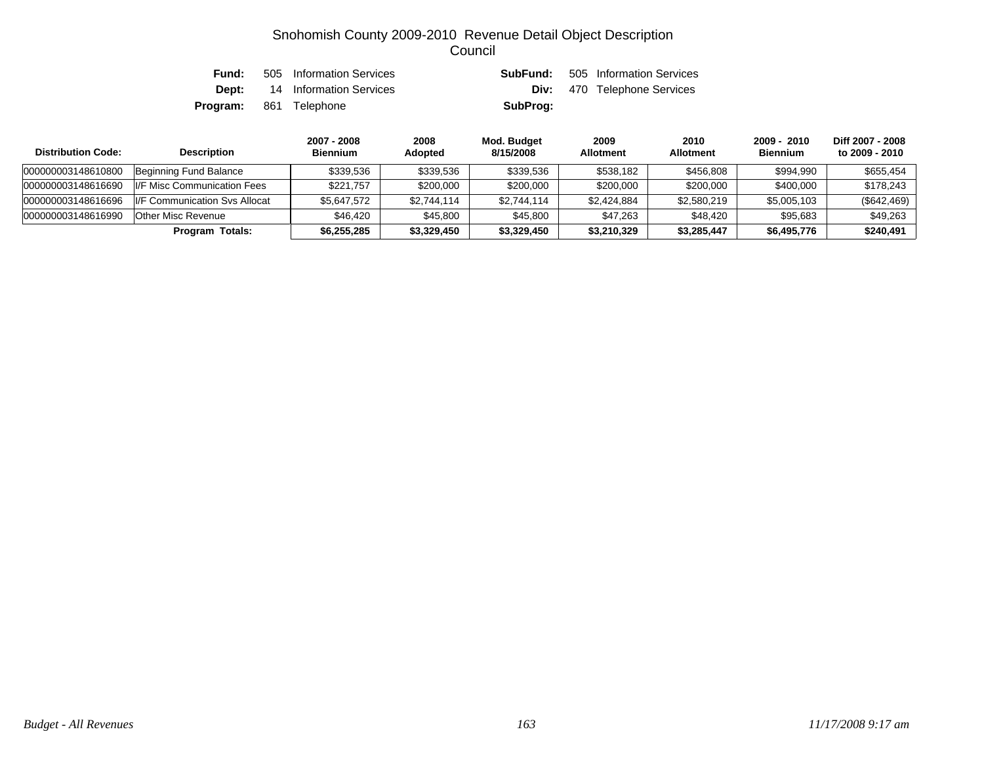| Fund: | 505 Information Services      | SubFund: | 505 Information Services           |
|-------|-------------------------------|----------|------------------------------------|
| Dept: | 14 Information Services       |          | <b>Div:</b> 470 Telephone Services |
|       | <b>Program:</b> 861 Telephone | SubProg: |                                    |

| <b>Distribution Code:</b> | <b>Description</b>                    | 2007 - 2008<br><b>Biennium</b> | 2008<br><b>Adopted</b> | Mod. Budget<br>8/15/2008 | 2009<br><b>Allotment</b> | 2010<br><b>Allotment</b> | 2009 - 2010<br><b>Biennium</b> | Diff 2007 - 2008<br>to 2009 - 2010 |
|---------------------------|---------------------------------------|--------------------------------|------------------------|--------------------------|--------------------------|--------------------------|--------------------------------|------------------------------------|
| 000000003148610800        | Beginning Fund Balance                | \$339.536                      | \$339,536              | \$339.536                | \$538.182                | \$456,808                | \$994.990                      | \$655,454                          |
| 000000003148616690        | II/F Misc Communication Fees          | \$221.757                      | \$200,000              | \$200,000                | \$200,000                | \$200,000                | \$400,000                      | \$178.243                          |
| 000000003148616696        | <b>II/F Communication Sys Allocat</b> | \$5,647,572                    | \$2,744,114            | \$2,744,114              | \$2,424,884              | \$2,580,219              | \$5,005,103                    | (\$642, 469)                       |
| 000000003148616990        | Other Misc Revenue                    | \$46.420                       | \$45,800               | \$45,800                 | \$47.263                 | \$48,420                 | \$95.683                       | \$49.263                           |
|                           | Program Totals:                       | \$6,255,285                    | \$3,329,450            | \$3,329,450              | \$3,210,329              | \$3,285,447              | \$6,495,776                    | \$240,491                          |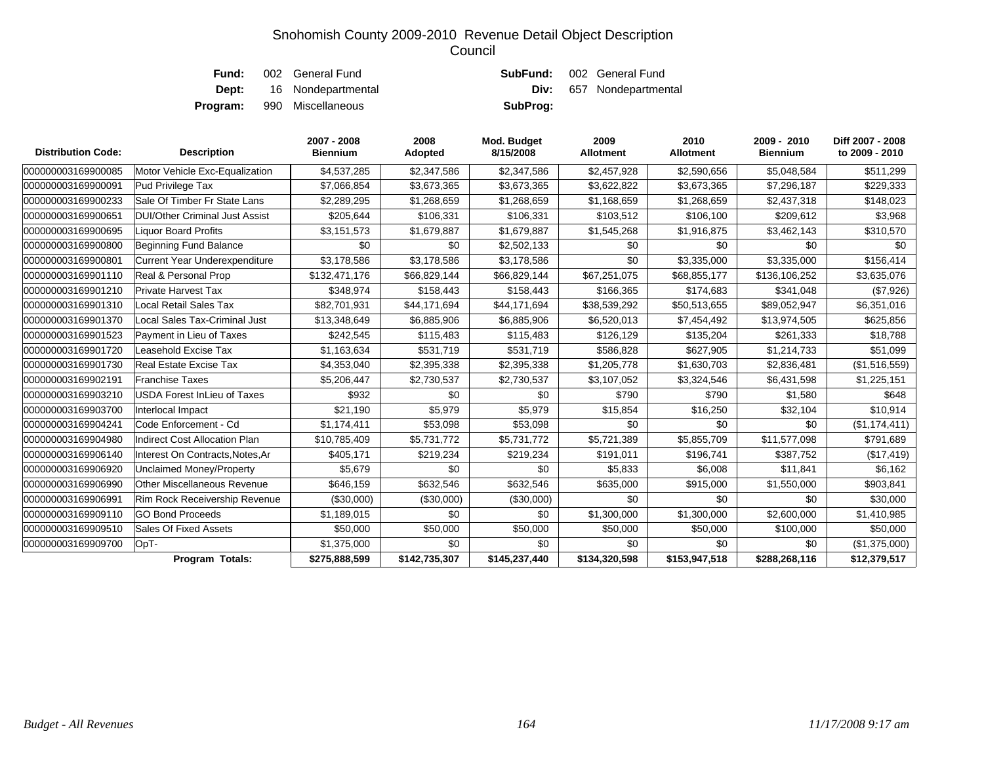| Div:     | 657 Nondepartmental              |
|----------|----------------------------------|
| SubProg: |                                  |
|          | <b>SubFund:</b> 002 General Fund |

| <b>Distribution Code:</b> | <b>Description</b>                   | 2007 - 2008<br><b>Biennium</b> | 2008<br>Adopted | Mod. Budget<br>8/15/2008 | 2009<br><b>Allotment</b> | 2010<br><b>Allotment</b> | 2009 - 2010<br><b>Biennium</b> | Diff 2007 - 2008<br>to 2009 - 2010 |
|---------------------------|--------------------------------------|--------------------------------|-----------------|--------------------------|--------------------------|--------------------------|--------------------------------|------------------------------------|
| 000000003169900085        | Motor Vehicle Exc-Equalization       | \$4,537,285                    | \$2,347,586     | \$2,347,586              | \$2,457,928              | \$2,590,656              | \$5,048,584                    | \$511,299                          |
| 000000003169900091        | Pud Privilege Tax                    | \$7,066,854                    | \$3,673,365     | \$3,673,365              | \$3,622,822              | \$3,673,365              | \$7,296,187                    | \$229,333                          |
| 000000003169900233        | Sale Of Timber Fr State Lans         | \$2,289,295                    | \$1,268,659     | \$1,268,659              | \$1,168,659              | \$1,268,659              | \$2,437,318                    | \$148,023                          |
| 000000003169900651        | DUI/Other Criminal Just Assist       | \$205,644                      | \$106,331       | \$106,331                | \$103,512                | \$106,100                | \$209,612                      | \$3,968                            |
| 000000003169900695        | <b>Liquor Board Profits</b>          | \$3,151,573                    | \$1,679,887     | \$1,679,887              | \$1,545,268              | \$1,916,875              | \$3,462,143                    | \$310,570                          |
| 000000003169900800        | <b>Beginning Fund Balance</b>        | \$0                            | \$0             | \$2,502,133              | \$0                      | \$0                      | \$0                            | \$0                                |
| 000000003169900801        | Current Year Underexpenditure        | \$3,178,586                    | \$3,178,586     | \$3,178,586              | \$0                      | \$3,335,000              | \$3,335,000                    | \$156,414                          |
| 000000003169901110        | Real & Personal Prop                 | \$132,471,176                  | \$66,829,144    | \$66,829,144             | \$67,251,075             | \$68,855,177             | \$136,106,252                  | \$3,635,076                        |
| 000000003169901210        | <b>Private Harvest Tax</b>           | \$348,974                      | \$158,443       | \$158,443                | \$166,365                | \$174,683                | \$341,048                      | (\$7,926)                          |
| 000000003169901310        | Local Retail Sales Tax               | \$82,701,931                   | \$44,171,694    | \$44,171,694             | \$38,539,292             | \$50,513,655             | \$89,052,947                   | \$6,351,016                        |
| 000000003169901370        | Local Sales Tax-Criminal Just        | \$13,348,649                   | \$6,885,906     | \$6,885,906              | \$6,520,013              | \$7,454,492              | \$13,974,505                   | \$625,856                          |
| 000000003169901523        | Payment in Lieu of Taxes             | \$242,545                      | \$115,483       | \$115,483                | \$126,129                | \$135,204                | \$261,333                      | \$18,788                           |
| 000000003169901720        | Leasehold Excise Tax                 | \$1,163,634                    | \$531,719       | \$531,719                | \$586,828                | \$627,905                | \$1,214,733                    | \$51,099                           |
| 000000003169901730        | <b>Real Estate Excise Tax</b>        | \$4,353,040                    | \$2,395,338     | \$2,395,338              | \$1,205,778              | \$1,630,703              | \$2,836,481                    | (\$1,516,559)                      |
| 000000003169902191        | <b>Franchise Taxes</b>               | \$5,206,447                    | \$2,730,537     | \$2,730,537              | \$3,107,052              | \$3,324,546              | \$6,431,598                    | \$1,225,151                        |
| 000000003169903210        | <b>USDA Forest InLieu of Taxes</b>   | \$932                          | \$0             | \$0                      | \$790                    | \$790                    | \$1,580                        | \$648                              |
| 000000003169903700        | Interlocal Impact                    | \$21,190                       | \$5,979         | \$5,979                  | \$15,854                 | \$16,250                 | \$32,104                       | \$10,914                           |
| 000000003169904241        | Code Enforcement - Cd                | \$1,174,411                    | \$53,098        | \$53,098                 | \$0                      | \$0                      | \$0                            | (\$1,174,411)                      |
| 000000003169904980        | <b>Indirect Cost Allocation Plan</b> | \$10,785,409                   | \$5,731,772     | \$5,731,772              | \$5,721,389              | \$5,855,709              | \$11,577,098                   | \$791,689                          |
| 000000003169906140        | Interest On Contracts, Notes, Ar     | \$405,171                      | \$219,234       | \$219,234                | \$191,011                | \$196,741                | \$387,752                      | (\$17,419)                         |
| 000000003169906920        | Unclaimed Money/Property             | \$5,679                        | \$0             | \$0                      | \$5,833                  | \$6,008                  | \$11,841                       | \$6,162                            |
| 000000003169906990        | <b>Other Miscellaneous Revenue</b>   | \$646.159                      | \$632,546       | \$632,546                | \$635,000                | \$915,000                | \$1,550,000                    | \$903,841                          |
| 000000003169906991        | Rim Rock Receivership Revenue        | (\$30,000)                     | (\$30,000)      | (\$30,000)               | \$0                      | \$0                      | \$0                            | \$30,000                           |
| 000000003169909110        | <b>GO Bond Proceeds</b>              | \$1,189,015                    | \$0             | \$0                      | \$1,300,000              | \$1,300,000              | \$2,600,000                    | \$1,410,985                        |
| 000000003169909510        | Sales Of Fixed Assets                | \$50,000                       | \$50,000        | \$50,000                 | \$50,000                 | \$50,000                 | \$100,000                      | \$50,000                           |
| 000000003169909700        | OpT-                                 | \$1,375,000                    | \$0             | \$0                      | \$0                      | \$0                      | \$0                            | (\$1,375,000)                      |
|                           | Program Totals:                      | \$275,888,599                  | \$142,735,307   | \$145,237,440            | \$134,320,598            | \$153,947,518            | \$288,268,116                  | \$12,379,517                       |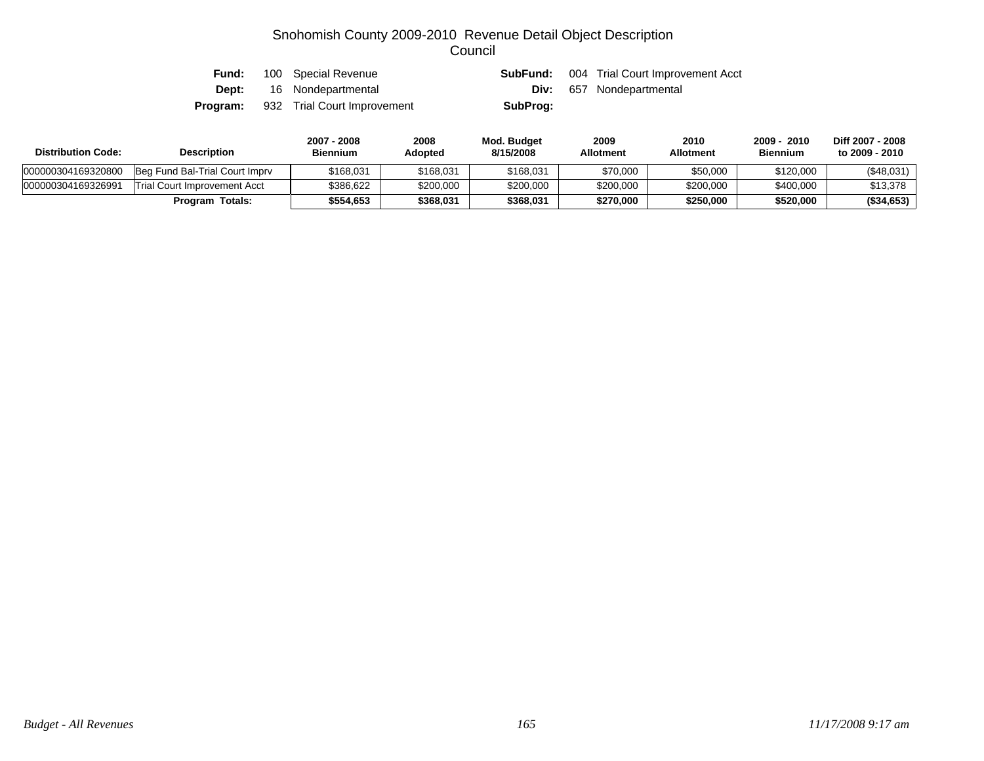| Fund:    | 100 Special Revenue             | SubFund: | 004 Trial Court Improvement Acct |
|----------|---------------------------------|----------|----------------------------------|
|          | <b>Dept:</b> 16 Nondepartmental | Div:     | 657 Nondepartmental              |
| Program: | 932 Trial Court Improvement     | SubProg: |                                  |

| <b>Distribution Code:</b> | <b>Description</b>             | 2007 - 2008<br><b>Biennium</b> | 2008<br><b>Adopted</b> | Mod. Budget<br>8/15/2008 | 2009<br><b>Allotment</b> | 2010<br>Allotment | $-2010$<br>$2009 -$<br><b>Biennium</b> | Diff 2007 - 2008<br>to 2009 - 2010 |
|---------------------------|--------------------------------|--------------------------------|------------------------|--------------------------|--------------------------|-------------------|----------------------------------------|------------------------------------|
| 000000304169320800        | Beg Fund Bal-Trial Court Imprv | \$168.031                      | \$168,031              | \$168.031                | \$70,000                 | \$50,000          | \$120,000                              | (\$48,031)                         |
| 000000304169326991        | Trial Court Improvement Acct   | \$386.622                      | \$200,000              | \$200,000                | \$200,000                | \$200,000         | \$400,000                              | \$13,378                           |
|                           | <b>Program Totals:</b>         | \$554.653                      | \$368,031              | \$368.031                | \$270,000                | \$250,000         | \$520,000                              | (\$34,653)                         |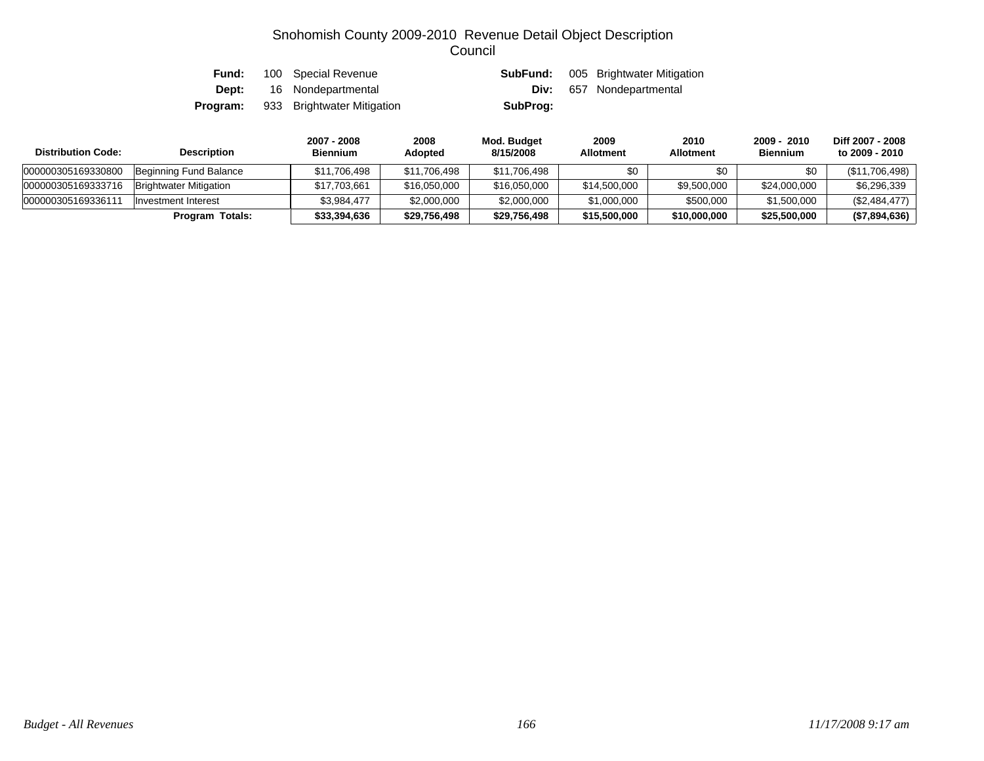| Fund:    | 100 Special Revenue        |          | <b>SubFund:</b> 005 Brightwater Mitigation |
|----------|----------------------------|----------|--------------------------------------------|
| Dept:    | 16 Nondepartmental         |          | <b>Div:</b> 657 Nondepartmental            |
| Program: | 933 Brightwater Mitigation | SubProg: |                                            |

| <b>Distribution Code:</b> | <b>Description</b>            | 2007 - 2008<br><b>Biennium</b> | 2008<br>Adopted | Mod. Budget<br>8/15/2008 | 2009<br><b>Allotment</b> | 2010<br><b>Allotment</b> | 2009 - 2010<br><b>Biennium</b> | Diff 2007 - 2008<br>to 2009 - 2010 |
|---------------------------|-------------------------------|--------------------------------|-----------------|--------------------------|--------------------------|--------------------------|--------------------------------|------------------------------------|
| 000000305169330800        | Beginning Fund Balance        | \$11.706.498                   | \$11,706,498    | \$11,706,498             | \$0                      | \$0                      | \$0                            | (\$11,706,498)                     |
| 000000305169333716        | <b>Brightwater Mitigation</b> | \$17,703,661                   | \$16,050,000    | \$16,050,000             | \$14,500,000             | \$9,500,000              | \$24,000,000                   | \$6.296.339                        |
| 000000305169336111        | Investment Interest           | \$3.984.477                    | \$2,000,000     | \$2,000,000              | \$1,000,000              | \$500,000                | \$1,500,000                    | (\$2,484,477)                      |
|                           | Program Totals:               | \$33,394,636                   | \$29,756,498    | \$29,756,498             | \$15,500,000             | \$10,000,000             | \$25,500,000                   | (\$7,894,636)                      |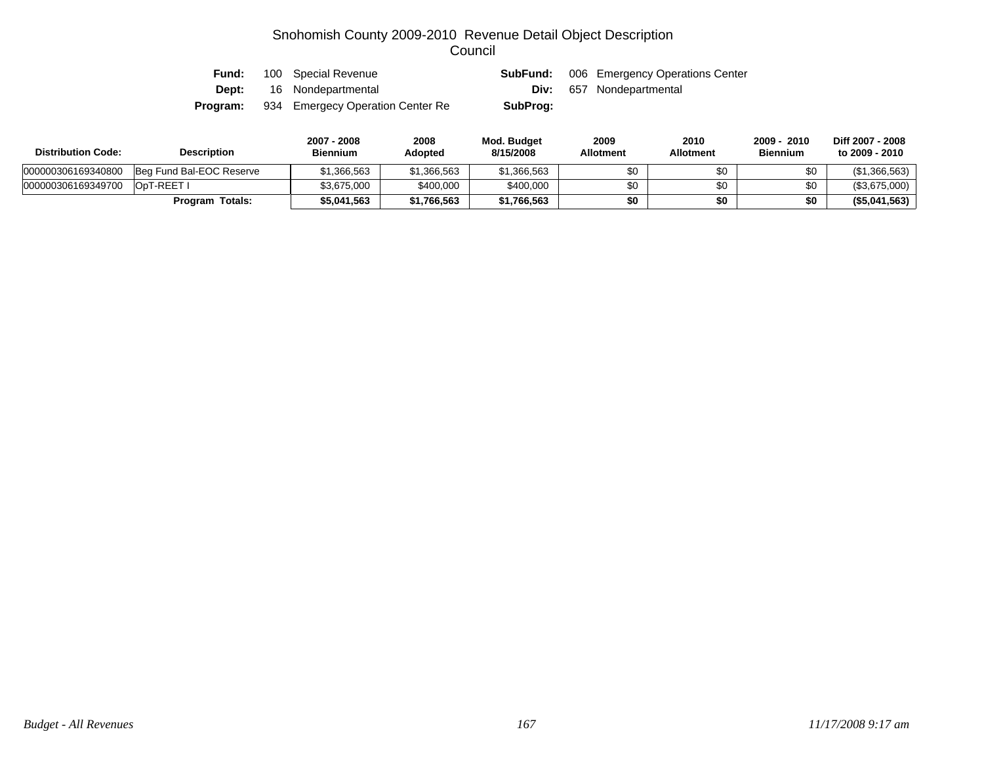| Fund:    | 100 Special Revenue              | SubFund: | 006 Emergency Operations Center |
|----------|----------------------------------|----------|---------------------------------|
| Dept:    | 16 Nondepartmental               |          | <b>Div:</b> 657 Nondepartmental |
| Program: | 934 Emergecy Operation Center Re | SubProg: |                                 |

| <b>Distribution Code:</b> | <b>Description</b>       | 2007 - 2008<br><b>Biennium</b> | 2008<br>Adopted | Mod. Budget<br>8/15/2008 | 2009<br><b>Allotment</b> | 2010<br>Allotment | $2009 -$<br>2010<br><b>Biennium</b> | Diff 2007 - 2008<br>to 2009 - 2010 |
|---------------------------|--------------------------|--------------------------------|-----------------|--------------------------|--------------------------|-------------------|-------------------------------------|------------------------------------|
| 000000306169340800        | Beg Fund Bal-EOC Reserve | \$1.366.563                    | \$1,366,563     | \$1,366,563              | \$0                      |                   | \$0                                 | (\$1,366,563)                      |
| 000000306169349700        | OpT-REET I               | \$3.675.000                    | \$400,000       | \$400,000                | \$0                      |                   | \$0                                 | (\$3,675,000)                      |
|                           | <b>Program Totals:</b>   | \$5.041.563                    | \$1,766,563     | \$1,766,563              | \$0                      |                   | \$0                                 | (\$5,041,563)                      |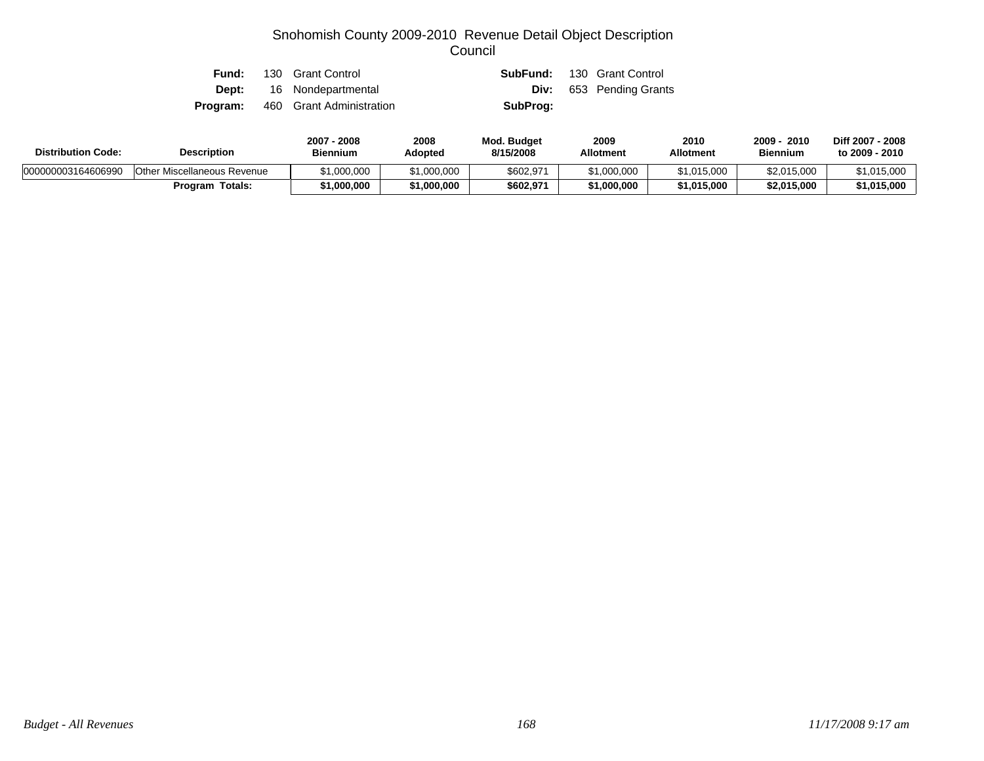| Fund:    | 130 Grant Control               |          | <b>SubFund:</b> 130 Grant Control |
|----------|---------------------------------|----------|-----------------------------------|
|          | <b>Dept:</b> 16 Nondepartmental |          | <b>Div:</b> 653 Pending Grants    |
| Program: | 460 Grant Administration        | SubProg: |                                   |

| <b>Distribution Code:</b> | <b>Description</b>          | 2007 - 2008<br><b>Biennium</b> | 2008<br>Adopted | Mod. Budget<br>8/15/2008 | 2009<br><b>Allotment</b> | 2010<br><b>Allotment</b> | 2009<br>2010<br><b>Biennium</b> | Diff 2007 - 2008<br>to 2009 - 2010 |
|---------------------------|-----------------------------|--------------------------------|-----------------|--------------------------|--------------------------|--------------------------|---------------------------------|------------------------------------|
| 000000003164606990        | Other Miscellaneous Revenue | \$1,000,000                    | \$1,000,000     | \$602,971                | \$1,000,000              | \$1,015,000              | \$2,015,000                     | \$1,015,000                        |
|                           | <b>Program Totals:</b>      | 1,000,000                      | \$1,000,000     | \$602,971                | \$1,000,000              | \$1,015,000              | \$2,015,000                     | \$1,015,000                        |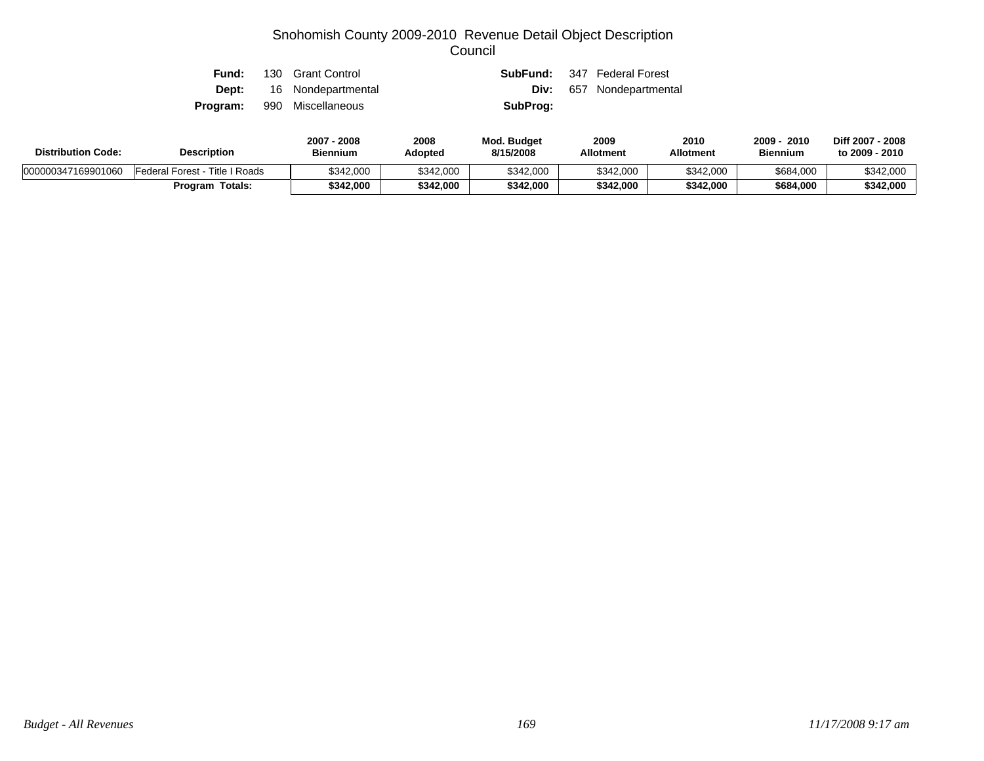| Fund:    | 130 Grant Control               |          | <b>SubFund:</b> 347 Federal Forest |
|----------|---------------------------------|----------|------------------------------------|
|          | <b>Dept:</b> 16 Nondepartmental | Div:     | 657 Nondepartmental                |
| Program: | 990 Miscellaneous               | SubProg: |                                    |

| <b>Distribution Code:</b> | <b>Description</b>             | $-2008$<br>$2007 -$<br><b>Biennium</b> | 2008<br>Adopted | <b>Mod. Budget</b><br>8/15/2008 | 2009<br><b>Allotment</b> | 2010<br><b>Allotment</b> | 2009<br>2010<br><b>Biennium</b> | Diff 2007 - 2008<br>to 2009 - 2010 |
|---------------------------|--------------------------------|----------------------------------------|-----------------|---------------------------------|--------------------------|--------------------------|---------------------------------|------------------------------------|
| 000000347169901060        | Federal Forest - Title I Roads | \$342,000                              | \$342,000       | \$342,000                       | \$342.000                | \$342,000                | \$684,000                       | \$342,000                          |
|                           | <b>Program Totals:</b>         | \$342,000                              | \$342,000       | \$342,000                       | \$342,000                | \$342.000                | \$684,000                       | \$342,000                          |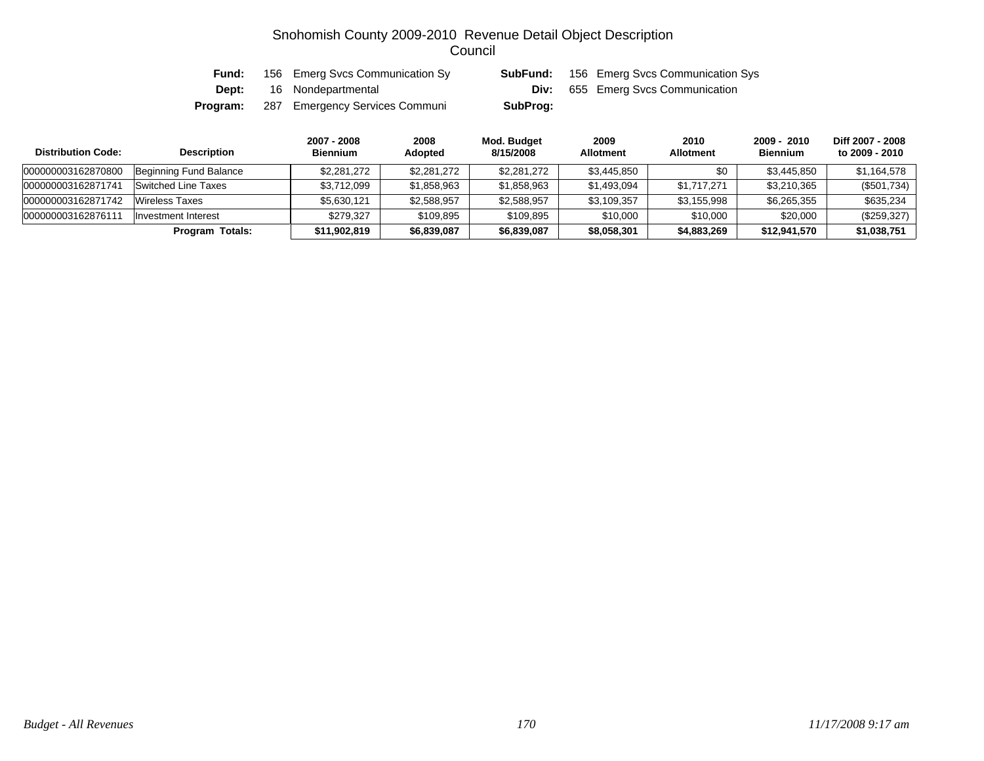| Fund:    | 156 Emerg Svcs Communication Sy | SubFund: | 156 Emerg Svcs Communication Sys         |
|----------|---------------------------------|----------|------------------------------------------|
| Dept:    | 16 Nondepartmental              |          | <b>Div:</b> 655 Emerg Svcs Communication |
| Program: | 287 Emergency Services Communi  | SubProg: |                                          |

| <b>Distribution Code:</b> | <b>Description</b>     | 2007 - 2008<br><b>Biennium</b> | 2008<br><b>Adopted</b> | Mod. Budget<br>8/15/2008 | 2009<br><b>Allotment</b> | 2010<br><b>Allotment</b> | 2009 - 2010<br><b>Biennium</b> | Diff 2007 - 2008<br>to 2009 - 2010 |
|---------------------------|------------------------|--------------------------------|------------------------|--------------------------|--------------------------|--------------------------|--------------------------------|------------------------------------|
| 000000003162870800        | Beginning Fund Balance | \$2,281,272                    | \$2,281,272            | \$2,281,272              | \$3,445,850              | \$0                      | \$3,445,850                    | \$1,164,578                        |
| 000000003162871741        | Switched Line Taxes    | \$3,712,099                    | \$1,858,963            | \$1,858,963              | \$1,493,094              | \$1,717,271              | \$3,210,365                    | (\$501,734)                        |
| 000000003162871742        | Wireless Taxes         | \$5,630,121                    | \$2,588,957            | \$2,588,957              | \$3,109,357              | \$3,155,998              | \$6,265,355                    | \$635,234                          |
| 000000003162876111        | Investment Interest    | \$279.327                      | \$109,895              | \$109,895                | \$10,000                 | \$10,000                 | \$20,000                       | (\$259,327)                        |
|                           | Program Totals:        | \$11,902,819                   | \$6,839,087            | \$6,839,087              | \$8,058,301              | \$4,883,269              | \$12,941,570                   | \$1,038,751                        |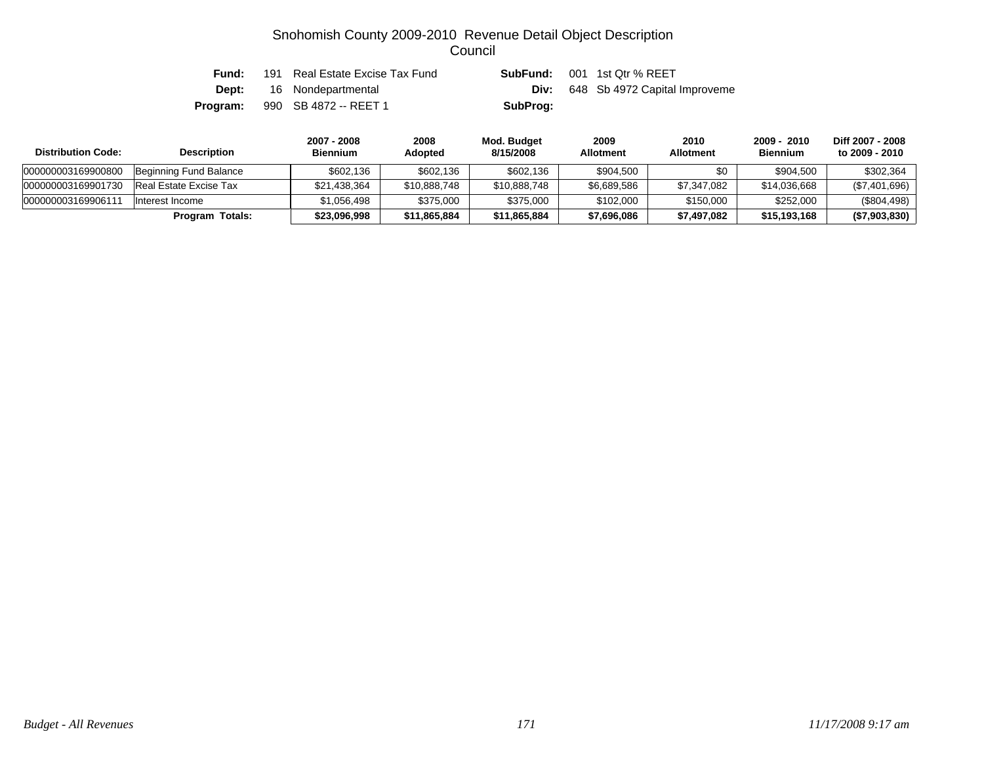| Fund:    | 191 Real Estate Excise Tax Fund |          | <b>SubFund:</b> 001 1st Qtr % REET        |
|----------|---------------------------------|----------|-------------------------------------------|
|          | <b>Dept:</b> 16 Nondepartmental |          | <b>Div:</b> 648 Sb 4972 Capital Improveme |
| Program: | 990 SB 4872 -- REET 1           | SubProg: |                                           |

| <b>Distribution Code:</b> | <b>Description</b>     | 2007 - 2008<br><b>Biennium</b> | 2008<br><b>Adopted</b> | Mod. Budget<br>8/15/2008 | 2009<br><b>Allotment</b> | 2010<br><b>Allotment</b> | 2009 - 2010<br><b>Biennium</b> | Diff 2007 - 2008<br>to 2009 - 2010 |
|---------------------------|------------------------|--------------------------------|------------------------|--------------------------|--------------------------|--------------------------|--------------------------------|------------------------------------|
| 000000003169900800        | Beginning Fund Balance | \$602.136                      | \$602,136              | \$602,136                | \$904,500                | \$0                      | \$904,500                      | \$302,364                          |
| 000000003169901730        | Real Estate Excise Tax | \$21,438,364                   | \$10,888,748           | \$10,888,748             | \$6,689,586              | \$7,347,082              | \$14.036.668                   | (\$7,401,696)                      |
| 00000000316990611         | Interest Income        | \$1.056.498                    | \$375,000              | \$375,000                | \$102,000                | \$150,000                | \$252,000                      | $(\$804,498)$                      |
|                           | Program Totals:        | \$23,096,998                   | \$11,865,884           | \$11,865,884             | \$7,696,086              | \$7,497,082              | \$15,193,168                   | (\$7,903,830)                      |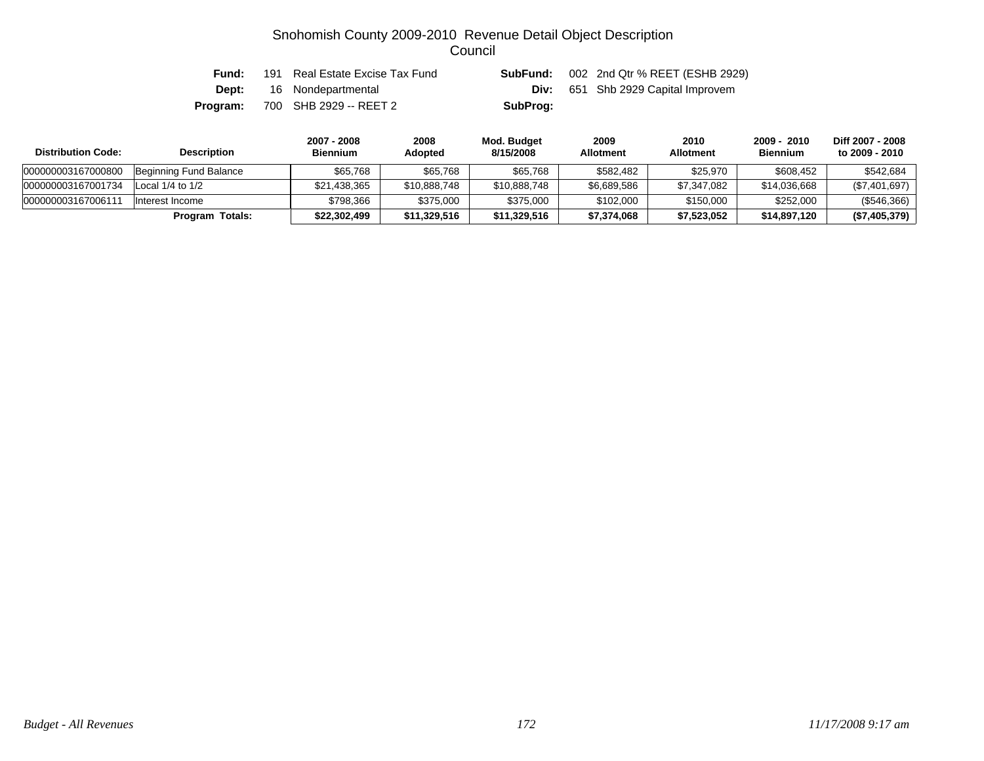| Fund:    | 191 Real Estate Excise Tax Fund | SubFund: | 002 2nd Qtr % REET (ESHB 2929)            |
|----------|---------------------------------|----------|-------------------------------------------|
| Dept:    | 16 Nondepartmental              |          | <b>Div:</b> 651 Shb 2929 Capital Improvem |
| Program: | 700 SHB 2929 -- REET 2          | SubProg: |                                           |

| <b>Distribution Code:</b> | <b>Description</b>     | 2007 - 2008<br><b>Biennium</b> | 2008<br><b>Adopted</b> | Mod. Budget<br>8/15/2008 | 2009<br><b>Allotment</b> | 2010<br><b>Allotment</b> | 2009 - 2010<br><b>Biennium</b> | Diff 2007 - 2008<br>to 2009 - 2010 |
|---------------------------|------------------------|--------------------------------|------------------------|--------------------------|--------------------------|--------------------------|--------------------------------|------------------------------------|
| 000000003167000800        | Beginning Fund Balance | \$65.768                       | \$65,768               | \$65,768                 | \$582.482                | \$25,970                 | \$608,452                      | \$542,684                          |
| 000000003167001734        | Local $1/4$ to $1/2$   | \$21,438,365                   | \$10,888,748           | \$10,888,748             | \$6,689,586              | \$7,347,082              | \$14,036,668                   | (\$7,401,697)                      |
| 00000000316700611         | Interest Income        | \$798.366                      | \$375,000              | \$375,000                | \$102,000                | \$150,000                | \$252,000                      | $(\$546,366)$                      |
|                           | Program Totals:        | \$22,302,499                   | \$11,329,516           | \$11,329,516             | \$7,374,068              | \$7,523,052              | \$14,897,120                   | (\$7,405,379)                      |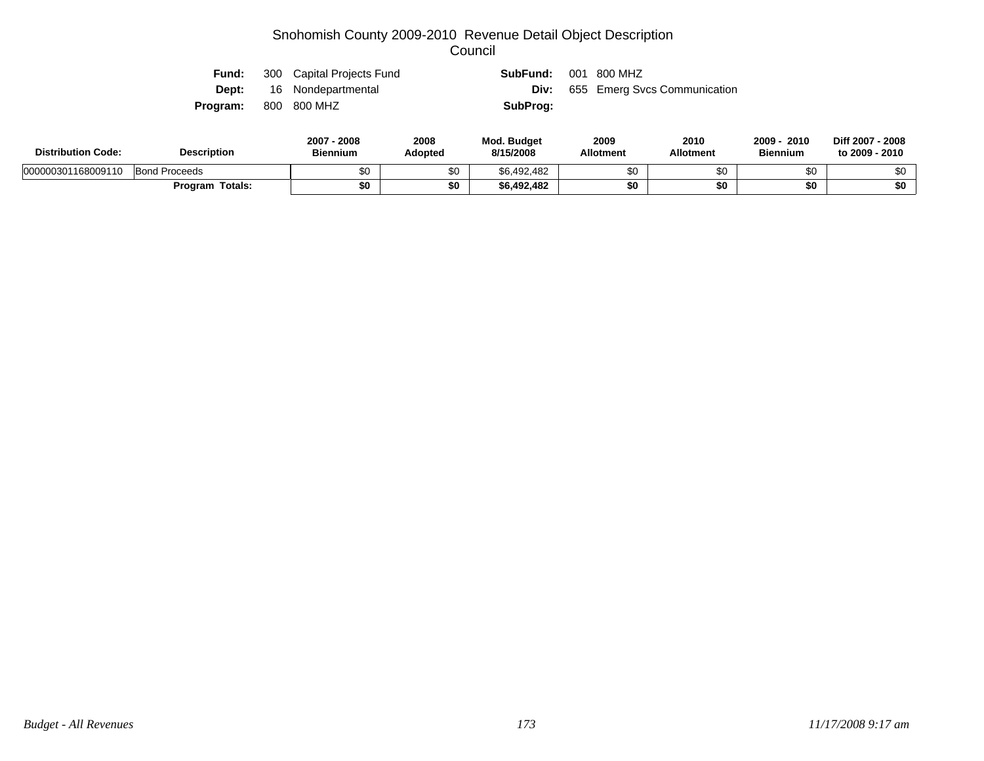| Fund:                       | 300 Capital Projects Fund | SubFund: | 001 800 MHZ                  |
|-----------------------------|---------------------------|----------|------------------------------|
| Dept:                       | 16 Nondepartmental        | Div:     | 655 Emerg Svcs Communication |
| <b>Program:</b> 800 800 MHZ |                           | SubProg: |                              |
|                             |                           |          |                              |

| <b>Distribution Code:</b> | <b>Description</b>   |          | 2008<br>Adopted | <b>Mod. Budget</b><br>8/15/2008 | 2009<br><b>Allotment</b> | 2010<br><b>Allotment</b> | 2009<br>2010<br><b>Biennium</b> | <b>Diff 2007</b><br>- 2008<br>to 2009 - 2010 |
|---------------------------|----------------------|----------|-----------------|---------------------------------|--------------------------|--------------------------|---------------------------------|----------------------------------------------|
| 000000301168009110        | <b>Bond Proceeds</b> | ሶሳ<br>Ψ∪ | \$0             | \$6,492,482                     |                          | ጦ                        | \$0                             | \$0                                          |
|                           | Totals:<br>Program   | \$0      | \$0             | \$6,492,482                     |                          | \$0                      | \$0                             | \$0                                          |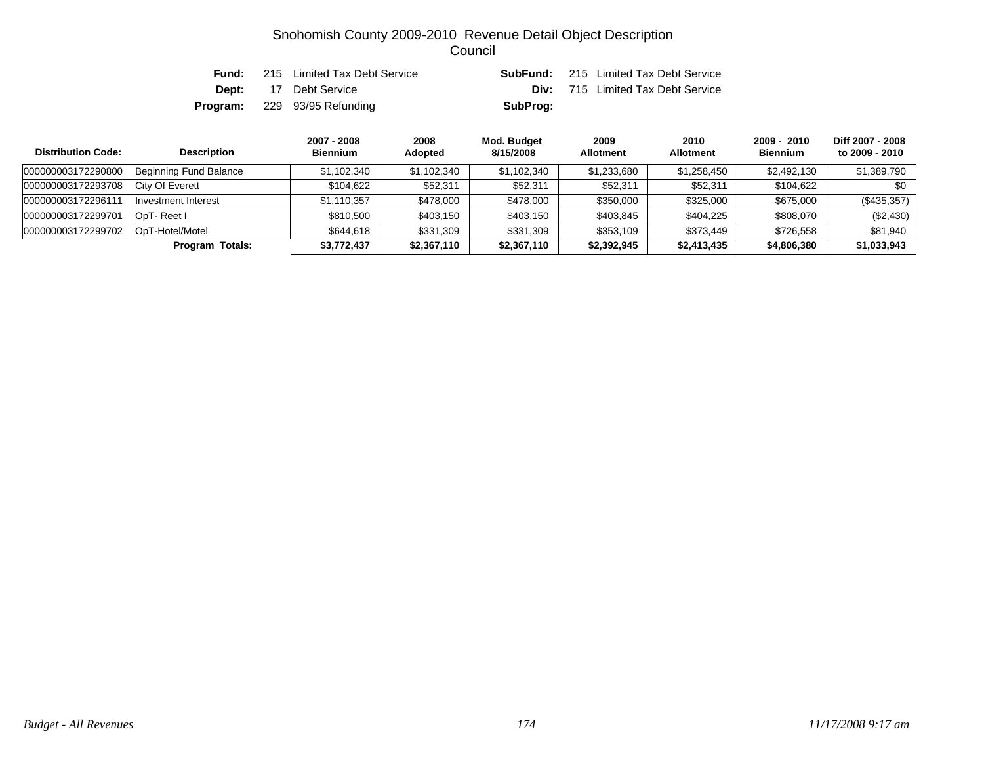| Fund: | 215 Limited Tax Debt Service        |          | <b>SubFund:</b> 215 Limited Tax Debt Service |
|-------|-------------------------------------|----------|----------------------------------------------|
|       | <b>Dept:</b> 17 Debt Service        |          | <b>Div:</b> 715 Limited Tax Debt Service     |
|       | <b>Program:</b> 229 93/95 Refunding | SubProg: |                                              |

| <b>Distribution Code:</b> | <b>Description</b>     | 2007 - 2008<br><b>Biennium</b> | 2008<br>Adopted | Mod. Budget<br>8/15/2008 | 2009<br><b>Allotment</b> | 2010<br><b>Allotment</b> | $2009 - 2010$<br><b>Biennium</b> | Diff 2007 - 2008<br>to 2009 - 2010 |
|---------------------------|------------------------|--------------------------------|-----------------|--------------------------|--------------------------|--------------------------|----------------------------------|------------------------------------|
| 000000003172290800        | Beginning Fund Balance | \$1,102,340                    | \$1,102,340     | \$1,102,340              | \$1,233,680              | \$1,258,450              | \$2,492,130                      | \$1,389,790                        |
| 000000003172293708        | City Of Everett        | \$104.622                      | \$52,311        | \$52,311                 | \$52,311                 | \$52,311                 | \$104.622                        | \$0                                |
| 000000003172296111        | Investment Interest    | \$1,110,357                    | \$478,000       | \$478,000                | \$350,000                | \$325,000                | \$675,000                        | $(\$435,357)$                      |
| 000000003172299701        | OpT-Reet I             | \$810.500                      | \$403,150       | \$403,150                | \$403,845                | \$404,225                | \$808,070                        | (\$2,430)                          |
| 000000003172299702        | OpT-Hotel/Motel        | \$644.618                      | \$331,309       | \$331,309                | \$353,109                | \$373,449                | \$726,558                        | \$81.940                           |
|                           | <b>Program Totals:</b> | \$3,772,437                    | \$2,367,110     | \$2,367,110              | \$2,392,945              | \$2,413,435              | \$4,806,380                      | \$1,033,943                        |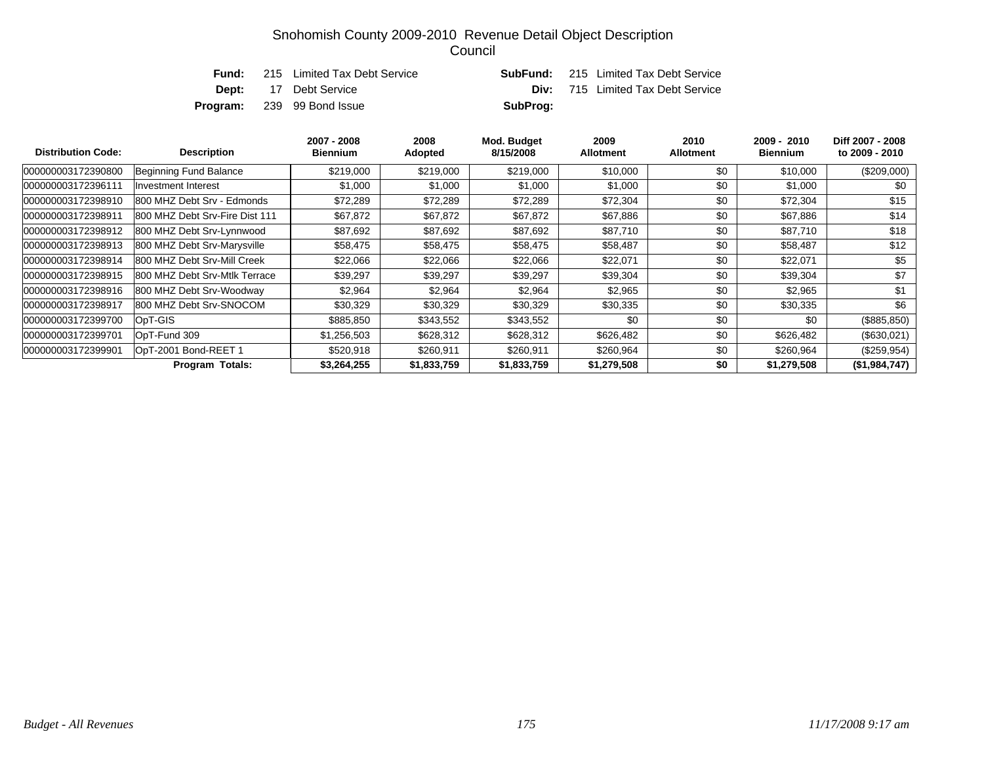| Fund: | 215 Limited Tax Debt Service      |          | <b>SubFund:</b> 215 Limited Tax Debt Service |
|-------|-----------------------------------|----------|----------------------------------------------|
|       | <b>Dept:</b> 17 Debt Service      |          | <b>Div:</b> 715 Limited Tax Debt Service     |
|       | <b>Program:</b> 239 99 Bond Issue | SubProg: |                                              |

| <b>Distribution Code:</b> | <b>Description</b>             | 2007 - 2008<br><b>Biennium</b> | 2008<br>Adopted | Mod. Budget<br>8/15/2008 | 2009<br><b>Allotment</b> | 2010<br><b>Allotment</b> | 2009 - 2010<br>Biennium | Diff 2007 - 2008<br>to 2009 - 2010 |
|---------------------------|--------------------------------|--------------------------------|-----------------|--------------------------|--------------------------|--------------------------|-------------------------|------------------------------------|
| 000000003172390800        | Beginning Fund Balance         | \$219,000                      | \$219,000       | \$219,000                | \$10,000                 | \$0                      | \$10,000                | (\$209,000)                        |
| 000000003172396111        | <b>Investment Interest</b>     | \$1,000                        | \$1,000         | \$1,000                  | \$1,000                  | \$0                      | \$1,000                 | \$0                                |
| 000000003172398910        | 800 MHZ Debt Srv - Edmonds     | \$72,289                       | \$72,289        | \$72,289                 | \$72,304                 | \$0                      | \$72,304                | \$15                               |
| 000000003172398911        | 800 MHZ Debt Srv-Fire Dist 111 | \$67,872                       | \$67,872        | \$67,872                 | \$67,886                 | \$0                      | \$67,886                | \$14                               |
| 000000003172398912        | 800 MHZ Debt Srv-Lynnwood      | \$87,692                       | \$87,692        | \$87,692                 | \$87,710                 | \$0                      | \$87,710                | \$18                               |
| 000000003172398913        | 800 MHZ Debt Srv-Marysville    | \$58,475                       | \$58,475        | \$58,475                 | \$58,487                 | \$0                      | \$58,487                | \$12                               |
| 000000003172398914        | 800 MHZ Debt Srv-Mill Creek    | \$22,066                       | \$22,066        | \$22,066                 | \$22,071                 | \$0                      | \$22,071                | \$5                                |
| 000000003172398915        | 800 MHZ Debt Srv-Mtlk Terrace  | \$39,297                       | \$39,297        | \$39,297                 | \$39,304                 | \$0                      | \$39,304                | \$7                                |
| 000000003172398916        | 800 MHZ Debt Srv-Woodway       | \$2,964                        | \$2,964         | \$2,964                  | \$2,965                  | \$0                      | \$2,965                 | \$1                                |
| 000000003172398917        | 800 MHZ Debt Srv-SNOCOM        | \$30,329                       | \$30,329        | \$30,329                 | \$30,335                 | \$0                      | \$30,335                | \$6                                |
| 000000003172399700        | OpT-GIS                        | \$885,850                      | \$343,552       | \$343,552                | \$0                      | \$0                      | \$0                     | (\$885, 850)                       |
| 000000003172399701        | OpT-Fund 309                   | \$1,256,503                    | \$628,312       | \$628,312                | \$626,482                | \$0                      | \$626,482               | (\$630,021)                        |
| 000000003172399901        | OpT-2001 Bond-REET 1           | \$520,918                      | \$260,911       | \$260,911                | \$260,964                | \$0                      | \$260,964               | (\$259,954)                        |
|                           | <b>Program Totals:</b>         | \$3,264,255                    | \$1,833,759     | \$1,833,759              | \$1,279,508              | \$0                      | \$1,279,508             | (\$1,984,747)                      |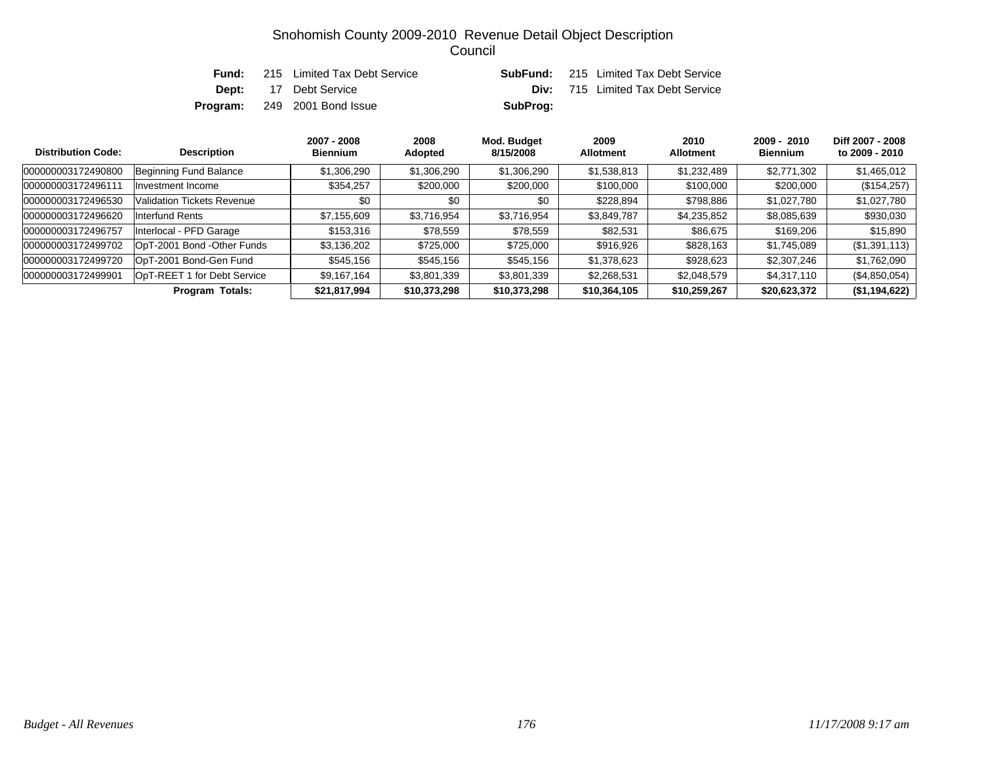| Fund: | 215 Limited Tax Debt Service        |          | <b>SubFund:</b> 215 Limited Tax Debt Service |
|-------|-------------------------------------|----------|----------------------------------------------|
|       | <b>Dept:</b> 17 Debt Service        |          | <b>Div:</b> 715 Limited Tax Debt Service     |
|       | <b>Program:</b> 249 2001 Bond Issue | SubProg: |                                              |

| <b>Distribution Code:</b> | <b>Description</b>                | 2007 - 2008<br><b>Biennium</b> | 2008<br>Adopted | Mod. Budget<br>8/15/2008 | 2009<br><b>Allotment</b> | 2010<br><b>Allotment</b> | $2009 - 2010$<br><b>Biennium</b> | Diff 2007 - 2008<br>to 2009 - 2010 |
|---------------------------|-----------------------------------|--------------------------------|-----------------|--------------------------|--------------------------|--------------------------|----------------------------------|------------------------------------|
| 000000003172490800        | Beginning Fund Balance            | \$1,306,290                    | \$1,306,290     | \$1,306,290              | \$1,538,813              | \$1,232,489              | \$2,771,302                      | \$1,465,012                        |
| 000000003172496111        | Investment Income                 | \$354,257                      | \$200,000       | \$200,000                | \$100,000                | \$100,000                | \$200,000                        | (\$154, 257)                       |
| 000000003172496530        | <b>Validation Tickets Revenue</b> | \$0                            | \$0             | \$0                      | \$228,894                | \$798,886                | \$1,027,780                      | \$1,027,780                        |
| 000000003172496620        | Interfund Rents                   | \$7,155,609                    | \$3,716,954     | \$3,716,954              | \$3,849,787              | \$4,235,852              | \$8,085,639                      | \$930,030                          |
| 000000003172496757        | Interlocal - PFD Garage           | \$153.316                      | \$78,559        | \$78,559                 | \$82,531                 | \$86,675                 | \$169,206                        | \$15,890                           |
| 000000003172499702        | OpT-2001 Bond -Other Funds        | \$3,136,202                    | \$725,000       | \$725,000                | \$916,926                | \$828,163                | \$1,745,089                      | (\$1,391,113)                      |
| 000000003172499720        | OpT-2001 Bond-Gen Fund            | \$545,156                      | \$545,156       | \$545,156                | \$1,378,623              | \$928,623                | \$2,307,246                      | \$1,762,090                        |
| 000000003172499901        | OpT-REET 1 for Debt Service       | \$9,167,164                    | \$3,801,339     | \$3,801,339              | \$2,268,531              | \$2,048,579              | \$4,317,110                      | (\$4,850,054)                      |
|                           | <b>Program Totals:</b>            | \$21,817,994                   | \$10,373,298    | \$10,373,298             | \$10,364,105             | \$10,259,267             | \$20,623,372                     | (\$1,194,622)                      |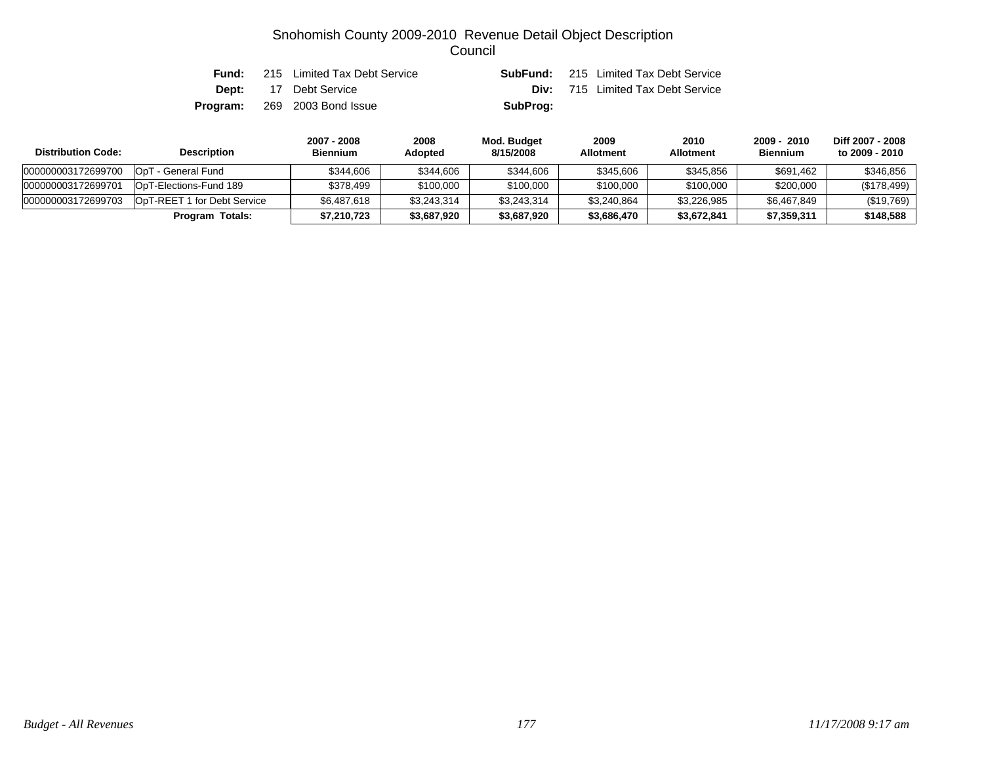| Fund: | 215 Limited Tax Debt Service        |          | <b>SubFund:</b> 215 Limited Tax Debt Service |
|-------|-------------------------------------|----------|----------------------------------------------|
|       | <b>Dept:</b> 17 Debt Service        |          | <b>Div:</b> 715 Limited Tax Debt Service     |
|       | <b>Program:</b> 269 2003 Bond Issue | SubProg: |                                              |

| <b>Distribution Code:</b> | <b>Description</b>                 | 2007 - 2008<br><b>Biennium</b> | 2008<br>Adopted | Mod. Budget<br>8/15/2008 | 2009<br><b>Allotment</b> | 2010<br><b>Allotment</b> | 2009 - 2010<br><b>Biennium</b> | Diff 2007 - 2008<br>to 2009 - 2010 |
|---------------------------|------------------------------------|--------------------------------|-----------------|--------------------------|--------------------------|--------------------------|--------------------------------|------------------------------------|
| 000000003172699700        | OpT<br><sup>-</sup> - General Fund | \$344.606                      | \$344,606       | \$344,606                | \$345,606                | \$345.856                | \$691.462                      | \$346,856                          |
| 000000003172699701        | OpT-Elections-Fund 189             | \$378.499                      | \$100,000       | \$100,000                | \$100,000                | \$100,000                | \$200,000                      | (\$178,499)                        |
| 000000003172699703        | OpT-REET 1 for Debt Service        | \$6,487,618                    | \$3,243,314     | \$3,243,314              | \$3,240,864              | \$3,226,985              | \$6,467,849                    | (\$19,769)                         |
|                           | Program Totals:                    | \$7,210,723                    | \$3,687,920     | \$3,687,920              | \$3,686,470              | \$3,672,841              | \$7,359,311                    | \$148,588                          |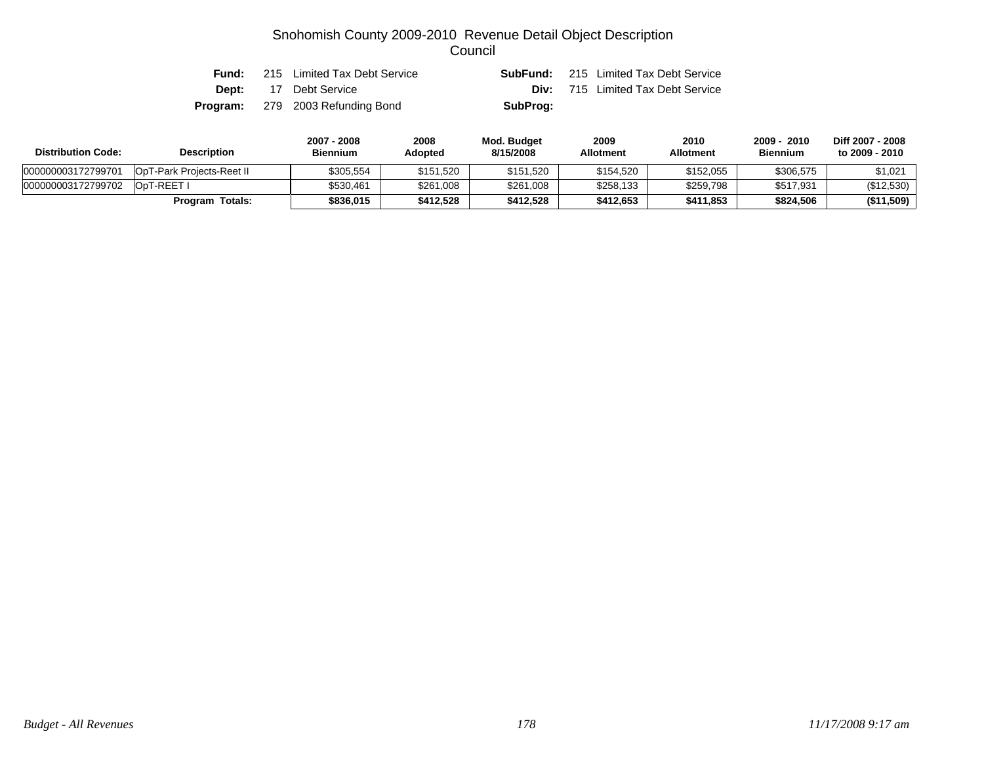| Fund: | 215 Limited Tax Debt Service            |          | <b>SubFund:</b> 215 Limited Tax Debt Service |
|-------|-----------------------------------------|----------|----------------------------------------------|
|       | <b>Dept:</b> 17 Debt Service            |          | <b>Div:</b> 715 Limited Tax Debt Service     |
|       | <b>Program:</b> 279 2003 Refunding Bond | SubProg: |                                              |

| <b>Distribution Code:</b> | <b>Description</b>               | 2007 - 2008<br><b>Biennium</b> | 2008<br>Adopted | Mod. Budget<br>8/15/2008 | 2009<br><b>Allotment</b> | 2010<br><b>Allotment</b> | $-2010$<br>$2009 -$<br><b>Biennium</b> | Diff 2007 - 2008<br>to 2009 - 2010 |
|---------------------------|----------------------------------|--------------------------------|-----------------|--------------------------|--------------------------|--------------------------|----------------------------------------|------------------------------------|
| 000000003172799701        | <b>OpT-Park Projects-Reet II</b> | \$305.554                      | \$151,520       | \$151,520                | \$154,520                | \$152,055                | \$306,575                              | \$1,021                            |
| 000000003172799702        | OpT-REET I                       | \$530,461                      | \$261,008       | \$261,008                | \$258,133                | \$259,798                | \$517,931                              | (\$12,530)                         |
|                           | <b>Program Totals:</b>           | \$836,015                      | \$412,528       | \$412.528                | \$412.653                | \$411.853                | \$824,506                              | (\$11,509)                         |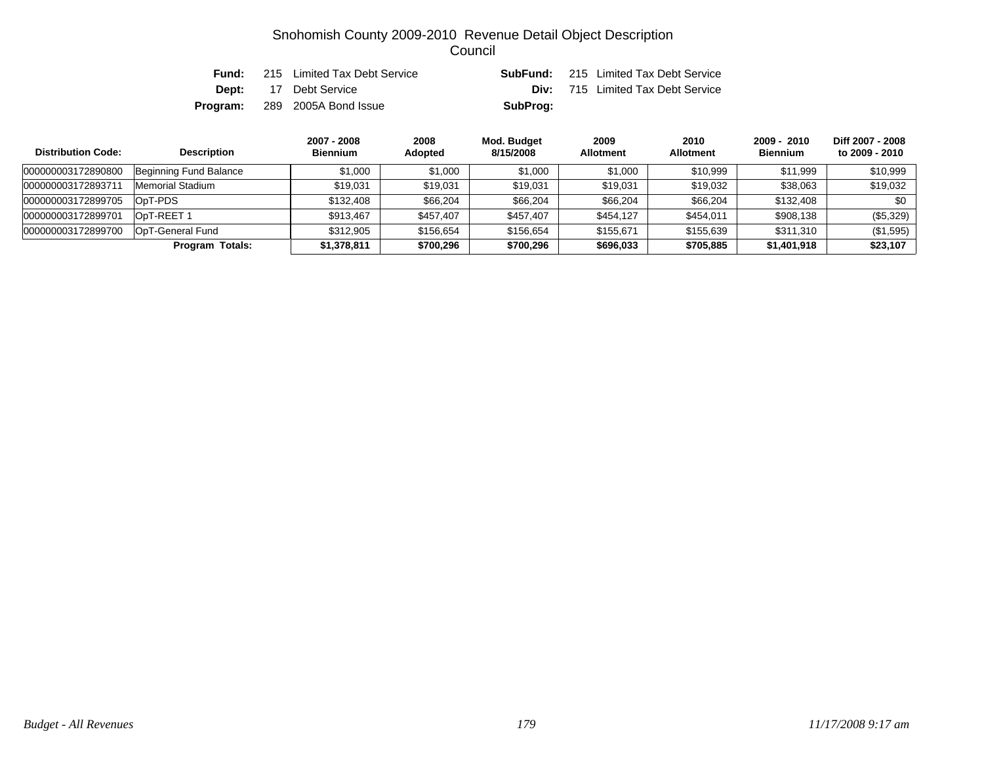| Fund: | 215 Limited Tax Debt Service         |          | <b>SubFund:</b> 215 Limited Tax Debt Service |
|-------|--------------------------------------|----------|----------------------------------------------|
|       | <b>Dept:</b> 17 Debt Service         |          | <b>Div:</b> 715 Limited Tax Debt Service     |
|       | <b>Program:</b> 289 2005A Bond Issue | SubProg: |                                              |

| <b>Distribution Code:</b> | <b>Description</b>     | 2007 - 2008<br><b>Biennium</b> | 2008<br>Adopted | Mod. Budget<br>8/15/2008 | 2009<br><b>Allotment</b> | 2010<br><b>Allotment</b> | $2009 - 2010$<br><b>Biennium</b> | Diff 2007 - 2008<br>to 2009 - 2010 |
|---------------------------|------------------------|--------------------------------|-----------------|--------------------------|--------------------------|--------------------------|----------------------------------|------------------------------------|
| 000000003172890800        | Beginning Fund Balance | \$1,000                        | \$1,000         | \$1,000                  | \$1,000                  | \$10,999                 | \$11,999                         | \$10,999                           |
| 000000003172893711        | Memorial Stadium       | \$19.031                       | \$19.031        | \$19.031                 | \$19,031                 | \$19,032                 | \$38,063                         | \$19,032                           |
| 000000003172899705        | OpT-PDS                | \$132,408                      | \$66,204        | \$66,204                 | \$66,204                 | \$66,204                 | \$132,408                        | \$0                                |
| 000000003172899701        | OpT-REET 1             | \$913,467                      | \$457,407       | \$457,407                | \$454,127                | \$454,011                | \$908,138                        | (\$5,329)                          |
| 000000003172899700        | OpT-General Fund       | \$312.905                      | \$156,654       | \$156,654                | \$155,671                | \$155,639                | \$311,310                        | (\$1,595)                          |
|                           | <b>Program Totals:</b> | \$1,378,811                    | \$700,296       | \$700,296                | \$696,033                | \$705,885                | \$1,401,918                      | \$23,107                           |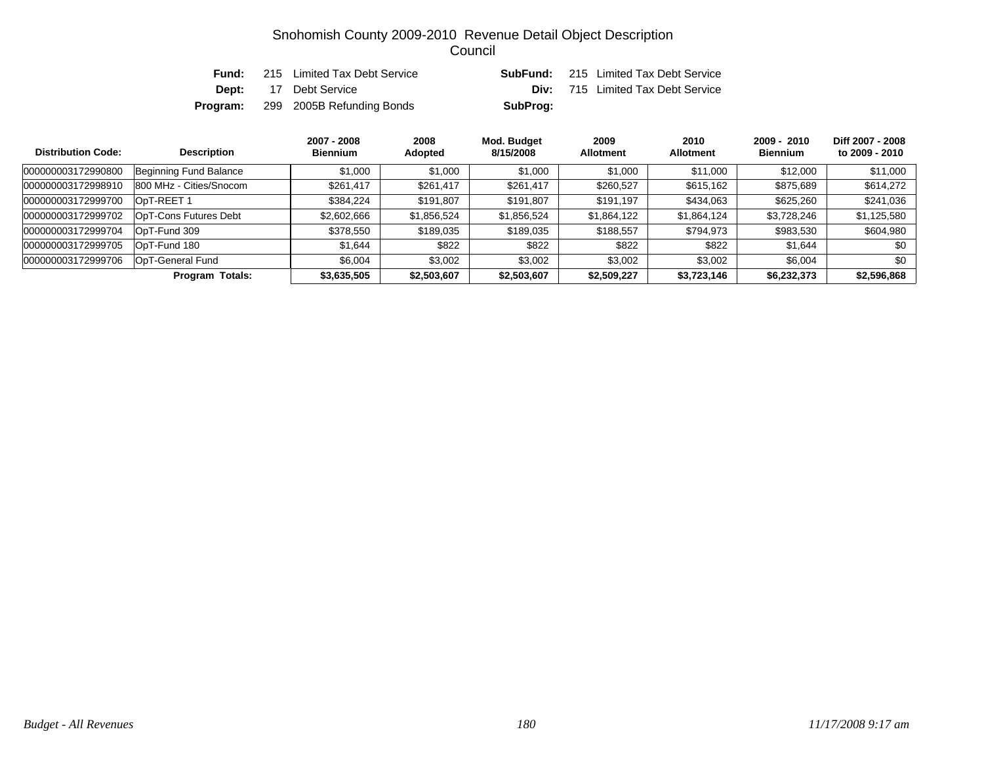| Fund: | 215 Limited Tax Debt Service              |          | <b>SubFund:</b> 215 Limited Tax Debt Service |
|-------|-------------------------------------------|----------|----------------------------------------------|
|       | <b>Dept:</b> 17 Debt Service              |          | <b>Div:</b> 715 Limited Tax Debt Service     |
|       | <b>Program:</b> 299 2005B Refunding Bonds | SubProg: |                                              |

| <b>Distribution Code:</b> | <b>Description</b>      | 2007 - 2008<br><b>Biennium</b> | 2008<br>Adopted | Mod. Budget<br>8/15/2008 | 2009<br><b>Allotment</b> | 2010<br><b>Allotment</b> | $2009 - 2010$<br><b>Biennium</b> | Diff 2007 - 2008<br>to 2009 - 2010 |
|---------------------------|-------------------------|--------------------------------|-----------------|--------------------------|--------------------------|--------------------------|----------------------------------|------------------------------------|
| 000000003172990800        | Beginning Fund Balance  | \$1,000                        | \$1,000         | \$1,000                  | \$1,000                  | \$11.000                 | \$12,000                         | \$11,000                           |
| 000000003172998910        | 800 MHz - Cities/Snocom | \$261,417                      | \$261,417       | \$261,417                | \$260,527                | \$615,162                | \$875,689                        | \$614,272                          |
| 000000003172999700        | OpT-REET 1              | \$384,224                      | \$191,807       | \$191,807                | \$191,197                | \$434,063                | \$625,260                        | \$241,036                          |
| 000000003172999702        | OpT-Cons Futures Debt   | \$2,602,666                    | \$1,856,524     | \$1,856,524              | \$1,864,122              | \$1,864,124              | \$3,728,246                      | \$1,125,580                        |
| 000000003172999704        | OpT-Fund 309            | \$378,550                      | \$189,035       | \$189,035                | \$188,557                | \$794,973                | \$983,530                        | \$604,980                          |
| 000000003172999705        | OpT-Fund 180            | \$1,644                        | \$822           | \$822                    | \$822                    | \$822                    | \$1,644                          | \$0                                |
| 000000003172999706        | OpT-General Fund        | \$6,004                        | \$3,002         | \$3,002                  | \$3,002                  | \$3,002                  | \$6,004                          | \$0                                |
|                           | Program Totals:         | \$3,635,505                    | \$2,503,607     | \$2,503,607              | \$2,509,227              | \$3,723,146              | \$6,232,373                      | \$2,596,868                        |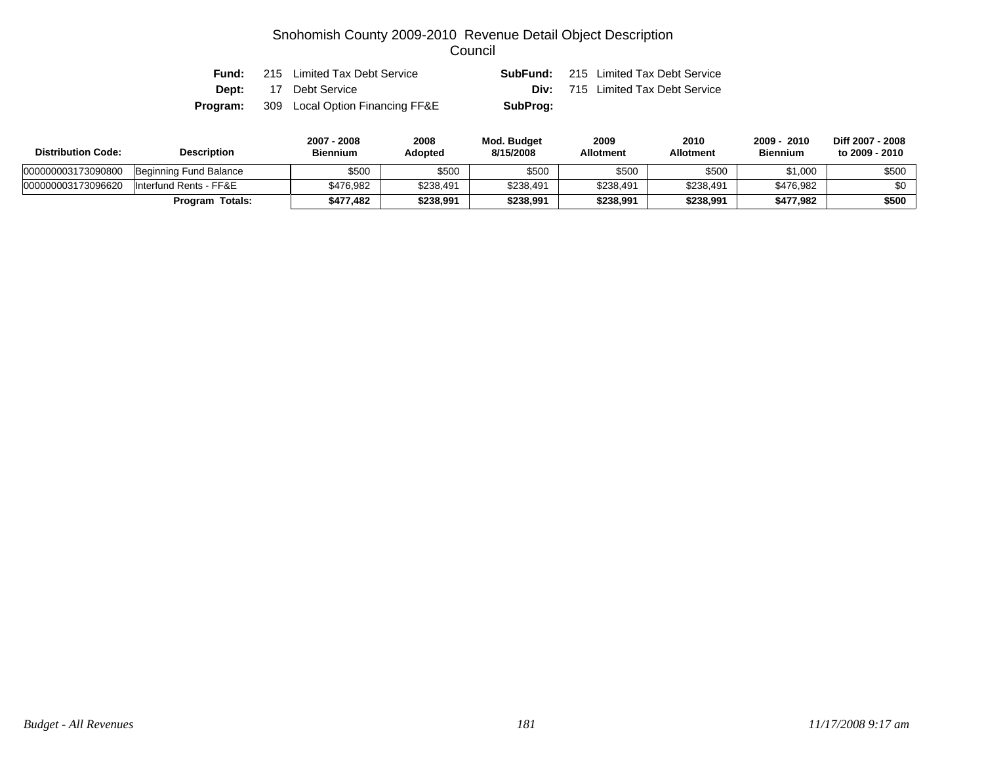| Fund: | 215 Limited Tax Debt Service                    |          | <b>SubFund:</b> 215 Limited Tax Debt Service |
|-------|-------------------------------------------------|----------|----------------------------------------------|
|       | <b>Dept:</b> 17 Debt Service                    |          | <b>Div:</b> 715 Limited Tax Debt Service     |
|       | <b>Program:</b> 309 Local Option Financing FF&E | SubProg: |                                              |

| <b>Distribution Code:</b> | <b>Description</b>     | 2007 - 2008<br>Biennium | 2008<br>Adopted | Mod. Budget<br>8/15/2008 | 2009<br><b>Allotment</b> | 2010<br><b>Allotment</b> | 2009 - 2010<br><b>Biennium</b> | Diff 2007 - 2008<br>to 2009 - 2010 |
|---------------------------|------------------------|-------------------------|-----------------|--------------------------|--------------------------|--------------------------|--------------------------------|------------------------------------|
| 000000003173090800        | Beginning Fund Balance | \$500                   | \$500           | \$500                    | \$500                    | \$500                    | \$1,000                        | \$500                              |
| 000000003173096620        | Interfund Rents - FF&E | \$476.982               | \$238.491       | \$238,491                | \$238.491                | \$238,491                | \$476.982                      | \$0                                |
|                           | <b>Program Totals:</b> | \$477.482               | \$238,991       | \$238,991                | \$238.991                | \$238,991                | \$477.982                      | $$500$                             |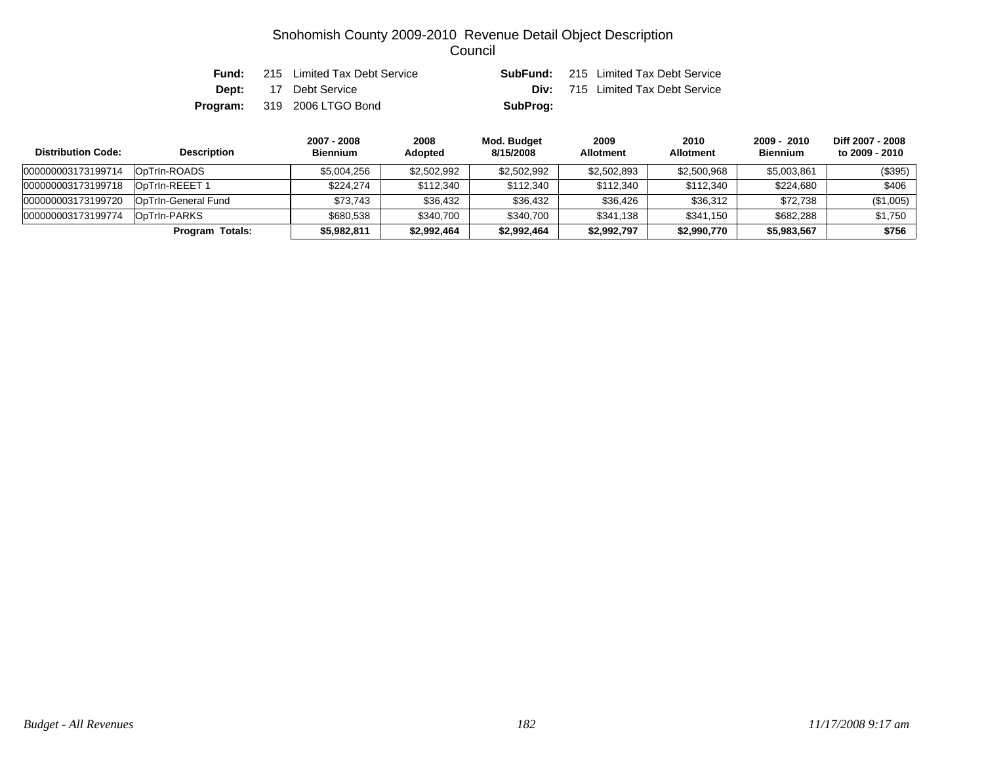| Fund: | 215 Limited Tax Debt Service       |          | <b>SubFund:</b> 215 Limited Tax Debt Service |
|-------|------------------------------------|----------|----------------------------------------------|
|       | <b>Dept:</b> 17 Debt Service       |          | <b>Div:</b> 715 Limited Tax Debt Service     |
|       | <b>Program:</b> 319 2006 LTGO Bond | SubProg: |                                              |

| <b>Distribution Code:</b> | <b>Description</b>         | 2007 - 2008<br><b>Biennium</b> | 2008<br><b>Adopted</b> | Mod. Budget<br>8/15/2008 | 2009<br><b>Allotment</b> | 2010<br><b>Allotment</b> | 2009 - 2010<br><b>Biennium</b> | Diff 2007 - 2008<br>to 2009 - 2010 |
|---------------------------|----------------------------|--------------------------------|------------------------|--------------------------|--------------------------|--------------------------|--------------------------------|------------------------------------|
| 000000003173199714        | OpTrin-ROADS               | \$5.004.256                    | \$2,502,992            | \$2,502,992              | \$2,502,893              | \$2,500,968              | \$5,003,861                    | (\$395)                            |
| 000000003173199718        | OpTrin-REEET 1             | \$224.274                      | \$112,340              | \$112,340                | \$112,340                | \$112,340                | \$224.680                      | \$406                              |
| 000000003173199720        | <b>OpTrin-General Fund</b> | \$73.743                       | \$36,432               | \$36,432                 | \$36,426                 | \$36.312                 | \$72,738                       | (\$1,005)                          |
| 000000003173199774        | OpTrin-PARKS               | \$680.538                      | \$340,700              | \$340,700                | \$341.138                | \$341,150                | \$682,288                      | \$1,750                            |
|                           | Program Totals:            | \$5,982,811                    | \$2,992,464            | \$2,992,464              | \$2,992,797              | \$2,990,770              | \$5,983,567                    | \$756                              |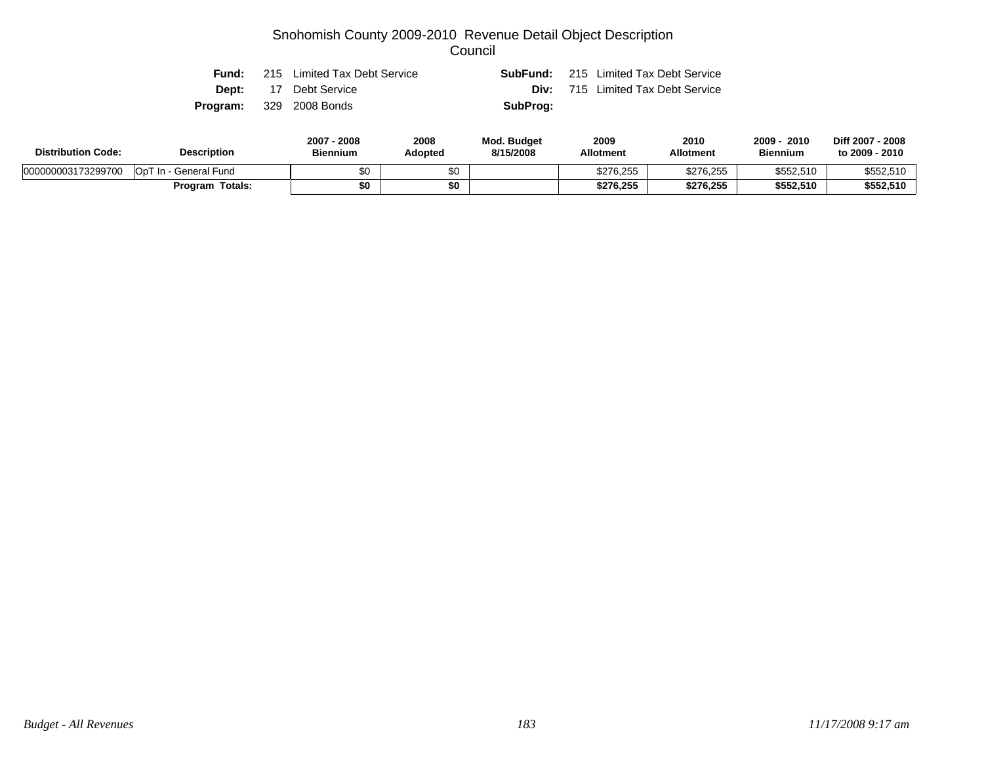|              | 2007 - 2008                    | 2008 | Mod Budget | 2009 | 2010                                         | $2009 - 2010$ |
|--------------|--------------------------------|------|------------|------|----------------------------------------------|---------------|
|              | <b>Program:</b> 329 2008 Bonds |      | SubProg:   |      |                                              |               |
| <b>Dept:</b> | 17 Debt Service                |      | Div:       |      | 715 Limited Tax Debt Service                 |               |
| Fund:        | 215 Limited Tax Debt Service   |      |            |      | <b>SubFund:</b> 215 Limited Tax Debt Service |               |

| <b>Distribution Code:</b> | <b>Description</b>     | $2007 -$<br>2008<br><b>Biennium</b> | 2008<br>Adopted | <b>Mod. Budget</b><br>8/15/2008 | 2009<br><b>Allotment</b> | 2010<br><b>Allotment</b> | 2010<br>$2009 -$<br><b>Biennium</b> | Diff 2007 - 2008<br>to 2009 - 2010 |
|---------------------------|------------------------|-------------------------------------|-----------------|---------------------------------|--------------------------|--------------------------|-------------------------------------|------------------------------------|
| 000000003173299700        | OpT In - General Fund  | \$0                                 | \$0             |                                 | \$276,255                | \$276,255                | \$552,510                           | \$552,510                          |
|                           | <b>Program Totals:</b> | \$0                                 | \$0             |                                 | \$276,255                | \$276,255                | \$552,510                           | \$552,510                          |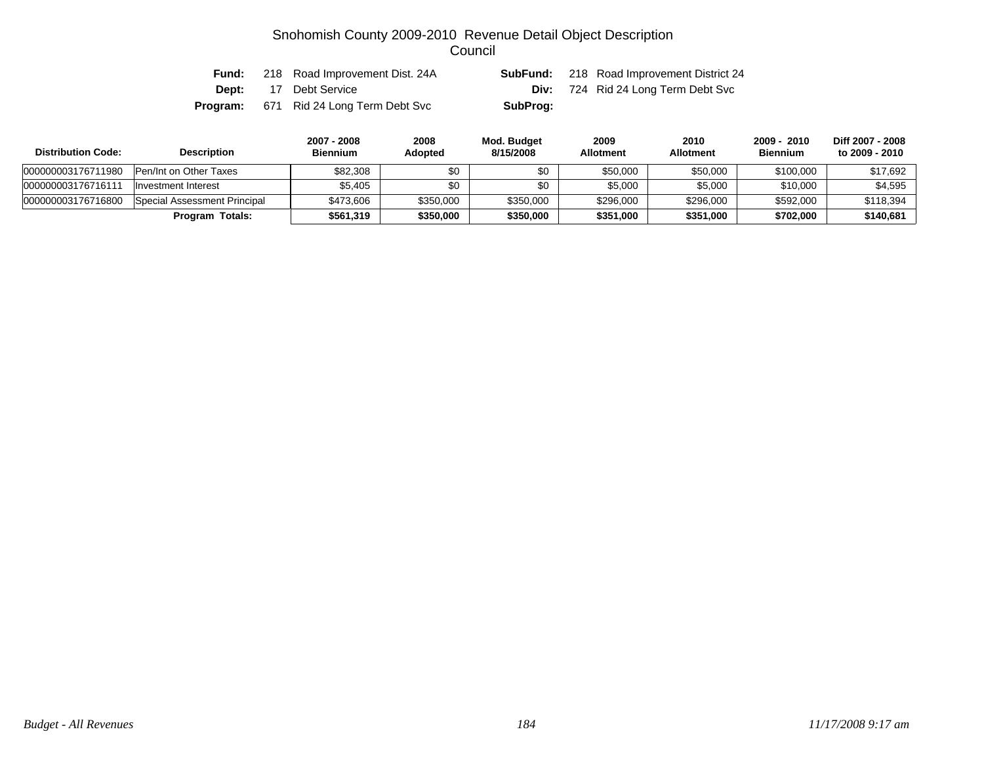| Fund: | 218 Road Improvement Dist. 24A                |          | <b>SubFund:</b> 218 Road Improvement District 24 |
|-------|-----------------------------------------------|----------|--------------------------------------------------|
| Dept: | 17 Debt Service                               |          | <b>Div:</b> 724 Rid 24 Long Term Debt Svc        |
|       | <b>Program:</b> 671 Rid 24 Long Term Debt Svc | SubProg: |                                                  |

| <b>Distribution Code:</b> | <b>Description</b>           | 2007 - 2008<br><b>Biennium</b> | 2008<br>Adopted | Mod. Budget<br>8/15/2008 | 2009<br><b>Allotment</b> | 2010<br><b>Allotment</b> | 2009 - 2010<br><b>Biennium</b> | Diff 2007 - 2008<br>to 2009 - 2010 |
|---------------------------|------------------------------|--------------------------------|-----------------|--------------------------|--------------------------|--------------------------|--------------------------------|------------------------------------|
| 000000003176711980        | Pen/Int on Other Taxes       | \$82,308                       | \$0             | \$0                      | \$50,000                 | \$50,000                 | \$100,000                      | \$17,692                           |
| 00000000317671611         | Investment Interest          | \$5.405                        | \$0             |                          | \$5,000                  | \$5,000                  | \$10,000                       | \$4,595                            |
| 000000003176716800        | Special Assessment Principal | \$473.606                      | \$350,000       | \$350,000                | \$296,000                | \$296,000                | \$592,000                      | \$118.394                          |
|                           | Program Totals:              | \$561.319                      | \$350,000       | \$350,000                | \$351,000                | \$351,000                | \$702,000                      | \$140,681                          |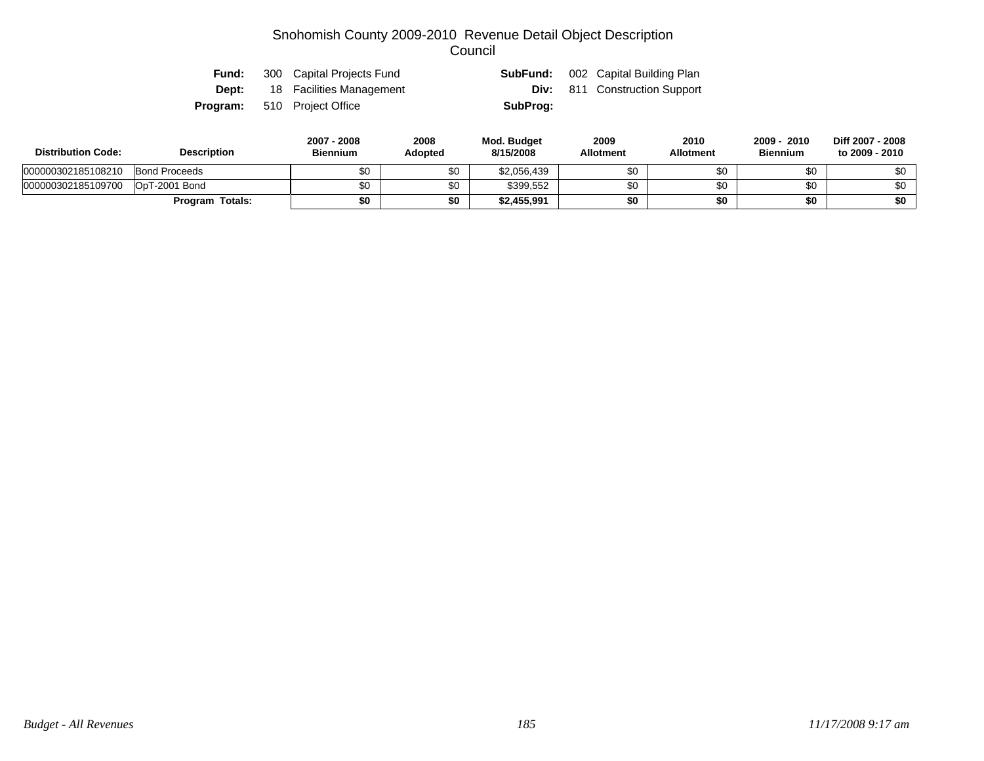| Fund: | 300 Capital Projects Fund             |          | <b>SubFund:</b> 002 Capital Building Plan |
|-------|---------------------------------------|----------|-------------------------------------------|
|       | <b>Dept:</b> 18 Facilities Management |          | <b>Div:</b> 811 Construction Support      |
|       | <b>Program:</b> 510 Project Office    | SubProg: |                                           |

| <b>Distribution Code:</b> | <b>Description</b>     | 2007 - 2008<br><b>Biennium</b> | 2008<br><b>Adopted</b> | Mod. Budget<br>8/15/2008 | 2009<br><b>Allotment</b> | 2010<br>Allotment | 2009 - 2010<br><b>Biennium</b> | Diff 2007 - 2008<br>to 2009 - 2010 |
|---------------------------|------------------------|--------------------------------|------------------------|--------------------------|--------------------------|-------------------|--------------------------------|------------------------------------|
| 000000302185108210        | <b>Bond Proceeds</b>   | \$0                            | \$0                    | \$2,056,439              | \$0                      |                   | \$0                            | ፍስ                                 |
| 000000302185109700        | OpT-2001 Bond          | \$0                            | \$0                    | \$399.552                | \$0                      |                   | \$0                            | \$0                                |
|                           | <b>Program Totals:</b> | \$0                            | \$0                    | \$2,455,991              | \$0                      |                   | \$0                            | \$0                                |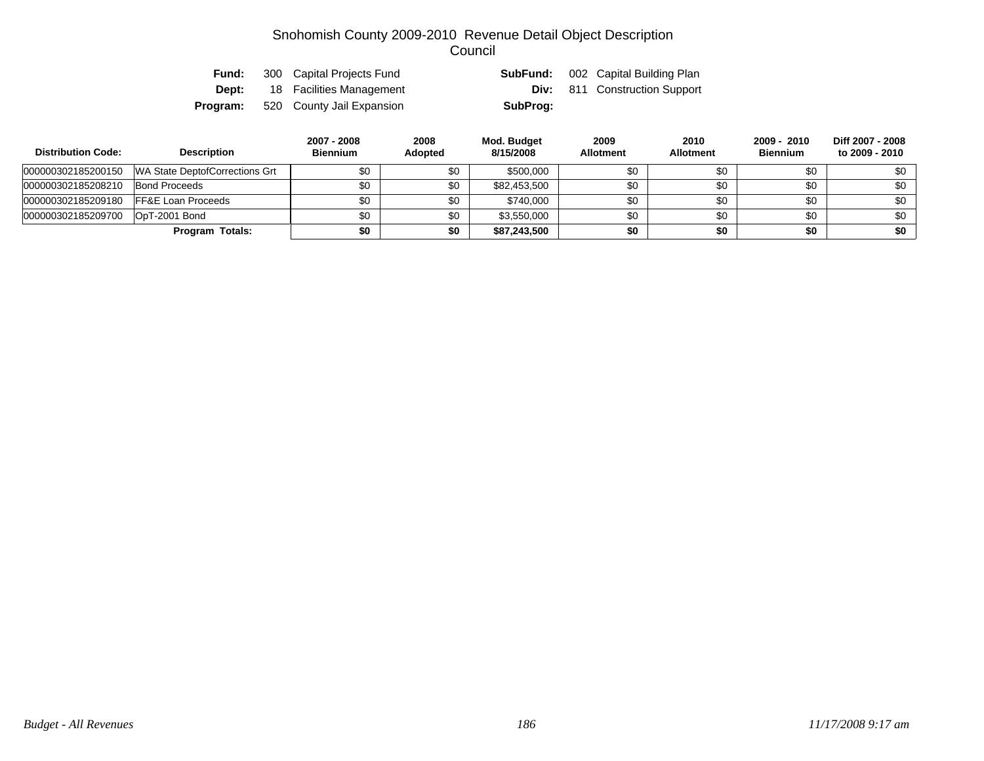| Fund: | 300 Capital Projects Fund                 |          | <b>SubFund:</b> 002 Capital Building Plan |
|-------|-------------------------------------------|----------|-------------------------------------------|
| Dept: | 18 Facilities Management                  |          | <b>Div:</b> 811 Construction Support      |
|       | <b>Program:</b> 520 County Jail Expansion | SubProg: |                                           |

| <b>Distribution Code:</b> | <b>Description</b>             | 2007 - 2008<br><b>Biennium</b> | 2008<br><b>Adopted</b> | Mod. Budget<br>8/15/2008 | 2009<br><b>Allotment</b> | 2010<br><b>Allotment</b> | 2009 - 2010<br><b>Biennium</b> | Diff 2007 - 2008<br>to 2009 - 2010 |
|---------------------------|--------------------------------|--------------------------------|------------------------|--------------------------|--------------------------|--------------------------|--------------------------------|------------------------------------|
| 000000302185200150        | WA State DeptofCorrections Grt | \$0                            | \$0                    | \$500,000                | \$0                      | \$0                      | \$0                            | \$0                                |
| 000000302185208210        | <b>Bond Proceeds</b>           | \$0                            | \$0                    | \$82,453,500             | \$0                      | \$0                      | \$0                            | \$0                                |
| 000000302185209180        | <b>IFF&amp;E Loan Proceeds</b> | \$0                            | \$0                    | \$740.000                | \$0                      | \$0                      | \$0                            | \$0                                |
| 000000302185209700        | OpT-2001 Bond                  | \$0                            | \$0                    | \$3,550,000              | \$0                      | \$0                      | \$0                            | \$0                                |
|                           | <b>Program Totals:</b>         | \$0                            | \$0                    | \$87,243,500             | \$0                      | \$0                      | \$0                            | \$0                                |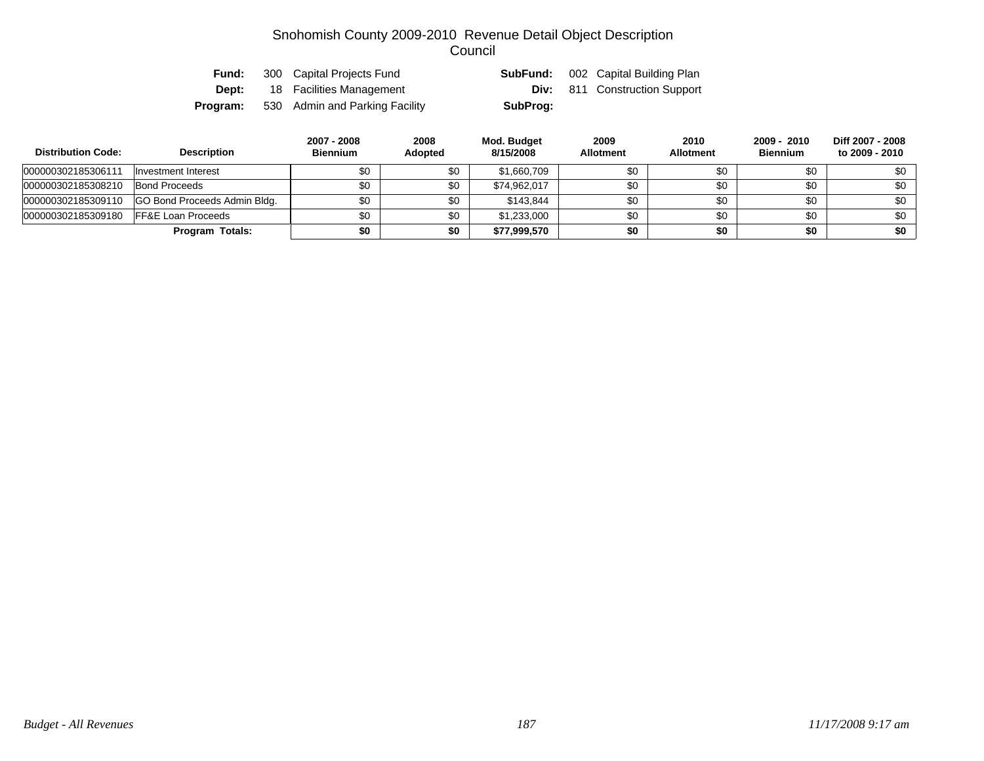| Fund:    | 300 Capital Projects Fund      | SubFund: | 002 Capital Building Plan            |
|----------|--------------------------------|----------|--------------------------------------|
| Dept:    | 18 Facilities Management       |          | <b>Div:</b> 811 Construction Support |
| Program: | 530 Admin and Parking Facility | SubProg: |                                      |

| <b>Distribution Code:</b> | <b>Description</b>                  | 2007 - 2008<br><b>Biennium</b> | 2008<br><b>Adopted</b> | Mod. Budget<br>8/15/2008 | 2009<br><b>Allotment</b> | 2010<br><b>Allotment</b> | 2009 - 2010<br><b>Biennium</b> | Diff 2007 - 2008<br>to 2009 - 2010 |
|---------------------------|-------------------------------------|--------------------------------|------------------------|--------------------------|--------------------------|--------------------------|--------------------------------|------------------------------------|
| 000000302185306111        | Investment Interest                 | \$0                            | \$0                    | \$1,660,709              | \$0                      | \$0                      | \$0                            | \$0                                |
| 000000302185308210        | <b>Bond Proceeds</b>                | \$0                            | \$0                    | \$74.962.017             | \$0                      | \$0                      | \$0                            | \$0                                |
| 000000302185309110        | <b>GO Bond Proceeds Admin Bldg.</b> | \$0                            | \$0                    | \$143.844                | \$0                      | \$0                      | \$0                            | \$0                                |
| 000000302185309180        | <b>FF&amp;E Loan Proceeds</b>       | \$0                            | \$0                    | \$1,233,000              | \$0                      | \$0                      | \$0                            | \$0                                |
|                           | Program Totals:                     | \$0                            | \$0                    | \$77,999,570             | \$0                      | \$0                      | \$0                            | \$0                                |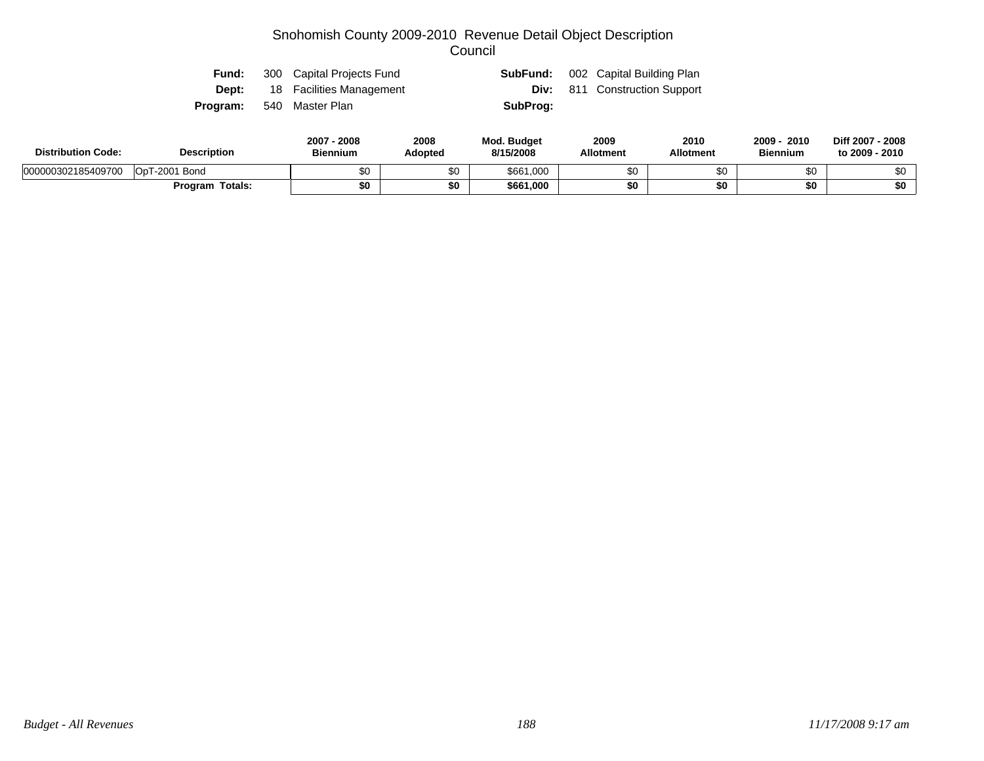| Fund: | 300 Capital Projects Fund             |          | <b>SubFund:</b> 002 Capital Building Plan |
|-------|---------------------------------------|----------|-------------------------------------------|
|       | <b>Dept:</b> 18 Facilities Management |          | <b>Div:</b> 811 Construction Support      |
|       | <b>Program:</b> 540 Master Plan       | SubProg: |                                           |

| <b>Description</b><br><b>Distribution Code:</b> |                        | 2008<br>2007<br><b>Biennium</b> | 2008<br><b>Adopted</b> | <b>Mod. Budget</b><br>8/15/2008 | 2009<br><b>Allotment</b> | 2010<br>Allotment | 2009<br>2010<br><b>Biennium</b> | Diff 2007 - 2008<br>to 2009 - 2010 |
|-------------------------------------------------|------------------------|---------------------------------|------------------------|---------------------------------|--------------------------|-------------------|---------------------------------|------------------------------------|
| 000000302185409700                              | OpT-2001 Bond          | ሶሳ<br>ມບ                        | \$0                    | \$661,000                       | \$0                      |                   | ጦ<br>ΦU                         |                                    |
|                                                 | <b>Program Totals:</b> | \$0                             | \$0                    | \$661,000                       | \$0                      |                   | \$0                             | \$0                                |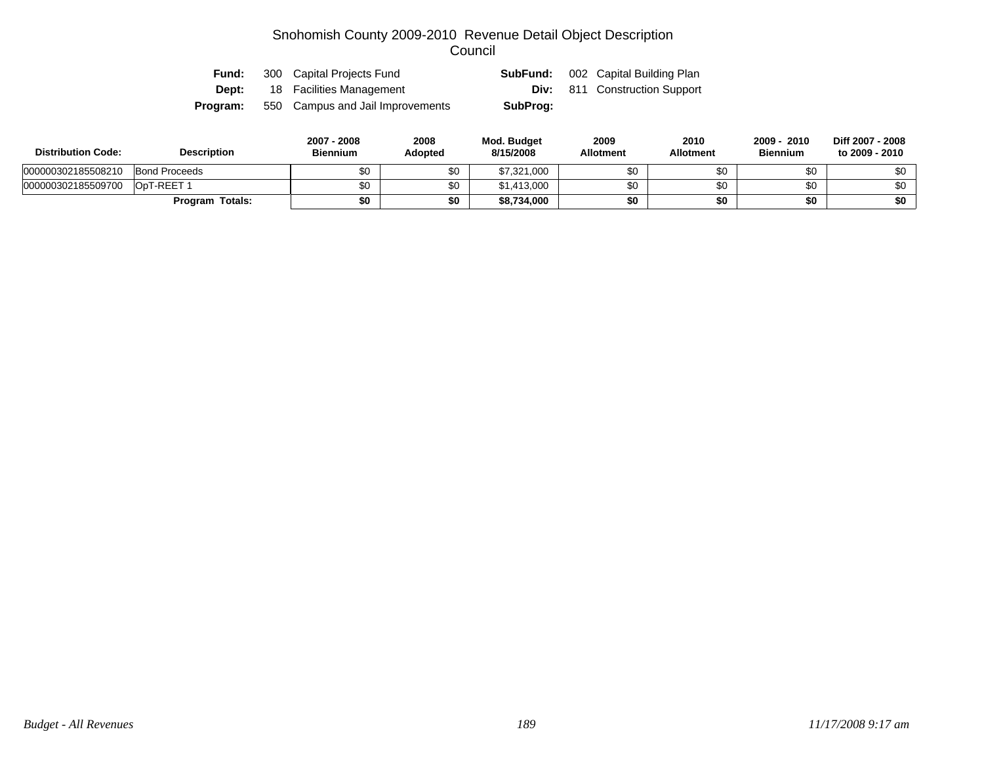| Fund:    | 300 Capital Projects Fund        | SubFund: | 002 Capital Building Plan            |
|----------|----------------------------------|----------|--------------------------------------|
| Dept:    | 18 Facilities Management         |          | <b>Div:</b> 811 Construction Support |
| Program: | 550 Campus and Jail Improvements | SubProg: |                                      |

| <b>Distribution Code:</b> | <b>Description</b>   |     | 2008<br><b>Adopted</b> | Mod. Budget<br>8/15/2008 | 2009<br><b>Allotment</b> | 2010<br><b>Allotment</b> | 2010<br>$2009 -$<br><b>Biennium</b> | Diff 2007 - 2008<br>to 2009 - 2010 |
|---------------------------|----------------------|-----|------------------------|--------------------------|--------------------------|--------------------------|-------------------------------------|------------------------------------|
| 000000302185508210        | <b>Bond Proceeds</b> | \$0 | \$0                    | \$7,321,000              | \$0                      |                          | \$0                                 | \$0                                |
| 000000302185509700        | OpT-REET 1           | ¢∩  | \$0                    | \$1,413,000              | \$0                      |                          | ¢∩                                  | \$0                                |
|                           | Program Totals:      | \$0 | \$0                    | \$8,734,000              | \$0                      |                          | \$0                                 | \$0                                |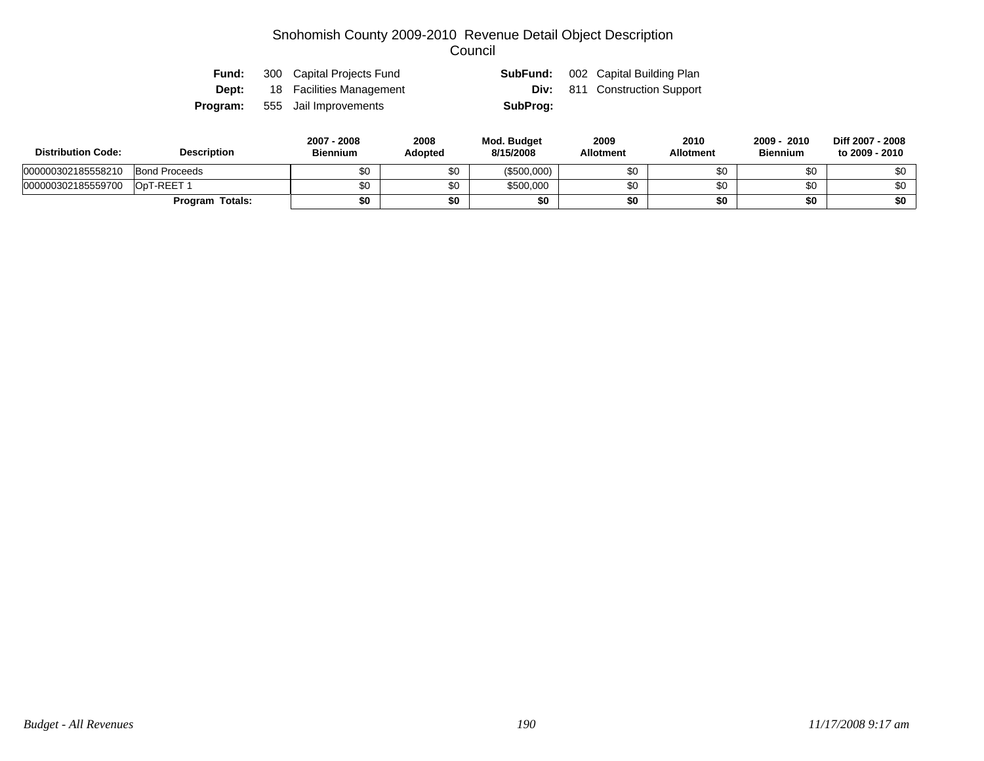| Fund: | 300 Capital Projects Fund             | SubFund: | 002 Capital Building Plan            |
|-------|---------------------------------------|----------|--------------------------------------|
|       | <b>Dept:</b> 18 Facilities Management |          | <b>Div:</b> 811 Construction Support |
|       | <b>Program:</b> 555 Jail Improvements | SubProg: |                                      |

| <b>Distribution Code:</b> | <b>Description</b>     | 2007 - 2008<br><b>Biennium</b> | 2008<br><b>Adopted</b> | Mod. Budget<br>8/15/2008 | 2009<br><b>Allotment</b> | 2010<br><b>Allotment</b> | 2010<br>$2009 -$<br><b>Biennium</b> | Diff 2007 - 2008<br>to 2009 - 2010 |
|---------------------------|------------------------|--------------------------------|------------------------|--------------------------|--------------------------|--------------------------|-------------------------------------|------------------------------------|
| 000000302185558210        | <b>Bond Proceeds</b>   |                                | \$0                    | (\$500,000)              | \$0                      |                          |                                     | \$0                                |
| 000000302185559700        | OpT-REET 1             |                                | \$0                    | \$500,000                | \$0                      |                          | \$0                                 | \$0                                |
|                           | <b>Program Totals:</b> | \$0                            | \$0                    |                          | \$0                      |                          | \$0                                 | \$0                                |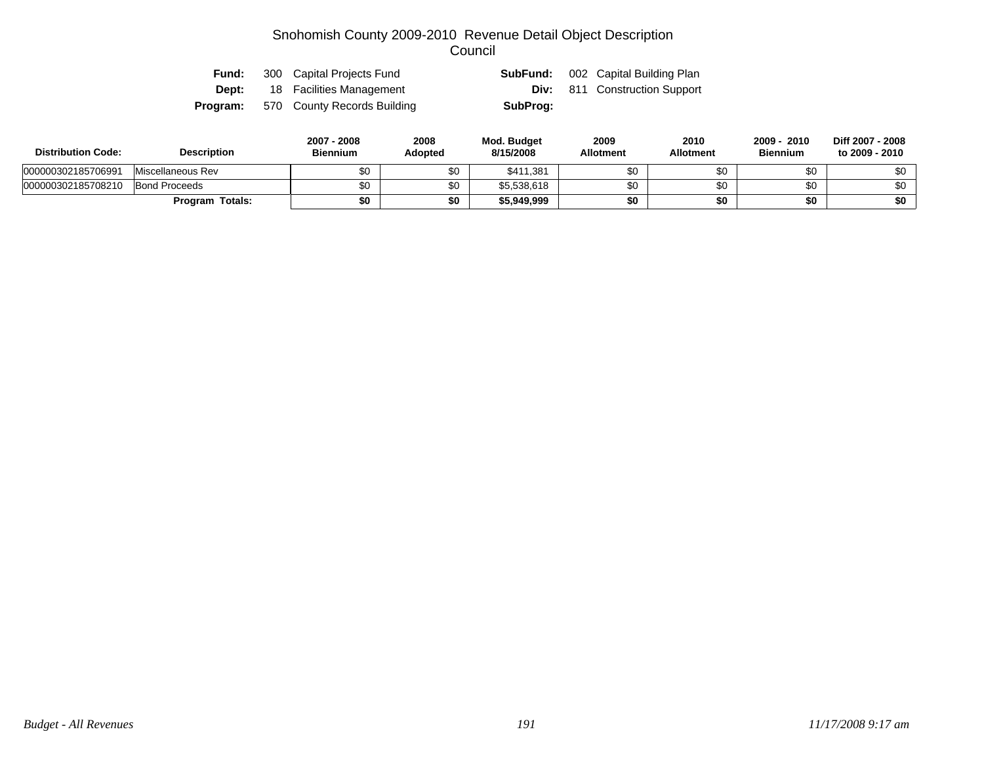| Fund: | 300 Capital Projects Fund                   |          | <b>SubFund:</b> 002 Capital Building Plan |
|-------|---------------------------------------------|----------|-------------------------------------------|
| Dept: | 18 Facilities Management                    |          | <b>Div:</b> 811 Construction Support      |
|       | <b>Program:</b> 570 County Records Building | SubProg: |                                           |

| <b>Distribution Code:</b> | <b>Description</b>     | 2007 - 2008<br><b>Biennium</b> | 2008<br>Adopted | Mod. Budget<br>8/15/2008 | 2009<br><b>Allotment</b> | 2010<br><b>Allotment</b> | 2010<br>2009<br><b>Biennium</b> | Diff 2007 - 2008<br>to 2009 - 2010 |
|---------------------------|------------------------|--------------------------------|-----------------|--------------------------|--------------------------|--------------------------|---------------------------------|------------------------------------|
| 000000302185706991        | Miscellaneous Rev      | \$0                            | \$0             | \$411.381                | \$0                      | JО                       |                                 | \$0                                |
| 000000302185708210        | <b>Bond Proceeds</b>   |                                | \$0             | \$5,538,618              | \$0                      |                          | \$0                             | \$0                                |
|                           | <b>Program Totals:</b> | \$0                            | \$0             | \$5,949,999              | \$0                      | \$0                      | \$0                             | \$0                                |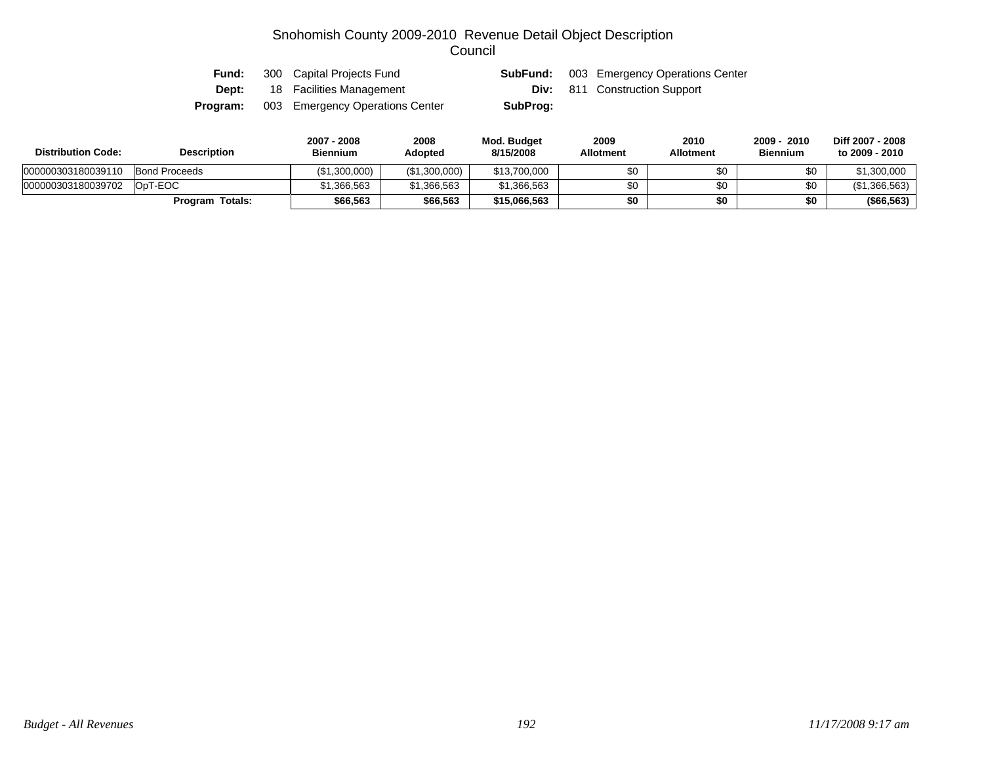| Fund:    | 300 Capital Projects Fund       | SubFund: | 003 Emergency Operations Center      |
|----------|---------------------------------|----------|--------------------------------------|
| Dept:    | 18 Facilities Management        |          | <b>Div:</b> 811 Construction Support |
| Program: | 003 Emergency Operations Center | SubProg: |                                      |

| <b>Distribution Code:</b> | Description            | 2007 - 2008<br><b>Biennium</b> | 2008<br><b>Adopted</b> | Mod. Budget<br>8/15/2008 | 2009<br><b>Allotment</b> | 2010<br>Allotment | 2009 - 2010<br><b>Biennium</b> | Diff 2007 - 2008<br>to 2009 - 2010 |
|---------------------------|------------------------|--------------------------------|------------------------|--------------------------|--------------------------|-------------------|--------------------------------|------------------------------------|
| 000000303180039110        | Bond Proceeds          | (\$1,300,000)                  | (\$1,300,000)          | \$13,700,000             |                          | \$0               | \$0                            | \$1,300,000                        |
| 000000303180039702        | OpT-EOC                | \$1.366.563                    | \$1,366,563            | \$1,366,563              |                          | \$0               | \$0                            | (S1.366.563)                       |
|                           | <b>Program Totals:</b> | \$66.563                       | \$66,563               | \$15,066,563             | \$0                      | \$0               | \$0                            | (\$66,563)                         |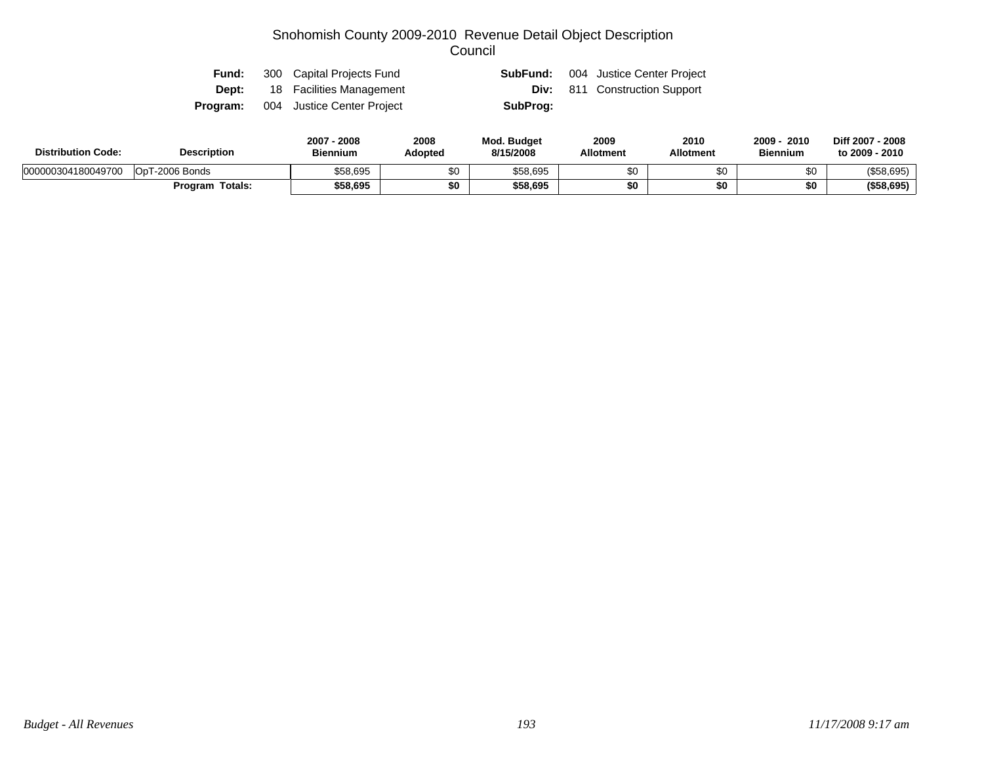| Fund: | 300 Capital Projects Fund                  | SubFund: | 004 Justice Center Project           |
|-------|--------------------------------------------|----------|--------------------------------------|
|       | <b>Dept:</b> 18 Facilities Management      |          | <b>Div:</b> 811 Construction Support |
|       | <b>Program:</b> 004 Justice Center Project | SubProg: |                                      |

| <b>Distribution Code:</b> | <b>Description</b> | 2008<br>2007<br><b>Biennium</b> | 2008<br>Adopted | <b>Mod. Budget</b><br>8/15/2008 | 2009<br><b>Allotment</b> | 2010<br><b>Allotment</b> | 2010<br>2009<br><b>Biennium</b> | Diff 2007 - 2008<br>to 2009 - 2010 |
|---------------------------|--------------------|---------------------------------|-----------------|---------------------------------|--------------------------|--------------------------|---------------------------------|------------------------------------|
| 000000304180049700        | OpT-2006 Bonds     | \$58,695                        | ሖ<br>ა∪         | \$58,695                        |                          | \$0                      |                                 | (\$58,695)                         |
|                           | Totals:<br>Program | \$58,695                        | \$0             | \$58,695                        |                          | \$0                      |                                 | (\$58,695)                         |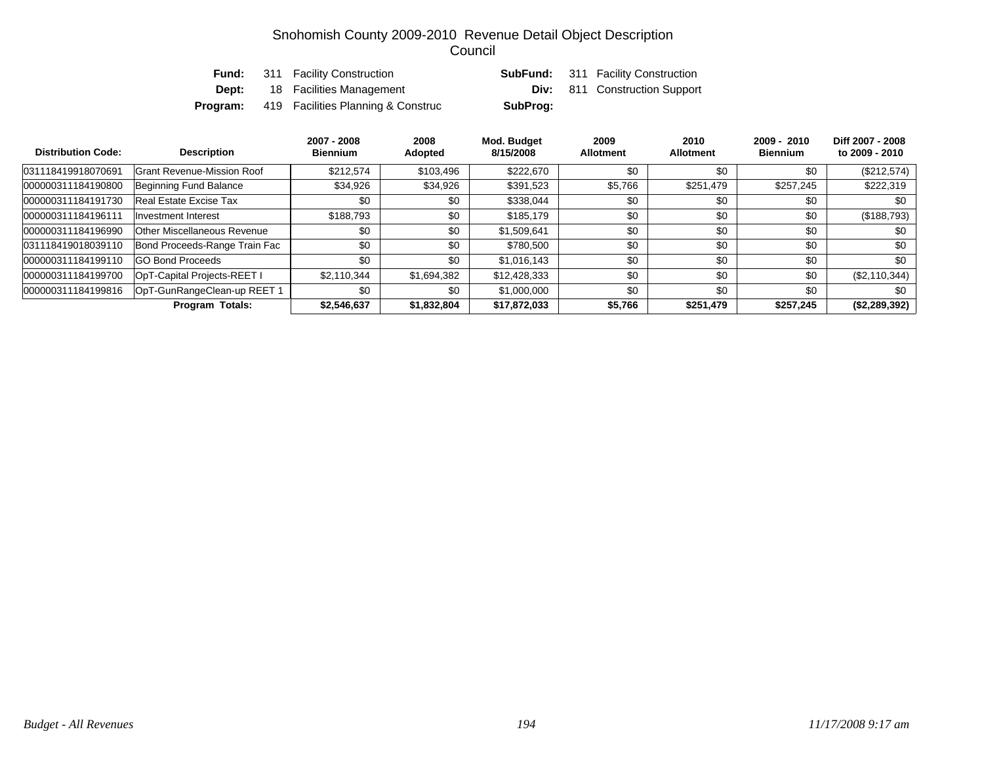|          | <b>Fund:</b> 311 Facility Construction |          | <b>SubFund:</b> 311 Facility Construction |
|----------|----------------------------------------|----------|-------------------------------------------|
| Dept:    | 18 Facilities Management               |          | <b>Div:</b> 811 Construction Support      |
| Program: | 419 Facilities Planning & Construc     | SubProg: |                                           |

| <b>Distribution Code:</b> | <b>Description</b>                | 2007 - 2008<br><b>Biennium</b> | 2008<br>Adopted | Mod. Budget<br>8/15/2008 | 2009<br><b>Allotment</b> | 2010<br><b>Allotment</b> | $2009 - 2010$<br><b>Biennium</b> | Diff 2007 - 2008<br>to 2009 - 2010 |
|---------------------------|-----------------------------------|--------------------------------|-----------------|--------------------------|--------------------------|--------------------------|----------------------------------|------------------------------------|
| 031118419918070691        | <b>Grant Revenue-Mission Roof</b> | \$212.574                      | \$103,496       | \$222.670                | \$0                      | \$0                      | \$0                              | $(\$212,574)$                      |
| 000000311184190800        | Beginning Fund Balance            | \$34,926                       | \$34,926        | \$391,523                | \$5,766                  | \$251,479                | \$257.245                        | \$222,319                          |
| 000000311184191730        | Real Estate Excise Tax            | \$0                            | \$0             | \$338,044                | \$0                      | \$0                      | \$0                              | \$0                                |
| 000000311184196111        | Investment Interest               | \$188.793                      | \$0             | \$185.179                | \$0                      | \$0                      | \$0                              | (\$188,793)                        |
| 000000311184196990        | Other Miscellaneous Revenue       | \$0                            | \$0             | \$1,509,641              | \$0                      | \$0                      | \$0                              | \$0                                |
| 031118419018039110        | Bond Proceeds-Range Train Fac     | \$0                            | \$0             | \$780,500                | \$0                      | \$0                      | \$0                              | \$0                                |
| 000000311184199110        | <b>GO Bond Proceeds</b>           | \$0                            | \$0             | \$1,016,143              | \$0                      | \$0                      | \$0                              | \$0                                |
| 000000311184199700        | OpT-Capital Projects-REET I       | \$2,110,344                    | \$1,694,382     | \$12,428,333             | \$0                      | \$0                      | \$0                              | (\$2,110,344)                      |
| 000000311184199816        | OpT-GunRangeClean-up REET 1       | \$0                            | \$0             | \$1,000,000              | \$0                      | \$0                      | \$0                              | \$0                                |
|                           | <b>Program Totals:</b>            | \$2,546,637                    | \$1,832,804     | \$17,872,033             | \$5,766                  | \$251,479                | \$257,245                        | (\$2,289,392)                      |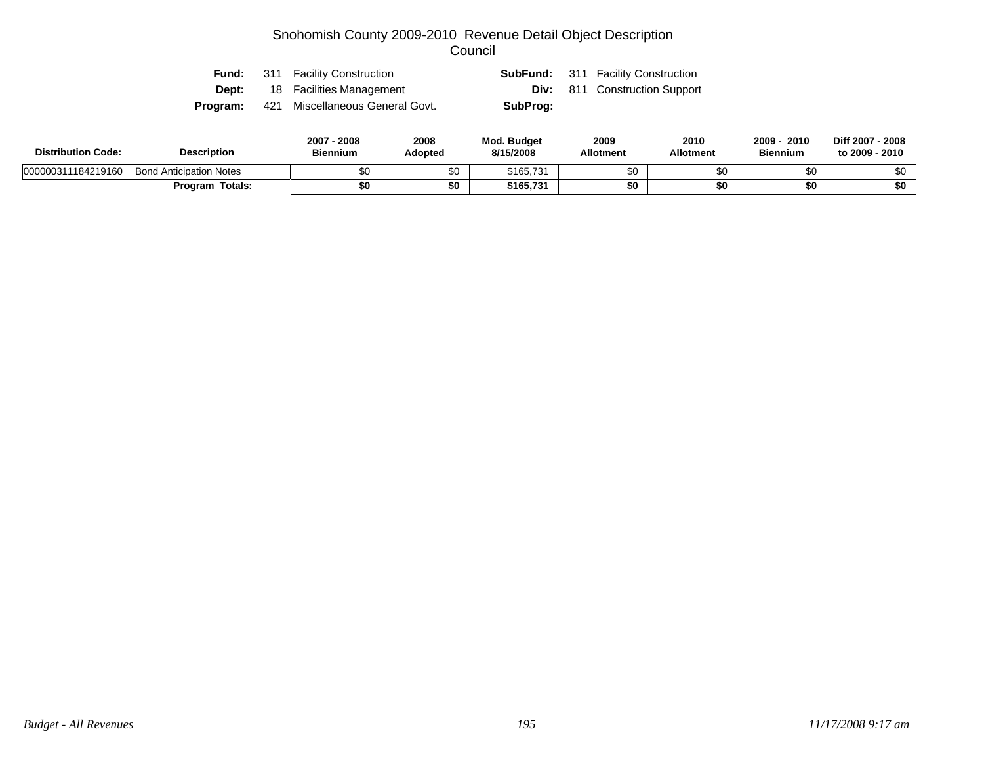|       | <b>Fund:</b> 311 Facility Construction          |          | <b>SubFund:</b> 311 Facility Construction |
|-------|-------------------------------------------------|----------|-------------------------------------------|
| Dept: | 18 Facilities Management                        |          | <b>Div:</b> 811 Construction Support      |
|       | <b>Program:</b> 421 Miscellaneous General Govt. | SubProg: |                                           |

| <b>Distribution Code:</b> | <b>Description</b>             | 2007 - 2008<br><b>Biennium</b> | 2008<br>Adopted | <b>Mod. Budget</b><br>8/15/2008 | 2009<br><b>Allotment</b> | 2010<br><b>Allotment</b> | 2009<br>2010<br><b>Biennium</b> | Diff 2007 - 2008<br>to 2009 - 2010 |
|---------------------------|--------------------------------|--------------------------------|-----------------|---------------------------------|--------------------------|--------------------------|---------------------------------|------------------------------------|
| 000000311184219160        | <b>Bond Anticipation Notes</b> | \$0                            | ጣ               | \$165,731                       | ¢٢                       | \$0                      |                                 | ሶስ                                 |
|                           | Program Totals:                | \$0                            | \$0             | \$165.731                       | ¢Λ                       | \$0                      |                                 | \$0                                |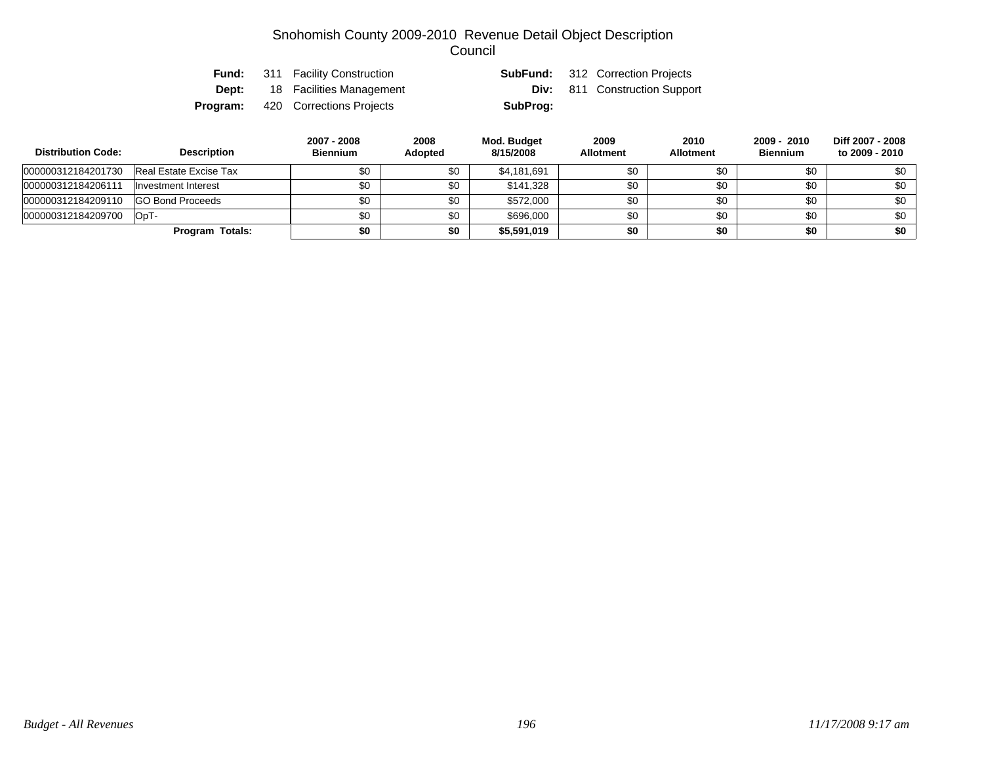| Fund:    | 311 Facility Construction |          | <b>SubFund:</b> 312 Correction Projects |
|----------|---------------------------|----------|-----------------------------------------|
| Dept:    | 18 Facilities Management  |          | <b>Div:</b> 811 Construction Support    |
| Program: | 420 Corrections Projects  | SubProg: |                                         |

| <b>Distribution Code:</b> | <b>Description</b>      | 2007 - 2008<br><b>Biennium</b> | 2008<br><b>Adopted</b> | Mod. Budget<br>8/15/2008 | 2009<br><b>Allotment</b> | 2010<br><b>Allotment</b> | 2009 - 2010<br><b>Biennium</b> | Diff 2007 - 2008<br>to 2009 - 2010 |
|---------------------------|-------------------------|--------------------------------|------------------------|--------------------------|--------------------------|--------------------------|--------------------------------|------------------------------------|
| 000000312184201730        | Real Estate Excise Tax  | \$0                            | \$0                    | \$4,181,691              | \$0                      | \$0                      | \$0                            | \$0                                |
| 000000312184206111        | Investment Interest     | \$0                            | \$0                    | \$141.328                | \$0                      | \$0                      | \$0                            | \$0                                |
| 000000312184209110        | <b>GO Bond Proceeds</b> | \$0                            | \$0                    | \$572,000                | \$0                      | \$0                      | \$0                            | \$0                                |
| 000000312184209700        | OpT-                    | \$0                            | \$0                    | \$696,000                | \$0                      | \$0                      | \$0                            | \$0                                |
|                           | Program Totals:         | \$0                            | \$0                    | \$5,591,019              | \$0                      | \$0                      | \$0                            | \$0                                |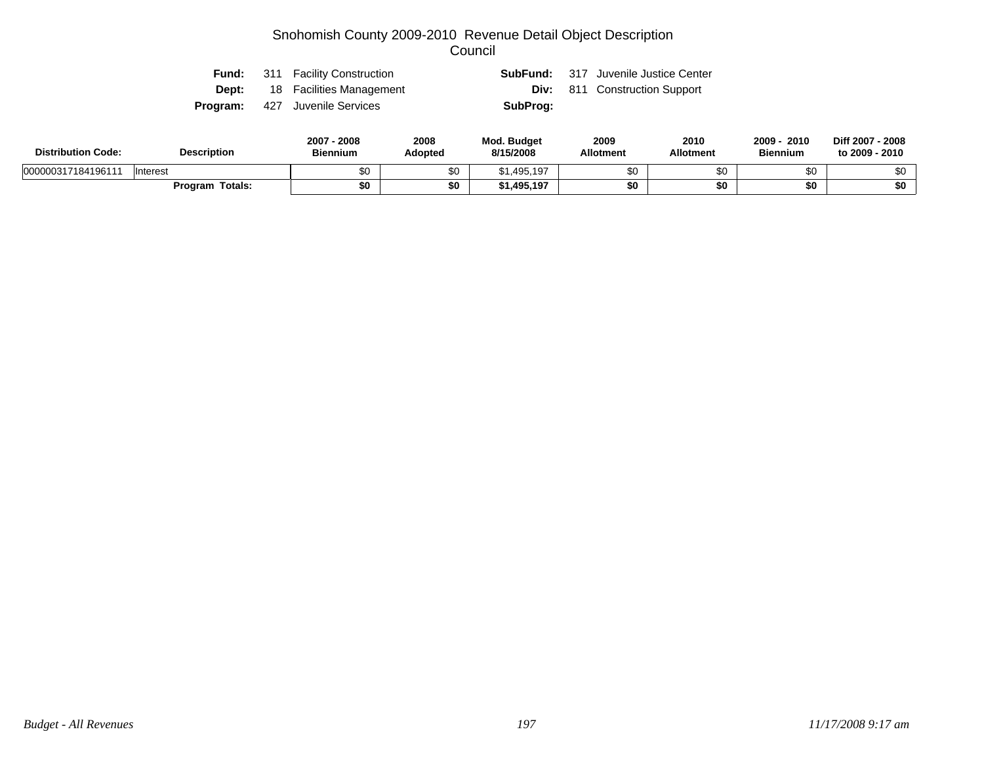| Fund: | 311 Facility Construction             |          | <b>SubFund:</b> 317 Juvenile Justice Center |
|-------|---------------------------------------|----------|---------------------------------------------|
|       | <b>Dept:</b> 18 Facilities Management |          | <b>Div:</b> 811 Construction Support        |
|       | <b>Program:</b> 427 Juvenile Services | SubProg: |                                             |

| <b>Distribution Code:</b> | <b>Description</b>     | 2007<br>2008<br>Biennium | 2008<br><b>Adopted</b> | <b>Mod. Budget</b><br>8/15/2008 | 2009<br><b>Allotment</b> | 2010<br>Allotment | 2009<br>2010<br><b>Biennium</b> | Diff 2007 - 2008<br>to 2009 - 2010 |
|---------------------------|------------------------|--------------------------|------------------------|---------------------------------|--------------------------|-------------------|---------------------------------|------------------------------------|
| 000000317184196111        | <b>Interest</b>        | ΦΩ<br>ພບ                 | \$0                    | 1,495,197<br>ጡ ብ                | \$0                      |                   | റ<br>ΦU                         |                                    |
|                           | <b>Program Totals:</b> | \$0                      | \$0                    | 1,495,197                       | \$0                      |                   | \$0                             | \$0                                |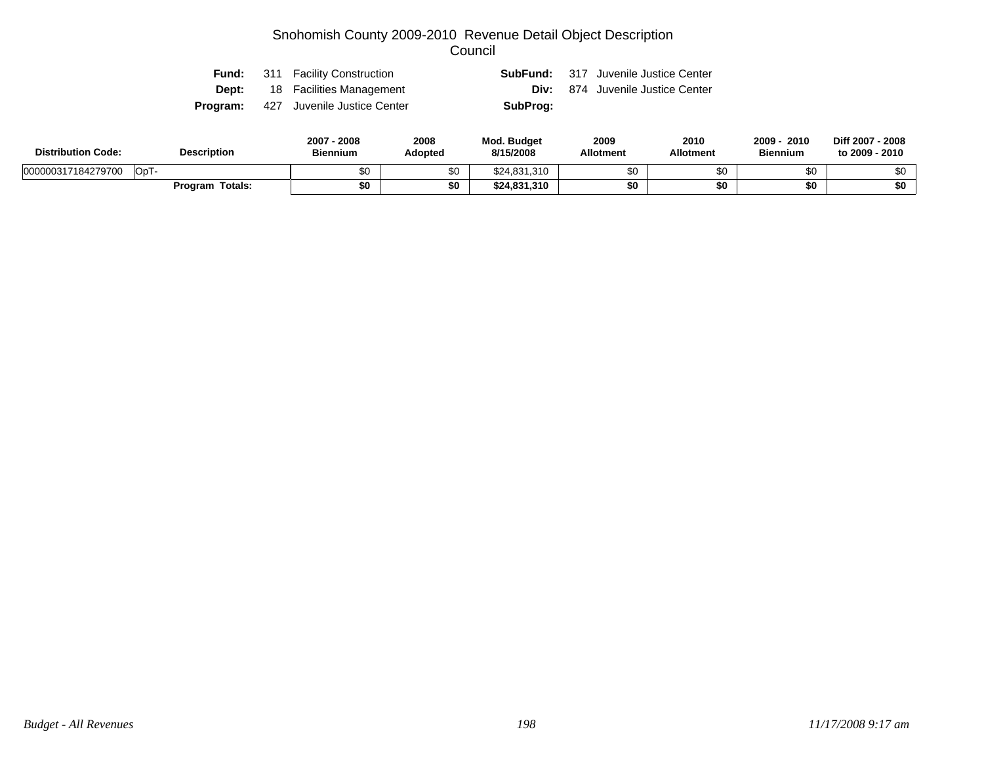| Fund: | 311 Facility Construction                   |          | <b>SubFund:</b> 317 Juvenile Justice Center |
|-------|---------------------------------------------|----------|---------------------------------------------|
|       | <b>Dept:</b> 18 Facilities Management       |          | <b>Div:</b> 874 Juvenile Justice Center     |
|       | <b>Program:</b> 427 Juvenile Justice Center | SubProg: |                                             |

| <b>Distribution Code:</b> | <b>Description</b> | $2007 -$<br>2008<br><b>Biennium</b> | 2008<br>Adopted | Mod. Budget<br>8/15/2008 | 2009<br><b>Allotment</b> | 2010<br><b>Allotment</b> | 2009 ·<br>2010<br><b>Biennium</b> | Diff 2007 - 2008<br>to 2009 - 2010 |
|---------------------------|--------------------|-------------------------------------|-----------------|--------------------------|--------------------------|--------------------------|-----------------------------------|------------------------------------|
| 000000317184279700        | OpT-               | \$0                                 | ሖ<br>ა∪         | \$24,831,310             | ድሮ                       | \$0                      | υŒ                                |                                    |
|                           | Totals:<br>Program | \$0                                 | \$0             | \$24,831,310             |                          | \$0                      | \$0                               | \$0                                |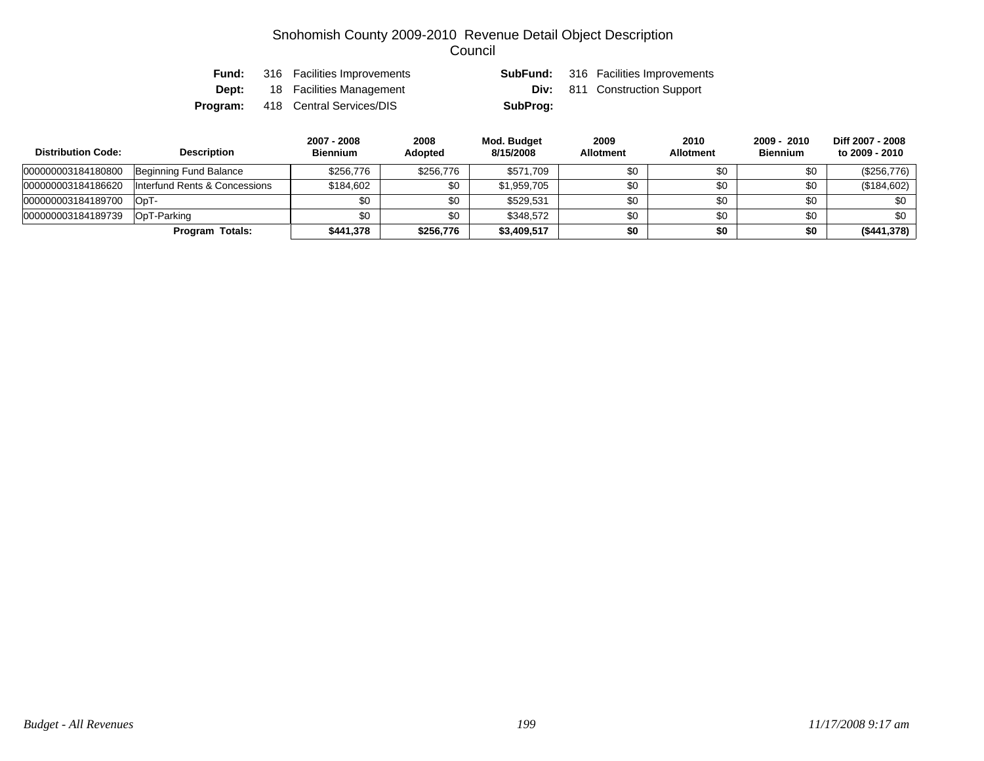| Fund: | 316 Facilities Improvements              |          | <b>SubFund:</b> 316 Facilities Improvements |
|-------|------------------------------------------|----------|---------------------------------------------|
| Dept: | 18 Facilities Management                 |          | <b>Div:</b> 811 Construction Support        |
|       | <b>Program:</b> 418 Central Services/DIS | SubProg: |                                             |

| <b>Distribution Code:</b> | <b>Description</b>            | 2007 - 2008<br><b>Biennium</b> | 2008<br><b>Adopted</b> | Mod. Budget<br>8/15/2008 | 2009<br><b>Allotment</b> | 2010<br><b>Allotment</b> | 2009 - 2010<br><b>Biennium</b> | Diff 2007 - 2008<br>to 2009 - 2010 |
|---------------------------|-------------------------------|--------------------------------|------------------------|--------------------------|--------------------------|--------------------------|--------------------------------|------------------------------------|
| 000000003184180800        | Beginning Fund Balance        | \$256,776                      | \$256,776              | \$571.709                | \$0                      | \$0                      | \$0                            | $(\$256,776)$                      |
| 000000003184186620        | Interfund Rents & Concessions | \$184.602                      | \$0                    | \$1.959.705              | \$0                      | \$0                      | \$0                            | (\$184,602)                        |
| 000000003184189700        | IOpT-                         | \$0                            | \$0                    | \$529.531                | \$0                      | \$0                      | \$0                            | \$0                                |
| 000000003184189739        | OpT-Parking                   | \$0                            | \$0                    | \$348.572                | \$0                      | \$0                      | \$0                            | \$0                                |
|                           | Program Totals:               | \$441,378                      | \$256,776              | \$3,409,517              | \$0                      | \$0                      | \$0                            | (\$441,378)                        |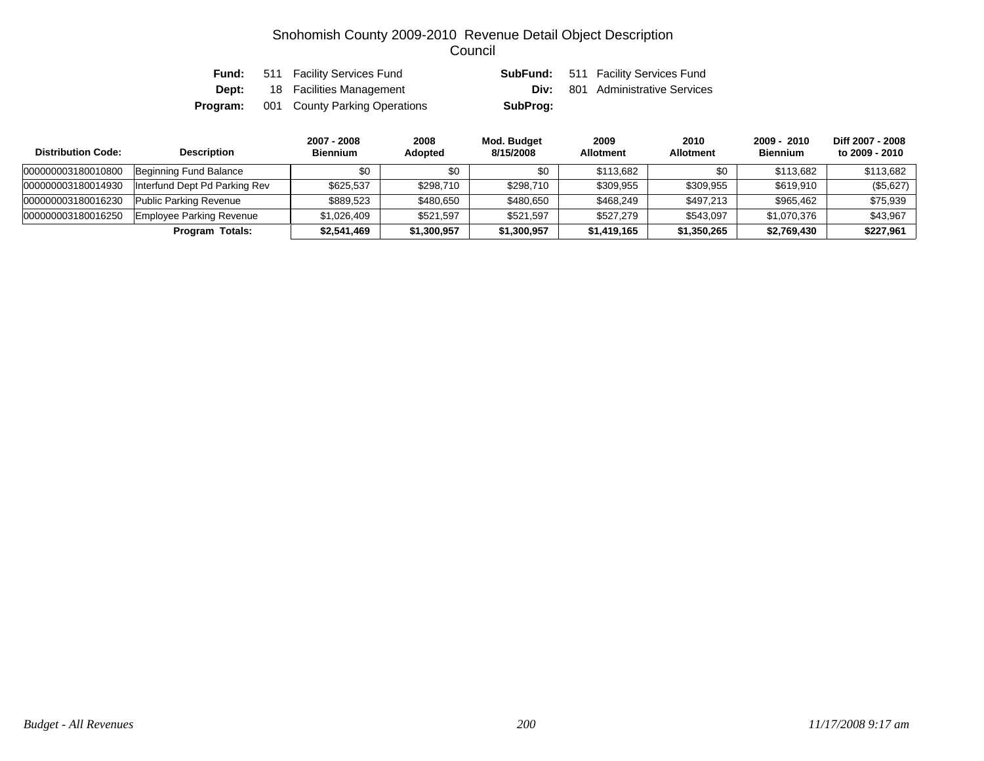|              | <b>Fund:</b> 511 Facility Services Fund |          | <b>SubFund:</b> 511 Facility Services Fund |
|--------------|-----------------------------------------|----------|--------------------------------------------|
| <b>Dept:</b> | 18 Facilities Management                | Div:     | 801 Administrative Services                |
| Program:     | 001 County Parking Operations           | SubProg: |                                            |

| <b>Distribution Code:</b> | <b>Description</b>            | 2007 - 2008<br><b>Biennium</b> | 2008<br><b>Adopted</b> | Mod. Budget<br>8/15/2008 | 2009<br><b>Allotment</b> | 2010<br><b>Allotment</b> | 2009 - 2010<br><b>Biennium</b> | Diff 2007 - 2008<br>to 2009 - 2010 |
|---------------------------|-------------------------------|--------------------------------|------------------------|--------------------------|--------------------------|--------------------------|--------------------------------|------------------------------------|
| 000000003180010800        | Beginning Fund Balance        | \$0                            | \$0                    | \$0                      | \$113.682                | \$0                      | \$113.682                      | \$113,682                          |
| 000000003180014930        | Interfund Dept Pd Parking Rev | \$625.537                      | \$298,710              | \$298.710                | \$309,955                | \$309.955                | \$619,910                      | (\$5,627)                          |
| 000000003180016230        | Public Parking Revenue        | \$889.523                      | \$480,650              | \$480.650                | \$468.249                | \$497,213                | \$965.462                      | \$75,939                           |
| 000000003180016250        | Employee Parking Revenue      | \$1,026,409                    | \$521,597              | \$521.597                | \$527.279                | \$543.097                | \$1,070,376                    | \$43,967                           |
|                           | Program Totals:               | \$2,541,469                    | \$1,300,957            | \$1,300,957              | \$1,419,165              | \$1,350,265              | \$2,769,430                    | \$227,961                          |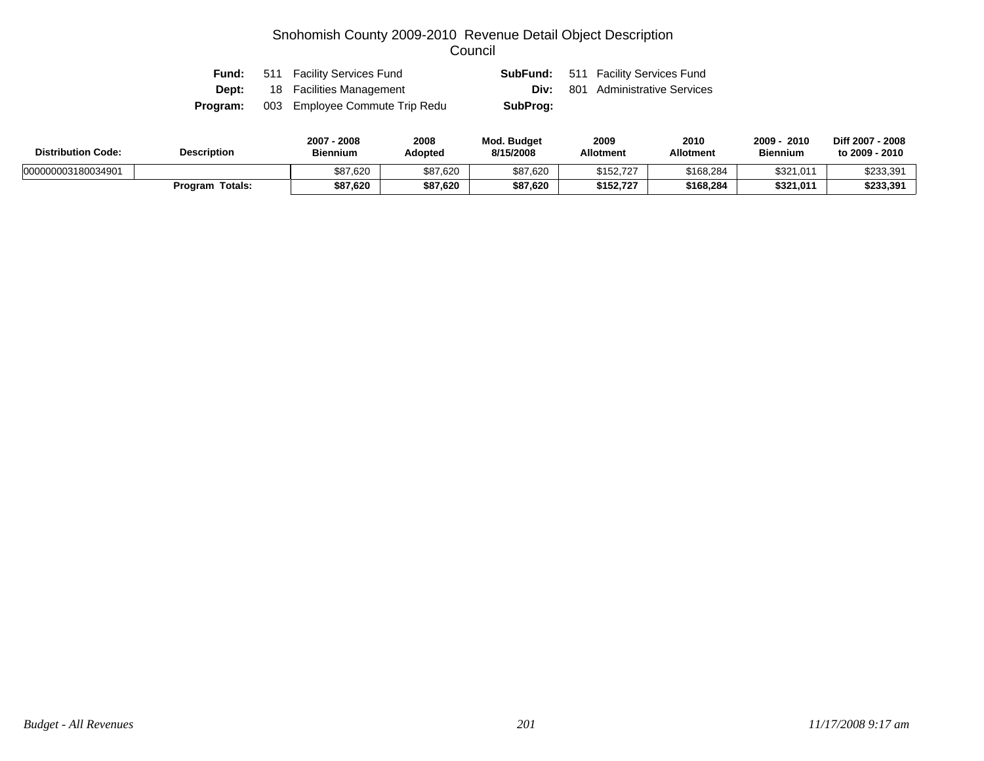| Fund:    | 511 Facility Services Fund     |          | <b>SubFund:</b> 511 Facility Services Fund |
|----------|--------------------------------|----------|--------------------------------------------|
| Dept:    | 18 Facilities Management       |          | <b>Div:</b> 801 Administrative Services    |
| Program: | 003 Employee Commute Trip Redu | SubProg: |                                            |

| <b>Distribution Code:</b> | <b>Description</b>     | 2007 - 2008<br><b>Biennium</b> | 2008<br>Adopted | Mod. Budget<br>8/15/2008 | 2009<br><b>Allotment</b> | 2010<br><b>Allotment</b> | 2010<br>2009<br><b>Biennium</b> | Diff 2007 - 2008<br>to 2009 - 2010 |
|---------------------------|------------------------|--------------------------------|-----------------|--------------------------|--------------------------|--------------------------|---------------------------------|------------------------------------|
| 000000003180034901        |                        | \$87,620                       | \$87,620        | \$87,620                 | \$152.727                | \$168,284                | \$321,011                       | \$233,391                          |
|                           | <b>Program Totals:</b> | \$87,620                       | \$87,620        | \$87,620                 | \$152.727                | \$168,284                | \$321,011                       | \$233,391                          |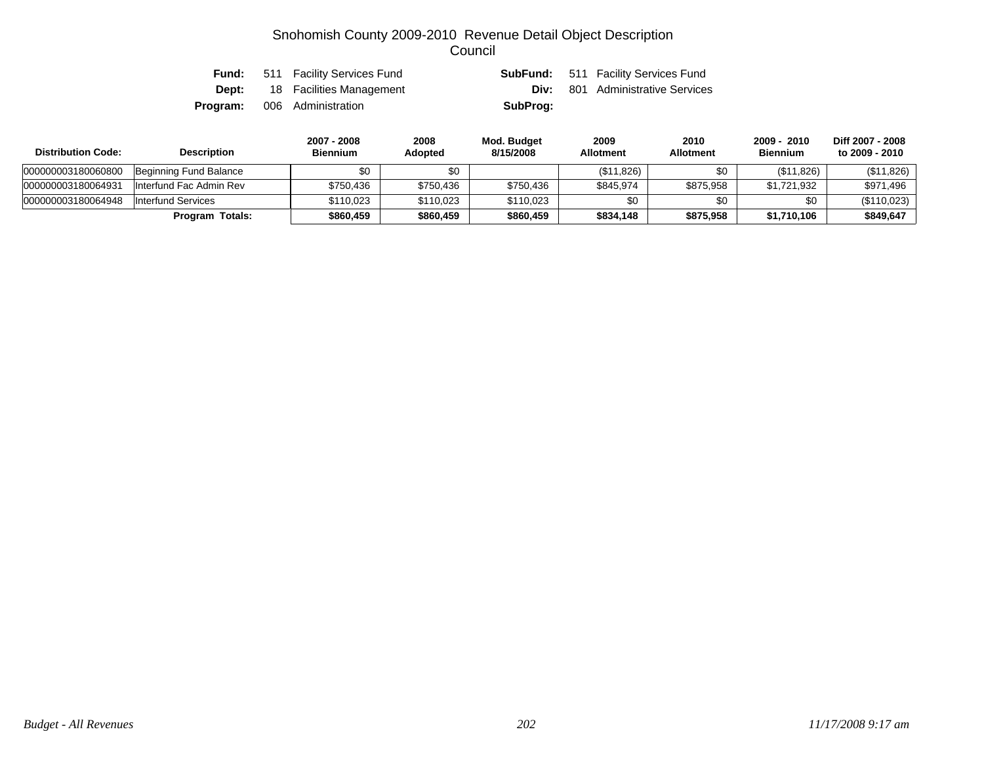| Fund:        | 511 Facility Services Fund         |          | <b>SubFund:</b> 511 Facility Services Fund |
|--------------|------------------------------------|----------|--------------------------------------------|
| <b>Dept:</b> | 18 Facilities Management           |          | <b>Div:</b> 801 Administrative Services    |
|              | <b>Program:</b> 006 Administration | SubProg: |                                            |

| <b>Distribution Code:</b> | <b>Description</b>        | 2007 - 2008<br><b>Biennium</b> | 2008<br><b>Adopted</b> | Mod. Budget<br>8/15/2008 | 2009<br><b>Allotment</b> | 2010<br><b>Allotment</b> | 2009 - 2010<br><b>Biennium</b> | Diff 2007 - 2008<br>to 2009 - 2010 |
|---------------------------|---------------------------|--------------------------------|------------------------|--------------------------|--------------------------|--------------------------|--------------------------------|------------------------------------|
| 000000003180060800        | Beginning Fund Balance    | \$0                            | \$0                    |                          | (\$11,826)               | \$0                      | (\$11,826)                     | (\$11,826)                         |
| 000000003180064931        | Interfund Fac Admin Rev   | \$750.436                      | \$750,436              | \$750,436                | \$845.974                | \$875,958                | \$1.721.932                    | \$971.496                          |
| 000000003180064948        | <b>Interfund Services</b> | \$110.023                      | \$110,023              | \$110.023                | \$0                      | \$0                      | \$0                            | (\$110,023)                        |
|                           | <b>Program Totals:</b>    | \$860.459                      | \$860,459              | \$860,459                | \$834.148                | \$875,958                | \$1,710,106                    | \$849,647                          |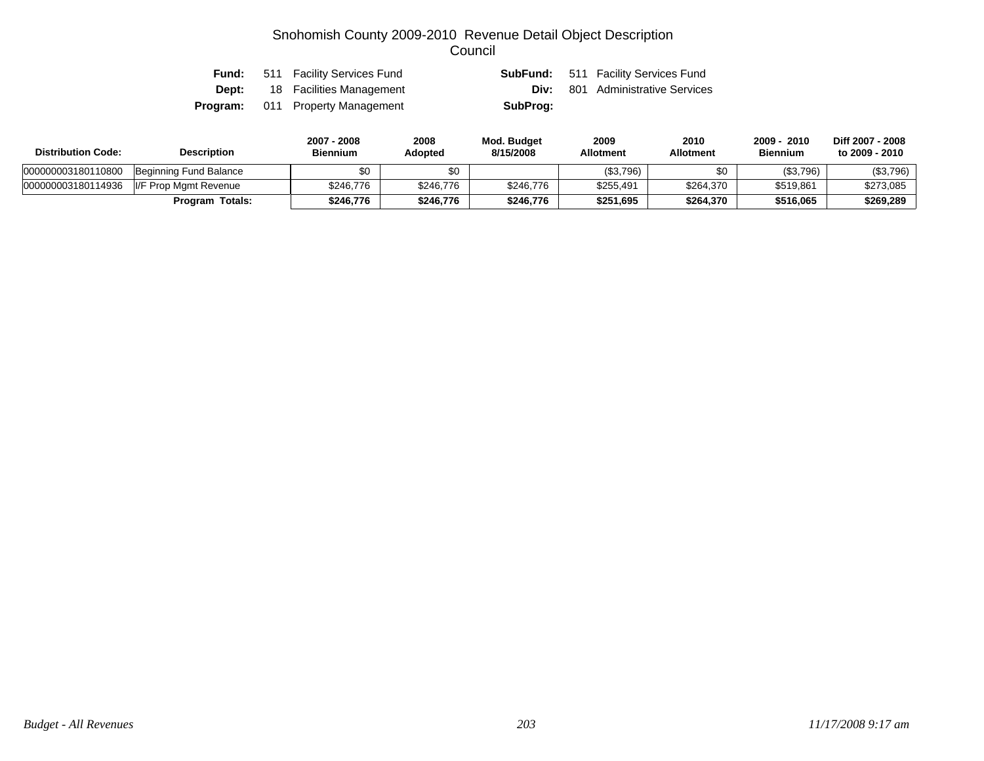|  | <b>Fund:</b> 511 Facility Services Fund |          | <b>SubFund:</b> 511 Facility Services Fund |
|--|-----------------------------------------|----------|--------------------------------------------|
|  | <b>Dept:</b> 18 Facilities Management   |          | <b>Div:</b> 801 Administrative Services    |
|  | <b>Program:</b> 011 Property Management | SubProg: |                                            |

| <b>Distribution Code:</b> | <b>Description</b>     | 2007 - 2008<br><b>Biennium</b> | 2008<br><b>Adopted</b> | Mod. Budget<br>8/15/2008 | 2009<br><b>Allotment</b> | 2010<br>Allotment | 2009 - 2010<br><b>Biennium</b> | Diff 2007 - 2008<br>to 2009 - 2010 |
|---------------------------|------------------------|--------------------------------|------------------------|--------------------------|--------------------------|-------------------|--------------------------------|------------------------------------|
| 000000003180110800        | Beginning Fund Balance |                                | \$0                    |                          | (\$3,796)                | \$0               | (\$3,796)                      | (\$3,796)                          |
| 000000003180114936        | II/F Prop Mamt Revenue | \$246.776                      | \$246,776              | \$246,776                | \$255,491                | \$264,370         | \$519,861                      | \$273,085                          |
|                           | Program Totals:        | \$246.776                      | \$246,776              | \$246.776                | \$251,695                | \$264,370         | \$516,065                      | \$269,289                          |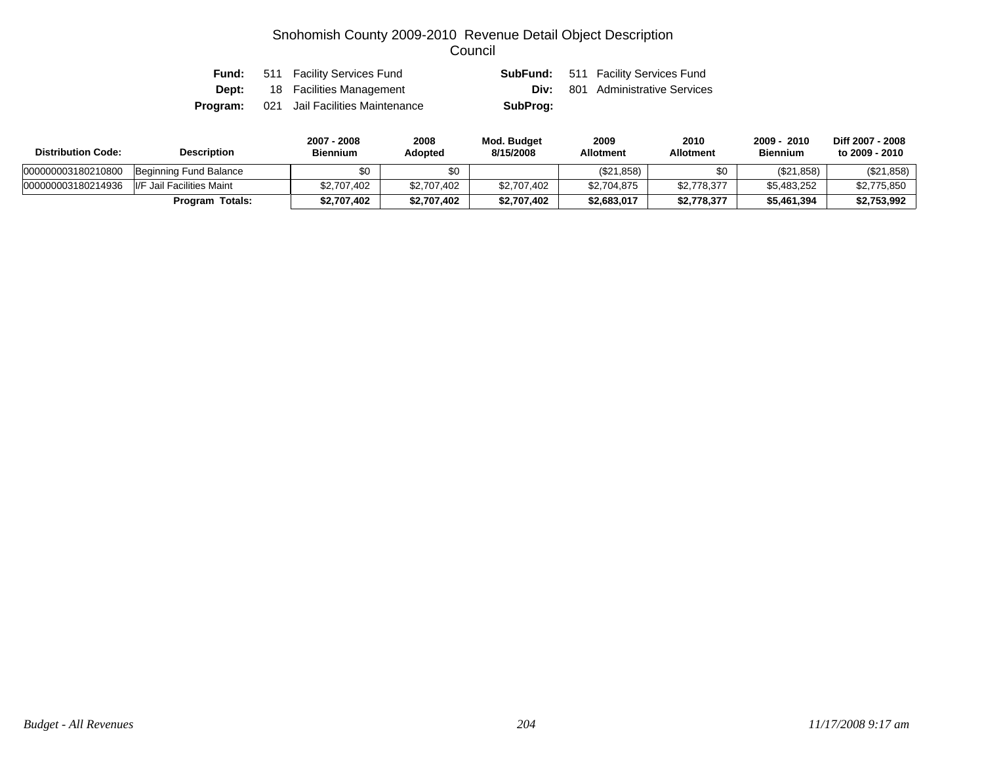|  | <b>Fund:</b> 511 Facility Services Fund         |          | <b>SubFund:</b> 511 Facility Services Fund |
|--|-------------------------------------------------|----------|--------------------------------------------|
|  | <b>Dept:</b> 18 Facilities Management           |          | <b>Div:</b> 801 Administrative Services    |
|  | <b>Program:</b> 021 Jail Facilities Maintenance | SubProg: |                                            |

| <b>Distribution Code:</b> | <b>Description</b>         | 2007 - 2008<br><b>Biennium</b> | 2008<br><b>Adopted</b> | <b>Mod. Budget</b><br>8/15/2008 | 2009<br><b>Allotment</b> | 2010<br>Allotment | 2009 - 2010<br><b>Biennium</b> | Diff 2007 - 2008<br>to 2009 - 2010 |
|---------------------------|----------------------------|--------------------------------|------------------------|---------------------------------|--------------------------|-------------------|--------------------------------|------------------------------------|
| 000000003180210800        | Beginning Fund Balance     | \$0                            | \$0                    |                                 | (\$21,858)               | \$0               | (\$21,858)                     | (\$21,858)                         |
| 000000003180214936        | II/F Jail Facilities Maint | \$2,707,402                    | \$2,707,402            | \$2,707,402                     | \$2,704,875              | \$2,778,377       | \$5.483.252                    | \$2,775,850                        |
|                           | Program Totals:            | \$2,707,402                    | \$2,707,402            | \$2,707,402                     | \$2,683,017              | \$2,778,377       | \$5,461,394                    | \$2,753,992                        |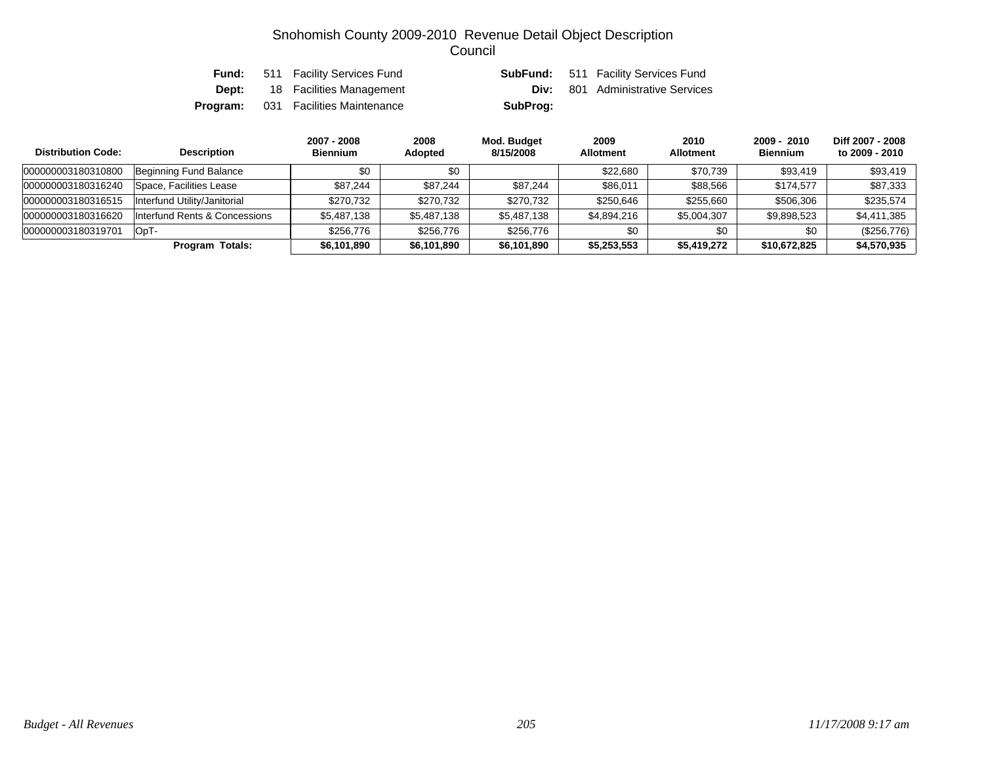|  | <b>Fund:</b> 511 Facility Services Fund    |          | <b>SubFund:</b> 511 Facility Services Fund |
|--|--------------------------------------------|----------|--------------------------------------------|
|  | <b>Dept:</b> 18 Facilities Management      | Div:     | 801 Administrative Services                |
|  | <b>Program:</b> 031 Facilities Maintenance | SubProg: |                                            |

| <b>Distribution Code:</b> | <b>Description</b>            | 2007 - 2008<br><b>Biennium</b> | 2008<br>Adopted | Mod. Budget<br>8/15/2008 | 2009<br><b>Allotment</b> | 2010<br><b>Allotment</b> | 2009 - 2010<br><b>Biennium</b> | Diff 2007 - 2008<br>to 2009 - 2010 |
|---------------------------|-------------------------------|--------------------------------|-----------------|--------------------------|--------------------------|--------------------------|--------------------------------|------------------------------------|
| 000000003180310800        | Beginning Fund Balance        | \$0                            | \$0             |                          | \$22,680                 | \$70,739                 | \$93,419                       | \$93,419                           |
| 000000003180316240        | Space. Facilities Lease       | \$87.244                       | \$87.244        | \$87,244                 | \$86,011                 | \$88,566                 | \$174.577                      | \$87,333                           |
| 000000003180316515        | Interfund Utility/Janitorial  | \$270.732                      | \$270,732       | \$270,732                | \$250,646                | \$255.660                | \$506,306                      | \$235.574                          |
| 000000003180316620        | Interfund Rents & Concessions | \$5,487,138                    | \$5,487,138     | \$5,487,138              | \$4,894,216              | \$5,004,307              | \$9,898,523                    | \$4,411,385                        |
| 000000003180319701        | OpT-                          | \$256.776                      | \$256,776       | \$256.776                | \$0                      | \$0                      | \$0                            | (\$256,776)                        |
|                           | <b>Program Totals:</b>        | \$6,101,890                    | \$6,101,890     | \$6,101,890              | \$5,253,553              | \$5,419,272              | \$10,672,825                   | \$4,570,935                        |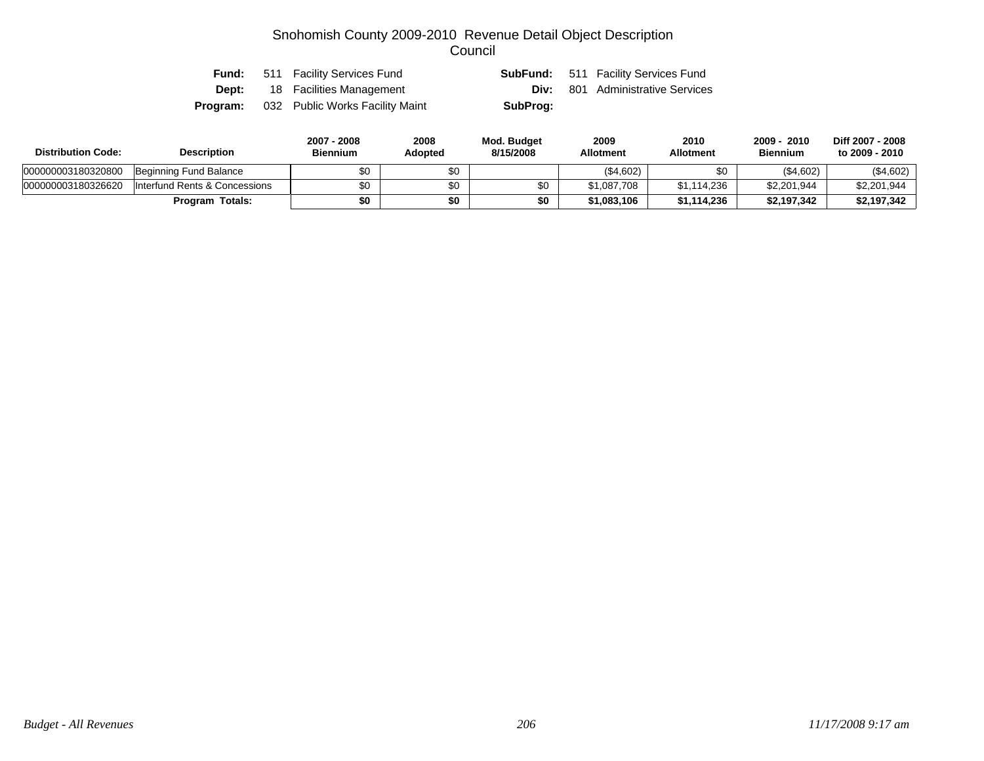|              | <b>Fund:</b> 511 Facility Services Fund         |          | <b>SubFund:</b> 511 Facility Services Fund |
|--------------|-------------------------------------------------|----------|--------------------------------------------|
| <b>Dept:</b> | 18 Facilities Management                        |          | <b>Div:</b> 801 Administrative Services    |
|              | <b>Program:</b> 032 Public Works Facility Maint | SubProg: |                                            |

| <b>Distribution Code:</b> | <b>Description</b>            | 2007 - 2008<br><b>Biennium</b> | 2008<br><b>Adopted</b> | Mod. Budget<br>8/15/2008 | 2009<br><b>Allotment</b> | 2010<br>Allotment | 2009 - 2010<br><b>Biennium</b> | Diff 2007 - 2008<br>to 2009 - 2010 |
|---------------------------|-------------------------------|--------------------------------|------------------------|--------------------------|--------------------------|-------------------|--------------------------------|------------------------------------|
| 000000003180320800        | Beginning Fund Balance        | \$0                            | \$0                    |                          | (\$4,602)                | \$0               | (\$4,602)                      | (\$4,602)                          |
| 000000003180326620        | Interfund Rents & Concessions | ¢Λ.                            | \$0                    | \$0                      | \$1,087,708              | \$1,114,236       | \$2,201,944                    | \$2,201,944                        |
|                           | Program Totals:               | \$0                            | \$0                    | \$0                      | \$1.083.106              | \$1.114.236       | \$2.197.342                    | \$2,197,342                        |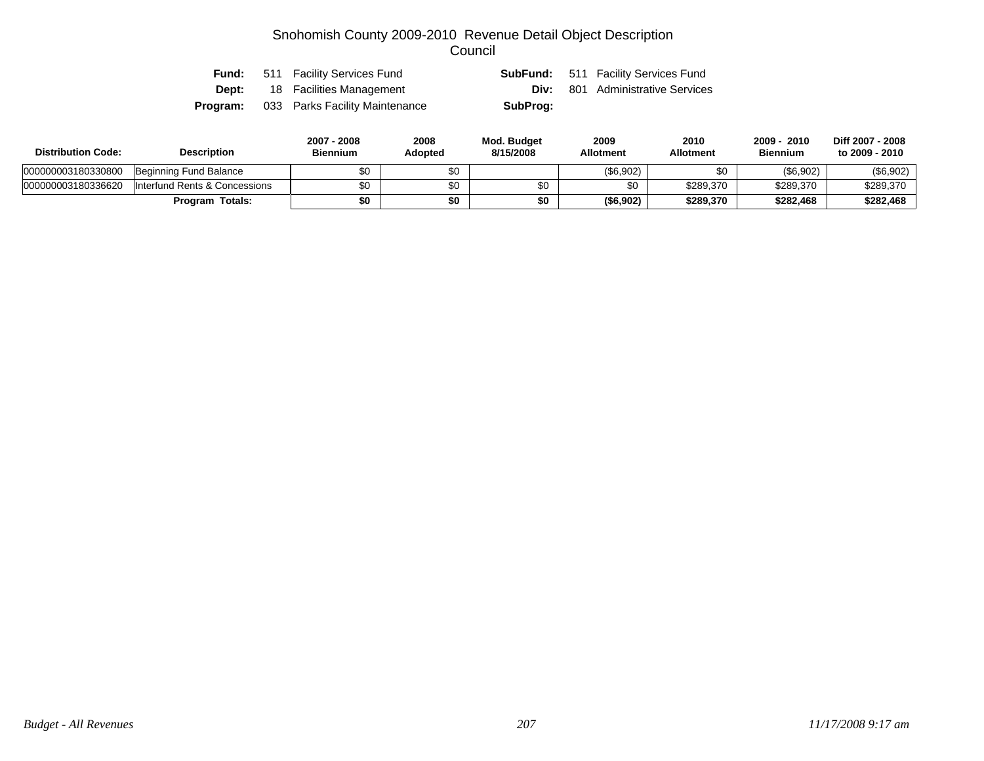|          | <b>Fund:</b> 511 Facility Services Fund |          | <b>SubFund:</b> 511 Facility Services Fund |
|----------|-----------------------------------------|----------|--------------------------------------------|
|          | <b>Dept:</b> 18 Facilities Management   |          | <b>Div:</b> 801 Administrative Services    |
| Program: | 033 Parks Facility Maintenance          | SubProg: |                                            |

| <b>Distribution Code:</b> | <b>Description</b>            | 2007 - 2008<br><b>Biennium</b> | 2008<br>Adopted | Mod. Budget<br>8/15/2008 | 2009<br><b>Allotment</b> | 2010<br>Allotment | 2010<br>2009<br><b>Biennium</b> | Diff 2007 - 2008<br>to 2009 - 2010 |
|---------------------------|-------------------------------|--------------------------------|-----------------|--------------------------|--------------------------|-------------------|---------------------------------|------------------------------------|
| 000000003180330800        | Beginning Fund Balance        | \$0                            | \$0             |                          | (\$6,902)                |                   | (\$6,902)                       | (\$6,902)                          |
| 000000003180336620        | Interfund Rents & Concessions | \$0                            | \$0             |                          | \$0                      | \$289,370         | \$289,370                       | \$289,370                          |
|                           | <b>Program Totals:</b>        | \$0                            | \$0             | \$0                      | (\$6,902)                | \$289,370         | \$282,468                       | \$282,468                          |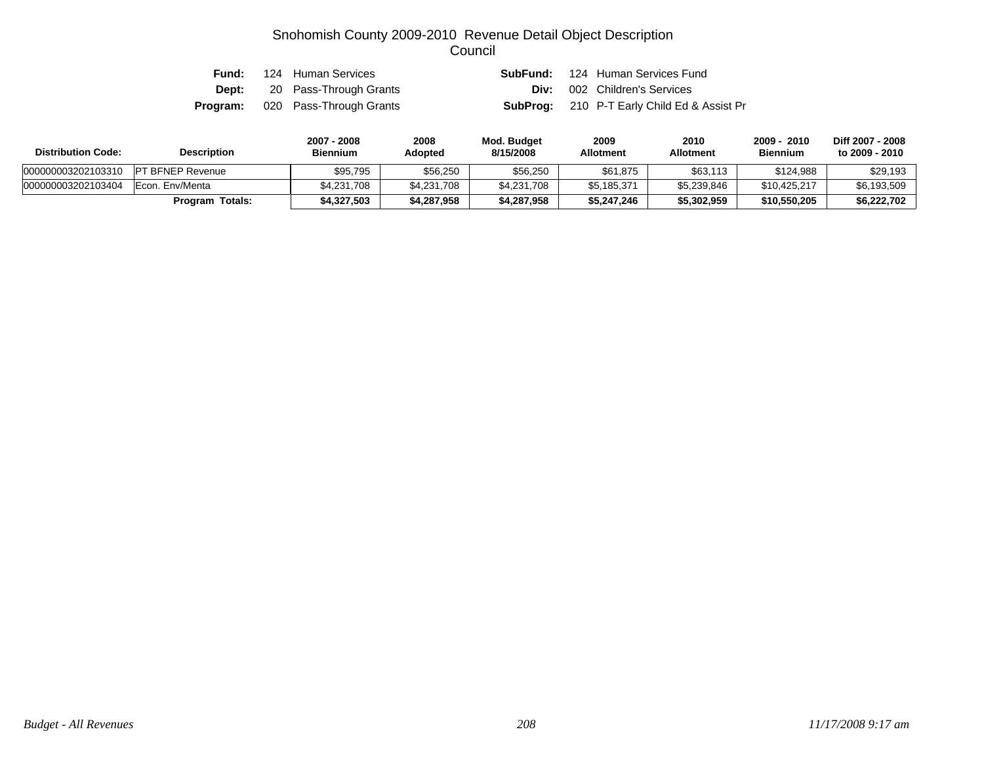|  | <b>Fund:</b> 124 Human Services         |  | <b>SubFund:</b> 124 Human Services Fund            |
|--|-----------------------------------------|--|----------------------------------------------------|
|  | <b>Dept:</b> 20 Pass-Through Grants     |  | <b>Div:</b> 002 Children's Services                |
|  | <b>Program:</b> 020 Pass-Through Grants |  | <b>SubProg:</b> 210 P-T Early Child Ed & Assist Pr |

| <b>Distribution Code:</b> | <b>Description</b>      | 2007 - 2008<br><b>Biennium</b> | 2008<br>Adopted | Mod. Budget<br>8/15/2008 | 2009<br><b>Allotment</b> | 2010<br>Allotment | $2009 -$<br>$-2010$<br><b>Biennium</b> | Diff 2007 - 2008<br>to 2009 - 2010 |
|---------------------------|-------------------------|--------------------------------|-----------------|--------------------------|--------------------------|-------------------|----------------------------------------|------------------------------------|
| 000000003202103310        | <b>PT BFNEP Revenue</b> | \$95.795                       | \$56,250        | \$56,250                 | \$61,875                 | \$63,113          | \$124.988                              | \$29,193                           |
| 000000003202103404        | Econ. Env/Menta         | \$4.231.708                    | \$4,231,708     | \$4.231.708              | \$5,185,371              | \$5.239.846       | \$10.425.217                           | \$6,193,509                        |
|                           | <b>Program Totals:</b>  | \$4.327.503                    | \$4,287,958     | \$4,287,958              | \$5,247,246              | \$5,302,959       | \$10,550,205                           | \$6,222,702                        |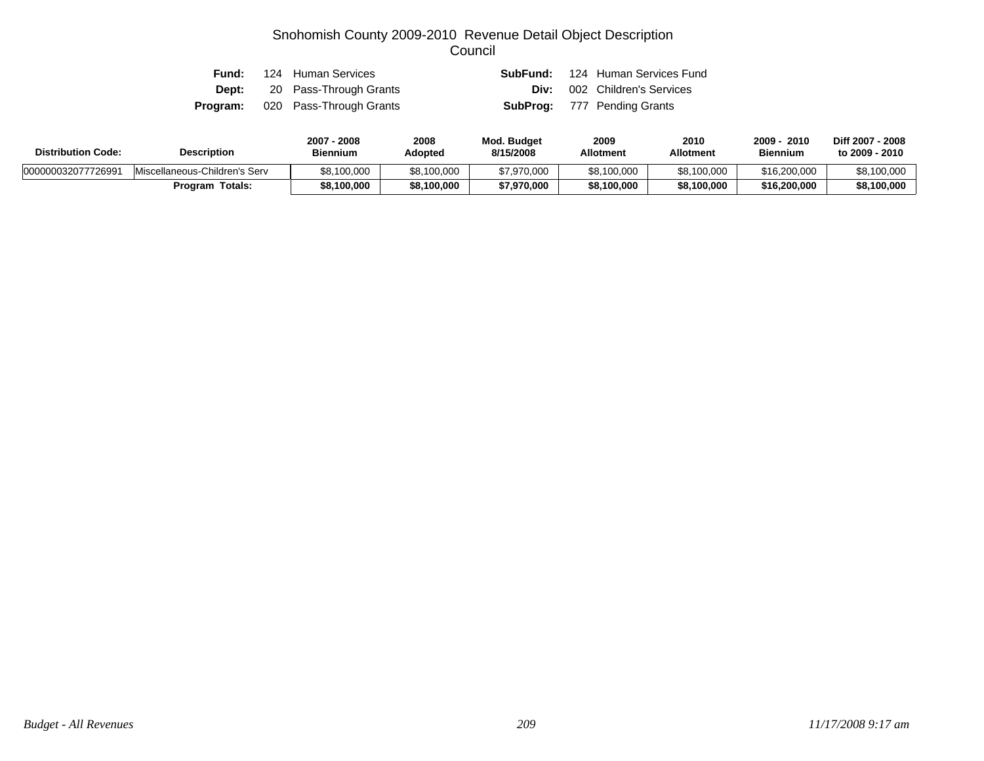| Fund: | 124 Human Services                      | <b>SubFund:</b> 124 Human Services Fund |
|-------|-----------------------------------------|-----------------------------------------|
|       | <b>Dept:</b> 20 Pass-Through Grants     | <b>Div:</b> 002 Children's Services     |
|       | <b>Program:</b> 020 Pass-Through Grants | <b>SubProg:</b> 777 Pending Grants      |

| <b>Distribution Code:</b> | <b>Description</b>            | 2007 - 2008<br><b>Biennium</b> | 2008<br>Adopted | <b>Mod. Budget</b><br>8/15/2008 | 2009<br><b>Allotment</b> | 2010<br><b>Allotment</b> | 2010<br>2009<br><b>Biennium</b> | Diff 2007 - 2008<br>to 2009 - 2010 |
|---------------------------|-------------------------------|--------------------------------|-----------------|---------------------------------|--------------------------|--------------------------|---------------------------------|------------------------------------|
| 000000032077726991        | Miscellaneous-Children's Serv | \$8,100,000                    | \$8,100,000     | \$7,970,000                     | \$8,100,000              | \$8,100,000              | \$16,200,000                    | \$8,100,000                        |
|                           | <b>Program Totals:</b>        | \$8,100,000                    | \$8,100,000     | \$7,970,000                     | \$8,100,000              | \$8,100,000              | \$16,200,000                    | \$8,100,000                        |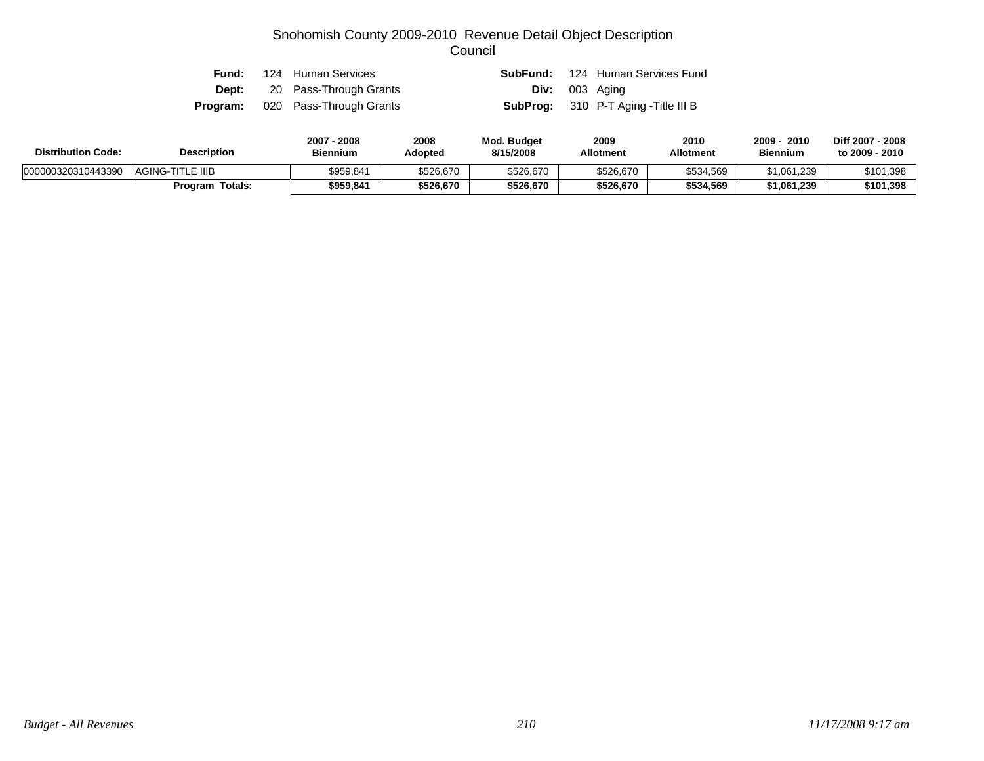| Fund: | 124 Human Services                      |  | <b>SubFund:</b> 124 Human Services Fund     |
|-------|-----------------------------------------|--|---------------------------------------------|
|       | <b>Dept:</b> 20 Pass-Through Grants     |  | <b>Div:</b> 003 Aging                       |
|       | <b>Program:</b> 020 Pass-Through Grants |  | <b>SubProg:</b> 310 P-T Aging - Title III B |

| <b>Distribution Code:</b> | <b>Description</b>     | 2007 - 2008<br><b>Biennium</b> | 2008<br>Adopted | Mod. Budget<br>8/15/2008 | 2009<br><b>Allotment</b> | 2010<br><b>Allotment</b> | 2009<br>2010<br><b>Biennium</b> | Diff 2007 - 2008<br>to 2009 - 2010 |
|---------------------------|------------------------|--------------------------------|-----------------|--------------------------|--------------------------|--------------------------|---------------------------------|------------------------------------|
| 000000320310443390        | AGING-TITLE IIIB       | \$959,841                      | \$526,670       | \$526,670                | \$526,670                | \$534,569                | \$1,061,239                     | \$101,398                          |
|                           | <b>Program Totals:</b> | \$959,841                      | \$526,670       | \$526,670                | \$526,670                | \$534,569                | \$1,061,239                     | \$101,398                          |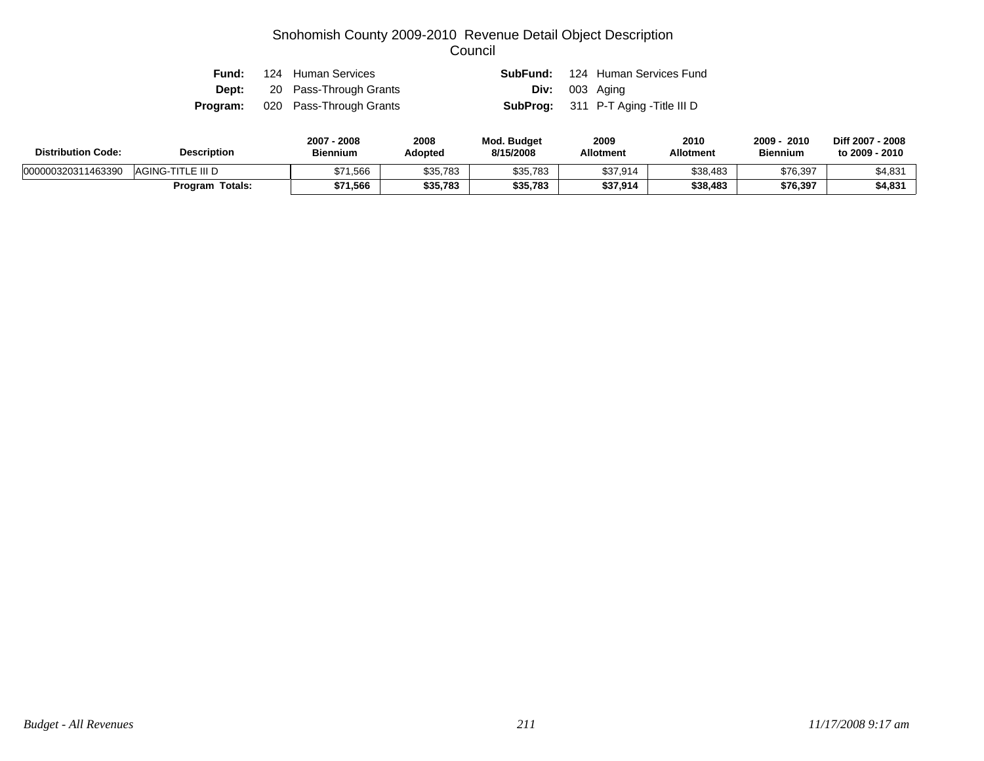| Fund: | 124 Human Services                      |  | <b>SubFund:</b> 124 Human Services Fund     |
|-------|-----------------------------------------|--|---------------------------------------------|
|       | <b>Dept:</b> 20 Pass-Through Grants     |  | <b>Div:</b> 003 Aging                       |
|       | <b>Program:</b> 020 Pass-Through Grants |  | <b>SubProg:</b> 311 P-T Aging - Title III D |

| <b>Distribution Code:</b> | <b>Description</b>     | 2007 - 2008<br><b>Biennium</b> | 2008<br>Adopted | <b>Mod. Budget</b><br>8/15/2008 | 2009<br><b>Allotment</b> | 2010<br><b>Allotment</b> | 2010<br>2009<br><b>Biennium</b> | Diff 2007 - 2008<br>to 2009 - 2010 |
|---------------------------|------------------------|--------------------------------|-----------------|---------------------------------|--------------------------|--------------------------|---------------------------------|------------------------------------|
| 000000320311463390        | AGING-TITLE III D      | \$71,566                       | \$35,783        | \$35,783                        | \$37,914                 | \$38,483                 | \$76,397                        | \$4,831                            |
|                           | <b>Program Totals:</b> | \$71,566                       | \$35,783        | \$35,783                        | \$37,914                 | \$38,483                 | \$76,397                        | \$4,831                            |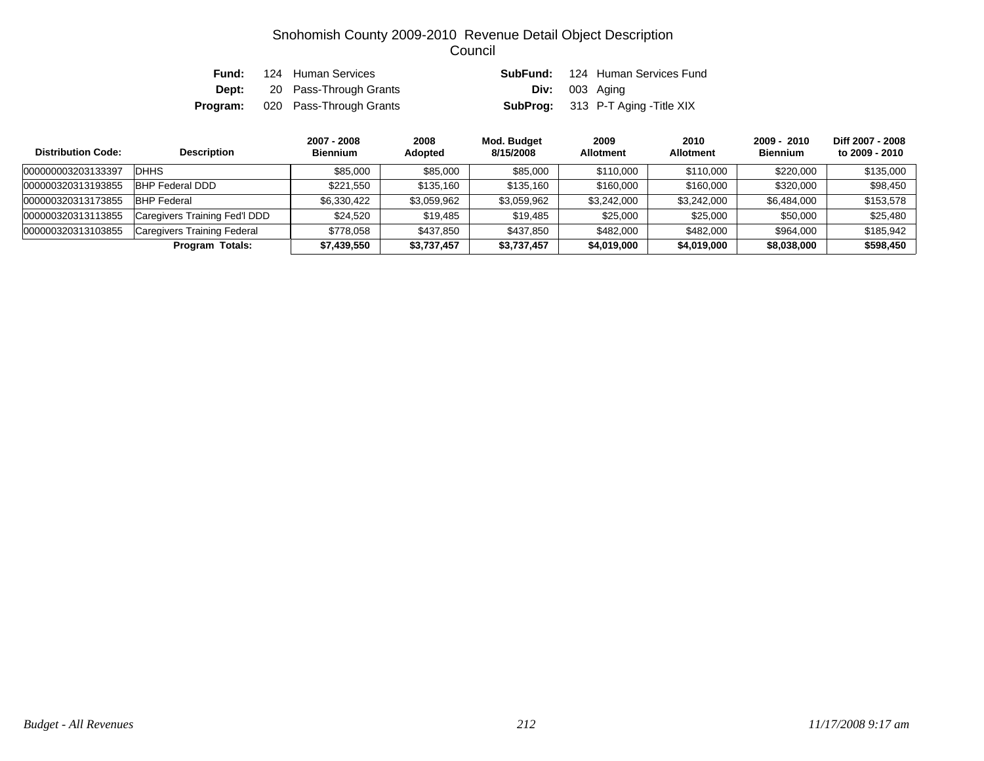| Fund:        | 124 Human Services                      |                       | <b>SubFund:</b> 124 Human Services Fund  |
|--------------|-----------------------------------------|-----------------------|------------------------------------------|
| <b>Dept:</b> | 20 Pass-Through Grants                  | <b>Div:</b> 003 Aging |                                          |
|              | <b>Program:</b> 020 Pass-Through Grants |                       | <b>SubProg:</b> 313 P-T Aging -Title XIX |

| <b>Distribution Code:</b> | <b>Description</b>                 | 2007 - 2008<br><b>Biennium</b> | 2008<br>Adopted | Mod. Budget<br>8/15/2008 | 2009<br><b>Allotment</b> | 2010<br><b>Allotment</b> | 2009 - 2010<br><b>Biennium</b> | Diff 2007 - 2008<br>to 2009 - 2010 |
|---------------------------|------------------------------------|--------------------------------|-----------------|--------------------------|--------------------------|--------------------------|--------------------------------|------------------------------------|
| 000000003203133397        | DHHS                               | \$85.000                       | \$85,000        | \$85,000                 | \$110,000                | \$110,000                | \$220,000                      | \$135,000                          |
| 000000320313193855        | <b>BHP Federal DDD</b>             | \$221.550                      | \$135,160       | \$135.160                | \$160,000                | \$160,000                | \$320,000                      | \$98,450                           |
| 000000320313173855        | <b>BHP Federal</b>                 | \$6,330,422                    | \$3,059,962     | \$3,059,962              | \$3,242,000              | \$3,242,000              | \$6,484,000                    | \$153,578                          |
| 000000320313113855        | Caregivers Training Fed'l DDD      | \$24,520                       | \$19,485        | \$19,485                 | \$25,000                 | \$25,000                 | \$50,000                       | \$25,480                           |
| 000000320313103855        | <b>Caregivers Training Federal</b> | \$778.058                      | \$437,850       | \$437.850                | \$482,000                | \$482,000                | \$964,000                      | \$185.942                          |
|                           | Program Totals:                    | \$7,439,550                    | \$3,737,457     | \$3,737,457              | \$4,019,000              | \$4,019,000              | \$8,038,000                    | \$598,450                          |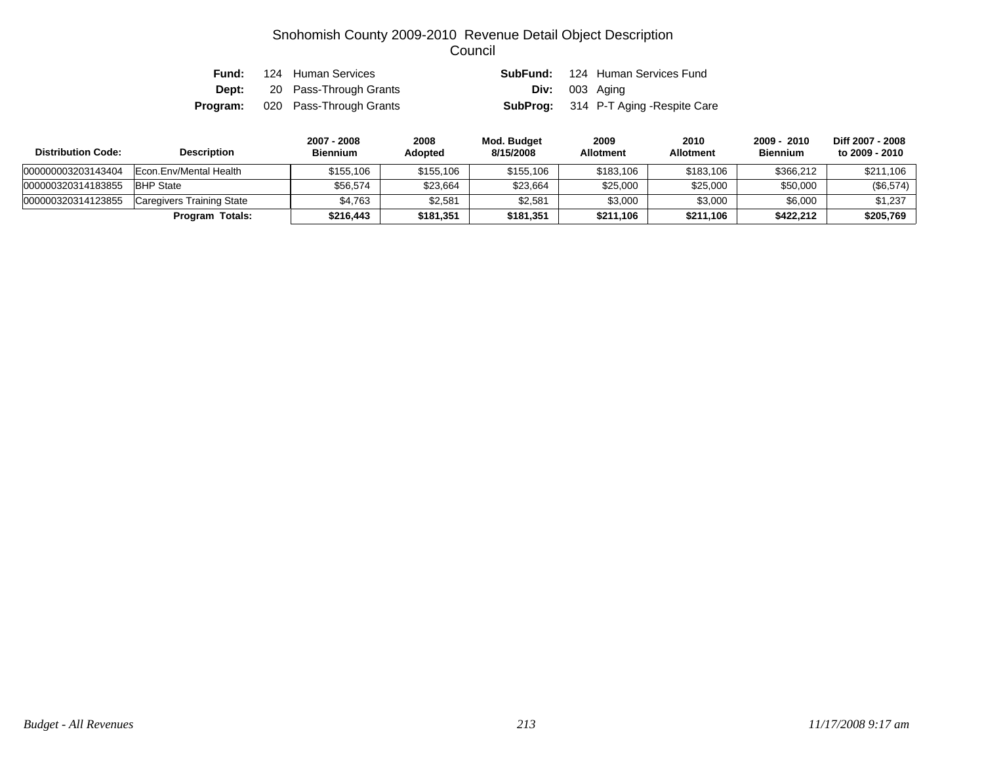| Fund: | 124 Human Services                      |                       | <b>SubFund:</b> 124 Human Services Fund     |
|-------|-----------------------------------------|-----------------------|---------------------------------------------|
|       | <b>Dept:</b> 20 Pass-Through Grants     | <b>Div:</b> 003 Aging |                                             |
|       | <b>Program:</b> 020 Pass-Through Grants |                       | <b>SubProg:</b> 314 P-T Aging -Respite Care |

| <b>Distribution Code:</b> | <b>Description</b>        | 2007 - 2008<br><b>Biennium</b> | 2008<br><b>Adopted</b> | Mod. Budget<br>8/15/2008 | 2009<br><b>Allotment</b> | 2010<br><b>Allotment</b> | 2009 - 2010<br><b>Biennium</b> | Diff 2007 - 2008<br>to 2009 - 2010 |
|---------------------------|---------------------------|--------------------------------|------------------------|--------------------------|--------------------------|--------------------------|--------------------------------|------------------------------------|
| 000000003203143404        | IEcon.Env/Mental Health   | \$155,106                      | \$155,106              | \$155,106                | \$183,106                | \$183,106                | \$366.212                      | \$211,106                          |
| 000000320314183855        | <b>BHP State</b>          | \$56.574                       | \$23,664               | \$23,664                 | \$25,000                 | \$25,000                 | \$50,000                       | $(\$6,574)$                        |
| 000000320314123855        | Caregivers Training State | \$4.763                        | \$2,581                | \$2,581                  | \$3,000                  | \$3,000                  | \$6,000                        | \$1,237                            |
|                           | Program Totals:           | \$216,443                      | \$181,351              | \$181,351                | \$211.106                | \$211,106                | \$422,212                      | \$205,769                          |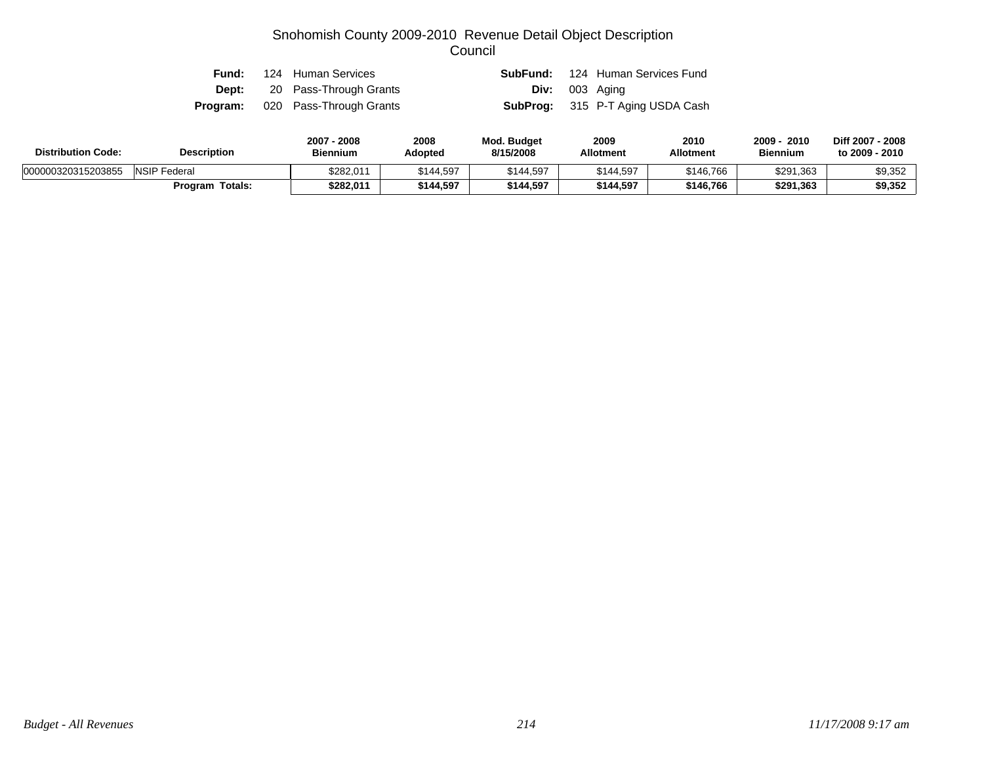|  | <b>Fund:</b> 124 Human Services         |                       | <b>SubFund:</b> 124 Human Services Fund |
|--|-----------------------------------------|-----------------------|-----------------------------------------|
|  | <b>Dept:</b> 20 Pass-Through Grants     | <b>Div:</b> 003 Aging |                                         |
|  | <b>Program:</b> 020 Pass-Through Grants |                       | <b>SubProg:</b> 315 P-T Aging USDA Cash |

| <b>Distribution Code:</b> | <b>Description</b>     | 2007 - 2008<br><b>Biennium</b> | 2008<br>Adopted | Mod. Budget<br>8/15/2008 | 2009<br><b>Allotment</b> | 2010<br>Allotment | 2009<br>2010<br><b>Biennium</b> | Diff 2007 - 2008<br>to 2009 - 2010 |
|---------------------------|------------------------|--------------------------------|-----------------|--------------------------|--------------------------|-------------------|---------------------------------|------------------------------------|
| 000000320315203855        | <b>NSIP</b> Federal    | \$282,011                      | \$144,597       | \$144,597                | \$144,597                | \$146,766         | \$291,363                       | \$9,352                            |
|                           | <b>Program Totals:</b> | \$282.011                      | \$144,597       | \$144,597                | \$144,597                | \$146.766         | \$291,363                       | \$9,352                            |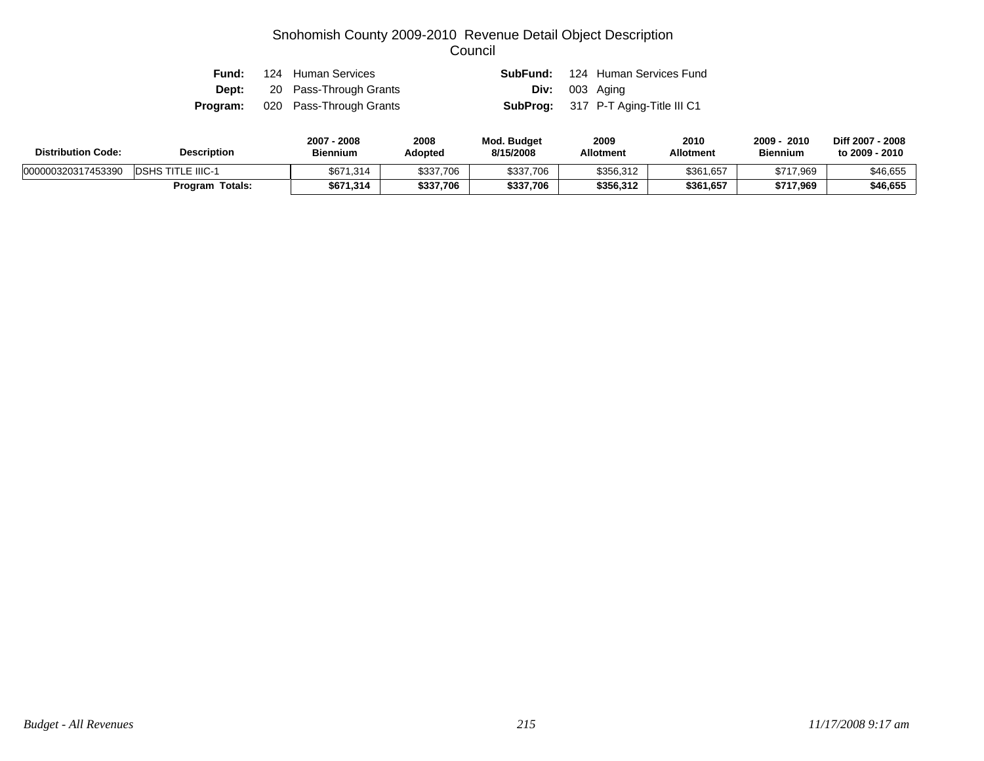| Fund: | 124 Human Services                      |  | <b>SubFund:</b> 124 Human Services Fund    |
|-------|-----------------------------------------|--|--------------------------------------------|
|       | <b>Dept:</b> 20 Pass-Through Grants     |  | <b>Div:</b> 003 Aging                      |
|       | <b>Program:</b> 020 Pass-Through Grants |  | <b>SubProg:</b> 317 P-T Aging-Title III C1 |

| <b>Distribution Code:</b> | <b>Description</b>       | 2007 - 2008<br><b>Biennium</b> | 2008<br>Adopted | Mod. Budget<br>8/15/2008 | 2009<br><b>Allotment</b> | 2010<br><b>Allotment</b> | 2009<br>2010<br><b>Biennium</b> | Diff 2007 - 2008<br>to 2009 - 2010 |
|---------------------------|--------------------------|--------------------------------|-----------------|--------------------------|--------------------------|--------------------------|---------------------------------|------------------------------------|
| 000000320317453390        | <b>DSHS TITLE IIIC-1</b> | \$671,314                      | \$337,706       | \$337,706                | \$356,312                | \$361,657                | \$717,969                       | \$46,655                           |
|                           | <b>Program Totals:</b>   | \$671,314                      | \$337,706       | \$337,706                | \$356.312                | \$361,657                | \$717,969                       | \$46,655                           |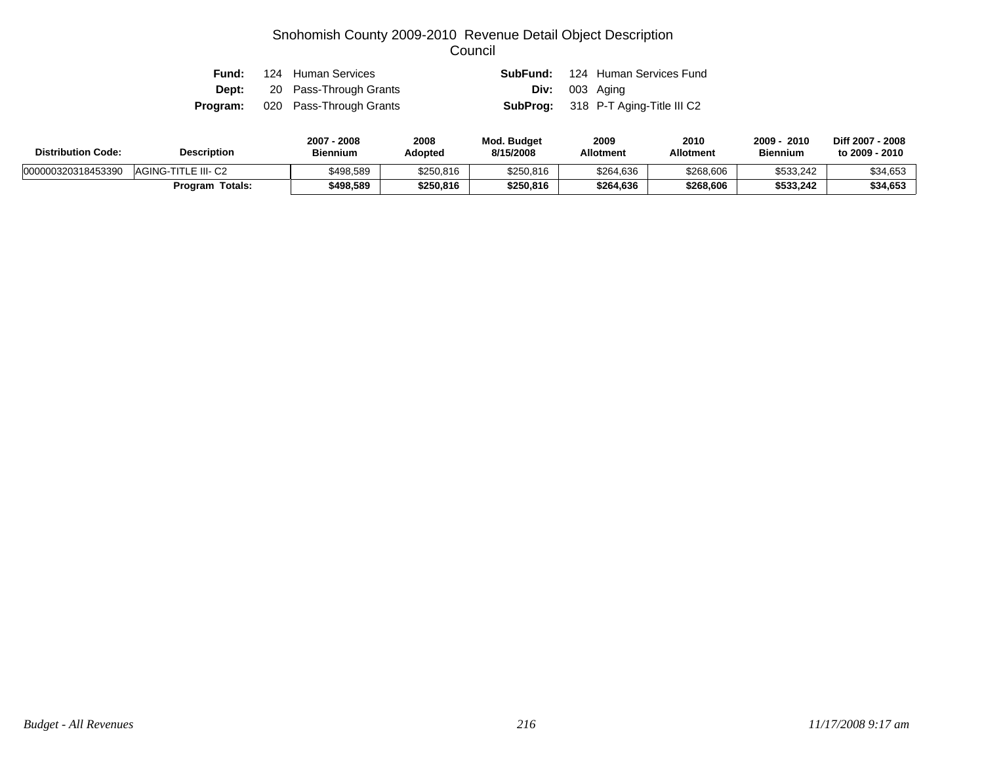| Fund: | 124 Human Services                      |                  | <b>SubFund:</b> 124 Human Services Fund    |
|-------|-----------------------------------------|------------------|--------------------------------------------|
|       | <b>Dept:</b> 20 Pass-Through Grants     | $Div: 003$ Aging |                                            |
|       | <b>Program:</b> 020 Pass-Through Grants |                  | <b>SubProg:</b> 318 P-T Aging-Title III C2 |

| <b>Distribution Code:</b> | <b>Description</b>     | 2007 - 2008<br><b>Biennium</b> | 2008<br>Adopted | <b>Mod. Budget</b><br>8/15/2008 | 2009<br><b>Allotment</b> | 2010<br><b>Allotment</b> | 2009<br>2010<br><b>Biennium</b> | Diff 2007 - 2008<br>to 2009 - 2010 |
|---------------------------|------------------------|--------------------------------|-----------------|---------------------------------|--------------------------|--------------------------|---------------------------------|------------------------------------|
| 000000320318453390        | AGING-TITLE III- C2    | \$498.589                      | \$250,816       | \$250,816                       | \$264,636                | \$268,606                | \$533,242                       | \$34,653                           |
|                           | <b>Program Totals:</b> | \$498.589                      | \$250,816       | \$250,816                       | \$264,636                | \$268,606                | \$533,242                       | \$34,653                           |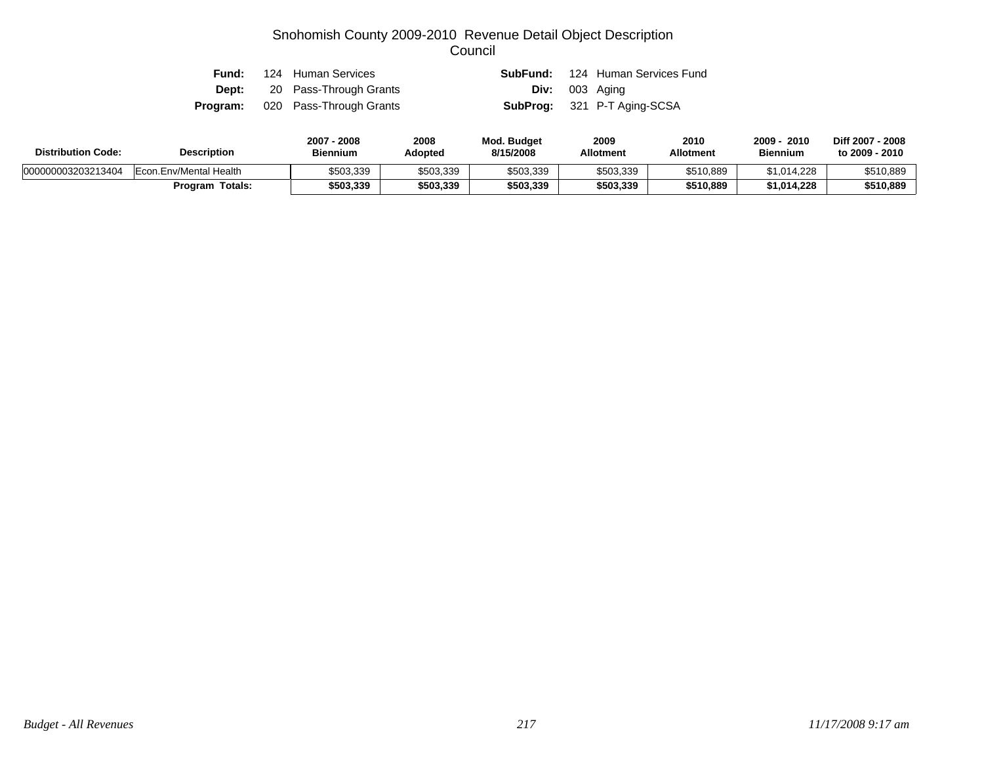| Fund: | 124 Human Services                      |  | <b>SubFund:</b> 124 Human Services Fund |
|-------|-----------------------------------------|--|-----------------------------------------|
|       | <b>Dept:</b> 20 Pass-Through Grants     |  | <b>Div:</b> 003 Aging                   |
|       | <b>Program:</b> 020 Pass-Through Grants |  | <b>SubProg:</b> 321 P-T Aging-SCSA      |

| <b>Distribution Code:</b> | <b>Description</b>     | 2007 - 2008<br><b>Biennium</b> | 2008<br>Adopted | <b>Mod. Budget</b><br>8/15/2008 | 2009<br><b>Allotment</b> | 2010<br><b>Allotment</b> | 2009<br>2010<br><b>Biennium</b> | Diff 2007 - 2008<br>to 2009 - 2010 |
|---------------------------|------------------------|--------------------------------|-----------------|---------------------------------|--------------------------|--------------------------|---------------------------------|------------------------------------|
| 000000003203213404        | Econ.Env/Mental Health | \$503,339                      | \$503,339       | \$503,339                       | \$503,339                | \$510,889                | \$1,014,228                     | \$510,889                          |
|                           | <b>Program Totals:</b> | \$503,339                      | \$503,339       | \$503,339                       | \$503,339                | \$510.889                | \$1,014,228                     | \$510,889                          |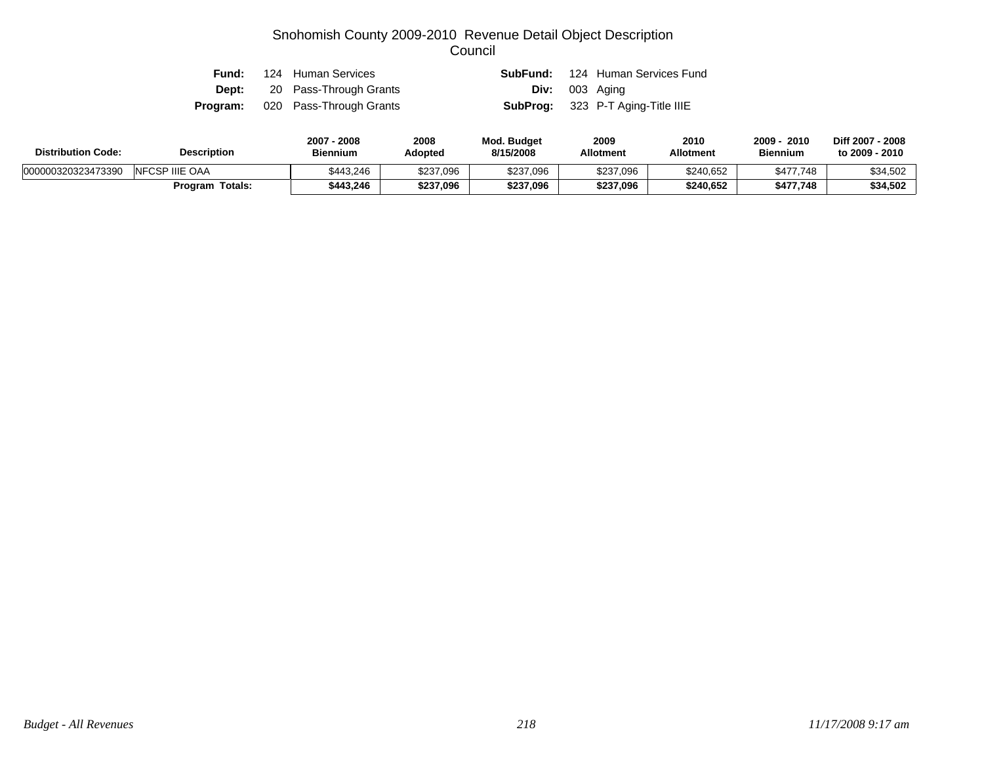| Fund: | 124 Human Services                      |                         | <b>SubFund:</b> 124 Human Services Fund  |
|-------|-----------------------------------------|-------------------------|------------------------------------------|
|       | <b>Dept:</b> 20 Pass-Through Grants     | <b>Div:</b> $003$ Aging |                                          |
|       | <b>Program:</b> 020 Pass-Through Grants |                         | <b>SubProg:</b> 323 P-T Aging-Title IIIE |

| <b>Distribution Code:</b> | <b>Description</b>     | 2007 - 2008<br><b>Biennium</b> | 2008<br>Adopted | <b>Mod. Budget</b><br>8/15/2008 | 2009<br><b>Allotment</b> | 2010<br><b>Allotment</b> | 2010<br>2009<br><b>Biennium</b> | Diff 2007 - 2008<br>to 2009 - 2010 |
|---------------------------|------------------------|--------------------------------|-----------------|---------------------------------|--------------------------|--------------------------|---------------------------------|------------------------------------|
| 000000320323473390        | <b>INFCSP IIIE OAA</b> | \$443.246                      | \$237,096       | \$237,096                       | \$237,096                | \$240,652                | \$477,748                       | \$34,502                           |
|                           | <b>Program Totals:</b> | \$443,246                      | \$237,096       | \$237,096                       | \$237,096                | \$240,652                | \$477,748                       | \$34,502                           |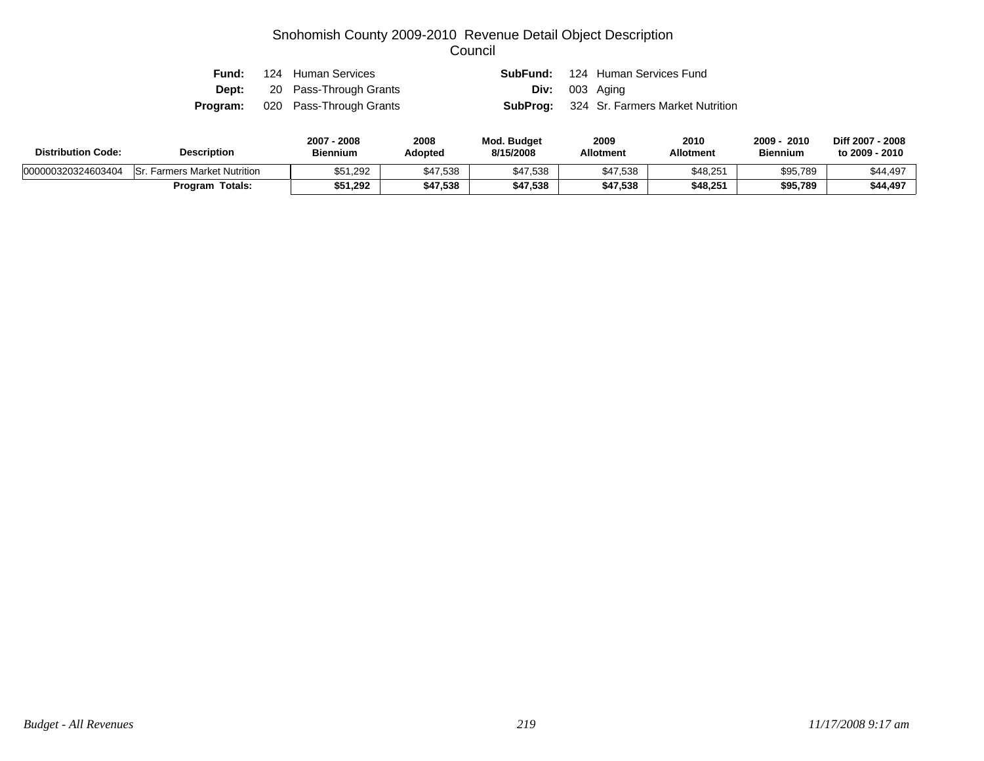| Fund: | 124 Human Services                      |                         | <b>SubFund:</b> 124 Human Services Fund          |
|-------|-----------------------------------------|-------------------------|--------------------------------------------------|
|       | <b>Dept:</b> 20 Pass-Through Grants     | <b>Div:</b> $003$ Aging |                                                  |
|       | <b>Program:</b> 020 Pass-Through Grants |                         | <b>SubProg:</b> 324 Sr. Farmers Market Nutrition |

| <b>Distribution Code:</b> | <b>Description</b>                  | 2007 - 2008<br><b>Biennium</b> | 2008<br>Adopted | <b>Mod. Budget</b><br>8/15/2008 | 2009<br><b>Allotment</b> | 2010<br><b>Allotment</b> | 2009 ·<br>2010<br><b>Biennium</b> | Diff 2007 - 2008<br>to 2009 - 2010 |
|---------------------------|-------------------------------------|--------------------------------|-----------------|---------------------------------|--------------------------|--------------------------|-----------------------------------|------------------------------------|
| 000000320324603404        | <b>Sr. Farmers Market Nutrition</b> | \$51,292                       | \$47,538        | \$47,538                        | \$47,538                 | \$48,251                 | \$95,789                          | \$44,497                           |
|                           | <b>Program Totals:</b>              | \$51,292                       | \$47,538        | \$47,538                        | \$47,538                 | \$48,251                 | \$95,789                          | \$44,497                           |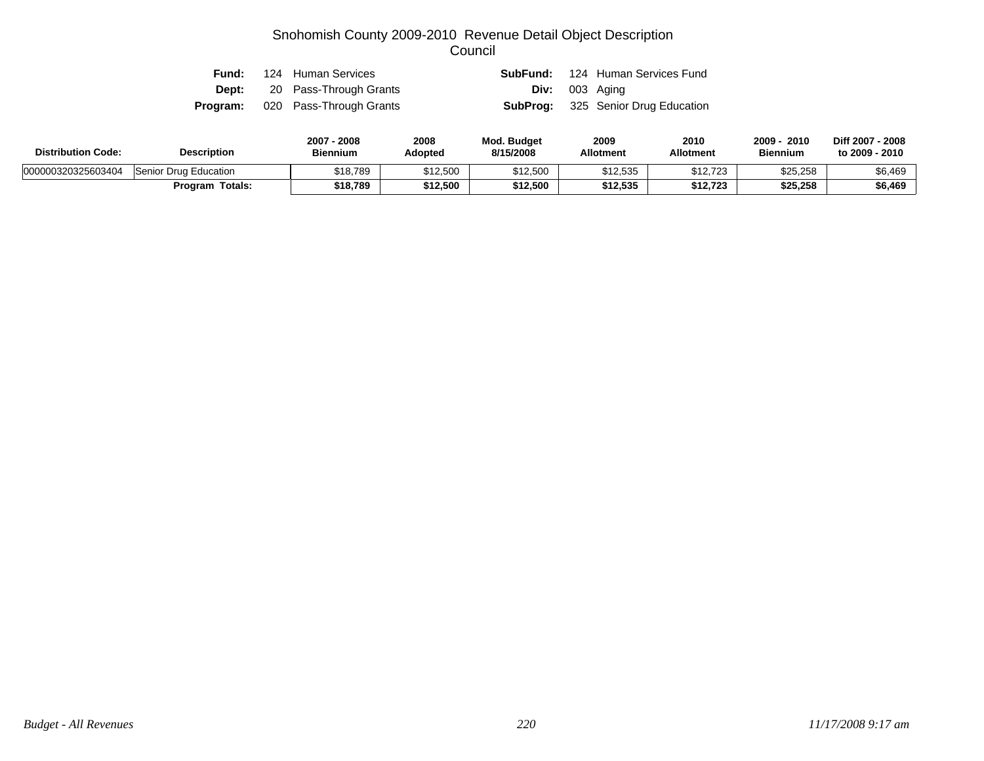|  | <b>Fund:</b> 124 Human Services         |                       | <b>SubFund:</b> 124 Human Services Fund   |
|--|-----------------------------------------|-----------------------|-------------------------------------------|
|  | <b>Dept:</b> 20 Pass-Through Grants     | <b>Div:</b> 003 Aging |                                           |
|  | <b>Program:</b> 020 Pass-Through Grants |                       | <b>SubProg:</b> 325 Senior Drug Education |

| <b>Distribution Code:</b> | <b>Description</b>     | 2007 - 2008<br><b>Biennium</b> | 2008<br>Adopted | Mod. Budget<br>8/15/2008 | 2009<br><b>Allotment</b> | 2010<br><b>Allotment</b> | 2010<br>2009<br><b>Biennium</b> | Diff 2007 - 2008<br>to 2009 - 2010 |
|---------------------------|------------------------|--------------------------------|-----------------|--------------------------|--------------------------|--------------------------|---------------------------------|------------------------------------|
| 000000320325603404        | Senior Drug Education  | \$18,789                       | \$12,500        | \$12,500                 | \$12,535                 | \$12,723                 | \$25,258                        | \$6,469                            |
|                           | <b>Program Totals:</b> | \$18,789                       | \$12,500        | \$12,500                 | \$12.535                 | \$12.723                 | \$25,258                        | \$6,469                            |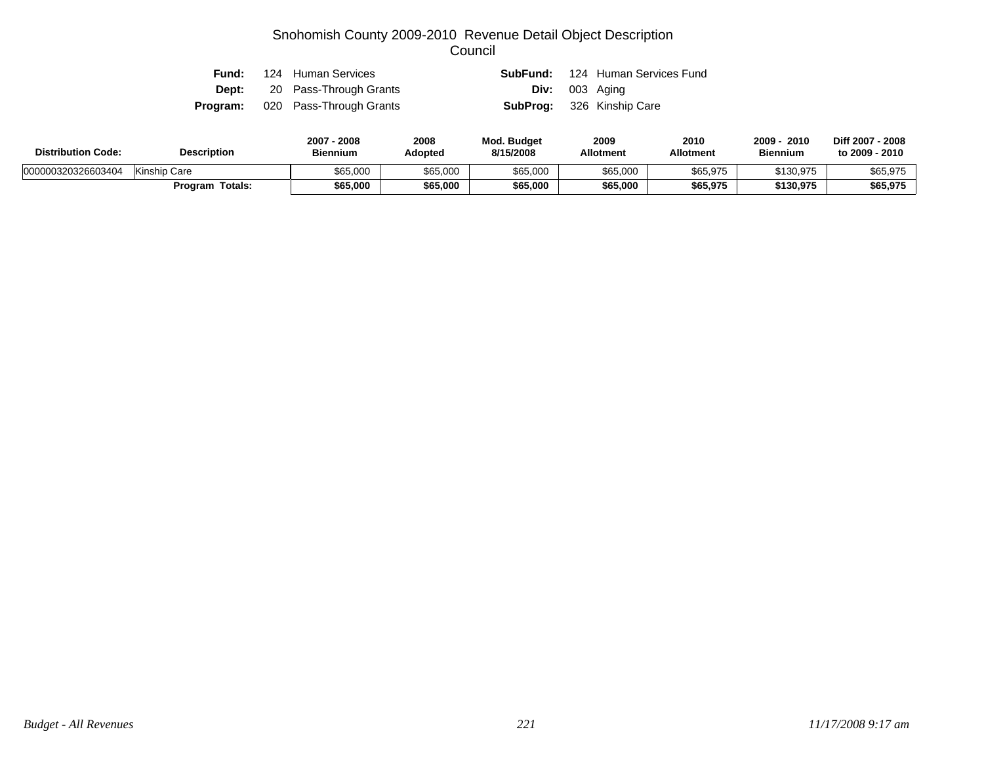|  | <b>Fund:</b> 124 Human Services         |                                  | <b>SubFund:</b> 124 Human Services Fund |
|--|-----------------------------------------|----------------------------------|-----------------------------------------|
|  | <b>Dept:</b> 20 Pass-Through Grants     | <b>Div:</b> 003 Aging            |                                         |
|  | <b>Program:</b> 020 Pass-Through Grants | <b>SubProg:</b> 326 Kinship Care |                                         |

| <b>Distribution Code:</b> | <b>Description</b>     | 2007<br>7 - 2008<br><b>Biennium</b> | 2008<br>Adopted | Mod. Budget<br>8/15/2008 | 2009<br><b>Allotment</b> | 2010<br>Allotment | 2010<br>2009<br><b>Biennium</b> | Diff 2007 - 2008<br>to 2009 - 2010 |
|---------------------------|------------------------|-------------------------------------|-----------------|--------------------------|--------------------------|-------------------|---------------------------------|------------------------------------|
| 000000320326603404        | Kinship Care           | \$65,000                            | \$65,000        | \$65,000                 | \$65,000                 | \$65,975          | \$130,975                       | \$65,975                           |
|                           | <b>Program Totals:</b> | \$65,000                            | \$65,000        | \$65,000                 | \$65,000                 | \$65,975          | \$130,975                       | \$65,975                           |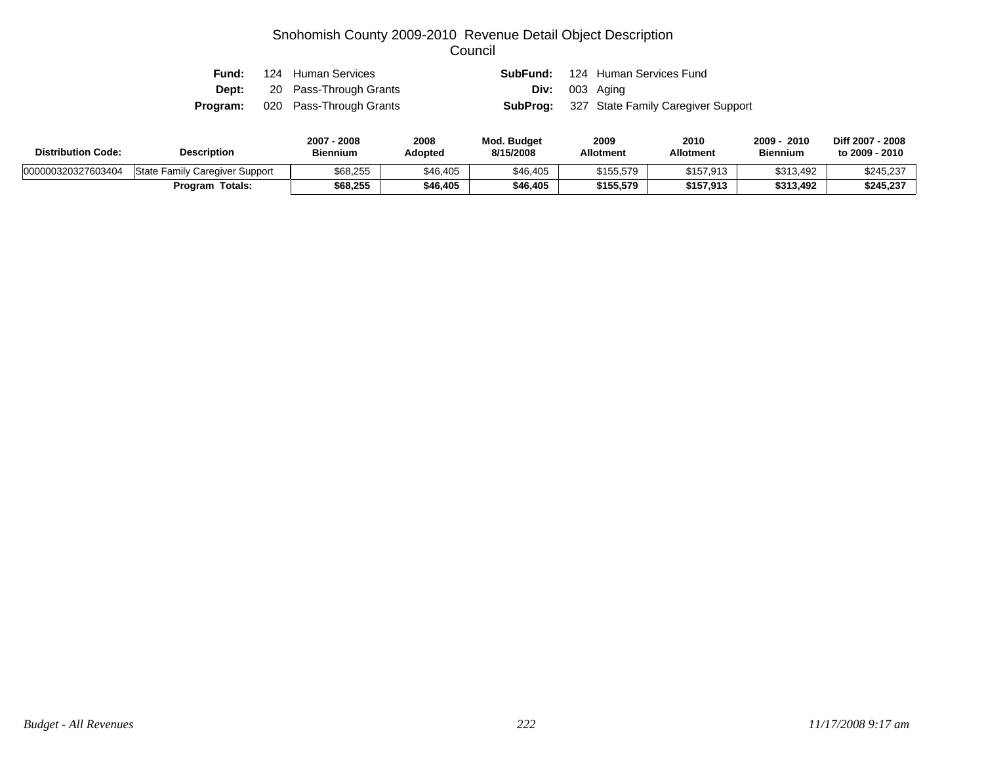| Fund:        | 124 Human Services                      |                       | <b>SubFund:</b> 124 Human Services Fund            |
|--------------|-----------------------------------------|-----------------------|----------------------------------------------------|
| <b>Dept:</b> | 20 Pass-Through Grants                  | <b>Div:</b> 003 Aging |                                                    |
|              | <b>Program:</b> 020 Pass-Through Grants |                       | <b>SubProg:</b> 327 State Family Caregiver Support |

| <b>Distribution Code:</b> | <b>Description</b>             | 2007 - 2008<br><b>Biennium</b> | 2008<br>Adopted | <b>Mod. Budget</b><br>8/15/2008 | 2009<br><b>Allotment</b> | 2010<br><b>Allotment</b> | 2009<br>2010<br><b>Biennium</b> | Diff 2007 - 2008<br>to 2009 - 2010 |
|---------------------------|--------------------------------|--------------------------------|-----------------|---------------------------------|--------------------------|--------------------------|---------------------------------|------------------------------------|
| 000000320327603404        | State Family Caregiver Support | \$68,255                       | \$46,405        | \$46,405                        | \$155,579                | \$157,913                | \$313,492                       | \$245,237                          |
|                           | <b>Program Totals:</b>         | \$68.255                       | \$46,405        | \$46,405                        | \$155,579                | \$157,913                | \$313,492                       | \$245,237                          |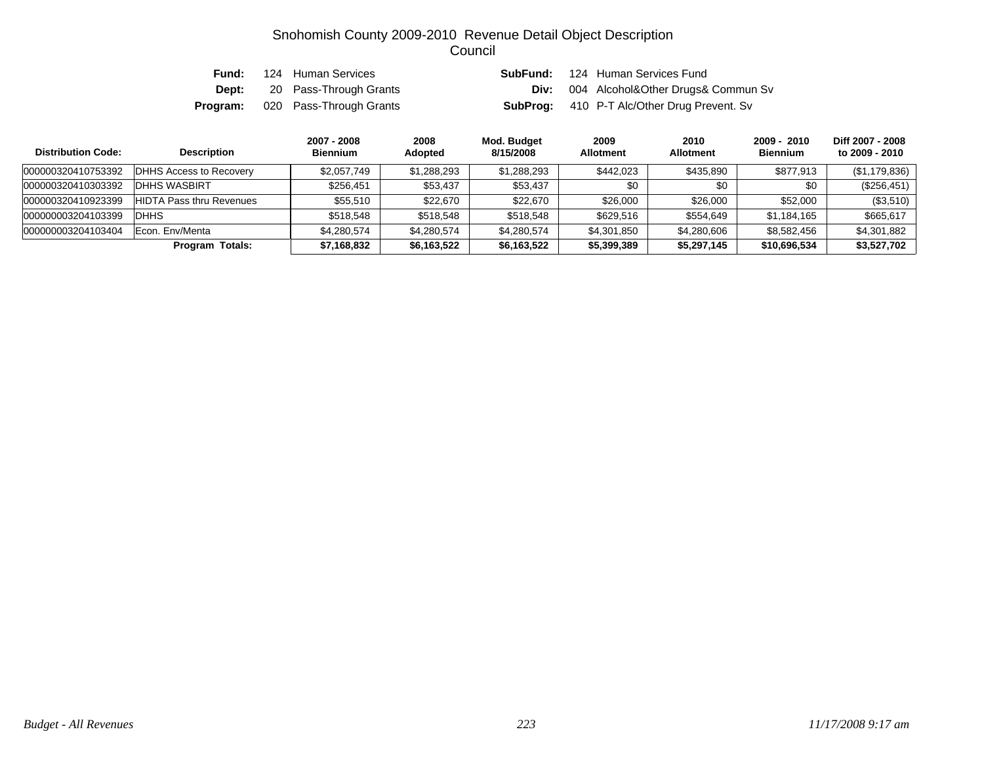| Fund:    | 124 Human Services      |  | <b>SubFund:</b> 124 Human Services Fund            |
|----------|-------------------------|--|----------------------------------------------------|
| Dept:    | 20 Pass-Through Grants  |  | <b>Div:</b> 004 Alcohol&Other Drugs& Commun Sv     |
| Program: | 020 Pass-Through Grants |  | <b>SubProg:</b> 410 P-T Alc/Other Drug Prevent. Sv |

| <b>Distribution Code:</b> | <b>Description</b>              | 2007 - 2008<br><b>Biennium</b> | 2008<br><b>Adopted</b> | Mod. Budget<br>8/15/2008 | 2009<br><b>Allotment</b> | 2010<br><b>Allotment</b> | $2009 - 2010$<br><b>Biennium</b> | Diff 2007 - 2008<br>to 2009 - 2010 |
|---------------------------|---------------------------------|--------------------------------|------------------------|--------------------------|--------------------------|--------------------------|----------------------------------|------------------------------------|
| 000000320410753392        | <b>DHHS Access to Recovery</b>  | \$2,057,749                    | \$1,288,293            | \$1,288,293              | \$442,023                | \$435,890                | \$877,913                        | (\$1,179,836)                      |
| 000000320410303392        | IDHHS WASBIRT                   | \$256,451                      | \$53,437               | \$53,437                 | \$0                      | \$0                      | \$0                              | $(\$256,451)$                      |
| 000000320410923399        | <b>HIDTA Pass thru Revenues</b> | \$55,510                       | \$22,670               | \$22,670                 | \$26,000                 | \$26,000                 | \$52,000                         | (\$3,510)                          |
| 000000003204103399        | <b>DHHS</b>                     | \$518,548                      | \$518,548              | \$518,548                | \$629.516                | \$554,649                | \$1,184,165                      | \$665,617                          |
| 000000003204103404        | Econ. Env/Menta                 | \$4,280,574                    | \$4,280,574            | \$4.280.574              | \$4,301,850              | \$4,280,606              | \$8,582,456                      | \$4,301,882                        |
|                           | <b>Program Totals:</b>          | \$7,168,832                    | \$6,163,522            | \$6,163,522              | \$5,399,389              | \$5,297,145              | \$10,696,534                     | \$3,527,702                        |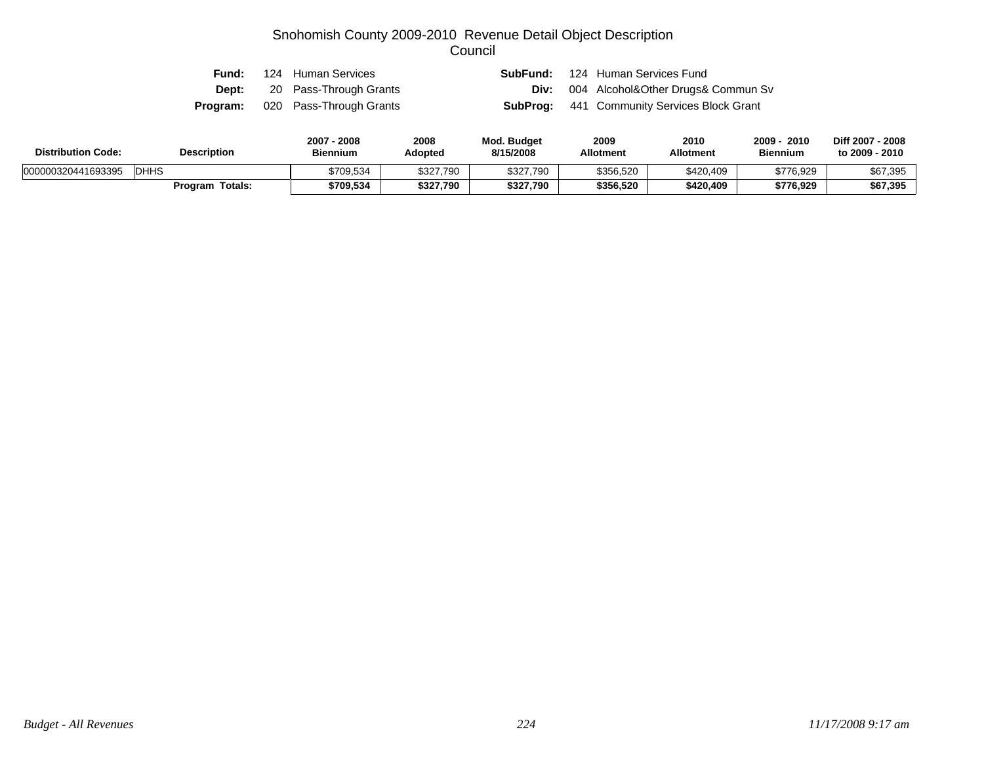| Fund:        | 124 Human Services                      | SubFund: | 124 Human Services Fund                            |
|--------------|-----------------------------------------|----------|----------------------------------------------------|
| <b>Dept:</b> | 20 Pass-Through Grants                  |          | <b>Div:</b> 004 Alcohol&Other Drugs& Commun Sv     |
|              | <b>Program:</b> 020 Pass-Through Grants |          | <b>SubProg:</b> 441 Community Services Block Grant |

| <b>Distribution Code:</b> | <b>Description</b> | 2007 - 2008<br><b>Biennium</b> | 2008<br>Adopted | <b>Mod. Budget</b><br>8/15/2008 | 2009<br><b>Allotment</b> | 2010<br><b>Allotment</b> | 2009<br>2010<br><b>Biennium</b> | Diff 2007 - 2008<br>to 2009 - 2010 |
|---------------------------|--------------------|--------------------------------|-----------------|---------------------------------|--------------------------|--------------------------|---------------------------------|------------------------------------|
| 000000320441693395        | DHHS               | \$709,534                      | \$327,790       | \$327,790                       | \$356,520                | \$420,409                | \$776,929                       | \$67,395                           |
|                           | Program Totals:    | \$709,534                      | \$327,790       | \$327,790                       | \$356,520                | \$420.409                | \$776,929                       | \$67,395                           |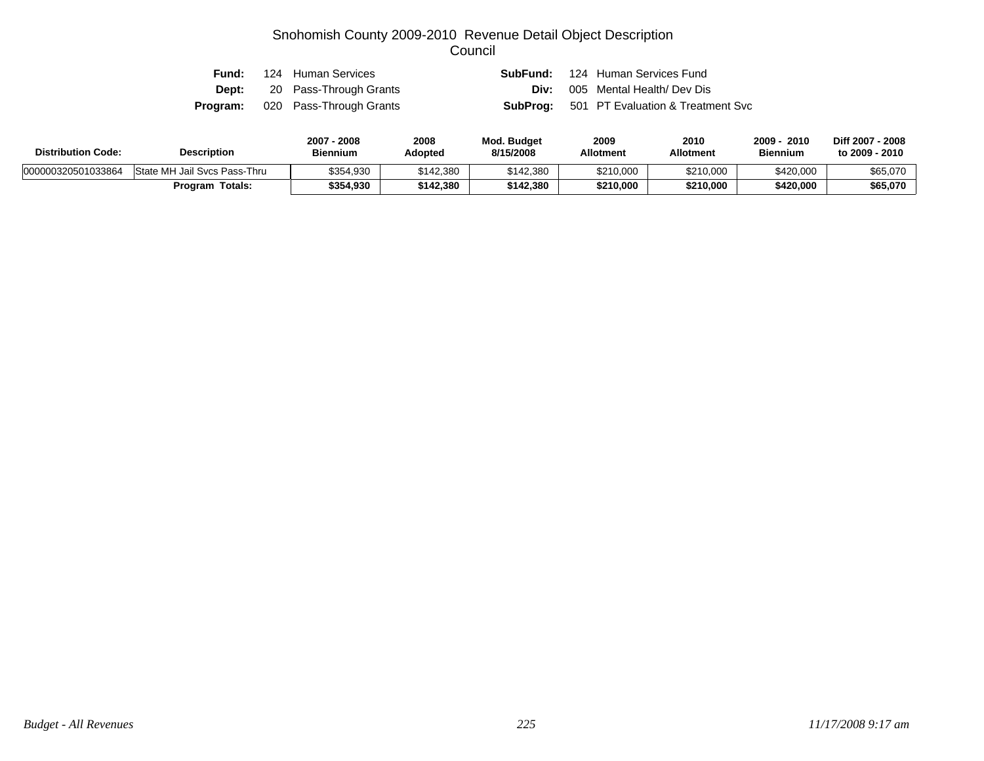| Fund: | 124 Human Services                      |      | <b>SubFund:</b> 124 Human Services Fund           |
|-------|-----------------------------------------|------|---------------------------------------------------|
|       | <b>Dept:</b> 20 Pass-Through Grants     | Div: | 005 Mental Health/ Dev Dis                        |
|       | <b>Program:</b> 020 Pass-Through Grants |      | <b>SubProg:</b> 501 PT Evaluation & Treatment Svc |

| <b>Distribution Code:</b> | <b>Description</b>           | 2007 - 2008<br><b>Biennium</b> | 2008<br>Adopted | <b>Mod. Budget</b><br>8/15/2008 | 2009<br><b>Allotment</b> | 2010<br><b>Allotment</b> | 2010<br>2009<br><b>Biennium</b> | Diff 2007 - 2008<br>to 2009 - 2010 |
|---------------------------|------------------------------|--------------------------------|-----------------|---------------------------------|--------------------------|--------------------------|---------------------------------|------------------------------------|
| 000000320501033864        | State MH Jail Svcs Pass-Thru | \$354,930                      | \$142,380       | \$142,380                       | \$210,000                | \$210,000                | \$420,000                       | \$65,070                           |
|                           | <b>Program Totals:</b>       | \$354,930                      | \$142,380       | \$142,380                       | \$210,000                | \$210,000                | \$420,000                       | \$65,070                           |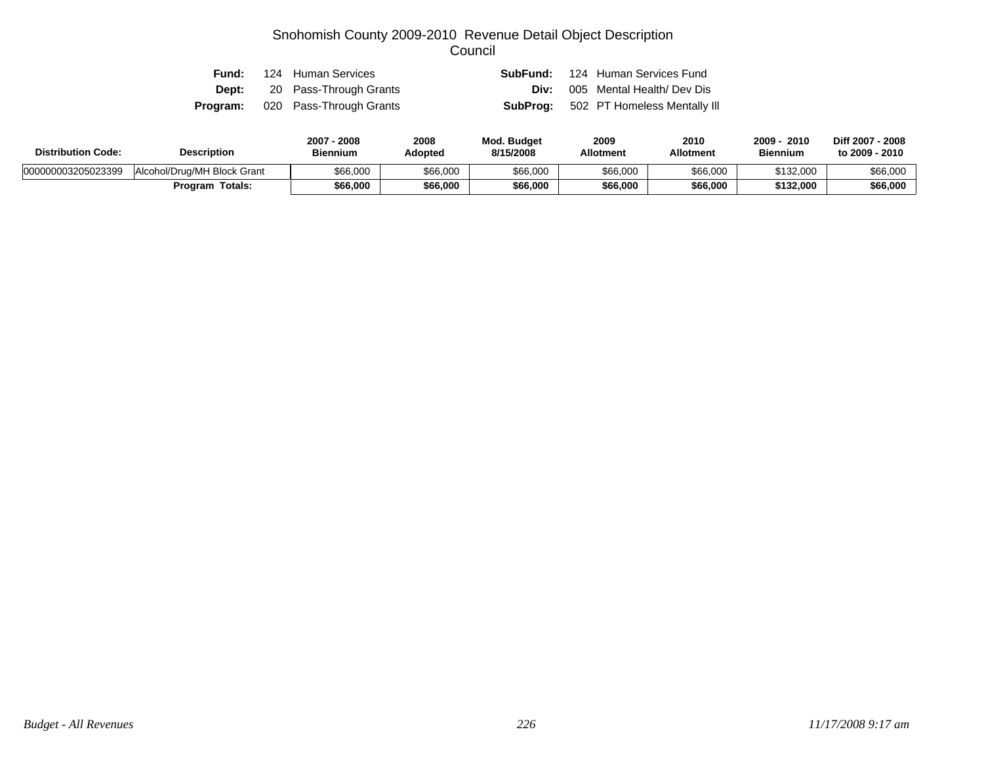| Fund: | 124 Human Services                      |  | <b>SubFund:</b> 124 Human Services Fund      |
|-------|-----------------------------------------|--|----------------------------------------------|
|       | <b>Dept:</b> 20 Pass-Through Grants     |  | <b>Div:</b> 005 Mental Health/Dev Dis        |
|       | <b>Program:</b> 020 Pass-Through Grants |  | <b>SubProg:</b> 502 PT Homeless Mentally III |

| <b>Distribution Code:</b> | <b>Description</b>          | 2007<br>7 - 2008<br><b>Biennium</b> | 2008<br>Adopted | Mod. Budget<br>8/15/2008 | 2009<br><b>Allotment</b> | 2010<br>Allotment | 2009<br>2010<br><b>Biennium</b> | Diff 2007 - 2008<br>to 2009 - 2010 |
|---------------------------|-----------------------------|-------------------------------------|-----------------|--------------------------|--------------------------|-------------------|---------------------------------|------------------------------------|
| 000000003205023399        | Alcohol/Drug/MH Block Grant | \$66,000                            | \$66,000        | \$66,000                 | \$66,000                 | \$66,000          | \$132,000                       | \$66,000                           |
|                           | <b>Program Totals:</b>      | \$66,000                            | \$66,000        | \$66,000                 | \$66,000                 | \$66,000          | \$132,000                       | \$66,000                           |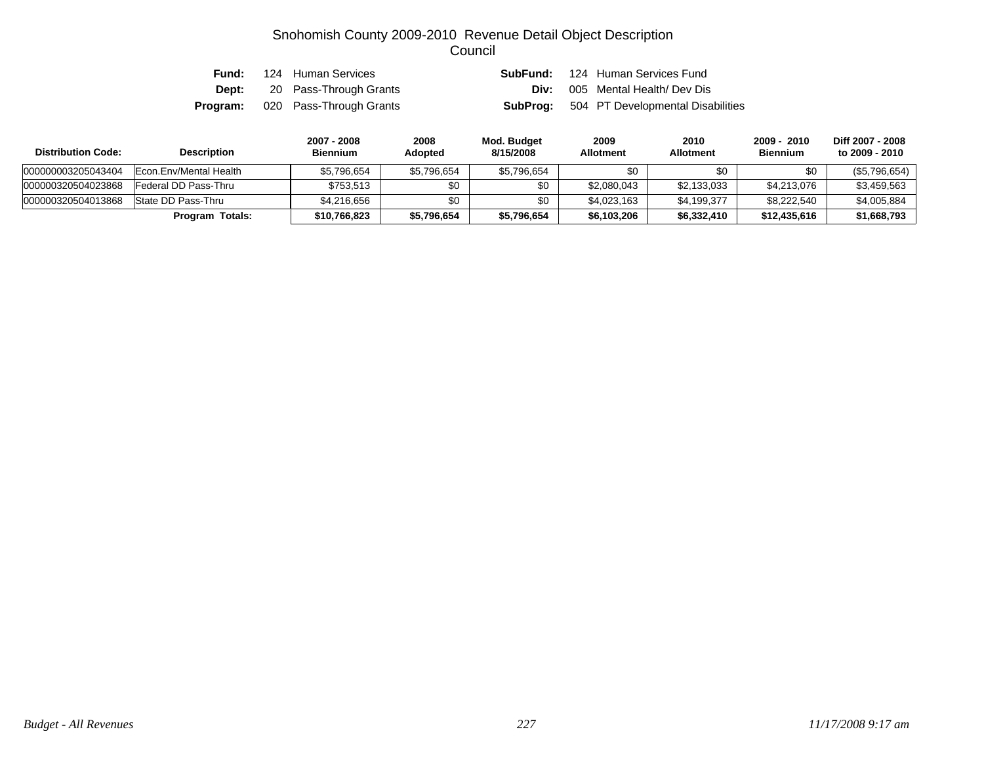| Fund: | 124 Human Services                      | SubFund: | 124 Human Services Fund                           |
|-------|-----------------------------------------|----------|---------------------------------------------------|
|       | <b>Dept:</b> 20 Pass-Through Grants     | Div:     | 005 Mental Health/ Dev Dis                        |
|       | <b>Program:</b> 020 Pass-Through Grants |          | <b>SubProg:</b> 504 PT Developmental Disabilities |

| <b>Distribution Code:</b> | <b>Description</b>     | 2007 - 2008<br><b>Biennium</b> | 2008<br><b>Adopted</b> | Mod. Budget<br>8/15/2008 | 2009<br><b>Allotment</b> | 2010<br><b>Allotment</b> | 2009 - 2010<br><b>Biennium</b> | Diff 2007 - 2008<br>to 2009 - 2010 |
|---------------------------|------------------------|--------------------------------|------------------------|--------------------------|--------------------------|--------------------------|--------------------------------|------------------------------------|
| 000000003205043404        | Econ.Env/Mental Health | \$5,796,654                    | \$5,796,654            | \$5,796,654              | \$0                      | \$0                      | \$0                            | $(\$5,796,654)$                    |
| 000000320504023868        | Federal DD Pass-Thru   | \$753,513                      | \$0                    | \$0                      | \$2,080,043              | \$2,133,033              | \$4,213,076                    | \$3,459,563                        |
| 000000320504013868        | State DD Pass-Thru     | \$4,216,656                    | \$0                    | \$0                      | \$4,023,163              | \$4,199,377              | \$8,222,540                    | \$4,005,884                        |
|                           | Program Totals:        | \$10,766,823                   | \$5,796,654            | \$5,796,654              | \$6,103,206              | \$6,332,410              | \$12,435,616                   | \$1,668,793                        |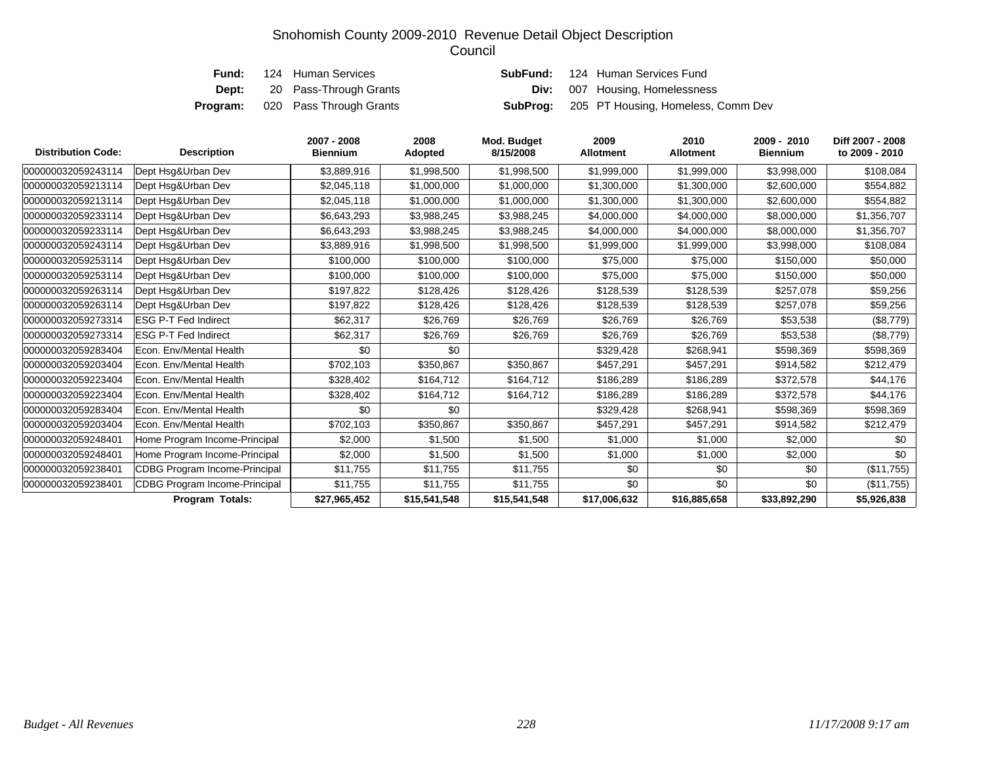| Fund: | 124 Human Services                      |  | <b>SubFund:</b> 124 Human Services Fund            |
|-------|-----------------------------------------|--|----------------------------------------------------|
| Dept: | 20 Pass-Through Grants                  |  | <b>Div:</b> 007 Housing, Homelessness              |
|       | <b>Program:</b> 020 Pass Through Grants |  | <b>SubProg:</b> 205 PT Housing, Homeless, Comm Dev |

| <b>Distribution Code:</b> | <b>Description</b>                   | 2007 - 2008<br><b>Biennium</b> | 2008<br><b>Adopted</b> | Mod. Budget<br>8/15/2008 | 2009<br>Allotment | 2010<br><b>Allotment</b> | 2009 - 2010<br><b>Biennium</b> | Diff 2007 - 2008<br>to 2009 - 2010 |
|---------------------------|--------------------------------------|--------------------------------|------------------------|--------------------------|-------------------|--------------------------|--------------------------------|------------------------------------|
| 000000032059243114        | Dept Hsg&Urban Dev                   | \$3,889,916                    | \$1,998,500            | \$1,998,500              | \$1,999,000       | \$1,999,000              | \$3,998,000                    | \$108,084                          |
| 000000032059213114        | Dept Hsg&Urban Dev                   | \$2,045,118                    | \$1,000,000            | \$1,000,000              | \$1,300,000       | \$1,300,000              | \$2,600,000                    | \$554,882                          |
| 000000032059213114        | Dept Hsq&Urban Dev                   | \$2,045,118                    | \$1,000,000            | \$1,000,000              | \$1,300,000       | \$1,300,000              | \$2,600,000                    | \$554,882                          |
| 000000032059233114        | Dept Hsg&Urban Dev                   | \$6,643,293                    | \$3,988,245            | \$3,988,245              | \$4,000,000       | \$4,000,000              | \$8,000,000                    | \$1,356,707                        |
| 000000032059233114        | Dept Hsg&Urban Dev                   | \$6,643,293                    | \$3,988,245            | \$3,988,245              | \$4,000,000       | \$4,000,000              | \$8,000,000                    | \$1,356,707                        |
| 000000032059243114        | Dept Hsg&Urban Dev                   | \$3,889,916                    | \$1,998,500            | \$1,998,500              | \$1,999,000       | \$1,999,000              | \$3,998,000                    | \$108,084                          |
| 000000032059253114        | Dept Hsg&Urban Dev                   | \$100,000                      | \$100,000              | \$100,000                | \$75,000          | \$75,000                 | \$150,000                      | \$50,000                           |
| 000000032059253114        | Dept Hsg&Urban Dev                   | \$100,000                      | \$100,000              | \$100,000                | \$75,000          | \$75,000                 | \$150,000                      | \$50,000                           |
| 000000032059263114        | Dept Hsg&Urban Dev                   | \$197,822                      | \$128,426              | \$128,426                | \$128,539         | \$128,539                | \$257,078                      | \$59,256                           |
| 000000032059263114        | Dept Hsq&Urban Dev                   | \$197,822                      | \$128,426              | \$128,426                | \$128,539         | \$128,539                | \$257,078                      | \$59,256                           |
| 000000032059273314        | <b>ESG P-T Fed Indirect</b>          | \$62,317                       | \$26,769               | \$26,769                 | \$26,769          | \$26,769                 | \$53,538                       | (\$8,779)                          |
| 000000032059273314        | <b>ESG P-T Fed Indirect</b>          | \$62,317                       | \$26,769               | \$26,769                 | \$26,769          | \$26,769                 | \$53,538                       | (\$8,779)                          |
| 000000032059283404        | Econ. Env/Mental Health              | \$0                            | \$0                    |                          | \$329,428         | \$268,941                | \$598,369                      | \$598,369                          |
| 000000032059203404        | Econ. Env/Mental Health              | \$702,103                      | \$350,867              | \$350,867                | \$457,291         | \$457,291                | \$914,582                      | \$212,479                          |
| 000000032059223404        | Econ. Env/Mental Health              | \$328,402                      | \$164,712              | \$164,712                | \$186,289         | \$186,289                | \$372,578                      | \$44,176                           |
| 000000032059223404        | Econ. Env/Mental Health              | \$328,402                      | \$164,712              | \$164,712                | \$186,289         | \$186,289                | \$372,578                      | \$44,176                           |
| 000000032059283404        | Econ. Env/Mental Health              | \$0                            | \$0                    |                          | \$329,428         | \$268,941                | \$598,369                      | \$598,369                          |
| 000000032059203404        | Econ. Env/Mental Health              | \$702,103                      | \$350,867              | \$350,867                | \$457,291         | \$457,291                | \$914,582                      | \$212,479                          |
| 000000032059248401        | Home Program Income-Principal        | \$2,000                        | \$1,500                | \$1,500                  | \$1,000           | \$1,000                  | \$2,000                        | \$0                                |
| 000000032059248401        | Home Program Income-Principal        | \$2,000                        | \$1,500                | \$1,500                  | \$1,000           | \$1,000                  | \$2,000                        | \$0                                |
| 000000032059238401        | <b>CDBG Program Income-Principal</b> | \$11,755                       | \$11,755               | \$11,755                 | \$0               | \$0                      | \$0                            | (\$11,755)                         |
| 000000032059238401        | <b>CDBG Program Income-Principal</b> | \$11,755                       | \$11,755               | \$11,755                 | \$0               | \$0                      | \$0                            | (\$11,755)                         |
|                           | <b>Program Totals:</b>               | \$27,965,452                   | \$15,541,548           | \$15,541,548             | \$17,006,632      | \$16,885,658             | \$33,892,290                   | \$5,926,838                        |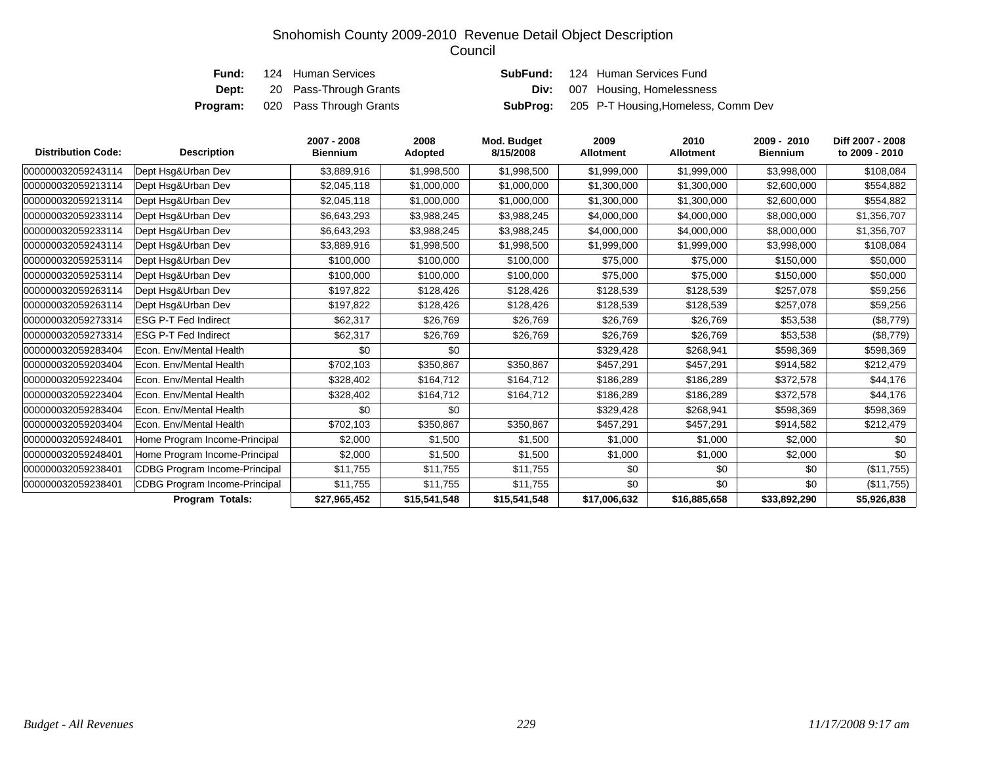|       | <b>Fund:</b> 124 Human Services         |  | <b>SubFund:</b> 124 Human Services Fund             |
|-------|-----------------------------------------|--|-----------------------------------------------------|
| Dept: | 20 Pass-Through Grants                  |  | <b>Div:</b> 007 Housing, Homelessness               |
|       | <b>Program:</b> 020 Pass Through Grants |  | <b>SubProg:</b> 205 P-T Housing, Homeless, Comm Dev |

| <b>Distribution Code:</b> | <b>Description</b>                   | 2007 - 2008<br><b>Biennium</b> | 2008<br>Adopted | Mod. Budget<br>8/15/2008 | 2009<br><b>Allotment</b> | 2010<br><b>Allotment</b> | 2009 - 2010<br><b>Biennium</b> | Diff 2007 - 2008<br>to 2009 - 2010 |
|---------------------------|--------------------------------------|--------------------------------|-----------------|--------------------------|--------------------------|--------------------------|--------------------------------|------------------------------------|
| 000000032059243114        | Dept Hsq&Urban Dev                   | \$3,889,916                    | \$1,998,500     | \$1,998,500              | \$1,999,000              | \$1,999,000              | \$3,998,000                    | \$108,084                          |
| 000000032059213114        | Dept Hsq&Urban Dev                   | \$2,045,118                    | \$1,000,000     | \$1,000,000              | \$1,300,000              | \$1,300,000              | \$2,600,000                    | \$554,882                          |
| 000000032059213114        | Dept Hsq&Urban Dev                   | \$2,045,118                    | \$1,000,000     | \$1,000,000              | \$1,300,000              | \$1,300,000              | \$2,600,000                    | \$554,882                          |
| 000000032059233114        | Dept Hsq&Urban Dev                   | \$6,643,293                    | \$3,988,245     | \$3,988,245              | \$4,000,000              | \$4,000,000              | \$8,000,000                    | \$1,356,707                        |
| 000000032059233114        | Dept Hsg&Urban Dev                   | \$6,643,293                    | \$3,988,245     | \$3,988,245              | \$4,000,000              | \$4,000,000              | \$8,000,000                    | \$1,356,707                        |
| 000000032059243114        | Dept Hsq&Urban Dev                   | \$3,889,916                    | \$1,998,500     | \$1,998,500              | \$1,999,000              | \$1,999,000              | \$3,998,000                    | \$108,084                          |
| 000000032059253114        | Dept Hsq&Urban Dev                   | \$100,000                      | \$100,000       | \$100,000                | \$75,000                 | \$75,000                 | \$150,000                      | \$50,000                           |
| 000000032059253114        | Dept Hsq&Urban Dev                   | \$100,000                      | \$100,000       | \$100,000                | \$75,000                 | \$75,000                 | \$150,000                      | \$50,000                           |
| 000000032059263114        | Dept Hsg&Urban Dev                   | \$197,822                      | \$128,426       | \$128,426                | \$128,539                | \$128,539                | \$257,078                      | \$59,256                           |
| 000000032059263114        | Dept Hsg&Urban Dev                   | \$197,822                      | \$128,426       | \$128,426                | \$128,539                | \$128,539                | \$257,078                      | \$59,256                           |
| 000000032059273314        | <b>ESG P-T Fed Indirect</b>          | \$62,317                       | \$26,769        | \$26,769                 | \$26,769                 | \$26,769                 | \$53,538                       | (\$8,779)                          |
| 000000032059273314        | <b>ESG P-T Fed Indirect</b>          | \$62,317                       | \$26,769        | \$26,769                 | \$26,769                 | \$26,769                 | \$53,538                       | (\$8,779)                          |
| 000000032059283404        | Econ. Env/Mental Health              | \$0                            | \$0             |                          | \$329,428                | \$268,941                | \$598,369                      | \$598,369                          |
| 000000032059203404        | Econ. Env/Mental Health              | \$702,103                      | \$350,867       | \$350,867                | \$457,291                | \$457,291                | \$914,582                      | \$212,479                          |
| 000000032059223404        | Econ. Env/Mental Health              | \$328,402                      | \$164,712       | \$164,712                | \$186,289                | \$186,289                | \$372,578                      | \$44,176                           |
| 000000032059223404        | Econ. Env/Mental Health              | \$328,402                      | \$164,712       | \$164,712                | \$186,289                | \$186,289                | \$372,578                      | \$44,176                           |
| 000000032059283404        | Econ. Env/Mental Health              | \$0                            | \$0             |                          | \$329,428                | \$268,941                | \$598,369                      | \$598,369                          |
| 000000032059203404        | Econ. Env/Mental Health              | \$702,103                      | \$350,867       | \$350,867                | \$457,291                | \$457,291                | \$914,582                      | \$212,479                          |
| 000000032059248401        | Home Program Income-Principal        | \$2,000                        | \$1,500         | \$1,500                  | \$1,000                  | \$1,000                  | \$2,000                        | \$0                                |
| 000000032059248401        | Home Program Income-Principal        | \$2,000                        | \$1,500         | \$1,500                  | \$1,000                  | \$1,000                  | \$2,000                        | \$0                                |
| 000000032059238401        | <b>CDBG Program Income-Principal</b> | \$11,755                       | \$11,755        | \$11,755                 | \$0                      | \$0                      | \$0                            | (\$11,755)                         |
| 000000032059238401        | <b>CDBG Program Income-Principal</b> | \$11,755                       | \$11,755        | \$11,755                 | \$0                      | \$0                      | \$0                            | (\$11,755)                         |
|                           | <b>Program Totals:</b>               | \$27,965,452                   | \$15,541,548    | \$15,541,548             | \$17,006,632             | \$16,885,658             | \$33,892,290                   | \$5,926,838                        |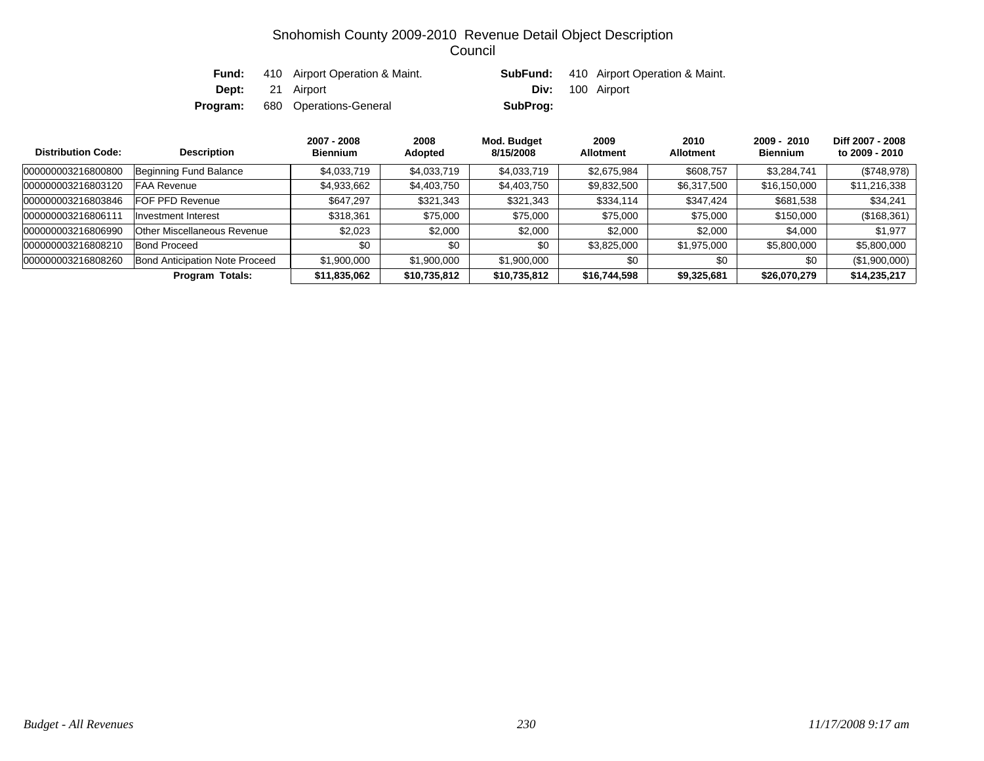| Fund: | 410 Airport Operation & Maint.         |                         | <b>SubFund:</b> 410 Airport Operation & Maint. |
|-------|----------------------------------------|-------------------------|------------------------------------------------|
|       | <b>Dept:</b> 21 Airport                | <b>Div:</b> 100 Airport |                                                |
|       | <b>Program:</b> 680 Operations-General | SubProg:                |                                                |

| <b>Distribution Code:</b> | <b>Description</b>                    | 2007 - 2008<br><b>Biennium</b> | 2008<br>Adopted | Mod. Budget<br>8/15/2008 | 2009<br><b>Allotment</b> | 2010<br><b>Allotment</b> | $2009 - 2010$<br><b>Biennium</b> | Diff 2007 - 2008<br>to 2009 - 2010 |
|---------------------------|---------------------------------------|--------------------------------|-----------------|--------------------------|--------------------------|--------------------------|----------------------------------|------------------------------------|
| 000000003216800800        | Beginning Fund Balance                | \$4,033,719                    | \$4,033,719     | \$4,033,719              | \$2,675,984              | \$608,757                | \$3,284,741                      | (\$748,978)                        |
| 000000003216803120        | <b>FAA Revenue</b>                    | \$4,933,662                    | \$4,403,750     | \$4,403,750              | \$9,832,500              | \$6,317,500              | \$16,150,000                     | \$11,216,338                       |
| 000000003216803846        | <b>IFOF PFD Revenue</b>               | \$647,297                      | \$321,343       | \$321,343                | \$334,114                | \$347,424                | \$681,538                        | \$34,241                           |
| 000000003216806111        | <b>Investment Interest</b>            | \$318,361                      | \$75,000        | \$75,000                 | \$75,000                 | \$75,000                 | \$150,000                        | (\$168,361)                        |
| 000000003216806990        | <b>Other Miscellaneous Revenue</b>    | \$2,023                        | \$2,000         | \$2,000                  | \$2,000                  | \$2,000                  | \$4,000                          | \$1,977                            |
| 000000003216808210        | <b>Bond Proceed</b>                   | \$0                            | \$0             | \$0                      | \$3,825,000              | \$1,975,000              | \$5,800,000                      | \$5,800,000                        |
| 000000003216808260        | <b>Bond Anticipation Note Proceed</b> | \$1,900,000                    | \$1,900,000     | \$1,900,000              | \$0                      | \$0                      | \$0                              | (\$1,900,000)                      |
|                           | <b>Program Totals:</b>                | \$11,835,062                   | \$10,735,812    | \$10,735,812             | \$16,744,598             | \$9,325,681              | \$26,070,279                     | \$14,235,217                       |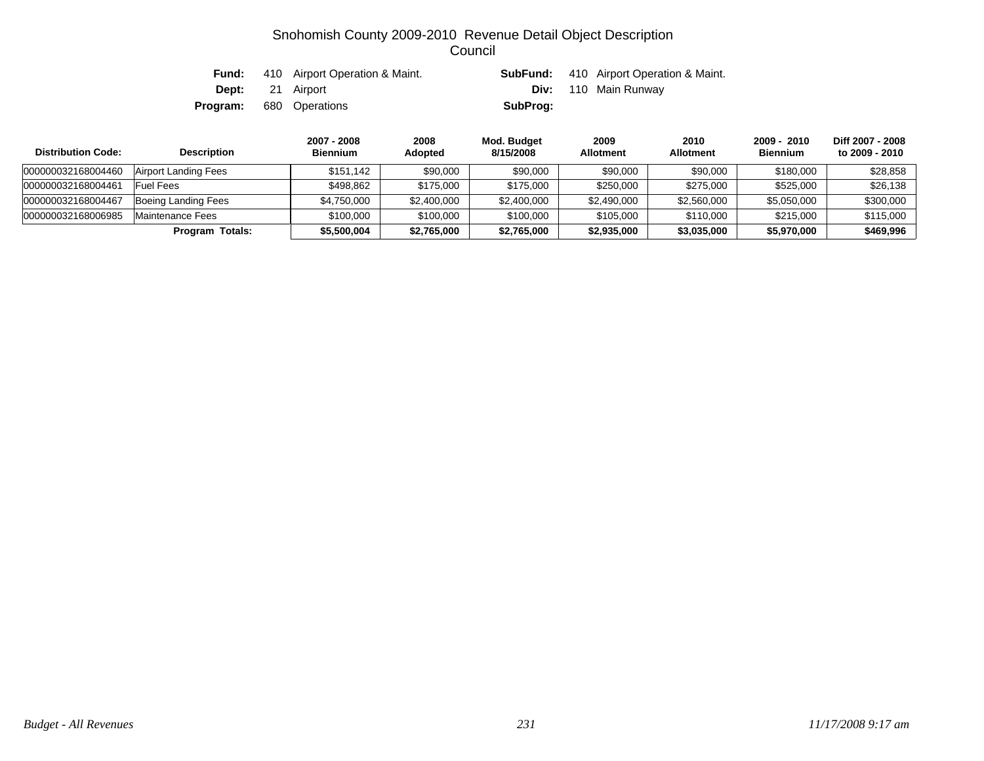| Fund: | 410 Airport Operation & Maint. |          | <b>SubFund:</b> 410 Airport Operation & Maint. |
|-------|--------------------------------|----------|------------------------------------------------|
|       | <b>Dept:</b> 21 Airport        |          | <b>Div:</b> 110 Main Runway                    |
|       | <b>Program:</b> 680 Operations | SubProg: |                                                |

| <b>Distribution Code:</b> | <b>Description</b>      | 2007 - 2008<br><b>Biennium</b> | 2008<br>Adopted | Mod. Budget<br>8/15/2008 | 2009<br><b>Allotment</b> | 2010<br><b>Allotment</b> | $2009 - 2010$<br><b>Biennium</b> | Diff 2007 - 2008<br>to 2009 - 2010 |
|---------------------------|-------------------------|--------------------------------|-----------------|--------------------------|--------------------------|--------------------------|----------------------------------|------------------------------------|
| 000000032168004460        | Airport Landing Fees    | \$151.142                      | \$90,000        | \$90,000                 | \$90,000                 | \$90,000                 | \$180,000                        | \$28,858                           |
| 000000032168004461        | Fuel Fees               | \$498.862                      | \$175,000       | \$175,000                | \$250,000                | \$275,000                | \$525,000                        | \$26,138                           |
| 000000032168004467        | Boeing Landing Fees     | \$4,750,000                    | \$2,400,000     | \$2,400,000              | \$2,490,000              | \$2,560,000              | \$5,050,000                      | \$300,000                          |
| 000000032168006985        | <b>Maintenance Fees</b> | \$100,000                      | \$100,000       | \$100,000                | \$105,000                | \$110,000                | \$215,000                        | \$115,000                          |
|                           | Program Totals:         | \$5,500,004                    | \$2,765,000     | \$2,765,000              | \$2,935,000              | \$3,035,000              | \$5,970,000                      | \$469.996                          |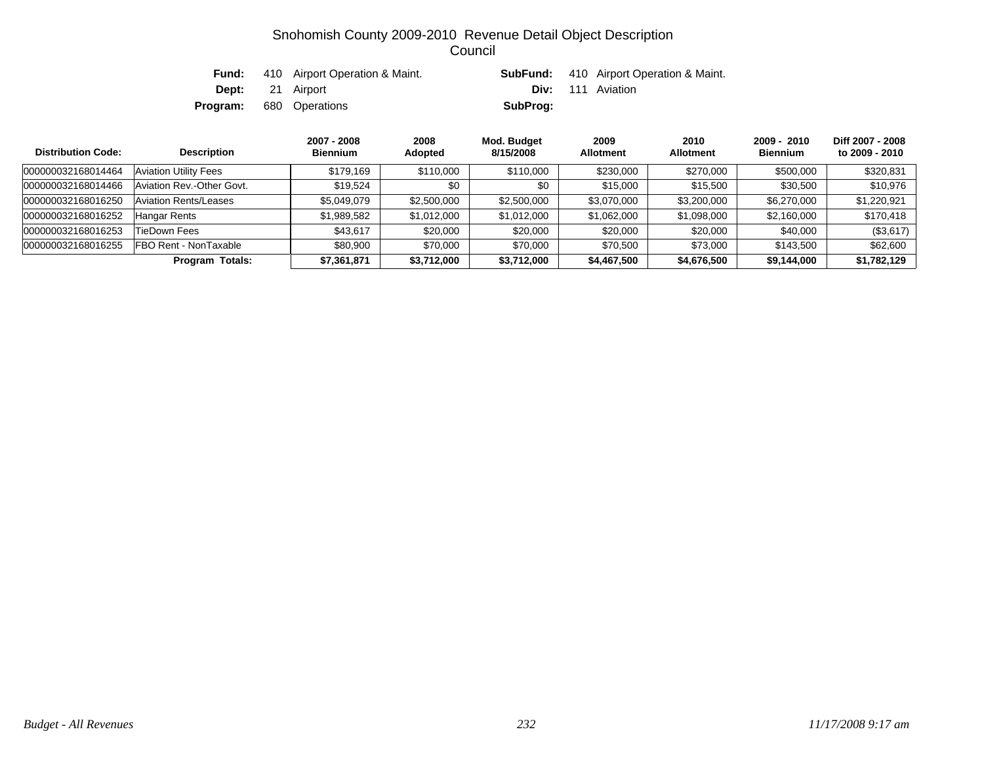| Fund: | 410 Airport Operation & Maint. |                          | <b>SubFund:</b> 410 Airport Operation & Maint. |
|-------|--------------------------------|--------------------------|------------------------------------------------|
|       | <b>Dept:</b> 21 Airport        | <b>Div:</b> 111 Aviation |                                                |
|       | <b>Program:</b> 680 Operations | SubProg:                 |                                                |

| <b>Distribution Code:</b> | <b>Description</b>           | 2007 - 2008<br><b>Biennium</b> | 2008<br>Adopted | Mod. Budget<br>8/15/2008 | 2009<br><b>Allotment</b> | 2010<br><b>Allotment</b> | $2009 - 2010$<br><b>Biennium</b> | Diff 2007 - 2008<br>to 2009 - 2010 |
|---------------------------|------------------------------|--------------------------------|-----------------|--------------------------|--------------------------|--------------------------|----------------------------------|------------------------------------|
| 000000032168014464        | <b>Aviation Utility Fees</b> | \$179.169                      | \$110,000       | \$110,000                | \$230,000                | \$270,000                | \$500,000                        | \$320,831                          |
| 000000032168014466        | Aviation Rev.-Other Govt.    | \$19.524                       | \$0             | \$0                      | \$15,000                 | \$15,500                 | \$30,500                         | \$10,976                           |
| 000000032168016250        | Aviation Rents/Leases        | \$5.049.079                    | \$2,500,000     | \$2,500,000              | \$3,070,000              | \$3,200,000              | \$6,270,000                      | \$1,220,921                        |
| 000000032168016252        | <b>Hangar Rents</b>          | \$1,989,582                    | \$1,012,000     | \$1,012,000              | \$1,062,000              | \$1,098,000              | \$2,160,000                      | \$170,418                          |
| 000000032168016253        | TieDown Fees                 | \$43.617                       | \$20,000        | \$20,000                 | \$20,000                 | \$20,000                 | \$40,000                         | (\$3,617)                          |
| 000000032168016255        | FBO Rent - NonTaxable        | \$80,900                       | \$70,000        | \$70,000                 | \$70,500                 | \$73,000                 | \$143,500                        | \$62,600                           |
|                           | <b>Program Totals:</b>       | \$7,361,871                    | \$3,712,000     | \$3,712,000              | \$4,467,500              | \$4,676,500              | \$9,144,000                      | \$1,782,129                        |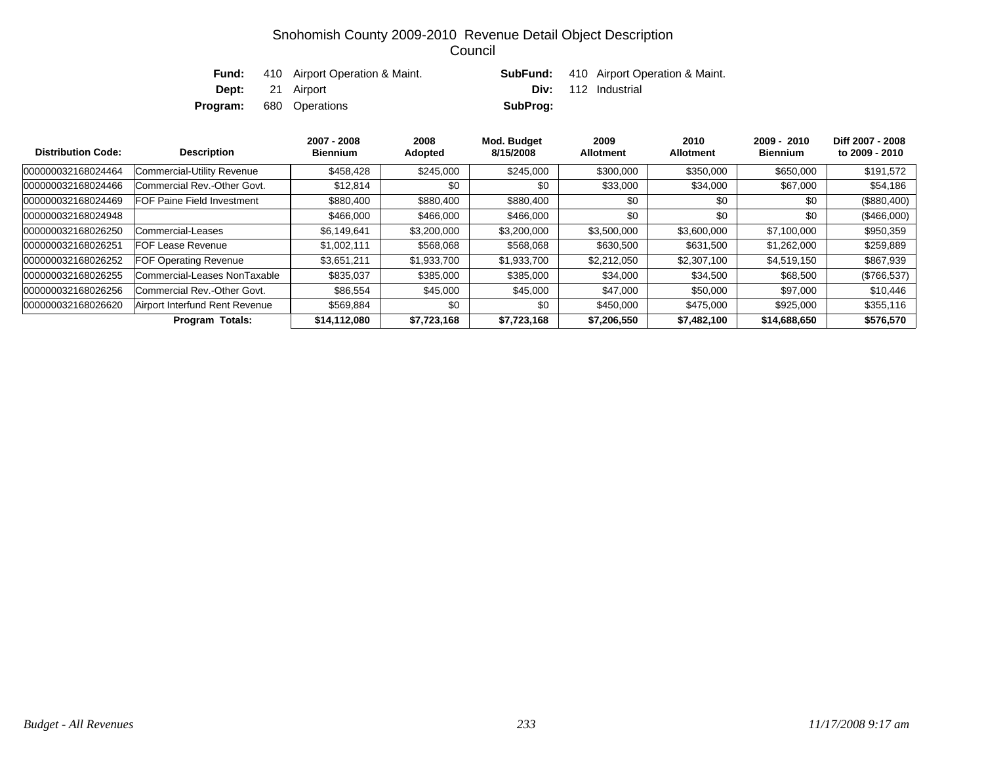| Fund:    | 410 Airport Operation & Maint. |          | <b>SubFund:</b> 410 Airport Operation & Maint. |
|----------|--------------------------------|----------|------------------------------------------------|
|          | <b>Dept:</b> 21 Airport        |          | <b>Div:</b> 112 Industrial                     |
| Program: | 680 Operations                 | SubProg: |                                                |

| <b>Distribution Code:</b> | <b>Description</b>                | 2007 - 2008<br><b>Biennium</b> | 2008<br>Adopted | Mod. Budget<br>8/15/2008 | 2009<br><b>Allotment</b> | 2010<br><b>Allotment</b> | $2009 - 2010$<br><b>Biennium</b> | Diff 2007 - 2008<br>to 2009 - 2010 |
|---------------------------|-----------------------------------|--------------------------------|-----------------|--------------------------|--------------------------|--------------------------|----------------------------------|------------------------------------|
| 000000032168024464        | Commercial-Utility Revenue        | \$458,428                      | \$245,000       | \$245.000                | \$300,000                | \$350,000                | \$650,000                        | \$191,572                          |
| 000000032168024466        | Commercial Rev.-Other Govt.       | \$12,814                       | \$0             | \$0                      | \$33,000                 | \$34,000                 | \$67,000                         | \$54,186                           |
| 000000032168024469        | <b>FOF Paine Field Investment</b> | \$880,400                      | \$880,400       | \$880,400                | \$0                      | \$0                      | \$0                              | $(\$880,400)$                      |
| 000000032168024948        |                                   | \$466,000                      | \$466,000       | \$466,000                | \$0                      | \$0                      | \$0                              | (\$466,000)                        |
| 000000032168026250        | Commercial-Leases                 | \$6,149,641                    | \$3,200,000     | \$3,200,000              | \$3,500,000              | \$3,600,000              | \$7,100,000                      | \$950,359                          |
| 000000032168026251        | <b>FOF Lease Revenue</b>          | \$1,002,111                    | \$568,068       | \$568,068                | \$630,500                | \$631,500                | \$1,262,000                      | \$259,889                          |
| 000000032168026252        | <b>FOF Operating Revenue</b>      | \$3,651,211                    | \$1,933,700     | \$1,933,700              | \$2,212,050              | \$2,307,100              | \$4,519,150                      | \$867,939                          |
| 000000032168026255        | Commercial-Leases NonTaxable      | \$835,037                      | \$385,000       | \$385,000                | \$34,000                 | \$34,500                 | \$68,500                         | $(\$766,537)$                      |
| 000000032168026256        | Commercial Rev.-Other Govt.       | \$86,554                       | \$45,000        | \$45,000                 | \$47,000                 | \$50,000                 | \$97,000                         | \$10,446                           |
| 000000032168026620        | Airport Interfund Rent Revenue    | \$569.884                      | \$0             | \$0                      | \$450,000                | \$475,000                | \$925,000                        | \$355,116                          |
|                           | <b>Program Totals:</b>            | \$14,112,080                   | \$7,723,168     | \$7,723,168              | \$7,206,550              | \$7,482,100              | \$14,688,650                     | \$576,570                          |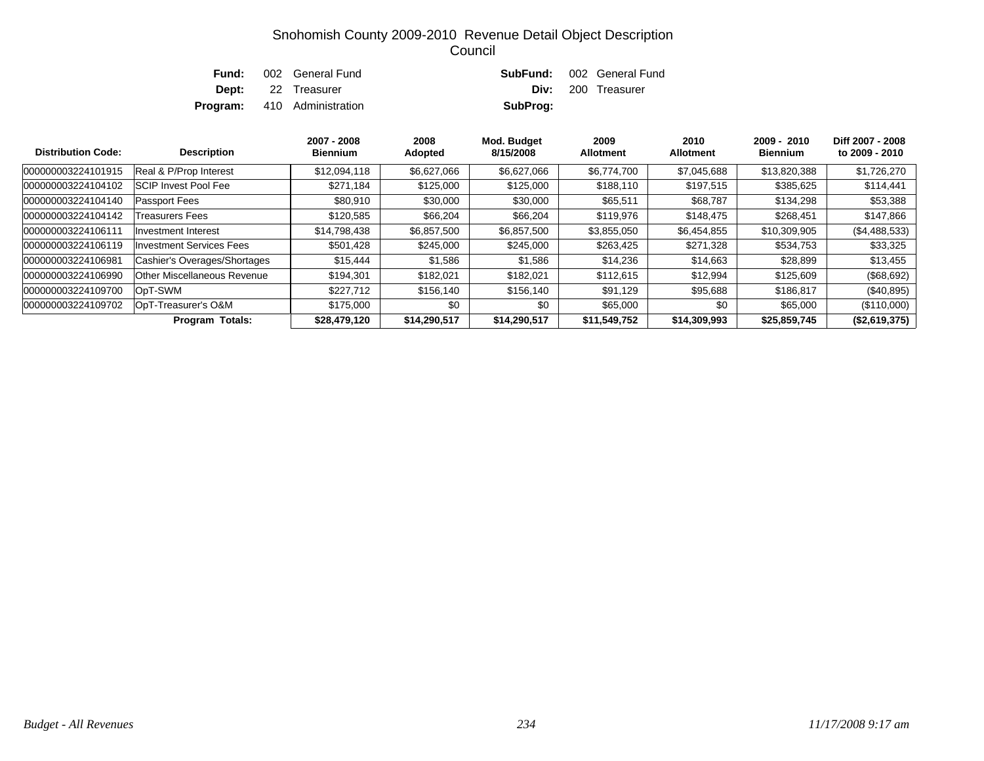| Fund: | 002 General Fund                   |          | <b>SubFund:</b> 002 General Fund |
|-------|------------------------------------|----------|----------------------------------|
|       | <b>Dept:</b> 22 Treasurer          |          | Div: 200 Treasurer               |
|       | <b>Program:</b> 410 Administration | SubProg: |                                  |

| <b>Distribution Code:</b> | <b>Description</b>              | 2007 - 2008<br><b>Biennium</b> | 2008<br>Adopted | Mod. Budget<br>8/15/2008 | 2009<br><b>Allotment</b> | 2010<br><b>Allotment</b> | $2009 - 2010$<br><b>Biennium</b> | Diff 2007 - 2008<br>to 2009 - 2010 |
|---------------------------|---------------------------------|--------------------------------|-----------------|--------------------------|--------------------------|--------------------------|----------------------------------|------------------------------------|
| 000000003224101915        | Real & P/Prop Interest          | \$12,094,118                   | \$6,627,066     | \$6,627,066              | \$6,774,700              | \$7,045,688              | \$13,820,388                     | \$1,726,270                        |
| 000000003224104102        | <b>SCIP Invest Pool Fee</b>     | \$271,184                      | \$125,000       | \$125,000                | \$188,110                | \$197,515                | \$385,625                        | \$114,441                          |
| 000000003224104140        | <b>Passport Fees</b>            | \$80,910                       | \$30,000        | \$30,000                 | \$65,511                 | \$68,787                 | \$134,298                        | \$53,388                           |
| 000000003224104142        | Treasurers Fees                 | \$120.585                      | \$66,204        | \$66,204                 | \$119,976                | \$148,475                | \$268,451                        | \$147,866                          |
| 000000003224106111        | Investment Interest             | \$14,798,438                   | \$6,857,500     | \$6,857,500              | \$3,855,050              | \$6,454,855              | \$10,309,905                     | (\$4,488,533)                      |
| 000000003224106119        | <b>Investment Services Fees</b> | \$501,428                      | \$245,000       | \$245,000                | \$263,425                | \$271,328                | \$534,753                        | \$33,325                           |
| 000000003224106981        | Cashier's Overages/Shortages    | \$15,444                       | \$1,586         | \$1,586                  | \$14,236                 | \$14,663                 | \$28,899                         | \$13,455                           |
| 000000003224106990        | Other Miscellaneous Revenue     | \$194.301                      | \$182,021       | \$182,021                | \$112,615                | \$12,994                 | \$125,609                        | (\$68,692)                         |
| 000000003224109700        | OpT-SWM                         | \$227,712                      | \$156,140       | \$156,140                | \$91,129                 | \$95,688                 | \$186,817                        | (\$40,895)                         |
| 000000003224109702        | OpT-Treasurer's O&M             | \$175,000                      | \$0             | \$0                      | \$65,000                 | \$0                      | \$65,000                         | (\$110,000)                        |
|                           | <b>Program Totals:</b>          | \$28,479,120                   | \$14,290,517    | \$14,290,517             | \$11,549,752             | \$14,309,993             | \$25,859,745                     | (\$2,619,375)                      |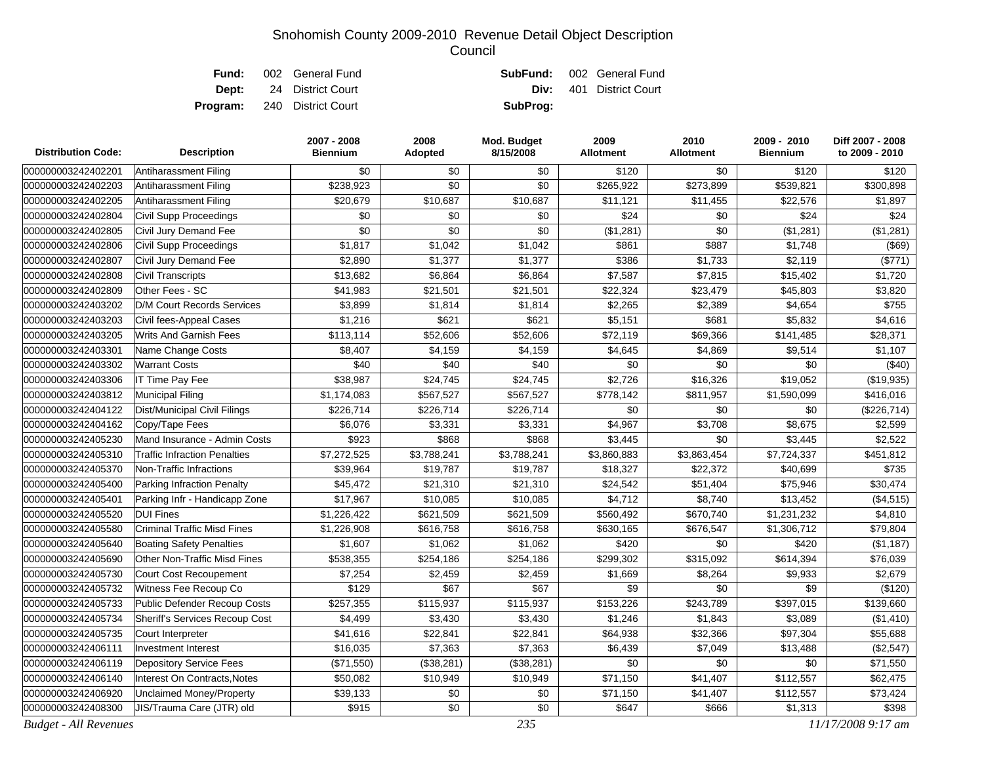|  | <b>Fund:</b> 002 General Fund      |          | <b>SubFund:</b> 002 General Fund |
|--|------------------------------------|----------|----------------------------------|
|  | <b>Dept:</b> 24 District Court     |          | <b>Div:</b> 401 District Court   |
|  | <b>Program:</b> 240 District Court | SubProg: |                                  |

| <b>Distribution Code:</b>    | <b>Description</b>                    | 2007 - 2008<br><b>Biennium</b> | 2008<br>Adopted | Mod. Budget<br>8/15/2008 | 2009<br><b>Allotment</b> | 2010<br><b>Allotment</b> | 2009 - 2010<br><b>Biennium</b> | Diff 2007 - 2008<br>to 2009 - 2010 |
|------------------------------|---------------------------------------|--------------------------------|-----------------|--------------------------|--------------------------|--------------------------|--------------------------------|------------------------------------|
| 000000003242402201           | Antiharassment Filing                 | \$0                            | \$0             | \$0                      | \$120                    | \$0                      | \$120                          | \$120                              |
| 000000003242402203           | Antiharassment Filing                 | \$238,923                      | \$0             | \$0                      | \$265,922                | \$273,899                | \$539,821                      | \$300,898                          |
| 000000003242402205           | Antiharassment Filing                 | \$20,679                       | \$10,687        | \$10,687                 | \$11,121                 | \$11,455                 | \$22,576                       | \$1,897                            |
| 000000003242402804           | <b>Civil Supp Proceedings</b>         | \$0                            | \$0             | \$0                      | \$24                     | \$0                      | \$24                           | \$24                               |
| 000000003242402805           | Civil Jury Demand Fee                 | \$0                            | \$0             | \$0                      | (\$1,281)                | \$0                      | (\$1,281)                      | (\$1,281)                          |
| 000000003242402806           | Civil Supp Proceedings                | \$1,817                        | \$1,042         | \$1,042                  | \$861                    | \$887                    | \$1,748                        | (\$69)                             |
| 000000003242402807           | Civil Jury Demand Fee                 | \$2,890                        | \$1,377         | \$1,377                  | \$386                    | \$1,733                  | \$2,119                        | (\$771)                            |
| 000000003242402808           | <b>Civil Transcripts</b>              | \$13,682                       | \$6,864         | \$6,864                  | \$7,587                  | \$7,815                  | \$15,402                       | \$1,720                            |
| 000000003242402809           | Other Fees - SC                       | \$41,983                       | \$21,501        | \$21,501                 | \$22,324                 | \$23,479                 | \$45,803                       | \$3,820                            |
| 000000003242403202           | <b>D/M Court Records Services</b>     | \$3,899                        | \$1,814         | \$1,814                  | \$2,265                  | \$2,389                  | \$4,654                        | \$755                              |
| 000000003242403203           | Civil fees-Appeal Cases               | \$1,216                        | \$621           | \$621                    | \$5,151                  | \$681                    | \$5,832                        | \$4,616                            |
| 000000003242403205           | <b>Writs And Garnish Fees</b>         | \$113,114                      | \$52,606        | \$52,606                 | \$72,119                 | \$69,366                 | \$141,485                      | \$28,371                           |
| 000000003242403301           | Name Change Costs                     | \$8,407                        | \$4,159         | \$4,159                  | \$4,645                  | \$4,869                  | \$9,514                        | \$1,107                            |
| 000000003242403302           | <b>Warrant Costs</b>                  | \$40                           | \$40            | \$40                     | \$0                      | \$0                      | \$0                            | (\$40)                             |
| 000000003242403306           | IT Time Pay Fee                       | \$38,987                       | \$24,745        | \$24,745                 | \$2,726                  | \$16,326                 | \$19,052                       | (\$19,935)                         |
| 000000003242403812           | <b>Municipal Filing</b>               | \$1,174,083                    | \$567,527       | \$567,527                | \$778,142                | \$811,957                | \$1,590,099                    | \$416,016                          |
| 000000003242404122           | Dist/Municipal Civil Filings          | \$226,714                      | \$226,714       | \$226,714                | \$0                      | \$0                      | \$0                            | (\$226,714)                        |
| 000000003242404162           | Copy/Tape Fees                        | \$6,076                        | \$3,331         | \$3,331                  | \$4,967                  | \$3,708                  | \$8,675                        | \$2,599                            |
| 000000003242405230           | Mand Insurance - Admin Costs          | \$923                          | \$868           | \$868                    | \$3,445                  | \$0                      | \$3,445                        | \$2,522                            |
| 000000003242405310           | <b>Traffic Infraction Penalties</b>   | \$7,272,525                    | \$3,788,241     | \$3,788,241              | \$3,860,883              | \$3,863,454              | \$7,724,337                    | \$451,812                          |
| 000000003242405370           | Non-Traffic Infractions               | \$39,964                       | \$19,787        | \$19,787                 | \$18,327                 | \$22,372                 | \$40,699                       | \$735                              |
| 000000003242405400           | Parking Infraction Penalty            | \$45,472                       | \$21,310        | \$21,310                 | \$24,542                 | \$51,404                 | \$75,946                       | \$30,474                           |
| 000000003242405401           | Parking Infr - Handicapp Zone         | \$17,967                       | \$10,085        | \$10,085                 | \$4,712                  | \$8,740                  | \$13,452                       | (\$4,515)                          |
| 000000003242405520           | <b>DUI Fines</b>                      | \$1,226,422                    | \$621,509       | \$621,509                | \$560,492                | \$670,740                | \$1,231,232                    | \$4,810                            |
| 000000003242405580           | <b>Criminal Traffic Misd Fines</b>    | \$1,226,908                    | \$616,758       | \$616,758                | \$630,165                | \$676,547                | \$1,306,712                    | \$79,804                           |
| 000000003242405640           | <b>Boating Safety Penalties</b>       | \$1,607                        | \$1,062         | \$1,062                  | \$420                    | \$0                      | \$420                          | (\$1,187)                          |
| 000000003242405690           | <b>Other Non-Traffic Misd Fines</b>   | \$538,355                      | \$254,186       | \$254,186                | \$299,302                | \$315,092                | \$614,394                      | \$76,039                           |
| 000000003242405730           | Court Cost Recoupement                | \$7,254                        | \$2,459         | \$2,459                  | \$1,669                  | \$8,264                  | \$9,933                        | \$2,679                            |
| 000000003242405732           | Witness Fee Recoup Co                 | \$129                          | \$67            | \$67                     | \$9                      | \$0                      | \$9                            | (\$120)                            |
| 000000003242405733           | Public Defender Recoup Costs          | \$257,355                      | \$115,937       | \$115,937                | \$153,226                | \$243,789                | \$397,015                      | \$139,660                          |
| 000000003242405734           | <b>Sheriff's Services Recoup Cost</b> | \$4,499                        | \$3,430         | \$3,430                  | \$1,246                  | \$1,843                  | \$3,089                        | (\$1,410)                          |
| 000000003242405735           | Court Interpreter                     | \$41,616                       | \$22,841        | \$22,841                 | \$64,938                 | \$32,366                 | \$97,304                       | \$55,688                           |
| 000000003242406111           | <b>Investment Interest</b>            | \$16,035                       | \$7,363         | \$7,363                  | \$6,439                  | \$7,049                  | \$13,488                       | (\$2,547)                          |
| 000000003242406119           | <b>Depository Service Fees</b>        | (\$71,550)                     | (\$38,281)      | (\$38,281)               | \$0                      | \$0                      | \$0                            | \$71,550                           |
| 000000003242406140           | <b>Interest On Contracts, Notes</b>   | \$50,082                       | \$10,949        | \$10,949                 | \$71,150                 | \$41,407                 | \$112,557                      | \$62,475                           |
| 000000003242406920           | <b>Unclaimed Money/Property</b>       | \$39,133                       | \$0             | \$0                      | \$71,150                 | \$41,407                 | \$112,557                      | \$73,424                           |
| 000000003242408300           | JIS/Trauma Care (JTR) old             | \$915                          | \$0             | \$0                      | \$647                    | \$666                    | \$1,313                        | \$398                              |
| <b>Budget - All Revenues</b> |                                       |                                |                 | 235                      |                          |                          |                                | 11/17/2008 9:17 am                 |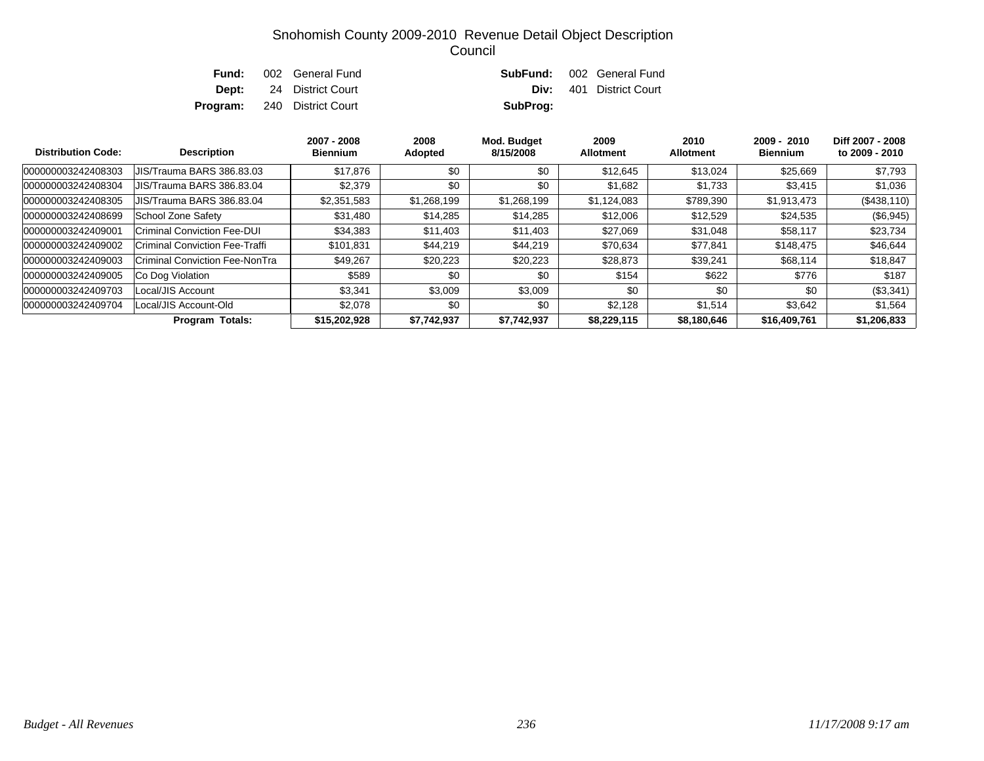|  | <b>Fund:</b> 002 General Fund      |          | <b>SubFund:</b> 002 General Fund |
|--|------------------------------------|----------|----------------------------------|
|  | <b>Dept:</b> 24 District Court     |          | <b>Div:</b> 401 District Court   |
|  | <b>Program:</b> 240 District Court | SubProg: |                                  |

| <b>Distribution Code:</b> | <b>Description</b>               | 2007 - 2008<br><b>Biennium</b> | 2008<br>Adopted | Mod. Budget<br>8/15/2008 | 2009<br><b>Allotment</b> | 2010<br><b>Allotment</b> | $2009 - 2010$<br><b>Biennium</b> | Diff 2007 - 2008<br>to 2009 - 2010 |
|---------------------------|----------------------------------|--------------------------------|-----------------|--------------------------|--------------------------|--------------------------|----------------------------------|------------------------------------|
| 000000003242408303        | <b>JIS/Trauma BARS 386.83.03</b> | \$17,876                       | \$0             | \$0                      | \$12,645                 | \$13,024                 | \$25,669                         | \$7,793                            |
| 000000003242408304        | <b>JIS/Trauma BARS 386.83.04</b> | \$2.379                        | \$0             | \$0                      | \$1.682                  | \$1,733                  | \$3,415                          | \$1,036                            |
| 000000003242408305        | <b>JIS/Trauma BARS 386.83.04</b> | \$2,351,583                    | \$1,268,199     | \$1,268,199              | \$1,124,083              | \$789,390                | \$1,913,473                      | ( \$438, 110)                      |
| 000000003242408699        | School Zone Safety               | \$31,480                       | \$14,285        | \$14,285                 | \$12,006                 | \$12,529                 | \$24,535                         | (\$6,945)                          |
| 000000003242409001        | Criminal Conviction Fee-DUI      | \$34,383                       | \$11,403        | \$11,403                 | \$27,069                 | \$31,048                 | \$58,117                         | \$23,734                           |
| 000000003242409002        | Criminal Conviction Fee-Traffi   | \$101.831                      | \$44,219        | \$44,219                 | \$70,634                 | \$77.841                 | \$148,475                        | \$46,644                           |
| 000000003242409003        | Criminal Conviction Fee-NonTra   | \$49,267                       | \$20,223        | \$20,223                 | \$28,873                 | \$39,241                 | \$68,114                         | \$18,847                           |
| 000000003242409005        | Co Dog Violation                 | \$589                          | \$0             | \$0                      | \$154                    | \$622                    | \$776                            | \$187                              |
| 000000003242409703        | Local/JIS Account                | \$3,341                        | \$3,009         | \$3,009                  | \$0                      | \$0                      | \$0                              | (\$3,341)                          |
| 000000003242409704        | Local/JIS Account-Old            | \$2.078                        | \$0             | \$0                      | \$2.128                  | \$1.514                  | \$3,642                          | \$1,564                            |
|                           | <b>Program Totals:</b>           | \$15,202,928                   | \$7,742,937     | \$7,742,937              | \$8,229,115              | \$8,180,646              | \$16,409,761                     | \$1,206,833                        |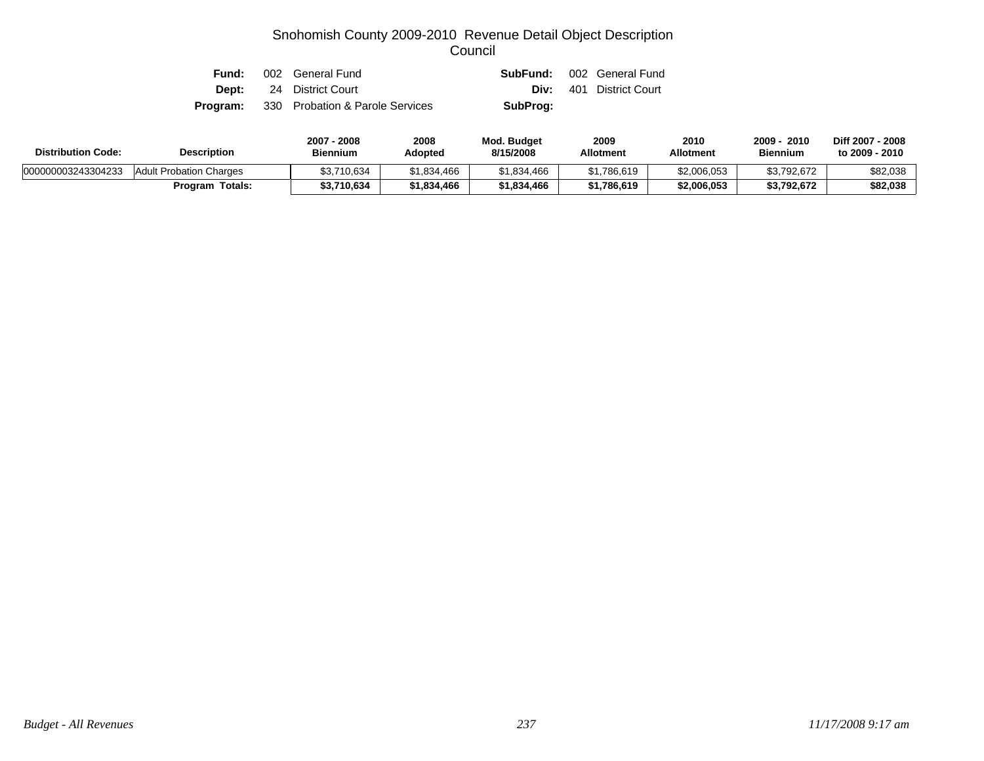| Fund: | 002 General Fund                                |          | <b>SubFund:</b> 002 General Fund |
|-------|-------------------------------------------------|----------|----------------------------------|
|       | <b>Dept:</b> 24 District Court                  |          | <b>Div:</b> 401 District Court   |
|       | <b>Program:</b> 330 Probation & Parole Services | SubProg: |                                  |

| <b>Distribution Code:</b> | <b>Description</b>        |             | 2008<br>Adopted | <b>Mod. Budget</b><br>8/15/2008 | 2009<br><b>Allotment</b> | 2010<br><b>Allotment</b> | 2009<br>2010<br><b>Biennium</b> | Diff 2007 - 2008<br>to 2009 - 2010 |
|---------------------------|---------------------------|-------------|-----------------|---------------------------------|--------------------------|--------------------------|---------------------------------|------------------------------------|
| 000000003243304233        | Adult Probation Charges   | \$3,710,634 | \$1,834,466     | \$1,834,466                     | \$1,786,619              | \$2,006,053              | \$3,792,672                     | \$82,038                           |
|                           | <b>Totals:</b><br>Program | \$3,710,634 | \$1,834,466     | \$1.834.466                     | \$1,786,619              | \$2,006,053              | \$3,792,672                     | \$82,038                           |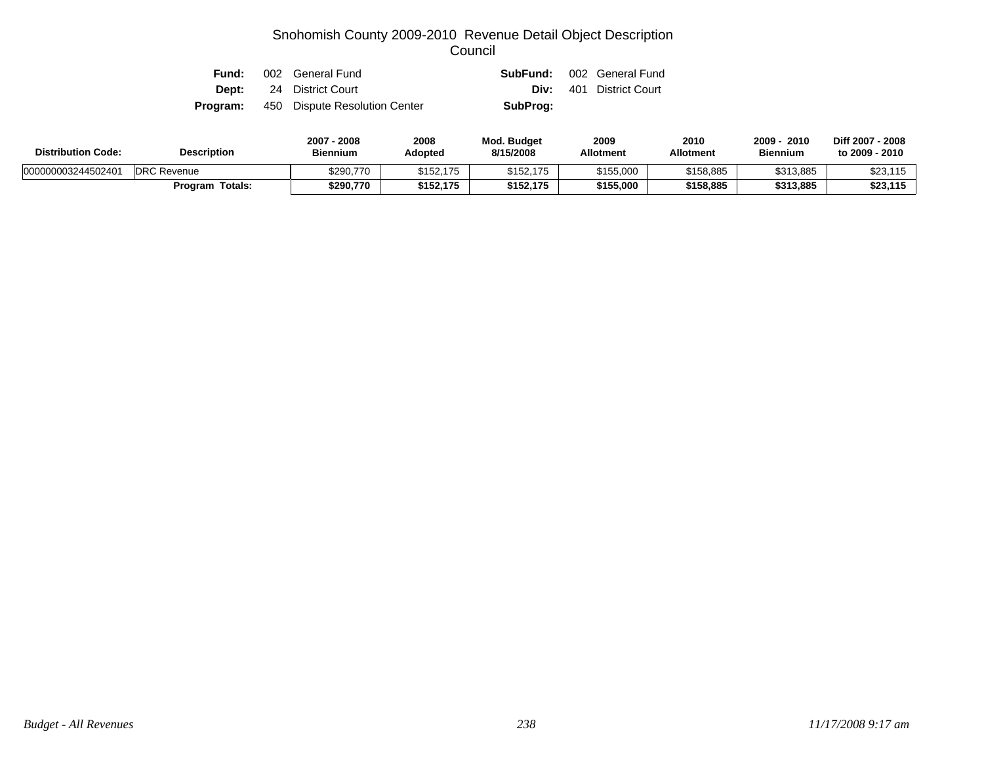| Fund:    | 002 General Fund               |          | <b>SubFund:</b> 002 General Fund |
|----------|--------------------------------|----------|----------------------------------|
|          | <b>Dept:</b> 24 District Court |          | <b>Div:</b> 401 District Court   |
| Program: | 450 Dispute Resolution Center  | SubProg: |                                  |

| <b>Distribution Code:</b> | <b>Description</b>     | 2007 - 2008<br><b>Biennium</b> | 2008<br>Adopted | <b>Mod. Budget</b><br>8/15/2008 | 2009<br><b>Allotment</b> | 2010<br><b>Allotment</b> | 2009<br>2010<br><b>Biennium</b> | Diff 2007 - 2008<br>to 2009 - 2010 |
|---------------------------|------------------------|--------------------------------|-----------------|---------------------------------|--------------------------|--------------------------|---------------------------------|------------------------------------|
| 000000003244502401        | <b>DRC Revenue</b>     | \$290.770                      | \$152,175       | \$152.175                       | \$155,000                | \$158,885                | \$313,885                       | \$23,115                           |
|                           | <b>Program Totals:</b> | \$290,770                      | \$152,175       | \$152,175                       | \$155,000                | \$158,885                | \$313,885                       | \$23,115                           |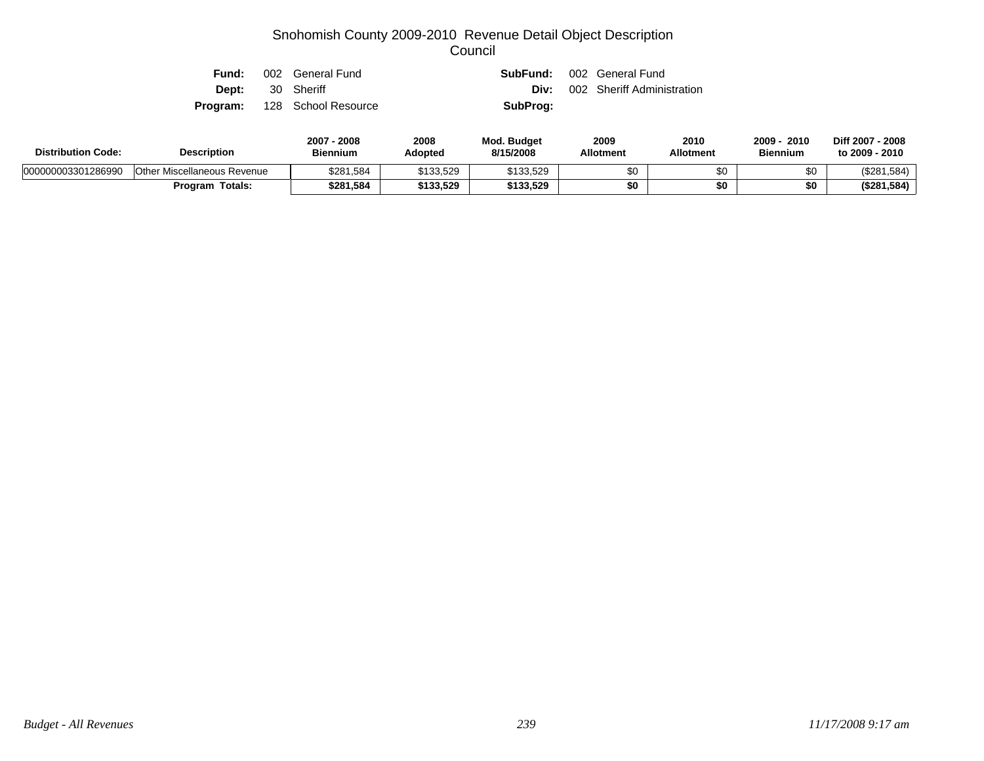| Fund: | 002 General Fund                    |          | <b>SubFund:</b> 002 General Fund |
|-------|-------------------------------------|----------|----------------------------------|
|       | <b>Dept:</b> 30 Sheriff             | Div:     | 002 Sheriff Administration       |
|       | <b>Program:</b> 128 School Resource | SubProg: |                                  |

| <b>Description</b><br><b>Distribution Code:</b> |                                    | 2007<br>2008<br>Biennium | 2008<br>Adopted | Mod. Budget<br>8/15/2008 | 2009<br><b>Allotment</b> | 2010<br>Allotment | 2009<br>2010<br><b>Biennium</b> | Diff 2007 - 2008<br>to 2009 - 2010 |
|-------------------------------------------------|------------------------------------|--------------------------|-----------------|--------------------------|--------------------------|-------------------|---------------------------------|------------------------------------|
| 000000003301286990                              | <b>Other Miscellaneous Revenue</b> | \$281,584                | \$133.529       | \$133,529                | \$0                      |                   | \$0                             | (\$281,584)                        |
|                                                 | <b>Program Totals:</b>             | \$281,584                | \$133,529       | \$133,529                | \$0                      |                   | \$0                             | (\$281,584)                        |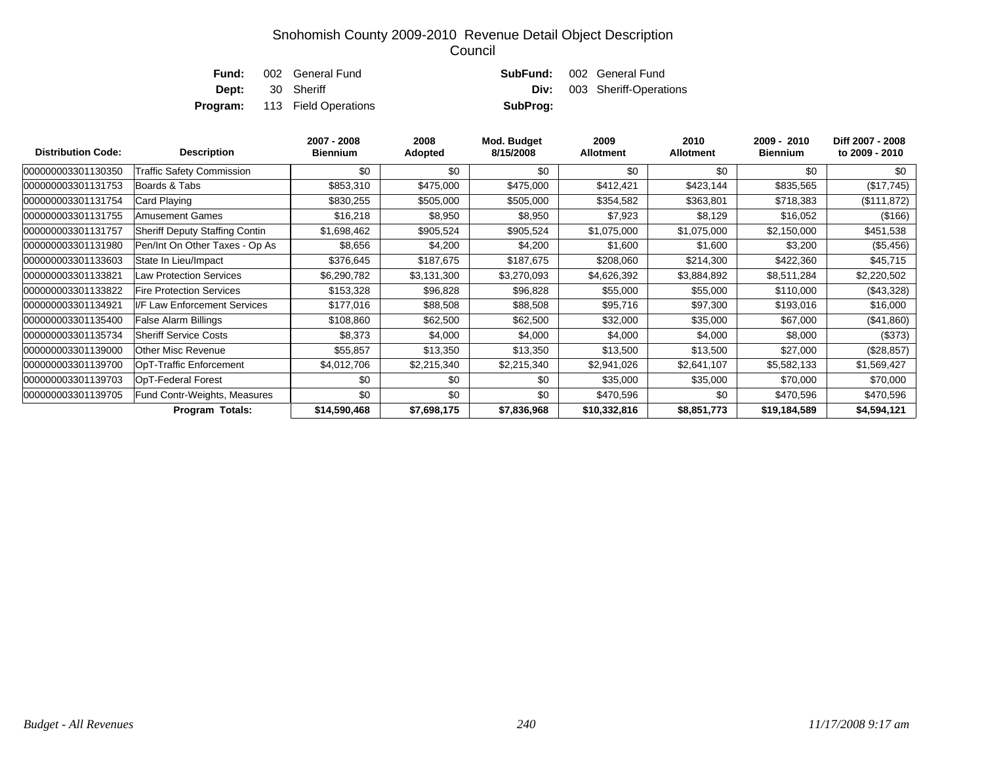|  | <b>Fund:</b> 002 General Fund        |          | <b>SubFund:</b> 002 General Fund   |
|--|--------------------------------------|----------|------------------------------------|
|  | <b>Dept:</b> 30 Sheriff              |          | <b>Div:</b> 003 Sheriff-Operations |
|  | <b>Program:</b> 113 Field Operations | SubProg: |                                    |
|  |                                      |          |                                    |

| <b>Distribution Code:</b> | <b>Description</b>                    | 2007 - 2008<br><b>Biennium</b> | 2008<br>Adopted | Mod. Budget<br>8/15/2008 | 2009<br>Allotment | 2010<br><b>Allotment</b> | $2009 - 2010$<br><b>Biennium</b> | Diff 2007 - 2008<br>to 2009 - 2010 |
|---------------------------|---------------------------------------|--------------------------------|-----------------|--------------------------|-------------------|--------------------------|----------------------------------|------------------------------------|
| 000000003301130350        | <b>Traffic Safety Commission</b>      | \$0                            | \$0             | \$0                      | \$0               | \$0                      | \$0                              | \$0                                |
| 000000003301131753        | Boards & Tabs                         | \$853,310                      | \$475,000       | \$475,000                | \$412,421         | \$423,144                | \$835,565                        | (\$17,745)                         |
| 000000003301131754        | Card Playing                          | \$830,255                      | \$505,000       | \$505,000                | \$354,582         | \$363,801                | \$718,383                        | (\$111,872)                        |
| 000000003301131755        | Amusement Games                       | \$16,218                       | \$8,950         | \$8,950                  | \$7,923           | \$8,129                  | \$16,052                         | (\$166)                            |
| 000000003301131757        | <b>Sheriff Deputy Staffing Contin</b> | \$1,698,462                    | \$905,524       | \$905,524                | \$1,075,000       | \$1,075,000              | \$2,150,000                      | \$451,538                          |
| 000000003301131980        | Pen/Int On Other Taxes - Op As        | \$8,656                        | \$4,200         | \$4,200                  | \$1,600           | \$1,600                  | \$3,200                          | (\$5,456)                          |
| 000000003301133603        | State In Lieu/Impact                  | \$376,645                      | \$187,675       | \$187,675                | \$208,060         | \$214,300                | \$422,360                        | \$45,715                           |
| 000000003301133821        | <b>Law Protection Services</b>        | \$6,290,782                    | \$3,131,300     | \$3,270,093              | \$4,626,392       | \$3,884,892              | \$8,511,284                      | \$2,220,502                        |
| 000000003301133822        | <b>Fire Protection Services</b>       | \$153,328                      | \$96,828        | \$96,828                 | \$55,000          | \$55,000                 | \$110,000                        | (\$43,328)                         |
| 000000003301134921        | I/F Law Enforcement Services          | \$177,016                      | \$88,508        | \$88,508                 | \$95,716          | \$97,300                 | \$193,016                        | \$16,000                           |
| 000000003301135400        | False Alarm Billings                  | \$108,860                      | \$62,500        | \$62,500                 | \$32,000          | \$35,000                 | \$67,000                         | (\$41,860)                         |
| 000000003301135734        | <b>Sheriff Service Costs</b>          | \$8,373                        | \$4,000         | \$4,000                  | \$4,000           | \$4,000                  | \$8,000                          | (\$373)                            |
| 000000003301139000        | Other Misc Revenue                    | \$55,857                       | \$13,350        | \$13,350                 | \$13,500          | \$13,500                 | \$27,000                         | (\$28,857)                         |
| 000000003301139700        | OpT-Traffic Enforcement               | \$4,012,706                    | \$2,215,340     | \$2,215,340              | \$2,941,026       | \$2,641,107              | \$5,582,133                      | \$1,569,427                        |
| 000000003301139703        | OpT-Federal Forest                    | \$0                            | \$0             | \$0                      | \$35,000          | \$35,000                 | \$70,000                         | \$70,000                           |
| 000000003301139705        | Fund Contr-Weights, Measures          | \$0                            | \$0             | \$0                      | \$470,596         | \$0                      | \$470,596                        | \$470,596                          |
| Program Totals:           |                                       | \$14,590,468                   | \$7,698,175     | \$7,836,968              | \$10,332,816      | \$8,851,773              | \$19,184,589                     | \$4,594,121                        |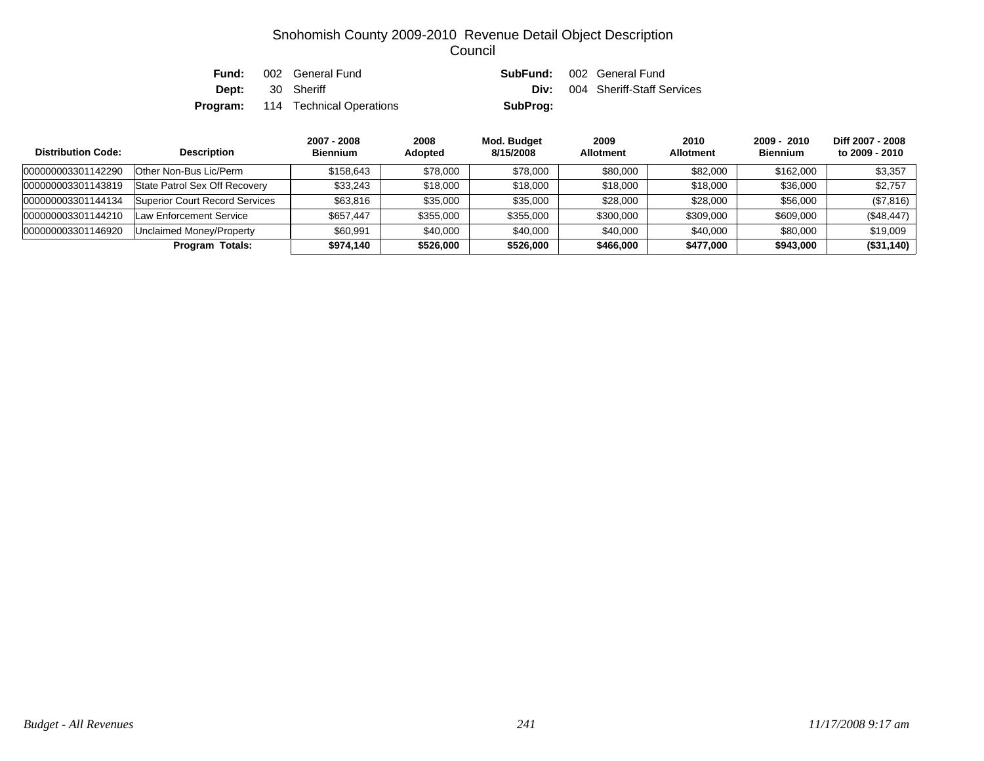| Fund: | 002 General Fund                         |          | <b>SubFund:</b> 002 General Fund       |
|-------|------------------------------------------|----------|----------------------------------------|
| Dept: | 30 Sheriff                               |          | <b>Div:</b> 004 Sheriff-Staff Services |
|       | <b>Program:</b> 114 Technical Operations | SubProg: |                                        |

| <b>Distribution Code:</b> | <b>Description</b>             | 2007 - 2008<br><b>Biennium</b> | 2008<br>Adopted | Mod. Budget<br>8/15/2008 | 2009<br><b>Allotment</b> | 2010<br><b>Allotment</b> | 2009 - 2010<br><b>Biennium</b> | Diff 2007 - 2008<br>to 2009 - 2010 |
|---------------------------|--------------------------------|--------------------------------|-----------------|--------------------------|--------------------------|--------------------------|--------------------------------|------------------------------------|
| 000000003301142290        | Other Non-Bus Lic/Perm         | \$158.643                      | \$78,000        | \$78,000                 | \$80,000                 | \$82,000                 | \$162,000                      | \$3,357                            |
| 000000003301143819        | State Patrol Sex Off Recovery  | \$33,243                       | \$18,000        | \$18,000                 | \$18,000                 | \$18,000                 | \$36,000                       | \$2,757                            |
| 000000003301144134        | Superior Court Record Services | \$63.816                       | \$35,000        | \$35,000                 | \$28,000                 | \$28,000                 | \$56,000                       | (\$7,816)                          |
| 000000003301144210        | Law Enforcement Service        | \$657.447                      | \$355,000       | \$355,000                | \$300,000                | \$309,000                | \$609,000                      | (\$48,447)                         |
| 000000003301146920        | Unclaimed Money/Property       | \$60.991                       | \$40,000        | \$40,000                 | \$40,000                 | \$40,000                 | \$80,000                       | \$19,009                           |
|                           | <b>Program Totals:</b>         | \$974.140                      | \$526,000       | \$526,000                | \$466,000                | \$477,000                | \$943,000                      | (\$31,140)                         |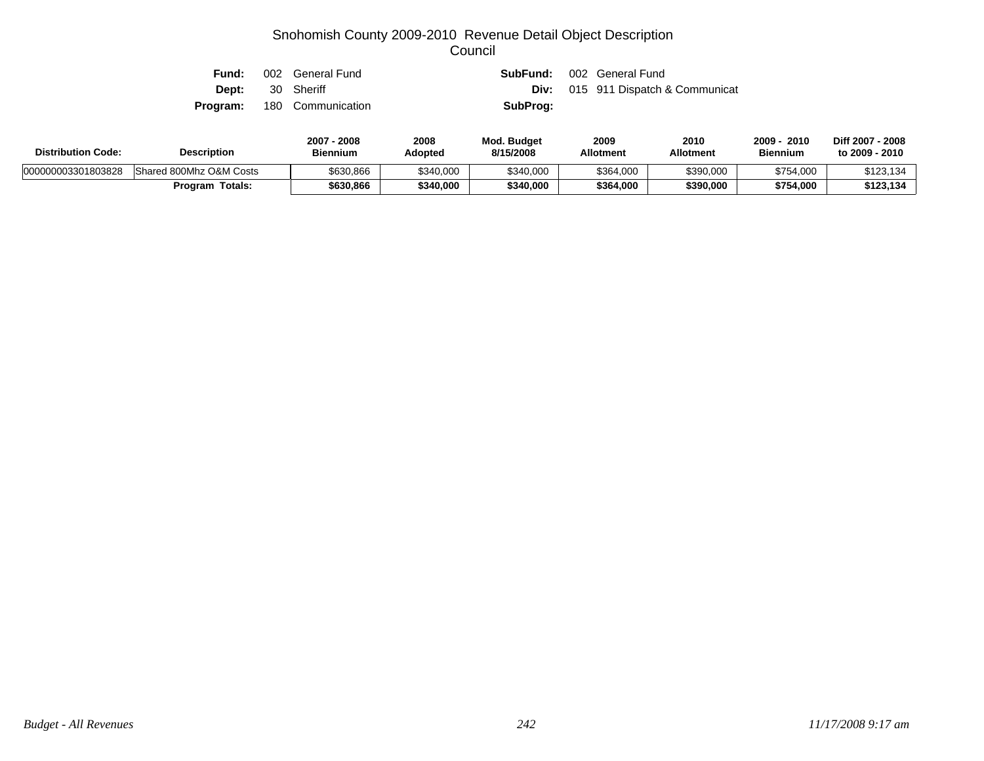| Fund:        | 002 General Fund                  |          | <b>SubFund:</b> 002 General Fund          |
|--------------|-----------------------------------|----------|-------------------------------------------|
| <b>Dept:</b> | 30 Sheriff                        |          | <b>Div:</b> 015 911 Dispatch & Communicat |
|              | <b>Program:</b> 180 Communication | SubProg: |                                           |

| <b>Distribution Code:</b> | <b>Description</b>      | 2008<br>2007<br>Biennium | 2008<br><b>Adopted</b> | <b>Mod. Budget</b><br>8/15/2008 | 2009<br><b>Allotment</b> | 2010<br>Allotment | 2009<br>2010<br><b>Biennium</b> | Diff 2007 - 2008<br>to 2009 - 2010 |
|---------------------------|-------------------------|--------------------------|------------------------|---------------------------------|--------------------------|-------------------|---------------------------------|------------------------------------|
| 000000003301803828        | Shared 800Mhz O&M Costs | \$630,866                | \$340,000              | \$340,000                       | \$364,000                | \$390,000         | \$754,000                       | \$123,134                          |
|                           | <b>Program Totals:</b>  | \$630,866                | \$340.000              | \$340,000                       | \$364,000                | \$390,000         | \$754,000                       | \$123,134                          |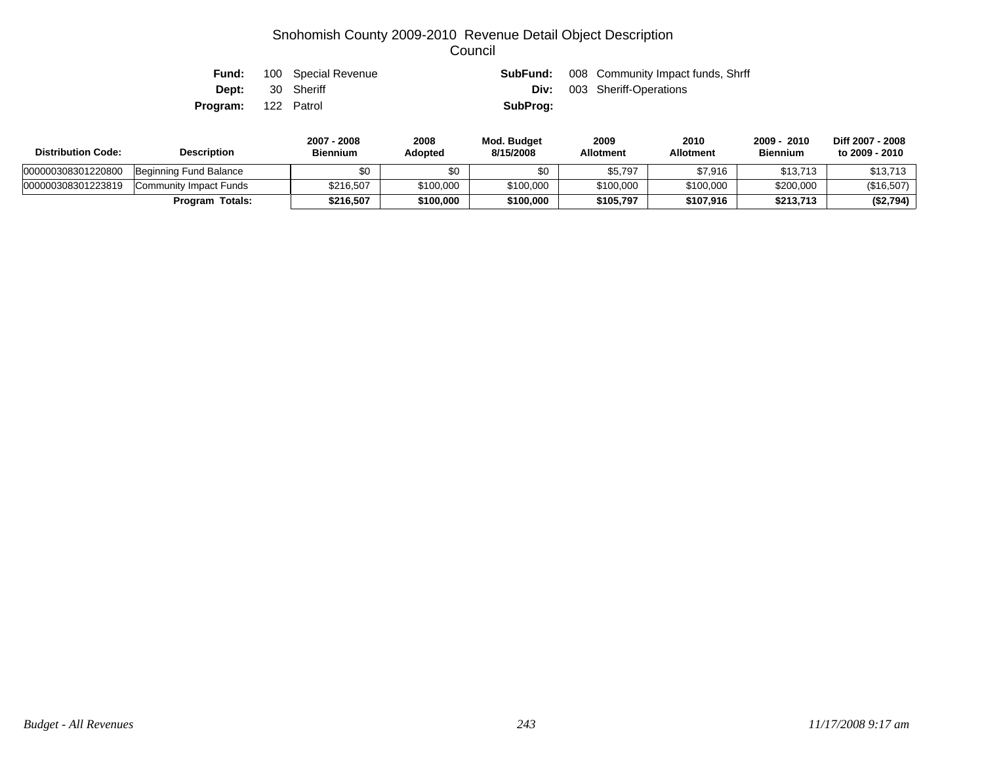| Fund:                      | 100 Special Revenue |          | <b>SubFund:</b> 008 Community Impact funds, Shrff |
|----------------------------|---------------------|----------|---------------------------------------------------|
| <b>Dept:</b> 30 Sheriff    |                     | Div:     | 003 Sheriff-Operations                            |
| <b>Program:</b> 122 Patrol |                     | SubProg: |                                                   |

| <b>Distribution Code:</b> | <b>Description</b>     | 2007 - 2008<br><b>Biennium</b> | 2008<br><b>Adopted</b> | Mod. Budget<br>8/15/2008 | 2009<br><b>Allotment</b> | 2010<br><b>Allotment</b> | 2009 - 2010<br><b>Biennium</b> | Diff 2007 - 2008<br>to 2009 - 2010 |
|---------------------------|------------------------|--------------------------------|------------------------|--------------------------|--------------------------|--------------------------|--------------------------------|------------------------------------|
| 000000308301220800        | Beginning Fund Balance | \$0                            | \$0                    | \$0                      | \$5,797                  | \$7.916                  | \$13,713                       | \$13,713                           |
| 000000308301223819        | Community Impact Funds | \$216,507                      | \$100,000              | \$100,000                | \$100,000                | \$100,000                | \$200,000                      | (\$16,507)                         |
|                           | Program Totals:        | \$216.507                      | \$100,000              | \$100.000                | \$105.797                | \$107,916                | \$213,713                      | (\$2,794)                          |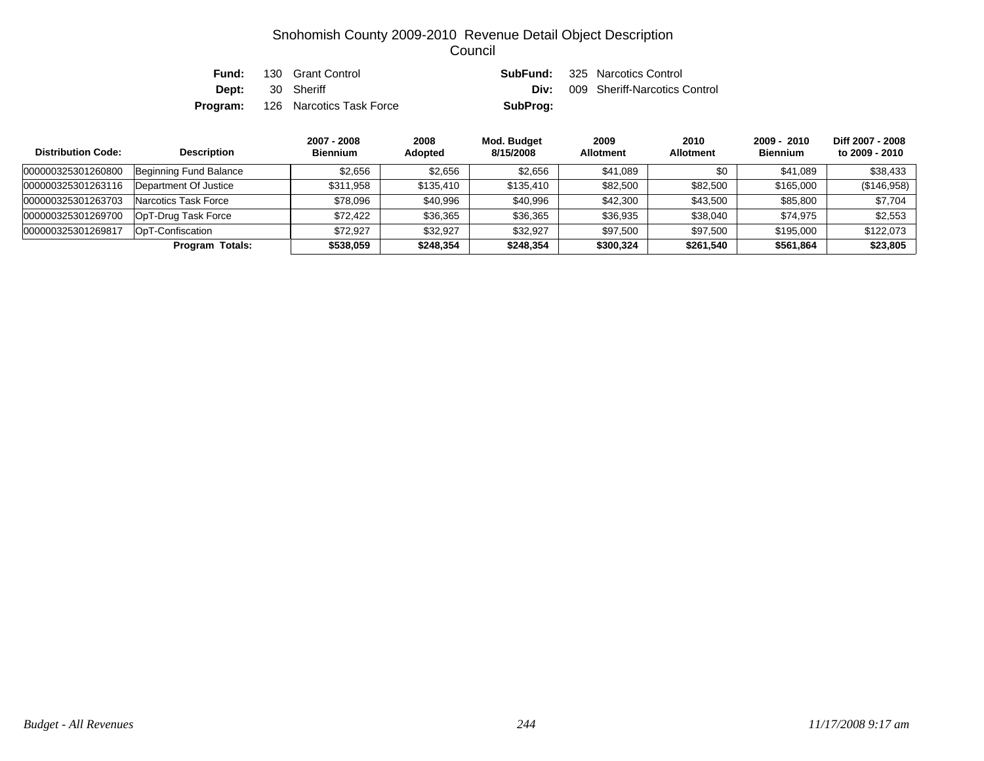| Fund: | 130 Grant Control                        |          | <b>SubFund:</b> 325 Narcotics Control     |
|-------|------------------------------------------|----------|-------------------------------------------|
|       | <b>Dept:</b> 30 Sheriff                  |          | <b>Div:</b> 009 Sheriff-Narcotics Control |
|       | <b>Program:</b> 126 Narcotics Task Force | SubProg: |                                           |

| <b>Distribution Code:</b> | <b>Description</b>     | 2007 - 2008<br><b>Biennium</b> | 2008<br>Adopted | Mod. Budget<br>8/15/2008 | 2009<br><b>Allotment</b> | 2010<br><b>Allotment</b> | $2009 - 2010$<br><b>Biennium</b> | Diff 2007 - 2008<br>to 2009 - 2010 |
|---------------------------|------------------------|--------------------------------|-----------------|--------------------------|--------------------------|--------------------------|----------------------------------|------------------------------------|
| 000000325301260800        | Beginning Fund Balance | \$2,656                        | \$2,656         | \$2,656                  | \$41,089                 | \$0                      | \$41,089                         | \$38,433                           |
| 000000325301263116        | Department Of Justice  | \$311.958                      | \$135,410       | \$135,410                | \$82,500                 | \$82,500                 | \$165,000                        | (\$146,958)                        |
| 000000325301263703        | Narcotics Task Force   | \$78,096                       | \$40,996        | \$40,996                 | \$42,300                 | \$43,500                 | \$85,800                         | \$7,704                            |
| 000000325301269700        | OpT-Drug Task Force    | \$72,422                       | \$36,365        | \$36,365                 | \$36,935                 | \$38,040                 | \$74,975                         | \$2,553                            |
| 000000325301269817        | OpT-Confiscation       | \$72.927                       | \$32,927        | \$32,927                 | \$97,500                 | \$97,500                 | \$195,000                        | \$122.073                          |
|                           | <b>Program Totals:</b> | \$538.059                      | \$248,354       | \$248,354                | \$300,324                | \$261,540                | \$561,864                        | \$23,805                           |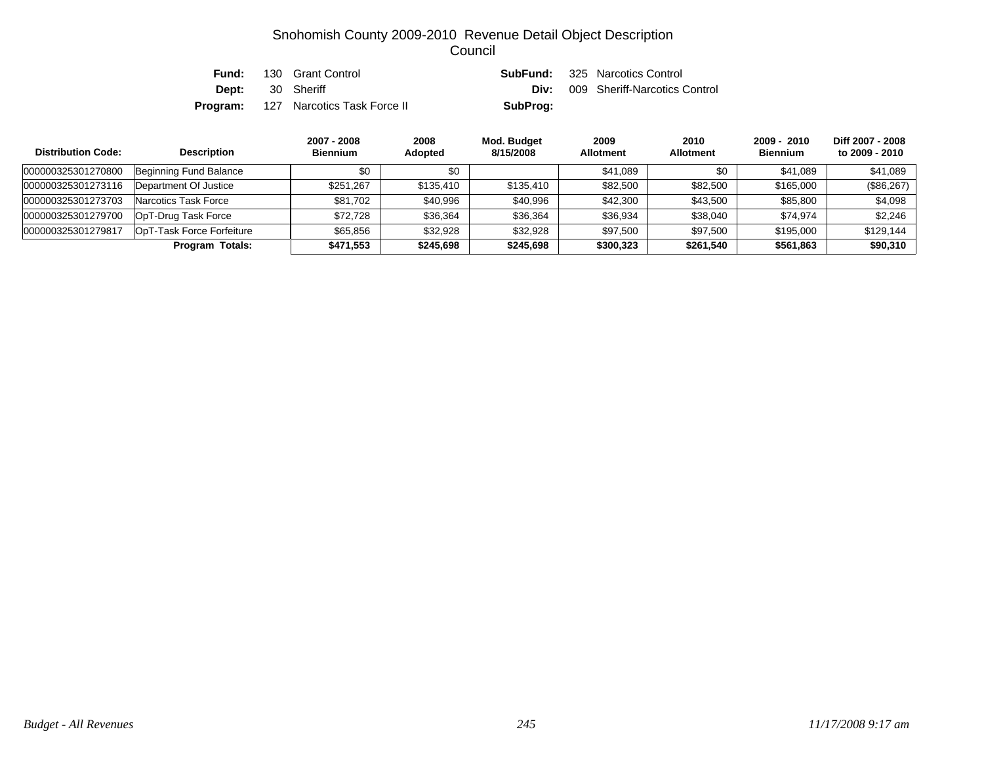| Fund: | 130 Grant Control                           |          | <b>SubFund:</b> 325 Narcotics Control     |
|-------|---------------------------------------------|----------|-------------------------------------------|
|       | <b>Dept:</b> 30 Sheriff                     |          | <b>Div:</b> 009 Sheriff-Narcotics Control |
|       | <b>Program:</b> 127 Narcotics Task Force II | SubProg: |                                           |

| <b>Distribution Code:</b> | <b>Description</b>        | 2007 - 2008<br><b>Biennium</b> | 2008<br><b>Adopted</b> | Mod. Budget<br>8/15/2008 | 2009<br><b>Allotment</b> | 2010<br><b>Allotment</b> | 2009 - 2010<br><b>Biennium</b> | Diff 2007 - 2008<br>to 2009 - 2010 |
|---------------------------|---------------------------|--------------------------------|------------------------|--------------------------|--------------------------|--------------------------|--------------------------------|------------------------------------|
| 000000325301270800        | Beginning Fund Balance    | \$0                            | \$0                    |                          | \$41.089                 | \$0                      | \$41,089                       | \$41.089                           |
| 000000325301273116        | Department Of Justice     | \$251.267                      | \$135,410              | \$135,410                | \$82,500                 | \$82,500                 | \$165,000                      | (\$86,267)                         |
| 000000325301273703        | Narcotics Task Force      | \$81,702                       | \$40,996               | \$40,996                 | \$42,300                 | \$43.500                 | \$85,800                       | \$4,098                            |
| 000000325301279700        | OpT-Drug Task Force       | \$72.728                       | \$36.364               | \$36,364                 | \$36,934                 | \$38.040                 | \$74.974                       | \$2,246                            |
| 000000325301279817        | OpT-Task Force Forfeiture | \$65.856                       | \$32.928               | \$32.928                 | \$97,500                 | \$97.500                 | \$195,000                      | \$129.144                          |
|                           | Program Totals:           | \$471.553                      | \$245,698              | \$245,698                | \$300,323                | \$261,540                | \$561,863                      | \$90,310                           |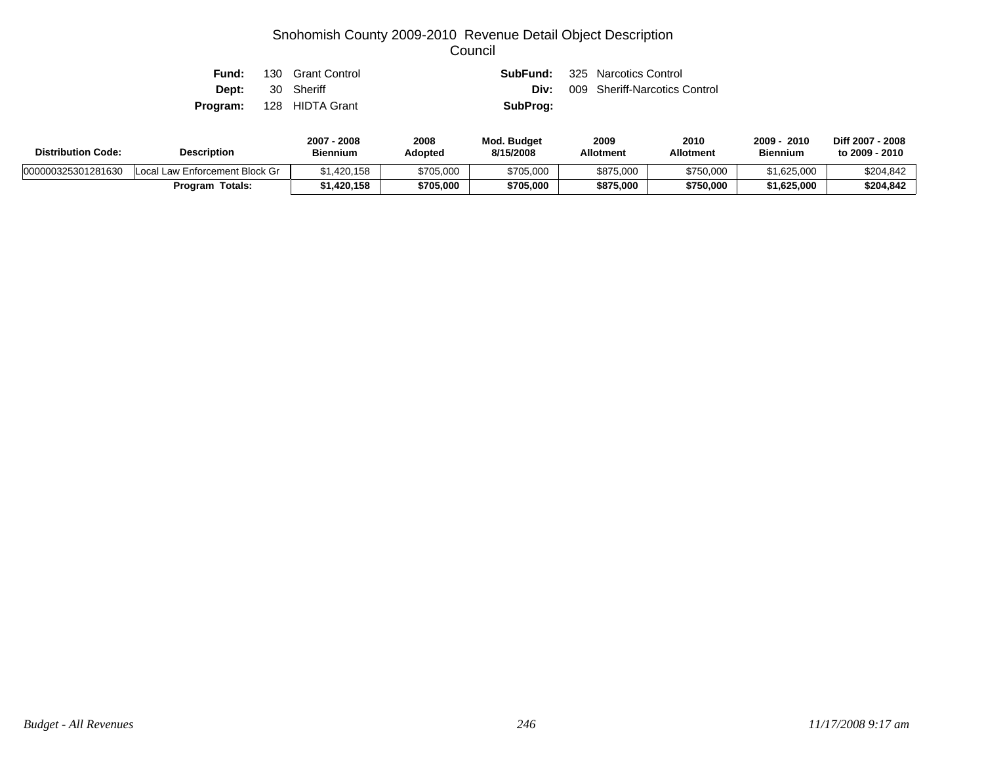| Fund: | 130 Grant Control               |          | <b>SubFund:</b> 325 Narcotics Control |
|-------|---------------------------------|----------|---------------------------------------|
|       | <b>Dept:</b> 30 Sheriff         | Div:     | 009 Sheriff-Narcotics Control         |
|       | <b>Program:</b> 128 HIDTA Grant | SubProg: |                                       |

| <b>Distribution Code:</b> | <b>Description</b>             | 2008<br>2007<br>Biennium | 2008<br><b>Adopted</b> | <b>Mod. Budget</b><br>8/15/2008 | 2009<br><b>Allotment</b> | 2010<br>Allotment | 2009 -<br>2010<br><b>Biennium</b> | Diff 2007 - 2008<br>to 2009 - 2010 |
|---------------------------|--------------------------------|--------------------------|------------------------|---------------------------------|--------------------------|-------------------|-----------------------------------|------------------------------------|
| 000000325301281630        | Local Law Enforcement Block Gr | \$1,420,158              | \$705,000              | \$705,000                       | \$875,000                | \$750,000         | \$1,625,000                       | \$204,842                          |
|                           | Program Totals:                | \$1,420,158              | \$705,000              | \$705,000                       | \$875,000                | \$750,000         | \$1,625,000                       | \$204,842                          |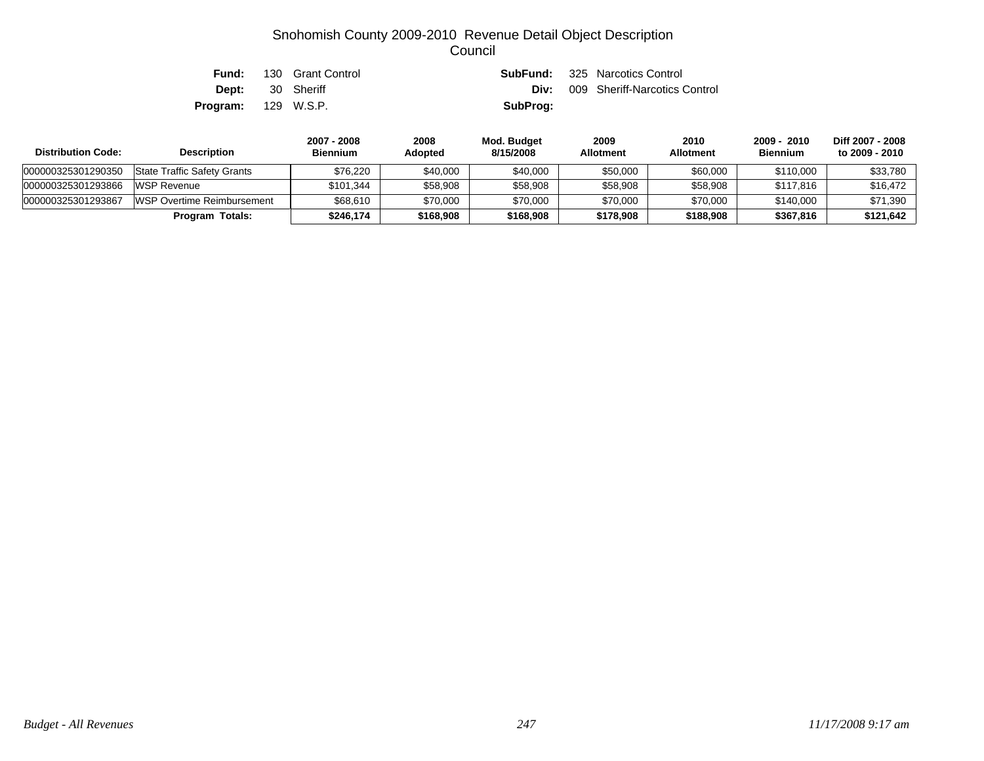| Fund:                      | 130 Grant Control       |          | <b>SubFund:</b> 325 Narcotics Control |
|----------------------------|-------------------------|----------|---------------------------------------|
|                            | <b>Dept:</b> 30 Sheriff | Div:     | 009 Sheriff-Narcotics Control         |
| <b>Program:</b> 129 W.S.P. |                         | SubProg: |                                       |

| <b>Distribution Code:</b> | <b>Description</b>                 | 2007 - 2008<br><b>Biennium</b> | 2008<br><b>Adopted</b> | Mod. Budget<br>8/15/2008 | 2009<br><b>Allotment</b> | 2010<br><b>Allotment</b> | 2009 - 2010<br><b>Biennium</b> | Diff 2007 - 2008<br>to 2009 - 2010 |
|---------------------------|------------------------------------|--------------------------------|------------------------|--------------------------|--------------------------|--------------------------|--------------------------------|------------------------------------|
| 000000325301290350        | <b>State Traffic Safety Grants</b> | \$76.220                       | \$40,000               | \$40,000                 | \$50,000                 | \$60,000                 | \$110,000                      | \$33,780                           |
| 000000325301293866        | <b>WSP Revenue</b>                 | \$101,344                      | \$58,908               | \$58,908                 | \$58,908                 | \$58,908                 | \$117,816                      | \$16,472                           |
| 000000325301293867        | WSP Overtime Reimbursement         | \$68,610                       | \$70,000               | \$70,000                 | \$70,000                 | \$70,000                 | \$140,000                      | \$71,390                           |
|                           | <b>Program Totals:</b>             | \$246.174                      | \$168,908              | \$168,908                | \$178,908                | \$188,908                | \$367,816                      | \$121.642                          |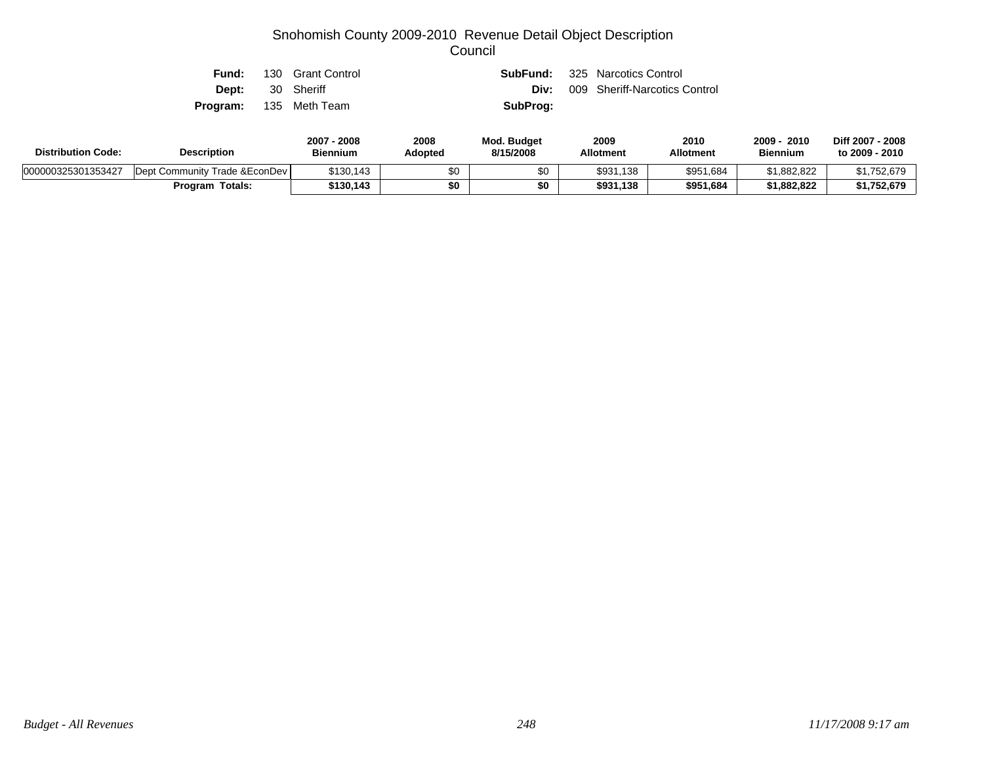| Fund:                         | 130 Grant Control |          | <b>SubFund:</b> 325 Narcotics Control |
|-------------------------------|-------------------|----------|---------------------------------------|
| <b>Dept:</b> 30 Sheriff       |                   |          | Div: 009 Sheriff-Narcotics Control    |
| <b>Program:</b> 135 Meth Team |                   | SubProg: |                                       |

| <b>Distribution Code:</b> | <b>Description</b>             |           | 2008<br>Adopted | <b>Mod. Budget</b><br>8/15/2008 | 2009<br><b>Allotment</b> | 2010<br>Allotment | 2009<br>2010<br><b>Biennium</b> | Diff 2007 - 2008<br>to 2009 - 2010 |
|---------------------------|--------------------------------|-----------|-----------------|---------------------------------|--------------------------|-------------------|---------------------------------|------------------------------------|
| 000000325301353427        | Dept Community Trade & EconDev | \$130,143 | \$0             | ΦU                              | \$931,138                | \$951,684         | \$1.882.822                     | \$1,752,679                        |
|                           | <b>Program Totals:</b>         | \$130,143 | \$0             | \$0                             | \$931.138                | \$951,684         | \$1.882.822                     | \$1,752,679                        |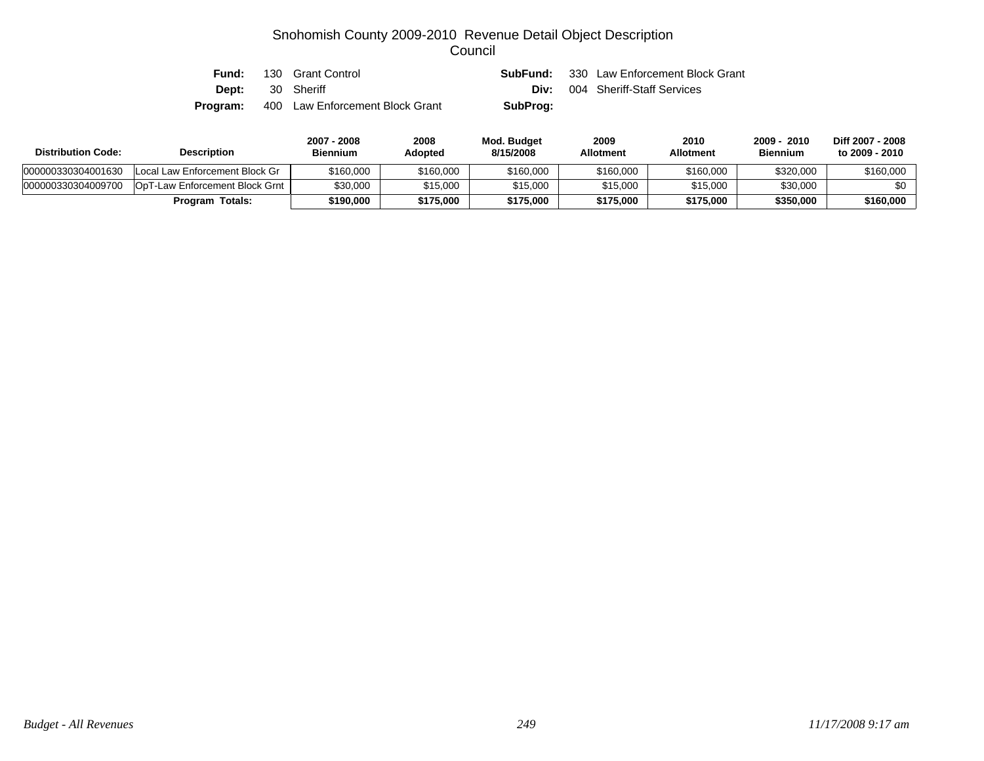| Fund:    | 130 Grant Control               |          | <b>SubFund:</b> 330 Law Enforcement Block Grant |
|----------|---------------------------------|----------|-------------------------------------------------|
| Dept:    | 30 Sheriff                      |          | <b>Div:</b> 004 Sheriff-Staff Services          |
| Program: | 400 Law Enforcement Block Grant | SubProg: |                                                 |

| <b>Distribution Code:</b> | <b>Description</b>                     | 2007 - 2008<br><b>Biennium</b> | 2008<br>Adopted | Mod. Budget<br>8/15/2008 | 2009<br><b>Allotment</b> | 2010<br><b>Allotment</b> | 2009 - 2010<br><b>Biennium</b> | Diff 2007 - 2008<br>to 2009 - 2010 |
|---------------------------|----------------------------------------|--------------------------------|-----------------|--------------------------|--------------------------|--------------------------|--------------------------------|------------------------------------|
| 000000330304001630        | Local Law Enforcement Block Gr         | \$160,000                      | \$160,000       | \$160,000                | \$160,000                | \$160,000                | \$320,000                      | \$160,000                          |
| 000000330304009700        | <b>IOpT-Law Enforcement Block Grnt</b> | \$30,000                       | \$15.000        | \$15,000                 | \$15,000                 | \$15,000                 | \$30,000                       | \$0                                |
|                           | <b>Program Totals:</b>                 | \$190,000                      | \$175,000       | \$175,000                | \$175.000                | \$175,000                | \$350,000                      | \$160,000                          |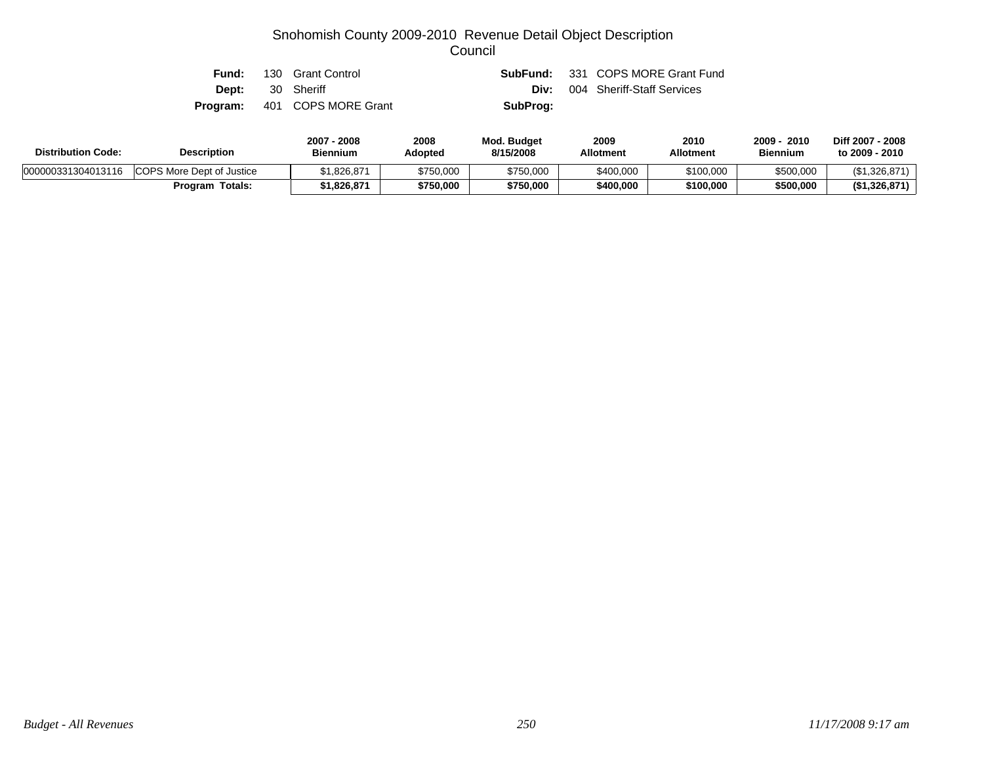| Fund:                   | 130 Grant Control                   |          | <b>SubFund:</b> 331 COPS MORE Grant Fund |
|-------------------------|-------------------------------------|----------|------------------------------------------|
| <b>Dept:</b> 30 Sheriff |                                     | Div:     | 004 Sheriff-Staff Services               |
|                         | <b>Program:</b> 401 COPS MORE Grant | SubProg: |                                          |

| <b>Distribution Code:</b> | <b>Description</b>               | 2008<br>2007<br><b>Biennium</b> | 2008<br>Adopted | Mod. Budget<br>8/15/2008 | 2009<br><b>Allotment</b> | 2010<br><b>Allotment</b> | 2009 ·<br>2010<br><b>Biennium</b> | Diff 2007 - 2008<br>to 2009 - 2010 |
|---------------------------|----------------------------------|---------------------------------|-----------------|--------------------------|--------------------------|--------------------------|-----------------------------------|------------------------------------|
| 000000331304013116        | <b>COPS More Dept of Justice</b> | 826,871.                        | \$750,000       | \$750,000                | \$400,000                | \$100,000                | \$500,000                         | (\$1,326,871                       |
|                           | Program Totals:                  | 1.826.871                       | \$750,000       | \$750,000                | \$400,000                | \$100,000                | \$500,000                         | (\$1,326,871)                      |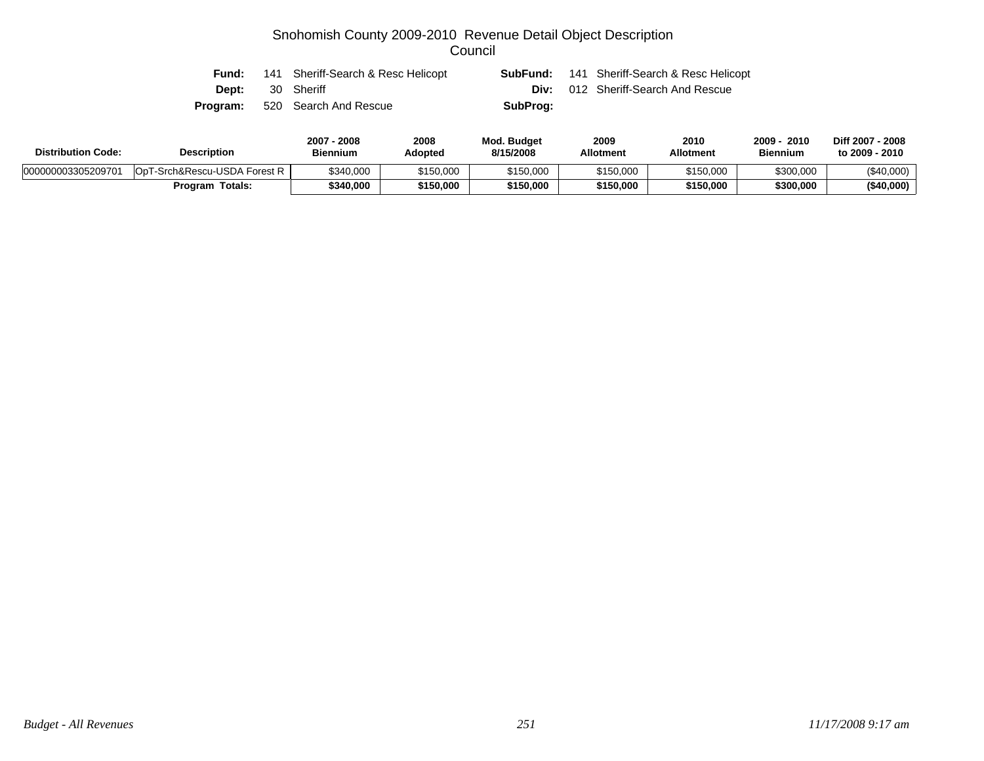| Fund:                   | 141 Sheriff-Search & Resc Helicopt    |          | <b>SubFund:</b> 141 Sheriff-Search & Resc Helicopt |
|-------------------------|---------------------------------------|----------|----------------------------------------------------|
| <b>Dept:</b> 30 Sheriff |                                       |          | <b>Div:</b> 012 Sheriff-Search And Rescue          |
|                         | <b>Program:</b> 520 Search And Rescue | SubProg: |                                                    |

| <b>Distribution Code:</b> | <b>Description</b>                       | 2008<br>2007<br><b>Biennium</b> | 2008<br>Adopted | <b>Mod. Budget</b><br>8/15/2008 | 2009<br><b>Allotment</b> | 2010<br><b>Allotment</b> | 2009 ·<br>2010<br><b>Biennium</b> | Diff 2007 - 2008<br>to 2009 - 2010 |
|---------------------------|------------------------------------------|---------------------------------|-----------------|---------------------------------|--------------------------|--------------------------|-----------------------------------|------------------------------------|
| 000000003305209701        | F-Srch&Rescu-USDA Forest R<br><b>OpT</b> | \$340,000                       | \$150,000       | \$150,000                       | \$150,000                | \$150,000                | \$300,000                         | $(\$40,000)$                       |
|                           | Totals:<br>Program                       | \$340,000                       | \$150.000       | \$150,000                       | \$150,000                | \$150,000                | \$300,000                         | (\$40,000)                         |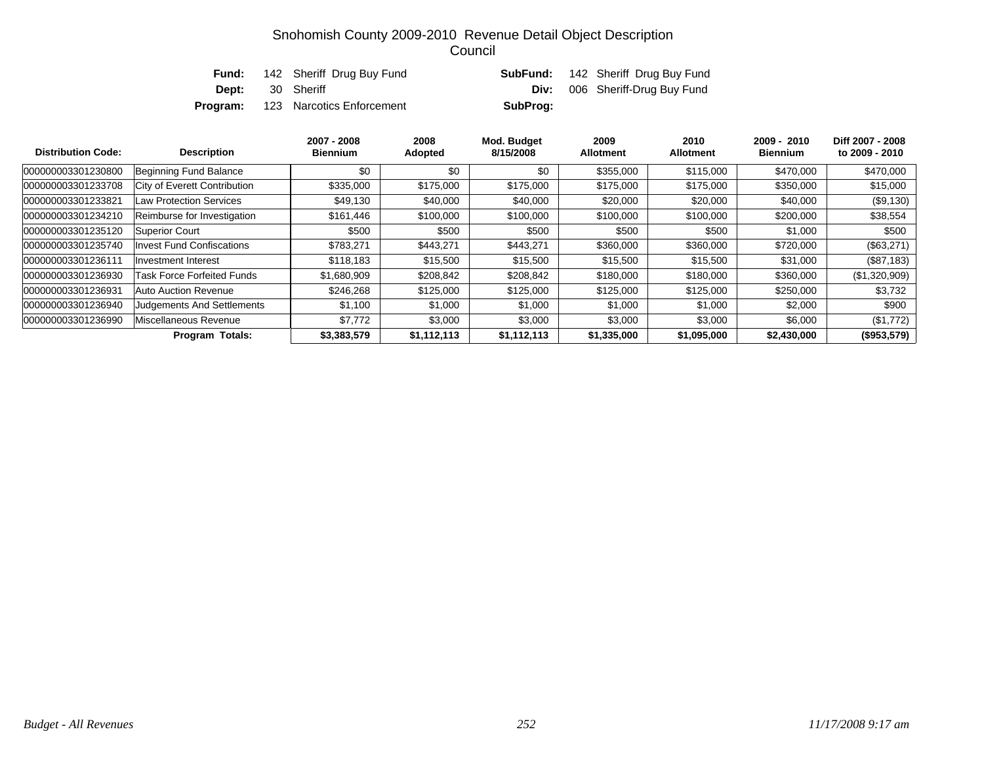|                         | <b>Fund:</b> 142 Sheriff Drug Buy Fund    |          | <b>SubFund:</b> 142 Sheriff Drug Buy Fund |
|-------------------------|-------------------------------------------|----------|-------------------------------------------|
| <b>Dept:</b> 30 Sheriff |                                           | Div:     | 006 Sheriff-Drug Buy Fund                 |
|                         | <b>Program:</b> 123 Narcotics Enforcement | SubProg: |                                           |

| <b>Distribution Code:</b> | <b>Description</b>                | 2007 - 2008<br><b>Biennium</b> | 2008<br>Adopted | Mod. Budget<br>8/15/2008 | 2009<br><b>Allotment</b> | 2010<br><b>Allotment</b> | $2009 - 2010$<br><b>Biennium</b> | Diff 2007 - 2008<br>to 2009 - 2010 |
|---------------------------|-----------------------------------|--------------------------------|-----------------|--------------------------|--------------------------|--------------------------|----------------------------------|------------------------------------|
| 000000003301230800        | Beginning Fund Balance            | \$0                            | \$0             | \$0                      | \$355,000                | \$115,000                | \$470,000                        | \$470,000                          |
| 000000003301233708        | City of Everett Contribution      | \$335,000                      | \$175,000       | \$175,000                | \$175,000                | \$175,000                | \$350,000                        | \$15,000                           |
| 000000003301233821        | <b>Law Protection Services</b>    | \$49,130                       | \$40,000        | \$40,000                 | \$20,000                 | \$20,000                 | \$40,000                         | (\$9,130)                          |
| 000000003301234210        | Reimburse for Investigation       | \$161,446                      | \$100,000       | \$100,000                | \$100,000                | \$100,000                | \$200,000                        | \$38,554                           |
| 000000003301235120        | Superior Court                    | \$500                          | \$500           | \$500                    | \$500                    | \$500                    | \$1,000                          | \$500                              |
| 000000003301235740        | <b>Invest Fund Confiscations</b>  | \$783,271                      | \$443,271       | \$443,271                | \$360,000                | \$360,000                | \$720,000                        | (\$63,271)                         |
| 000000003301236111        | Investment Interest               | \$118,183                      | \$15,500        | \$15,500                 | \$15,500                 | \$15,500                 | \$31,000                         | (\$87,183)                         |
| 000000003301236930        | Task Force Forfeited Funds        | \$1,680,909                    | \$208,842       | \$208,842                | \$180,000                | \$180,000                | \$360,000                        | (\$1,320,909)                      |
| 000000003301236931        | Auto Auction Revenue              | \$246.268                      | \$125,000       | \$125,000                | \$125,000                | \$125,000                | \$250,000                        | \$3,732                            |
| 000000003301236940        | <b>Judgements And Settlements</b> | \$1,100                        | \$1,000         | \$1,000                  | \$1,000                  | \$1,000                  | \$2,000                          | \$900                              |
| 000000003301236990        | Miscellaneous Revenue             | \$7.772                        | \$3,000         | \$3,000                  | \$3,000                  | \$3,000                  | \$6,000                          | (\$1,772)                          |
|                           | <b>Program Totals:</b>            | \$3,383,579                    | \$1,112,113     | \$1,112,113              | \$1,335,000              | \$1,095,000              | \$2,430,000                      | (\$953,579)                        |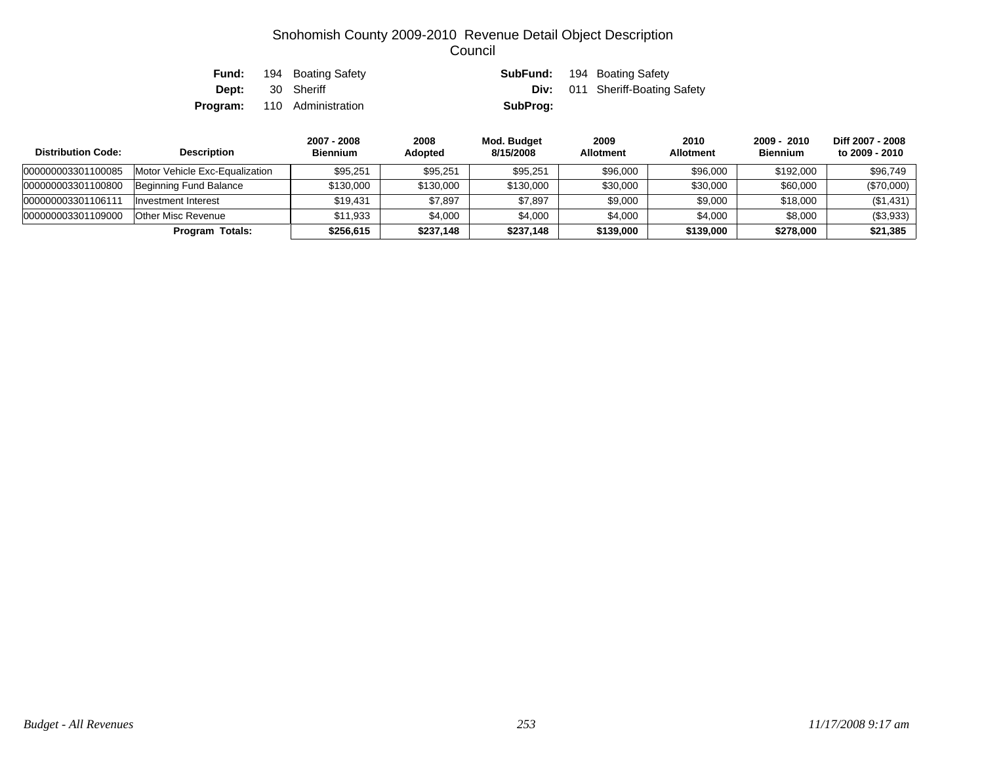| Fund:        | 194 Boating Safety                 |          | <b>SubFund:</b> 194 Boating Safety     |
|--------------|------------------------------------|----------|----------------------------------------|
| <b>Dept:</b> | 30 Sheriff                         |          | <b>Div:</b> 011 Sheriff-Boating Safety |
|              | <b>Program:</b> 110 Administration | SubProg: |                                        |

| <b>Distribution Code:</b> | <b>Description</b>             | 2007 - 2008<br><b>Biennium</b> | 2008<br><b>Adopted</b> | Mod. Budget<br>8/15/2008 | 2009<br><b>Allotment</b> | 2010<br><b>Allotment</b> | 2009 - 2010<br><b>Biennium</b> | Diff 2007 - 2008<br>to 2009 - 2010 |
|---------------------------|--------------------------------|--------------------------------|------------------------|--------------------------|--------------------------|--------------------------|--------------------------------|------------------------------------|
| 000000003301100085        | Motor Vehicle Exc-Equalization | \$95,251                       | \$95,251               | \$95,251                 | \$96,000                 | \$96,000                 | \$192,000                      | \$96,749                           |
| 000000003301100800        | Beginning Fund Balance         | \$130,000                      | \$130,000              | \$130,000                | \$30,000                 | \$30,000                 | \$60,000                       | $(\$70,000)$                       |
| 000000003301106111        | Investment Interest            | \$19.431                       | \$7,897                | \$7,897                  | \$9,000                  | \$9,000                  | \$18,000                       | $(\$1,431)$                        |
| 000000003301109000        | Other Misc Revenue             | \$11.933                       | \$4,000                | \$4,000                  | \$4,000                  | \$4,000                  | \$8,000                        | (\$3,933)                          |
|                           | Program Totals:                | \$256,615                      | \$237,148              | \$237,148                | \$139,000                | \$139,000                | \$278,000                      | \$21,385                           |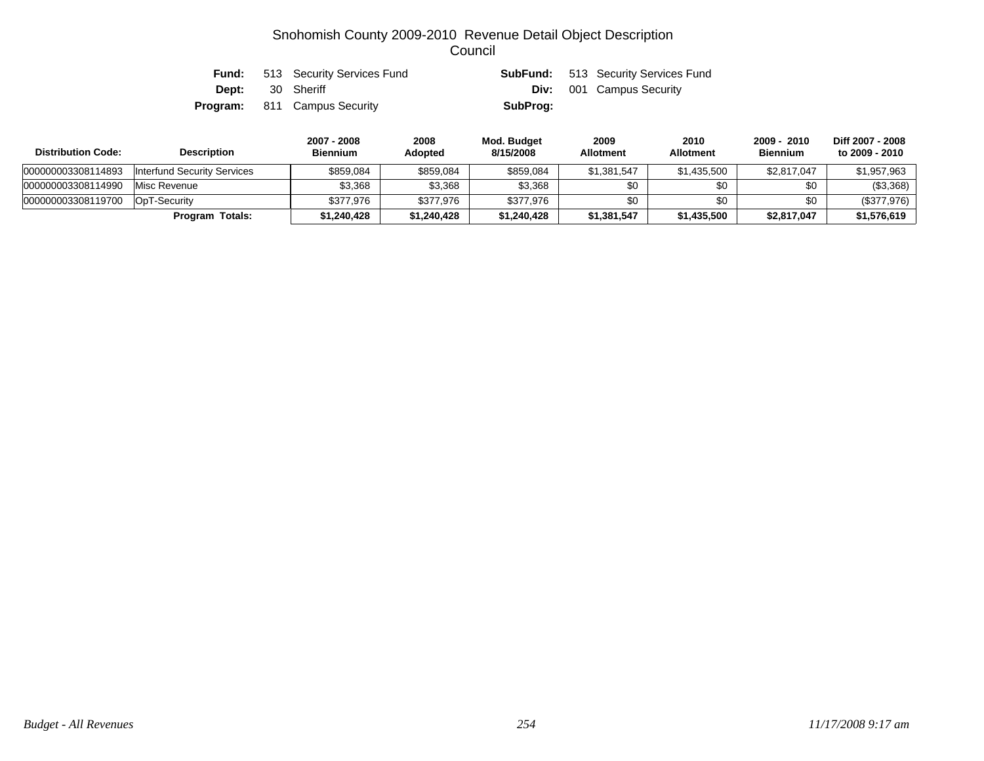| Fund: | 513 Security Services Fund          |          | <b>SubFund:</b> 513 Security Services Fund |
|-------|-------------------------------------|----------|--------------------------------------------|
|       | <b>Dept:</b> 30 Sheriff             |          | <b>Div:</b> 001 Campus Security            |
|       | <b>Program:</b> 811 Campus Security | SubProg: |                                            |

| <b>Distribution Code:</b> | <b>Description</b>          | 2007 - 2008<br><b>Biennium</b> | 2008<br><b>Adopted</b> | Mod. Budget<br>8/15/2008 | 2009<br><b>Allotment</b> | 2010<br><b>Allotment</b> | 2009 - 2010<br><b>Biennium</b> | Diff 2007 - 2008<br>to 2009 - 2010 |
|---------------------------|-----------------------------|--------------------------------|------------------------|--------------------------|--------------------------|--------------------------|--------------------------------|------------------------------------|
| 000000003308114893        | Interfund Security Services | \$859,084                      | \$859,084              | \$859,084                | \$1,381,547              | \$1,435,500              | \$2,817,047                    | \$1,957,963                        |
| 000000003308114990        | Misc Revenue                | \$3,368                        | \$3,368                | \$3,368                  | \$0                      | \$0                      | \$0                            | (\$3,368)                          |
| 000000003308119700        | OpT-Security                | \$377.976                      | \$377.976              | \$377.976                | \$0                      | \$0                      | \$0                            | (\$377,976)                        |
|                           | <b>Program Totals:</b>      | \$1,240,428                    | \$1,240,428            | \$1,240,428              | \$1,381,547              | \$1,435,500              | \$2,817,047                    | \$1,576,619                        |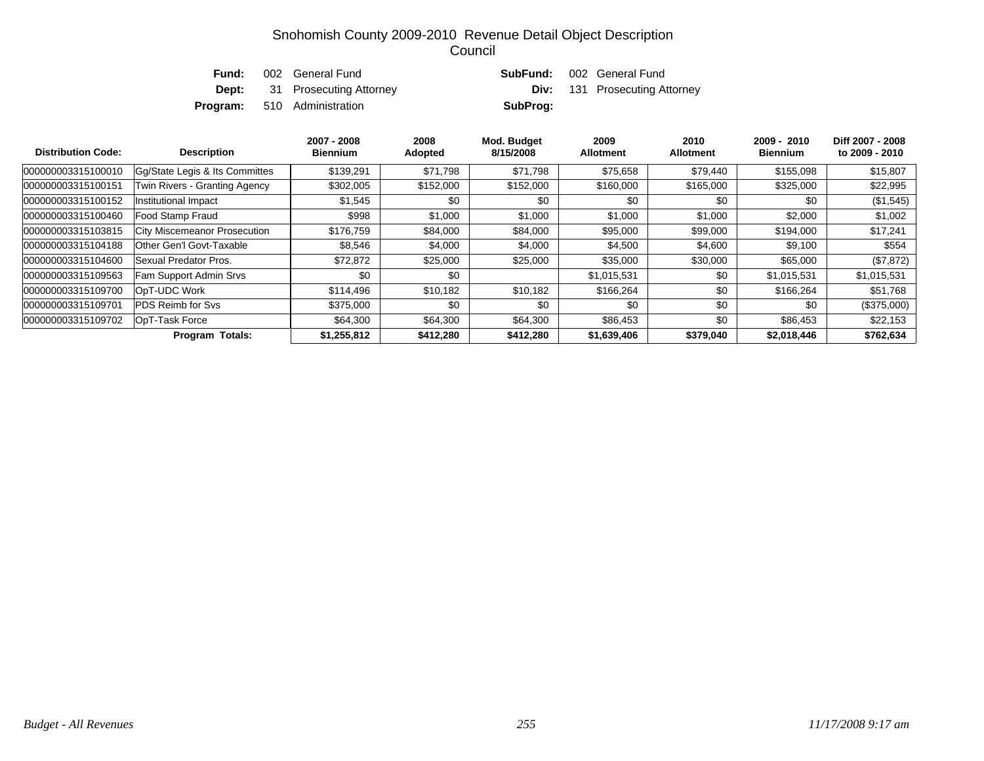| Fund: | 002 General Fund                     | <b>SubFund:</b> 002 General Fund |                                      |
|-------|--------------------------------------|----------------------------------|--------------------------------------|
|       | <b>Dept:</b> 31 Prosecuting Attorney |                                  | <b>Div:</b> 131 Prosecuting Attorney |
|       | <b>Program:</b> 510 Administration   | SubProg:                         |                                      |

| <b>Distribution Code:</b> | <b>Description</b>                  | 2007 - 2008<br><b>Biennium</b> | 2008<br>Adopted | Mod. Budget<br>8/15/2008 | 2009<br><b>Allotment</b> | 2010<br><b>Allotment</b> | $2009 - 2010$<br><b>Biennium</b> | Diff 2007 - 2008<br>to 2009 - 2010 |
|---------------------------|-------------------------------------|--------------------------------|-----------------|--------------------------|--------------------------|--------------------------|----------------------------------|------------------------------------|
| 000000003315100010        | Gq/State Legis & Its Committes      | \$139,291                      | \$71,798        | \$71,798                 | \$75,658                 | \$79,440                 | \$155,098                        | \$15,807                           |
| 000000003315100151        | Twin Rivers - Granting Agency       | \$302,005                      | \$152,000       | \$152,000                | \$160,000                | \$165,000                | \$325,000                        | \$22,995                           |
| 000000003315100152        | Institutional Impact                | \$1,545                        | \$0             | \$0                      | \$0                      | \$0                      | \$0                              | $(\$1,545)$                        |
| 000000003315100460        | Food Stamp Fraud                    | \$998                          | \$1,000         | \$1,000                  | \$1,000                  | \$1,000                  | \$2,000                          | \$1,002                            |
| 000000003315103815        | <b>City Miscemeanor Prosecution</b> | \$176,759                      | \$84,000        | \$84,000                 | \$95,000                 | \$99,000                 | \$194,000                        | \$17,241                           |
| 000000003315104188        | Other Gen'l Govt-Taxable            | \$8,546                        | \$4,000         | \$4,000                  | \$4,500                  | \$4,600                  | \$9,100                          | \$554                              |
| 000000003315104600        | Sexual Predator Pros.               | \$72,872                       | \$25,000        | \$25,000                 | \$35,000                 | \$30,000                 | \$65,000                         | (\$7,872)                          |
| 000000003315109563        | Fam Support Admin Srvs              | \$0                            | \$0             |                          | \$1,015,531              | \$0                      | \$1,015,531                      | \$1,015,531                        |
| 000000003315109700        | OpT-UDC Work                        | \$114,496                      | \$10,182        | \$10,182                 | \$166.264                | \$0                      | \$166,264                        | \$51,768                           |
| 000000003315109701        | <b>PDS Reimb for Sys</b>            | \$375,000                      | \$0             | \$0                      | \$0                      | \$0                      | \$0                              | (\$375,000)                        |
| 000000003315109702        | OpT-Task Force                      | \$64,300                       | \$64,300        | \$64,300                 | \$86,453                 | \$0                      | \$86,453                         | \$22,153                           |
|                           | <b>Program Totals:</b>              | \$1,255,812                    | \$412,280       | \$412,280                | \$1,639,406              | \$379,040                | \$2,018,446                      | \$762,634                          |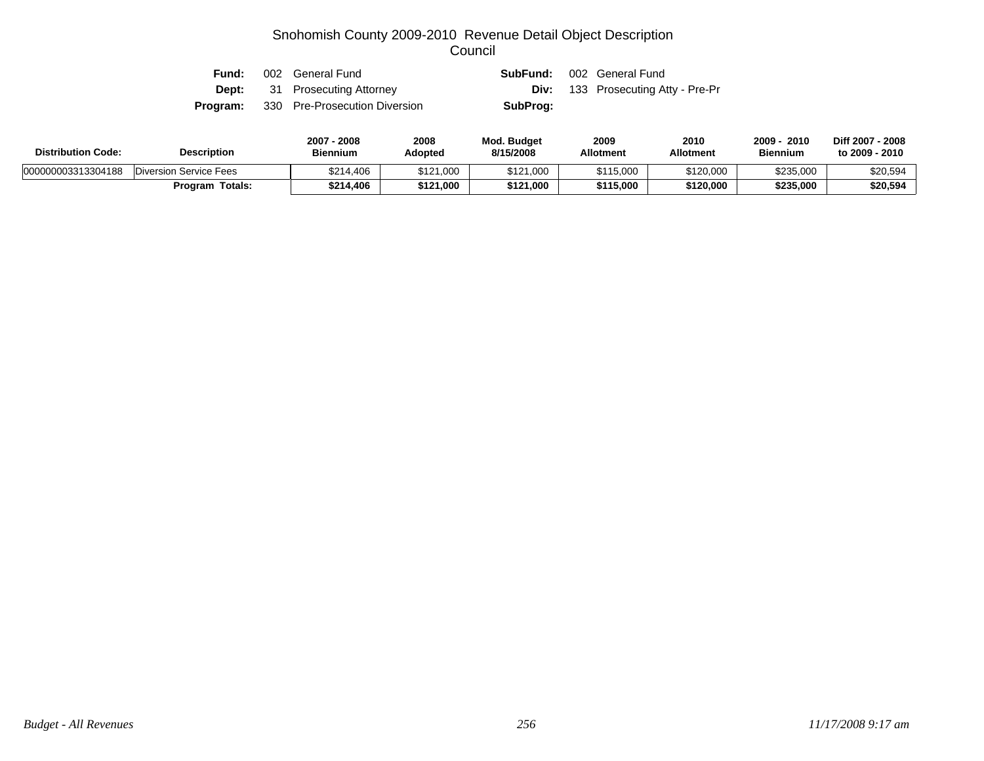| Fund: | 002 General Fund                              |          | <b>SubFund:</b> 002 General Fund          |
|-------|-----------------------------------------------|----------|-------------------------------------------|
|       | <b>Dept:</b> 31 Prosecuting Attorney          |          | <b>Div:</b> 133 Prosecuting Atty - Pre-Pr |
|       | <b>Program:</b> 330 Pre-Prosecution Diversion | SubProg: |                                           |

| <b>Distribution Code:</b><br><b>Description</b> |                               | 2007 - 2008<br><b>Biennium</b> | 2008<br><b>Adopted</b> | <b>Mod. Budget</b><br>8/15/2008 | 2009<br><b>Allotment</b> | 2010<br><b>Allotment</b> | 2010<br>2009<br><b>Biennium</b> | Diff 2007 - 2008<br>to 2009 - 2010 |
|-------------------------------------------------|-------------------------------|--------------------------------|------------------------|---------------------------------|--------------------------|--------------------------|---------------------------------|------------------------------------|
| 000000003313304188                              | <b>Diversion Service Fees</b> | \$214,406                      | \$121,000              | \$121,000                       | \$115,000                | \$120,000                | \$235,000                       | \$20,594                           |
|                                                 | Program Totals:               | \$214,406                      | \$121,000              | \$121,000                       | \$115,000                | \$120.000                | \$235,000                       | \$20,594                           |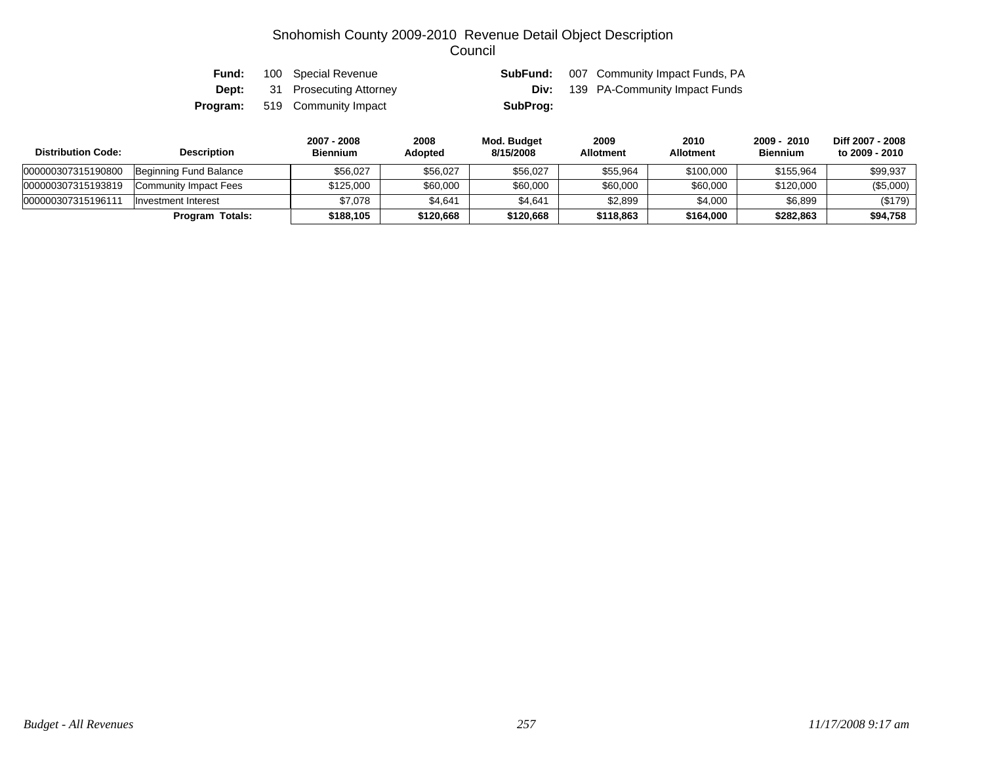| Fund: | 100 Special Revenue                  |          | <b>SubFund:</b> 007 Community Impact Funds, PA |
|-------|--------------------------------------|----------|------------------------------------------------|
|       | <b>Dept:</b> 31 Prosecuting Attorney | Div:     | 139 PA-Community Impact Funds                  |
|       | <b>Program:</b> 519 Community Impact | SubProg: |                                                |

| <b>Distribution Code:</b> | <b>Description</b>     | 2007 - 2008<br><b>Biennium</b> | 2008<br>Adopted | Mod. Budget<br>8/15/2008 | 2009<br><b>Allotment</b> | 2010<br><b>Allotment</b> | 2009 - 2010<br><b>Biennium</b> | Diff 2007 - 2008<br>to 2009 - 2010 |
|---------------------------|------------------------|--------------------------------|-----------------|--------------------------|--------------------------|--------------------------|--------------------------------|------------------------------------|
| 000000307315190800        | Beginning Fund Balance | \$56.027                       | \$56,027        | \$56,027                 | \$55,964                 | \$100,000                | \$155,964                      | \$99,937                           |
| 000000307315193819        | Community Impact Fees  | \$125,000                      | \$60,000        | \$60,000                 | \$60,000                 | \$60,000                 | \$120,000                      | (\$5,000)                          |
| 00000030731519611         | Investment Interest    | \$7.078                        | \$4,641         | \$4,641                  | \$2,899                  | \$4,000                  | \$6,899                        | (\$179)                            |
|                           | Program Totals:        | \$188.105                      | \$120,668       | \$120,668                | \$118,863                | \$164.000                | \$282,863                      | \$94,758                           |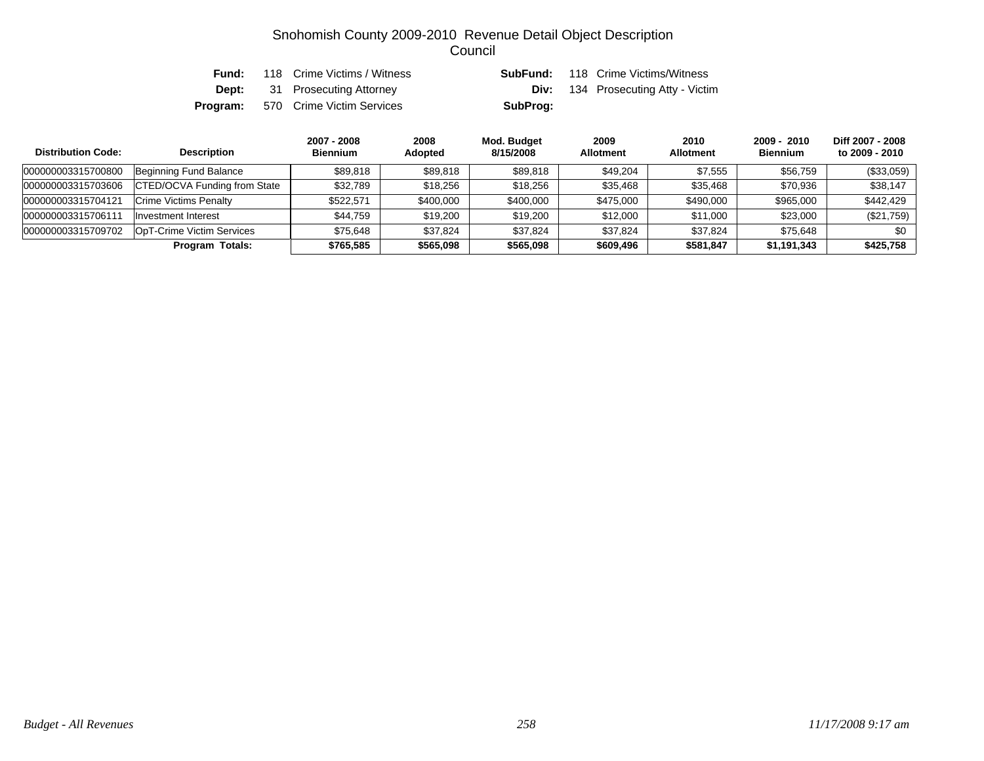| Fund: | 118 Crime Victims / Witness               | SubFund: | 118 Crime Victims/Witness                 |
|-------|-------------------------------------------|----------|-------------------------------------------|
|       | <b>Dept:</b> 31 Prosecuting Attorney      |          | <b>Div:</b> 134 Prosecuting Atty - Victim |
|       | <b>Program:</b> 570 Crime Victim Services | SubProg: |                                           |

| <b>Distribution Code:</b> | <b>Description</b>                  | 2007 - 2008<br><b>Biennium</b> | 2008<br>Adopted | Mod. Budget<br>8/15/2008 | 2009<br><b>Allotment</b> | 2010<br><b>Allotment</b> | $2009 - 2010$<br><b>Biennium</b> | Diff 2007 - 2008<br>to 2009 - 2010 |
|---------------------------|-------------------------------------|--------------------------------|-----------------|--------------------------|--------------------------|--------------------------|----------------------------------|------------------------------------|
| 000000003315700800        | Beginning Fund Balance              | \$89.818                       | \$89,818        | \$89,818                 | \$49,204                 | \$7.555                  | \$56,759                         | (\$33,059)                         |
| 000000003315703606        | <b>CTED/OCVA Funding from State</b> | \$32,789                       | \$18,256        | \$18,256                 | \$35,468                 | \$35,468                 | \$70,936                         | \$38.147                           |
| 000000003315704121        | <b>Crime Victims Penalty</b>        | \$522.571                      | \$400,000       | \$400,000                | \$475,000                | \$490,000                | \$965,000                        | \$442,429                          |
| 00000000331570611         | Investment Interest                 | \$44,759                       | \$19.200        | \$19,200                 | \$12,000                 | \$11.000                 | \$23,000                         | (\$21,759)                         |
| 000000003315709702        | OpT-Crime Victim Services           | \$75.648                       | \$37.824        | \$37.824                 | \$37,824                 | \$37.824                 | \$75.648                         | \$0                                |
|                           | Program Totals:                     | \$765,585                      | \$565,098       | \$565,098                | \$609,496                | \$581,847                | \$1,191,343                      | \$425,758                          |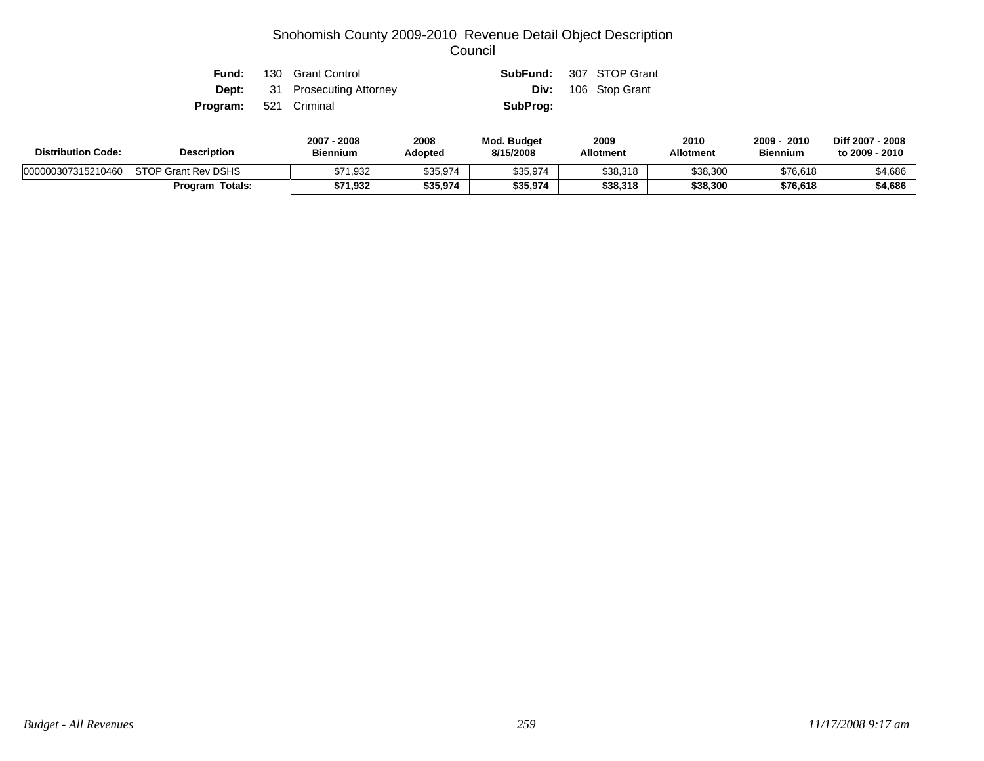|                              | <b>Fund:</b> 130 Grant Control       | <b>SubFund:</b> 307 STOP Grant |                            |
|------------------------------|--------------------------------------|--------------------------------|----------------------------|
|                              | <b>Dept:</b> 31 Prosecuting Attorney |                                | <b>Div:</b> 106 Stop Grant |
| <b>Program:</b> 521 Criminal |                                      | SubProg:                       |                            |

| <b>Distribution Code:</b> | <b>Description</b>         | 2007 - 2008<br><b>Biennium</b> | 2008<br>Adopted | Mod. Budget<br>8/15/2008 | 2009<br><b>Allotment</b> | 2010<br>Allotment | 2010<br>2009<br><b>Biennium</b> | Diff 2007 - 2008<br>to 2009 - 2010 |
|---------------------------|----------------------------|--------------------------------|-----------------|--------------------------|--------------------------|-------------------|---------------------------------|------------------------------------|
| 000000307315210460        | <b>STOP Grant Rev DSHS</b> | \$71,932                       | \$35,974        | \$35,974                 | \$38,318                 | \$38,300          | \$76,618                        | \$4,686                            |
|                           | <b>Program Totals:</b>     | \$71,932                       | \$35,974        | \$35,974                 | \$38,318                 | \$38,300          | \$76,618                        | \$4,686                            |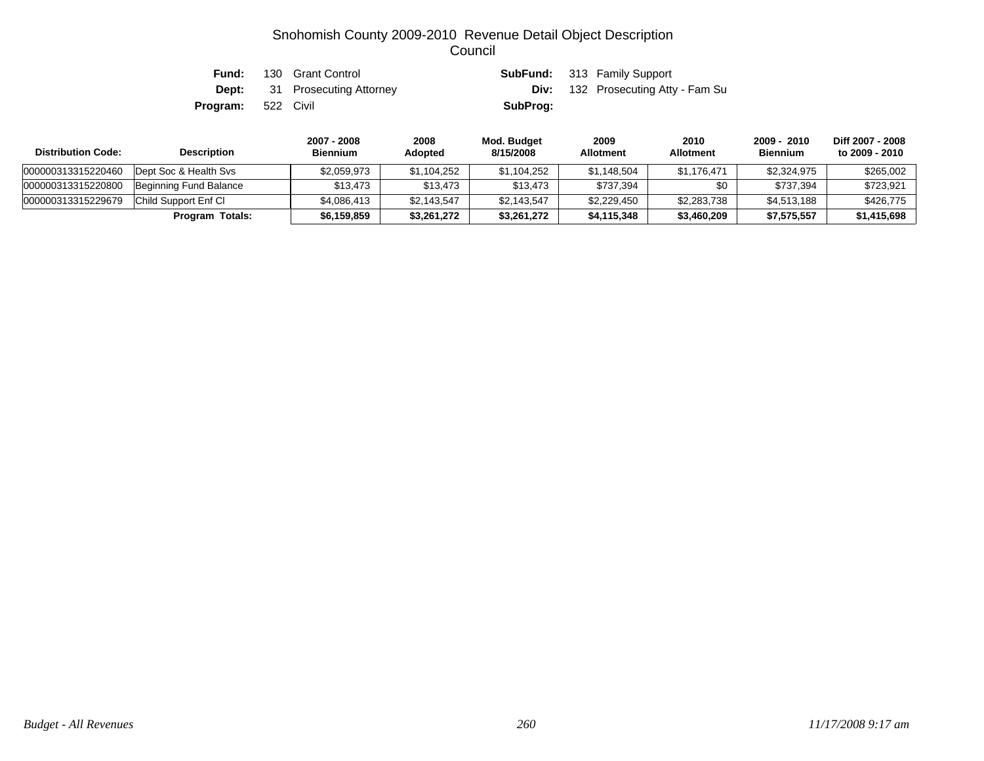| Fund:                     | 130 Grant Control                    |          | <b>SubFund:</b> 313 Family Support        |
|---------------------------|--------------------------------------|----------|-------------------------------------------|
|                           | <b>Dept:</b> 31 Prosecuting Attorney |          | <b>Div:</b> 132 Prosecuting Atty - Fam Su |
| <b>Program:</b> 522 Civil |                                      | SubProg: |                                           |

| <b>Distribution Code:</b> | <b>Description</b>     | 2007 - 2008<br><b>Biennium</b> | 2008<br>Adopted | Mod. Budget<br>8/15/2008 | 2009<br><b>Allotment</b> | 2010<br><b>Allotment</b> | 2009 - 2010<br><b>Biennium</b> | Diff 2007 - 2008<br>to 2009 - 2010 |
|---------------------------|------------------------|--------------------------------|-----------------|--------------------------|--------------------------|--------------------------|--------------------------------|------------------------------------|
| 000000313315220460        | Dept Soc & Health Sys  | \$2,059,973                    | \$1.104.252     | \$1,104,252              | \$1.148.504              | \$1.176.471              | \$2.324.975                    | \$265,002                          |
| 000000313315220800        | Beginning Fund Balance | \$13.473                       | \$13.473        | \$13,473                 | \$737.394                | \$0                      | \$737.394                      | \$723.921                          |
| 000000313315229679        | Child Support Enf Cl   | \$4.086.413                    | \$2,143,547     | \$2,143,547              | \$2,229,450              | \$2,283,738              | \$4,513,188                    | \$426,775                          |
|                           | <b>Program Totals:</b> | \$6,159,859                    | \$3,261,272     | \$3,261,272              | \$4,115,348              | \$3,460,209              | \$7,575,557                    | \$1,415,698                        |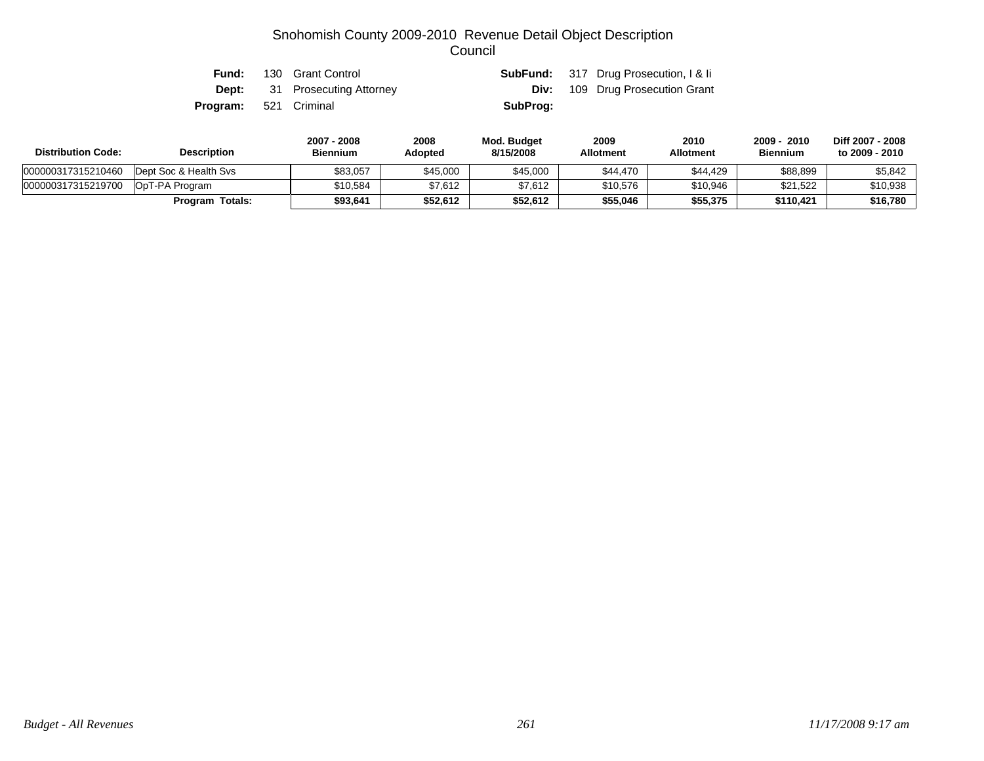| Fund:                        | 130 Grant Control                    |          | <b>SubFund:</b> 317 Drug Prosecution, I & Ii |
|------------------------------|--------------------------------------|----------|----------------------------------------------|
|                              | <b>Dept:</b> 31 Prosecuting Attorney |          | <b>Div:</b> 109 Drug Prosecution Grant       |
| <b>Program:</b> 521 Criminal |                                      | SubProg: |                                              |

| <b>Distribution Code:</b> | <b>Description</b>    | 2007 - 2008<br>Biennium | 2008<br>Adopted | Mod. Budget<br>8/15/2008 | 2009<br><b>Allotment</b> | 2010<br><b>Allotment</b> | 2009 - 2010<br><b>Biennium</b> | Diff 2007 - 2008<br>to 2009 - 2010 |
|---------------------------|-----------------------|-------------------------|-----------------|--------------------------|--------------------------|--------------------------|--------------------------------|------------------------------------|
| 000000317315210460        | Dept Soc & Health Svs | \$83,057                | \$45,000        | \$45,000                 | \$44,470                 | \$44,429                 | \$88,899                       | \$5,842                            |
| 000000317315219700        | OpT-PA Program        | \$10.584                | \$7.612         | \$7,612                  | \$10,576                 | \$10,946                 | \$21,522                       | \$10,938                           |
|                           | Totals:<br>Program    | \$93,641                | \$52.612        | \$52,612                 | \$55,046                 | \$55,375                 | \$110.421                      | \$16,780                           |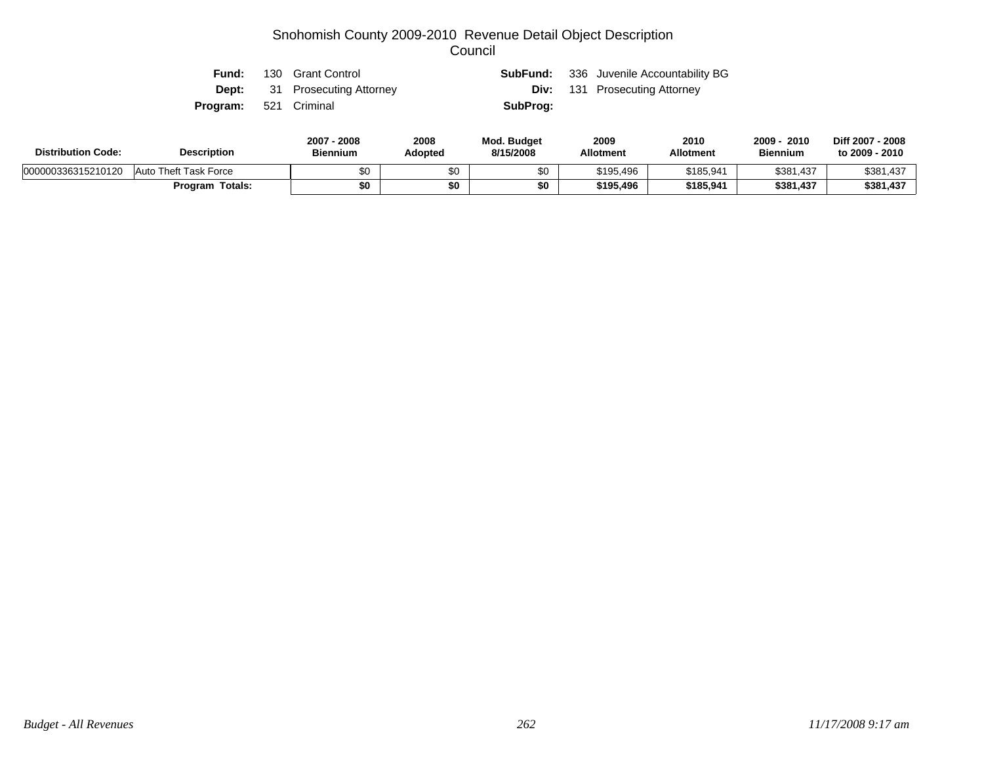| Fund:                        | 130 Grant Control                    |          | <b>SubFund:</b> 336 Juvenile Accountability BG |
|------------------------------|--------------------------------------|----------|------------------------------------------------|
|                              | <b>Dept:</b> 31 Prosecuting Attorney |          | <b>Div:</b> 131 Prosecuting Attorney           |
| <b>Program:</b> 521 Criminal |                                      | SubProg: |                                                |
|                              |                                      |          |                                                |

| <b>Distribution Code:</b><br><b>Description</b> |                        | 2008<br>2007<br>2008<br>Adopted<br><b>Biennium</b> |     | <b>Mod. Budget</b><br>8/15/2008 | 2009<br><b>Allotment</b> | 2010<br><b>Allotment</b> | 2009<br>2010<br><b>Biennium</b> | Diff 2007 - 2008<br>to 2009 - 2010 |
|-------------------------------------------------|------------------------|----------------------------------------------------|-----|---------------------------------|--------------------------|--------------------------|---------------------------------|------------------------------------|
| 000000336315210120                              | Auto Theft Task Force  | \$0                                                | \$0 | \$0                             | \$195,496                | \$185,941                | \$381,437                       | \$381,437                          |
|                                                 | <b>Program Totals:</b> | \$0                                                | \$0 | \$0                             | \$195,496                | \$185,941                | \$381,437                       | \$381,437                          |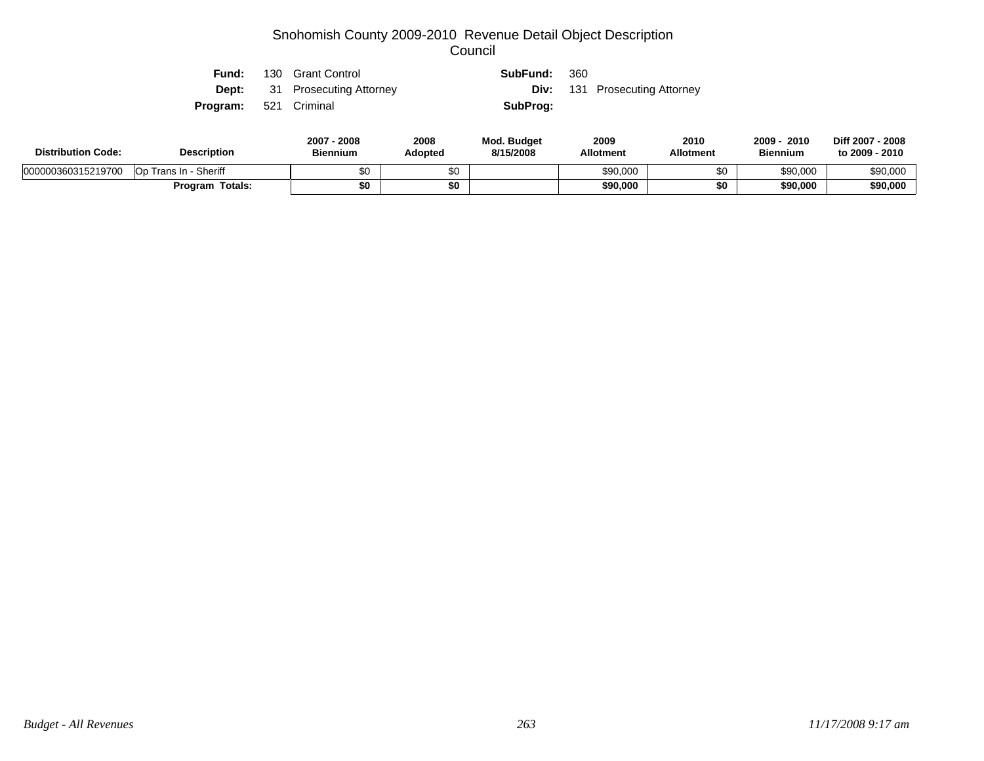Op Trans In - Sheriff **10 \$10 \$10 \$10 \$90,000** \$90,000 \$90,000 \$90,000 \$90,000 \$90,000 \$90,000 \$90,000 \$90,000 \$90,000 \$90,000 \$90,000 \$90,000 \$90,000 \$90,000 \$90,000 \$90,000 \$90,000 \$90,000 \$90,000 \$90,000 \$90,000 \$90,000 **Program Totals: \$0 \$0 \$90,000 \$0 \$90,000 \$90,000**

| <b>Distribution Code:</b> | <b>Description</b> |     | 2007 - 2008<br><b>Biennium</b> | 2008<br>Adopted | Mod. Budget<br>8/15/2008 | 2009<br><b>Allotment</b> | 2010<br><b>Allotment</b>    | 2009 - 2010<br><b>Biennium</b> |
|---------------------------|--------------------|-----|--------------------------------|-----------------|--------------------------|--------------------------|-----------------------------|--------------------------------|
|                           | Program:           | 521 | Criminal                       |                 | SubProg:                 |                          |                             |                                |
|                           | Dept:              | 31  | <b>Prosecuting Attorney</b>    |                 | Div:                     | 131                      | <b>Prosecuting Attorney</b> |                                |
|                           | Fund:              | 130 | <b>Grant Control</b>           |                 | SubFund:                 | 360                      |                             |                                |

000000360315219700

**Diff 2007 - 2008 to 2009 - 2010**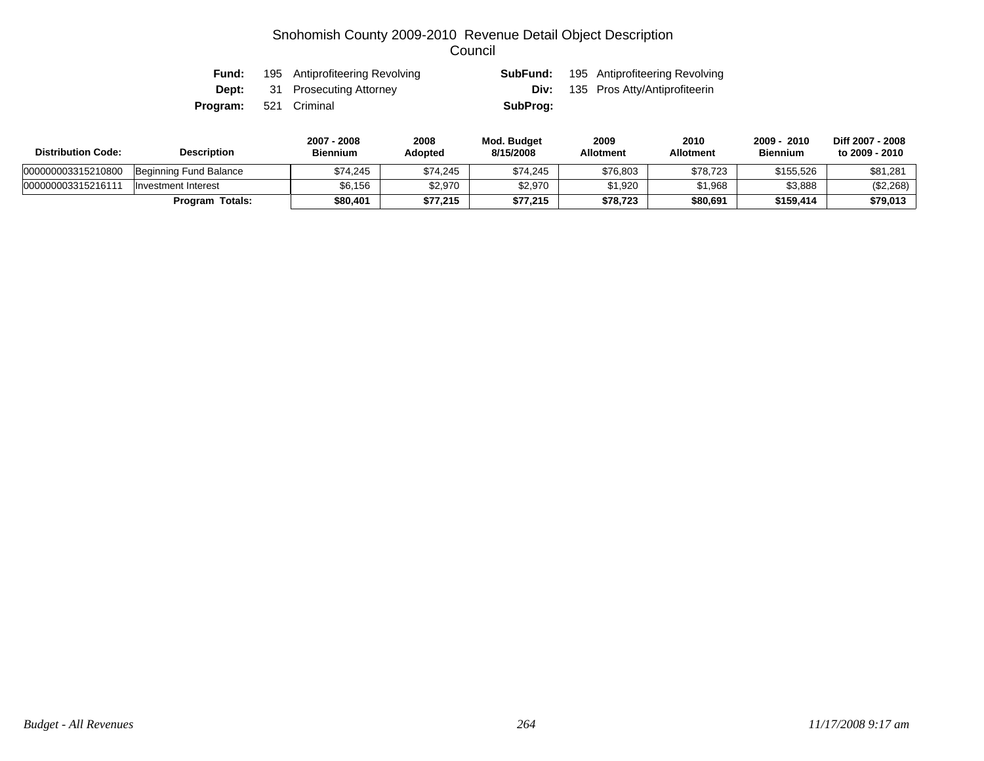| Fund:                        | 195 Antiprofiteering Revolving       |          | <b>SubFund:</b> 195 Antiprofiteering Revolving |
|------------------------------|--------------------------------------|----------|------------------------------------------------|
|                              | <b>Dept:</b> 31 Prosecuting Attorney |          | <b>Div:</b> 135 Pros Atty/Antiprofiteerin      |
| <b>Program:</b> 521 Criminal |                                      | SubProg: |                                                |

| <b>Distribution Code:</b> | <b>Description</b>     | 2007 - 2008<br><b>Biennium</b> | 2008<br>Adopted | Mod. Budget<br>8/15/2008 | 2009<br><b>Allotment</b> | 2010<br>Allotment | 2010<br>$2009 -$<br><b>Biennium</b> | Diff 2007 - 2008<br>to 2009 - 2010 |
|---------------------------|------------------------|--------------------------------|-----------------|--------------------------|--------------------------|-------------------|-------------------------------------|------------------------------------|
| 000000003315210800        | Beginning Fund Balance | \$74.245                       | \$74,245        | \$74,245                 | \$76,803                 | \$78,723          | \$155,526                           | \$81,281                           |
| 00000000331521611         | Investment Interest    | \$6.156                        | \$2,970         | \$2,970                  | \$1,920                  | \$1,968           | \$3,888                             | (\$2,268)                          |
|                           | <b>Program Totals:</b> | \$80,401                       | \$77,215        | \$77,215                 | \$78,723                 | \$80,691          | \$159,414                           | \$79,013                           |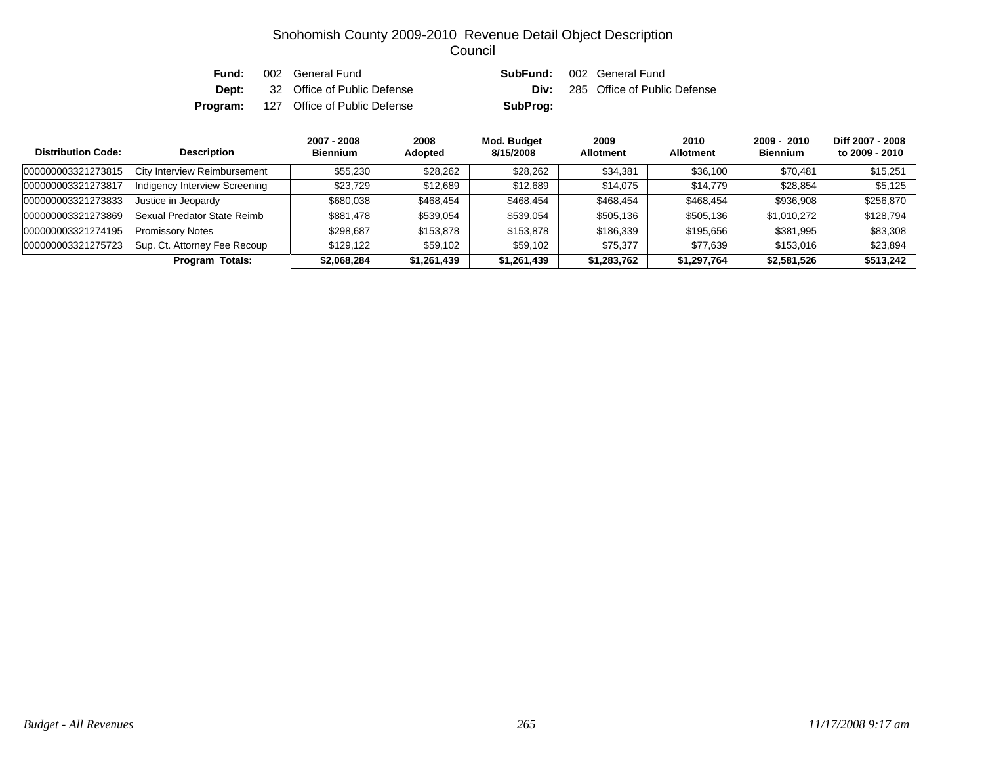| Fund: | 002 General Fund                             |          | <b>SubFund:</b> 002 General Fund         |
|-------|----------------------------------------------|----------|------------------------------------------|
|       | <b>Dept:</b> 32 Office of Public Defense     |          | <b>Div:</b> 285 Office of Public Defense |
|       | <b>Program:</b> 127 Office of Public Defense | SubProg: |                                          |

| <b>Distribution Code:</b> | <b>Description</b>            | 2007 - 2008<br><b>Biennium</b> | 2008<br>Adopted | Mod. Budget<br>8/15/2008 | 2009<br><b>Allotment</b> | 2010<br><b>Allotment</b> | $2009 - 2010$<br><b>Biennium</b> | Diff 2007 - 2008<br>to 2009 - 2010 |
|---------------------------|-------------------------------|--------------------------------|-----------------|--------------------------|--------------------------|--------------------------|----------------------------------|------------------------------------|
| 000000003321273815        | City Interview Reimbursement  | \$55,230                       | \$28,262        | \$28,262                 | \$34,381                 | \$36,100                 | \$70,481                         | \$15,251                           |
| 000000003321273817        | Indigency Interview Screening | \$23,729                       | \$12,689        | \$12,689                 | \$14,075                 | \$14,779                 | \$28,854                         | \$5,125                            |
| 000000003321273833        | Justice in Jeopardy           | \$680,038                      | \$468,454       | \$468,454                | \$468,454                | \$468,454                | \$936,908                        | \$256,870                          |
| 000000003321273869        | Sexual Predator State Reimb   | \$881,478                      | \$539,054       | \$539,054                | \$505,136                | \$505,136                | \$1,010,272                      | \$128,794                          |
| 000000003321274195        | <b>Promissory Notes</b>       | \$298.687                      | \$153,878       | \$153,878                | \$186,339                | \$195,656                | \$381,995                        | \$83,308                           |
| 000000003321275723        | Sup. Ct. Attorney Fee Recoup  | \$129.122                      | \$59,102        | \$59,102                 | \$75,377                 | \$77.639                 | \$153,016                        | \$23,894                           |
|                           | Program Totals:               | \$2,068,284                    | \$1,261,439     | \$1,261,439              | \$1,283,762              | \$1,297,764              | \$2,581,526                      | \$513.242                          |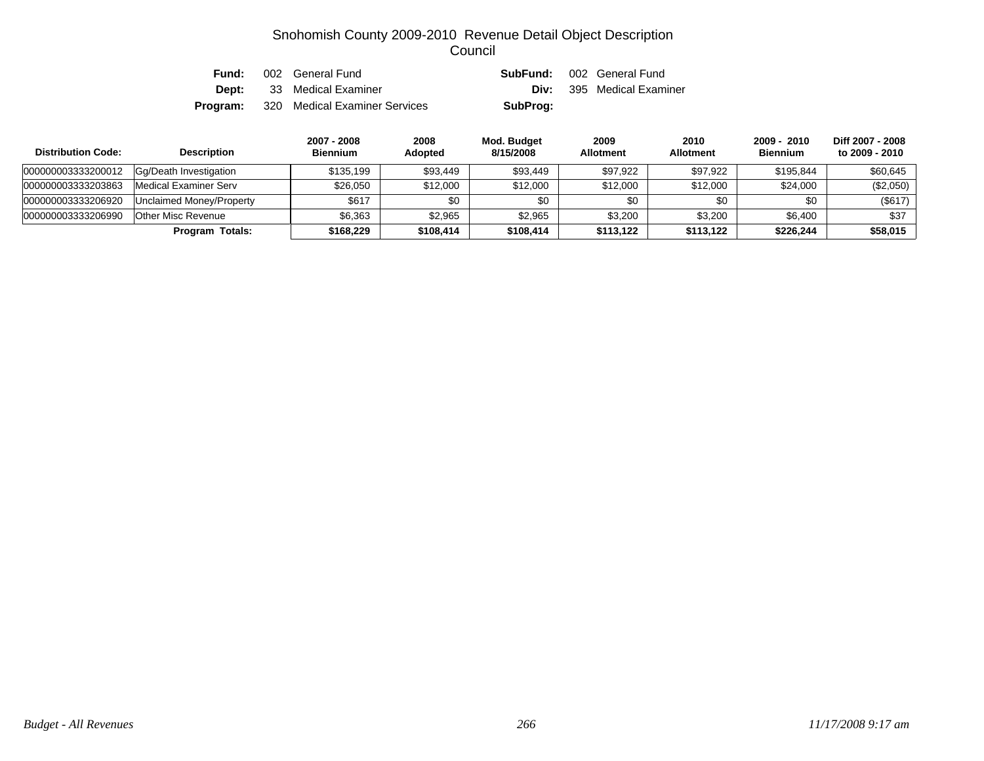| Fund: | 002 General Fund                              |          | <b>SubFund:</b> 002 General Fund |
|-------|-----------------------------------------------|----------|----------------------------------|
|       | <b>Dept:</b> 33 Medical Examiner              |          | <b>Div:</b> 395 Medical Examiner |
|       | <b>Program:</b> 320 Medical Examiner Services | SubProg: |                                  |

| <b>Distribution Code:</b> | <b>Description</b>       | 2007 - 2008<br><b>Biennium</b> | 2008<br><b>Adopted</b> | Mod. Budget<br>8/15/2008 | 2009<br><b>Allotment</b> | 2010<br><b>Allotment</b> | $2009 - 2010$<br><b>Biennium</b> | Diff 2007 - 2008<br>to 2009 - 2010 |
|---------------------------|--------------------------|--------------------------------|------------------------|--------------------------|--------------------------|--------------------------|----------------------------------|------------------------------------|
| 000000003333200012        | Gg/Death Investigation   | \$135,199                      | \$93,449               | \$93,449                 | \$97,922                 | \$97,922                 | \$195,844                        | \$60,645                           |
| 000000003333203863        | Medical Examiner Serv    | \$26,050                       | \$12,000               | \$12,000                 | \$12,000                 | \$12,000                 | \$24,000                         | (\$2,050)                          |
| 000000003333206920        | Unclaimed Money/Property | \$617                          | \$0                    | \$0                      | \$0                      | \$0                      | \$0                              | (\$617)                            |
| 000000003333206990        | Other Misc Revenue       | \$6.363                        | \$2,965                | \$2,965                  | \$3,200                  | \$3,200                  | \$6,400                          | \$37                               |
|                           | <b>Program Totals:</b>   | \$168,229                      | \$108,414              | \$108,414                | \$113.122                | \$113.122                | \$226,244                        | \$58,015                           |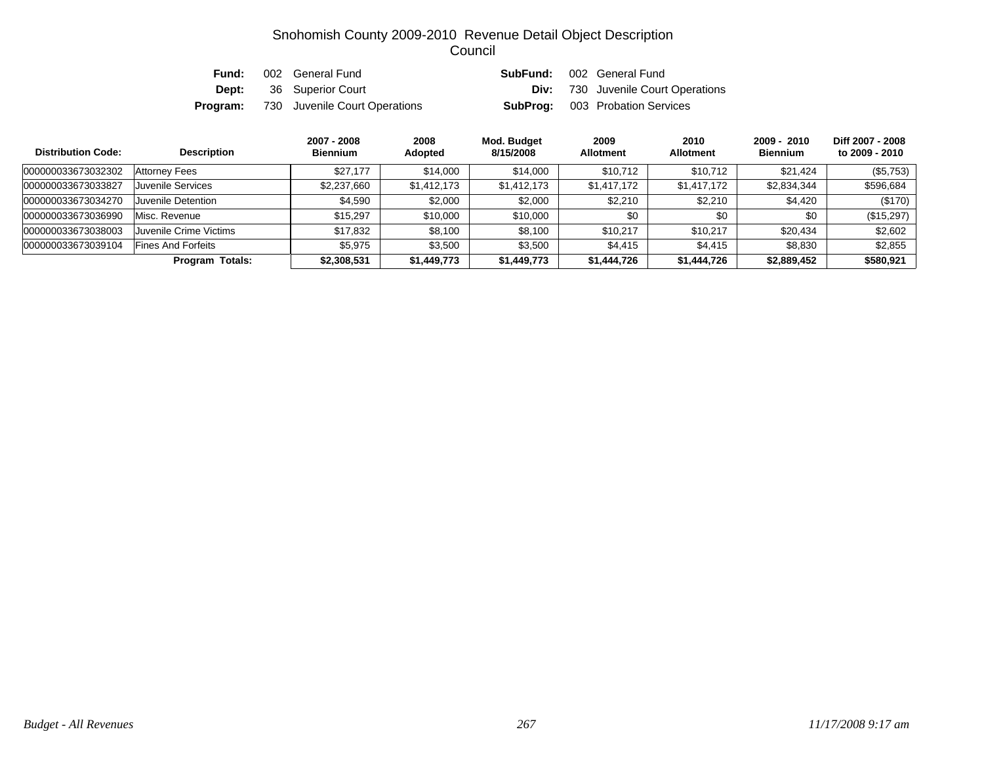| Fund:    | 002 General Fund               | SubFund: | 002 General Fund                          |
|----------|--------------------------------|----------|-------------------------------------------|
|          | <b>Dept:</b> 36 Superior Court |          | <b>Div:</b> 730 Juvenile Court Operations |
| Program: | 730 Juvenile Court Operations  |          | <b>SubProg:</b> 003 Probation Services    |

| <b>Distribution Code:</b> | <b>Description</b>        | 2007 - 2008<br><b>Biennium</b> | 2008<br>Adopted | Mod. Budget<br>8/15/2008 | 2009<br><b>Allotment</b> | 2010<br><b>Allotment</b> | 2009 - 2010<br><b>Biennium</b> | Diff 2007 - 2008<br>to 2009 - 2010 |
|---------------------------|---------------------------|--------------------------------|-----------------|--------------------------|--------------------------|--------------------------|--------------------------------|------------------------------------|
| 000000033673032302        | Attorney Fees             | \$27.177                       | \$14,000        | \$14,000                 | \$10,712                 | \$10,712                 | \$21,424                       | (\$5,753)                          |
| 000000033673033827        | Juvenile Services         | \$2,237,660                    | \$1,412,173     | \$1,412,173              | \$1,417,172              | \$1,417,172              | \$2,834,344                    | \$596,684                          |
| 000000033673034270        | Juvenile Detention        | \$4,590                        | \$2,000         | \$2,000                  | \$2,210                  | \$2,210                  | \$4,420                        | (\$170)                            |
| 000000033673036990        | Misc. Revenue             | \$15.297                       | \$10,000        | \$10,000                 | \$0                      | \$0                      | \$0                            | (\$15,297)                         |
| 000000033673038003        | Juvenile Crime Victims    | \$17,832                       | \$8,100         | \$8,100                  | \$10.217                 | \$10.217                 | \$20,434                       | \$2,602                            |
| 000000033673039104        | <b>Fines And Forfeits</b> | \$5.975                        | \$3,500         | \$3,500                  | \$4.415                  | \$4.415                  | \$8,830                        | \$2,855                            |
|                           | <b>Program Totals:</b>    | \$2,308,531                    | \$1,449,773     | \$1,449,773              | \$1,444,726              | \$1,444,726              | \$2,889,452                    | \$580,921                          |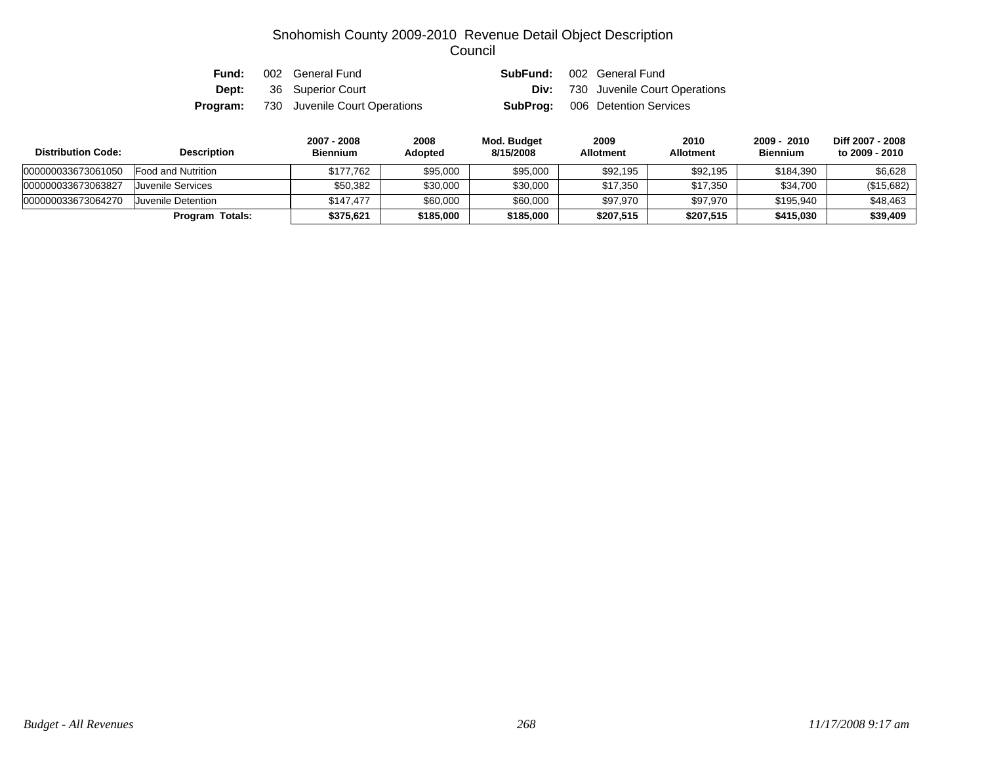| Fund: | 002 General Fund                              | SubFund: | 002 General Fund                          |
|-------|-----------------------------------------------|----------|-------------------------------------------|
|       | <b>Dept:</b> 36 Superior Court                |          | <b>Div:</b> 730 Juvenile Court Operations |
|       | <b>Program:</b> 730 Juvenile Court Operations |          | <b>SubProg:</b> 006 Detention Services    |

| <b>Distribution Code:</b> | <b>Description</b> | 2007 - 2008<br><b>Biennium</b> | 2008<br>Adopted | Mod. Budget<br>8/15/2008 | 2009<br><b>Allotment</b> | 2010<br><b>Allotment</b> | 2009 - 2010<br><b>Biennium</b> | Diff 2007 - 2008<br>to 2009 - 2010 |
|---------------------------|--------------------|--------------------------------|-----------------|--------------------------|--------------------------|--------------------------|--------------------------------|------------------------------------|
| 000000033673061050        | Food and Nutrition | \$177.762                      | \$95,000        | \$95,000                 | \$92,195                 | \$92,195                 | \$184.390                      | \$6,628                            |
| 000000033673063827        | Juvenile Services  | \$50.382                       | \$30,000        | \$30,000                 | \$17,350                 | \$17,350                 | \$34,700                       | (\$15,682)                         |
| 000000033673064270        | Juvenile Detention | \$147.477                      | \$60,000        | \$60,000                 | \$97.970                 | \$97.970                 | \$195.940                      | \$48,463                           |
|                           | Program Totals:    | \$375,621                      | \$185,000       | \$185,000                | \$207,515                | \$207.515                | \$415,030                      | \$39,409                           |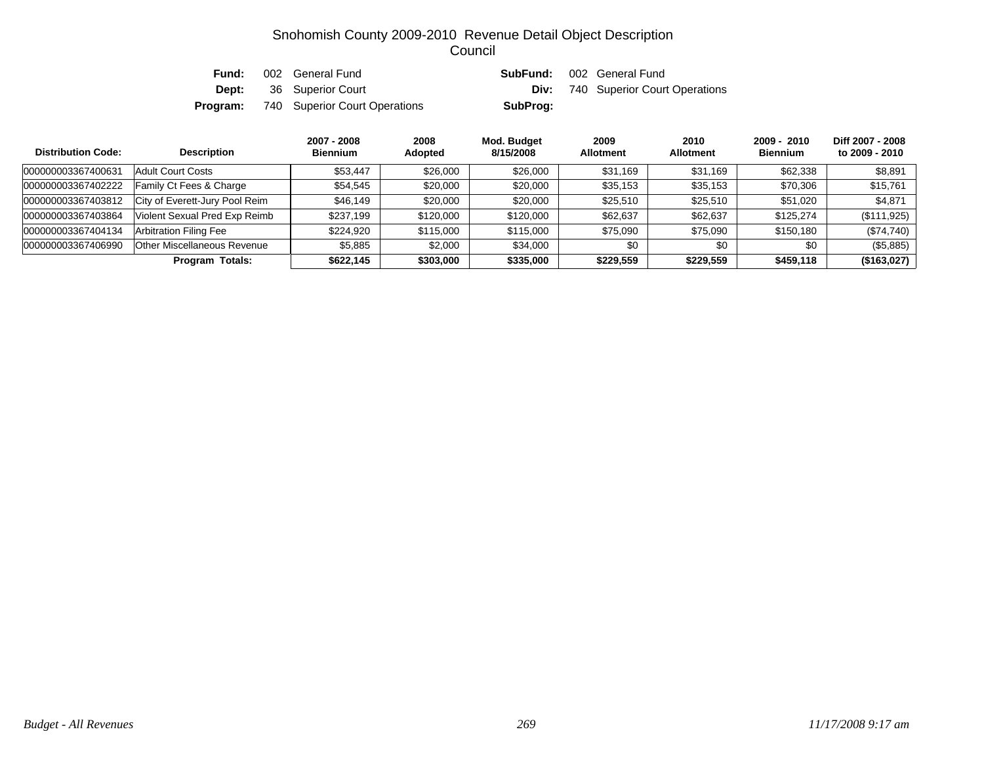| Fund: | 002 General Fund                              |          | <b>SubFund:</b> 002 General Fund          |
|-------|-----------------------------------------------|----------|-------------------------------------------|
|       | <b>Dept:</b> 36 Superior Court                |          | <b>Div:</b> 740 Superior Court Operations |
|       | <b>Program:</b> 740 Superior Court Operations | SubProg: |                                           |

| <b>Distribution Code:</b> | <b>Description</b>             | 2007 - 2008<br><b>Biennium</b> | 2008<br><b>Adopted</b> | Mod. Budget<br>8/15/2008 | 2009<br><b>Allotment</b> | 2010<br><b>Allotment</b> | $2009 - 2010$<br><b>Biennium</b> | Diff 2007 - 2008<br>to 2009 - 2010 |
|---------------------------|--------------------------------|--------------------------------|------------------------|--------------------------|--------------------------|--------------------------|----------------------------------|------------------------------------|
| 000000003367400631        | <b>Adult Court Costs</b>       | \$53.447                       | \$26,000               | \$26,000                 | \$31,169                 | \$31.169                 | \$62,338                         | \$8,891                            |
| 000000003367402222        | Family Ct Fees & Charge        | \$54,545                       | \$20,000               | \$20,000                 | \$35,153                 | \$35,153                 | \$70,306                         | \$15,761                           |
| 000000003367403812        | City of Everett-Jury Pool Reim | \$46,149                       | \$20,000               | \$20,000                 | \$25,510                 | \$25,510                 | \$51.020                         | \$4,871                            |
| 000000003367403864        | Violent Sexual Pred Exp Reimb  | \$237,199                      | \$120,000              | \$120,000                | \$62,637                 | \$62,637                 | \$125,274                        | (\$111,925)                        |
| 000000003367404134        | <b>Arbitration Filing Fee</b>  | \$224,920                      | \$115,000              | \$115,000                | \$75,090                 | \$75.090                 | \$150,180                        | (\$74,740)                         |
| 000000003367406990        | Other Miscellaneous Revenue    | \$5,885                        | \$2,000                | \$34,000                 | \$0                      | \$0                      | \$0                              | (\$5,885)                          |
|                           | Program Totals:                | \$622,145                      | \$303,000              | \$335,000                | \$229,559                | \$229,559                | \$459.118                        | (\$163,027)                        |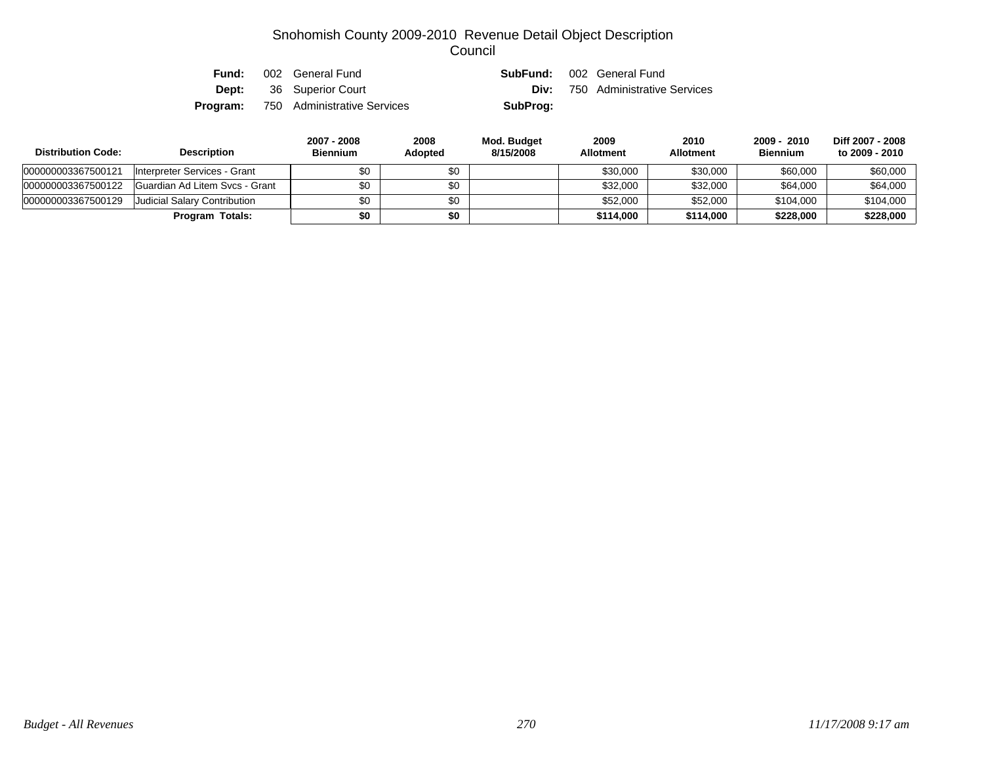| Fund:    | 002 General Fund               | SubFund: | 002 General Fund            |
|----------|--------------------------------|----------|-----------------------------|
|          | <b>Dept:</b> 36 Superior Court | Div:     | 750 Administrative Services |
| Program: | 750 Administrative Services    | SubProg: |                             |

| <b>Distribution Code:</b> | <b>Description</b>             | 2007 - 2008<br><b>Biennium</b> | 2008<br><b>Adopted</b> | Mod. Budget<br>8/15/2008 | 2009<br><b>Allotment</b> | 2010<br><b>Allotment</b> | 2009 - 2010<br><b>Biennium</b> | Diff 2007 - 2008<br>to 2009 - 2010 |
|---------------------------|--------------------------------|--------------------------------|------------------------|--------------------------|--------------------------|--------------------------|--------------------------------|------------------------------------|
| 000000003367500121        | Interpreter Services - Grant   | \$0                            | \$0                    |                          | \$30,000                 | \$30,000                 | \$60,000                       | \$60,000                           |
| 000000003367500122        | Guardian Ad Litem Svcs - Grant | \$0                            | \$0                    |                          | \$32,000                 | \$32,000                 | \$64,000                       | \$64,000                           |
| 000000003367500129        | Judicial Salary Contribution   | \$0                            | \$0                    |                          | \$52,000                 | \$52,000                 | \$104.000                      | \$104.000                          |
|                           | <b>Program Totals:</b>         | \$0                            | \$0                    |                          | \$114,000                | \$114,000                | \$228,000                      | \$228,000                          |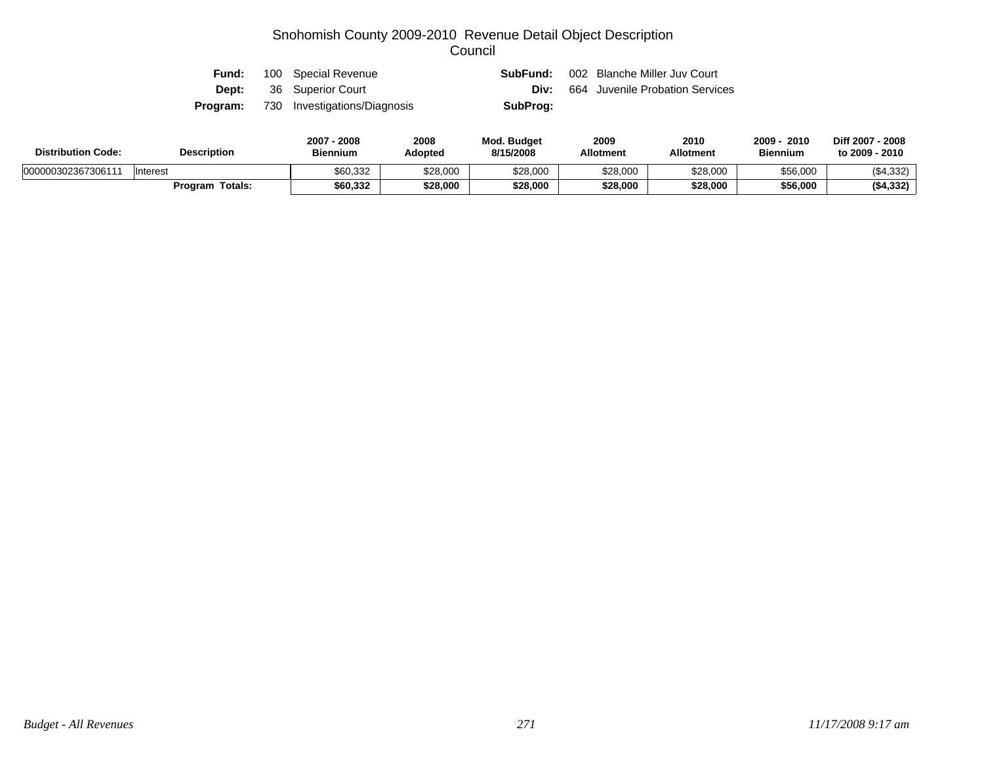| Fund:        | 100 Special Revenue          |          | <b>SubFund:</b> 002 Blanche Miller Juv Court |
|--------------|------------------------------|----------|----------------------------------------------|
| <b>Dept:</b> | 36 Superior Court            | Div:     | 664 Juvenile Probation Services              |
| Program:     | 730 Investigations/Diagnosis | SubProg: |                                              |

| <b>Distribution Code:</b> | <b>Description</b> | 2007<br>2008<br><b>Biennium</b> | 2008<br><b>Adopted</b> | <b>Mod. Budget</b><br>8/15/2008 | 2009<br><b>Allotment</b> | 2010<br>Allotment | 2009<br>2010<br><b>Biennium</b> | Diff 2007 - 2008<br>to 2009 - 2010 |
|---------------------------|--------------------|---------------------------------|------------------------|---------------------------------|--------------------------|-------------------|---------------------------------|------------------------------------|
| 00000030236730611         | 'Interest          | \$60,332                        | \$28,000               | \$28,000                        | \$28,000                 | \$28,000          | \$56,000                        | ( \$4,332)                         |
|                           | Totals:<br>Program | \$60,332                        | \$28,000               | \$28,000                        | \$28,000                 | \$28,000          | \$56.000                        | ( \$4,332)                         |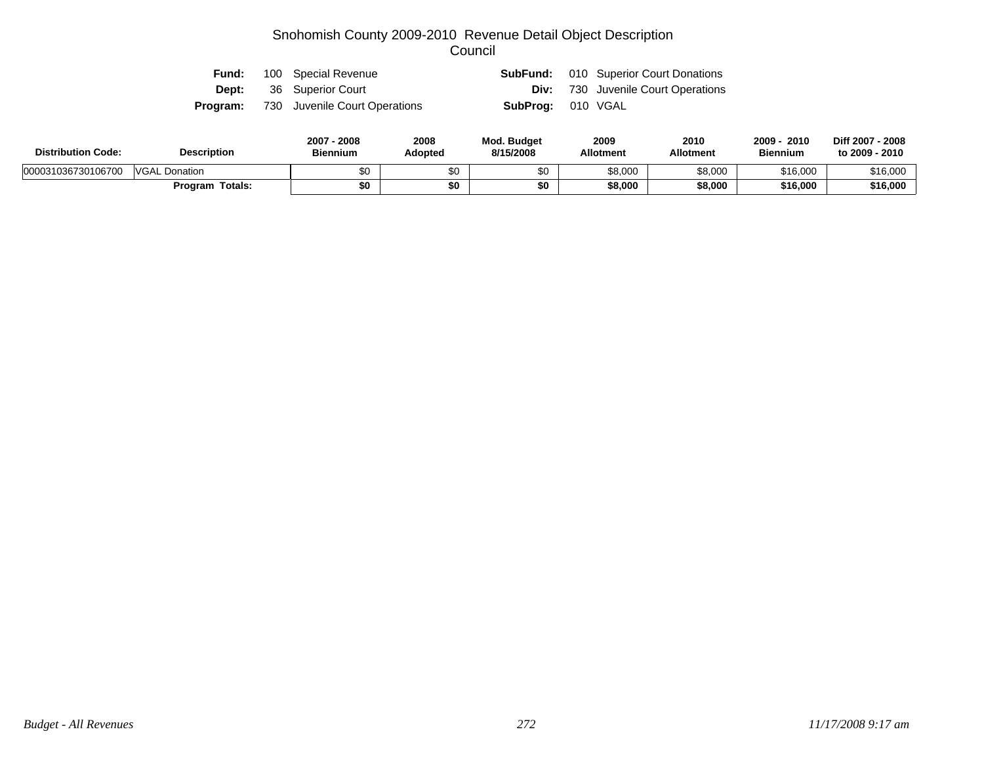| Fund: | 100 Special Revenue                           |                          | <b>SubFund:</b> 010 Superior Court Donations |
|-------|-----------------------------------------------|--------------------------|----------------------------------------------|
|       | <b>Dept:</b> 36 Superior Court                |                          | <b>Div:</b> 730 Juvenile Court Operations    |
|       | <b>Program:</b> 730 Juvenile Court Operations | <b>SubProg:</b> 010 VGAL |                                              |

| <b>Distribution Code:</b> | <b>Description</b>      | 2008<br>2007 - 2008<br><b>Biennium</b><br>Adopted |     | <b>Mod. Budget</b><br>8/15/2008 | 2009<br><b>Allotment</b> | 2010<br><b>Allotment</b> | $2009 -$<br>2010<br><b>Biennium</b> | Diff 2007 - 2008<br>to 2009 - 2010 |  |
|---------------------------|-------------------------|---------------------------------------------------|-----|---------------------------------|--------------------------|--------------------------|-------------------------------------|------------------------------------|--|
| 000031036730106700        | <b>VGAL</b><br>Donation | \$0                                               | \$0 |                                 | \$8,000                  | \$8,000                  | \$16,000                            | \$16,000                           |  |
|                           | Program Totals:         | \$0                                               | \$0 | \$0                             | \$8,000                  | \$8,000                  | \$16,000                            | \$16,000                           |  |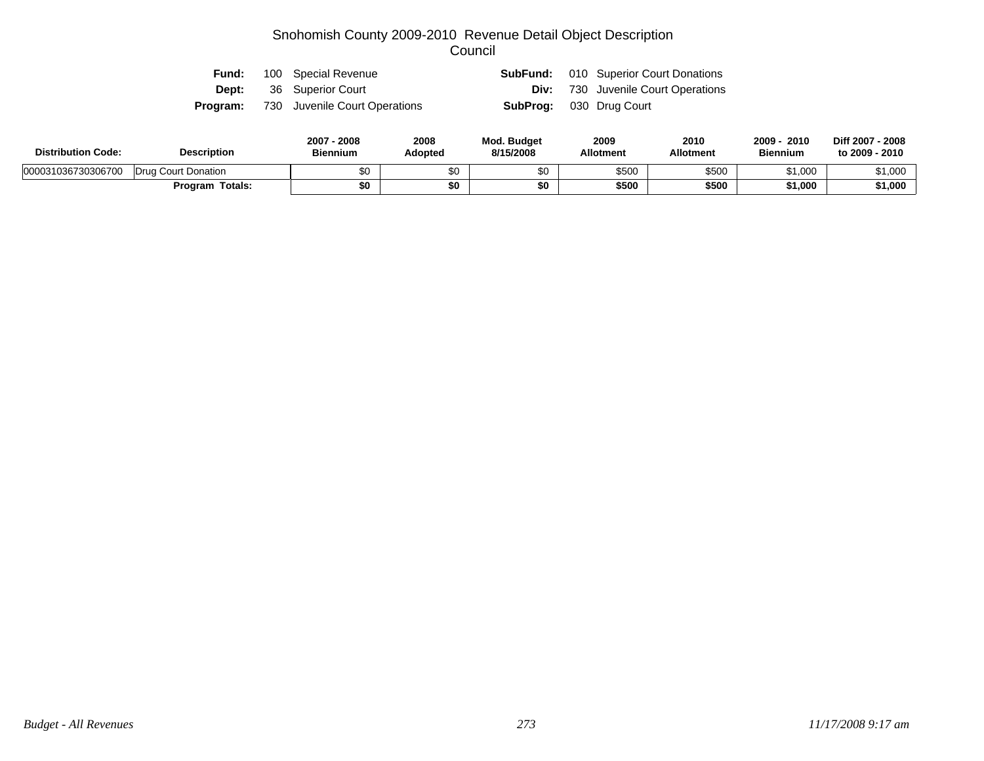| Fund:        | 100 Special Revenue                           |                                | <b>SubFund:</b> 010 Superior Court Donations |
|--------------|-----------------------------------------------|--------------------------------|----------------------------------------------|
| <b>Dept:</b> | 36 Superior Court                             |                                | <b>Div:</b> 730 Juvenile Court Operations    |
|              | <b>Program:</b> 730 Juvenile Court Operations | <b>SubProg:</b> 030 Drug Court |                                              |

| <b>Distribution Code:</b> | <b>Description</b>     | 2007 - 2008<br><b>Biennium</b> | 2008<br><b>Adopted</b> | <b>Mod. Budget</b><br>8/15/2008 | 2009<br><b>Allotment</b> | 2010<br><b>Allotment</b> | 2009<br>2010<br><b>Biennium</b> | Diff 2007 - 2008<br>to 2009 - 2010 |
|---------------------------|------------------------|--------------------------------|------------------------|---------------------------------|--------------------------|--------------------------|---------------------------------|------------------------------------|
| 000031036730306700        | Drug Court Donation    | \$0                            |                        | \$0                             | \$500                    | \$500                    | \$1,000                         | \$1,000                            |
|                           | <b>Program Totals:</b> | \$0                            |                        | \$0                             | \$500                    | \$500                    | \$1,000                         | \$1,000                            |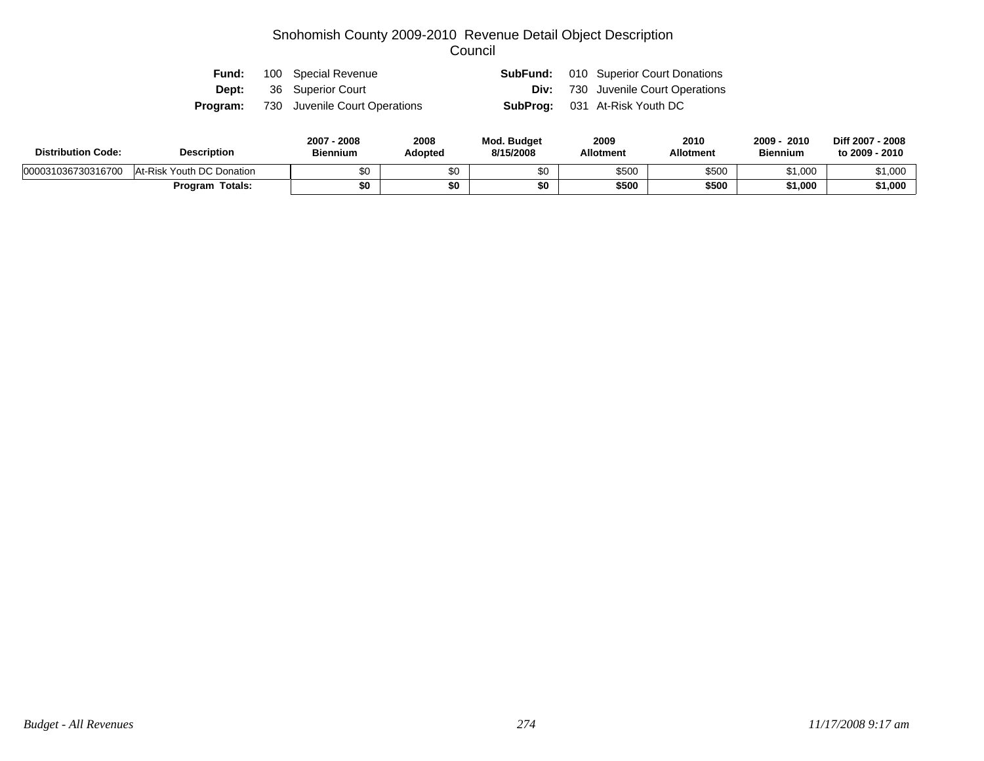| Fund: | 100 Special Revenue                           |  | <b>SubFund:</b> 010 Superior Court Donations |
|-------|-----------------------------------------------|--|----------------------------------------------|
|       | <b>Dept:</b> 36 Superior Court                |  | <b>Div:</b> 730 Juvenile Court Operations    |
|       | <b>Program:</b> 730 Juvenile Court Operations |  | <b>SubProg:</b> 031 At-Risk Youth DC         |

| <b>Distribution Code:</b> | <b>Description</b>        | 2007 - 2008<br><b>Biennium</b> | 2008<br><b>Adopted</b> | <b>Mod. Budget</b><br>8/15/2008 | 2009<br><b>Allotment</b> | 2010<br><b>Allotment</b> | $2009 -$<br>2010<br><b>Biennium</b> | Diff 2007 - 2008<br>to 2009 - 2010 |
|---------------------------|---------------------------|--------------------------------|------------------------|---------------------------------|--------------------------|--------------------------|-------------------------------------|------------------------------------|
| 000031036730316700        | At-Risk Youth DC Donation | \$0                            |                        | \$0                             | \$500                    | \$500                    | \$1,000                             | \$1,000                            |
|                           | <b>Program Totals:</b>    | \$0                            |                        | \$0                             | \$500                    | \$500                    | \$1,000                             | \$1,000                            |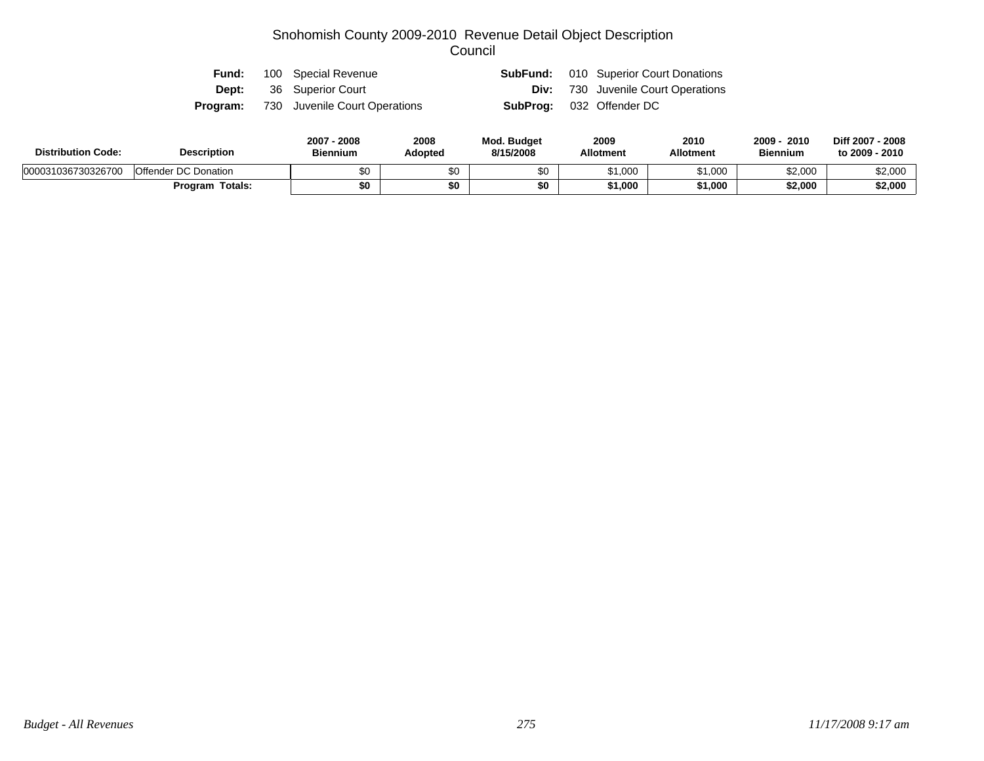|  | <b>Fund:</b> 100 Special Revenue              |                                 | <b>SubFund:</b> 010 Superior Court Donations |
|--|-----------------------------------------------|---------------------------------|----------------------------------------------|
|  | <b>Dept:</b> 36 Superior Court                |                                 | <b>Div:</b> 730 Juvenile Court Operations    |
|  | <b>Program:</b> 730 Juvenile Court Operations | <b>SubProg:</b> 032 Offender DC |                                              |

| <b>Distribution Code:</b> | <b>Description</b>     | 2007 - 2008<br><b>Biennium</b> | 2008<br><b>Adopted</b> | <b>Mod. Budget</b><br>8/15/2008 | 2009<br><b>Allotment</b> | 2010<br><b>Allotment</b> | 2010<br>$2009 -$<br><b>Biennium</b> | Diff 2007 - 2008<br>to 2009 - 2010 |
|---------------------------|------------------------|--------------------------------|------------------------|---------------------------------|--------------------------|--------------------------|-------------------------------------|------------------------------------|
| 000031036730326700        | Offender DC Donation   | \$0                            |                        | \$0                             | \$1,000                  | \$1,000                  | \$2,000                             | \$2,000                            |
|                           | <b>Program Totals:</b> | \$0                            |                        | \$0                             | \$1,000                  | \$1,000                  | \$2,000                             | \$2,000                            |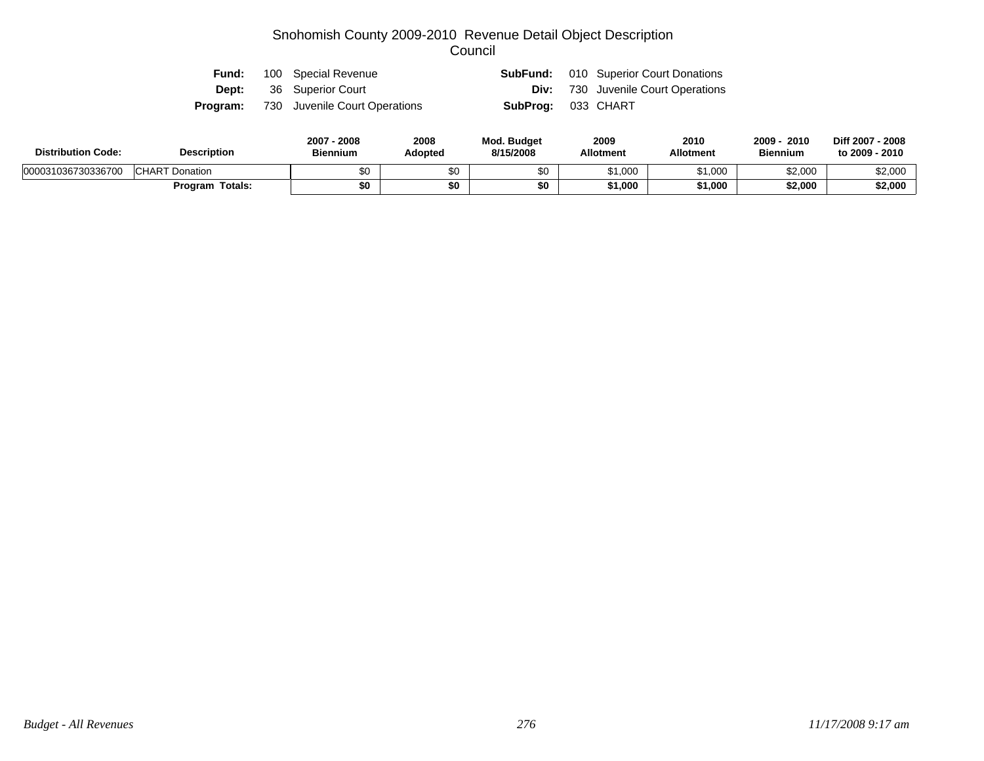|  | <b>Fund:</b> 100 Special Revenue              |                           | <b>SubFund:</b> 010 Superior Court Donations |
|--|-----------------------------------------------|---------------------------|----------------------------------------------|
|  | <b>Dept:</b> 36 Superior Court                |                           | <b>Div:</b> 730 Juvenile Court Operations    |
|  | <b>Program:</b> 730 Juvenile Court Operations | <b>SubProg: 033 CHART</b> |                                              |

| <b>Distribution Code:</b> | <b>Description</b>     |     | 2008<br><b>Adopted</b> | <b>Mod. Budget</b><br>8/15/2008 | 2009<br><b>Allotment</b> | 2010<br><b>Allotment</b> | 2010<br>2009<br><b>Biennium</b> | Diff 2007 - 2008<br>to 2009 - 2010 |
|---------------------------|------------------------|-----|------------------------|---------------------------------|--------------------------|--------------------------|---------------------------------|------------------------------------|
| 000031036730336700        | <b>CHART Donation</b>  | \$0 |                        | \$0                             | \$1,000                  | \$1,000                  | \$2,000                         | \$2,000                            |
|                           | <b>Program Totals:</b> | \$0 |                        | \$0                             | \$1,000                  | \$1,000                  | \$2,000                         | \$2,000                            |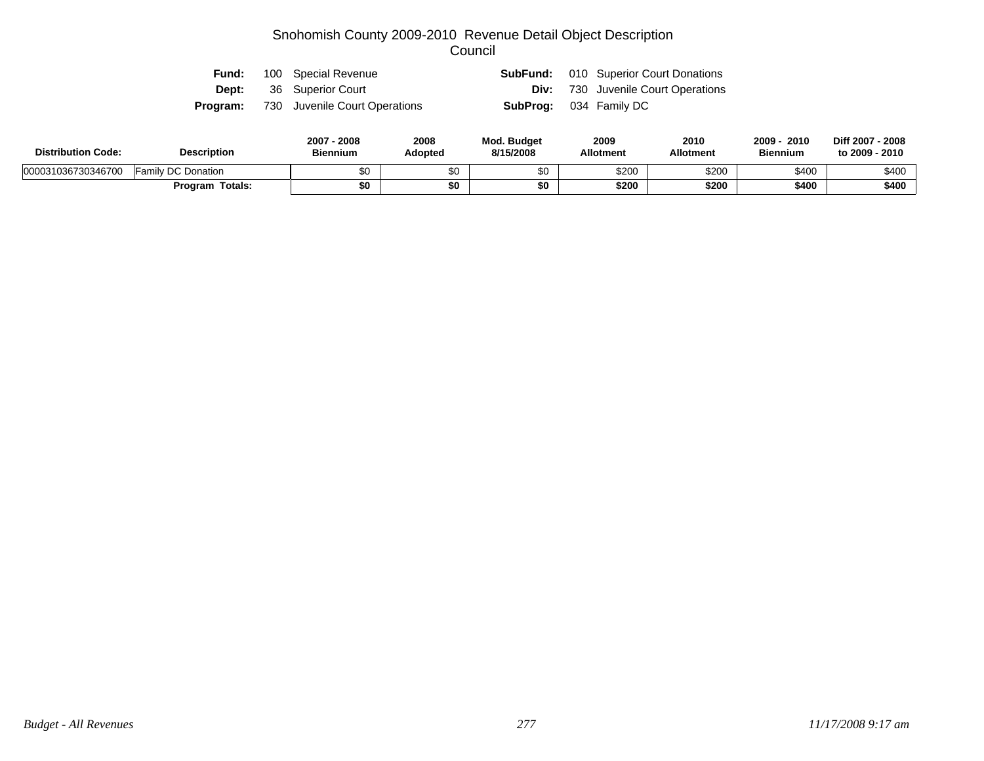|  | <b>Fund:</b> 100 Special Revenue              |                               | <b>SubFund:</b> 010 Superior Court Donations |
|--|-----------------------------------------------|-------------------------------|----------------------------------------------|
|  | <b>Dept:</b> 36 Superior Court                |                               | <b>Div:</b> 730 Juvenile Court Operations    |
|  | <b>Program:</b> 730 Juvenile Court Operations | <b>SubProg:</b> 034 Family DC |                                              |

| <b>Distribution Code:</b> | <b>Description</b>     | 2007 - 2008<br><b>Biennium</b> | 2008<br><b>Adopted</b> | <b>Mod. Budget</b><br>8/15/2008 | 2009<br><b>Allotment</b> | 2010<br><b>Allotment</b> | 2009<br>2010<br><b>Biennium</b> | Diff 2007 - 2008<br>to 2009 - 2010 |
|---------------------------|------------------------|--------------------------------|------------------------|---------------------------------|--------------------------|--------------------------|---------------------------------|------------------------------------|
| 000031036730346700        | Family DC Donation     | \$0                            |                        | \$0                             | \$200                    | \$200                    | \$400                           | \$400                              |
|                           | <b>Program Totals:</b> | \$0                            |                        | \$0                             | \$200                    | \$200                    | \$400                           | \$400                              |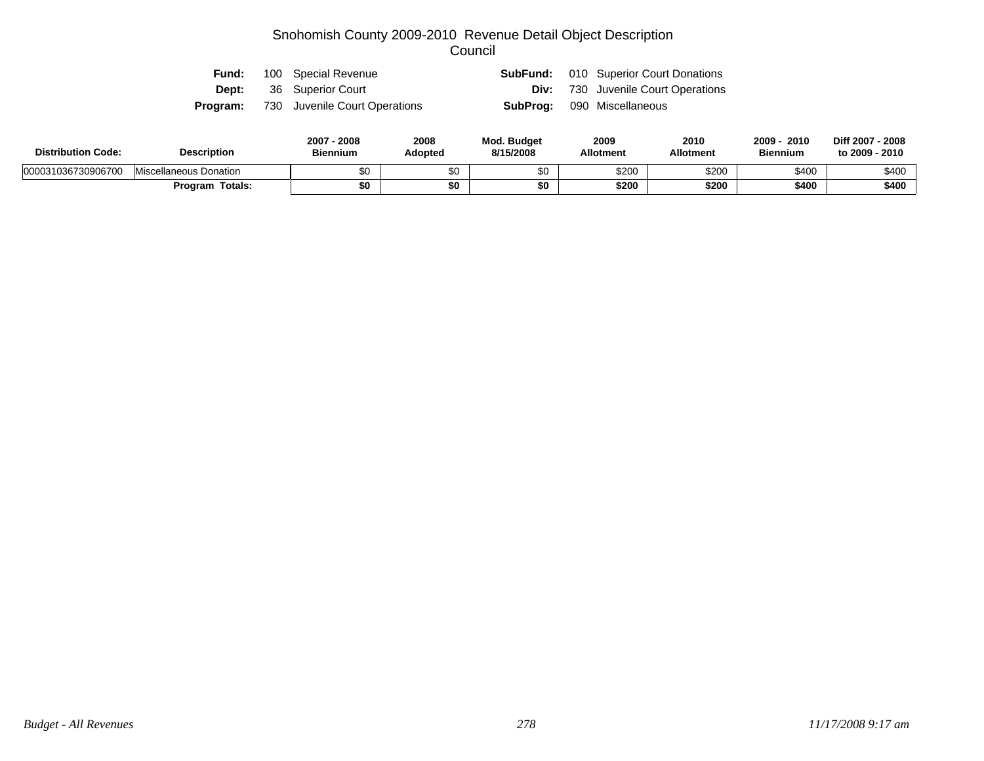| Fund: | 100 Special Revenue                           |  | <b>SubFund:</b> 010 Superior Court Donations |
|-------|-----------------------------------------------|--|----------------------------------------------|
| Dept: | 36 Superior Court                             |  | <b>Div:</b> 730 Juvenile Court Operations    |
|       | <b>Program:</b> 730 Juvenile Court Operations |  | <b>SubProg:</b> 090 Miscellaneous            |

| <b>Distribution Code:</b> | <b>Description</b>     | 2007 - 2008<br><b>Biennium</b> | 2008<br>Adopted | Mod. Budget<br>8/15/2008 | 2009<br><b>Allotment</b> | 2010<br><b>Allotment</b> | 2010<br>2009<br><b>Biennium</b> | Diff 2007 - 2008<br>to 2009 - 2010 |
|---------------------------|------------------------|--------------------------------|-----------------|--------------------------|--------------------------|--------------------------|---------------------------------|------------------------------------|
| 000031036730906700        | Miscellaneous Donation | $\sim$<br>ΦU                   |                 |                          | \$200                    | \$200                    | \$400                           | \$400                              |
|                           | <b>Program Totals:</b> | \$0                            | \$0             | \$0                      | \$200                    | \$200                    | \$400                           | \$400                              |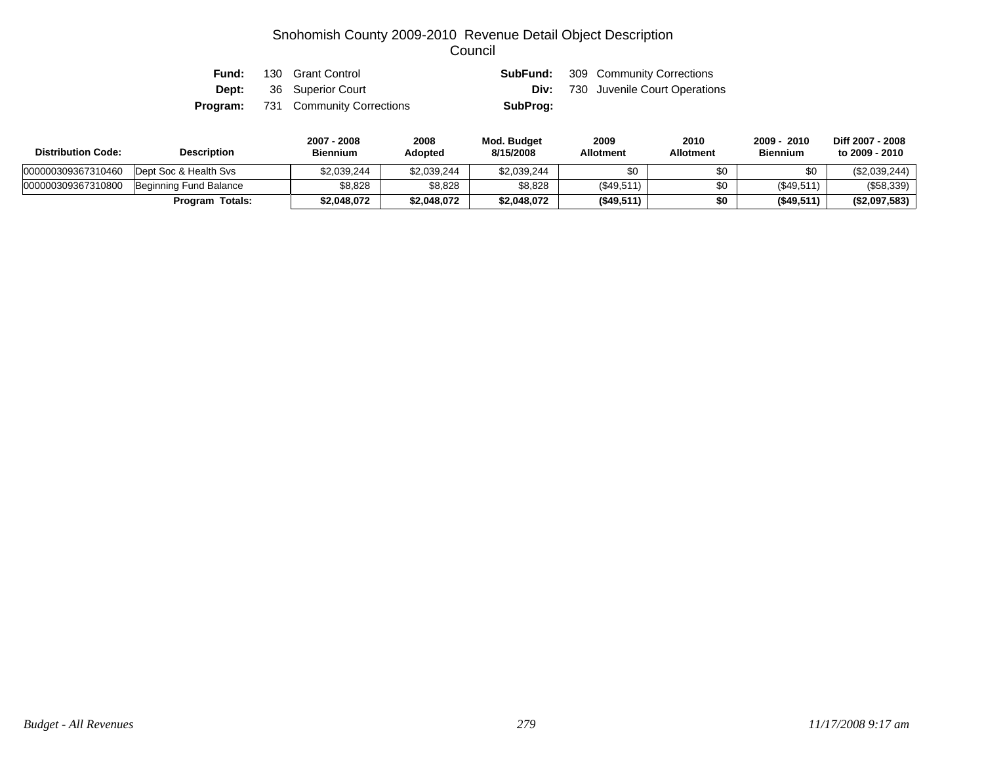| Fund: | 130 Grant Control                         |          | <b>SubFund:</b> 309 Community Corrections |
|-------|-------------------------------------------|----------|-------------------------------------------|
|       | <b>Dept:</b> 36 Superior Court            |          | <b>Div:</b> 730 Juvenile Court Operations |
|       | <b>Program:</b> 731 Community Corrections | SubProg: |                                           |

| <b>Distribution Code:</b> | <b>Description</b>     | 2007 - 2008<br><b>Biennium</b> | 2008<br><b>Adopted</b> | <b>Mod. Budget</b><br>8/15/2008 | 2009<br><b>Allotment</b> | 2010<br><b>Allotment</b> | 2009 - 2010<br><b>Biennium</b> | Diff 2007 - 2008<br>to 2009 - 2010 |
|---------------------------|------------------------|--------------------------------|------------------------|---------------------------------|--------------------------|--------------------------|--------------------------------|------------------------------------|
| 000000309367310460        | Dept Soc & Health Sys  | \$2,039,244                    | \$2.039.244            | \$2,039,244                     |                          | \$0                      | \$0                            | (\$2,039,244)                      |
| 000000309367310800        | Beginning Fund Balance | \$8,828                        | \$8,828                | \$8,828                         | (\$49,511)               | \$0                      | (\$49,511)                     | (\$58,339)                         |
|                           | <b>Program Totals:</b> | \$2,048,072                    | \$2,048,072            | \$2,048,072                     | $($ \$49,511)            | \$0                      | (\$49,511)                     | (\$2,097,583)                      |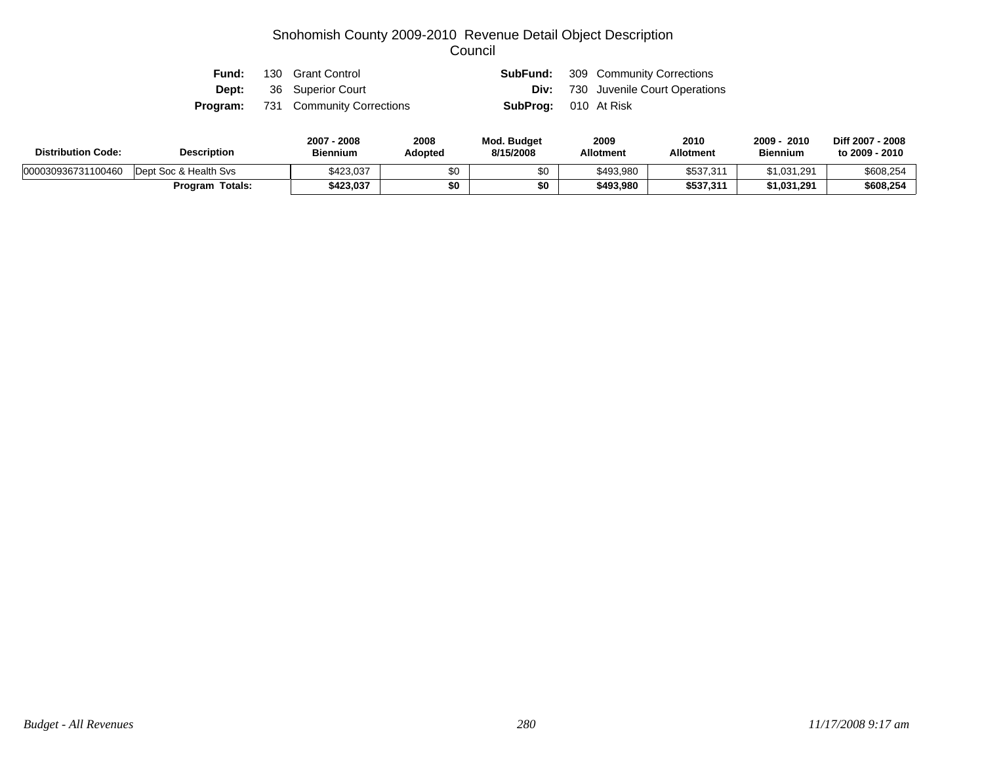| Fund: | 130 Grant Control                         |                             | <b>SubFund:</b> 309 Community Corrections |
|-------|-------------------------------------------|-----------------------------|-------------------------------------------|
|       | <b>Dept:</b> 36 Superior Court            |                             | <b>Div:</b> 730 Juvenile Court Operations |
|       | <b>Program:</b> 731 Community Corrections | <b>SubProg:</b> 010 At Risk |                                           |

| <b>Distribution Code:</b> | <b>Description</b>    | 2007 - 2008<br><b>Biennium</b> | 2008<br>Adopted | <b>Mod. Budget</b><br>8/15/2008 | 2009<br><b>Allotment</b> | 2010<br><b>Allotment</b> | $2009 -$<br>2010<br><b>Biennium</b> | Diff 2007 - 2008<br>to 2009 - 2010 |
|---------------------------|-----------------------|--------------------------------|-----------------|---------------------------------|--------------------------|--------------------------|-------------------------------------|------------------------------------|
| 000030936731100460        | Dept Soc & Health Svs | \$423,037                      | \$0             |                                 | \$493,980                | \$537,311                | \$1,031,291                         | \$608,254                          |
|                           | Program Totals:       | \$423,037                      | \$0             | \$0                             | \$493.980                | \$537.311                | \$1,031,291                         | \$608,254                          |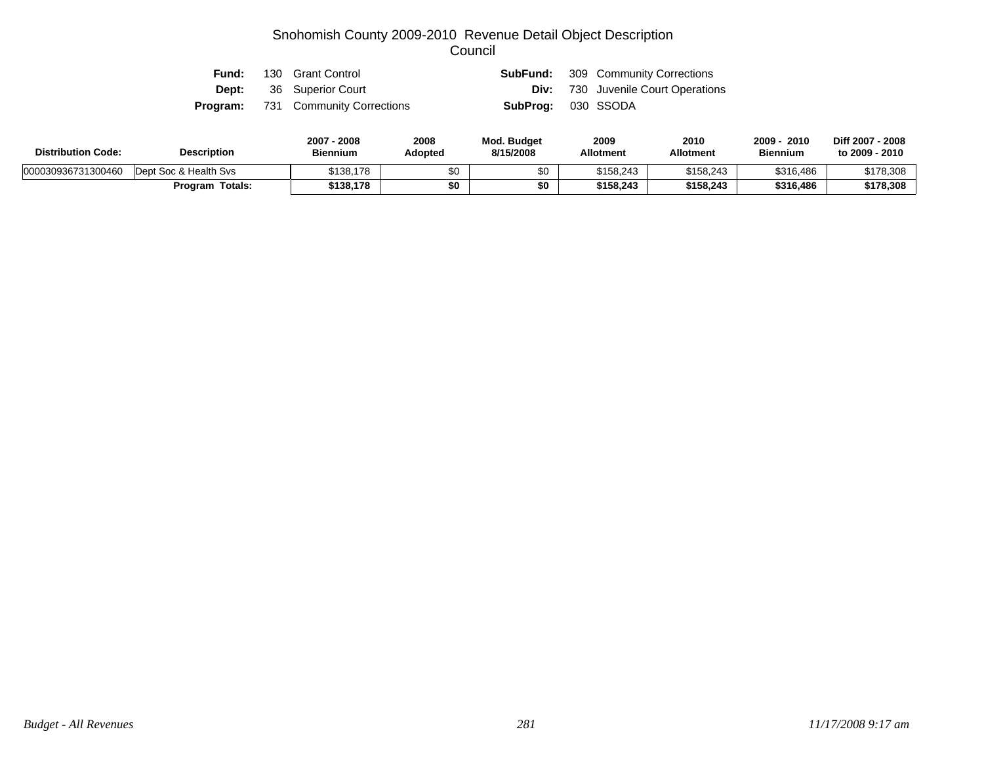| Fund: | 130 Grant Control                         | SubFund:                  | 309 Community Corrections                 |
|-------|-------------------------------------------|---------------------------|-------------------------------------------|
|       | <b>Dept:</b> 36 Superior Court            |                           | <b>Div:</b> 730 Juvenile Court Operations |
|       | <b>Program:</b> 731 Community Corrections | <b>SubProg:</b> 030 SSODA |                                           |

| <b>Distribution Code:</b> | <b>Description</b>     | 2007 - 2008<br><b>Biennium</b> | 2008<br>Adopted | <b>Mod. Budget</b><br>8/15/2008 | 2009<br><b>Allotment</b> | 2010<br><b>Allotment</b> | $2009 -$<br>2010<br><b>Biennium</b> | Diff 2007 - 2008<br>to 2009 - 2010 |
|---------------------------|------------------------|--------------------------------|-----------------|---------------------------------|--------------------------|--------------------------|-------------------------------------|------------------------------------|
| 000030936731300460        | Dept Soc & Health Svs  | \$138,178                      | \$0             |                                 | \$158.243                | \$158.243                | \$316,486                           | \$178,308                          |
|                           | <b>Program Totals:</b> | \$138,178                      | \$0             | \$0                             | \$158.243                | \$158.243                | \$316,486                           | \$178,308                          |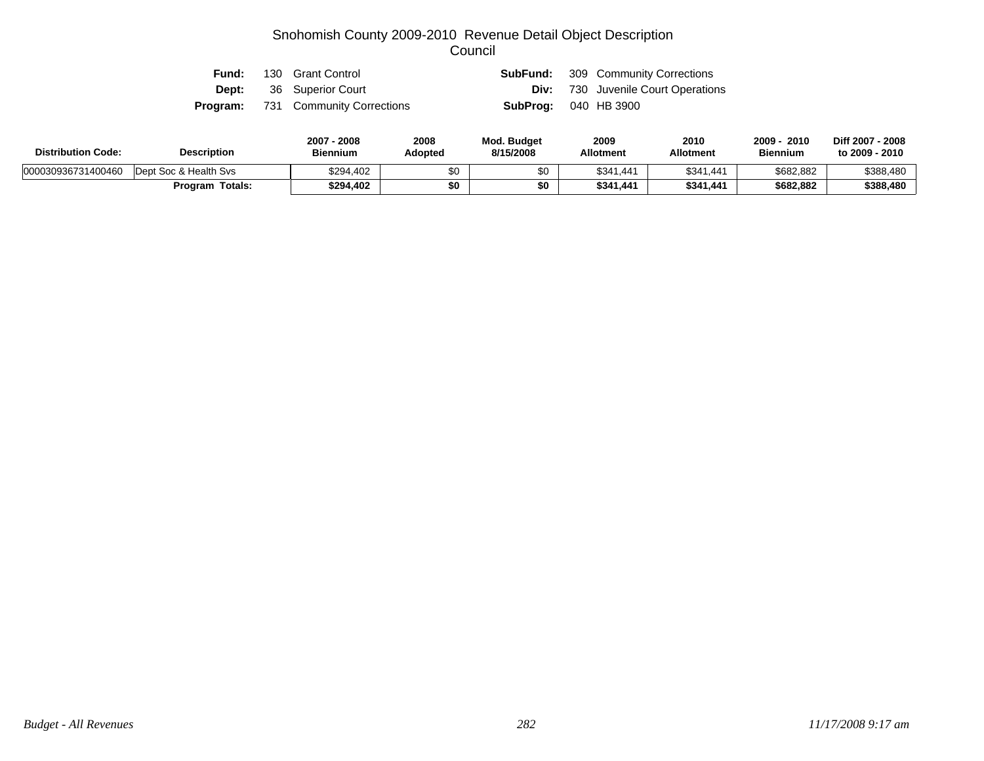| Fund: | 130 Grant Control                         |                             | <b>SubFund:</b> 309 Community Corrections |
|-------|-------------------------------------------|-----------------------------|-------------------------------------------|
|       | <b>Dept:</b> 36 Superior Court            |                             | <b>Div:</b> 730 Juvenile Court Operations |
|       | <b>Program:</b> 731 Community Corrections | <b>SubProg: 040 HB 3900</b> |                                           |

| <b>Distribution Code:</b> | <b>Description</b>     | 2007 - 2008<br><b>Biennium</b> | 2008<br>Adopted | <b>Mod. Budget</b><br>8/15/2008 | 2009<br><b>Allotment</b> | 2010<br><b>Allotment</b> | 2009<br>2010<br><b>Biennium</b> | Diff 2007 - 2008<br>to 2009 - 2010 |
|---------------------------|------------------------|--------------------------------|-----------------|---------------------------------|--------------------------|--------------------------|---------------------------------|------------------------------------|
| 000030936731400460        | Dept Soc & Health Sys  | \$294.402                      | \$0             |                                 | \$341.441                | \$341,441                | \$682,882                       | \$388,480                          |
|                           | <b>Program Totals:</b> | \$294.402                      | \$0             | \$0                             | \$341.441                | \$341.441                | \$682.882                       | \$388,480                          |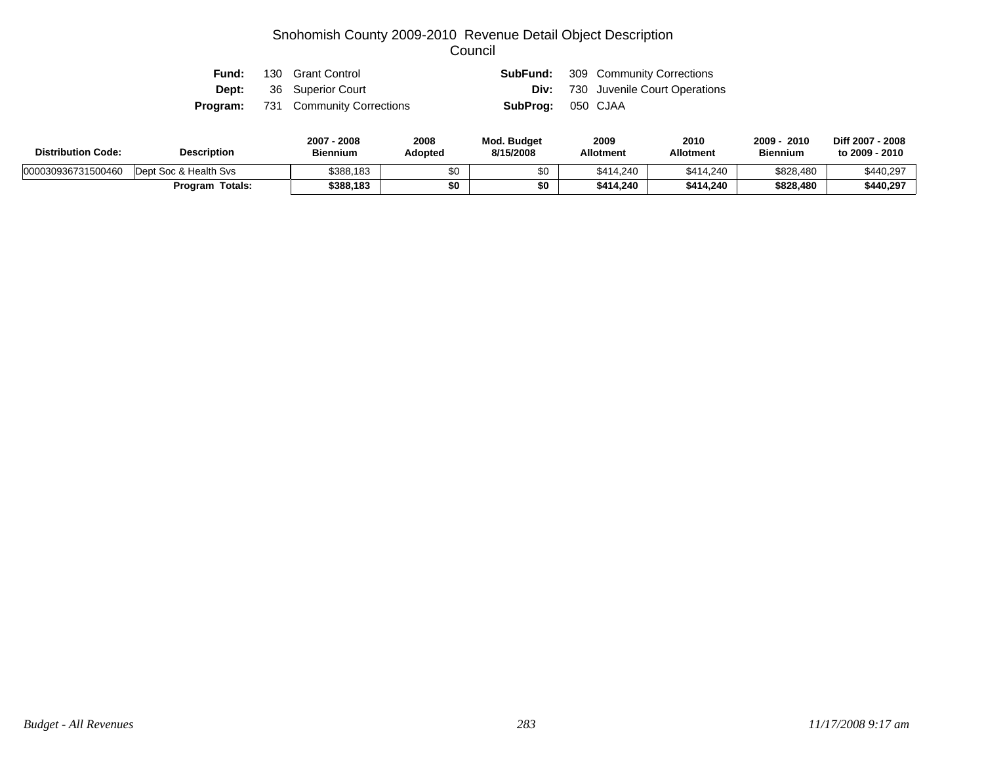| Fund: | 130 Grant Control                         |                          | <b>SubFund:</b> 309 Community Corrections |
|-------|-------------------------------------------|--------------------------|-------------------------------------------|
|       | <b>Dept:</b> 36 Superior Court            |                          | <b>Div:</b> 730 Juvenile Court Operations |
|       | <b>Program:</b> 731 Community Corrections | <b>SubProg: 050 CJAA</b> |                                           |

| <b>Distribution Code:</b> | <b>Description</b>    | 2007 - 2008<br><b>Biennium</b> | 2008<br>Adopted | <b>Mod. Budget</b><br>8/15/2008 | 2009<br><b>Allotment</b> | 2010<br><b>Allotment</b> | $2009 -$<br>2010<br><b>Biennium</b> | Diff 2007 - 2008<br>to 2009 - 2010 |
|---------------------------|-----------------------|--------------------------------|-----------------|---------------------------------|--------------------------|--------------------------|-------------------------------------|------------------------------------|
| 000030936731500460        | Dept Soc & Health Svs | \$388.183                      | \$0             |                                 | \$414.240                | \$414.240                | \$828,480                           | \$440,297                          |
|                           | Program Totals:       | \$388.183                      | \$0             | \$0                             | \$414.240                | \$414.240                | \$828,480                           | \$440,297                          |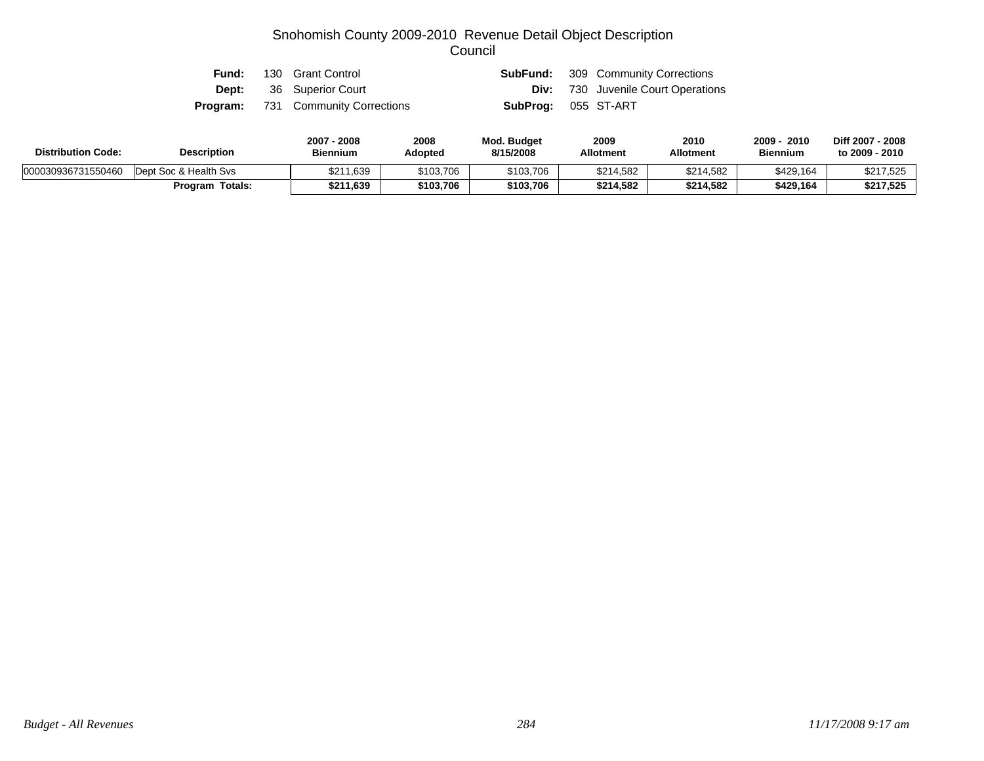| Fund: | 130 Grant Control                         |                            | <b>SubFund:</b> 309 Community Corrections |
|-------|-------------------------------------------|----------------------------|-------------------------------------------|
|       | <b>Dept:</b> 36 Superior Court            |                            | <b>Div:</b> 730 Juvenile Court Operations |
|       | <b>Program:</b> 731 Community Corrections | <b>SubProg:</b> 055 ST-ART |                                           |

| <b>Distribution Code:</b> | <b>Description</b>     | 2007 - 2008<br><b>Biennium</b> | 2008<br>Adopted | Mod. Budget<br>8/15/2008 | 2009<br><b>Allotment</b> | 2010<br>Allotment | 2009<br>2010<br><b>Biennium</b> | Diff 2007 - 2008<br>to 2009 - 2010 |
|---------------------------|------------------------|--------------------------------|-----------------|--------------------------|--------------------------|-------------------|---------------------------------|------------------------------------|
| 000030936731550460        | Dept Soc & Health Sys  | \$211,639                      | \$103,706       | \$103,706                | \$214,582                | \$214,582         | \$429,164                       | \$217,525                          |
|                           | <b>Program Totals:</b> | \$211,639                      | \$103,706       | \$103,706                | \$214,582                | \$214.582         | \$429,164                       | \$217,525                          |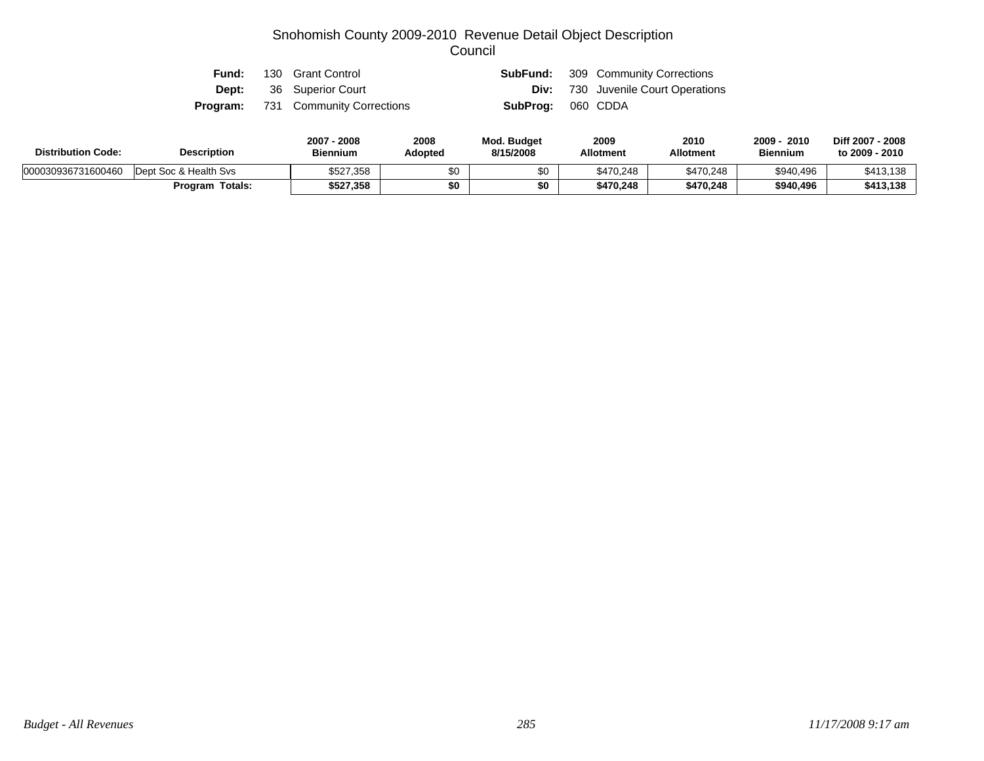| Fund: | 130 Grant Control                         |                          | <b>SubFund:</b> 309 Community Corrections |
|-------|-------------------------------------------|--------------------------|-------------------------------------------|
|       | <b>Dept:</b> 36 Superior Court            |                          | <b>Div:</b> 730 Juvenile Court Operations |
|       | <b>Program:</b> 731 Community Corrections | <b>SubProg: 060 CDDA</b> |                                           |

| <b>Distribution Code:</b> | <b>Description</b>    | $2007 -$<br>2008<br><b>Biennium</b> | 2008<br>Adopted | <b>Mod. Budget</b><br>8/15/2008 | 2009<br><b>Allotment</b> | 2010<br><b>Allotment</b> | $2009 -$<br>2010<br><b>Biennium</b> | Diff 2007 - 2008<br>to 2009 - 2010 |
|---------------------------|-----------------------|-------------------------------------|-----------------|---------------------------------|--------------------------|--------------------------|-------------------------------------|------------------------------------|
| 000030936731600460        | Dept Soc & Health Sys | \$527,358                           | \$0             |                                 | \$470,248                | \$470.248                | \$940,496                           | \$413,138                          |
|                           | Program Totals:       | \$527.358                           | \$0             | \$0                             | \$470.248                | \$470.248                | \$940.496                           | \$413,138                          |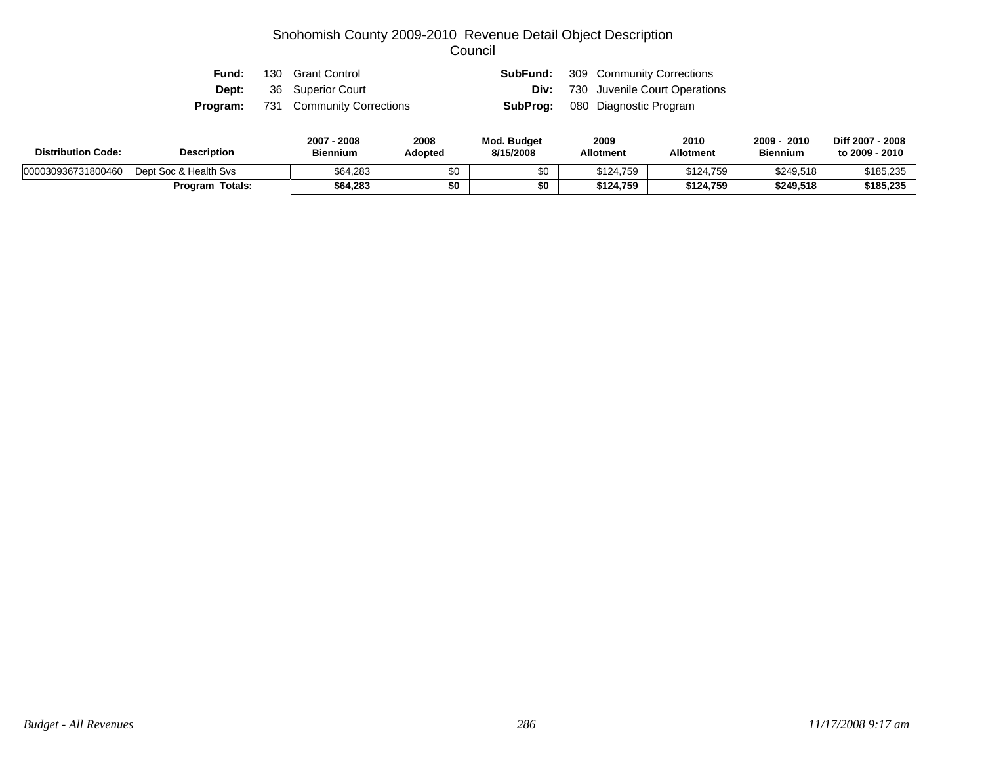| Fund: | 130 Grant Control                         | SubFund: | 309 Community Corrections                 |
|-------|-------------------------------------------|----------|-------------------------------------------|
| Dept: | 36 Superior Court                         |          | <b>Div:</b> 730 Juvenile Court Operations |
|       | <b>Program:</b> 731 Community Corrections |          | <b>SubProg:</b> 080 Diagnostic Program    |

| <b>Distribution Code:</b> | <b>Description</b>     | 2007 - 2008<br><b>Biennium</b> | 2008<br>Adopted | <b>Mod. Budget</b><br>8/15/2008 | 2009<br><b>Allotment</b> | 2010<br><b>Allotment</b> | 2009<br>2010<br><b>Biennium</b> | Diff 2007 - 2008<br>to 2009 - 2010 |
|---------------------------|------------------------|--------------------------------|-----------------|---------------------------------|--------------------------|--------------------------|---------------------------------|------------------------------------|
| 000030936731800460        | Dept Soc & Health Sys  | \$64,283                       | \$0             |                                 | \$124.759                | \$124,759                | \$249,518                       | \$185,235                          |
|                           | <b>Program Totals:</b> | \$64,283                       |                 | \$0                             | \$124,759                | \$124,759                | \$249.518                       | \$185,235                          |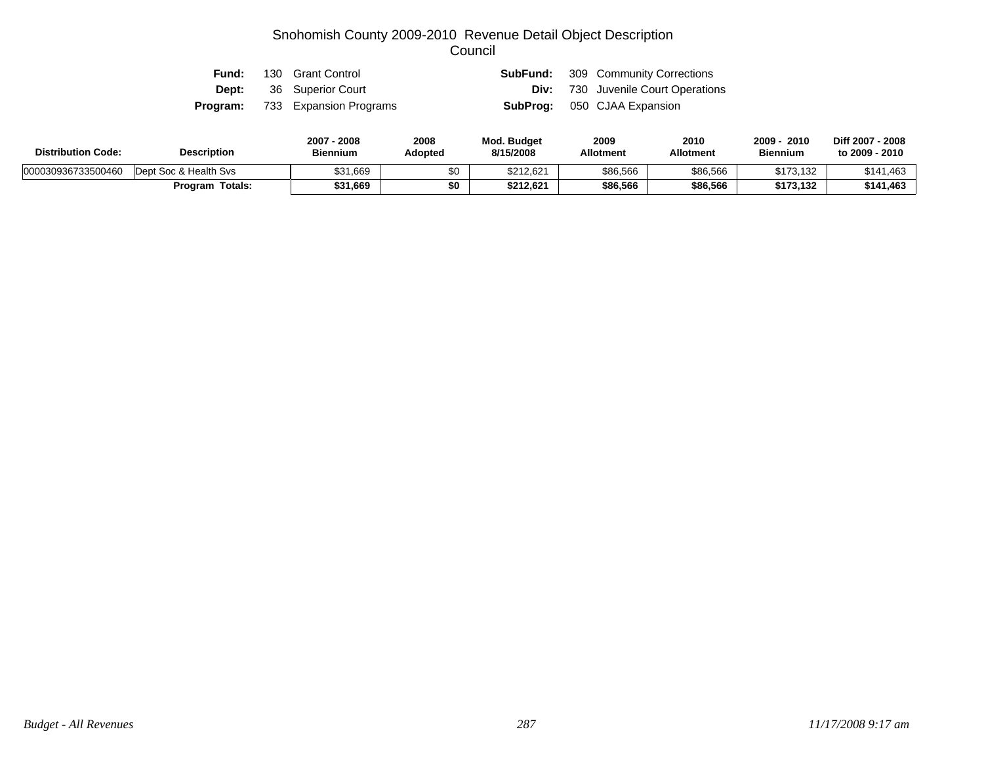| Fund: | 130 Grant Control                      |  | <b>SubFund:</b> 309 Community Corrections |
|-------|----------------------------------------|--|-------------------------------------------|
|       | <b>Dept:</b> 36 Superior Court         |  | <b>Div:</b> 730 Juvenile Court Operations |
|       | <b>Program:</b> 733 Expansion Programs |  | <b>SubProg:</b> 050 CJAA Expansion        |

| <b>Distribution Code:</b> | <b>Description</b>    | 2007 - 2008<br><b>Biennium</b> | 2008<br>Adopted | <b>Mod. Budget</b><br>8/15/2008 | 2009<br><b>Allotment</b> | 2010<br><b>Allotment</b> | 2009<br>2010<br><b>Biennium</b> | Diff 2007 - 2008<br>to 2009 - 2010 |
|---------------------------|-----------------------|--------------------------------|-----------------|---------------------------------|--------------------------|--------------------------|---------------------------------|------------------------------------|
| 000030936733500460        | Dept Soc & Health Svs | \$31,669                       |                 | \$212,621                       | \$86,566                 | \$86,566                 | \$173,132                       | \$141.463                          |
|                           | Program Totals:       | \$31,669                       |                 | \$212,621                       | \$86,566                 | \$86,566                 | \$173,132                       | \$141,463                          |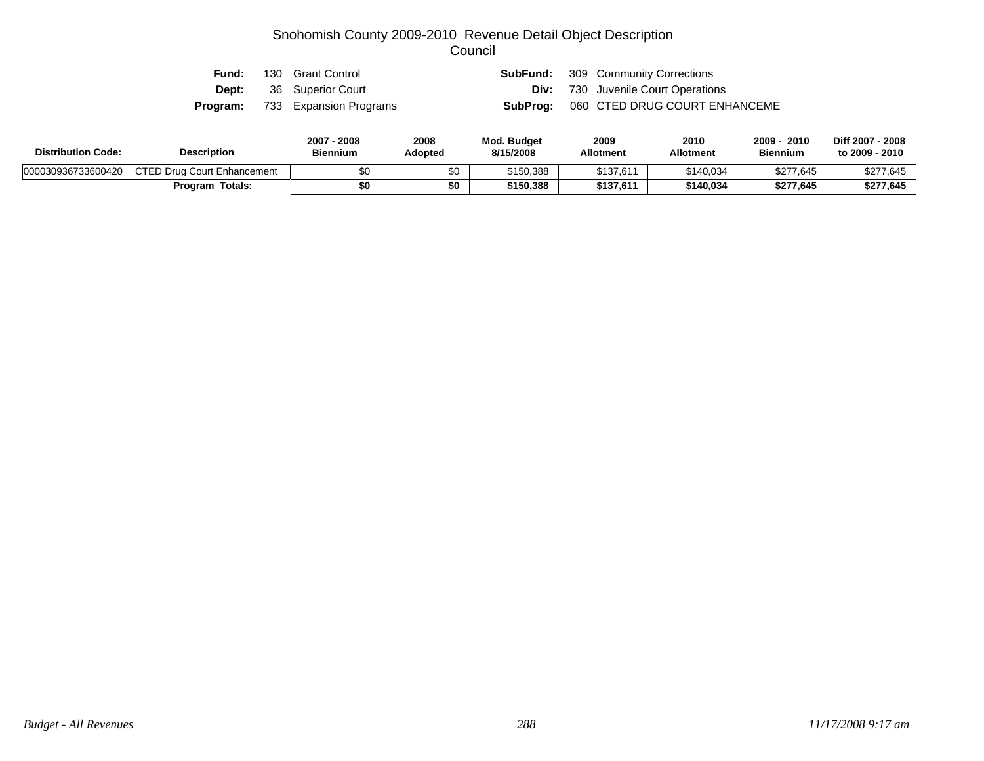| Fund: | 130 Grant Control                      |  | <b>SubFund:</b> 309 Community Corrections |
|-------|----------------------------------------|--|-------------------------------------------|
|       | <b>Dept:</b> 36 Superior Court         |  | <b>Div:</b> 730 Juvenile Court Operations |
|       | <b>Program:</b> 733 Expansion Programs |  | SubProg: 060 CTED DRUG COURT ENHANCEME    |

| <b>Distribution Code:</b> | <b>Description</b>                  | 2007 - 2008<br><b>Biennium</b> | 2008<br>Adopted | <b>Mod. Budget</b><br>8/15/2008 | 2009<br><b>Allotment</b> | 2010<br><b>Allotment</b> | 2009<br>2010<br><b>Biennium</b> | Diff 2007 - 2008<br>to 2009 - 2010 |
|---------------------------|-------------------------------------|--------------------------------|-----------------|---------------------------------|--------------------------|--------------------------|---------------------------------|------------------------------------|
| 000030936733600420        | <b>ICTED Drug Court Enhancement</b> | \$0                            |                 | \$150,388                       | \$137,611                | \$140,034                | \$277,645                       | \$277,645                          |
|                           | <b>Program Totals:</b>              | \$0                            | \$0             | \$150,388                       | \$137,611                | \$140.034                | \$277,645                       | \$277,645                          |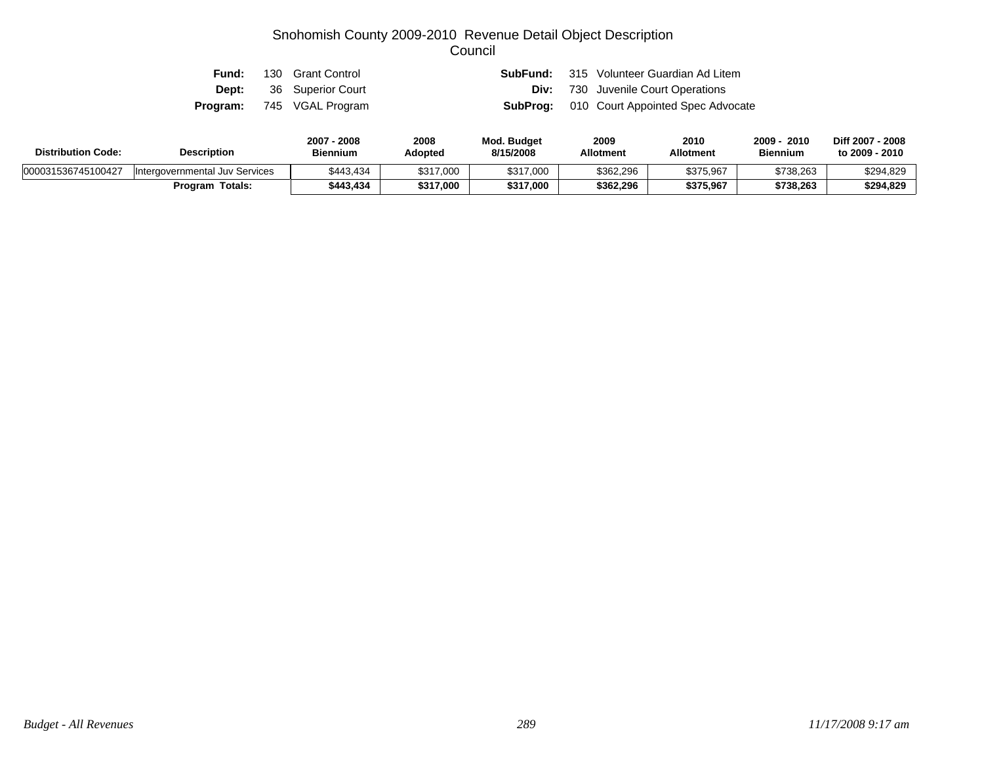| Fund: | 130 Grant Control                |  | <b>SubFund:</b> 315 Volunteer Guardian Ad Litem   |
|-------|----------------------------------|--|---------------------------------------------------|
|       | <b>Dept:</b> 36 Superior Court   |  | <b>Div:</b> 730 Juvenile Court Operations         |
|       | <b>Program:</b> 745 VGAL Program |  | <b>SubProg:</b> 010 Court Appointed Spec Advocate |

| <b>Distribution Code:</b> | <b>Description</b>             | 2007 - 2008<br><b>Biennium</b> | 2008<br>Adopted | Mod. Budget<br>8/15/2008 | 2009<br><b>Allotment</b> | 2010<br>Allotment | 2009<br>2010<br><b>Biennium</b> | Diff 2007 - 2008<br>to 2009 - 2010 |
|---------------------------|--------------------------------|--------------------------------|-----------------|--------------------------|--------------------------|-------------------|---------------------------------|------------------------------------|
| 000031536745100427        | Intergovernmental Juv Services | \$443,434                      | \$317,000       | \$317,000                | \$362,296                | \$375,967         | \$738,263                       | \$294,829                          |
|                           | <b>Program Totals:</b>         | \$443.434                      | \$317,000       | \$317,000                | \$362.296                | \$375,967         | \$738,263                       | \$294,829                          |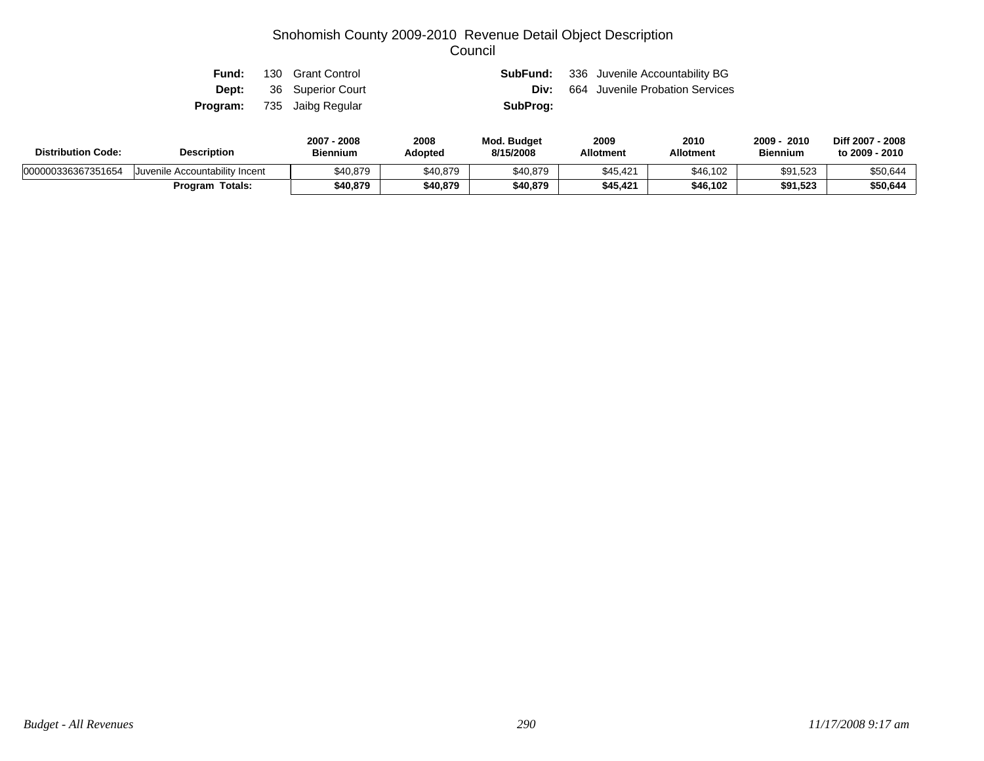| Fund: | 130 Grant Control                 |          | <b>SubFund:</b> 336 Juvenile Accountability BG |
|-------|-----------------------------------|----------|------------------------------------------------|
|       | <b>Dept:</b> 36 Superior Court    | Div:     | 664 Juvenile Probation Services                |
|       | <b>Program:</b> 735 Jaibg Regular | SubProg: |                                                |

| <b>Distribution Code:</b> | <b>Description</b>             |          | 2008<br>Adopted | <b>Mod. Budget</b><br>8/15/2008 | 2009<br><b>Allotment</b> | 2010<br><b>Allotment</b> | 2009<br>2010<br><b>Biennium</b> | Diff 2007 - 2008<br>to 2009 - 2010 |
|---------------------------|--------------------------------|----------|-----------------|---------------------------------|--------------------------|--------------------------|---------------------------------|------------------------------------|
| 000000336367351654        | Juvenile Accountability Incent | \$40,879 | \$40,879        | \$40,879                        | \$45,421                 | \$46,102                 | \$91,523                        | \$50,644                           |
|                           | <b>Program Totals:</b>         | \$40,879 | \$40,879        | \$40,879                        | \$45,421                 | \$46,102                 | \$91,523                        | \$50,644                           |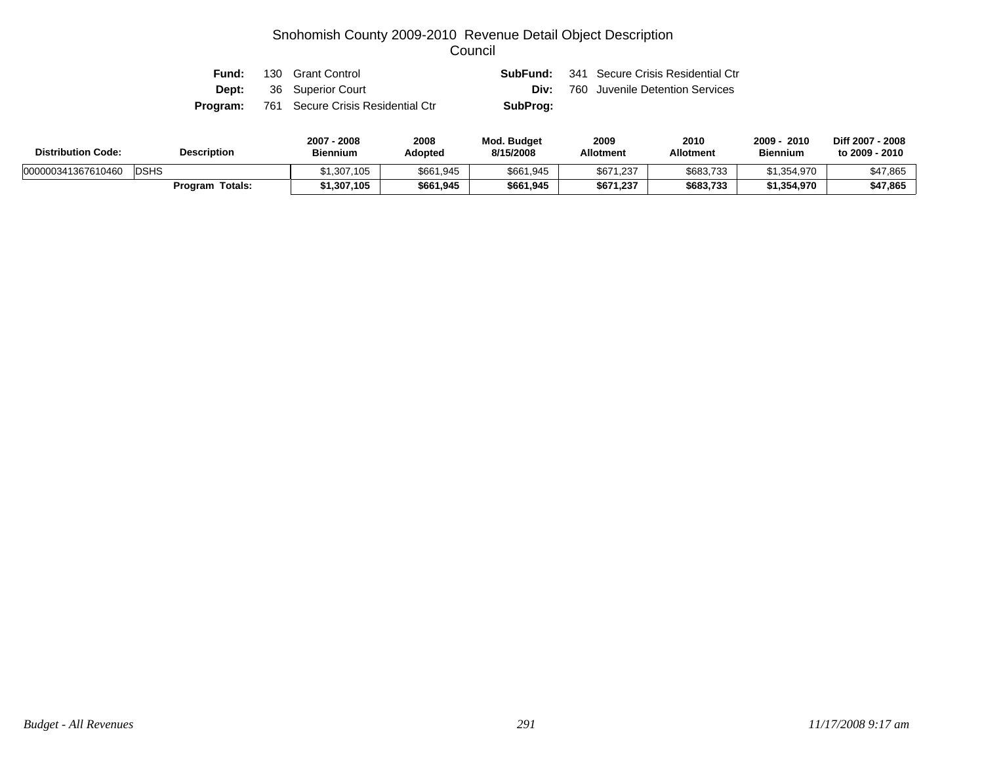|  | <b>Fund:</b> 130 Grant Control                    |          | <b>SubFund:</b> 341 Secure Crisis Residential Ctr |
|--|---------------------------------------------------|----------|---------------------------------------------------|
|  | <b>Dept:</b> 36 Superior Court                    |          | <b>Div:</b> 760 Juvenile Detention Services       |
|  | <b>Program:</b> 761 Secure Crisis Residential Ctr | SubProg: |                                                   |

| <b>Distribution Code:</b> | <b>Description</b> | 2007 - 2008<br><b>Biennium</b> | 2008<br>Adopted | <b>Mod. Budget</b><br>8/15/2008 | 2009<br><b>Allotment</b> | 2010<br><b>Allotment</b> | 2009<br>2010<br><b>Biennium</b> | Diff 2007 - 2008<br>to 2009 - 2010 |
|---------------------------|--------------------|--------------------------------|-----------------|---------------------------------|--------------------------|--------------------------|---------------------------------|------------------------------------|
| 000000341367610460        | <b>DSHS</b>        | \$1.307.105                    | \$661,945       | \$661,945                       | \$671.237                | \$683,733                | \$1,354,970                     | \$47,865                           |
|                           | Program Totals:    | 1,307,105٪                     | \$661,945       | \$661,945                       | \$671,237                | \$683,733                | \$1,354,970                     | \$47,865                           |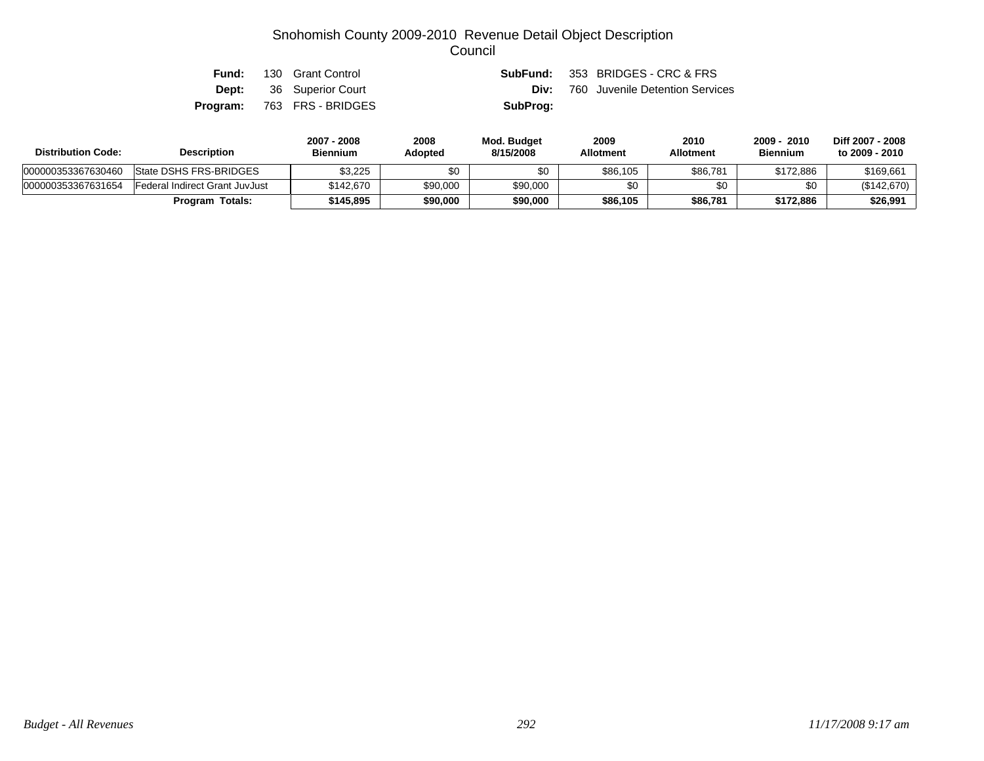| Fund: | 130 Grant Control               |          | <b>SubFund:</b> 353 BRIDGES - CRC & FRS     |
|-------|---------------------------------|----------|---------------------------------------------|
|       | <b>Dept:</b> 36 Superior Court  |          | <b>Div:</b> 760 Juvenile Detention Services |
|       | <b>Program:</b> 763 FRS-BRIDGES | SubProg: |                                             |

| <b>Distribution Code:</b> | <b>Description</b>             | 2007 - 2008<br><b>Biennium</b> | 2008<br>Adopted | Mod. Budget<br>8/15/2008 | 2009<br><b>Allotment</b> | 2010<br><b>Allotment</b> | - 2010<br>$2009 -$<br><b>Biennium</b> | Diff 2007 - 2008<br>to 2009 - 2010 |
|---------------------------|--------------------------------|--------------------------------|-----------------|--------------------------|--------------------------|--------------------------|---------------------------------------|------------------------------------|
| 000000353367630460        | State DSHS FRS-BRIDGES         | \$3,225                        | \$0             | \$0                      | \$86,105                 | \$86,781                 | \$172,886                             | \$169,661                          |
| 000000353367631654        | Federal Indirect Grant JuvJust | \$142,670                      | \$90,000        | \$90,000                 | \$0                      |                          | \$0                                   | (\$142,670)                        |
|                           | <b>Program Totals:</b>         | \$145.895                      | \$90,000        | \$90,000                 | \$86,105                 | \$86,781                 | \$172,886                             | \$26,991                           |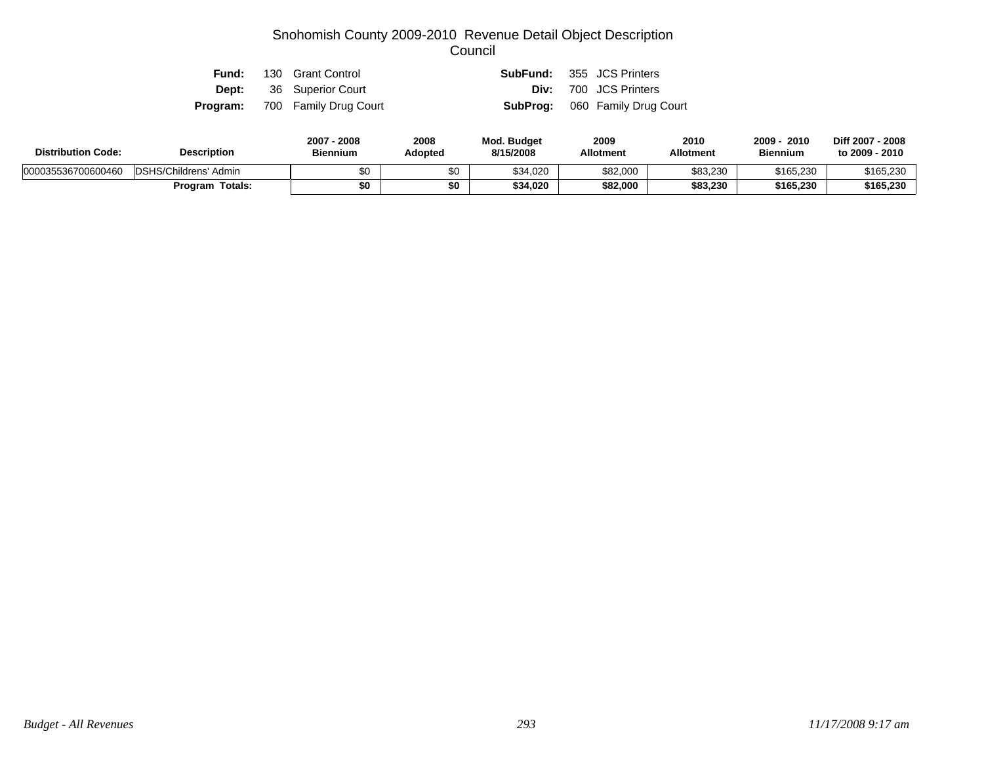| Fund: | 130 Grant Control                     |  | <b>SubFund:</b> 355 JCS Printers      |
|-------|---------------------------------------|--|---------------------------------------|
|       | <b>Dept:</b> 36 Superior Court        |  | <b>Div:</b> 700 JCS Printers          |
|       | <b>Program:</b> 700 Family Drug Court |  | <b>SubProg:</b> 060 Family Drug Court |

| <b>Distribution Code:</b> | <b>Description</b>     |     | 2008<br>Adopted | Mod. Budget<br>8/15/2008 | 2009<br><b>Allotment</b> | 2010<br><b>Allotment</b> | 2010<br>2009<br><b>Biennium</b> | Diff 2007 - 2008<br>to 2009 - 2010 |
|---------------------------|------------------------|-----|-----------------|--------------------------|--------------------------|--------------------------|---------------------------------|------------------------------------|
| 000035536700600460        | DSHS/Childrens' Admin  | \$0 |                 | \$34,020                 | \$82,000                 | \$83,230                 | \$165,230                       | \$165,230                          |
|                           | <b>Program Totals:</b> | \$0 | \$0             | \$34,020                 | \$82,000                 | \$83,230                 | \$165,230                       | \$165,230                          |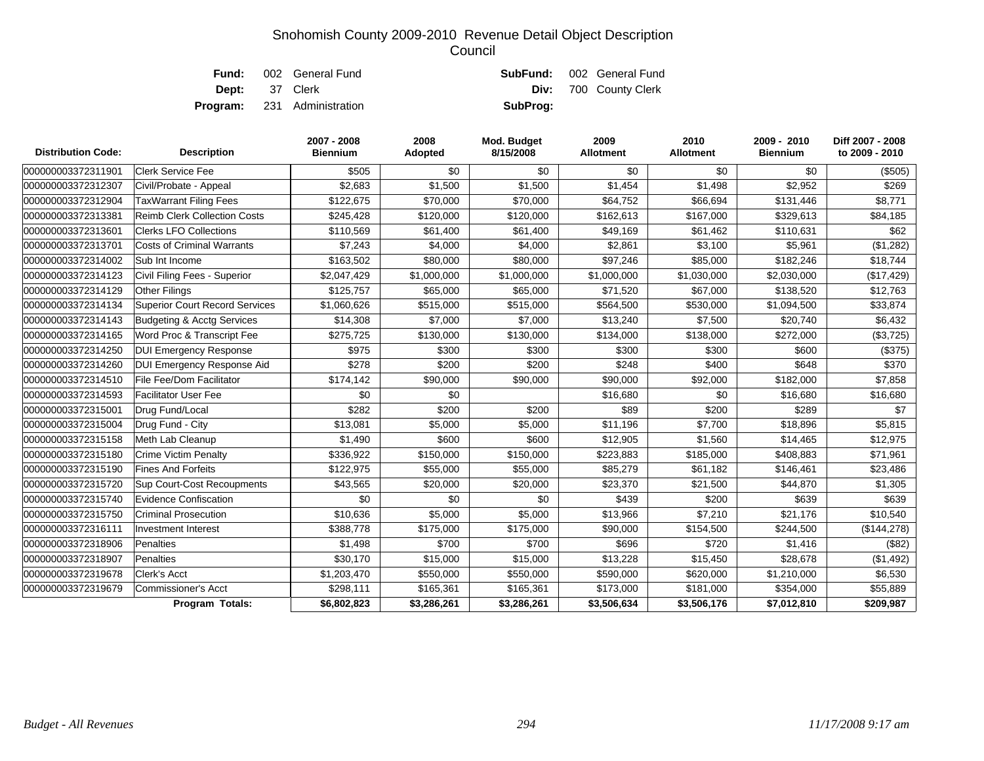|                       | <b>Fund:</b> 002 General Fund      |          | <b>SubFund:</b> 002 General Fund |
|-----------------------|------------------------------------|----------|----------------------------------|
| <b>Dept:</b> 37 Clerk |                                    |          | <b>Div:</b> 700 County Clerk     |
|                       | <b>Program:</b> 231 Administration | SubProg: |                                  |

| <b>Distribution Code:</b> | <b>Description</b>                    | 2007 - 2008<br><b>Biennium</b> | 2008<br>Adopted | Mod. Budget<br>8/15/2008 | 2009<br>Allotment | 2010<br><b>Allotment</b> | 2009 - 2010<br><b>Biennium</b> | Diff 2007 - 2008<br>to 2009 - 2010 |
|---------------------------|---------------------------------------|--------------------------------|-----------------|--------------------------|-------------------|--------------------------|--------------------------------|------------------------------------|
| 000000003372311901        | <b>Clerk Service Fee</b>              | \$505                          | \$0             | \$0                      | \$0               | \$0                      | \$0                            | (\$505)                            |
| 000000003372312307        | Civil/Probate - Appeal                | \$2,683                        | \$1,500         | \$1,500                  | \$1,454           | \$1,498                  | \$2,952                        | \$269                              |
| 000000003372312904        | <b>TaxWarrant Filing Fees</b>         | \$122,675                      | \$70,000        | \$70,000                 | \$64,752          | \$66,694                 | \$131,446                      | \$8,771                            |
| 000000003372313381        | <b>Reimb Clerk Collection Costs</b>   | \$245,428                      | \$120,000       | \$120,000                | \$162,613         | \$167,000                | \$329,613                      | \$84,185                           |
| 000000003372313601        | <b>Clerks LFO Collections</b>         | \$110,569                      | \$61,400        | \$61,400                 | \$49,169          | \$61,462                 | \$110,631                      | \$62                               |
| 000000003372313701        | <b>Costs of Criminal Warrants</b>     | \$7,243                        | \$4,000         | \$4,000                  | \$2,861           | \$3,100                  | \$5,961                        | (\$1,282)                          |
| 000000003372314002        | Sub Int Income                        | \$163,502                      | \$80,000        | \$80,000                 | \$97,246          | \$85,000                 | \$182,246                      | \$18,744                           |
| 000000003372314123        | Civil Filing Fees - Superior          | \$2,047,429                    | \$1,000,000     | \$1,000,000              | \$1,000,000       | \$1,030,000              | \$2,030,000                    | (\$17,429)                         |
| 000000003372314129        | <b>Other Filings</b>                  | \$125,757                      | \$65,000        | \$65,000                 | \$71,520          | \$67,000                 | \$138,520                      | \$12,763                           |
| 000000003372314134        | <b>Superior Court Record Services</b> | \$1,060,626                    | \$515,000       | \$515,000                | \$564,500         | \$530,000                | \$1,094,500                    | \$33,874                           |
| 000000003372314143        | Budgeting & Acctg Services            | \$14,308                       | \$7,000         | \$7,000                  | \$13,240          | \$7,500                  | \$20,740                       | \$6,432                            |
| 000000003372314165        | Word Proc & Transcript Fee            | \$275,725                      | \$130,000       | \$130,000                | \$134,000         | \$138,000                | \$272,000                      | (\$3,725)                          |
| 000000003372314250        | <b>DUI Emergency Response</b>         | \$975                          | \$300           | \$300                    | \$300             | \$300                    | \$600                          | (\$375)                            |
| 000000003372314260        | DUI Emergency Response Aid            | \$278                          | \$200           | \$200                    | \$248             | \$400                    | \$648                          | \$370                              |
| 000000003372314510        | File Fee/Dom Facilitator              | \$174,142                      | \$90,000        | \$90,000                 | \$90,000          | \$92,000                 | \$182,000                      | \$7,858                            |
| 000000003372314593        | <b>Facilitator User Fee</b>           | \$0                            | \$0             |                          | \$16,680          | \$0                      | \$16,680                       | \$16,680                           |
| 000000003372315001        | Drug Fund/Local                       | \$282                          | \$200           | \$200                    | \$89              | \$200                    | \$289                          | \$7                                |
| 000000003372315004        | Drug Fund - City                      | \$13,081                       | \$5,000         | \$5,000                  | \$11,196          | \$7,700                  | \$18,896                       | \$5,815                            |
| 000000003372315158        | Meth Lab Cleanup                      | \$1,490                        | \$600           | \$600                    | \$12,905          | \$1,560                  | \$14,465                       | \$12,975                           |
| 000000003372315180        | <b>Crime Victim Penalty</b>           | \$336,922                      | \$150,000       | \$150,000                | \$223,883         | \$185,000                | \$408,883                      | \$71,961                           |
| 000000003372315190        | <b>Fines And Forfeits</b>             | \$122,975                      | \$55,000        | \$55,000                 | \$85,279          | \$61,182                 | \$146,461                      | \$23,486                           |
| 000000003372315720        | Sup Court-Cost Recoupments            | \$43,565                       | \$20,000        | \$20,000                 | \$23,370          | \$21,500                 | \$44,870                       | \$1,305                            |
| 000000003372315740        | Evidence Confiscation                 | \$0                            | \$0             | \$0                      | \$439             | \$200                    | \$639                          | \$639                              |
| 000000003372315750        | <b>Criminal Prosecution</b>           | \$10,636                       | \$5,000         | \$5,000                  | \$13,966          | \$7,210                  | \$21,176                       | \$10,540                           |
| 000000003372316111        | <b>Investment Interest</b>            | \$388,778                      | \$175,000       | \$175,000                | \$90,000          | \$154,500                | \$244,500                      | (\$144,278)                        |
| 000000003372318906        | Penalties                             | \$1,498                        | \$700           | \$700                    | \$696             | \$720                    | \$1,416                        | (\$82)                             |
| 000000003372318907        | Penalties                             | \$30,170                       | \$15,000        | \$15,000                 | \$13,228          | \$15,450                 | \$28,678                       | (\$1,492)                          |
| 000000003372319678        | <b>Clerk's Acct</b>                   | \$1,203,470                    | \$550,000       | \$550,000                | \$590,000         | \$620,000                | \$1,210,000                    | \$6,530                            |
| 000000003372319679        | Commissioner's Acct                   | \$298,111                      | \$165,361       | \$165,361                | \$173,000         | \$181,000                | \$354,000                      | \$55,889                           |
|                           | Program Totals:                       | \$6,802,823                    | \$3,286,261     | \$3,286,261              | \$3,506,634       | \$3,506,176              | \$7,012,810                    | \$209,987                          |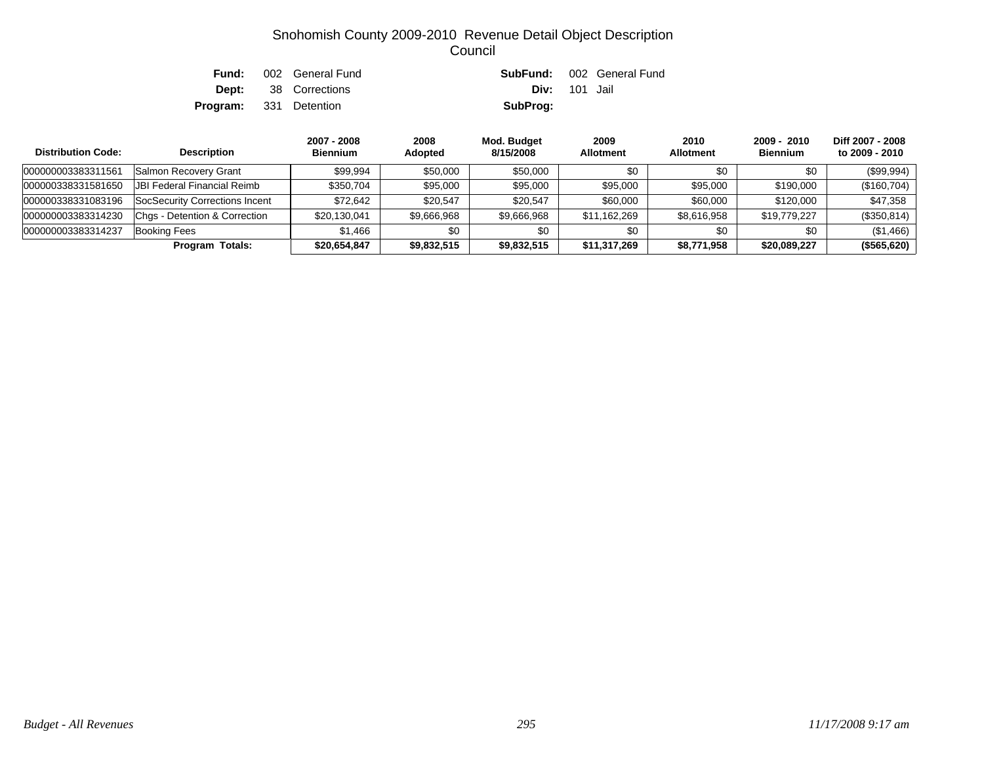| Fund:                         | 002 General Fund            |                      | <b>SubFund:</b> 002 General Fund |
|-------------------------------|-----------------------------|----------------------|----------------------------------|
|                               | <b>Dept:</b> 38 Corrections | <b>Div:</b> 101 Jail |                                  |
| <b>Program:</b> 331 Detention |                             | SubProg:             |                                  |

| <b>Distribution Code:</b> | <b>Description</b>             | 2007 - 2008<br><b>Biennium</b> | 2008<br>Adopted | Mod. Budget<br>8/15/2008 | 2009<br><b>Allotment</b> | 2010<br><b>Allotment</b> | $2009 - 2010$<br><b>Biennium</b> | Diff 2007 - 2008<br>to 2009 - 2010 |
|---------------------------|--------------------------------|--------------------------------|-----------------|--------------------------|--------------------------|--------------------------|----------------------------------|------------------------------------|
| 000000003383311561        | Salmon Recovery Grant          | \$99.994                       | \$50,000        | \$50,000                 | \$0                      | \$0                      | \$0                              | (\$99,994)                         |
| 000000338331581650        | JBI Federal Financial Reimb    | \$350.704                      | \$95,000        | \$95,000                 | \$95,000                 | \$95,000                 | \$190,000                        | (\$160,704)                        |
| 000000338331083196        | SocSecurity Corrections Incent | \$72.642                       | \$20.547        | \$20.547                 | \$60,000                 | \$60,000                 | \$120,000                        | \$47,358                           |
| 000000003383314230        | Chas - Detention & Correction  | \$20,130,041                   | \$9,666,968     | \$9,666,968              | \$11,162,269             | \$8,616,958              | \$19,779,227                     | (\$350,814)                        |
| 000000003383314237        | Booking Fees                   | \$1.466                        | \$0             | \$0                      | \$0                      | \$0                      | \$0                              | (\$1,466)                          |
|                           | <b>Program Totals:</b>         | \$20,654,847                   | \$9,832,515     | \$9,832,515              | \$11,317,269             | \$8,771,958              | \$20,089,227                     | (\$565,620)                        |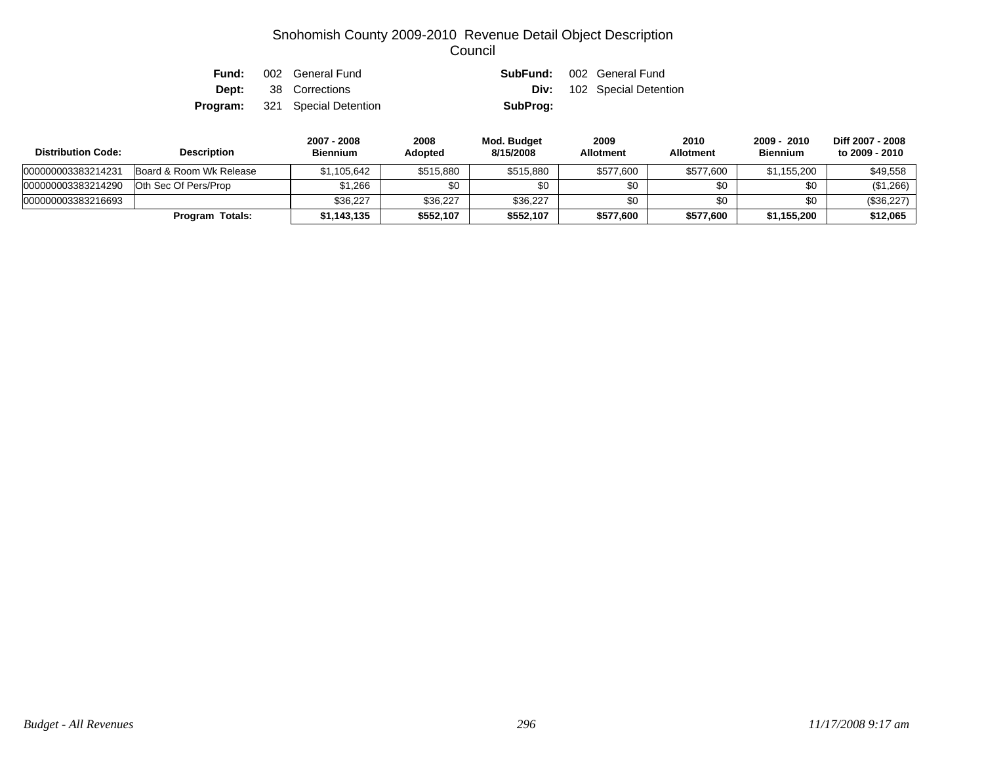|  | <b>Fund:</b> 002 General Fund         |          | <b>SubFund:</b> 002 General Fund  |
|--|---------------------------------------|----------|-----------------------------------|
|  | <b>Dept:</b> 38 Corrections           |          | <b>Div:</b> 102 Special Detention |
|  | <b>Program:</b> 321 Special Detention | SubProg: |                                   |

| <b>Distribution Code:</b> | <b>Description</b>      | 2007 - 2008<br><b>Biennium</b> | 2008<br><b>Adopted</b> | Mod. Budget<br>8/15/2008 | 2009<br><b>Allotment</b> | 2010<br><b>Allotment</b> | 2009 - 2010<br><b>Biennium</b> | Diff 2007 - 2008<br>to 2009 - 2010 |
|---------------------------|-------------------------|--------------------------------|------------------------|--------------------------|--------------------------|--------------------------|--------------------------------|------------------------------------|
| 000000003383214231        | Board & Room Wk Release | \$1,105,642                    | \$515,880              | \$515,880                | \$577,600                | \$577,600                | \$1,155,200                    | \$49,558                           |
| 000000003383214290        | Oth Sec Of Pers/Prop    | \$1,266                        | \$0                    |                          | \$0                      | \$0                      | \$0                            | (\$1,266)                          |
| 000000003383216693        |                         | \$36.227                       | \$36,227               | \$36,227                 | \$0                      | \$0                      | \$0                            | (\$36,227)                         |
|                           | <b>Program Totals:</b>  | \$1,143,135                    | \$552,107              | \$552,107                | \$577,600                | \$577,600                | \$1,155,200                    | \$12.065                           |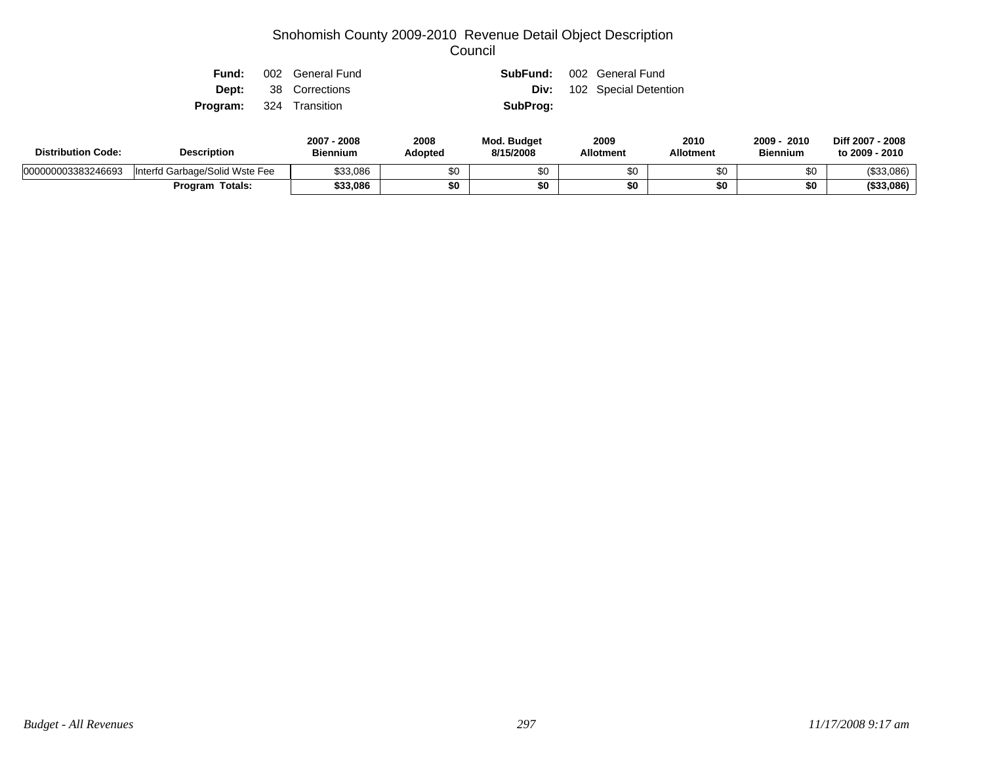| Fund:                          | 002 General Fund            | SubFund: | 002 General Fund                  |
|--------------------------------|-----------------------------|----------|-----------------------------------|
|                                | <b>Dept:</b> 38 Corrections |          | <b>Div:</b> 102 Special Detention |
| <b>Program:</b> 324 Transition |                             | SubProg: |                                   |
|                                |                             |          |                                   |

| <b>Distribution Code:</b> | <b>Description</b>             | 2008<br>2007<br><b>Biennium</b> | 2008<br>Adopted | <b>Mod. Budget</b><br>8/15/2008 | 2009<br><b>Allotment</b> | 2010<br><b>Allotment</b> | 2010<br>2009 -<br><b>Biennium</b> | Diff 2007 - 2008<br>to 2009 - 2010 |
|---------------------------|--------------------------------|---------------------------------|-----------------|---------------------------------|--------------------------|--------------------------|-----------------------------------|------------------------------------|
| 000000003383246693        | Interfd Garbage/Solid Wste Fee | \$33.086                        | \$0             | υU                              |                          | œ٥<br>ФU                 | \$0                               | (\$33,086)                         |
|                           | Program Totals:                | \$33.086                        | \$0             | \$0                             | \$Ω                      | JU                       | \$0                               | (\$33,086)                         |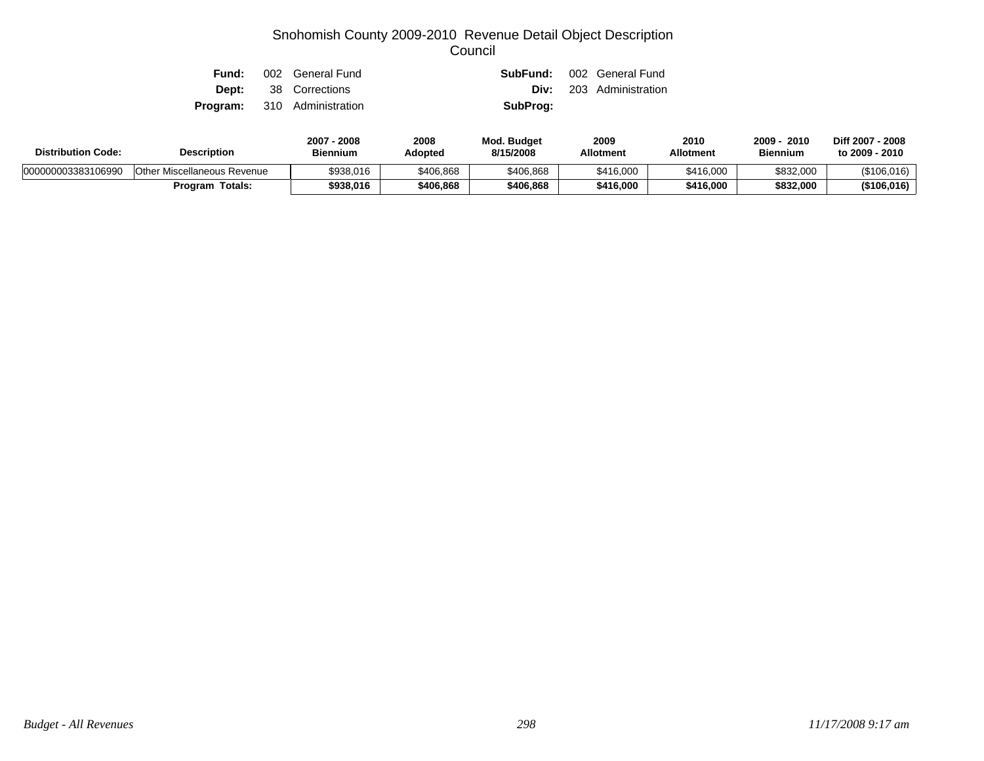| Fund: | 002 General Fund                   |          | <b>SubFund:</b> 002 General Fund |
|-------|------------------------------------|----------|----------------------------------|
|       | <b>Dept:</b> 38 Corrections        |          | <b>Div:</b> 203 Administration   |
|       | <b>Program:</b> 310 Administration | SubProg: |                                  |

| <b>Distribution Code:</b> | <b>Description</b>          |           | 2008<br>Adopted | Mod. Budget<br>8/15/2008 | 2009<br><b>Allotment</b> | 2010<br><b>Allotment</b> | 2010<br>2009<br><b>Biennium</b> | Diff 2007 - 2008<br>to 2009 - 2010 |
|---------------------------|-----------------------------|-----------|-----------------|--------------------------|--------------------------|--------------------------|---------------------------------|------------------------------------|
| 000000003383106990        | Other Miscellaneous Revenue | \$938,016 | \$406,868       | \$406,868                | \$416,000                | \$416,000                | \$832,000                       | (\$106,016)                        |
|                           | <b>Program Totals:</b>      | \$938,016 | \$406,868       | \$406,868                | \$416,000                | \$416.000                | \$832,000                       | (\$106,016)                        |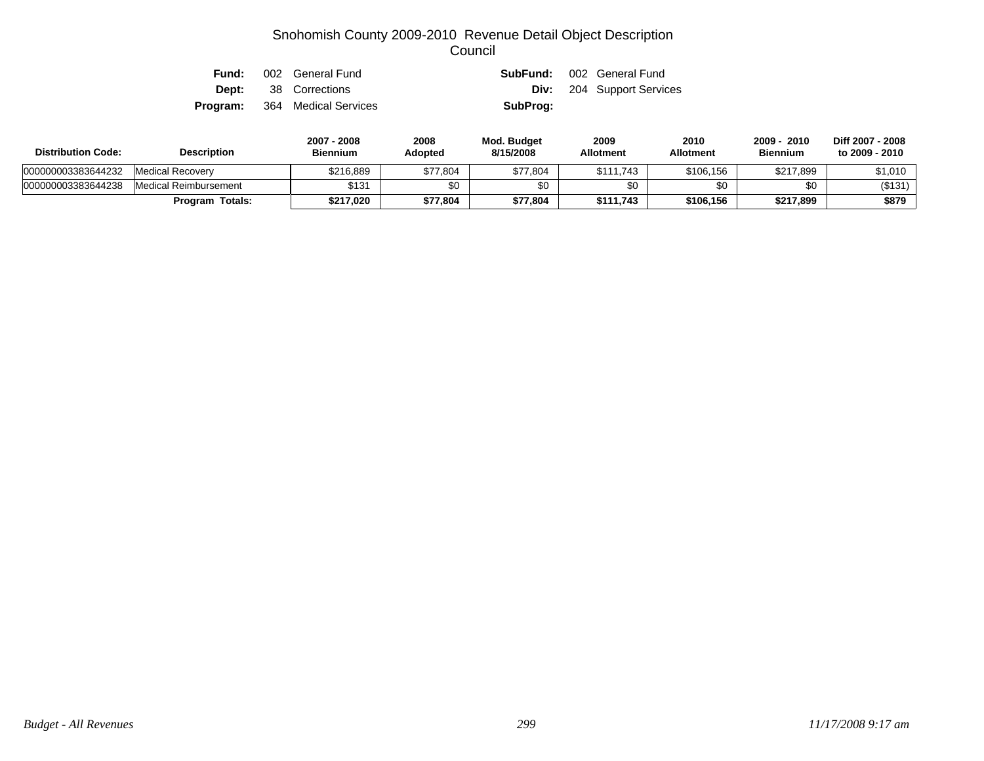| Fund: | 002 General Fund                     |          | <b>SubFund:</b> 002 General Fund |
|-------|--------------------------------------|----------|----------------------------------|
|       | <b>Dept:</b> 38 Corrections          |          | <b>Div:</b> 204 Support Services |
|       | <b>Program:</b> 364 Medical Services | SubProg: |                                  |

| <b>Distribution Code:</b> | <b>Description</b>     | 2007 - 2008<br><b>Biennium</b> | 2008<br><b>Adopted</b> | Mod. Budget<br>8/15/2008 | 2009<br><b>Allotment</b> | 2010<br>Allotment | 2009<br>2010<br><b>Biennium</b> | Diff 2007 - 2008<br>to 2009 - 2010 |
|---------------------------|------------------------|--------------------------------|------------------------|--------------------------|--------------------------|-------------------|---------------------------------|------------------------------------|
| 000000003383644232        | Medical Recovery       | \$216.889                      | \$77,804               | \$77,804                 | \$111.743                | \$106,156         | \$217,899                       | \$1,010                            |
| 000000003383644238        | Medical Reimbursement  | \$131                          | \$0                    |                          | \$0                      |                   | \$0                             | (\$131)                            |
|                           | <b>Program Totals:</b> | \$217.020                      | \$77,804               | \$77,804                 | \$111.743                | \$106.156         | \$217,899                       | \$879                              |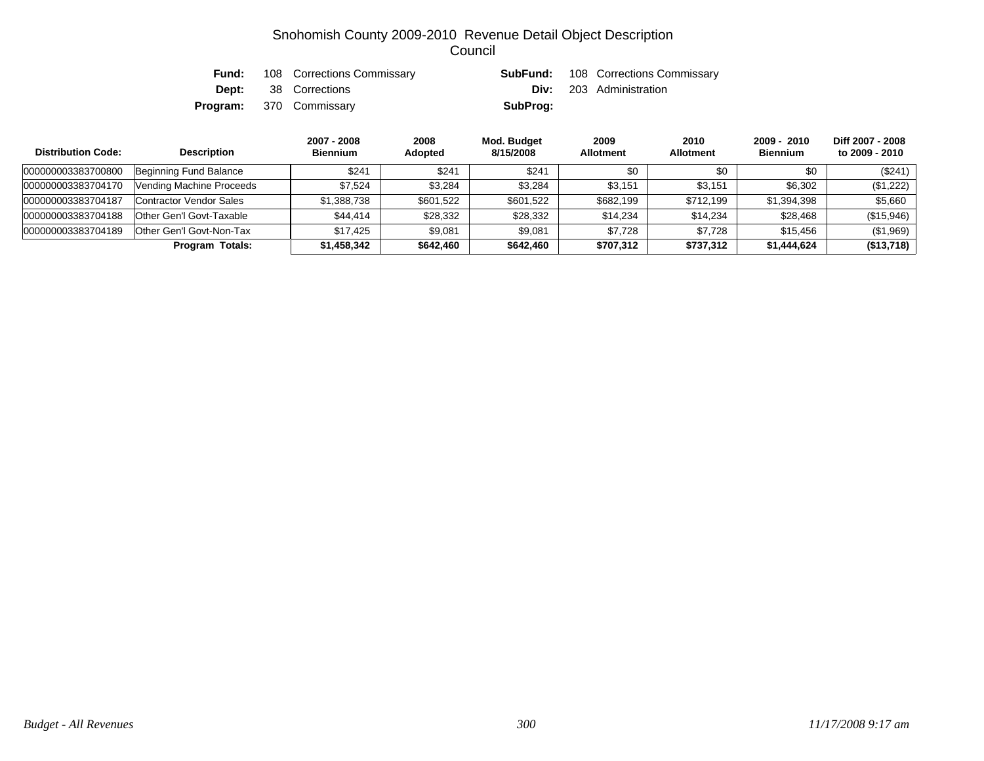|  | <b>Fund:</b> 108 Corrections Commissary |          | <b>SubFund:</b> 108 Corrections Commissary |
|--|-----------------------------------------|----------|--------------------------------------------|
|  | <b>Dept:</b> 38 Corrections             |          | <b>Div:</b> 203 Administration             |
|  | <b>Program:</b> 370 Commissary          | SubProg: |                                            |

| <b>Distribution Code:</b> | <b>Description</b>       | 2007 - 2008<br><b>Biennium</b> | 2008<br>Adopted | Mod. Budget<br>8/15/2008 | 2009<br><b>Allotment</b> | 2010<br><b>Allotment</b> | $2009 - 2010$<br><b>Biennium</b> | Diff 2007 - 2008<br>to 2009 - 2010 |
|---------------------------|--------------------------|--------------------------------|-----------------|--------------------------|--------------------------|--------------------------|----------------------------------|------------------------------------|
| 000000003383700800        | Beginning Fund Balance   | \$241                          | \$241           | \$24'                    | \$0                      | \$0                      | \$0                              | (\$241)                            |
| 000000003383704170        | Vending Machine Proceeds | \$7.524                        | \$3,284         | \$3.284                  | \$3.151                  | \$3.151                  | \$6,302                          | (\$1,222)                          |
| 000000003383704187        | Contractor Vendor Sales  | \$1,388,738                    | \$601,522       | \$601,522                | \$682,199                | \$712,199                | \$1,394,398                      | \$5,660                            |
| 000000003383704188        | Other Gen'l Govt-Taxable | \$44.414                       | \$28,332        | \$28,332                 | \$14,234                 | \$14,234                 | \$28,468                         | (\$15,946)                         |
| 000000003383704189        | Other Gen'l Govt-Non-Tax | \$17.425                       | \$9,081         | \$9,081                  | \$7.728                  | \$7.728                  | \$15.456                         | (\$1,969)                          |
|                           | <b>Program Totals:</b>   | \$1,458,342                    | \$642,460       | \$642,460                | \$707,312                | \$737,312                | \$1,444,624                      | (\$13,718)                         |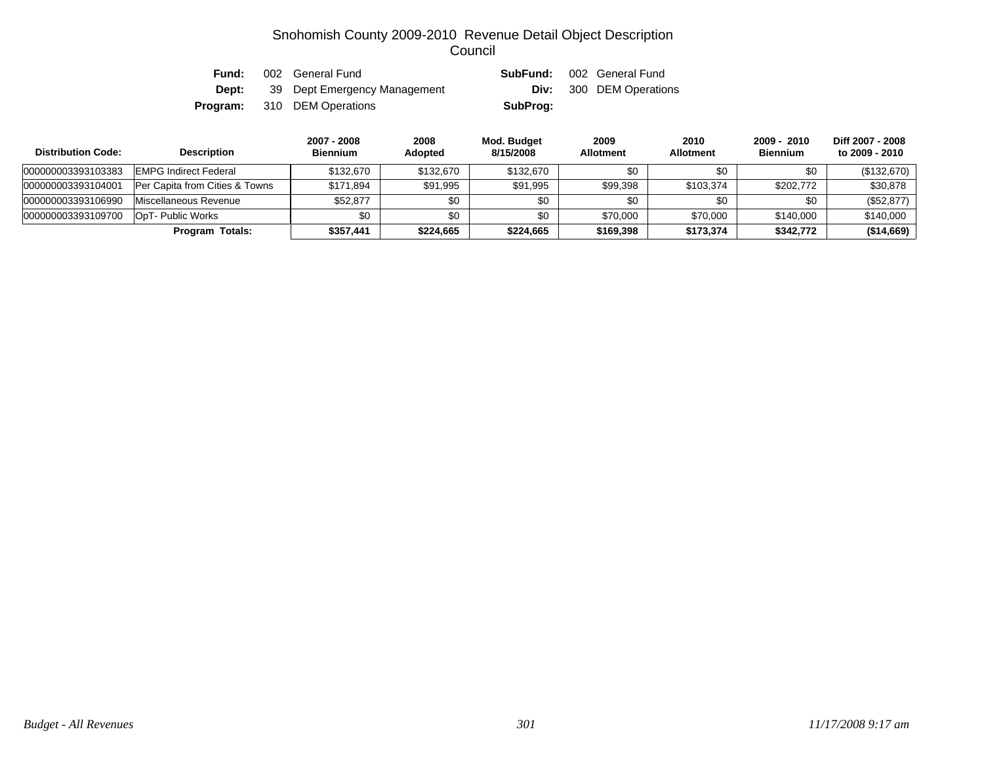| Fund:    | 002 General Fund             | SubFund: | 002 General Fund               |
|----------|------------------------------|----------|--------------------------------|
| Dept:    | 39 Dept Emergency Management |          | <b>Div:</b> 300 DEM Operations |
| Program: | 310 DEM Operations           | SubProg: |                                |

| <b>Distribution Code:</b> | <b>Description</b>                        | 2007 - 2008<br><b>Biennium</b> | 2008<br><b>Adopted</b> | Mod. Budget<br>8/15/2008 | 2009<br><b>Allotment</b> | 2010<br><b>Allotment</b> | 2009 - 2010<br><b>Biennium</b> | Diff 2007 - 2008<br>to 2009 - 2010 |
|---------------------------|-------------------------------------------|--------------------------------|------------------------|--------------------------|--------------------------|--------------------------|--------------------------------|------------------------------------|
| 000000003393103383        | <b>EMPG Indirect Federal</b>              | \$132.670                      | \$132,670              | \$132,670                | \$0                      | \$0                      | \$0                            | (\$132,670)                        |
| 000000003393104001        | <b>Per Capita from Cities &amp; Towns</b> | \$171.894                      | \$91.995               | \$91.995                 | \$99.398                 | \$103,374                | \$202,772                      | \$30,878                           |
| 000000003393106990        | Miscellaneous Revenue                     | \$52,877                       | \$0                    | \$0                      | \$0                      | \$0                      | \$0                            | (\$52,877)                         |
| 000000003393109700        | OpT- Public Works                         | \$0                            | \$0                    | \$0                      | \$70,000                 | \$70,000                 | \$140,000                      | \$140,000                          |
|                           | Program Totals:                           | \$357,441                      | \$224,665              | \$224,665                | \$169,398                | \$173,374                | \$342,772                      | (\$14,669)                         |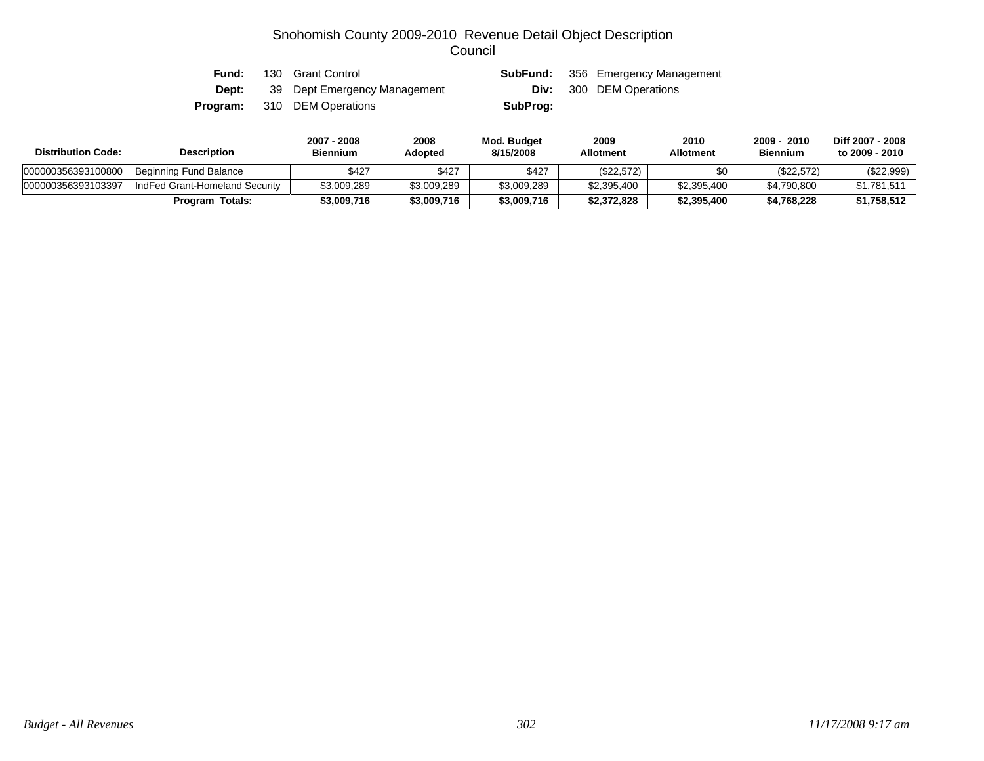| Fund: | 130 Grant Control                  |          | <b>SubFund:</b> 356 Emergency Management |
|-------|------------------------------------|----------|------------------------------------------|
| Dept: | 39 Dept Emergency Management       |          | <b>Div:</b> 300 DEM Operations           |
|       | <b>Program:</b> 310 DEM Operations | SubProg: |                                          |

| <b>Distribution Code:</b> | <b>Description</b>             | 2007 - 2008<br>Biennium | 2008<br>Adopted | Mod. Budget<br>8/15/2008 | 2009<br><b>Allotment</b> | 2010<br><b>Allotment</b> | - 2010<br>$2009 -$<br><b>Biennium</b> | Diff 2007 - 2008<br>to 2009 - 2010 |
|---------------------------|--------------------------------|-------------------------|-----------------|--------------------------|--------------------------|--------------------------|---------------------------------------|------------------------------------|
| 000000356393100800        | Beginning Fund Balance         | \$427                   | \$427           | \$427                    | (\$22,572)               |                          | (\$22,572)                            | (\$22,999)                         |
| 000000356393103397        | IndFed Grant-Homeland Security | \$3,009,289             | \$3,009,289     | \$3,009,289              | \$2,395,400              | \$2,395,400              | \$4,790,800                           | $$1,781,511$                       |
|                           | <b>Program Totals:</b>         | \$3,009,716             | \$3,009,716     | \$3,009,716              | \$2,372,828              | \$2,395,400              | \$4,768,228                           | \$1,758,512                        |